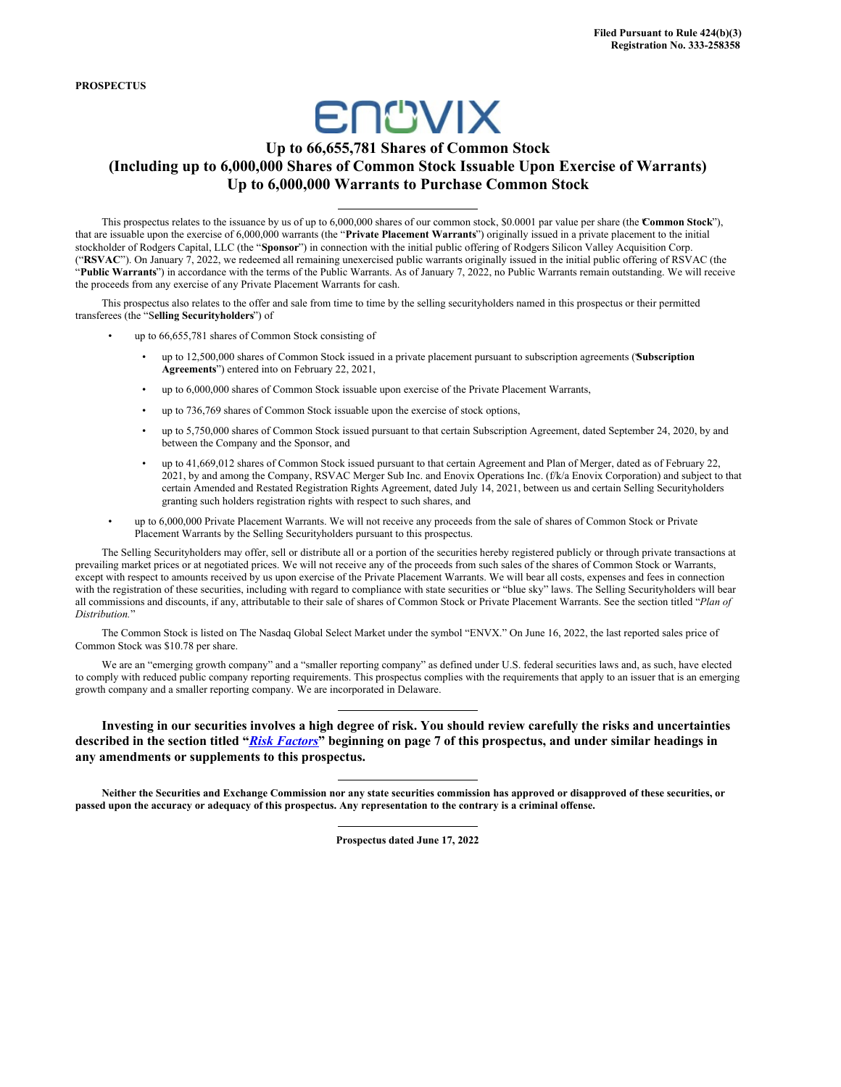# **ENUVIX**

## <span id="page-0-0"></span>**Up to 66,655,781 Shares of Common Stock (Including up to 6,000,000 Shares of Common Stock Issuable Upon Exercise of Warrants) Up to 6,000,000 Warrants to Purchase Common Stock**

This prospectus relates to the issuance by us of up to 6,000,000 shares of our common stock, \$0.0001 par value per share (the "**Common Stock**"), that are issuable upon the exercise of 6,000,000 warrants (the "**Private Placement Warrants**") originally issued in a private placement to the initial stockholder of Rodgers Capital, LLC (the "**Sponsor**") in connection with the initial public offering of Rodgers Silicon Valley Acquisition Corp. ("**RSVAC**"). On January 7, 2022, we redeemed all remaining unexercised public warrants originally issued in the initial public offering of RSVAC (the "**Public Warrants**") in accordance with the terms of the Public Warrants. As of January 7, 2022, no Public Warrants remain outstanding. We will receive the proceeds from any exercise of any Private Placement Warrants for cash.

This prospectus also relates to the offer and sale from time to time by the selling securityholders named in this prospectus or their permitted transferees (the "S**elling Securityholders**") of

• up to 66,655,781 shares of Common Stock consisting of

- up to 12,500,000 shares of Common Stock issued in a private placement pursuant to subscription agreements (Subscription **Agreements**") entered into on February 22, 2021,
- up to 6,000,000 shares of Common Stock issuable upon exercise of the Private Placement Warrants,
- up to 736,769 shares of Common Stock issuable upon the exercise of stock options,
- up to 5,750,000 shares of Common Stock issued pursuant to that certain Subscription Agreement, dated September 24, 2020, by and between the Company and the Sponsor, and
- up to 41,669,012 shares of Common Stock issued pursuant to that certain Agreement and Plan of Merger, dated as of February 22, 2021, by and among the Company, RSVAC Merger Sub Inc. and Enovix Operations Inc. (f/k/a Enovix Corporation) and subject to that certain Amended and Restated Registration Rights Agreement, dated July 14, 2021, between us and certain Selling Securityholders granting such holders registration rights with respect to such shares, and
- up to 6,000,000 Private Placement Warrants. We will not receive any proceeds from the sale of shares of Common Stock or Private Placement Warrants by the Selling Securityholders pursuant to this prospectus.

The Selling Securityholders may offer, sell or distribute all or a portion of the securities hereby registered publicly or through private transactions at prevailing market prices or at negotiated prices. We will not receive any of the proceeds from such sales of the shares of Common Stock or Warrants, except with respect to amounts received by us upon exercise of the Private Placement Warrants. We will bear all costs, expenses and fees in connection with the registration of these securities, including with regard to compliance with state securities or "blue sky" laws. The Selling Securityholders will bear all commissions and discounts, if any, attributable to their sale of shares of Common Stock or Private Placement Warrants. See the section titled "*Plan of Distribution.*"

The Common Stock is listed on The Nasdaq Global Select Market under the symbol "ENVX." On June 16, 2022, the last reported sales price of Common Stock was \$10.78 per share.

We are an "emerging growth company" and a "smaller reporting company" as defined under U.S. federal securities laws and, as such, have elected to comply with reduced public company reporting requirements. This prospectus complies with the requirements that apply to an issuer that is an emerging growth company and a smaller reporting company. We are incorporated in Delaware.

Investing in our securities involves a high degree of risk. You should review carefully the risks and uncertainties described in the section titled "Risk [Factors](#page-12-0)" beginning on page 7 of this prospectus, and under similar headings in **any amendments or supplements to this prospectus.**

Neither the Securities and Exchange Commission nor any state securities commission has approved or disapproved of these securities, or passed upon the accuracy or adequacy of this prospectus. Any representation to the contrary is a criminal offense.

**Prospectus dated June 17, 2022**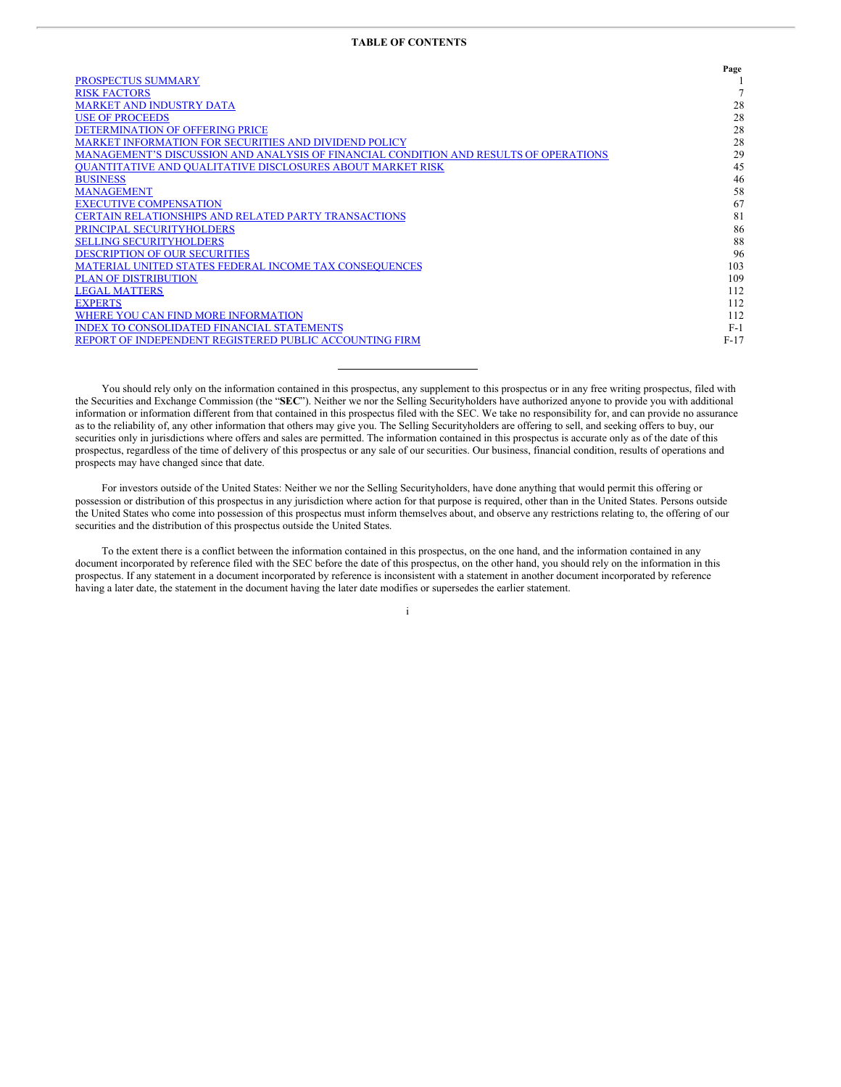#### **TABLE OF CONTENTS**

|                                                                                       | Page   |
|---------------------------------------------------------------------------------------|--------|
| <b>PROSPECTUS SUMMARY</b>                                                             |        |
| <b>RISK FACTORS</b>                                                                   |        |
| <b>MARKET AND INDUSTRY DATA</b>                                                       | 28     |
| <b>USE OF PROCEEDS</b>                                                                | 28     |
| <b>DETERMINATION OF OFFERING PRICE</b>                                                | 28     |
| <b>MARKET INFORMATION FOR SECURITIES AND DIVIDEND POLICY</b>                          | 28     |
| MANAGEMENT'S DISCUSSION AND ANALYSIS OF FINANCIAL CONDITION AND RESULTS OF OPERATIONS | 29     |
| <b>OUANTITATIVE AND OUALITATIVE DISCLOSURES ABOUT MARKET RISK</b>                     | 45     |
| <b>BUSINESS</b>                                                                       | 46     |
| <b>MANAGEMENT</b>                                                                     | 58     |
| <b>EXECUTIVE COMPENSATION</b>                                                         | 67     |
| <b>CERTAIN RELATIONSHIPS AND RELATED PARTY TRANSACTIONS</b>                           | 81     |
| PRINCIPAL SECURITYHOLDERS                                                             | 86     |
| <b>SELLING SECURITYHOLDERS</b>                                                        | 88     |
| <b>DESCRIPTION OF OUR SECURITIES</b>                                                  | 96     |
| <b>MATERIAL UNITED STATES FEDERAL INCOME TAX CONSEQUENCES</b>                         | 103    |
| PLAN OF DISTRIBUTION                                                                  | 109    |
| <b>LEGAL MATTERS</b>                                                                  | 112    |
| <b>EXPERTS</b>                                                                        | 112    |
| WHERE YOU CAN FIND MORE INFORMATION                                                   | 112    |
| <b>INDEX TO CONSOLIDATED FINANCIAL STATEMENTS</b>                                     | $F-1$  |
| REPORT OF INDEPENDENT REGISTERED PUBLIC ACCOUNTING FIRM                               | $F-17$ |

You should rely only on the information contained in this prospectus, any supplement to this prospectus or in any free writing prospectus, filed with the Securities and Exchange Commission (the "**SEC**"). Neither we nor the Selling Securityholders have authorized anyone to provide you with additional information or information different from that contained in this prospectus filed with the SEC. We take no responsibility for, and can provide no assurance as to the reliability of, any other information that others may give you. The Selling Securityholders are offering to sell, and seeking offers to buy, our securities only in jurisdictions where offers and sales are permitted. The information contained in this prospectus is accurate only as of the date of this prospectus, regardless of the time of delivery of this prospectus or any sale of our securities. Our business, financial condition, results of operations and prospects may have changed since that date.

For investors outside of the United States: Neither we nor the Selling Securityholders, have done anything that would permit this offering or possession or distribution of this prospectus in any jurisdiction where action for that purpose is required, other than in the United States. Persons outside the United States who come into possession of this prospectus must inform themselves about, and observe any restrictions relating to, the offering of our securities and the distribution of this prospectus outside the United States.

To the extent there is a conflict between the information contained in this prospectus, on the one hand, and the information contained in any document incorporated by reference filed with the SEC before the date of this prospectus, on the other hand, you should rely on the information in this prospectus. If any statement in a document incorporated by reference is inconsistent with a statement in another document incorporated by reference having a later date, the statement in the document having the later date modifies or supersedes the earlier statement.

i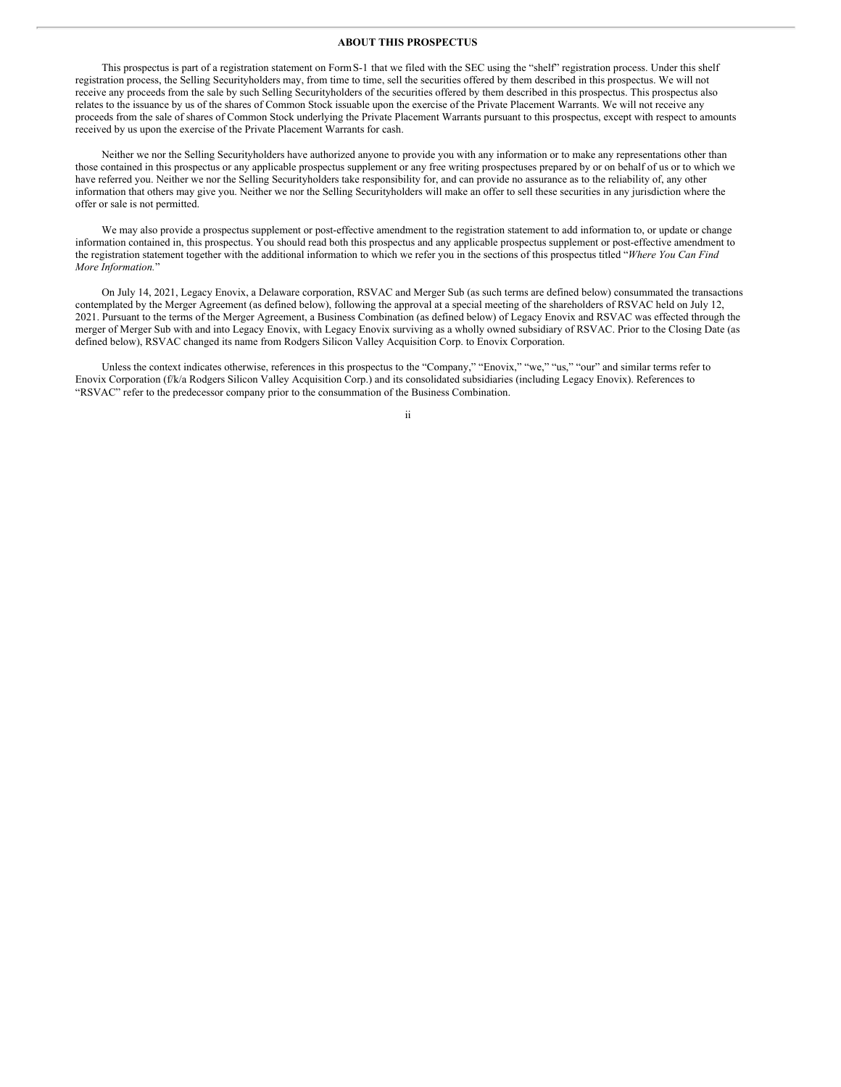#### **ABOUT THIS PROSPECTUS**

This prospectus is part of a registration statement on FormS-1 that we filed with the SEC using the "shelf" registration process. Under this shelf registration process, the Selling Securityholders may, from time to time, sell the securities offered by them described in this prospectus. We will not receive any proceeds from the sale by such Selling Securityholders of the securities offered by them described in this prospectus. This prospectus also relates to the issuance by us of the shares of Common Stock issuable upon the exercise of the Private Placement Warrants. We will not receive any proceeds from the sale of shares of Common Stock underlying the Private Placement Warrants pursuant to this prospectus, except with respect to amounts received by us upon the exercise of the Private Placement Warrants for cash.

Neither we nor the Selling Securityholders have authorized anyone to provide you with any information or to make any representations other than those contained in this prospectus or any applicable prospectus supplement or any free writing prospectuses prepared by or on behalf of us or to which we have referred you. Neither we nor the Selling Securityholders take responsibility for, and can provide no assurance as to the reliability of, any other information that others may give you. Neither we nor the Selling Securityholders will make an offer to sell these securities in any jurisdiction where the offer or sale is not permitted.

We may also provide a prospectus supplement or post-effective amendment to the registration statement to add information to, or update or change information contained in, this prospectus. You should read both this prospectus and any applicable prospectus supplement or post-effective amendment to the registration statement together with the additional information to which we refer you in the sections of this prospectus titled "*Where You Can Find More Information.*"

On July 14, 2021, Legacy Enovix, a Delaware corporation, RSVAC and Merger Sub (as such terms are defined below) consummated the transactions contemplated by the Merger Agreement (as defined below), following the approval at a special meeting of the shareholders of RSVAC held on July 12, 2021. Pursuant to the terms of the Merger Agreement, a Business Combination (as defined below) of Legacy Enovix and RSVAC was effected through the merger of Merger Sub with and into Legacy Enovix, with Legacy Enovix surviving as a wholly owned subsidiary of RSVAC. Prior to the Closing Date (as defined below), RSVAC changed its name from Rodgers Silicon Valley Acquisition Corp. to Enovix Corporation.

Unless the context indicates otherwise, references in this prospectus to the "Company," "Enovix," "we," "us," "our" and similar terms refer to Enovix Corporation (f/k/a Rodgers Silicon Valley Acquisition Corp.) and its consolidated subsidiaries (including Legacy Enovix). References to "RSVAC" refer to the predecessor company prior to the consummation of the Business Combination.

ii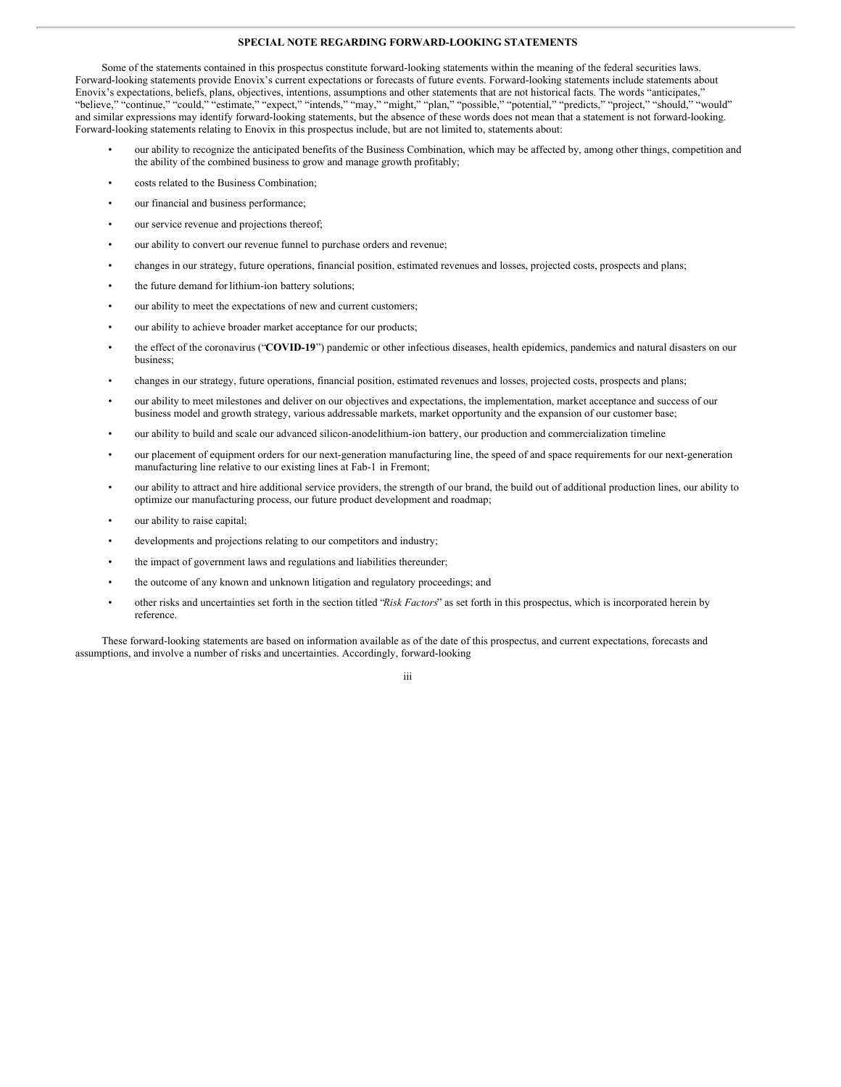#### **SPECIAL NOTE REGARDING FORWARD-LOOKING STATEMENTS**

Some of the statements contained in this prospectus constitute forward-looking statements within the meaning of the federal securities laws. Forward-looking statements provide Enovix's current expectations or forecasts of future events. Forward-looking statements include statements about Enovix's expectations, beliefs, plans, objectives, intentions, assumptions and other statements that are not historical facts. The words "anticipates," "believe," "continue," "could," "estimate," "expect," "intends," "may," "might," "plan," "possible," "potential," "predicts," "project," "should," "would" and similar expressions may identify forward-looking statements, but the absence of these words does not mean that a statement is not forward-looking. Forward-looking statements relating to Enovix in this prospectus include, but are not limited to, statements about:

- our ability to recognize the anticipated benefits of the Business Combination, which may be affected by, among other things, competition and the ability of the combined business to grow and manage growth profitably;
- costs related to the Business Combination;
- our financial and business performance;
- our service revenue and projections thereof;
- our ability to convert our revenue funnel to purchase orders and revenue;
- changes in our strategy, future operations, financial position, estimated revenues and losses, projected costs, prospects and plans;
- the future demand for lithium-ion battery solutions;
- our ability to meet the expectations of new and current customers;
- our ability to achieve broader market acceptance for our products;
- the effect of the coronavirus ("**COVID-19**") pandemic or other infectious diseases, health epidemics, pandemics and natural disasters on our business;
- changes in our strategy, future operations, financial position, estimated revenues and losses, projected costs, prospects and plans;
- our ability to meet milestones and deliver on our objectives and expectations, the implementation, market acceptance and success of our business model and growth strategy, various addressable markets, market opportunity and the expansion of our customer base;
- our ability to build and scale our advanced silicon-anodelithium-ion battery, our production and commercialization timeline
- our placement of equipment orders for our next-generation manufacturing line, the speed of and space requirements for our next-generation manufacturing line relative to our existing lines at Fab-1 in Fremont;
- our ability to attract and hire additional service providers, the strength of our brand, the build out of additional production lines, our ability to optimize our manufacturing process, our future product development and roadmap;
- our ability to raise capital;
- developments and projections relating to our competitors and industry;
- the impact of government laws and regulations and liabilities thereunder;
- the outcome of any known and unknown litigation and regulatory proceedings; and
- other risks and uncertainties set forth in the section titled "*Risk Factors*" as set forth in this prospectus, which is incorporated herein by reference.

These forward-looking statements are based on information available as of the date of this prospectus, and current expectations, forecasts and assumptions, and involve a number of risks and uncertainties. Accordingly, forward-looking

iii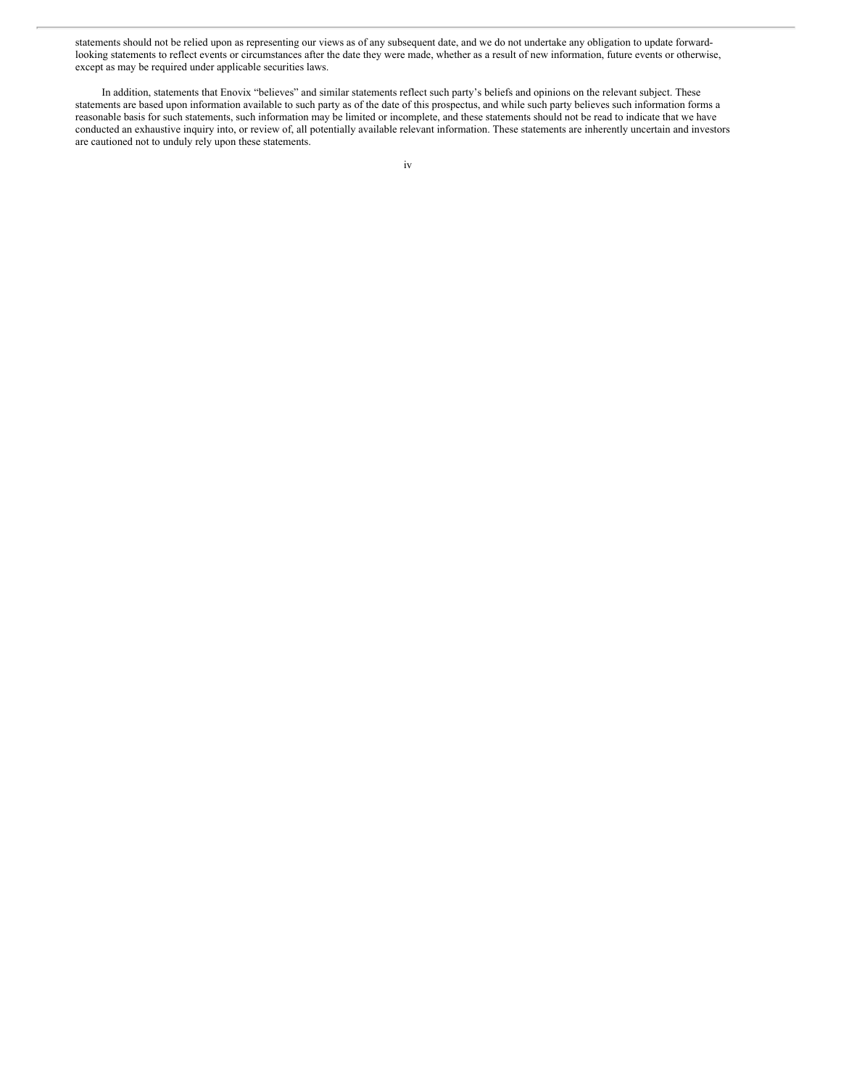statements should not be relied upon as representing our views as of any subsequent date, and we do not undertake any obligation to update forwardlooking statements to reflect events or circumstances after the date they were made, whether as a result of new information, future events or otherwise, except as may be required under applicable securities laws.

In addition, statements that Enovix "believes" and similar statements reflect such party's beliefs and opinions on the relevant subject. These statements are based upon information available to such party as of the date of this prospectus, and while such party believes such information forms a reasonable basis for such statements, such information may be limited or incomplete, and these statements should not be read to indicate that we have conducted an exhaustive inquiry into, or review of, all potentially available relevant information. These statements are inherently uncertain and investors are cautioned not to unduly rely upon these statements.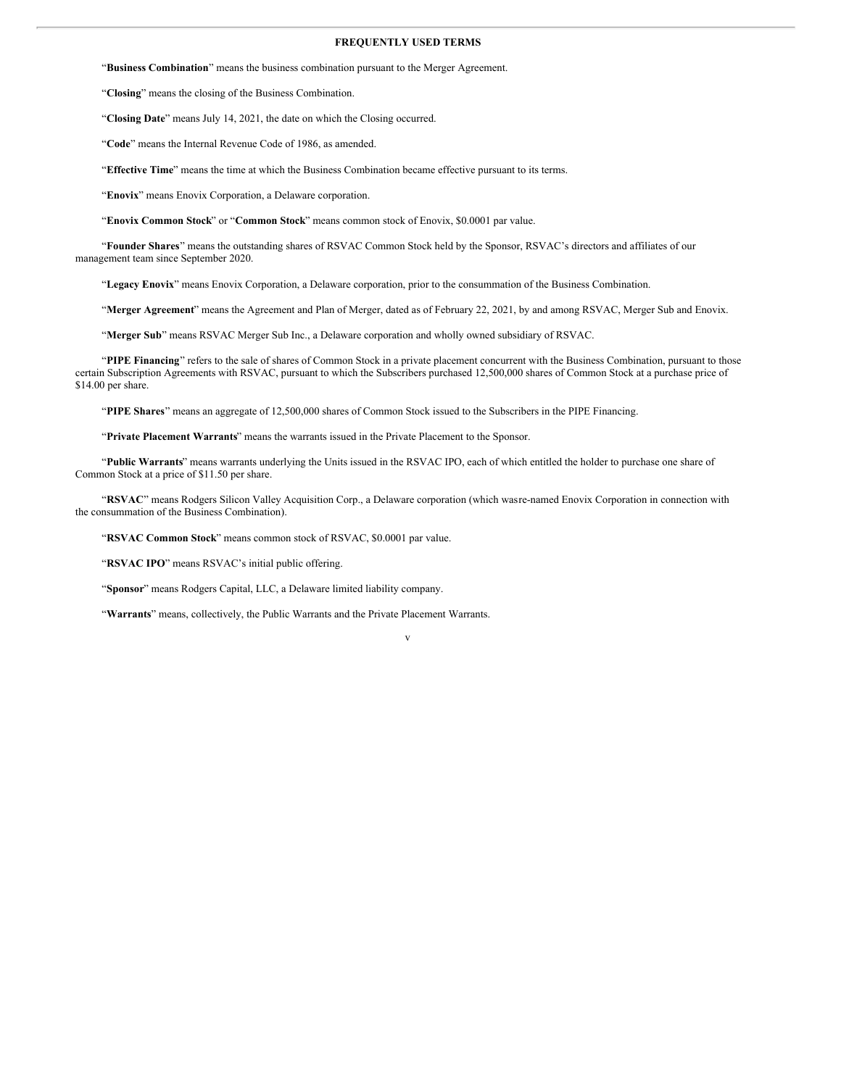#### **FREQUENTLY USED TERMS**

"**Business Combination**" means the business combination pursuant to the Merger Agreement.

"**Closing**" means the closing of the Business Combination.

"**Closing Date**" means July 14, 2021, the date on which the Closing occurred.

"**Code**" means the Internal Revenue Code of 1986, as amended.

"**Effective Time**" means the time at which the Business Combination became effective pursuant to its terms.

"**Enovix**" means Enovix Corporation, a Delaware corporation.

"**Enovix Common Stock**" or "**Common Stock**" means common stock of Enovix, \$0.0001 par value.

"**Founder Shares**" means the outstanding shares of RSVAC Common Stock held by the Sponsor, RSVAC's directors and affiliates of our management team since September 2020.

"**Legacy Enovix**" means Enovix Corporation, a Delaware corporation, prior to the consummation of the Business Combination.

"**Merger Agreement**" means the Agreement and Plan of Merger, dated as of February 22, 2021, by and among RSVAC, Merger Sub and Enovix.

"**Merger Sub**" means RSVAC Merger Sub Inc., a Delaware corporation and wholly owned subsidiary of RSVAC.

"**PIPE Financing**" refers to the sale of shares of Common Stock in a private placement concurrent with the Business Combination, pursuant to those certain Subscription Agreements with RSVAC, pursuant to which the Subscribers purchased 12,500,000 shares of Common Stock at a purchase price of \$14.00 per share.

"**PIPE Shares**" means an aggregate of 12,500,000 shares of Common Stock issued to the Subscribers in the PIPE Financing.

"**Private Placement Warrants**" means the warrants issued in the Private Placement to the Sponsor.

"**Public Warrants**" means warrants underlying the Units issued in the RSVAC IPO, each of which entitled the holder to purchase one share of Common Stock at a price of \$11.50 per share.

"**RSVAC**" means Rodgers Silicon Valley Acquisition Corp., a Delaware corporation (which wasre-named Enovix Corporation in connection with the consummation of the Business Combination).

"**RSVAC Common Stock**" means common stock of RSVAC, \$0.0001 par value.

"**RSVAC IPO**" means RSVAC's initial public offering.

"**Sponsor**" means Rodgers Capital, LLC, a Delaware limited liability company.

"**Warrants**" means, collectively, the Public Warrants and the Private Placement Warrants.

v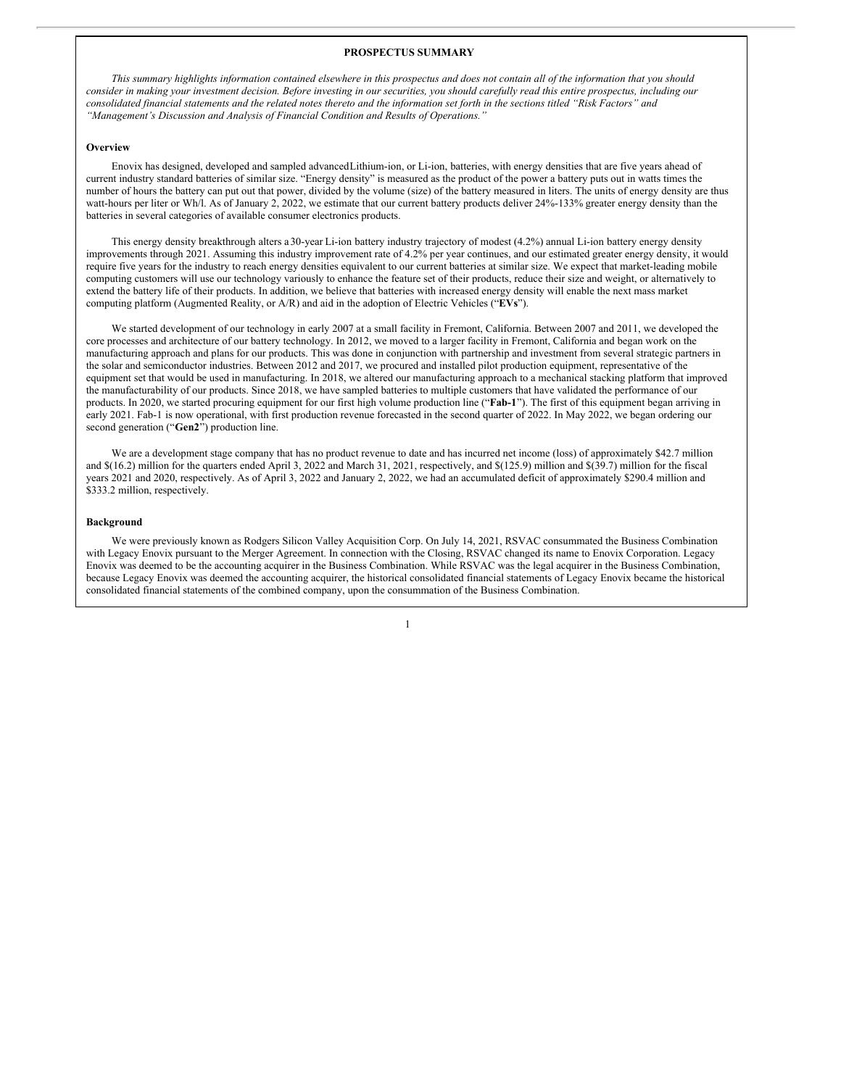#### <span id="page-6-0"></span>**PROSPECTUS SUMMARY**

This summary highlights information contained elsewhere in this prospectus and does not contain all of the information that you should consider in making your investment decision. Before investing in our securities, you should carefully read this entire prospectus, including our consolidated financial statements and the related notes thereto and the information set forth in the sections titled "Risk Factors" and *"Management's Discussion and Analysis of Financial Condition and Results of Operations."*

#### **Overview**

Enovix has designed, developed and sampled advancedLithium-ion, or Li-ion, batteries, with energy densities that are five years ahead of current industry standard batteries of similar size. "Energy density" is measured as the product of the power a battery puts out in watts times the number of hours the battery can put out that power, divided by the volume (size) of the battery measured in liters. The units of energy density are thus watt-hours per liter or Wh/l. As of January 2, 2022, we estimate that our current battery products deliver 24%-133% greater energy density than the batteries in several categories of available consumer electronics products.

This energy density breakthrough alters a 30-year Li-ion battery industry trajectory of modest (4.2%) annual Li-ion battery energy density improvements through 2021. Assuming this industry improvement rate of 4.2% per year continues, and our estimated greater energy density, it would require five years for the industry to reach energy densities equivalent to our current batteries at similar size. We expect that market-leading mobile computing customers will use our technology variously to enhance the feature set of their products, reduce their size and weight, or alternatively to extend the battery life of their products. In addition, we believe that batteries with increased energy density will enable the next mass market computing platform (Augmented Reality, or A/R) and aid in the adoption of Electric Vehicles ("**EVs**").

We started development of our technology in early 2007 at a small facility in Fremont, California. Between 2007 and 2011, we developed the core processes and architecture of our battery technology. In 2012, we moved to a larger facility in Fremont, California and began work on the manufacturing approach and plans for our products. This was done in conjunction with partnership and investment from several strategic partners in the solar and semiconductor industries. Between 2012 and 2017, we procured and installed pilot production equipment, representative of the equipment set that would be used in manufacturing. In 2018, we altered our manufacturing approach to a mechanical stacking platform that improved the manufacturability of our products. Since 2018, we have sampled batteries to multiple customers that have validated the performance of our products. In 2020, we started procuring equipment for our first high volume production line ("**Fab-1**"). The first of this equipment began arriving in early 2021. Fab-1 is now operational, with first production revenue forecasted in the second quarter of 2022. In May 2022, we began ordering our second generation ("**Gen2**") production line.

We are a development stage company that has no product revenue to date and has incurred net income (loss) of approximately \$42.7 million and \$(16.2) million for the quarters ended April 3, 2022 and March 31, 2021, respectively, and \$(125.9) million and \$(39.7) million for the fiscal years 2021 and 2020, respectively. As of April 3, 2022 and January 2, 2022, we had an accumulated deficit of approximately \$290.4 million and \$333.2 million, respectively.

#### **Background**

We were previously known as Rodgers Silicon Valley Acquisition Corp. On July 14, 2021, RSVAC consummated the Business Combination with Legacy Enovix pursuant to the Merger Agreement. In connection with the Closing, RSVAC changed its name to Enovix Corporation. Legacy Enovix was deemed to be the accounting acquirer in the Business Combination. While RSVAC was the legal acquirer in the Business Combination, because Legacy Enovix was deemed the accounting acquirer, the historical consolidated financial statements of Legacy Enovix became the historical consolidated financial statements of the combined company, upon the consummation of the Business Combination.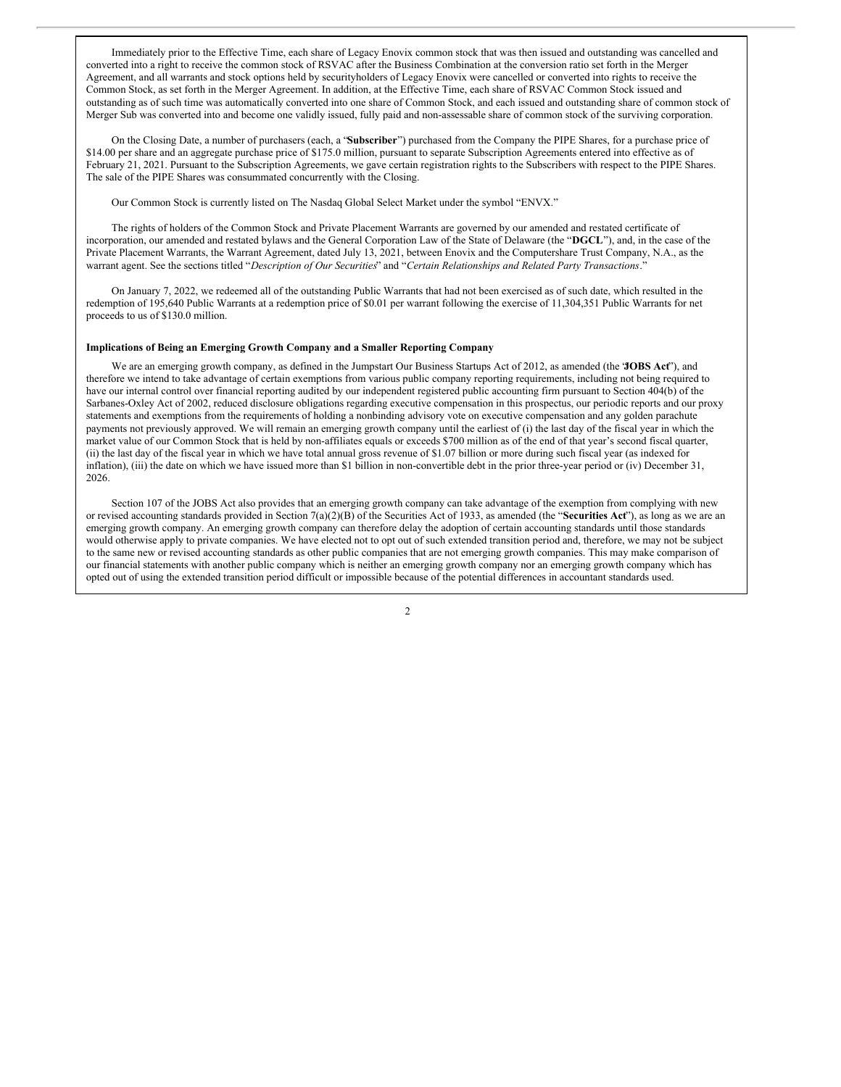Immediately prior to the Effective Time, each share of Legacy Enovix common stock that was then issued and outstanding was cancelled and converted into a right to receive the common stock of RSVAC after the Business Combination at the conversion ratio set forth in the Merger Agreement, and all warrants and stock options held by securityholders of Legacy Enovix were cancelled or converted into rights to receive the Common Stock, as set forth in the Merger Agreement. In addition, at the Effective Time, each share of RSVAC Common Stock issued and outstanding as of such time was automatically converted into one share of Common Stock, and each issued and outstanding share of common stock of Merger Sub was converted into and become one validly issued, fully paid and non-assessable share of common stock of the surviving corporation.

On the Closing Date, a number of purchasers (each, a "**Subscriber**") purchased from the Company the PIPE Shares, for a purchase price of \$14.00 per share and an aggregate purchase price of \$175.0 million, pursuant to separate Subscription Agreements entered into effective as of February 21, 2021. Pursuant to the Subscription Agreements, we gave certain registration rights to the Subscribers with respect to the PIPE Shares. The sale of the PIPE Shares was consummated concurrently with the Closing.

Our Common Stock is currently listed on The Nasdaq Global Select Market under the symbol "ENVX."

The rights of holders of the Common Stock and Private Placement Warrants are governed by our amended and restated certificate of incorporation, our amended and restated bylaws and the General Corporation Law of the State of Delaware (the "**DGCL**"), and, in the case of the Private Placement Warrants, the Warrant Agreement, dated July 13, 2021, between Enovix and the Computershare Trust Company, N.A., as the warrant agent. See the sections titled "*Description of Our Securities*" and "*Certain Relationships and Related Party Transactions*."

On January 7, 2022, we redeemed all of the outstanding Public Warrants that had not been exercised as of such date, which resulted in the redemption of 195,640 Public Warrants at a redemption price of \$0.01 per warrant following the exercise of 11,304,351 Public Warrants for net proceeds to us of \$130.0 million.

#### **Implications of Being an Emerging Growth Company and a Smaller Reporting Company**

We are an emerging growth company, as defined in the Jumpstart Our Business Startups Act of 2012, as amended (the "**JOBS Act**"), and therefore we intend to take advantage of certain exemptions from various public company reporting requirements, including not being required to have our internal control over financial reporting audited by our independent registered public accounting firm pursuant to Section 404(b) of the Sarbanes-Oxley Act of 2002, reduced disclosure obligations regarding executive compensation in this prospectus, our periodic reports and our proxy statements and exemptions from the requirements of holding a nonbinding advisory vote on executive compensation and any golden parachute payments not previously approved. We will remain an emerging growth company until the earliest of (i) the last day of the fiscal year in which the market value of our Common Stock that is held by non-affiliates equals or exceeds \$700 million as of the end of that year's second fiscal quarter, (ii) the last day of the fiscal year in which we have total annual gross revenue of \$1.07 billion or more during such fiscal year (as indexed for inflation), (iii) the date on which we have issued more than \$1 billion in non-convertible debt in the prior three-year period or (iv) December 31, 2026.

Section 107 of the JOBS Act also provides that an emerging growth company can take advantage of the exemption from complying with new or revised accounting standards provided in Section 7(a)(2)(B) of the Securities Act of 1933, as amended (the "**Securities Act**"), as long as we are an emerging growth company. An emerging growth company can therefore delay the adoption of certain accounting standards until those standards would otherwise apply to private companies. We have elected not to opt out of such extended transition period and, therefore, we may not be subject to the same new or revised accounting standards as other public companies that are not emerging growth companies. This may make comparison of our financial statements with another public company which is neither an emerging growth company nor an emerging growth company which has opted out of using the extended transition period difficult or impossible because of the potential differences in accountant standards used.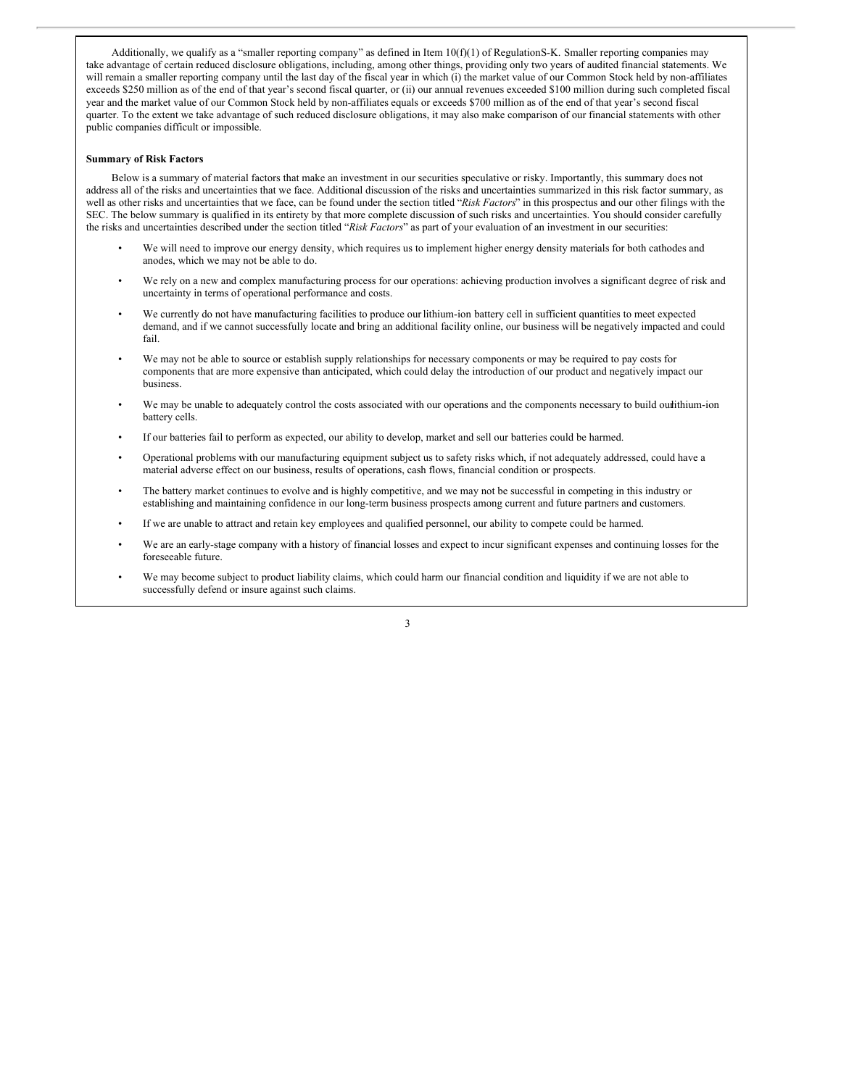Additionally, we qualify as a "smaller reporting company" as defined in Item 10(f)(1) of RegulationS-K. Smaller reporting companies may take advantage of certain reduced disclosure obligations, including, among other things, providing only two years of audited financial statements. We will remain a smaller reporting company until the last day of the fiscal year in which (i) the market value of our Common Stock held by non-affiliates exceeds \$250 million as of the end of that year's second fiscal quarter, or (ii) our annual revenues exceeded \$100 million during such completed fiscal year and the market value of our Common Stock held by non-affiliates equals or exceeds \$700 million as of the end of that year's second fiscal quarter. To the extent we take advantage of such reduced disclosure obligations, it may also make comparison of our financial statements with other public companies difficult or impossible.

#### **Summary of Risk Factors**

Below is a summary of material factors that make an investment in our securities speculative or risky. Importantly, this summary does not address all of the risks and uncertainties that we face. Additional discussion of the risks and uncertainties summarized in this risk factor summary, as well as other risks and uncertainties that we face, can be found under the section titled "*Risk Factors*" in this prospectus and our other filings with the SEC. The below summary is qualified in its entirety by that more complete discussion of such risks and uncertainties. You should consider carefully the risks and uncertainties described under the section titled "*Risk Factors*" as part of your evaluation of an investment in our securities:

- We will need to improve our energy density, which requires us to implement higher energy density materials for both cathodes and anodes, which we may not be able to do.
- We rely on a new and complex manufacturing process for our operations: achieving production involves a significant degree of risk and uncertainty in terms of operational performance and costs.
- We currently do not have manufacturing facilities to produce ourlithium-ion battery cell in sufficient quantities to meet expected demand, and if we cannot successfully locate and bring an additional facility online, our business will be negatively impacted and could fail.
- We may not be able to source or establish supply relationships for necessary components or may be required to pay costs for components that are more expensive than anticipated, which could delay the introduction of our product and negatively impact our business.
- We may be unable to adequately control the costs associated with our operations and the components necessary to build ourlithium-ion battery cells.
- If our batteries fail to perform as expected, our ability to develop, market and sell our batteries could be harmed.
- Operational problems with our manufacturing equipment subject us to safety risks which, if not adequately addressed, could have a material adverse effect on our business, results of operations, cash flows, financial condition or prospects.
- The battery market continues to evolve and is highly competitive, and we may not be successful in competing in this industry or establishing and maintaining confidence in our long-term business prospects among current and future partners and customers.
- If we are unable to attract and retain key employees and qualified personnel, our ability to compete could be harmed.
- We are an early-stage company with a history of financial losses and expect to incur significant expenses and continuing losses for the foreseeable future.
- We may become subject to product liability claims, which could harm our financial condition and liquidity if we are not able to successfully defend or insure against such claims.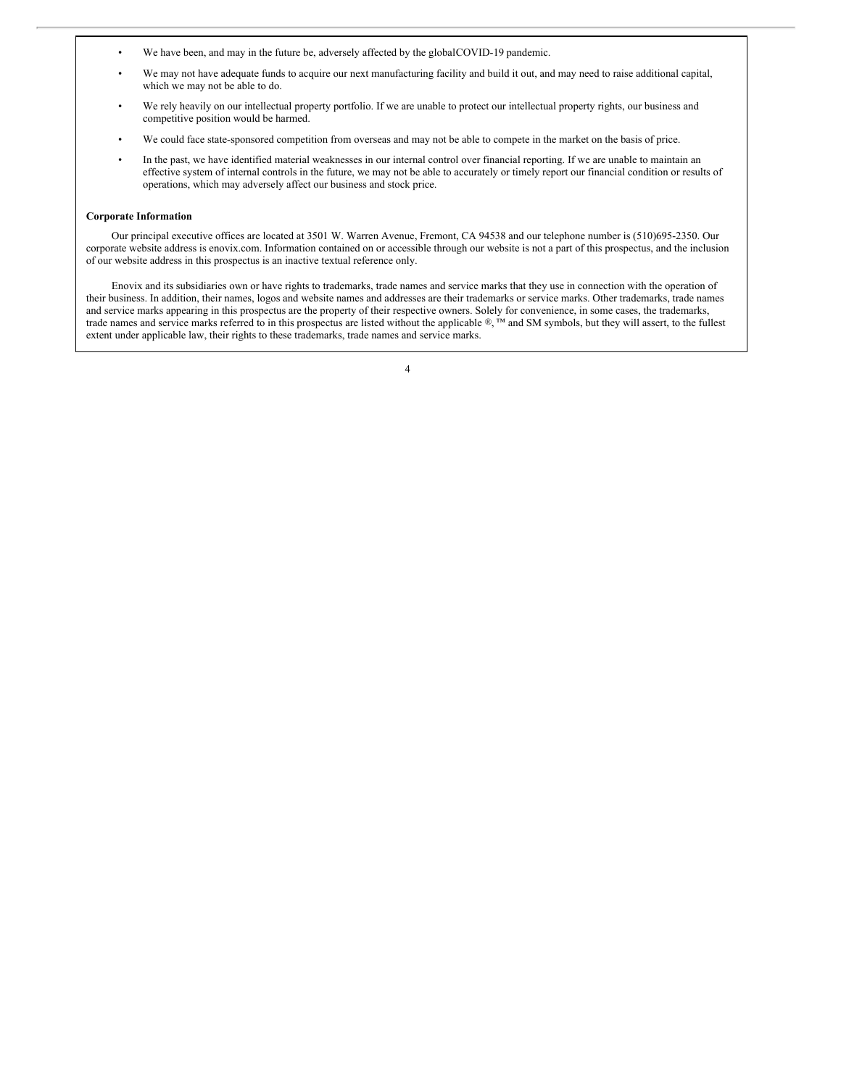- We have been, and may in the future be, adversely affected by the globalCOVID-19 pandemic.
- We may not have adequate funds to acquire our next manufacturing facility and build it out, and may need to raise additional capital, which we may not be able to do.
- We rely heavily on our intellectual property portfolio. If we are unable to protect our intellectual property rights, our business and competitive position would be harmed.
- We could face state-sponsored competition from overseas and may not be able to compete in the market on the basis of price.
- In the past, we have identified material weaknesses in our internal control over financial reporting. If we are unable to maintain an effective system of internal controls in the future, we may not be able to accurately or timely report our financial condition or results of operations, which may adversely affect our business and stock price.

#### **Corporate Information**

Our principal executive offices are located at 3501 W. Warren Avenue, Fremont, CA 94538 and our telephone number is (510)695-2350. Our corporate website address is enovix.com. Information contained on or accessible through our website is not a part of this prospectus, and the inclusion of our website address in this prospectus is an inactive textual reference only.

Enovix and its subsidiaries own or have rights to trademarks, trade names and service marks that they use in connection with the operation of their business. In addition, their names, logos and website names and addresses are their trademarks or service marks. Other trademarks, trade names and service marks appearing in this prospectus are the property of their respective owners. Solely for convenience, in some cases, the trademarks, trade names and service marks referred to in this prospectus are listed without the applicable ®, ™ and SM symbols, but they will assert, to the fullest extent under applicable law, their rights to these trademarks, trade names and service marks.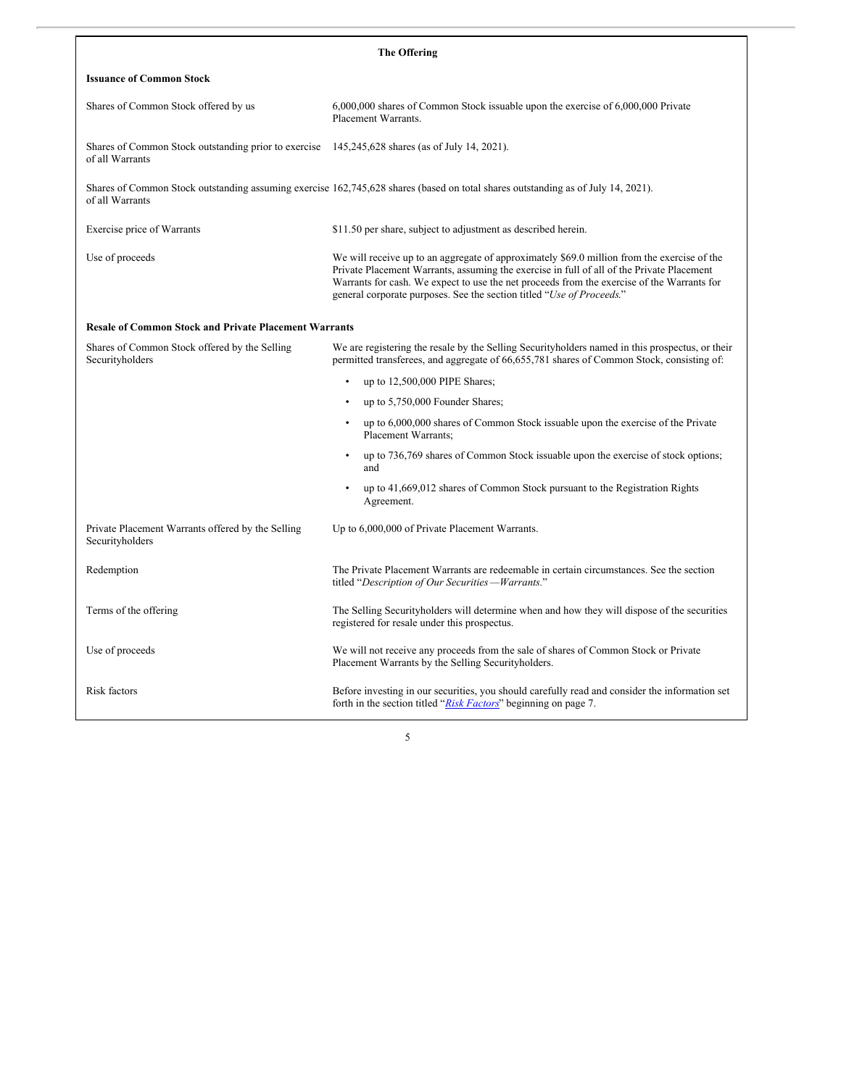| The Offering                                                                                                      |                                                                                                                                                                                                                                                                                                                                                                 |  |  |  |  |
|-------------------------------------------------------------------------------------------------------------------|-----------------------------------------------------------------------------------------------------------------------------------------------------------------------------------------------------------------------------------------------------------------------------------------------------------------------------------------------------------------|--|--|--|--|
| <b>Issuance of Common Stock</b>                                                                                   |                                                                                                                                                                                                                                                                                                                                                                 |  |  |  |  |
| Shares of Common Stock offered by us                                                                              | 6,000,000 shares of Common Stock issuable upon the exercise of 6,000,000 Private<br>Placement Warrants.                                                                                                                                                                                                                                                         |  |  |  |  |
| Shares of Common Stock outstanding prior to exercise 145,245,628 shares (as of July 14, 2021).<br>of all Warrants |                                                                                                                                                                                                                                                                                                                                                                 |  |  |  |  |
| of all Warrants                                                                                                   | Shares of Common Stock outstanding assuming exercise 162,745,628 shares (based on total shares outstanding as of July 14, 2021).                                                                                                                                                                                                                                |  |  |  |  |
| Exercise price of Warrants                                                                                        | \$11.50 per share, subject to adjustment as described herein.                                                                                                                                                                                                                                                                                                   |  |  |  |  |
| Use of proceeds                                                                                                   | We will receive up to an aggregate of approximately \$69.0 million from the exercise of the<br>Private Placement Warrants, assuming the exercise in full of all of the Private Placement<br>Warrants for cash. We expect to use the net proceeds from the exercise of the Warrants for<br>general corporate purposes. See the section titled "Use of Proceeds." |  |  |  |  |
| <b>Resale of Common Stock and Private Placement Warrants</b>                                                      |                                                                                                                                                                                                                                                                                                                                                                 |  |  |  |  |
| Shares of Common Stock offered by the Selling<br>Securityholders                                                  | We are registering the resale by the Selling Security holders named in this prospectus, or their<br>permitted transferees, and aggregate of 66,655,781 shares of Common Stock, consisting of:                                                                                                                                                                   |  |  |  |  |
|                                                                                                                   | up to 12,500,000 PIPE Shares;                                                                                                                                                                                                                                                                                                                                   |  |  |  |  |
|                                                                                                                   | up to 5,750,000 Founder Shares;                                                                                                                                                                                                                                                                                                                                 |  |  |  |  |
|                                                                                                                   | up to 6,000,000 shares of Common Stock issuable upon the exercise of the Private<br><b>Placement Warrants:</b>                                                                                                                                                                                                                                                  |  |  |  |  |
|                                                                                                                   | up to 736,769 shares of Common Stock issuable upon the exercise of stock options;<br>and                                                                                                                                                                                                                                                                        |  |  |  |  |
|                                                                                                                   | $\bullet$<br>up to 41,669,012 shares of Common Stock pursuant to the Registration Rights<br>Agreement.                                                                                                                                                                                                                                                          |  |  |  |  |
| Private Placement Warrants offered by the Selling<br>Securityholders                                              | Up to 6,000,000 of Private Placement Warrants.                                                                                                                                                                                                                                                                                                                  |  |  |  |  |
| Redemption                                                                                                        | The Private Placement Warrants are redeemable in certain circumstances. See the section<br>titled "Description of Our Securities-Warrants."                                                                                                                                                                                                                     |  |  |  |  |
| Terms of the offering                                                                                             | The Selling Security holders will determine when and how they will dispose of the securities<br>registered for resale under this prospectus.                                                                                                                                                                                                                    |  |  |  |  |
| Use of proceeds                                                                                                   | We will not receive any proceeds from the sale of shares of Common Stock or Private<br>Placement Warrants by the Selling Securityholders.                                                                                                                                                                                                                       |  |  |  |  |
| Risk factors                                                                                                      | Before investing in our securities, you should carefully read and consider the information set<br>forth in the section titled "Risk Factors" beginning on page 7.                                                                                                                                                                                               |  |  |  |  |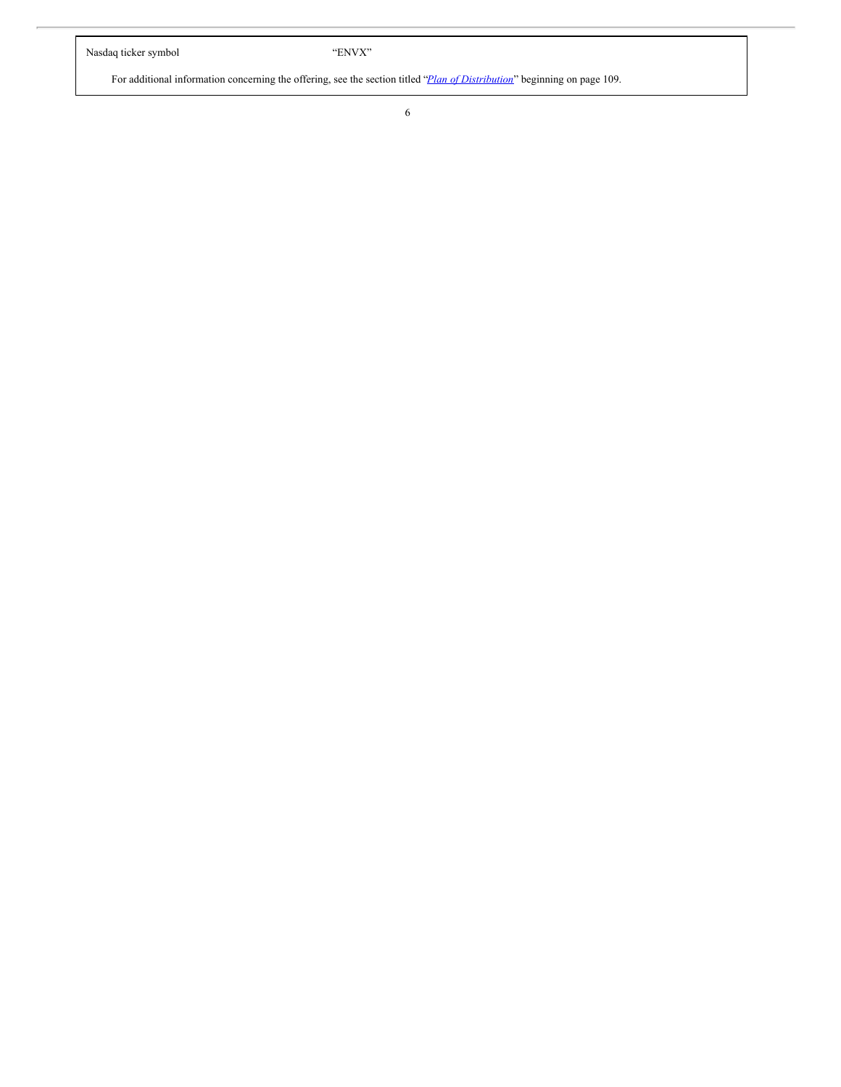For additional information concerning the offering, see the section titled "*Plan of [Distribution](#page-114-0)*" beginning on page 109.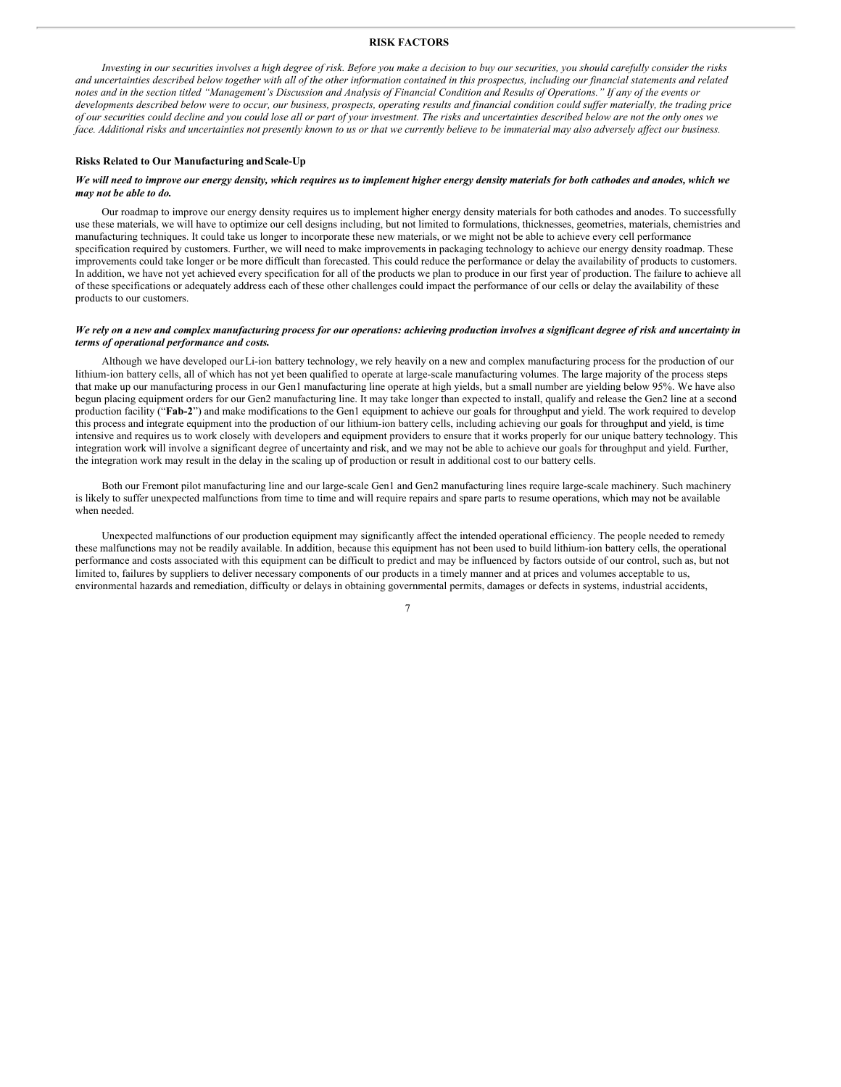#### <span id="page-12-0"></span>**RISK FACTORS**

Investing in our securities involves a high degree of risk. Before you make a decision to buy our securities, you should carefully consider the risks and uncertainties described below together with all of the other information contained in this prospectus, including our financial statements and related notes and in the section titled "Management's Discussion and Analysis of Financial Condition and Results of Operations." If any of the events or developments described below were to occur, our business, prospects, operating results and financial condition could suffer materially, the trading price of our securities could decline and you could lose all or part of your investment. The risks and uncertainties described below are not the only ones we face. Additional risks and uncertainties not presently known to us or that we currently believe to be immaterial may also adversely affect our business.

#### **Risks Related to Our Manufacturing andScale-Up**

#### We will need to improve our energy density, which requires us to implement higher energy density materials for both cathodes and anodes, which we *may not be able to do.*

Our roadmap to improve our energy density requires us to implement higher energy density materials for both cathodes and anodes. To successfully use these materials, we will have to optimize our cell designs including, but not limited to formulations, thicknesses, geometries, materials, chemistries and manufacturing techniques. It could take us longer to incorporate these new materials, or we might not be able to achieve every cell performance specification required by customers. Further, we will need to make improvements in packaging technology to achieve our energy density roadmap. These improvements could take longer or be more difficult than forecasted. This could reduce the performance or delay the availability of products to customers. In addition, we have not yet achieved every specification for all of the products we plan to produce in our first year of production. The failure to achieve all of these specifications or adequately address each of these other challenges could impact the performance of our cells or delay the availability of these products to our customers.

#### We rely on a new and complex manufacturing process for our operations: achieving production involves a significant degree of risk and uncertainty in *terms of operational performance and costs.*

Although we have developed ourLi-ion battery technology, we rely heavily on a new and complex manufacturing process for the production of our lithium-ion battery cells, all of which has not yet been qualified to operate at large-scale manufacturing volumes. The large majority of the process steps that make up our manufacturing process in our Gen1 manufacturing line operate at high yields, but a small number are yielding below 95%. We have also begun placing equipment orders for our Gen2 manufacturing line. It may take longer than expected to install, qualify and release the Gen2 line at a second production facility ("**Fab-2**") and make modifications to the Gen1 equipment to achieve our goals for throughput and yield. The work required to develop this process and integrate equipment into the production of our lithium-ion battery cells, including achieving our goals for throughput and yield, is time intensive and requires us to work closely with developers and equipment providers to ensure that it works properly for our unique battery technology. This integration work will involve a significant degree of uncertainty and risk, and we may not be able to achieve our goals for throughput and yield. Further, the integration work may result in the delay in the scaling up of production or result in additional cost to our battery cells.

Both our Fremont pilot manufacturing line and our large-scale Gen1 and Gen2 manufacturing lines require large-scale machinery. Such machinery is likely to suffer unexpected malfunctions from time to time and will require repairs and spare parts to resume operations, which may not be available when needed.

Unexpected malfunctions of our production equipment may significantly affect the intended operational efficiency. The people needed to remedy these malfunctions may not be readily available. In addition, because this equipment has not been used to build lithium-ion battery cells, the operational performance and costs associated with this equipment can be difficult to predict and may be influenced by factors outside of our control, such as, but not limited to, failures by suppliers to deliver necessary components of our products in a timely manner and at prices and volumes acceptable to us, environmental hazards and remediation, difficulty or delays in obtaining governmental permits, damages or defects in systems, industrial accidents,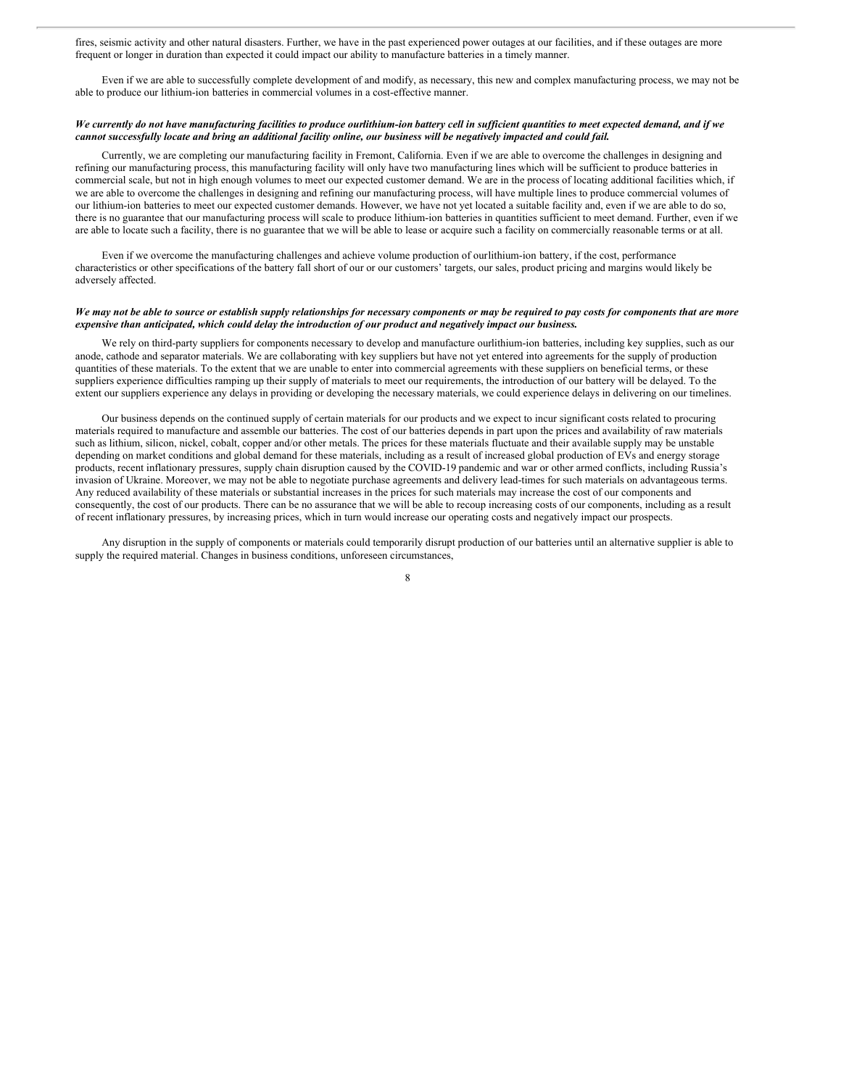fires, seismic activity and other natural disasters. Further, we have in the past experienced power outages at our facilities, and if these outages are more frequent or longer in duration than expected it could impact our ability to manufacture batteries in a timely manner.

Even if we are able to successfully complete development of and modify, as necessary, this new and complex manufacturing process, we may not be able to produce our lithium-ion batteries in commercial volumes in a cost-effective manner.

#### We currently do not have manufacturing facilities to produce ourlithium-ion battery cell in sufficient auantities to meet expected demand. and if we cannot successfully locate and bring an additional facility online, our business will be negatively impacted and could fail.

Currently, we are completing our manufacturing facility in Fremont, California. Even if we are able to overcome the challenges in designing and refining our manufacturing process, this manufacturing facility will only have two manufacturing lines which will be sufficient to produce batteries in commercial scale, but not in high enough volumes to meet our expected customer demand. We are in the process of locating additional facilities which, if we are able to overcome the challenges in designing and refining our manufacturing process, will have multiple lines to produce commercial volumes of our lithium-ion batteries to meet our expected customer demands. However, we have not yet located a suitable facility and, even if we are able to do so, there is no guarantee that our manufacturing process will scale to produce lithium-ion batteries in quantities sufficient to meet demand. Further, even if we are able to locate such a facility, there is no guarantee that we will be able to lease or acquire such a facility on commercially reasonable terms or at all.

Even if we overcome the manufacturing challenges and achieve volume production of ourlithium-ion battery, if the cost, performance characteristics or other specifications of the battery fall short of our or our customers' targets, our sales, product pricing and margins would likely be adversely affected.

#### We may not be able to source or establish supply relationships for necessary components or may be required to pay costs for components that are more expensive than anticipated, which could delay the introduction of our product and negatively impact our business.

We rely on third-party suppliers for components necessary to develop and manufacture ourlithium-ion batteries, including key supplies, such as our anode, cathode and separator materials. We are collaborating with key suppliers but have not yet entered into agreements for the supply of production quantities of these materials. To the extent that we are unable to enter into commercial agreements with these suppliers on beneficial terms, or these suppliers experience difficulties ramping up their supply of materials to meet our requirements, the introduction of our battery will be delayed. To the extent our suppliers experience any delays in providing or developing the necessary materials, we could experience delays in delivering on our timelines.

Our business depends on the continued supply of certain materials for our products and we expect to incur significant costs related to procuring materials required to manufacture and assemble our batteries. The cost of our batteries depends in part upon the prices and availability of raw materials such as lithium, silicon, nickel, cobalt, copper and/or other metals. The prices for these materials fluctuate and their available supply may be unstable depending on market conditions and global demand for these materials, including as a result of increased global production of EVs and energy storage products, recent inflationary pressures, supply chain disruption caused by the COVID-19 pandemic and war or other armed conflicts, including Russia's invasion of Ukraine. Moreover, we may not be able to negotiate purchase agreements and delivery lead-times for such materials on advantageous terms. Any reduced availability of these materials or substantial increases in the prices for such materials may increase the cost of our components and consequently, the cost of our products. There can be no assurance that we will be able to recoup increasing costs of our components, including as a result of recent inflationary pressures, by increasing prices, which in turn would increase our operating costs and negatively impact our prospects.

Any disruption in the supply of components or materials could temporarily disrupt production of our batteries until an alternative supplier is able to supply the required material. Changes in business conditions, unforeseen circumstances,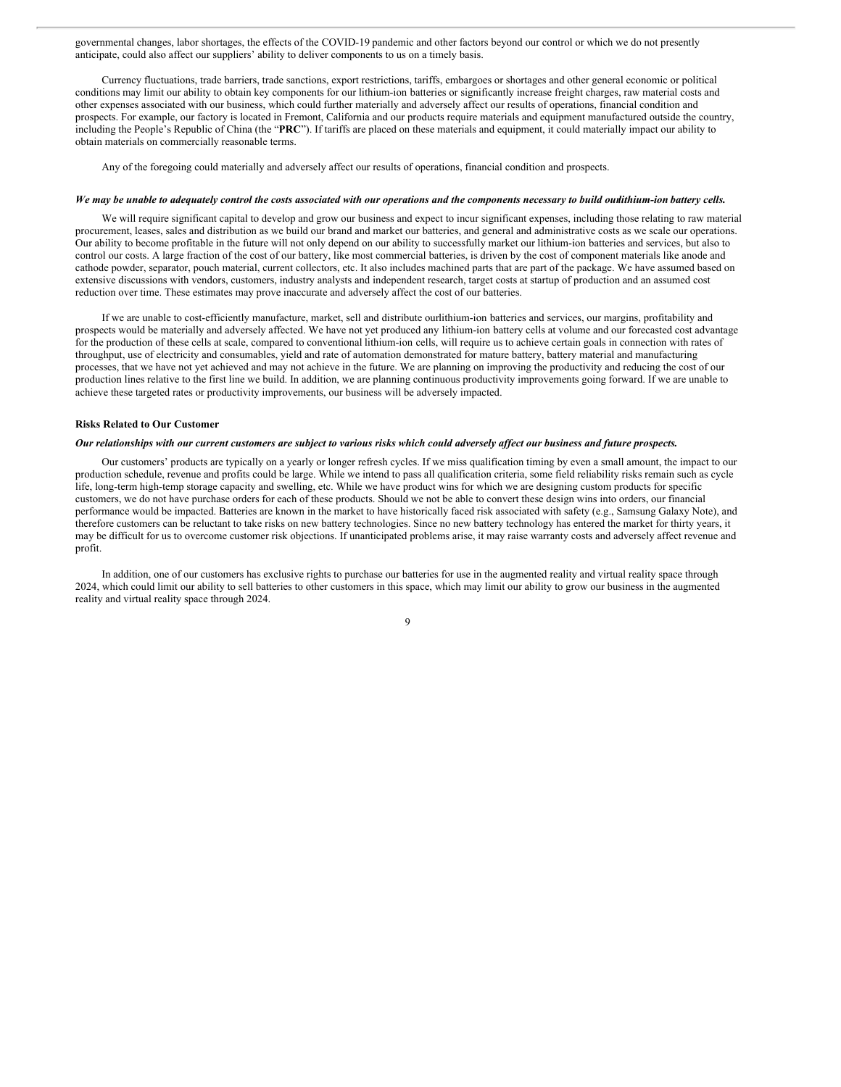governmental changes, labor shortages, the effects of the COVID-19 pandemic and other factors beyond our control or which we do not presently anticipate, could also affect our suppliers' ability to deliver components to us on a timely basis.

Currency fluctuations, trade barriers, trade sanctions, export restrictions, tariffs, embargoes or shortages and other general economic or political conditions may limit our ability to obtain key components for our lithium-ion batteries or significantly increase freight charges, raw material costs and other expenses associated with our business, which could further materially and adversely affect our results of operations, financial condition and prospects. For example, our factory is located in Fremont, California and our products require materials and equipment manufactured outside the country, including the People's Republic of China (the "**PRC**"). If tariffs are placed on these materials and equipment, it could materially impact our ability to obtain materials on commercially reasonable terms.

Any of the foregoing could materially and adversely affect our results of operations, financial condition and prospects.

#### We may be unable to adequately control the costs associated with our operations and the components necessary to build oudithium-ion battery cells.

We will require significant capital to develop and grow our business and expect to incur significant expenses, including those relating to raw material procurement, leases, sales and distribution as we build our brand and market our batteries, and general and administrative costs as we scale our operations. Our ability to become profitable in the future will not only depend on our ability to successfully market our lithium-ion batteries and services, but also to control our costs. A large fraction of the cost of our battery, like most commercial batteries, is driven by the cost of component materials like anode and cathode powder, separator, pouch material, current collectors, etc. It also includes machined parts that are part of the package. We have assumed based on extensive discussions with vendors, customers, industry analysts and independent research, target costs at startup of production and an assumed cost reduction over time. These estimates may prove inaccurate and adversely affect the cost of our batteries.

If we are unable to cost-efficiently manufacture, market, sell and distribute ourlithium-ion batteries and services, our margins, profitability and prospects would be materially and adversely affected. We have not yet produced any lithium-ion battery cells at volume and our forecasted cost advantage for the production of these cells at scale, compared to conventional lithium-ion cells, will require us to achieve certain goals in connection with rates of throughput, use of electricity and consumables, yield and rate of automation demonstrated for mature battery, battery material and manufacturing processes, that we have not yet achieved and may not achieve in the future. We are planning on improving the productivity and reducing the cost of our production lines relative to the first line we build. In addition, we are planning continuous productivity improvements going forward. If we are unable to achieve these targeted rates or productivity improvements, our business will be adversely impacted.

#### **Risks Related to Our Customer**

#### Our relationships with our current customers are subject to various risks which could adversely affect our business and future prospects.

Our customers' products are typically on a yearly or longer refresh cycles. If we miss qualification timing by even a small amount, the impact to our production schedule, revenue and profits could be large. While we intend to pass all qualification criteria, some field reliability risks remain such as cycle life, long-term high-temp storage capacity and swelling, etc. While we have product wins for which we are designing custom products for specific customers, we do not have purchase orders for each of these products. Should we not be able to convert these design wins into orders, our financial performance would be impacted. Batteries are known in the market to have historically faced risk associated with safety (e.g., Samsung Galaxy Note), and therefore customers can be reluctant to take risks on new battery technologies. Since no new battery technology has entered the market for thirty years, it may be difficult for us to overcome customer risk objections. If unanticipated problems arise, it may raise warranty costs and adversely affect revenue and profit.

In addition, one of our customers has exclusive rights to purchase our batteries for use in the augmented reality and virtual reality space through 2024, which could limit our ability to sell batteries to other customers in this space, which may limit our ability to grow our business in the augmented reality and virtual reality space through 2024.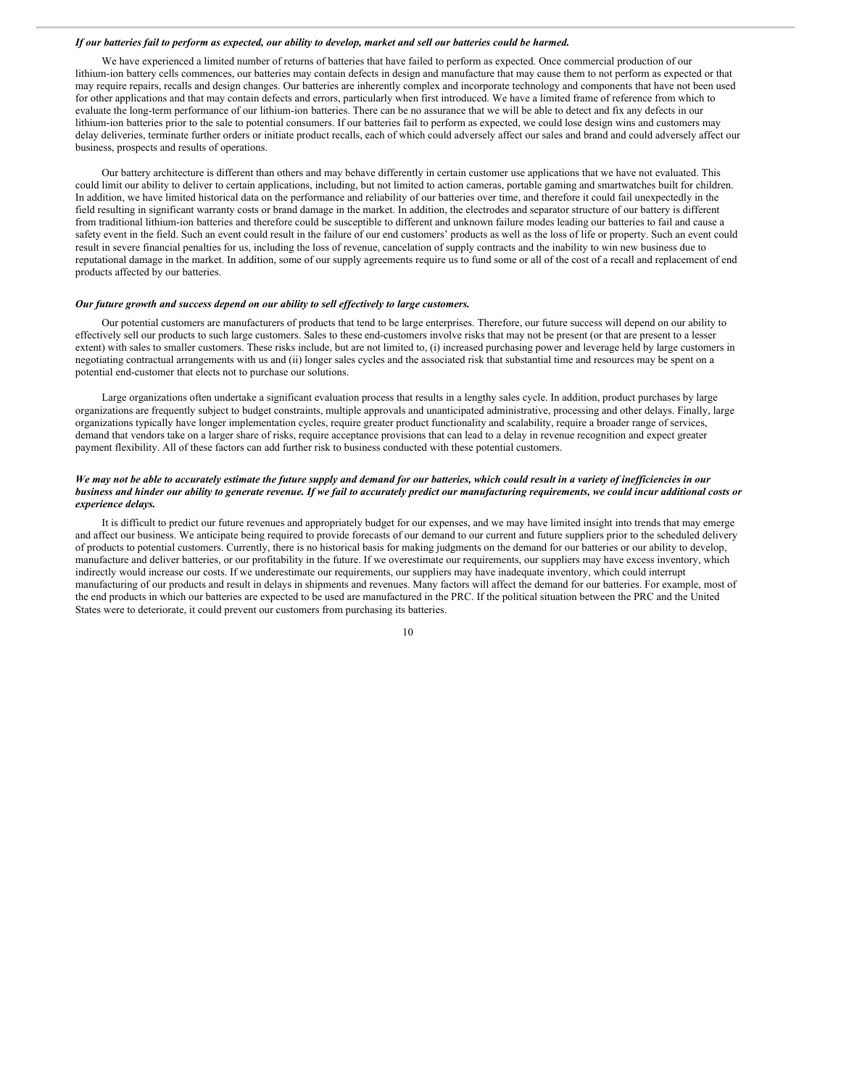#### If our batteries fail to perform as expected, our ability to develop, market and sell our batteries could be harmed.

We have experienced a limited number of returns of batteries that have failed to perform as expected. Once commercial production of our lithium-ion battery cells commences, our batteries may contain defects in design and manufacture that may cause them to not perform as expected or that may require repairs, recalls and design changes. Our batteries are inherently complex and incorporate technology and components that have not been used for other applications and that may contain defects and errors, particularly when first introduced. We have a limited frame of reference from which to evaluate the long-term performance of our lithium-ion batteries. There can be no assurance that we will be able to detect and fix any defects in our lithium-ion batteries prior to the sale to potential consumers. If our batteries fail to perform as expected, we could lose design wins and customers may delay deliveries, terminate further orders or initiate product recalls, each of which could adversely affect our sales and brand and could adversely affect our business, prospects and results of operations.

Our battery architecture is different than others and may behave differently in certain customer use applications that we have not evaluated. This could limit our ability to deliver to certain applications, including, but not limited to action cameras, portable gaming and smartwatches built for children. In addition, we have limited historical data on the performance and reliability of our batteries over time, and therefore it could fail unexpectedly in the field resulting in significant warranty costs or brand damage in the market. In addition, the electrodes and separator structure of our battery is different from traditional lithium-ion batteries and therefore could be susceptible to different and unknown failure modes leading our batteries to fail and cause a safety event in the field. Such an event could result in the failure of our end customers' products as well as the loss of life or property. Such an event could result in severe financial penalties for us, including the loss of revenue, cancelation of supply contracts and the inability to win new business due to reputational damage in the market. In addition, some of our supply agreements require us to fund some or all of the cost of a recall and replacement of end products affected by our batteries.

#### *Our future growth and success depend on our ability to sell ef ectively to large customers.*

Our potential customers are manufacturers of products that tend to be large enterprises. Therefore, our future success will depend on our ability to effectively sell our products to such large customers. Sales to these end-customers involve risks that may not be present (or that are present to a lesser extent) with sales to smaller customers. These risks include, but are not limited to, (i) increased purchasing power and leverage held by large customers in negotiating contractual arrangements with us and (ii) longer sales cycles and the associated risk that substantial time and resources may be spent on a potential end-customer that elects not to purchase our solutions.

Large organizations often undertake a significant evaluation process that results in a lengthy sales cycle. In addition, product purchases by large organizations are frequently subject to budget constraints, multiple approvals and unanticipated administrative, processing and other delays. Finally, large organizations typically have longer implementation cycles, require greater product functionality and scalability, require a broader range of services, demand that vendors take on a larger share of risks, require acceptance provisions that can lead to a delay in revenue recognition and expect greater payment flexibility. All of these factors can add further risk to business conducted with these potential customers.

#### We may not be able to accurately estimate the future supply and demand for our batteries, which could result in a variety of inefficiencies in our business and hinder our ability to generate revenue. If we fail to accurately predict our manufacturing requirements, we could incur additional costs or *experience delays.*

It is difficult to predict our future revenues and appropriately budget for our expenses, and we may have limited insight into trends that may emerge and affect our business. We anticipate being required to provide forecasts of our demand to our current and future suppliers prior to the scheduled delivery of products to potential customers. Currently, there is no historical basis for making judgments on the demand for our batteries or our ability to develop, manufacture and deliver batteries, or our profitability in the future. If we overestimate our requirements, our suppliers may have excess inventory, which indirectly would increase our costs. If we underestimate our requirements, our suppliers may have inadequate inventory, which could interrupt manufacturing of our products and result in delays in shipments and revenues. Many factors will affect the demand for our batteries. For example, most of the end products in which our batteries are expected to be used are manufactured in the PRC. If the political situation between the PRC and the United States were to deteriorate, it could prevent our customers from purchasing its batteries.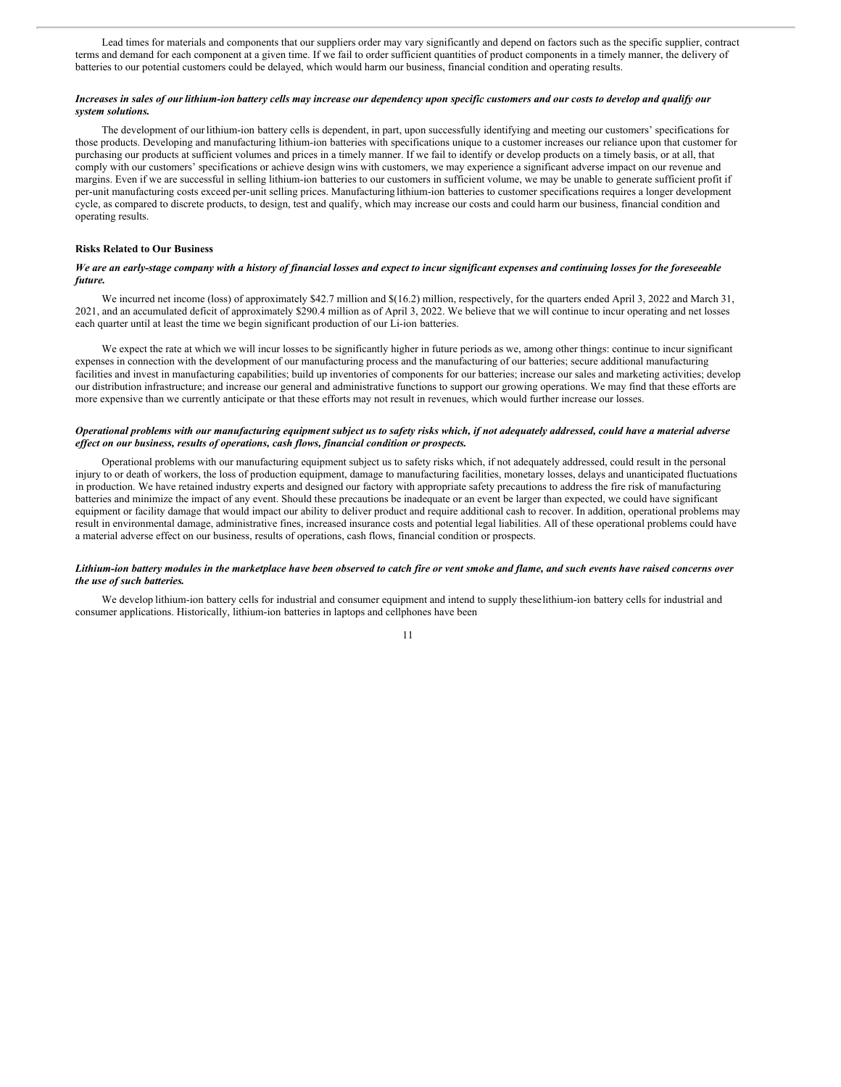Lead times for materials and components that our suppliers order may vary significantly and depend on factors such as the specific supplier, contract terms and demand for each component at a given time. If we fail to order sufficient quantities of product components in a timely manner, the delivery of batteries to our potential customers could be delayed, which would harm our business, financial condition and operating results.

#### Increases in sales of our lithium-ion battery cells may increase our dependency upon specific customers and our costs to develop and qualify our *system solutions.*

The development of ourlithium-ion battery cells is dependent, in part, upon successfully identifying and meeting our customers' specifications for those products. Developing and manufacturing lithium-ion batteries with specifications unique to a customer increases our reliance upon that customer for purchasing our products at sufficient volumes and prices in a timely manner. If we fail to identify or develop products on a timely basis, or at all, that comply with our customers' specifications or achieve design wins with customers, we may experience a significant adverse impact on our revenue and margins. Even if we are successful in selling lithium-ion batteries to our customers in sufficient volume, we may be unable to generate sufficient profit if per-unit manufacturing costs exceed per-unit selling prices. Manufacturing lithium-ion batteries to customer specifications requires a longer development cycle, as compared to discrete products, to design, test and qualify, which may increase our costs and could harm our business, financial condition and operating results.

#### **Risks Related to Our Business**

#### We are an early-stage company with a history of financial losses and expect to incur significant expenses and continuing losses for the foreseeable *future.*

We incurred net income (loss) of approximately \$42.7 million and \$(16.2) million, respectively, for the quarters ended April 3, 2022 and March 31, 2021, and an accumulated deficit of approximately \$290.4 million as of April 3, 2022. We believe that we will continue to incur operating and net losses each quarter until at least the time we begin significant production of our Li-ion batteries.

We expect the rate at which we will incur losses to be significantly higher in future periods as we, among other things: continue to incur significant expenses in connection with the development of our manufacturing process and the manufacturing of our batteries; secure additional manufacturing facilities and invest in manufacturing capabilities; build up inventories of components for our batteries; increase our sales and marketing activities; develop our distribution infrastructure; and increase our general and administrative functions to support our growing operations. We may find that these efforts are more expensive than we currently anticipate or that these efforts may not result in revenues, which would further increase our losses.

#### Operational problems with our manufacturing equipment subject us to safety risks which, if not adequately addressed, could have a material adverse *ef ect on our business, results of operations, cash flows, financial condition or prospects.*

Operational problems with our manufacturing equipment subject us to safety risks which, if not adequately addressed, could result in the personal injury to or death of workers, the loss of production equipment, damage to manufacturing facilities, monetary losses, delays and unanticipated fluctuations in production. We have retained industry experts and designed our factory with appropriate safety precautions to address the fire risk of manufacturing batteries and minimize the impact of any event. Should these precautions be inadequate or an event be larger than expected, we could have significant equipment or facility damage that would impact our ability to deliver product and require additional cash to recover. In addition, operational problems may result in environmental damage, administrative fines, increased insurance costs and potential legal liabilities. All of these operational problems could have a material adverse effect on our business, results of operations, cash flows, financial condition or prospects.

#### Lithium-ion battery modules in the marketplace have been observed to catch fire or vent smoke and flame, and such events have raised concerns over *the use of such batteries.*

We develop lithium-ion battery cells for industrial and consumer equipment and intend to supply theselithium-ion battery cells for industrial and consumer applications. Historically, lithium-ion batteries in laptops and cellphones have been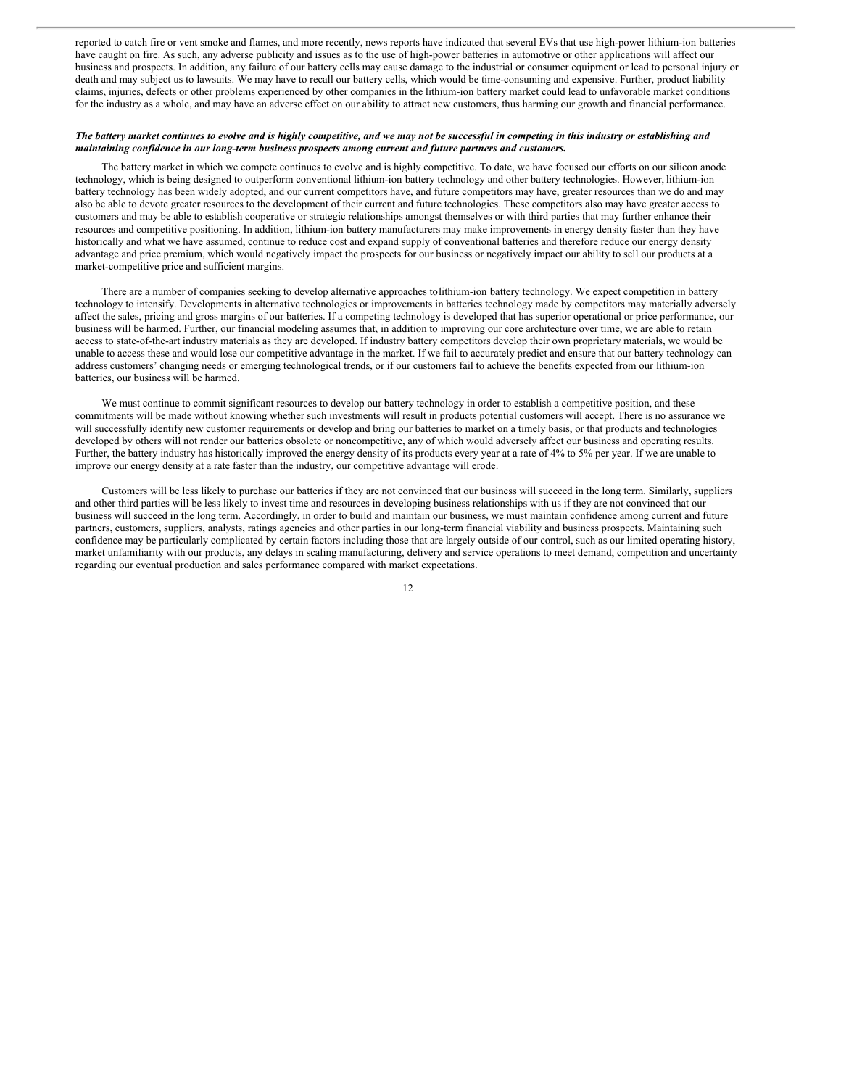reported to catch fire or vent smoke and flames, and more recently, news reports have indicated that several EVs that use high-power lithium-ion batteries have caught on fire. As such, any adverse publicity and issues as to the use of high-power batteries in automotive or other applications will affect our business and prospects. In addition, any failure of our battery cells may cause damage to the industrial or consumer equipment or lead to personal injury or death and may subject us to lawsuits. We may have to recall our battery cells, which would be time-consuming and expensive. Further, product liability claims, injuries, defects or other problems experienced by other companies in the lithium-ion battery market could lead to unfavorable market conditions for the industry as a whole, and may have an adverse effect on our ability to attract new customers, thus harming our growth and financial performance.

#### The battery market continues to evolve and is highly competitive, and we may not be successful in competing in this industry or establishing and *maintaining confidence in our long-term business prospects among current and future partners and customers.*

The battery market in which we compete continues to evolve and is highly competitive. To date, we have focused our efforts on our silicon anode technology, which is being designed to outperform conventional lithium-ion battery technology and other battery technologies. However, lithium-ion battery technology has been widely adopted, and our current competitors have, and future competitors may have, greater resources than we do and may also be able to devote greater resources to the development of their current and future technologies. These competitors also may have greater access to customers and may be able to establish cooperative or strategic relationships amongst themselves or with third parties that may further enhance their resources and competitive positioning. In addition, lithium-ion battery manufacturers may make improvements in energy density faster than they have historically and what we have assumed, continue to reduce cost and expand supply of conventional batteries and therefore reduce our energy density advantage and price premium, which would negatively impact the prospects for our business or negatively impact our ability to sell our products at a market-competitive price and sufficient margins.

There are a number of companies seeking to develop alternative approaches tolithium-ion battery technology. We expect competition in battery technology to intensify. Developments in alternative technologies or improvements in batteries technology made by competitors may materially adversely affect the sales, pricing and gross margins of our batteries. If a competing technology is developed that has superior operational or price performance, our business will be harmed. Further, our financial modeling assumes that, in addition to improving our core architecture over time, we are able to retain access to state-of-the-art industry materials as they are developed. If industry battery competitors develop their own proprietary materials, we would be unable to access these and would lose our competitive advantage in the market. If we fail to accurately predict and ensure that our battery technology can address customers' changing needs or emerging technological trends, or if our customers fail to achieve the benefits expected from our lithium-ion batteries, our business will be harmed.

We must continue to commit significant resources to develop our battery technology in order to establish a competitive position, and these commitments will be made without knowing whether such investments will result in products potential customers will accept. There is no assurance we will successfully identify new customer requirements or develop and bring our batteries to market on a timely basis, or that products and technologies developed by others will not render our batteries obsolete or noncompetitive, any of which would adversely affect our business and operating results. Further, the battery industry has historically improved the energy density of its products every year at a rate of 4% to 5% per year. If we are unable to improve our energy density at a rate faster than the industry, our competitive advantage will erode.

Customers will be less likely to purchase our batteries if they are not convinced that our business will succeed in the long term. Similarly, suppliers and other third parties will be less likely to invest time and resources in developing business relationships with us if they are not convinced that our business will succeed in the long term. Accordingly, in order to build and maintain our business, we must maintain confidence among current and future partners, customers, suppliers, analysts, ratings agencies and other parties in our long-term financial viability and business prospects. Maintaining such confidence may be particularly complicated by certain factors including those that are largely outside of our control, such as our limited operating history, market unfamiliarity with our products, any delays in scaling manufacturing, delivery and service operations to meet demand, competition and uncertainty regarding our eventual production and sales performance compared with market expectations.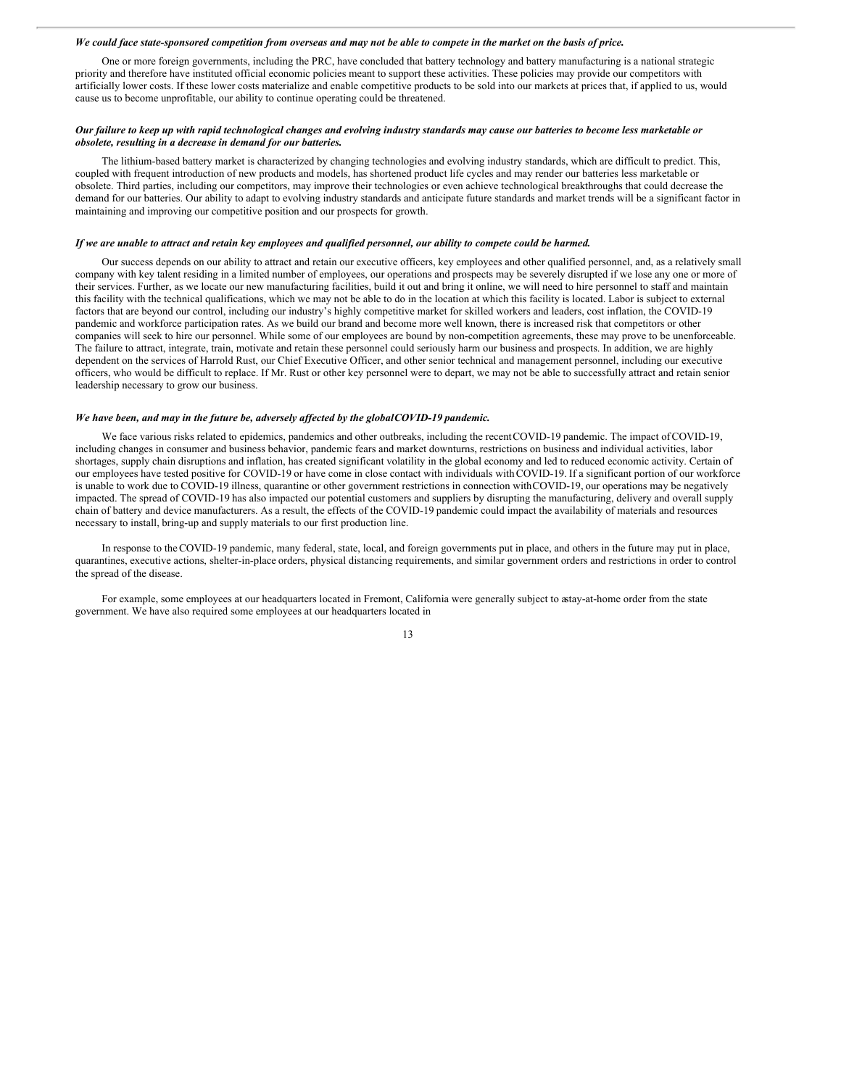#### We could face state-sponsored competition from overseas and may not be able to compete in the market on the basis of price.

One or more foreign governments, including the PRC, have concluded that battery technology and battery manufacturing is a national strategic priority and therefore have instituted official economic policies meant to support these activities. These policies may provide our competitors with artificially lower costs. If these lower costs materialize and enable competitive products to be sold into our markets at prices that, if applied to us, would cause us to become unprofitable, our ability to continue operating could be threatened.

#### Our failure to keep up with rapid technological changes and evolving industry standards may cause our batteries to become less marketable or *obsolete, resulting in a decrease in demand for our batteries.*

The lithium-based battery market is characterized by changing technologies and evolving industry standards, which are difficult to predict. This, coupled with frequent introduction of new products and models, has shortened product life cycles and may render our batteries less marketable or obsolete. Third parties, including our competitors, may improve their technologies or even achieve technological breakthroughs that could decrease the demand for our batteries. Our ability to adapt to evolving industry standards and anticipate future standards and market trends will be a significant factor in maintaining and improving our competitive position and our prospects for growth.

#### If we are unable to attract and retain key employees and qualified personnel, our ability to compete could be harmed.

Our success depends on our ability to attract and retain our executive officers, key employees and other qualified personnel, and, as a relatively small company with key talent residing in a limited number of employees, our operations and prospects may be severely disrupted if we lose any one or more of their services. Further, as we locate our new manufacturing facilities, build it out and bring it online, we will need to hire personnel to staff and maintain this facility with the technical qualifications, which we may not be able to do in the location at which this facility is located. Labor is subject to external factors that are beyond our control, including our industry's highly competitive market for skilled workers and leaders, cost inflation, the COVID-19 pandemic and workforce participation rates. As we build our brand and become more well known, there is increased risk that competitors or other companies will seek to hire our personnel. While some of our employees are bound by non-competition agreements, these may prove to be unenforceable. The failure to attract, integrate, train, motivate and retain these personnel could seriously harm our business and prospects. In addition, we are highly dependent on the services of Harrold Rust, our Chief Executive Officer, and other senior technical and management personnel, including our executive officers, who would be difficult to replace. If Mr. Rust or other key personnel were to depart, we may not be able to successfully attract and retain senior leadership necessary to grow our business.

#### *We have been, and may in the future be, adversely af ected by the globalCOVID-19 pandemic.*

We face various risks related to epidemics, pandemics and other outbreaks, including the recentCOVID-19 pandemic. The impact ofCOVID-19, including changes in consumer and business behavior, pandemic fears and market downturns, restrictions on business and individual activities, labor shortages, supply chain disruptions and inflation, has created significant volatility in the global economy and led to reduced economic activity. Certain of our employees have tested positive for COVID-19 or have come in close contact with individuals withCOVID-19. If a significant portion of our workforce is unable to work due to COVID-19 illness, quarantine or other government restrictions in connection withCOVID-19, our operations may be negatively impacted. The spread of COVID-19 has also impacted our potential customers and suppliers by disrupting the manufacturing, delivery and overall supply chain of battery and device manufacturers. As a result, the effects of the COVID-19 pandemic could impact the availability of materials and resources necessary to install, bring-up and supply materials to our first production line.

In response to theCOVID-19 pandemic, many federal, state, local, and foreign governments put in place, and others in the future may put in place, quarantines, executive actions, shelter-in-place orders, physical distancing requirements, and similar government orders and restrictions in order to control the spread of the disease.

For example, some employees at our headquarters located in Fremont, California were generally subject to astay-at-home order from the state government. We have also required some employees at our headquarters located in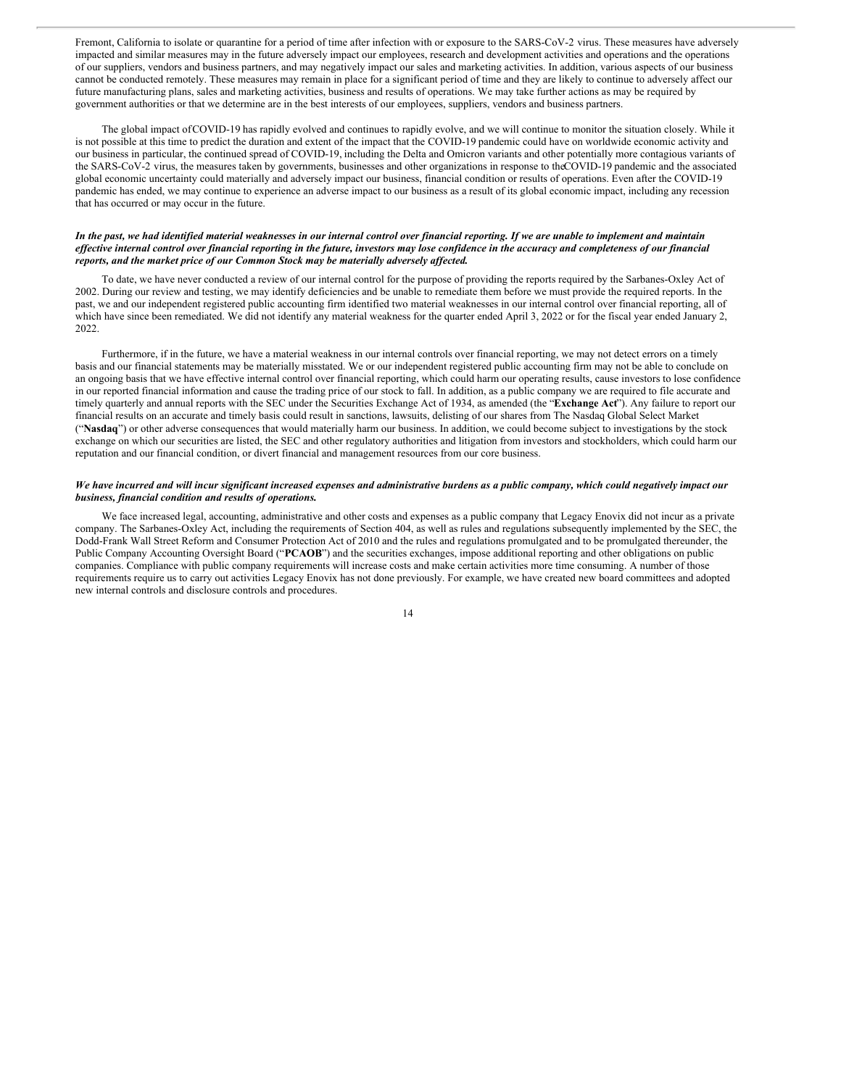Fremont, California to isolate or quarantine for a period of time after infection with or exposure to the SARS-CoV-2 virus. These measures have adversely impacted and similar measures may in the future adversely impact our employees, research and development activities and operations and the operations of our suppliers, vendors and business partners, and may negatively impact our sales and marketing activities. In addition, various aspects of our business cannot be conducted remotely. These measures may remain in place for a significant period of time and they are likely to continue to adversely affect our future manufacturing plans, sales and marketing activities, business and results of operations. We may take further actions as may be required by government authorities or that we determine are in the best interests of our employees, suppliers, vendors and business partners.

The global impact ofCOVID-19 has rapidly evolved and continues to rapidly evolve, and we will continue to monitor the situation closely. While it is not possible at this time to predict the duration and extent of the impact that the COVID-19 pandemic could have on worldwide economic activity and our business in particular, the continued spread of COVID-19, including the Delta and Omicron variants and other potentially more contagious variants of the SARS-CoV-2 virus, the measures taken by governments, businesses and other organizations in response to theCOVID-19 pandemic and the associated global economic uncertainty could materially and adversely impact our business, financial condition or results of operations. Even after the COVID-19 pandemic has ended, we may continue to experience an adverse impact to our business as a result of its global economic impact, including any recession that has occurred or may occur in the future.

#### In the past, we had identified material weaknesses in our internal control over financial reporting. If we are unable to implement and maintain effective internal control over financial reporting in the future, investors may lose confidence in the accuracy and completeness of our financial *reports, and the market price of our Common Stock may be materially adversely af ected.*

To date, we have never conducted a review of our internal control for the purpose of providing the reports required by the Sarbanes-Oxley Act of 2002. During our review and testing, we may identify deficiencies and be unable to remediate them before we must provide the required reports. In the past, we and our independent registered public accounting firm identified two material weaknesses in our internal control over financial reporting, all of which have since been remediated. We did not identify any material weakness for the quarter ended April 3, 2022 or for the fiscal year ended January 2, 2022.

Furthermore, if in the future, we have a material weakness in our internal controls over financial reporting, we may not detect errors on a timely basis and our financial statements may be materially misstated. We or our independent registered public accounting firm may not be able to conclude on an ongoing basis that we have effective internal control over financial reporting, which could harm our operating results, cause investors to lose confidence in our reported financial information and cause the trading price of our stock to fall. In addition, as a public company we are required to file accurate and timely quarterly and annual reports with the SEC under the Securities Exchange Act of 1934, as amended (the "**Exchange Act**"). Any failure to report our financial results on an accurate and timely basis could result in sanctions, lawsuits, delisting of our shares from The Nasdaq Global Select Market ("**Nasdaq**") or other adverse consequences that would materially harm our business. In addition, we could become subject to investigations by the stock exchange on which our securities are listed, the SEC and other regulatory authorities and litigation from investors and stockholders, which could harm our reputation and our financial condition, or divert financial and management resources from our core business.

#### We have incurred and will incur significant increased expenses and administrative burdens as a public company, which could negatively impact our *business, financial condition and results of operations.*

We face increased legal, accounting, administrative and other costs and expenses as a public company that Legacy Enovix did not incur as a private company. The Sarbanes-Oxley Act, including the requirements of Section 404, as well as rules and regulations subsequently implemented by the SEC, the Dodd-Frank Wall Street Reform and Consumer Protection Act of 2010 and the rules and regulations promulgated and to be promulgated thereunder, the Public Company Accounting Oversight Board ("**PCAOB**") and the securities exchanges, impose additional reporting and other obligations on public companies. Compliance with public company requirements will increase costs and make certain activities more time consuming. A number of those requirements require us to carry out activities Legacy Enovix has not done previously. For example, we have created new board committees and adopted new internal controls and disclosure controls and procedures.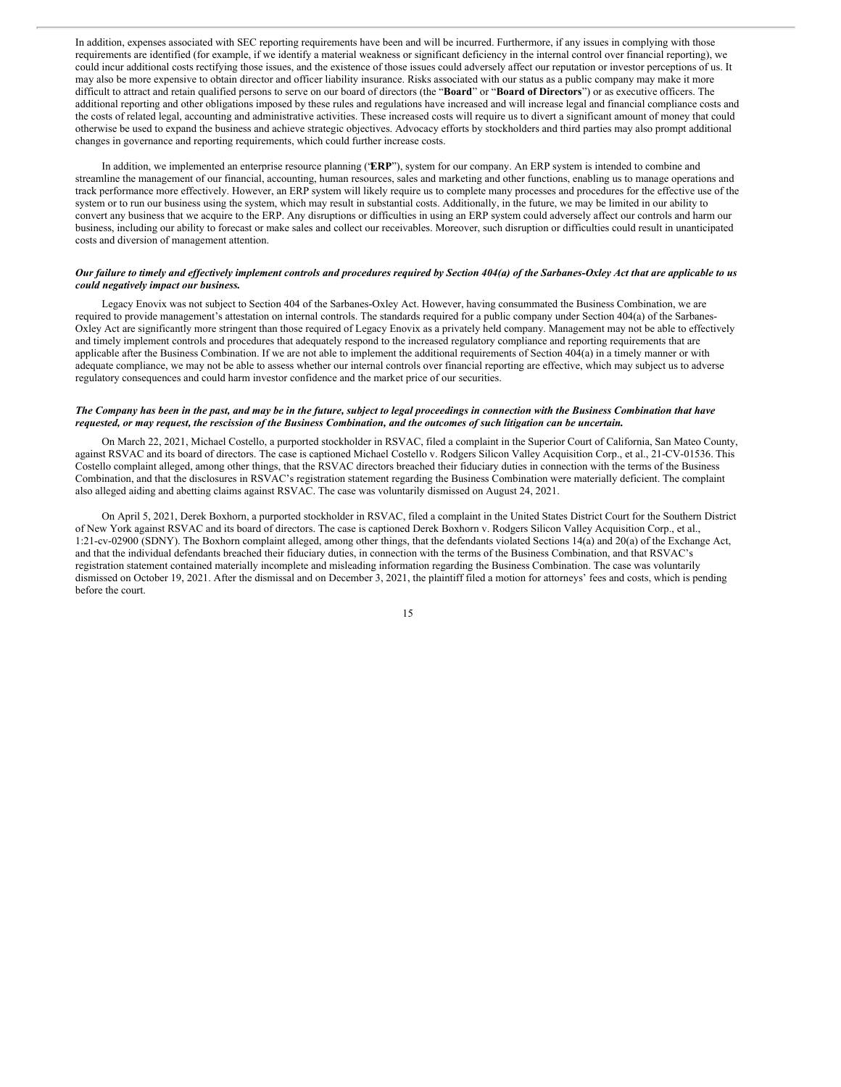In addition, expenses associated with SEC reporting requirements have been and will be incurred. Furthermore, if any issues in complying with those requirements are identified (for example, if we identify a material weakness or significant deficiency in the internal control over financial reporting), we could incur additional costs rectifying those issues, and the existence of those issues could adversely affect our reputation or investor perceptions of us. It may also be more expensive to obtain director and officer liability insurance. Risks associated with our status as a public company may make it more difficult to attract and retain qualified persons to serve on our board of directors (the "**Board**" or "**Board of Directors**") or as executive officers. The additional reporting and other obligations imposed by these rules and regulations have increased and will increase legal and financial compliance costs and the costs of related legal, accounting and administrative activities. These increased costs will require us to divert a significant amount of money that could otherwise be used to expand the business and achieve strategic objectives. Advocacy efforts by stockholders and third parties may also prompt additional changes in governance and reporting requirements, which could further increase costs.

In addition, we implemented an enterprise resource planning ("**ERP**"), system for our company. An ERP system is intended to combine and streamline the management of our financial, accounting, human resources, sales and marketing and other functions, enabling us to manage operations and track performance more effectively. However, an ERP system will likely require us to complete many processes and procedures for the effective use of the system or to run our business using the system, which may result in substantial costs. Additionally, in the future, we may be limited in our ability to convert any business that we acquire to the ERP. Any disruptions or difficulties in using an ERP system could adversely affect our controls and harm our business, including our ability to forecast or make sales and collect our receivables. Moreover, such disruption or difficulties could result in unanticipated costs and diversion of management attention.

#### Our failure to timely and effectively implement controls and procedures required by Section 404(a) of the Sarbanes-Oxley Act that are applicable to us *could negatively impact our business.*

Legacy Enovix was not subject to Section 404 of the Sarbanes-Oxley Act. However, having consummated the Business Combination, we are required to provide management's attestation on internal controls. The standards required for a public company under Section 404(a) of the Sarbanes-Oxley Act are significantly more stringent than those required of Legacy Enovix as a privately held company. Management may not be able to effectively and timely implement controls and procedures that adequately respond to the increased regulatory compliance and reporting requirements that are applicable after the Business Combination. If we are not able to implement the additional requirements of Section 404(a) in a timely manner or with adequate compliance, we may not be able to assess whether our internal controls over financial reporting are effective, which may subject us to adverse regulatory consequences and could harm investor confidence and the market price of our securities.

#### The Company has been in the past, and may be in the future, subject to legal proceedings in connection with the Business Combination that have requested, or may request, the rescission of the Business Combination, and the outcomes of such litigation can be uncertain.

On March 22, 2021, Michael Costello, a purported stockholder in RSVAC, filed a complaint in the Superior Court of California, San Mateo County, against RSVAC and its board of directors. The case is captioned Michael Costello v. Rodgers Silicon Valley Acquisition Corp., et al., 21-CV-01536. This Costello complaint alleged, among other things, that the RSVAC directors breached their fiduciary duties in connection with the terms of the Business Combination, and that the disclosures in RSVAC's registration statement regarding the Business Combination were materially deficient. The complaint also alleged aiding and abetting claims against RSVAC. The case was voluntarily dismissed on August 24, 2021.

On April 5, 2021, Derek Boxhorn, a purported stockholder in RSVAC, filed a complaint in the United States District Court for the Southern District of New York against RSVAC and its board of directors. The case is captioned Derek Boxhorn v. Rodgers Silicon Valley Acquisition Corp., et al., 1:21-cv-02900 (SDNY). The Boxhorn complaint alleged, among other things, that the defendants violated Sections 14(a) and 20(a) of the Exchange Act, and that the individual defendants breached their fiduciary duties, in connection with the terms of the Business Combination, and that RSVAC's registration statement contained materially incomplete and misleading information regarding the Business Combination. The case was voluntarily dismissed on October 19, 2021. After the dismissal and on December 3, 2021, the plaintiff filed a motion for attorneys' fees and costs, which is pending before the court.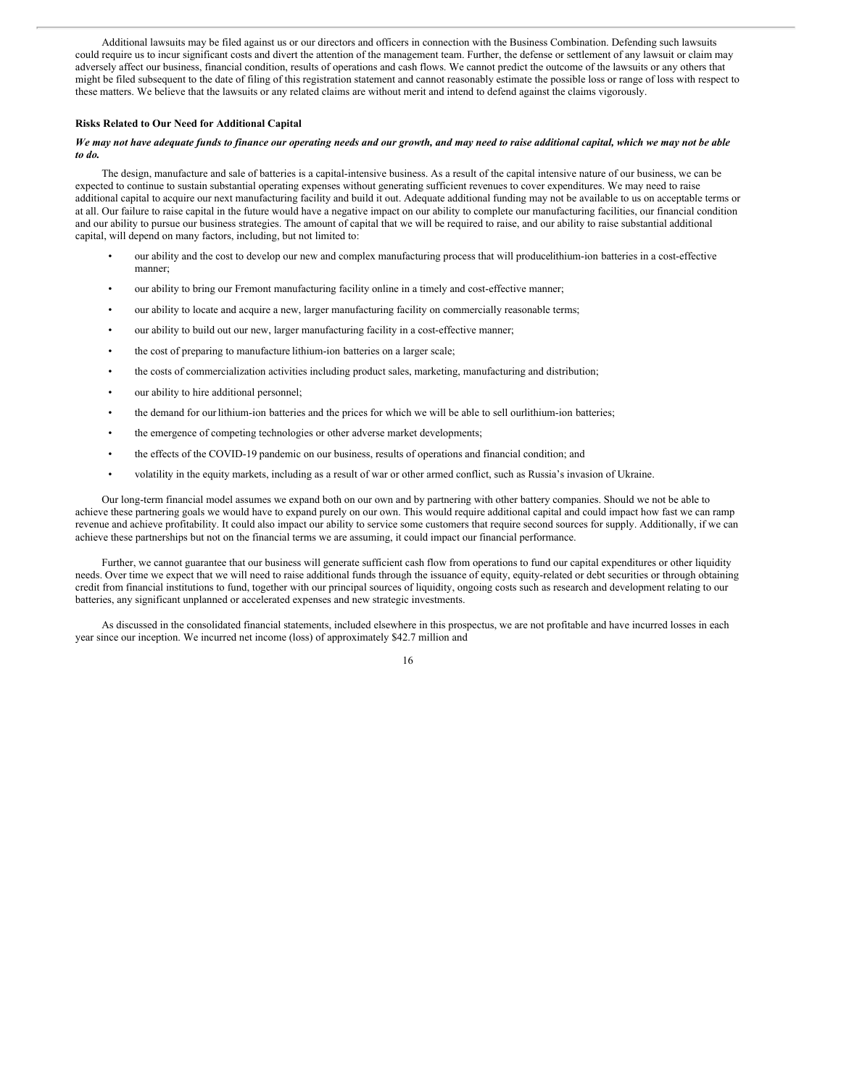Additional lawsuits may be filed against us or our directors and officers in connection with the Business Combination. Defending such lawsuits could require us to incur significant costs and divert the attention of the management team. Further, the defense or settlement of any lawsuit or claim may adversely affect our business, financial condition, results of operations and cash flows. We cannot predict the outcome of the lawsuits or any others that might be filed subsequent to the date of filing of this registration statement and cannot reasonably estimate the possible loss or range of loss with respect to these matters. We believe that the lawsuits or any related claims are without merit and intend to defend against the claims vigorously.

#### **Risks Related to Our Need for Additional Capital**

#### We may not have adequate funds to finance our operating needs and our growth, and may need to raise additional capital, which we may not be able *to do.*

The design, manufacture and sale of batteries is a capital-intensive business. As a result of the capital intensive nature of our business, we can be expected to continue to sustain substantial operating expenses without generating sufficient revenues to cover expenditures. We may need to raise additional capital to acquire our next manufacturing facility and build it out. Adequate additional funding may not be available to us on acceptable terms or at all. Our failure to raise capital in the future would have a negative impact on our ability to complete our manufacturing facilities, our financial condition and our ability to pursue our business strategies. The amount of capital that we will be required to raise, and our ability to raise substantial additional capital, will depend on many factors, including, but not limited to:

- our ability and the cost to develop our new and complex manufacturing process that will producelithium-ion batteries in a cost-effective manner;
- our ability to bring our Fremont manufacturing facility online in a timely and cost-effective manner;
- our ability to locate and acquire a new, larger manufacturing facility on commercially reasonable terms;
- our ability to build out our new, larger manufacturing facility in a cost-effective manner;
- the cost of preparing to manufacture lithium-ion batteries on a larger scale;
- the costs of commercialization activities including product sales, marketing, manufacturing and distribution;
- our ability to hire additional personnel;
- the demand for ourlithium-ion batteries and the prices for which we will be able to sell ourlithium-ion batteries;
- the emergence of competing technologies or other adverse market developments;
- the effects of the COVID-19 pandemic on our business, results of operations and financial condition; and
- volatility in the equity markets, including as a result of war or other armed conflict, such as Russia's invasion of Ukraine.

Our long-term financial model assumes we expand both on our own and by partnering with other battery companies. Should we not be able to achieve these partnering goals we would have to expand purely on our own. This would require additional capital and could impact how fast we can ramp revenue and achieve profitability. It could also impact our ability to service some customers that require second sources for supply. Additionally, if we can achieve these partnerships but not on the financial terms we are assuming, it could impact our financial performance.

Further, we cannot guarantee that our business will generate sufficient cash flow from operations to fund our capital expenditures or other liquidity needs. Over time we expect that we will need to raise additional funds through the issuance of equity, equity-related or debt securities or through obtaining credit from financial institutions to fund, together with our principal sources of liquidity, ongoing costs such as research and development relating to our batteries, any significant unplanned or accelerated expenses and new strategic investments.

As discussed in the consolidated financial statements, included elsewhere in this prospectus, we are not profitable and have incurred losses in each year since our inception. We incurred net income (loss) of approximately \$42.7 million and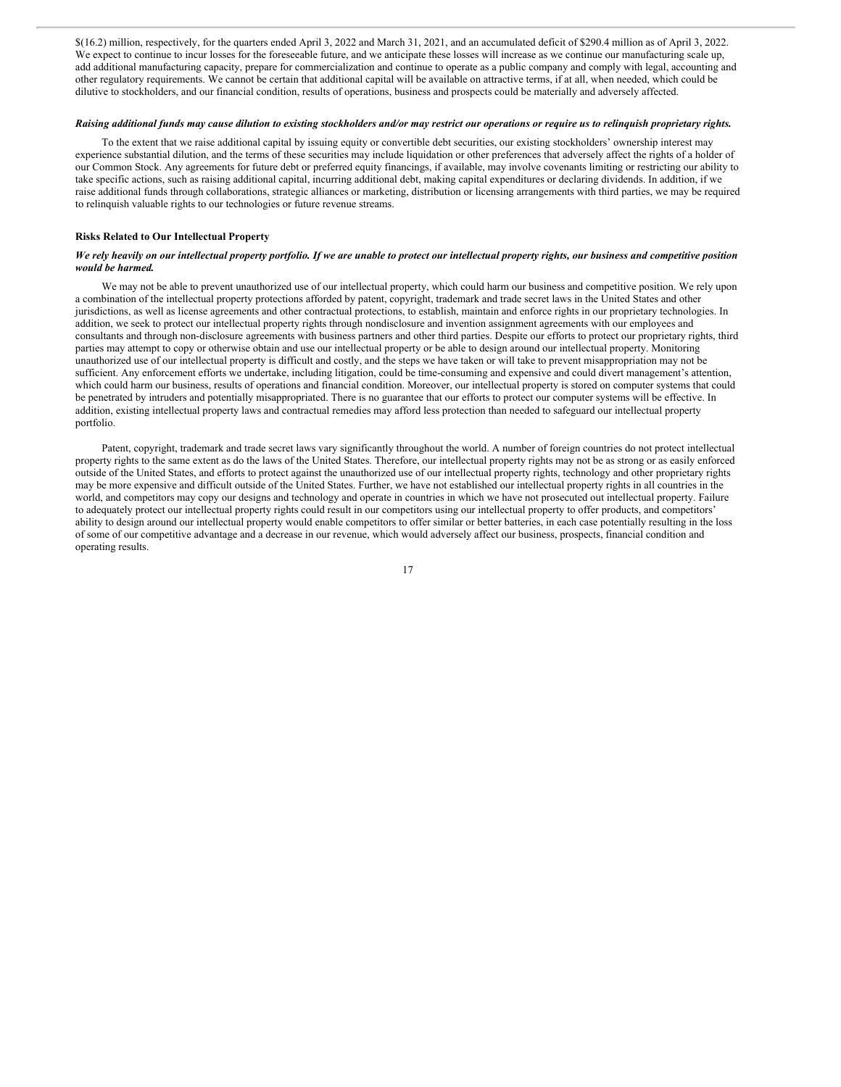\$(16.2) million, respectively, for the quarters ended April 3, 2022 and March 31, 2021, and an accumulated deficit of \$290.4 million as of April 3, 2022. We expect to continue to incur losses for the foreseeable future, and we anticipate these losses will increase as we continue our manufacturing scale up, add additional manufacturing capacity, prepare for commercialization and continue to operate as a public company and comply with legal, accounting and other regulatory requirements. We cannot be certain that additional capital will be available on attractive terms, if at all, when needed, which could be dilutive to stockholders, and our financial condition, results of operations, business and prospects could be materially and adversely affected.

#### Raising additional funds may cause dilution to existing stockholders and/or may restrict our operations or require us to relinquish proprietary rights.

To the extent that we raise additional capital by issuing equity or convertible debt securities, our existing stockholders' ownership interest may experience substantial dilution, and the terms of these securities may include liquidation or other preferences that adversely affect the rights of a holder of our Common Stock. Any agreements for future debt or preferred equity financings, if available, may involve covenants limiting or restricting our ability to take specific actions, such as raising additional capital, incurring additional debt, making capital expenditures or declaring dividends. In addition, if we raise additional funds through collaborations, strategic alliances or marketing, distribution or licensing arrangements with third parties, we may be required to relinquish valuable rights to our technologies or future revenue streams.

#### **Risks Related to Our Intellectual Property**

#### We rely heavily on our intellectual property portfolio. If we are unable to protect our intellectual property rights, our business and competitive position *would be harmed.*

We may not be able to prevent unauthorized use of our intellectual property, which could harm our business and competitive position. We rely upon a combination of the intellectual property protections afforded by patent, copyright, trademark and trade secret laws in the United States and other jurisdictions, as well as license agreements and other contractual protections, to establish, maintain and enforce rights in our proprietary technologies. In addition, we seek to protect our intellectual property rights through nondisclosure and invention assignment agreements with our employees and consultants and through non-disclosure agreements with business partners and other third parties. Despite our efforts to protect our proprietary rights, third parties may attempt to copy or otherwise obtain and use our intellectual property or be able to design around our intellectual property. Monitoring unauthorized use of our intellectual property is difficult and costly, and the steps we have taken or will take to prevent misappropriation may not be sufficient. Any enforcement efforts we undertake, including litigation, could be time-consuming and expensive and could divert management's attention, which could harm our business, results of operations and financial condition. Moreover, our intellectual property is stored on computer systems that could be penetrated by intruders and potentially misappropriated. There is no guarantee that our efforts to protect our computer systems will be effective. In addition, existing intellectual property laws and contractual remedies may afford less protection than needed to safeguard our intellectual property portfolio.

Patent, copyright, trademark and trade secret laws vary significantly throughout the world. A number of foreign countries do not protect intellectual property rights to the same extent as do the laws of the United States. Therefore, our intellectual property rights may not be as strong or as easily enforced outside of the United States, and efforts to protect against the unauthorized use of our intellectual property rights, technology and other proprietary rights may be more expensive and difficult outside of the United States. Further, we have not established our intellectual property rights in all countries in the world, and competitors may copy our designs and technology and operate in countries in which we have not prosecuted out intellectual property. Failure to adequately protect our intellectual property rights could result in our competitors using our intellectual property to offer products, and competitors' ability to design around our intellectual property would enable competitors to offer similar or better batteries, in each case potentially resulting in the loss of some of our competitive advantage and a decrease in our revenue, which would adversely affect our business, prospects, financial condition and operating results.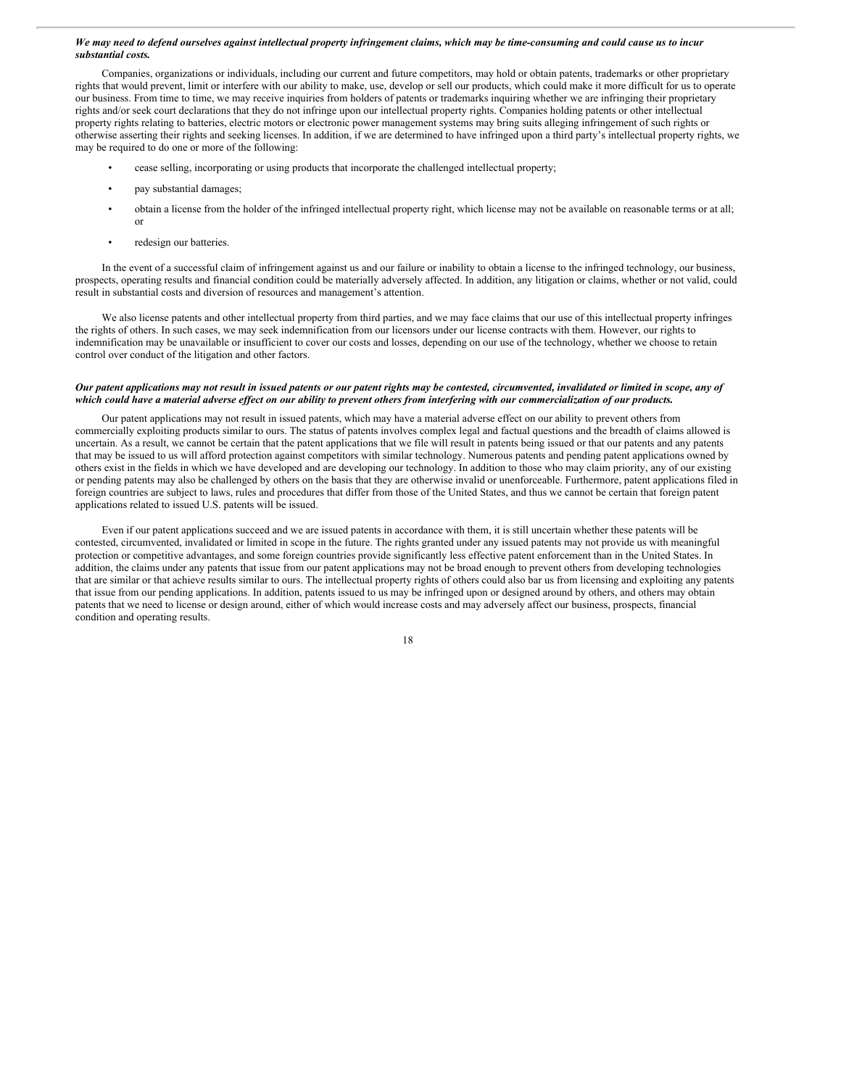#### We may need to defend ourselves against intellectual property infringement claims, which may be time-consuming and could cause us to incur *substantial costs.*

Companies, organizations or individuals, including our current and future competitors, may hold or obtain patents, trademarks or other proprietary rights that would prevent, limit or interfere with our ability to make, use, develop or sell our products, which could make it more difficult for us to operate our business. From time to time, we may receive inquiries from holders of patents or trademarks inquiring whether we are infringing their proprietary rights and/or seek court declarations that they do not infringe upon our intellectual property rights. Companies holding patents or other intellectual property rights relating to batteries, electric motors or electronic power management systems may bring suits alleging infringement of such rights or otherwise asserting their rights and seeking licenses. In addition, if we are determined to have infringed upon a third party's intellectual property rights, we may be required to do one or more of the following:

- cease selling, incorporating or using products that incorporate the challenged intellectual property;
- pay substantial damages;
- obtain a license from the holder of the infringed intellectual property right, which license may not be available on reasonable terms or at all; or
- redesign our batteries.

In the event of a successful claim of infringement against us and our failure or inability to obtain a license to the infringed technology, our business, prospects, operating results and financial condition could be materially adversely affected. In addition, any litigation or claims, whether or not valid, could result in substantial costs and diversion of resources and management's attention.

We also license patents and other intellectual property from third parties, and we may face claims that our use of this intellectual property infringes the rights of others. In such cases, we may seek indemnification from our licensors under our license contracts with them. However, our rights to indemnification may be unavailable or insufficient to cover our costs and losses, depending on our use of the technology, whether we choose to retain control over conduct of the litigation and other factors.

#### Our patent applications may not result in issued patents or our patent rights may be contested, circumvented, invalidated or limited in scope, any of which could have a material adverse effect on our ability to prevent others from interfering with our commercialization of our products.

Our patent applications may not result in issued patents, which may have a material adverse effect on our ability to prevent others from commercially exploiting products similar to ours. The status of patents involves complex legal and factual questions and the breadth of claims allowed is uncertain. As a result, we cannot be certain that the patent applications that we file will result in patents being issued or that our patents and any patents that may be issued to us will afford protection against competitors with similar technology. Numerous patents and pending patent applications owned by others exist in the fields in which we have developed and are developing our technology. In addition to those who may claim priority, any of our existing or pending patents may also be challenged by others on the basis that they are otherwise invalid or unenforceable. Furthermore, patent applications filed in foreign countries are subject to laws, rules and procedures that differ from those of the United States, and thus we cannot be certain that foreign patent applications related to issued U.S. patents will be issued.

Even if our patent applications succeed and we are issued patents in accordance with them, it is still uncertain whether these patents will be contested, circumvented, invalidated or limited in scope in the future. The rights granted under any issued patents may not provide us with meaningful protection or competitive advantages, and some foreign countries provide significantly less effective patent enforcement than in the United States. In addition, the claims under any patents that issue from our patent applications may not be broad enough to prevent others from developing technologies that are similar or that achieve results similar to ours. The intellectual property rights of others could also bar us from licensing and exploiting any patents that issue from our pending applications. In addition, patents issued to us may be infringed upon or designed around by others, and others may obtain patents that we need to license or design around, either of which would increase costs and may adversely affect our business, prospects, financial condition and operating results.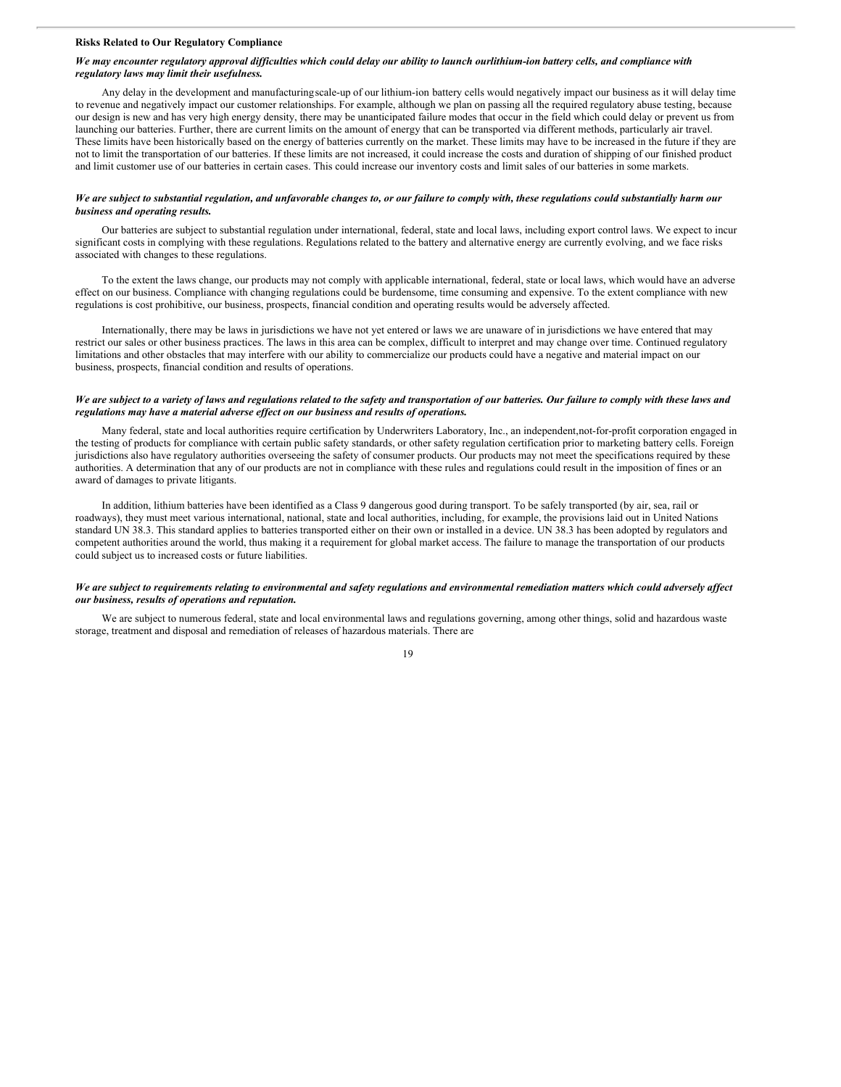#### **Risks Related to Our Regulatory Compliance**

#### We may encounter regulatory approval difficulties which could delay our ability to launch ourlithium-ion battery cells, and compliance with *regulatory laws may limit their usefulness.*

Any delay in the development and manufacturingscale-up of our lithium-ion battery cells would negatively impact our business as it will delay time to revenue and negatively impact our customer relationships. For example, although we plan on passing all the required regulatory abuse testing, because our design is new and has very high energy density, there may be unanticipated failure modes that occur in the field which could delay or prevent us from launching our batteries. Further, there are current limits on the amount of energy that can be transported via different methods, particularly air travel. These limits have been historically based on the energy of batteries currently on the market. These limits may have to be increased in the future if they are not to limit the transportation of our batteries. If these limits are not increased, it could increase the costs and duration of shipping of our finished product and limit customer use of our batteries in certain cases. This could increase our inventory costs and limit sales of our batteries in some markets.

#### We are subject to substantial regulation, and unfavorable changes to, or our failure to comply with, these regulations could substantially harm our *business and operating results.*

Our batteries are subject to substantial regulation under international, federal, state and local laws, including export control laws. We expect to incur significant costs in complying with these regulations. Regulations related to the battery and alternative energy are currently evolving, and we face risks associated with changes to these regulations.

To the extent the laws change, our products may not comply with applicable international, federal, state or local laws, which would have an adverse effect on our business. Compliance with changing regulations could be burdensome, time consuming and expensive. To the extent compliance with new regulations is cost prohibitive, our business, prospects, financial condition and operating results would be adversely affected.

Internationally, there may be laws in jurisdictions we have not yet entered or laws we are unaware of in jurisdictions we have entered that may restrict our sales or other business practices. The laws in this area can be complex, difficult to interpret and may change over time. Continued regulatory limitations and other obstacles that may interfere with our ability to commercialize our products could have a negative and material impact on our business, prospects, financial condition and results of operations.

#### We are subject to a variety of laws and regulations related to the safety and transportation of our batteries. Our failure to comply with these laws and *regulations may have a material adverse ef ect on our business and results of operations.*

Many federal, state and local authorities require certification by Underwriters Laboratory, Inc., an independent,not-for-profit corporation engaged in the testing of products for compliance with certain public safety standards, or other safety regulation certification prior to marketing battery cells. Foreign jurisdictions also have regulatory authorities overseeing the safety of consumer products. Our products may not meet the specifications required by these authorities. A determination that any of our products are not in compliance with these rules and regulations could result in the imposition of fines or an award of damages to private litigants.

In addition, lithium batteries have been identified as a Class 9 dangerous good during transport. To be safely transported (by air, sea, rail or roadways), they must meet various international, national, state and local authorities, including, for example, the provisions laid out in United Nations standard UN 38.3. This standard applies to batteries transported either on their own or installed in a device. UN 38.3 has been adopted by regulators and competent authorities around the world, thus making it a requirement for global market access. The failure to manage the transportation of our products could subject us to increased costs or future liabilities.

#### We are subject to requirements relating to environmental and safety regulations and environmental remediation matters which could adversely affect *our business, results of operations and reputation.*

We are subject to numerous federal, state and local environmental laws and regulations governing, among other things, solid and hazardous waste storage, treatment and disposal and remediation of releases of hazardous materials. There are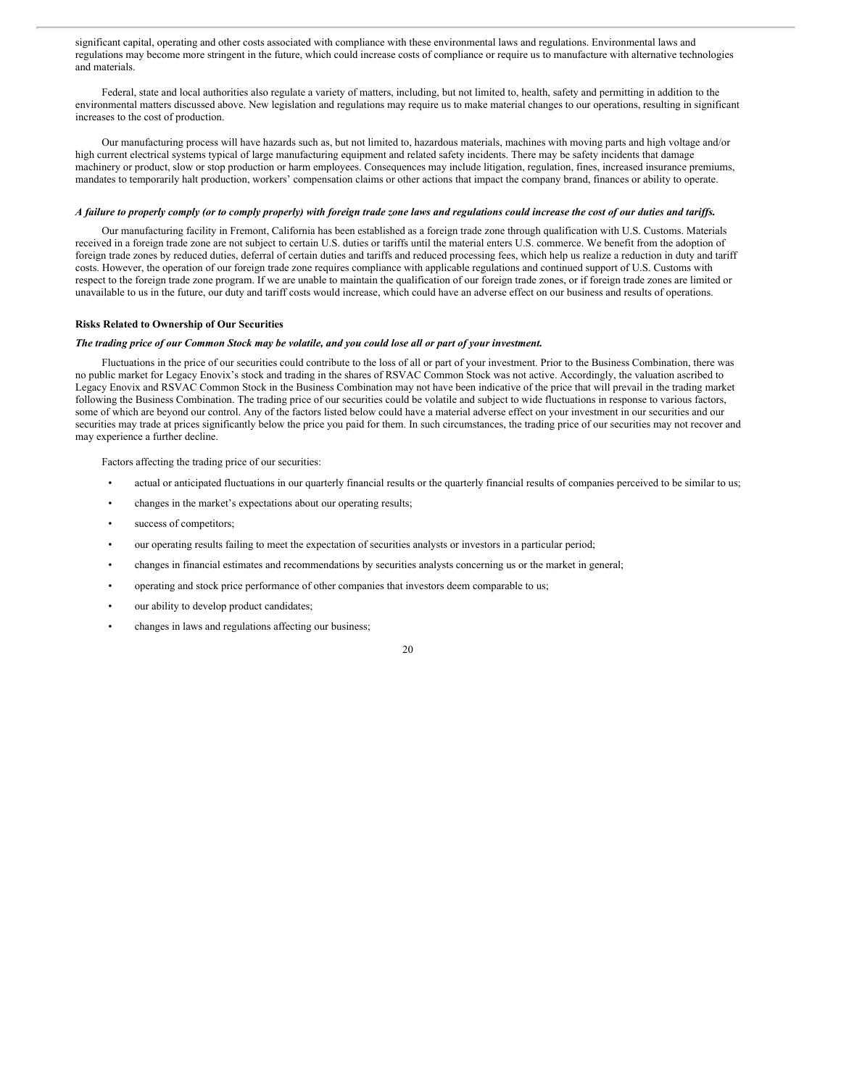significant capital, operating and other costs associated with compliance with these environmental laws and regulations. Environmental laws and regulations may become more stringent in the future, which could increase costs of compliance or require us to manufacture with alternative technologies and materials.

Federal, state and local authorities also regulate a variety of matters, including, but not limited to, health, safety and permitting in addition to the environmental matters discussed above. New legislation and regulations may require us to make material changes to our operations, resulting in significant increases to the cost of production.

Our manufacturing process will have hazards such as, but not limited to, hazardous materials, machines with moving parts and high voltage and/or high current electrical systems typical of large manufacturing equipment and related safety incidents. There may be safety incidents that damage machinery or product, slow or stop production or harm employees. Consequences may include litigation, regulation, fines, increased insurance premiums, mandates to temporarily halt production, workers' compensation claims or other actions that impact the company brand, finances or ability to operate.

#### A failure to properly comply (or to comply properly) with foreign trade zone laws and regulations could increase the cost of our duties and tariffs.

Our manufacturing facility in Fremont, California has been established as a foreign trade zone through qualification with U.S. Customs. Materials received in a foreign trade zone are not subject to certain U.S. duties or tariffs until the material enters U.S. commerce. We benefit from the adoption of foreign trade zones by reduced duties, deferral of certain duties and tariffs and reduced processing fees, which help us realize a reduction in duty and tariff costs. However, the operation of our foreign trade zone requires compliance with applicable regulations and continued support of U.S. Customs with respect to the foreign trade zone program. If we are unable to maintain the qualification of our foreign trade zones, or if foreign trade zones are limited or unavailable to us in the future, our duty and tariff costs would increase, which could have an adverse effect on our business and results of operations.

#### **Risks Related to Ownership of Our Securities**

#### The trading price of our Common Stock may be volatile, and you could lose all or part of your investment.

Fluctuations in the price of our securities could contribute to the loss of all or part of your investment. Prior to the Business Combination, there was no public market for Legacy Enovix's stock and trading in the shares of RSVAC Common Stock was not active. Accordingly, the valuation ascribed to Legacy Enovix and RSVAC Common Stock in the Business Combination may not have been indicative of the price that will prevail in the trading market following the Business Combination. The trading price of our securities could be volatile and subject to wide fluctuations in response to various factors, some of which are beyond our control. Any of the factors listed below could have a material adverse effect on your investment in our securities and our securities may trade at prices significantly below the price you paid for them. In such circumstances, the trading price of our securities may not recover and may experience a further decline.

Factors affecting the trading price of our securities:

- actual or anticipated fluctuations in our quarterly financial results or the quarterly financial results of companies perceived to be similar to us;
- changes in the market's expectations about our operating results;
- success of competitors;
- our operating results failing to meet the expectation of securities analysts or investors in a particular period;
- changes in financial estimates and recommendations by securities analysts concerning us or the market in general;
- operating and stock price performance of other companies that investors deem comparable to us;
- our ability to develop product candidates;
- changes in laws and regulations affecting our business;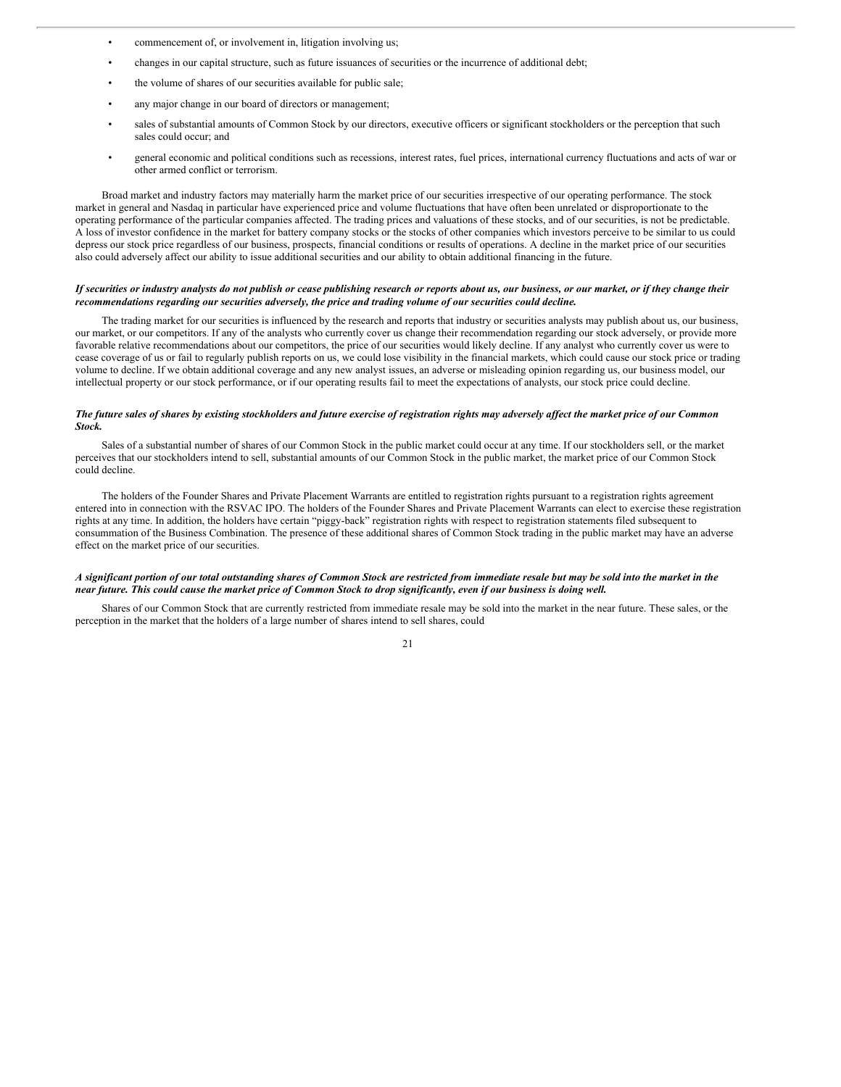- commencement of, or involvement in, litigation involving us;
- changes in our capital structure, such as future issuances of securities or the incurrence of additional debt;
- the volume of shares of our securities available for public sale;
- any major change in our board of directors or management;
- sales of substantial amounts of Common Stock by our directors, executive officers or significant stockholders or the perception that such sales could occur; and
- general economic and political conditions such as recessions, interest rates, fuel prices, international currency fluctuations and acts of war or other armed conflict or terrorism.

Broad market and industry factors may materially harm the market price of our securities irrespective of our operating performance. The stock market in general and Nasdaq in particular have experienced price and volume fluctuations that have often been unrelated or disproportionate to the operating performance of the particular companies affected. The trading prices and valuations of these stocks, and of our securities, is not be predictable. A loss of investor confidence in the market for battery company stocks or the stocks of other companies which investors perceive to be similar to us could depress our stock price regardless of our business, prospects, financial conditions or results of operations. A decline in the market price of our securities also could adversely affect our ability to issue additional securities and our ability to obtain additional financing in the future.

#### If securities or industry analysts do not publish or cease publishing research or reports about us, our business, or our market, or if they change their *recommendations regarding our securities adversely, the price and trading volume of our securities could decline.*

The trading market for our securities is influenced by the research and reports that industry or securities analysts may publish about us, our business, our market, or our competitors. If any of the analysts who currently cover us change their recommendation regarding our stock adversely, or provide more favorable relative recommendations about our competitors, the price of our securities would likely decline. If any analyst who currently cover us were to cease coverage of us or fail to regularly publish reports on us, we could lose visibility in the financial markets, which could cause our stock price or trading volume to decline. If we obtain additional coverage and any new analyst issues, an adverse or misleading opinion regarding us, our business model, our intellectual property or our stock performance, or if our operating results fail to meet the expectations of analysts, our stock price could decline.

#### The future sales of shares by existing stockholders and future exercise of registration rights may adversely affect the market price of our Common *Stock.*

Sales of a substantial number of shares of our Common Stock in the public market could occur at any time. If our stockholders sell, or the market perceives that our stockholders intend to sell, substantial amounts of our Common Stock in the public market, the market price of our Common Stock could decline.

The holders of the Founder Shares and Private Placement Warrants are entitled to registration rights pursuant to a registration rights agreement entered into in connection with the RSVAC IPO. The holders of the Founder Shares and Private Placement Warrants can elect to exercise these registration rights at any time. In addition, the holders have certain "piggy-back" registration rights with respect to registration statements filed subsequent to consummation of the Business Combination. The presence of these additional shares of Common Stock trading in the public market may have an adverse effect on the market price of our securities.

#### A significant portion of our total outstanding shares of Common Stock are restricted from immediate resale but may be sold into the market in the near future. This could cause the market price of Common Stock to drop significantly, even if our business is doing well.

Shares of our Common Stock that are currently restricted from immediate resale may be sold into the market in the near future. These sales, or the perception in the market that the holders of a large number of shares intend to sell shares, could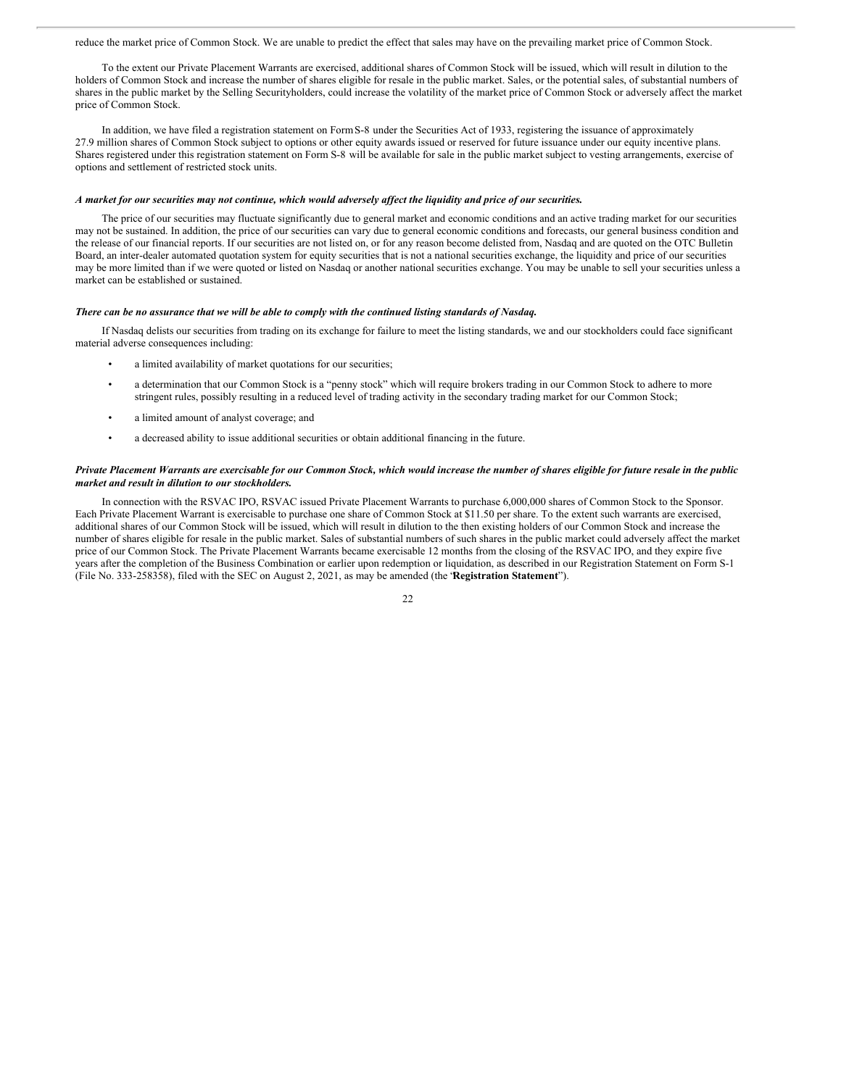reduce the market price of Common Stock. We are unable to predict the effect that sales may have on the prevailing market price of Common Stock.

To the extent our Private Placement Warrants are exercised, additional shares of Common Stock will be issued, which will result in dilution to the holders of Common Stock and increase the number of shares eligible for resale in the public market. Sales, or the potential sales, of substantial numbers of shares in the public market by the Selling Securityholders, could increase the volatility of the market price of Common Stock or adversely affect the market price of Common Stock.

In addition, we have filed a registration statement on FormS-8 under the Securities Act of 1933, registering the issuance of approximately 27.9 million shares of Common Stock subject to options or other equity awards issued or reserved for future issuance under our equity incentive plans. Shares registered under this registration statement on Form S-8 will be available for sale in the public market subject to vesting arrangements, exercise of options and settlement of restricted stock units.

#### A market for our securities may not continue, which would adversely affect the liquidity and price of our securities.

The price of our securities may fluctuate significantly due to general market and economic conditions and an active trading market for our securities may not be sustained. In addition, the price of our securities can vary due to general economic conditions and forecasts, our general business condition and the release of our financial reports. If our securities are not listed on, or for any reason become delisted from, Nasdaq and are quoted on the OTC Bulletin Board, an inter-dealer automated quotation system for equity securities that is not a national securities exchange, the liquidity and price of our securities may be more limited than if we were quoted or listed on Nasdaq or another national securities exchange. You may be unable to sell your securities unless a market can be established or sustained.

#### There can be no assurance that we will be able to comply with the continued listing standards of Nasdaq.

If Nasdaq delists our securities from trading on its exchange for failure to meet the listing standards, we and our stockholders could face significant material adverse consequences including:

- a limited availability of market quotations for our securities;
- a determination that our Common Stock is a "penny stock" which will require brokers trading in our Common Stock to adhere to more stringent rules, possibly resulting in a reduced level of trading activity in the secondary trading market for our Common Stock;
- a limited amount of analyst coverage; and
- a decreased ability to issue additional securities or obtain additional financing in the future.

#### Private Placement Warrants are exercisable for our Common Stock, which would increase the number of shares eligible for future resale in the public *market and result in dilution to our stockholders.*

In connection with the RSVAC IPO, RSVAC issued Private Placement Warrants to purchase 6,000,000 shares of Common Stock to the Sponsor. Each Private Placement Warrant is exercisable to purchase one share of Common Stock at \$11.50 per share. To the extent such warrants are exercised, additional shares of our Common Stock will be issued, which will result in dilution to the then existing holders of our Common Stock and increase the number of shares eligible for resale in the public market. Sales of substantial numbers of such shares in the public market could adversely affect the market price of our Common Stock. The Private Placement Warrants became exercisable 12 months from the closing of the RSVAC IPO, and they expire five years after the completion of the Business Combination or earlier upon redemption or liquidation, as described in our Registration Statement on Form S-1 (File No. 333-258358), filed with the SEC on August 2, 2021, as may be amended (the "**Registration Statement**").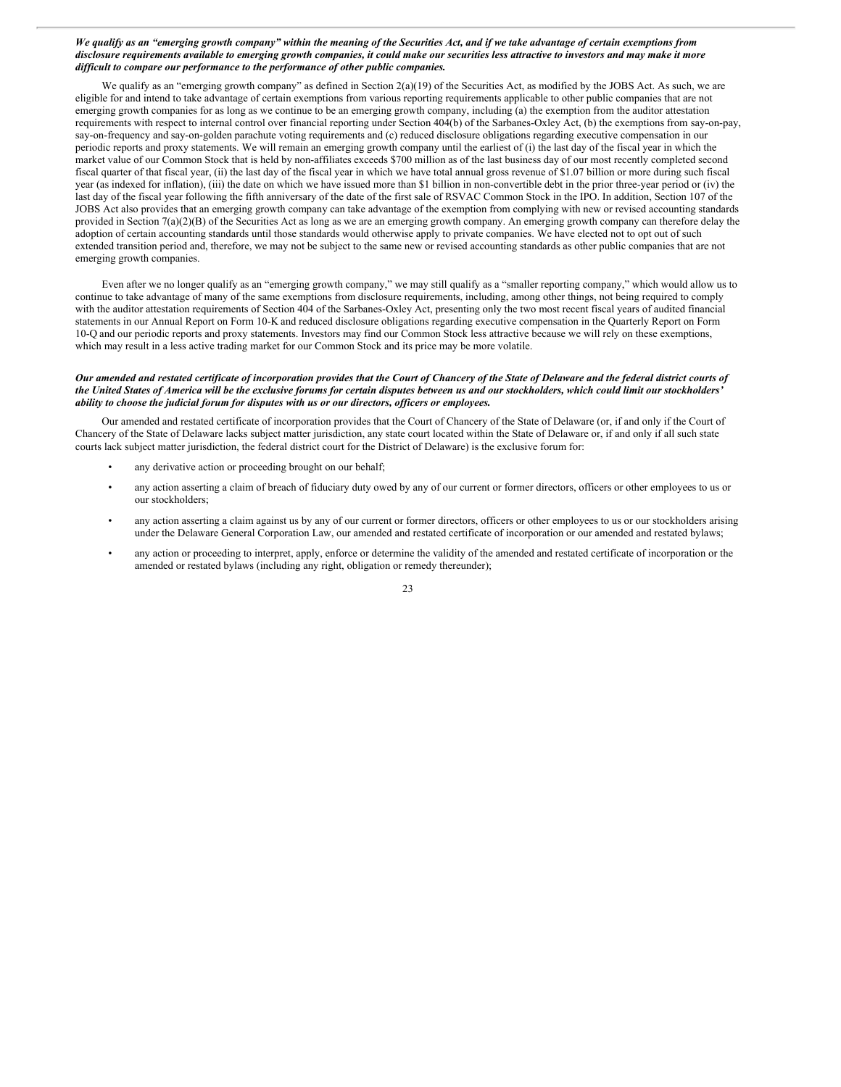#### We qualify as an "emerging growth company" within the meaning of the Securities Act, and if we take advantage of certain exemptions from disclosure requirements available to emerging growth companies, it could make our securities less attractive to investors and may make it more *dif icult to compare our performance to the performance of other public companies.*

We qualify as an "emerging growth company" as defined in Section  $2(a)(19)$  of the Securities Act, as modified by the JOBS Act. As such, we are eligible for and intend to take advantage of certain exemptions from various reporting requirements applicable to other public companies that are not emerging growth companies for as long as we continue to be an emerging growth company, including (a) the exemption from the auditor attestation requirements with respect to internal control over financial reporting under Section 404(b) of the Sarbanes-Oxley Act, (b) the exemptions from say-on-pay, say-on-frequency and say-on-golden parachute voting requirements and (c) reduced disclosure obligations regarding executive compensation in our periodic reports and proxy statements. We will remain an emerging growth company until the earliest of (i) the last day of the fiscal year in which the market value of our Common Stock that is held by non-affiliates exceeds \$700 million as of the last business day of our most recently completed second fiscal quarter of that fiscal year, (ii) the last day of the fiscal year in which we have total annual gross revenue of \$1.07 billion or more during such fiscal year (as indexed for inflation), (iii) the date on which we have issued more than \$1 billion in non-convertible debt in the prior three-year period or (iv) the last day of the fiscal year following the fifth anniversary of the date of the first sale of RSVAC Common Stock in the IPO. In addition, Section 107 of the JOBS Act also provides that an emerging growth company can take advantage of the exemption from complying with new or revised accounting standards provided in Section 7(a)(2)(B) of the Securities Act as long as we are an emerging growth company. An emerging growth company can therefore delay the adoption of certain accounting standards until those standards would otherwise apply to private companies. We have elected not to opt out of such extended transition period and, therefore, we may not be subject to the same new or revised accounting standards as other public companies that are not emerging growth companies.

Even after we no longer qualify as an "emerging growth company," we may still qualify as a "smaller reporting company," which would allow us to continue to take advantage of many of the same exemptions from disclosure requirements, including, among other things, not being required to comply with the auditor attestation requirements of Section 404 of the Sarbanes-Oxley Act, presenting only the two most recent fiscal years of audited financial statements in our Annual Report on Form 10-K and reduced disclosure obligations regarding executive compensation in the Quarterly Report on Form 10-Q and our periodic reports and proxy statements. Investors may find our Common Stock less attractive because we will rely on these exemptions, which may result in a less active trading market for our Common Stock and its price may be more volatile.

#### Our amended and restated certificate of incorporation provides that the Court of Chancery of the State of Delaware and the federal district courts of the United States of America will be the exclusive forums for certain disputes between us and our stockholders, which could limit our stockholders' *ability to choose the judicial forum for disputes with us or our directors, of icers or employees.*

Our amended and restated certificate of incorporation provides that the Court of Chancery of the State of Delaware (or, if and only if the Court of Chancery of the State of Delaware lacks subject matter jurisdiction, any state court located within the State of Delaware or, if and only if all such state courts lack subject matter jurisdiction, the federal district court for the District of Delaware) is the exclusive forum for:

- any derivative action or proceeding brought on our behalf;
- any action asserting a claim of breach of fiduciary duty owed by any of our current or former directors, officers or other employees to us or our stockholders;
- any action asserting a claim against us by any of our current or former directors, officers or other employees to us or our stockholders arising under the Delaware General Corporation Law, our amended and restated certificate of incorporation or our amended and restated bylaws;
- any action or proceeding to interpret, apply, enforce or determine the validity of the amended and restated certificate of incorporation or the amended or restated bylaws (including any right, obligation or remedy thereunder);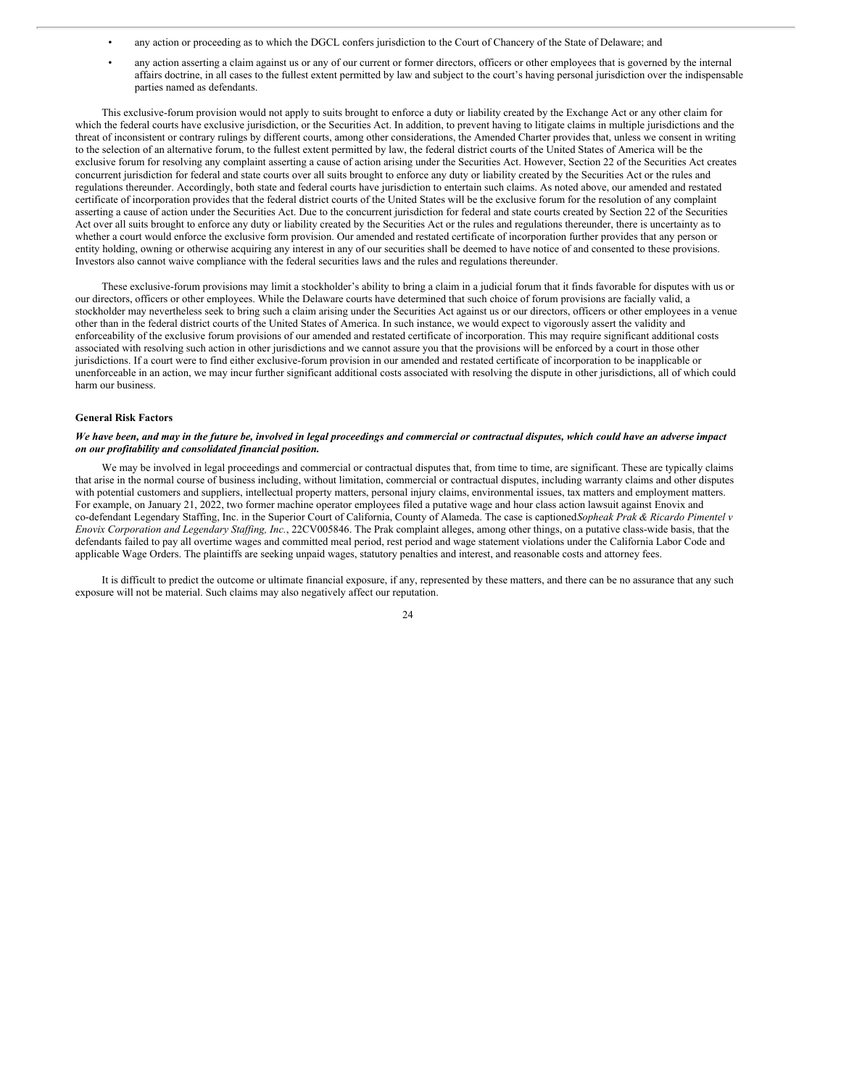- any action or proceeding as to which the DGCL confers jurisdiction to the Court of Chancery of the State of Delaware; and
- any action asserting a claim against us or any of our current or former directors, officers or other employees that is governed by the internal affairs doctrine, in all cases to the fullest extent permitted by law and subject to the court's having personal jurisdiction over the indispensable parties named as defendants.

This exclusive-forum provision would not apply to suits brought to enforce a duty or liability created by the Exchange Act or any other claim for which the federal courts have exclusive jurisdiction, or the Securities Act. In addition, to prevent having to litigate claims in multiple jurisdictions and the threat of inconsistent or contrary rulings by different courts, among other considerations, the Amended Charter provides that, unless we consent in writing to the selection of an alternative forum, to the fullest extent permitted by law, the federal district courts of the United States of America will be the exclusive forum for resolving any complaint asserting a cause of action arising under the Securities Act. However, Section 22 of the Securities Act creates concurrent jurisdiction for federal and state courts over all suits brought to enforce any duty or liability created by the Securities Act or the rules and regulations thereunder. Accordingly, both state and federal courts have jurisdiction to entertain such claims. As noted above, our amended and restated certificate of incorporation provides that the federal district courts of the United States will be the exclusive forum for the resolution of any complaint asserting a cause of action under the Securities Act. Due to the concurrent jurisdiction for federal and state courts created by Section 22 of the Securities Act over all suits brought to enforce any duty or liability created by the Securities Act or the rules and regulations thereunder, there is uncertainty as to whether a court would enforce the exclusive form provision. Our amended and restated certificate of incorporation further provides that any person or entity holding, owning or otherwise acquiring any interest in any of our securities shall be deemed to have notice of and consented to these provisions. Investors also cannot waive compliance with the federal securities laws and the rules and regulations thereunder.

These exclusive-forum provisions may limit a stockholder's ability to bring a claim in a judicial forum that it finds favorable for disputes with us or our directors, officers or other employees. While the Delaware courts have determined that such choice of forum provisions are facially valid, a stockholder may nevertheless seek to bring such a claim arising under the Securities Act against us or our directors, officers or other employees in a venue other than in the federal district courts of the United States of America. In such instance, we would expect to vigorously assert the validity and enforceability of the exclusive forum provisions of our amended and restated certificate of incorporation. This may require significant additional costs associated with resolving such action in other jurisdictions and we cannot assure you that the provisions will be enforced by a court in those other jurisdictions. If a court were to find either exclusive-forum provision in our amended and restated certificate of incorporation to be inapplicable or unenforceable in an action, we may incur further significant additional costs associated with resolving the dispute in other jurisdictions, all of which could harm our business.

#### **General Risk Factors**

#### We have been, and may in the future be, involved in legal proceedings and commercial or contractual disputes, which could have an adverse impact *on our profitability and consolidated financial position.*

We may be involved in legal proceedings and commercial or contractual disputes that, from time to time, are significant. These are typically claims that arise in the normal course of business including, without limitation, commercial or contractual disputes, including warranty claims and other disputes with potential customers and suppliers, intellectual property matters, personal injury claims, environmental issues, tax matters and employment matters. For example, on January 21, 2022, two former machine operator employees filed a putative wage and hour class action lawsuit against Enovix and co-defendant Legendary Staffing, Inc. in the Superior Court of California, County of Alameda. The case is captioned*Sopheak Prak & Ricardo Pimentel v Enovix Corporation and Legendary Staf ing, Inc.*, 22CV005846. The Prak complaint alleges, among other things, on a putative class-wide basis, that the defendants failed to pay all overtime wages and committed meal period, rest period and wage statement violations under the California Labor Code and applicable Wage Orders. The plaintiffs are seeking unpaid wages, statutory penalties and interest, and reasonable costs and attorney fees.

It is difficult to predict the outcome or ultimate financial exposure, if any, represented by these matters, and there can be no assurance that any such exposure will not be material. Such claims may also negatively affect our reputation.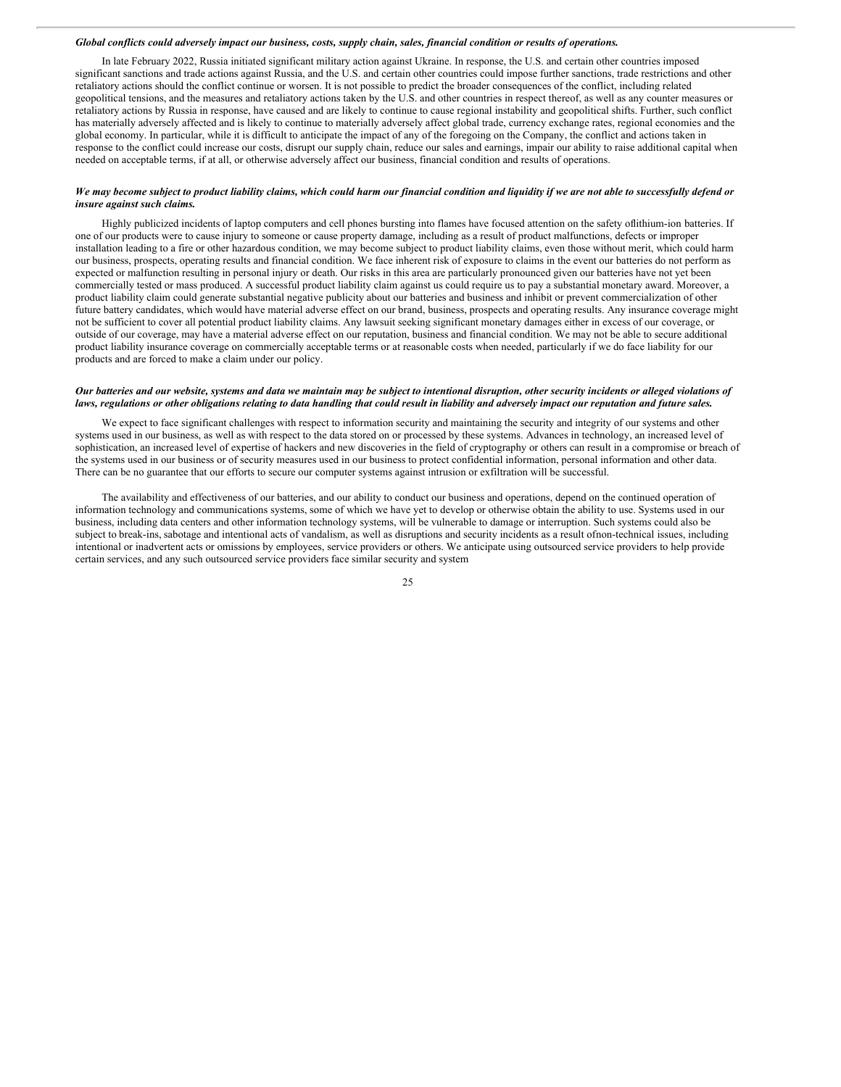#### Global conflicts could adversely impact our business, costs, supply chain, sales, financial condition or results of operations.

In late February 2022, Russia initiated significant military action against Ukraine. In response, the U.S. and certain other countries imposed significant sanctions and trade actions against Russia, and the U.S. and certain other countries could impose further sanctions, trade restrictions and other retaliatory actions should the conflict continue or worsen. It is not possible to predict the broader consequences of the conflict, including related geopolitical tensions, and the measures and retaliatory actions taken by the U.S. and other countries in respect thereof, as well as any counter measures or retaliatory actions by Russia in response, have caused and are likely to continue to cause regional instability and geopolitical shifts. Further, such conflict has materially adversely affected and is likely to continue to materially adversely affect global trade, currency exchange rates, regional economies and the global economy. In particular, while it is difficult to anticipate the impact of any of the foregoing on the Company, the conflict and actions taken in response to the conflict could increase our costs, disrupt our supply chain, reduce our sales and earnings, impair our ability to raise additional capital when needed on acceptable terms, if at all, or otherwise adversely affect our business, financial condition and results of operations.

#### We may become subject to product liability claims, which could harm our financial condition and liquidity if we are not able to successfully defend or *insure against such claims.*

Highly publicized incidents of laptop computers and cell phones bursting into flames have focused attention on the safety oflithium-ion batteries. If one of our products were to cause injury to someone or cause property damage, including as a result of product malfunctions, defects or improper installation leading to a fire or other hazardous condition, we may become subject to product liability claims, even those without merit, which could harm our business, prospects, operating results and financial condition. We face inherent risk of exposure to claims in the event our batteries do not perform as expected or malfunction resulting in personal injury or death. Our risks in this area are particularly pronounced given our batteries have not yet been commercially tested or mass produced. A successful product liability claim against us could require us to pay a substantial monetary award. Moreover, a product liability claim could generate substantial negative publicity about our batteries and business and inhibit or prevent commercialization of other future battery candidates, which would have material adverse effect on our brand, business, prospects and operating results. Any insurance coverage might not be sufficient to cover all potential product liability claims. Any lawsuit seeking significant monetary damages either in excess of our coverage, or outside of our coverage, may have a material adverse effect on our reputation, business and financial condition. We may not be able to secure additional product liability insurance coverage on commercially acceptable terms or at reasonable costs when needed, particularly if we do face liability for our products and are forced to make a claim under our policy.

#### Our batteries and our website, systems and data we maintain may be subject to intentional disruption, other security incidents or alleged violations of laws, regulations or other obligations relating to data handling that could result in liability and adversely impact our reputation and future sales.

We expect to face significant challenges with respect to information security and maintaining the security and integrity of our systems and other systems used in our business, as well as with respect to the data stored on or processed by these systems. Advances in technology, an increased level of sophistication, an increased level of expertise of hackers and new discoveries in the field of cryptography or others can result in a compromise or breach of the systems used in our business or of security measures used in our business to protect confidential information, personal information and other data. There can be no guarantee that our efforts to secure our computer systems against intrusion or exfiltration will be successful.

The availability and effectiveness of our batteries, and our ability to conduct our business and operations, depend on the continued operation of information technology and communications systems, some of which we have yet to develop or otherwise obtain the ability to use. Systems used in our business, including data centers and other information technology systems, will be vulnerable to damage or interruption. Such systems could also be subject to break-ins, sabotage and intentional acts of vandalism, as well as disruptions and security incidents as a result ofnon-technical issues, including intentional or inadvertent acts or omissions by employees, service providers or others. We anticipate using outsourced service providers to help provide certain services, and any such outsourced service providers face similar security and system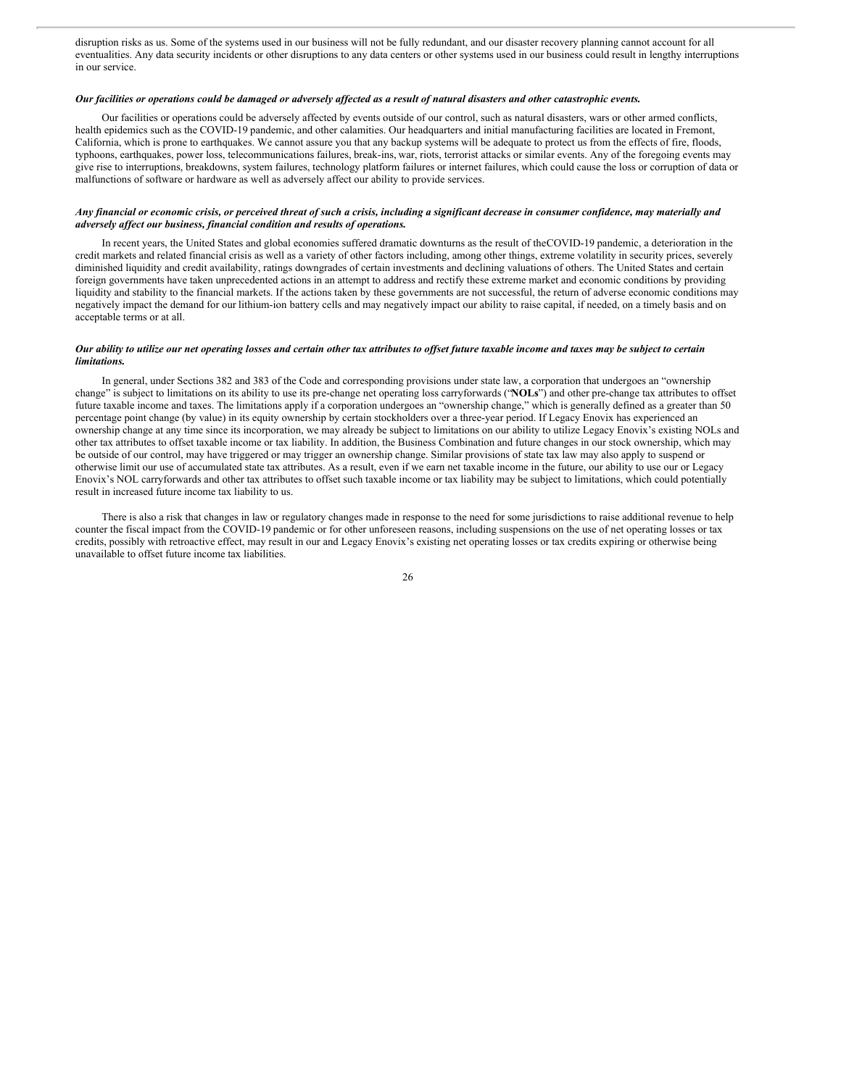disruption risks as us. Some of the systems used in our business will not be fully redundant, and our disaster recovery planning cannot account for all eventualities. Any data security incidents or other disruptions to any data centers or other systems used in our business could result in lengthy interruptions in our service.

#### Our facilities or operations could be damaged or adversely affected as a result of natural disasters and other catastrophic events.

Our facilities or operations could be adversely affected by events outside of our control, such as natural disasters, wars or other armed conflicts, health epidemics such as the COVID-19 pandemic, and other calamities. Our headquarters and initial manufacturing facilities are located in Fremont, California, which is prone to earthquakes. We cannot assure you that any backup systems will be adequate to protect us from the effects of fire, floods, typhoons, earthquakes, power loss, telecommunications failures, break-ins, war, riots, terrorist attacks or similar events. Any of the foregoing events may give rise to interruptions, breakdowns, system failures, technology platform failures or internet failures, which could cause the loss or corruption of data or malfunctions of software or hardware as well as adversely affect our ability to provide services.

#### Any financial or economic crisis, or perceived threat of such a crisis, including a significant decrease in consumer confidence, may materially and *adversely af ect our business, financial condition and results of operations.*

In recent years, the United States and global economies suffered dramatic downturns as the result of theCOVID-19 pandemic, a deterioration in the credit markets and related financial crisis as well as a variety of other factors including, among other things, extreme volatility in security prices, severely diminished liquidity and credit availability, ratings downgrades of certain investments and declining valuations of others. The United States and certain foreign governments have taken unprecedented actions in an attempt to address and rectify these extreme market and economic conditions by providing liquidity and stability to the financial markets. If the actions taken by these governments are not successful, the return of adverse economic conditions may negatively impact the demand for our lithium-ion battery cells and may negatively impact our ability to raise capital, if needed, on a timely basis and on acceptable terms or at all.

#### Our ability to utilize our net operating losses and certain other tax attributes to offset future taxable income and taxes may be subject to certain *limitations.*

In general, under Sections 382 and 383 of the Code and corresponding provisions under state law, a corporation that undergoes an "ownership change" is subject to limitations on its ability to use its pre-change net operating loss carryforwards ("**NOLs**") and other pre-change tax attributes to offset future taxable income and taxes. The limitations apply if a corporation undergoes an "ownership change," which is generally defined as a greater than 50 percentage point change (by value) in its equity ownership by certain stockholders over a three-year period. If Legacy Enovix has experienced an ownership change at any time since its incorporation, we may already be subject to limitations on our ability to utilize Legacy Enovix's existing NOLs and other tax attributes to offset taxable income or tax liability. In addition, the Business Combination and future changes in our stock ownership, which may be outside of our control, may have triggered or may trigger an ownership change. Similar provisions of state tax law may also apply to suspend or otherwise limit our use of accumulated state tax attributes. As a result, even if we earn net taxable income in the future, our ability to use our or Legacy Enovix's NOL carryforwards and other tax attributes to offset such taxable income or tax liability may be subject to limitations, which could potentially result in increased future income tax liability to us.

There is also a risk that changes in law or regulatory changes made in response to the need for some jurisdictions to raise additional revenue to help counter the fiscal impact from the COVID-19 pandemic or for other unforeseen reasons, including suspensions on the use of net operating losses or tax credits, possibly with retroactive effect, may result in our and Legacy Enovix's existing net operating losses or tax credits expiring or otherwise being unavailable to offset future income tax liabilities.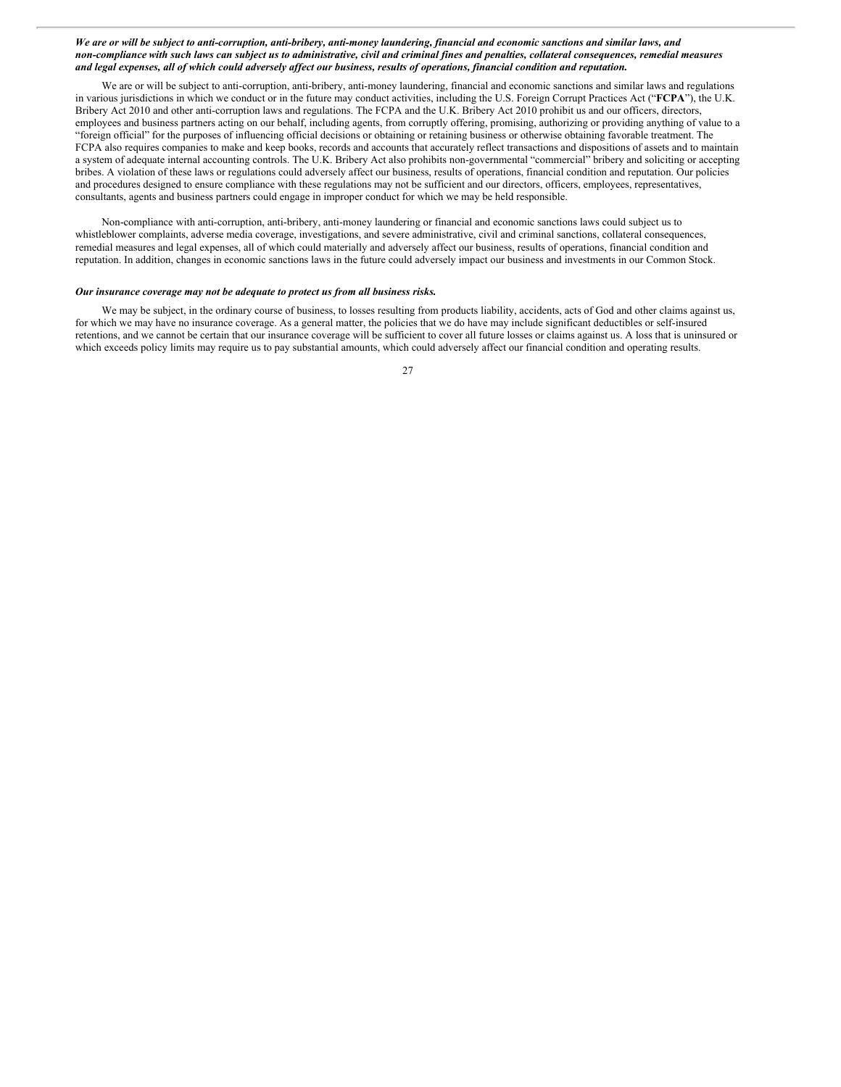#### We are or will be subject to anti-corruption, anti-bribery, anti-money laundering, financial and economic sanctions and similar laws, and non-compliance with such laws can subject us to administrative, civil and criminal fines and penalties, collateral consequences, remedial measures and legal expenses, all of which could adversely affect our business, results of operations, financial condition and reputation.

We are or will be subject to anti-corruption, anti-bribery, anti-money laundering, financial and economic sanctions and similar laws and regulations in various jurisdictions in which we conduct or in the future may conduct activities, including the U.S. Foreign Corrupt Practices Act ("**FCPA**"), the U.K. Bribery Act 2010 and other anti-corruption laws and regulations. The FCPA and the U.K. Bribery Act 2010 prohibit us and our officers, directors, employees and business partners acting on our behalf, including agents, from corruptly offering, promising, authorizing or providing anything of value to a "foreign official" for the purposes of influencing official decisions or obtaining or retaining business or otherwise obtaining favorable treatment. The FCPA also requires companies to make and keep books, records and accounts that accurately reflect transactions and dispositions of assets and to maintain a system of adequate internal accounting controls. The U.K. Bribery Act also prohibits non-governmental "commercial" bribery and soliciting or accepting bribes. A violation of these laws or regulations could adversely affect our business, results of operations, financial condition and reputation. Our policies and procedures designed to ensure compliance with these regulations may not be sufficient and our directors, officers, employees, representatives, consultants, agents and business partners could engage in improper conduct for which we may be held responsible.

Non-compliance with anti-corruption, anti-bribery, anti-money laundering or financial and economic sanctions laws could subject us to whistleblower complaints, adverse media coverage, investigations, and severe administrative, civil and criminal sanctions, collateral consequences, remedial measures and legal expenses, all of which could materially and adversely affect our business, results of operations, financial condition and reputation. In addition, changes in economic sanctions laws in the future could adversely impact our business and investments in our Common Stock.

#### *Our insurance coverage may not be adequate to protect us from all business risks.*

We may be subject, in the ordinary course of business, to losses resulting from products liability, accidents, acts of God and other claims against us, for which we may have no insurance coverage. As a general matter, the policies that we do have may include significant deductibles or self-insured retentions, and we cannot be certain that our insurance coverage will be sufficient to cover all future losses or claims against us. A loss that is uninsured or which exceeds policy limits may require us to pay substantial amounts, which could adversely affect our financial condition and operating results.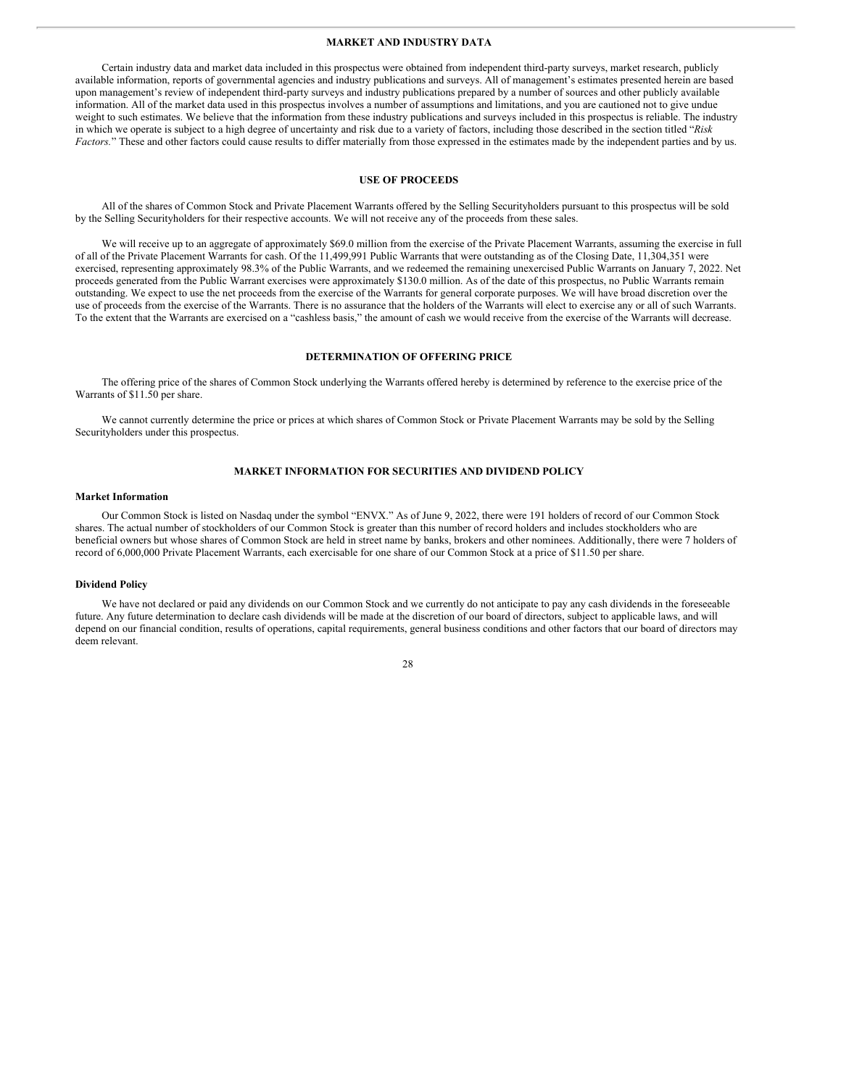#### <span id="page-33-0"></span>**MARKET AND INDUSTRY DATA**

Certain industry data and market data included in this prospectus were obtained from independent third-party surveys, market research, publicly available information, reports of governmental agencies and industry publications and surveys. All of management's estimates presented herein are based upon management's review of independent third-party surveys and industry publications prepared by a number of sources and other publicly available information. All of the market data used in this prospectus involves a number of assumptions and limitations, and you are cautioned not to give undue weight to such estimates. We believe that the information from these industry publications and surveys included in this prospectus is reliable. The industry in which we operate is subject to a high degree of uncertainty and risk due to a variety of factors, including those described in the section titled "*Risk Factors.*" These and other factors could cause results to differ materially from those expressed in the estimates made by the independent parties and by us.

#### <span id="page-33-1"></span>**USE OF PROCEEDS**

All of the shares of Common Stock and Private Placement Warrants offered by the Selling Securityholders pursuant to this prospectus will be sold by the Selling Securityholders for their respective accounts. We will not receive any of the proceeds from these sales.

We will receive up to an aggregate of approximately \$69.0 million from the exercise of the Private Placement Warrants, assuming the exercise in full of all of the Private Placement Warrants for cash. Of the 11,499,991 Public Warrants that were outstanding as of the Closing Date, 11,304,351 were exercised, representing approximately 98.3% of the Public Warrants, and we redeemed the remaining unexercised Public Warrants on January 7, 2022. Net proceeds generated from the Public Warrant exercises were approximately \$130.0 million. As of the date of this prospectus, no Public Warrants remain outstanding. We expect to use the net proceeds from the exercise of the Warrants for general corporate purposes. We will have broad discretion over the use of proceeds from the exercise of the Warrants. There is no assurance that the holders of the Warrants will elect to exercise any or all of such Warrants. To the extent that the Warrants are exercised on a "cashless basis," the amount of cash we would receive from the exercise of the Warrants will decrease.

### <span id="page-33-2"></span>**DETERMINATION OF OFFERING PRICE**

The offering price of the shares of Common Stock underlying the Warrants offered hereby is determined by reference to the exercise price of the Warrants of \$11.50 per share.

We cannot currently determine the price or prices at which shares of Common Stock or Private Placement Warrants may be sold by the Selling Securityholders under this prospectus.

#### <span id="page-33-3"></span>**MARKET INFORMATION FOR SECURITIES AND DIVIDEND POLICY**

#### **Market Information**

Our Common Stock is listed on Nasdaq under the symbol "ENVX." As of June 9, 2022, there were 191 holders of record of our Common Stock shares. The actual number of stockholders of our Common Stock is greater than this number of record holders and includes stockholders who are beneficial owners but whose shares of Common Stock are held in street name by banks, brokers and other nominees. Additionally, there were 7 holders of record of 6,000,000 Private Placement Warrants, each exercisable for one share of our Common Stock at a price of \$11.50 per share.

#### **Dividend Policy**

We have not declared or paid any dividends on our Common Stock and we currently do not anticipate to pay any cash dividends in the foreseeable future. Any future determination to declare cash dividends will be made at the discretion of our board of directors, subject to applicable laws, and will depend on our financial condition, results of operations, capital requirements, general business conditions and other factors that our board of directors may deem relevant.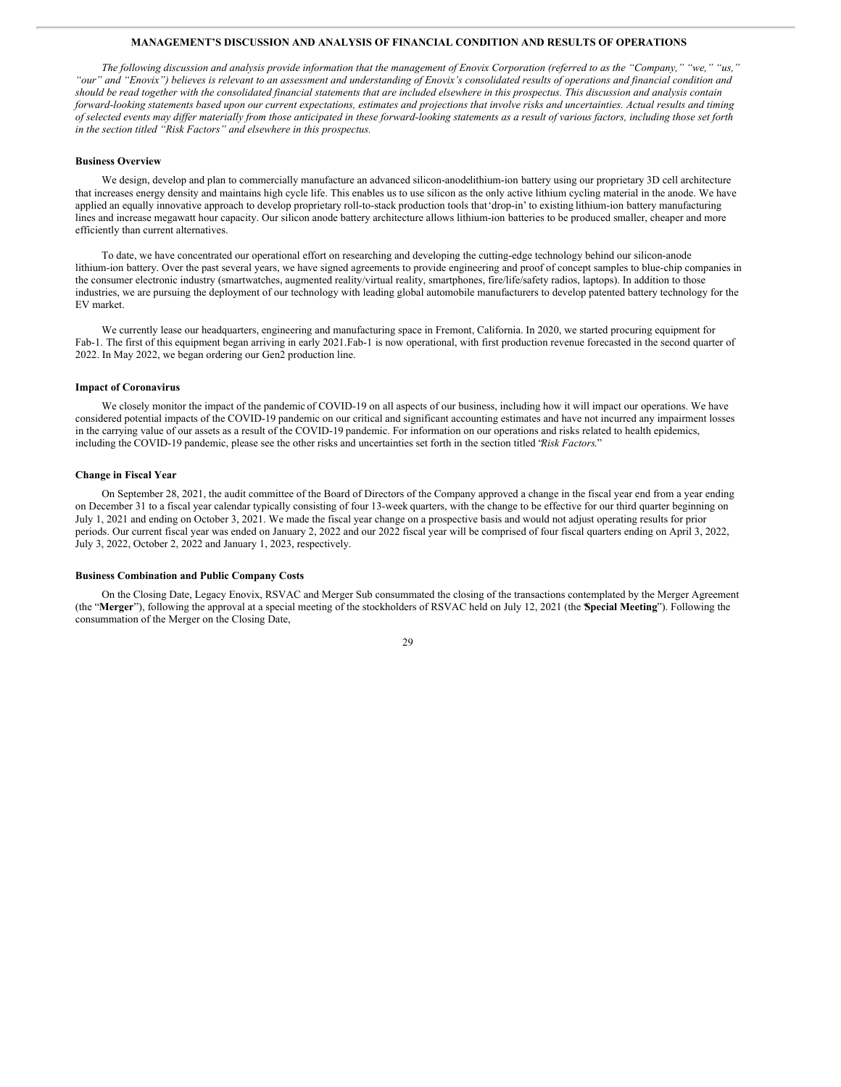#### <span id="page-34-0"></span>**MANAGEMENT'S DISCUSSION AND ANALYSIS OF FINANCIAL CONDITION AND RESULTS OF OPERATIONS**

The following discussion and analysis provide information that the management of Enovix Corporation (referred to as the "Company," "we," "us," "our" and "Enovix") believes is relevant to an assessment and understanding of Enovix's consolidated results of operations and financial condition and should be read together with the consolidated financial statements that are included elsewhere in this prospectus. This discussion and analysis contain forward-looking statements based upon our current expectations, estimates and projections that involve risks and uncertainties. Actual results and timing of selected events may differ materially from those anticipated in these forward-looking statements as a result of various factors, including those set forth *in the section titled "Risk Factors" and elsewhere in this prospectus.*

#### **Business Overview**

We design, develop and plan to commercially manufacture an advanced silicon-anodelithium-ion battery using our proprietary 3D cell architecture that increases energy density and maintains high cycle life. This enables us to use silicon as the only active lithium cycling material in the anode. We have applied an equally innovative approach to develop proprietary roll-to-stack production tools that'drop-in' to existing lithium-ion battery manufacturing lines and increase megawatt hour capacity. Our silicon anode battery architecture allows lithium-ion batteries to be produced smaller, cheaper and more efficiently than current alternatives.

To date, we have concentrated our operational effort on researching and developing the cutting-edge technology behind our silicon-anode lithium-ion battery. Over the past several years, we have signed agreements to provide engineering and proof of concept samples to blue-chip companies in the consumer electronic industry (smartwatches, augmented reality/virtual reality, smartphones, fire/life/safety radios, laptops). In addition to those industries, we are pursuing the deployment of our technology with leading global automobile manufacturers to develop patented battery technology for the EV market.

We currently lease our headquarters, engineering and manufacturing space in Fremont, California. In 2020, we started procuring equipment for Fab-1. The first of this equipment began arriving in early 2021.Fab-1 is now operational, with first production revenue forecasted in the second quarter of 2022. In May 2022, we began ordering our Gen2 production line.

#### **Impact of Coronavirus**

We closely monitor the impact of the pandemic of COVID-19 on all aspects of our business, including how it will impact our operations. We have considered potential impacts of the COVID-19 pandemic on our critical and significant accounting estimates and have not incurred any impairment losses in the carrying value of our assets as a result of the COVID-19 pandemic. For information on our operations and risks related to health epidemics, including the COVID-19 pandemic, please see the other risks and uncertainties set forth in the section titled "*Risk Factors*."

#### **Change in Fiscal Year**

On September 28, 2021, the audit committee of the Board of Directors of the Company approved a change in the fiscal year end from a year ending on December 31 to a fiscal year calendar typically consisting of four 13-week quarters, with the change to be effective for our third quarter beginning on July 1, 2021 and ending on October 3, 2021. We made the fiscal year change on a prospective basis and would not adjust operating results for prior periods. Our current fiscal year was ended on January 2, 2022 and our 2022 fiscal year will be comprised of four fiscal quarters ending on April 3, 2022, July 3, 2022, October 2, 2022 and January 1, 2023, respectively.

#### **Business Combination and Public Company Costs**

On the Closing Date, Legacy Enovix, RSVAC and Merger Sub consummated the closing of the transactions contemplated by the Merger Agreement (the "**Merger**"), following the approval at a special meeting of the stockholders of RSVAC held on July 12, 2021 (the " **pecial Meeting**"). Following the consummation of the Merger on the Closing Date,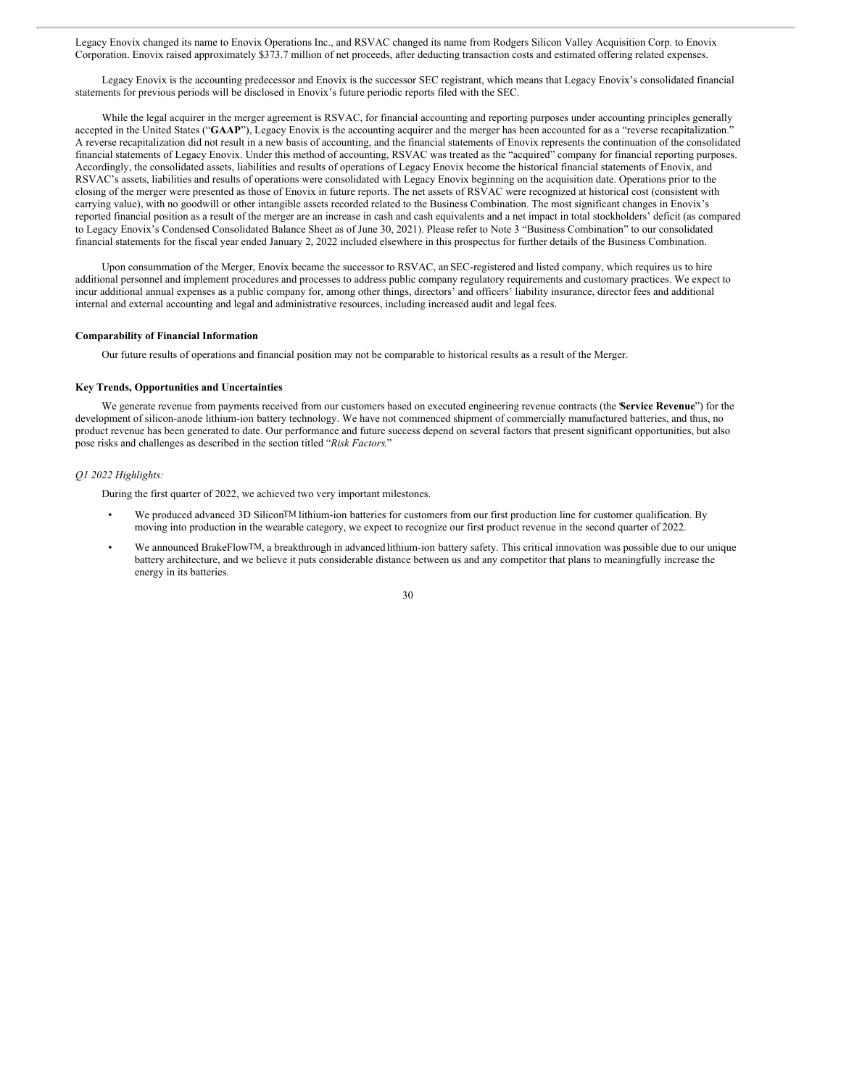Legacy Enovix changed its name to Enovix Operations Inc., and RSVAC changed its name from Rodgers Silicon Valley Acquisition Corp. to Enovix Corporation. Enovix raised approximately \$373.7 million of net proceeds, after deducting transaction costs and estimated offering related expenses.

Legacy Enovix is the accounting predecessor and Enovix is the successor SEC registrant, which means that Legacy Enovix's consolidated financial statements for previous periods will be disclosed in Enovix's future periodic reports filed with the SEC.

While the legal acquirer in the merger agreement is RSVAC, for financial accounting and reporting purposes under accounting principles generally accepted in the United States ("GAAP"), Legacy Enovix is the accounting acquirer and the merger has been accounted for as a "reverse recapitalization." A reverse recapitalization did not result in a new basis of accounting, and the financial statements of Enovix represents the continuation of the consolidated financial statements of Legacy Enovix. Under this method of accounting, RSVAC was treated as the "acquired" company for financial reporting purposes. Accordingly, the consolidated assets, liabilities and results of operations of Legacy Enovix become the historical financial statements of Enovix, and RSVAC's assets, liabilities and results of operations were consolidated with Legacy Enovix beginning on the acquisition date. Operations prior to the closing of the merger were presented as those of Enovix in future reports. The net assets of RSVAC were recognized at historical cost (consistent with carrying value), with no goodwill or other intangible assets recorded related to the Business Combination. The most significant changes in Enovix's reported financial position as a result of the merger are an increase in cash and cash equivalents and a net impact in total stockholders' deficit (as compared to Legacy Enovix's Condensed Consolidated Balance Sheet as of June 30, 2021). Please refer to Note 3 "Business Combination" to our consolidated financial statements for the fiscal year ended January 2, 2022 included elsewhere in this prospectus for further details of the Business Combination.

Upon consummation of the Merger, Enovix became the successor to RSVAC, an SEC-registered and listed company, which requires us to hire additional personnel and implement procedures and processes to address public company regulatory requirements and customary practices. We expect to incur additional annual expenses as a public company for, among other things, directors' and officers' liability insurance, director fees and additional internal and external accounting and legal and administrative resources, including increased audit and legal fees.

#### **Comparability of Financial Information**

Our future results of operations and financial position may not be comparable to historical results as a result of the Merger.

#### **Key Trends, Opportunities and Uncertainties**

We generate revenue from payments received from our customers based on executed engineering revenue contracts (the **Service Revenue**") for the development of silicon-anode lithium-ion battery technology. We have not commenced shipment of commercially manufactured batteries, and thus, no product revenue has been generated to date. Our performance and future success depend on several factors that present significant opportunities, but also pose risks and challenges as described in the section titled "*Risk Factors*."

#### *Q1 2022 Highlights:*

During the first quarter of 2022, we achieved two very important milestones.

- We produced advanced 3D SiliconTM lithium-ion batteries for customers from our first production line for customer qualification. By moving into production in the wearable category, we expect to recognize our first product revenue in the second quarter of 2022.
- We announced BrakeFlowTM, a breakthrough in advanced lithium-ion battery safety. This critical innovation was possible due to our unique battery architecture, and we believe it puts considerable distance between us and any competitor that plans to meaningfully increase the energy in its batteries.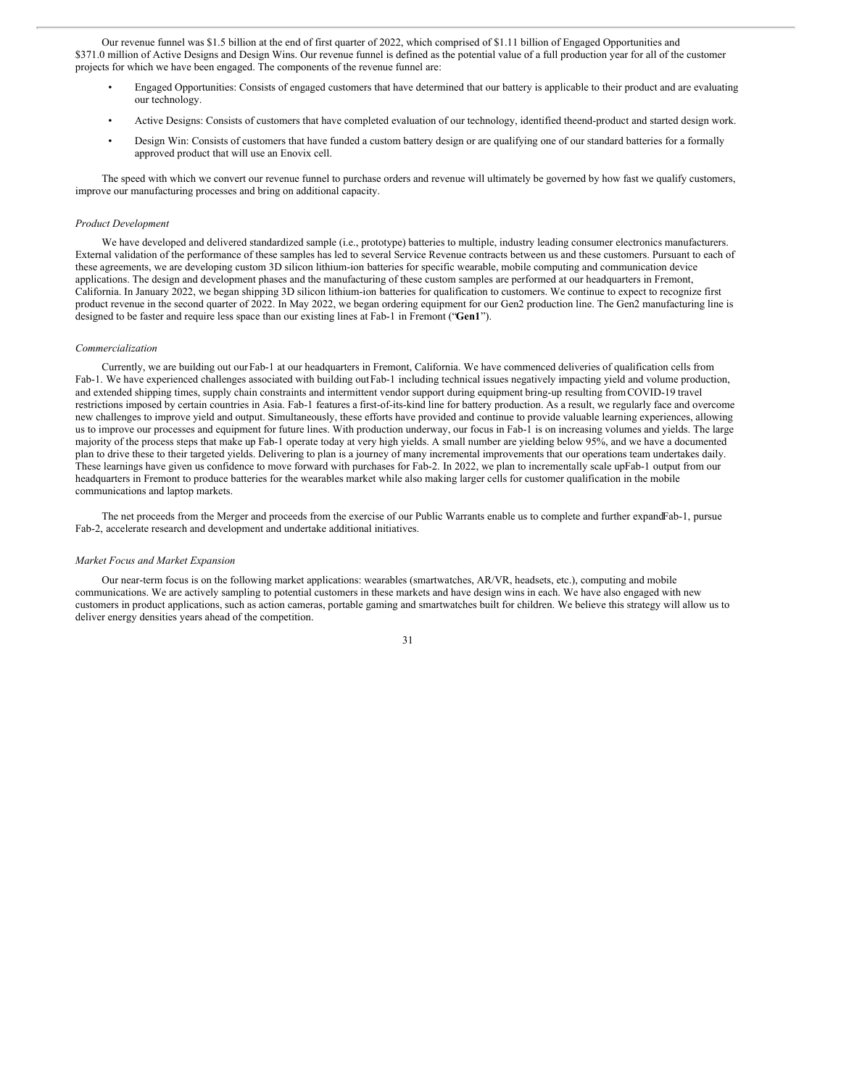Our revenue funnel was \$1.5 billion at the end of first quarter of 2022, which comprised of \$1.11 billion of Engaged Opportunities and \$371.0 million of Active Designs and Design Wins. Our revenue funnel is defined as the potential value of a full production year for all of the customer projects for which we have been engaged. The components of the revenue funnel are:

- Engaged Opportunities: Consists of engaged customers that have determined that our battery is applicable to their product and are evaluating our technology.
- Active Designs: Consists of customers that have completed evaluation of our technology, identified theend-product and started design work.
- Design Win: Consists of customers that have funded a custom battery design or are qualifying one of our standard batteries for a formally approved product that will use an Enovix cell.

The speed with which we convert our revenue funnel to purchase orders and revenue will ultimately be governed by how fast we qualify customers, improve our manufacturing processes and bring on additional capacity.

### *Product Development*

We have developed and delivered standardized sample (i.e., prototype) batteries to multiple, industry leading consumer electronics manufacturers. External validation of the performance of these samples has led to several Service Revenue contracts between us and these customers. Pursuant to each of these agreements, we are developing custom 3D silicon lithium-ion batteries for specific wearable, mobile computing and communication device applications. The design and development phases and the manufacturing of these custom samples are performed at our headquarters in Fremont, California. In January 2022, we began shipping 3D silicon lithium-ion batteries for qualification to customers. We continue to expect to recognize first product revenue in the second quarter of 2022. In May 2022, we began ordering equipment for our Gen2 production line. The Gen2 manufacturing line is designed to be faster and require less space than our existing lines at Fab-1 in Fremont ("**Gen1**").

### *Commercialization*

Currently, we are building out ourFab-1 at our headquarters in Fremont, California. We have commenced deliveries of qualification cells from Fab-1. We have experienced challenges associated with building outFab-1 including technical issues negatively impacting yield and volume production, and extended shipping times, supply chain constraints and intermittent vendor support during equipment bring-up resulting fromCOVID-19 travel restrictions imposed by certain countries in Asia. Fab-1 features a first-of-its-kind line for battery production. As a result, we regularly face and overcome new challenges to improve yield and output. Simultaneously, these efforts have provided and continue to provide valuable learning experiences, allowing us to improve our processes and equipment for future lines. With production underway, our focus in Fab-1 is on increasing volumes and yields. The large majority of the process steps that make up Fab-1 operate today at very high yields. A small number are yielding below 95%, and we have a documented plan to drive these to their targeted yields. Delivering to plan is a journey of many incremental improvements that our operations team undertakes daily. These learnings have given us confidence to move forward with purchases for Fab-2. In 2022, we plan to incrementally scale upFab-1 output from our headquarters in Fremont to produce batteries for the wearables market while also making larger cells for customer qualification in the mobile communications and laptop markets.

The net proceeds from the Merger and proceeds from the exercise of our Public Warrants enable us to complete and further expandFab-1, pursue Fab-2, accelerate research and development and undertake additional initiatives.

### *Market Focus and Market Expansion*

Our near-term focus is on the following market applications: wearables (smartwatches, AR/VR, headsets, etc.), computing and mobile communications. We are actively sampling to potential customers in these markets and have design wins in each. We have also engaged with new customers in product applications, such as action cameras, portable gaming and smartwatches built for children. We believe this strategy will allow us to deliver energy densities years ahead of the competition.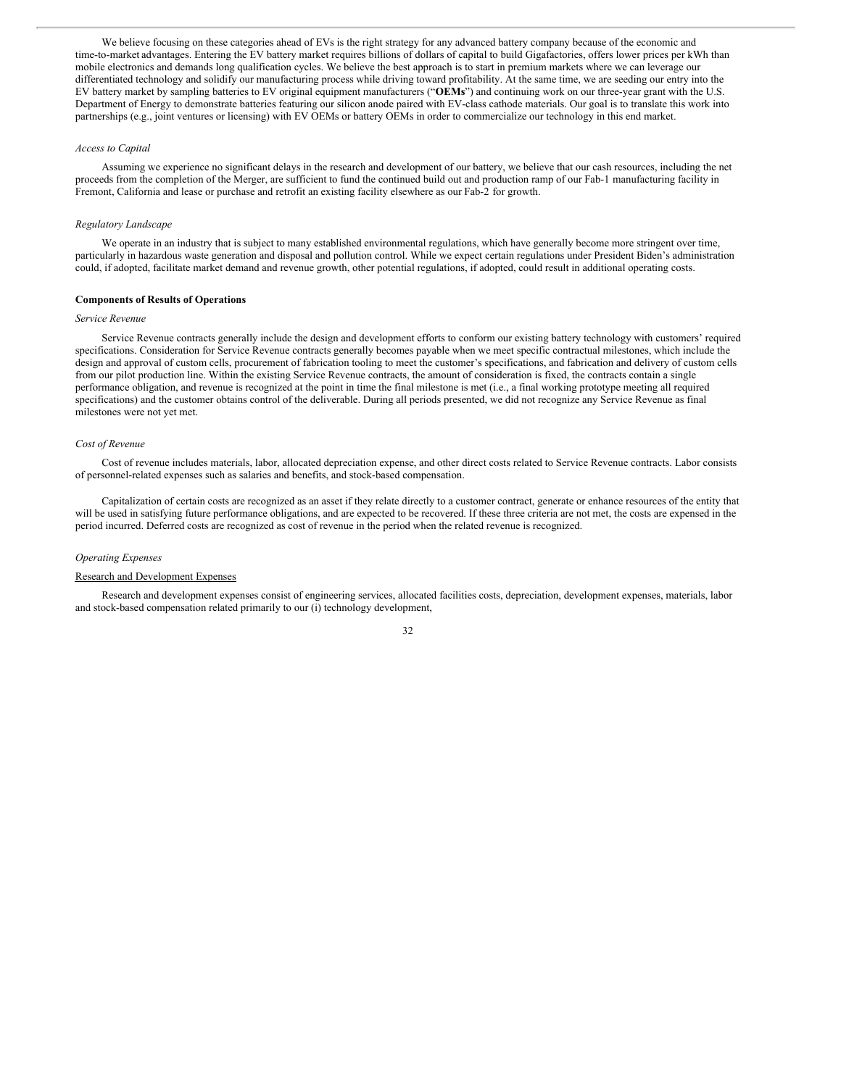We believe focusing on these categories ahead of EVs is the right strategy for any advanced battery company because of the economic and time-to-market advantages. Entering the EV battery market requires billions of dollars of capital to build Gigafactories, offers lower prices per kWh than mobile electronics and demands long qualification cycles. We believe the best approach is to start in premium markets where we can leverage our differentiated technology and solidify our manufacturing process while driving toward profitability. At the same time, we are seeding our entry into the EV battery market by sampling batteries to EV original equipment manufacturers ("**OEMs**") and continuing work on our three-year grant with the U.S. Department of Energy to demonstrate batteries featuring our silicon anode paired with EV-class cathode materials. Our goal is to translate this work into partnerships (e.g., joint ventures or licensing) with EV OEMs or battery OEMs in order to commercialize our technology in this end market.

# *Access to Capital*

Assuming we experience no significant delays in the research and development of our battery, we believe that our cash resources, including the net proceeds from the completion of the Merger, are sufficient to fund the continued build out and production ramp of our Fab-1 manufacturing facility in Fremont, California and lease or purchase and retrofit an existing facility elsewhere as our Fab-2 for growth.

### *Regulatory Landscape*

We operate in an industry that is subject to many established environmental regulations, which have generally become more stringent over time, particularly in hazardous waste generation and disposal and pollution control. While we expect certain regulations under President Biden's administration could, if adopted, facilitate market demand and revenue growth, other potential regulations, if adopted, could result in additional operating costs.

# **Components of Results of Operations**

### *Service Revenue*

Service Revenue contracts generally include the design and development efforts to conform our existing battery technology with customers' required specifications. Consideration for Service Revenue contracts generally becomes payable when we meet specific contractual milestones, which include the design and approval of custom cells, procurement of fabrication tooling to meet the customer's specifications, and fabrication and delivery of custom cells from our pilot production line. Within the existing Service Revenue contracts, the amount of consideration is fixed, the contracts contain a single performance obligation, and revenue is recognized at the point in time the final milestone is met (i.e., a final working prototype meeting all required specifications) and the customer obtains control of the deliverable. During all periods presented, we did not recognize any Service Revenue as final milestones were not yet met.

### *Cost of Revenue*

Cost of revenue includes materials, labor, allocated depreciation expense, and other direct costs related to Service Revenue contracts. Labor consists of personnel-related expenses such as salaries and benefits, and stock-based compensation.

Capitalization of certain costs are recognized as an asset if they relate directly to a customer contract, generate or enhance resources of the entity that will be used in satisfying future performance obligations, and are expected to be recovered. If these three criteria are not met, the costs are expensed in the period incurred. Deferred costs are recognized as cost of revenue in the period when the related revenue is recognized.

## *Operating Expenses*

### Research and Development Expenses

Research and development expenses consist of engineering services, allocated facilities costs, depreciation, development expenses, materials, labor and stock-based compensation related primarily to our (i) technology development,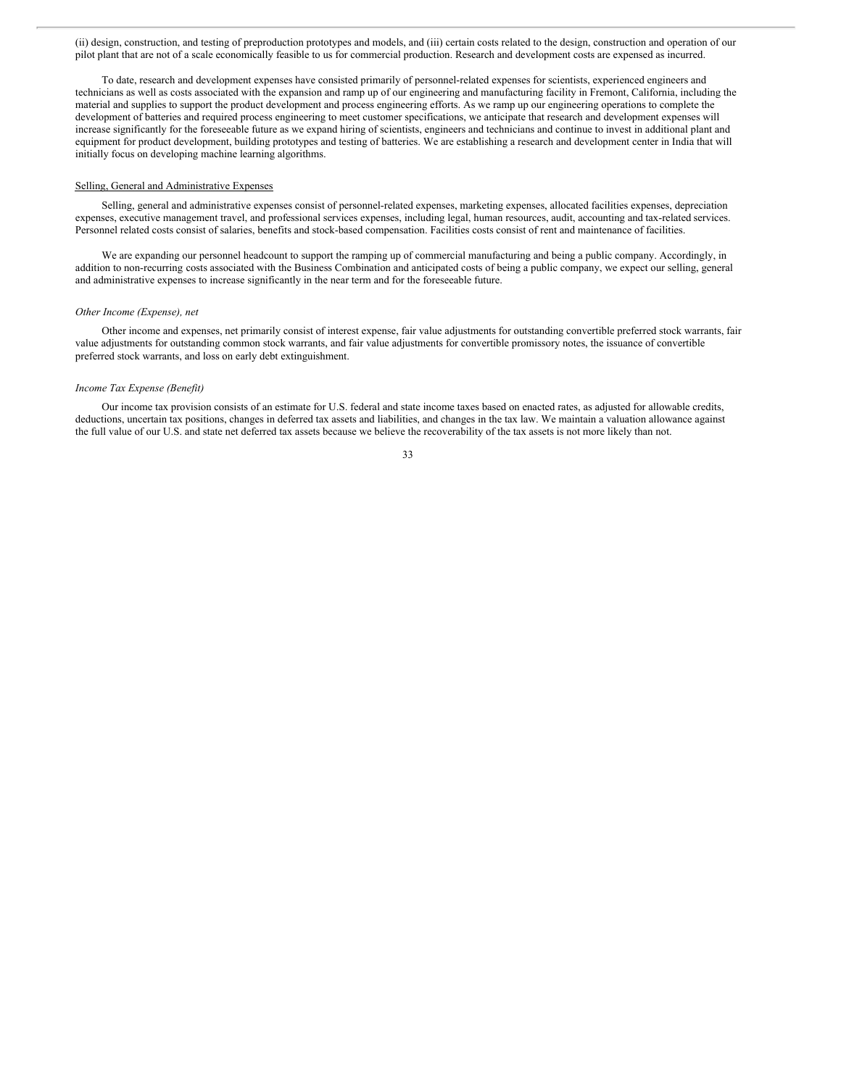(ii) design, construction, and testing of preproduction prototypes and models, and (iii) certain costs related to the design, construction and operation of our pilot plant that are not of a scale economically feasible to us for commercial production. Research and development costs are expensed as incurred.

To date, research and development expenses have consisted primarily of personnel-related expenses for scientists, experienced engineers and technicians as well as costs associated with the expansion and ramp up of our engineering and manufacturing facility in Fremont, California, including the material and supplies to support the product development and process engineering efforts. As we ramp up our engineering operations to complete the development of batteries and required process engineering to meet customer specifications, we anticipate that research and development expenses will increase significantly for the foreseeable future as we expand hiring of scientists, engineers and technicians and continue to invest in additional plant and equipment for product development, building prototypes and testing of batteries. We are establishing a research and development center in India that will initially focus on developing machine learning algorithms.

### Selling, General and Administrative Expenses

Selling, general and administrative expenses consist of personnel-related expenses, marketing expenses, allocated facilities expenses, depreciation expenses, executive management travel, and professional services expenses, including legal, human resources, audit, accounting and tax-related services. Personnel related costs consist of salaries, benefits and stock-based compensation. Facilities costs consist of rent and maintenance of facilities.

We are expanding our personnel headcount to support the ramping up of commercial manufacturing and being a public company. Accordingly, in addition to non-recurring costs associated with the Business Combination and anticipated costs of being a public company, we expect our selling, general and administrative expenses to increase significantly in the near term and for the foreseeable future.

### *Other Income (Expense), net*

Other income and expenses, net primarily consist of interest expense, fair value adjustments for outstanding convertible preferred stock warrants, fair value adjustments for outstanding common stock warrants, and fair value adjustments for convertible promissory notes, the issuance of convertible preferred stock warrants, and loss on early debt extinguishment.

#### *Income Tax Expense (Benefit)*

Our income tax provision consists of an estimate for U.S. federal and state income taxes based on enacted rates, as adjusted for allowable credits, deductions, uncertain tax positions, changes in deferred tax assets and liabilities, and changes in the tax law. We maintain a valuation allowance against the full value of our U.S. and state net deferred tax assets because we believe the recoverability of the tax assets is not more likely than not.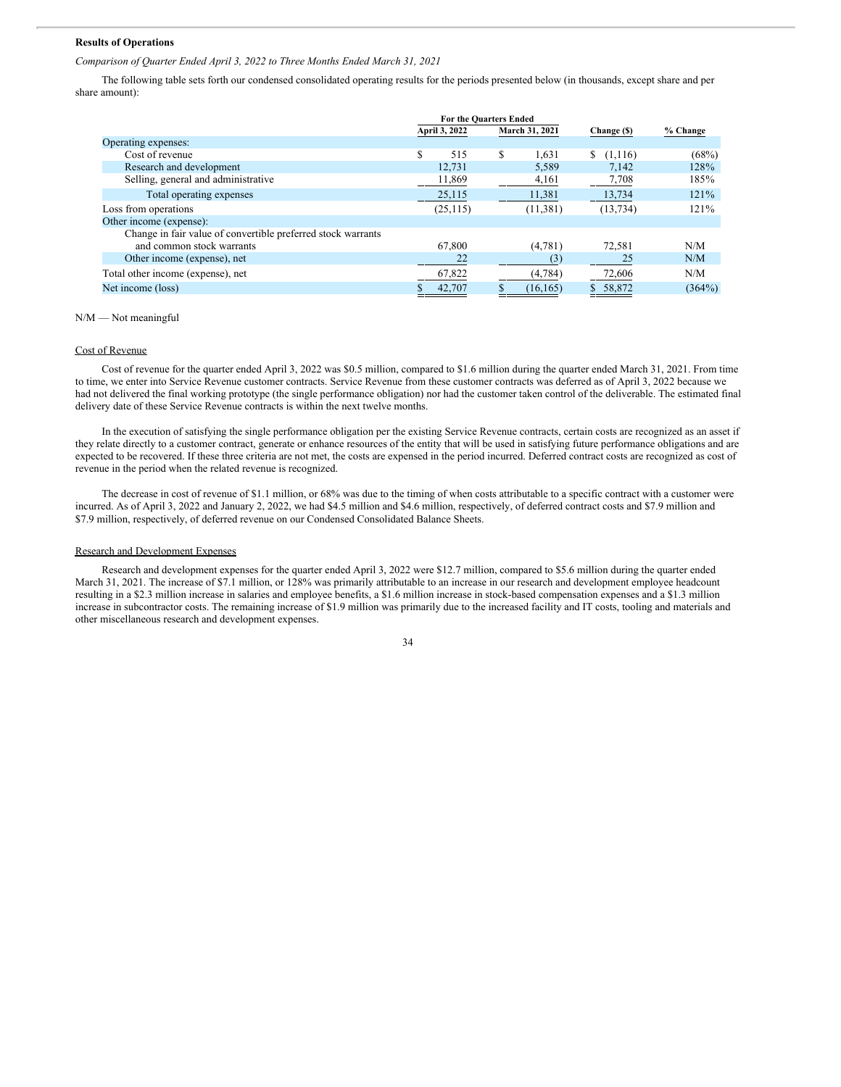## **Results of Operations**

*Comparison of Quarter Ended April 3, 2022 to Three Months Ended March 31, 2021*

The following table sets forth our condensed consolidated operating results for the periods presented below (in thousands, except share and per share amount):

|                                                              |   | For the Quarters Ended |   |                |               |          |
|--------------------------------------------------------------|---|------------------------|---|----------------|---------------|----------|
|                                                              |   | April 3, 2022          |   | March 31, 2021 | Change (\$)   | % Change |
| Operating expenses:                                          |   |                        |   |                |               |          |
| Cost of revenue                                              | S | 515                    | S | 1,631          | \$<br>(1,116) | (68%)    |
| Research and development                                     |   | 12.731                 |   | 5.589          | 7.142         | 128%     |
| Selling, general and administrative                          |   | 11,869                 |   | 4,161          | 7,708         | 185%     |
| Total operating expenses                                     |   | 25,115                 |   | 11,381         | 13,734        | 121%     |
| Loss from operations                                         |   | (25, 115)              |   | (11, 381)      | (13, 734)     | 121%     |
| Other income (expense):                                      |   |                        |   |                |               |          |
| Change in fair value of convertible preferred stock warrants |   |                        |   |                |               |          |
| and common stock warrants                                    |   | 67,800                 |   | (4,781)        | 72.581        | N/M      |
| Other income (expense), net                                  |   | 22                     |   | (3)            | 25            | N/M      |
| Total other income (expense), net                            |   | 67,822                 |   | (4,784)        | 72,606        | N/M      |
| Net income (loss)                                            |   | 42,707                 |   | (16, 165)      | 58,872        | (364%)   |

## N/M — Not meaningful

### Cost of Revenue

Cost of revenue for the quarter ended April 3, 2022 was \$0.5 million, compared to \$1.6 million during the quarter ended March 31, 2021. From time to time, we enter into Service Revenue customer contracts. Service Revenue from these customer contracts was deferred as of April 3, 2022 because we had not delivered the final working prototype (the single performance obligation) nor had the customer taken control of the deliverable. The estimated final delivery date of these Service Revenue contracts is within the next twelve months.

In the execution of satisfying the single performance obligation per the existing Service Revenue contracts, certain costs are recognized as an asset if they relate directly to a customer contract, generate or enhance resources of the entity that will be used in satisfying future performance obligations and are expected to be recovered. If these three criteria are not met, the costs are expensed in the period incurred. Deferred contract costs are recognized as cost of revenue in the period when the related revenue is recognized.

The decrease in cost of revenue of \$1.1 million, or 68% was due to the timing of when costs attributable to a specific contract with a customer were incurred. As of April 3, 2022 and January 2, 2022, we had \$4.5 million and \$4.6 million, respectively, of deferred contract costs and \$7.9 million and \$7.9 million, respectively, of deferred revenue on our Condensed Consolidated Balance Sheets.

### Research and Development Expenses

Research and development expenses for the quarter ended April 3, 2022 were \$12.7 million, compared to \$5.6 million during the quarter ended March 31, 2021. The increase of \$7.1 million, or 128% was primarily attributable to an increase in our research and development employee headcount resulting in a \$2.3 million increase in salaries and employee benefits, a \$1.6 million increase in stock-based compensation expenses and a \$1.3 million increase in subcontractor costs. The remaining increase of \$1.9 million was primarily due to the increased facility and IT costs, tooling and materials and other miscellaneous research and development expenses.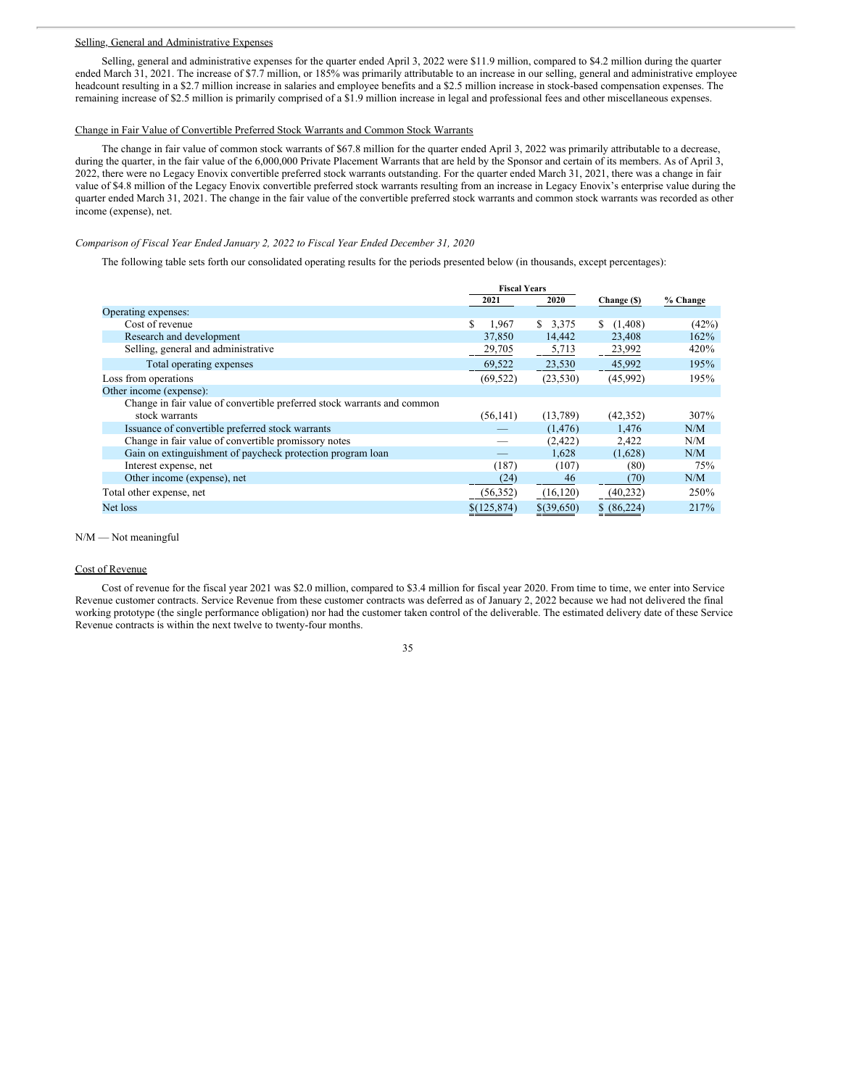### Selling, General and Administrative Expenses

Selling, general and administrative expenses for the quarter ended April 3, 2022 were \$11.9 million, compared to \$4.2 million during the quarter ended March 31, 2021. The increase of \$7.7 million, or 185% was primarily attributable to an increase in our selling, general and administrative employee headcount resulting in a \$2.7 million increase in salaries and employee benefits and a \$2.5 million increase in stock-based compensation expenses. The remaining increase of \$2.5 million is primarily comprised of a \$1.9 million increase in legal and professional fees and other miscellaneous expenses.

### Change in Fair Value of Convertible Preferred Stock Warrants and Common Stock Warrants

The change in fair value of common stock warrants of \$67.8 million for the quarter ended April 3, 2022 was primarily attributable to a decrease, during the quarter, in the fair value of the 6,000,000 Private Placement Warrants that are held by the Sponsor and certain of its members. As of April 3, 2022, there were no Legacy Enovix convertible preferred stock warrants outstanding. For the quarter ended March 31, 2021, there was a change in fair value of \$4.8 million of the Legacy Enovix convertible preferred stock warrants resulting from an increase in Legacy Enovix's enterprise value during the quarter ended March 31, 2021. The change in the fair value of the convertible preferred stock warrants and common stock warrants was recorded as other income (expense), net.

# *Comparison of Fiscal Year Ended January 2, 2022 to Fiscal Year Ended December 31, 2020*

The following table sets forth our consolidated operating results for the periods presented below (in thousands, except percentages):

|                                                                         | <b>Fiscal Years</b> |             |               |          |
|-------------------------------------------------------------------------|---------------------|-------------|---------------|----------|
|                                                                         | 2021                | 2020        | Change (\$)   | % Change |
| Operating expenses:                                                     |                     |             |               |          |
| Cost of revenue                                                         | S.<br>1.967         | 3,375<br>S. | S.<br>(1,408) | (42%)    |
| Research and development                                                | 37,850              | 14,442      | 23,408        | 162%     |
| Selling, general and administrative                                     | 29,705              | 5,713       | 23,992        | 420%     |
| Total operating expenses                                                | 69,522              | 23,530      | 45,992        | 195%     |
| Loss from operations                                                    | (69, 522)           | (23, 530)   | (45,992)      | 195%     |
| Other income (expense):                                                 |                     |             |               |          |
| Change in fair value of convertible preferred stock warrants and common |                     |             |               |          |
| stock warrants                                                          | (56, 141)           | (13,789)    | (42, 352)     | 307%     |
| Issuance of convertible preferred stock warrants                        |                     | (1, 476)    | 1,476         | N/M      |
| Change in fair value of convertible promissory notes                    |                     | (2, 422)    | 2,422         | N/M      |
| Gain on extinguishment of paycheck protection program loan              |                     | 1,628       | (1,628)       | N/M      |
| Interest expense, net                                                   | (187)               | (107)       | (80)          | 75%      |
| Other income (expense), net                                             | (24)                | 46          | (70)          | N/M      |
| Total other expense, net                                                | (56, 352)           | (16, 120)   | (40, 232)     | 250%     |
| Net loss                                                                | \$(125, 874)        | \$(39,650)  | \$ (86,224)   | 217%     |

### N/M — Not meaningful

### Cost of Revenue

Cost of revenue for the fiscal year 2021 was \$2.0 million, compared to \$3.4 million for fiscal year 2020. From time to time, we enter into Service Revenue customer contracts. Service Revenue from these customer contracts was deferred as of January 2, 2022 because we had not delivered the final working prototype (the single performance obligation) nor had the customer taken control of the deliverable. The estimated delivery date of these Service Revenue contracts is within the next twelve to twenty-four months.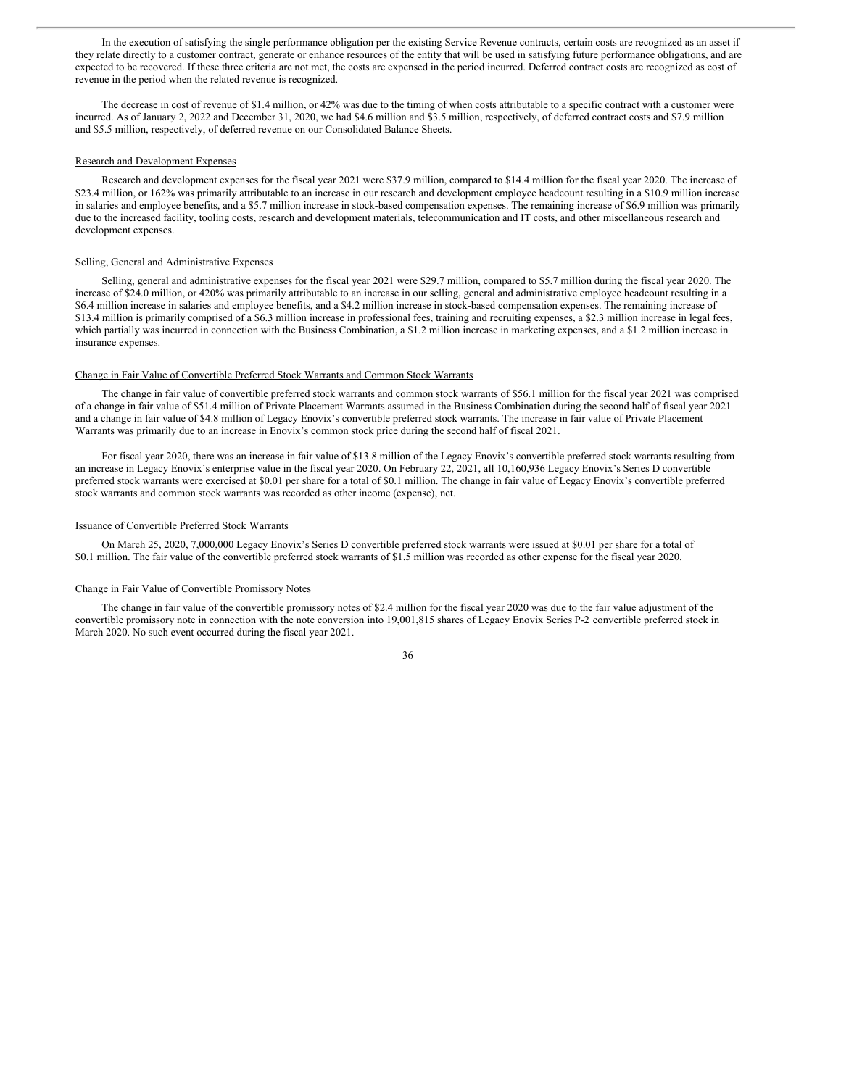In the execution of satisfying the single performance obligation per the existing Service Revenue contracts, certain costs are recognized as an asset if they relate directly to a customer contract, generate or enhance resources of the entity that will be used in satisfying future performance obligations, and are expected to be recovered. If these three criteria are not met, the costs are expensed in the period incurred. Deferred contract costs are recognized as cost of revenue in the period when the related revenue is recognized.

The decrease in cost of revenue of \$1.4 million, or 42% was due to the timing of when costs attributable to a specific contract with a customer were incurred. As of January 2, 2022 and December 31, 2020, we had \$4.6 million and \$3.5 million, respectively, of deferred contract costs and \$7.9 million and \$5.5 million, respectively, of deferred revenue on our Consolidated Balance Sheets.

#### Research and Development Expenses

Research and development expenses for the fiscal year 2021 were \$37.9 million, compared to \$14.4 million for the fiscal year 2020. The increase of \$23.4 million, or 162% was primarily attributable to an increase in our research and development employee headcount resulting in a \$10.9 million increase in salaries and employee benefits, and a \$5.7 million increase in stock-based compensation expenses. The remaining increase of \$6.9 million was primarily due to the increased facility, tooling costs, research and development materials, telecommunication and IT costs, and other miscellaneous research and development expenses.

### Selling, General and Administrative Expenses

Selling, general and administrative expenses for the fiscal year 2021 were \$29.7 million, compared to \$5.7 million during the fiscal year 2020. The increase of \$24.0 million, or 420% was primarily attributable to an increase in our selling, general and administrative employee headcount resulting in a \$6.4 million increase in salaries and employee benefits, and a \$4.2 million increase in stock-based compensation expenses. The remaining increase of \$13.4 million is primarily comprised of a \$6.3 million increase in professional fees, training and recruiting expenses, a \$2.3 million increase in legal fees, which partially was incurred in connection with the Business Combination, a \$1.2 million increase in marketing expenses, and a \$1.2 million increase in insurance expenses.

### Change in Fair Value of Convertible Preferred Stock Warrants and Common Stock Warrants

The change in fair value of convertible preferred stock warrants and common stock warrants of \$56.1 million for the fiscal year 2021 was comprised of a change in fair value of \$51.4 million of Private Placement Warrants assumed in the Business Combination during the second half of fiscal year 2021 and a change in fair value of \$4.8 million of Legacy Enovix's convertible preferred stock warrants. The increase in fair value of Private Placement Warrants was primarily due to an increase in Enovix's common stock price during the second half of fiscal 2021.

For fiscal year 2020, there was an increase in fair value of \$13.8 million of the Legacy Enovix's convertible preferred stock warrants resulting from an increase in Legacy Enovix's enterprise value in the fiscal year 2020. On February 22, 2021, all 10,160,936 Legacy Enovix's Series D convertible preferred stock warrants were exercised at \$0.01 per share for a total of \$0.1 million. The change in fair value of Legacy Enovix's convertible preferred stock warrants and common stock warrants was recorded as other income (expense), net.

## Issuance of Convertible Preferred Stock Warrants

On March 25, 2020, 7,000,000 Legacy Enovix's Series D convertible preferred stock warrants were issued at \$0.01 per share for a total of \$0.1 million. The fair value of the convertible preferred stock warrants of \$1.5 million was recorded as other expense for the fiscal year 2020.

### Change in Fair Value of Convertible Promissory Notes

The change in fair value of the convertible promissory notes of \$2.4 million for the fiscal year 2020 was due to the fair value adjustment of the convertible promissory note in connection with the note conversion into 19,001,815 shares of Legacy Enovix Series P-2 convertible preferred stock in March 2020. No such event occurred during the fiscal year 2021.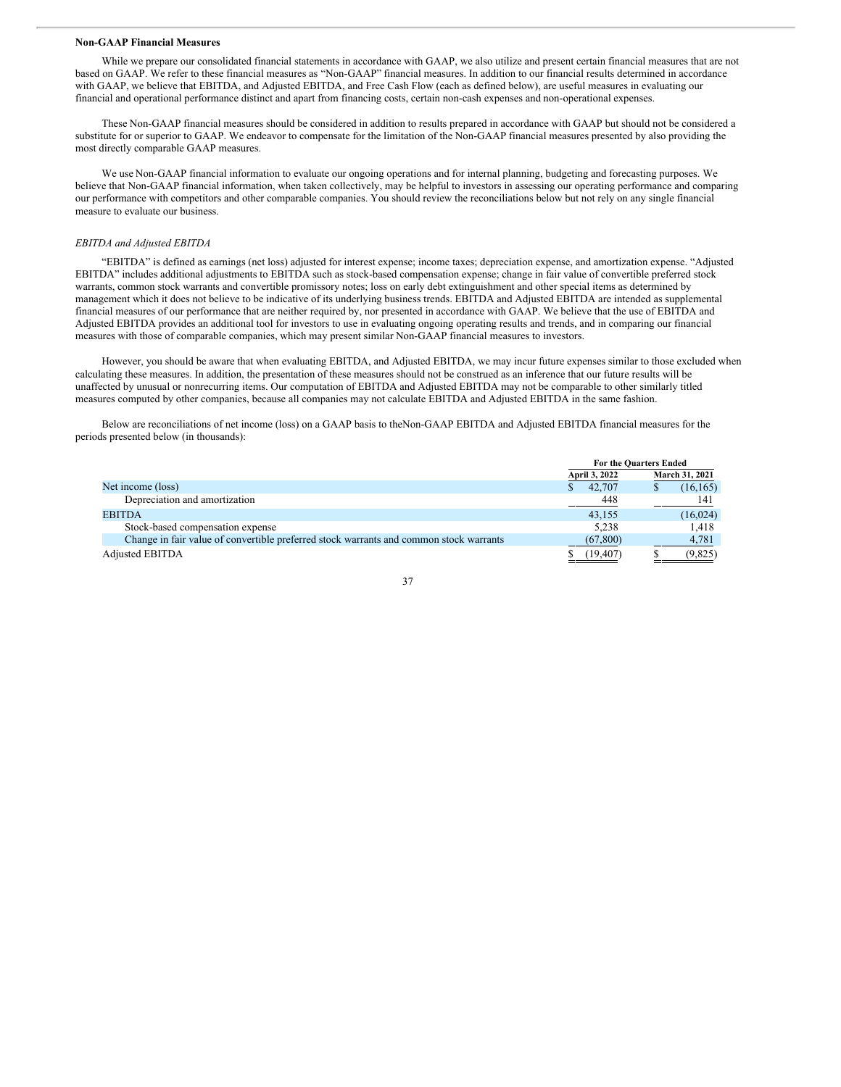#### **Non-GAAP Financial Measures**

While we prepare our consolidated financial statements in accordance with GAAP, we also utilize and present certain financial measures that are not based on GAAP. We refer to these financial measures as "Non-GAAP" financial measures. In addition to our financial results determined in accordance with GAAP, we believe that EBITDA, and Adjusted EBITDA, and Free Cash Flow (each as defined below), are useful measures in evaluating our financial and operational performance distinct and apart from financing costs, certain non-cash expenses and non-operational expenses.

These Non-GAAP financial measures should be considered in addition to results prepared in accordance with GAAP but should not be considered a substitute for or superior to GAAP. We endeavor to compensate for the limitation of the Non-GAAP financial measures presented by also providing the most directly comparable GAAP measures.

We use Non-GAAP financial information to evaluate our ongoing operations and for internal planning, budgeting and forecasting purposes. We believe that Non-GAAP financial information, when taken collectively, may be helpful to investors in assessing our operating performance and comparing our performance with competitors and other comparable companies. You should review the reconciliations below but not rely on any single financial measure to evaluate our business.

## *EBITDA and Adjusted EBITDA*

"EBITDA" is defined as earnings (net loss) adjusted for interest expense; income taxes; depreciation expense, and amortization expense. "Adjusted EBITDA" includes additional adjustments to EBITDA such as stock-based compensation expense; change in fair value of convertible preferred stock warrants, common stock warrants and convertible promissory notes; loss on early debt extinguishment and other special items as determined by management which it does not believe to be indicative of its underlying business trends. EBITDA and Adjusted EBITDA are intended as supplemental financial measures of our performance that are neither required by, nor presented in accordance with GAAP. We believe that the use of EBITDA and Adjusted EBITDA provides an additional tool for investors to use in evaluating ongoing operating results and trends, and in comparing our financial measures with those of comparable companies, which may present similar Non-GAAP financial measures to investors.

However, you should be aware that when evaluating EBITDA, and Adjusted EBITDA, we may incur future expenses similar to those excluded when calculating these measures. In addition, the presentation of these measures should not be construed as an inference that our future results will be unaffected by unusual or nonrecurring items. Our computation of EBITDA and Adjusted EBITDA may not be comparable to other similarly titled measures computed by other companies, because all companies may not calculate EBITDA and Adjusted EBITDA in the same fashion.

Below are reconciliations of net income (loss) on a GAAP basis to theNon-GAAP EBITDA and Adjusted EBITDA financial measures for the periods presented below (in thousands):

|                                                                                        | For the Quarters Ended |                |
|----------------------------------------------------------------------------------------|------------------------|----------------|
|                                                                                        | April 3, 2022          | March 31, 2021 |
| Net income (loss)                                                                      | 42,707                 | (16, 165)      |
| Depreciation and amortization                                                          | 448                    | 141            |
| <b>EBITDA</b>                                                                          | 43.155                 | (16, 024)      |
| Stock-based compensation expense                                                       | 5.238                  | 1.418          |
| Change in fair value of convertible preferred stock warrants and common stock warrants | (67,800)               | 4,781          |
| <b>Adjusted EBITDA</b>                                                                 | (19, 407)              | (9,825)        |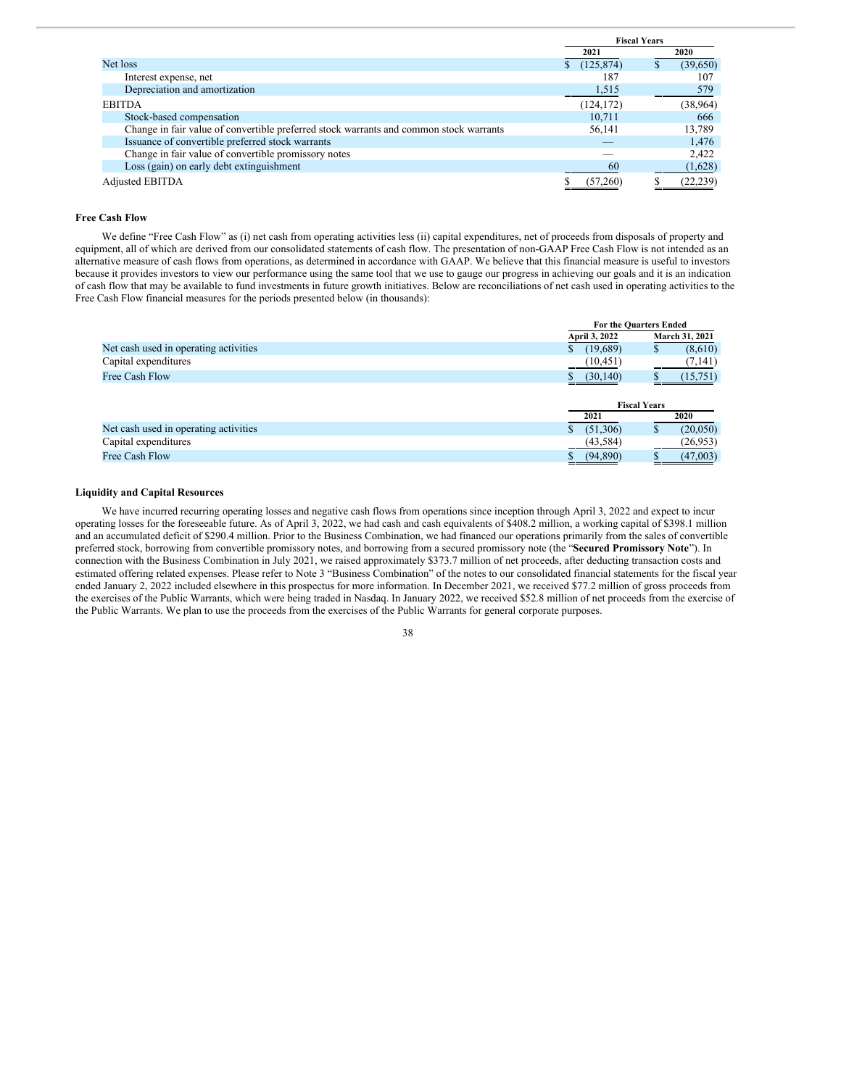|                                                                                        | <b>Fiscal Years</b> |            |  |           |
|----------------------------------------------------------------------------------------|---------------------|------------|--|-----------|
|                                                                                        |                     | 2021       |  | 2020      |
| Net loss                                                                               |                     | (125, 874) |  | (39,650)  |
| Interest expense, net                                                                  |                     | 187        |  | 107       |
| Depreciation and amortization                                                          |                     | 1,515      |  | 579       |
| <b>EBITDA</b>                                                                          |                     | (124, 172) |  | (38, 964) |
| Stock-based compensation                                                               |                     | 10.711     |  | 666       |
| Change in fair value of convertible preferred stock warrants and common stock warrants |                     | 56.141     |  | 13,789    |
| Issuance of convertible preferred stock warrants                                       |                     |            |  | 1.476     |
| Change in fair value of convertible promissory notes                                   |                     |            |  | 2.422     |
| Loss (gain) on early debt extinguishment                                               |                     | 60         |  | (1,628)   |
| <b>Adjusted EBITDA</b>                                                                 |                     | (57.260)   |  | (22, 239) |

# **Free Cash Flow**

We define "Free Cash Flow" as (i) net cash from operating activities less (ii) capital expenditures, net of proceeds from disposals of property and equipment, all of which are derived from our consolidated statements of cash flow. The presentation of non-GAAP Free Cash Flow is not intended as an alternative measure of cash flows from operations, as determined in accordance with GAAP. We believe that this financial measure is useful to investors because it provides investors to view our performance using the same tool that we use to gauge our progress in achieving our goals and it is an indication of cash flow that may be available to fund investments in future growth initiatives. Below are reconciliations of net cash used in operating activities to the Free Cash Flow financial measures for the periods presented below (in thousands):

|                                       |               | For the Quarters Ended |  |  |
|---------------------------------------|---------------|------------------------|--|--|
|                                       | April 3, 2022 | March 31, 2021         |  |  |
| Net cash used in operating activities | (19,689)<br>Ф | (8,610)<br>Ф           |  |  |
| Capital expenditures                  | (10, 451)     | (7, 141)               |  |  |
| Free Cash Flow                        | (30, 140)     | (15,751)               |  |  |
|                                       |               |                        |  |  |
|                                       |               | <b>Fiscal Years</b>    |  |  |
|                                       | 2021          | 2020                   |  |  |
| Net cash used in operating activities | (51,306)      | (20,050)<br>a.         |  |  |
| Capital expenditures                  | (43, 584)     | (26,953)               |  |  |
| Free Cash Flow                        | (94,890)<br>S | (47,003)               |  |  |

# **Liquidity and Capital Resources**

We have incurred recurring operating losses and negative cash flows from operations since inception through April 3, 2022 and expect to incur operating losses for the foreseeable future. As of April 3, 2022, we had cash and cash equivalents of \$408.2 million, a working capital of \$398.1 million and an accumulated deficit of \$290.4 million. Prior to the Business Combination, we had financed our operations primarily from the sales of convertible preferred stock, borrowing from convertible promissory notes, and borrowing from a secured promissory note (the "**Secured Promissory Note**"). In connection with the Business Combination in July 2021, we raised approximately \$373.7 million of net proceeds, after deducting transaction costs and estimated offering related expenses. Please refer to Note 3 "Business Combination" of the notes to our consolidated financial statements for the fiscal year ended January 2, 2022 included elsewhere in this prospectus for more information. In December 2021, we received \$77.2 million of gross proceeds from the exercises of the Public Warrants, which were being traded in Nasdaq. In January 2022, we received \$52.8 million of net proceeds from the exercise of the Public Warrants. We plan to use the proceeds from the exercises of the Public Warrants for general corporate purposes.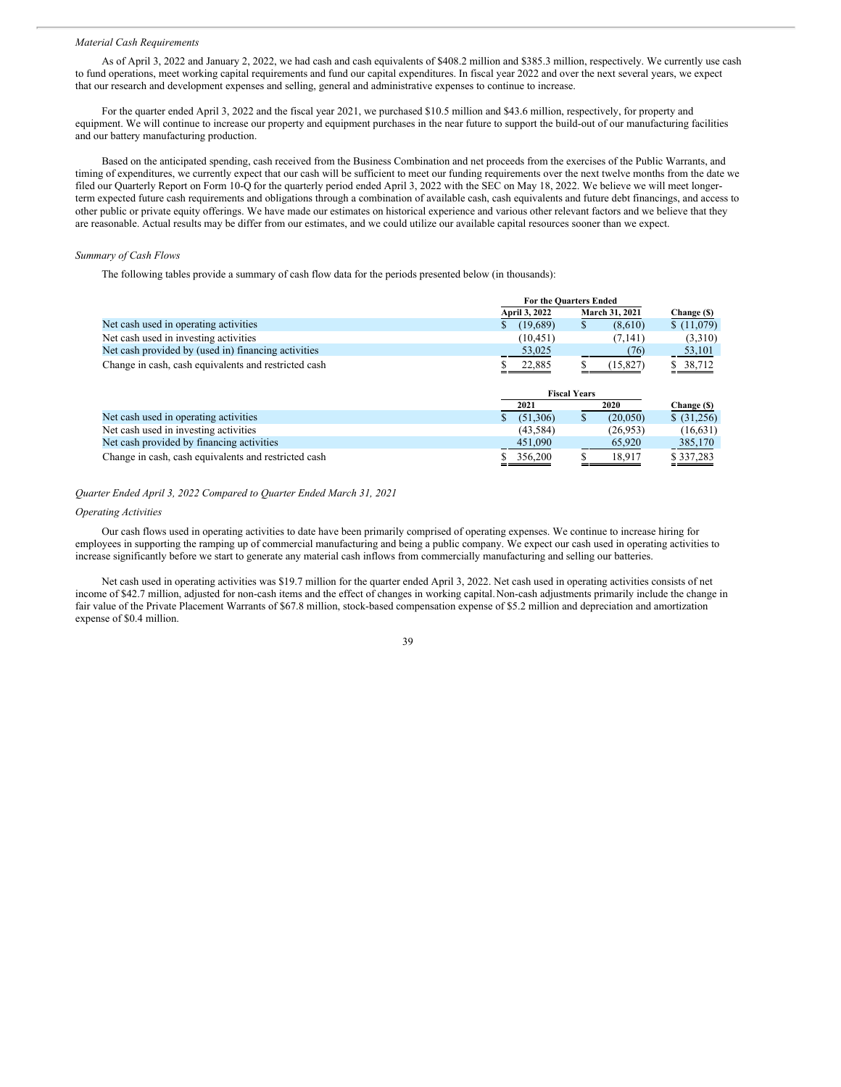### *Material Cash Requirements*

As of April 3, 2022 and January 2, 2022, we had cash and cash equivalents of \$408.2 million and \$385.3 million, respectively. We currently use cash to fund operations, meet working capital requirements and fund our capital expenditures. In fiscal year 2022 and over the next several years, we expect that our research and development expenses and selling, general and administrative expenses to continue to increase.

For the quarter ended April 3, 2022 and the fiscal year 2021, we purchased \$10.5 million and \$43.6 million, respectively, for property and equipment. We will continue to increase our property and equipment purchases in the near future to support the build-out of our manufacturing facilities and our battery manufacturing production.

Based on the anticipated spending, cash received from the Business Combination and net proceeds from the exercises of the Public Warrants, and timing of expenditures, we currently expect that our cash will be sufficient to meet our funding requirements over the next twelve months from the date we filed our Quarterly Report on Form 10-Q for the quarterly period ended April 3, 2022 with the SEC on May 18, 2022. We believe we will meet longerterm expected future cash requirements and obligations through a combination of available cash, cash equivalents and future debt financings, and access to other public or private equity offerings. We have made our estimates on historical experience and various other relevant factors and we believe that they are reasonable. Actual results may be differ from our estimates, and we could utilize our available capital resources sooner than we expect.

### *Summary of Cash Flows*

The following tables provide a summary of cash flow data for the periods presented below (in thousands):

|                                                      | For the Quarters Ended |                         |             |
|------------------------------------------------------|------------------------|-------------------------|-------------|
|                                                      | April 3, 2022          | March 31, 2021          | Change (\$) |
| Net cash used in operating activities                | (19,689)               | $\mathbf{s}$<br>(8,610) | (11,079)    |
| Net cash used in investing activities                | (10, 451)              | (7, 141)                | (3,310)     |
| Net cash provided by (used in) financing activities  | 53,025                 | (76)                    | 53,101      |
| Change in cash, cash equivalents and restricted cash | 22,885                 | (15, 827)               | \$ 38,712   |
|                                                      |                        | <b>Fiscal Years</b>     |             |
|                                                      | 2021                   | 2020                    | Change (\$) |
|                                                      |                        |                         |             |
| Net cash used in operating activities                | (51, 306)              | (20,050)<br>\$          | \$ (31,256) |
| Net cash used in investing activities                | (43, 584)              | (26, 953)               | (16, 631)   |
| Net cash provided by financing activities            | 451,090                | 65,920                  | 385,170     |

# *Quarter Ended April 3, 2022 Compared to Quarter Ended March 31, 2021*

## *Operating Activities*

Our cash flows used in operating activities to date have been primarily comprised of operating expenses. We continue to increase hiring for employees in supporting the ramping up of commercial manufacturing and being a public company. We expect our cash used in operating activities to increase significantly before we start to generate any material cash inflows from commercially manufacturing and selling our batteries.

Net cash used in operating activities was \$19.7 million for the quarter ended April 3, 2022. Net cash used in operating activities consists of net income of \$42.7 million, adjusted for non-cash items and the effect of changes in working capital.Non-cash adjustments primarily include the change in fair value of the Private Placement Warrants of \$67.8 million, stock-based compensation expense of \$5.2 million and depreciation and amortization expense of \$0.4 million.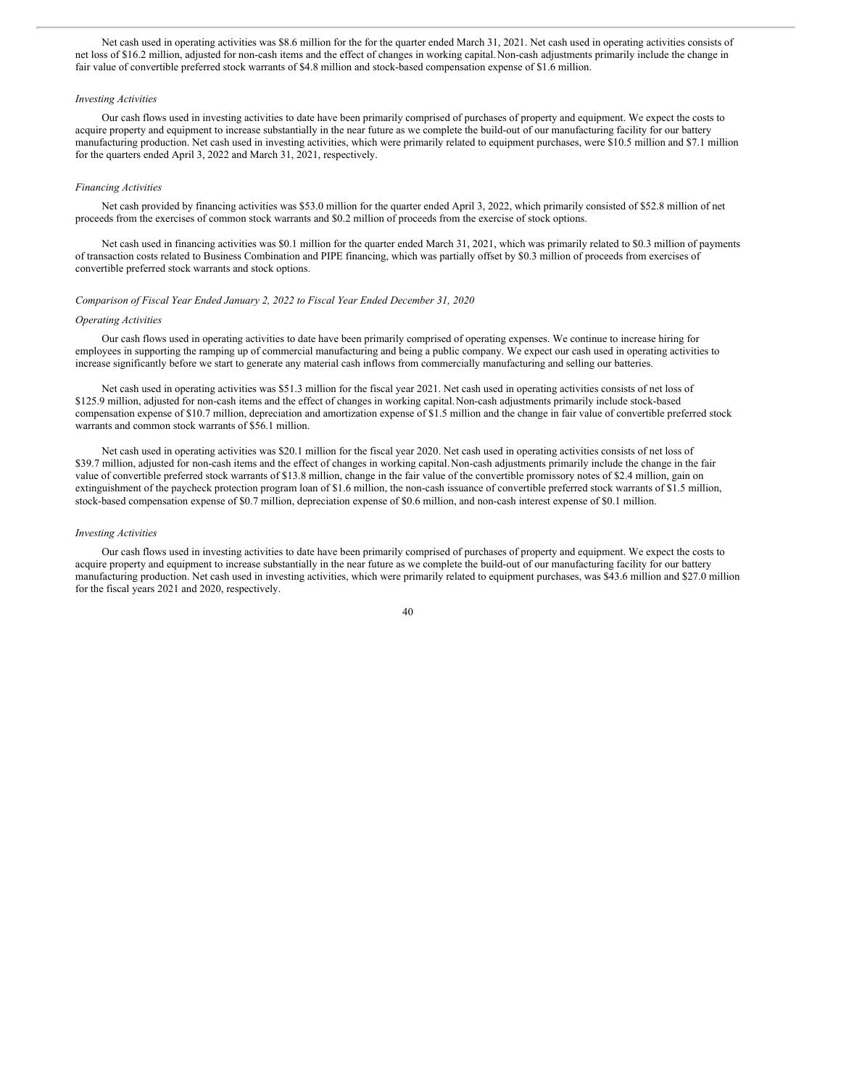Net cash used in operating activities was \$8.6 million for the for the quarter ended March 31, 2021. Net cash used in operating activities consists of net loss of \$16.2 million, adjusted for non-cash items and the effect of changes in working capital.Non-cash adjustments primarily include the change in fair value of convertible preferred stock warrants of \$4.8 million and stock-based compensation expense of \$1.6 million.

### *Investing Activities*

Our cash flows used in investing activities to date have been primarily comprised of purchases of property and equipment. We expect the costs to acquire property and equipment to increase substantially in the near future as we complete the build-out of our manufacturing facility for our battery manufacturing production. Net cash used in investing activities, which were primarily related to equipment purchases, were \$10.5 million and \$7.1 million for the quarters ended April 3, 2022 and March 31, 2021, respectively.

### *Financing Activities*

Net cash provided by financing activities was \$53.0 million for the quarter ended April 3, 2022, which primarily consisted of \$52.8 million of net proceeds from the exercises of common stock warrants and \$0.2 million of proceeds from the exercise of stock options.

Net cash used in financing activities was \$0.1 million for the quarter ended March 31, 2021, which was primarily related to \$0.3 million of payments of transaction costs related to Business Combination and PIPE financing, which was partially offset by \$0.3 million of proceeds from exercises of convertible preferred stock warrants and stock options.

## *Comparison of Fiscal Year Ended January 2, 2022 to Fiscal Year Ended December 31, 2020*

## *Operating Activities*

Our cash flows used in operating activities to date have been primarily comprised of operating expenses. We continue to increase hiring for employees in supporting the ramping up of commercial manufacturing and being a public company. We expect our cash used in operating activities to increase significantly before we start to generate any material cash inflows from commercially manufacturing and selling our batteries.

Net cash used in operating activities was \$51.3 million for the fiscal year 2021. Net cash used in operating activities consists of net loss of \$125.9 million, adjusted for non-cash items and the effect of changes in working capital.Non-cash adjustments primarily include stock-based compensation expense of \$10.7 million, depreciation and amortization expense of \$1.5 million and the change in fair value of convertible preferred stock warrants and common stock warrants of \$56.1 million.

Net cash used in operating activities was \$20.1 million for the fiscal year 2020. Net cash used in operating activities consists of net loss of \$39.7 million, adjusted for non-cash items and the effect of changes in working capital. Non-cash adjustments primarily include the change in the fair value of convertible preferred stock warrants of \$13.8 million, change in the fair value of the convertible promissory notes of \$2.4 million, gain on extinguishment of the paycheck protection program loan of \$1.6 million, the non-cash issuance of convertible preferred stock warrants of \$1.5 million, stock-based compensation expense of \$0.7 million, depreciation expense of \$0.6 million, and non-cash interest expense of \$0.1 million.

#### *Investing Activities*

Our cash flows used in investing activities to date have been primarily comprised of purchases of property and equipment. We expect the costs to acquire property and equipment to increase substantially in the near future as we complete the build-out of our manufacturing facility for our battery manufacturing production. Net cash used in investing activities, which were primarily related to equipment purchases, was \$43.6 million and \$27.0 million for the fiscal years 2021 and 2020, respectively.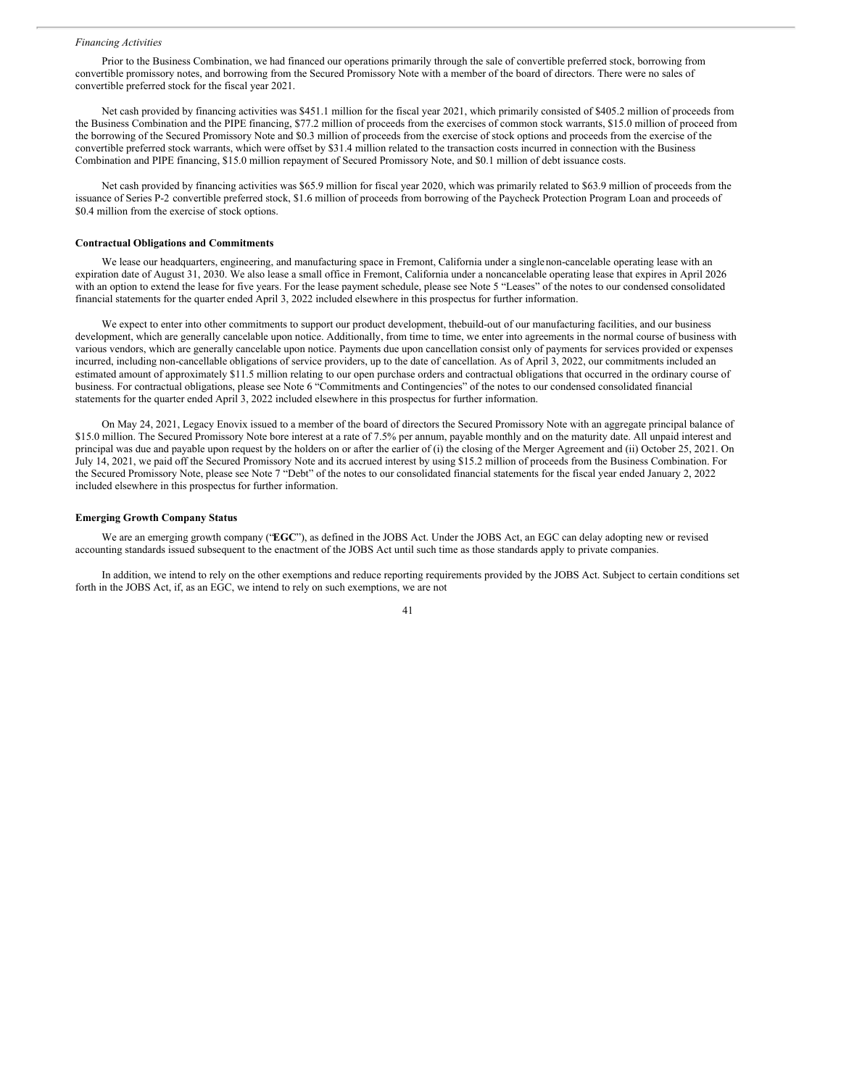### *Financing Activities*

Prior to the Business Combination, we had financed our operations primarily through the sale of convertible preferred stock, borrowing from convertible promissory notes, and borrowing from the Secured Promissory Note with a member of the board of directors. There were no sales of convertible preferred stock for the fiscal year 2021.

Net cash provided by financing activities was \$451.1 million for the fiscal year 2021, which primarily consisted of \$405.2 million of proceeds from the Business Combination and the PIPE financing, \$77.2 million of proceeds from the exercises of common stock warrants, \$15.0 million of proceed from the borrowing of the Secured Promissory Note and \$0.3 million of proceeds from the exercise of stock options and proceeds from the exercise of the convertible preferred stock warrants, which were offset by \$31.4 million related to the transaction costs incurred in connection with the Business Combination and PIPE financing, \$15.0 million repayment of Secured Promissory Note, and \$0.1 million of debt issuance costs.

Net cash provided by financing activities was \$65.9 million for fiscal year 2020, which was primarily related to \$63.9 million of proceeds from the issuance of Series P-2 convertible preferred stock, \$1.6 million of proceeds from borrowing of the Paycheck Protection Program Loan and proceeds of \$0.4 million from the exercise of stock options.

### **Contractual Obligations and Commitments**

We lease our headquarters, engineering, and manufacturing space in Fremont, California under a singlenon-cancelable operating lease with an expiration date of August 31, 2030. We also lease a small office in Fremont, California under a noncancelable operating lease that expires in April 2026 with an option to extend the lease for five years. For the lease payment schedule, please see Note 5 "Leases" of the notes to our condensed consolidated financial statements for the quarter ended April 3, 2022 included elsewhere in this prospectus for further information.

We expect to enter into other commitments to support our product development, thebuild-out of our manufacturing facilities, and our business development, which are generally cancelable upon notice. Additionally, from time to time, we enter into agreements in the normal course of business with various vendors, which are generally cancelable upon notice. Payments due upon cancellation consist only of payments for services provided or expenses incurred, including non-cancellable obligations of service providers, up to the date of cancellation. As of April 3, 2022, our commitments included an estimated amount of approximately \$11.5 million relating to our open purchase orders and contractual obligations that occurred in the ordinary course of business. For contractual obligations, please see Note 6 "Commitments and Contingencies" of the notes to our condensed consolidated financial statements for the quarter ended April 3, 2022 included elsewhere in this prospectus for further information.

On May 24, 2021, Legacy Enovix issued to a member of the board of directors the Secured Promissory Note with an aggregate principal balance of \$15.0 million. The Secured Promissory Note bore interest at a rate of 7.5% per annum, payable monthly and on the maturity date. All unpaid interest and principal was due and payable upon request by the holders on or after the earlier of (i) the closing of the Merger Agreement and (ii) October 25, 2021. On July 14, 2021, we paid off the Secured Promissory Note and its accrued interest by using \$15.2 million of proceeds from the Business Combination. For the Secured Promissory Note, please see Note 7 "Debt" of the notes to our consolidated financial statements for the fiscal year ended January 2, 2022 included elsewhere in this prospectus for further information.

## **Emerging Growth Company Status**

We are an emerging growth company ("**EGC**"), as defined in the JOBS Act. Under the JOBS Act, an EGC can delay adopting new or revised accounting standards issued subsequent to the enactment of the JOBS Act until such time as those standards apply to private companies.

In addition, we intend to rely on the other exemptions and reduce reporting requirements provided by the JOBS Act. Subject to certain conditions set forth in the JOBS Act, if, as an EGC, we intend to rely on such exemptions, we are not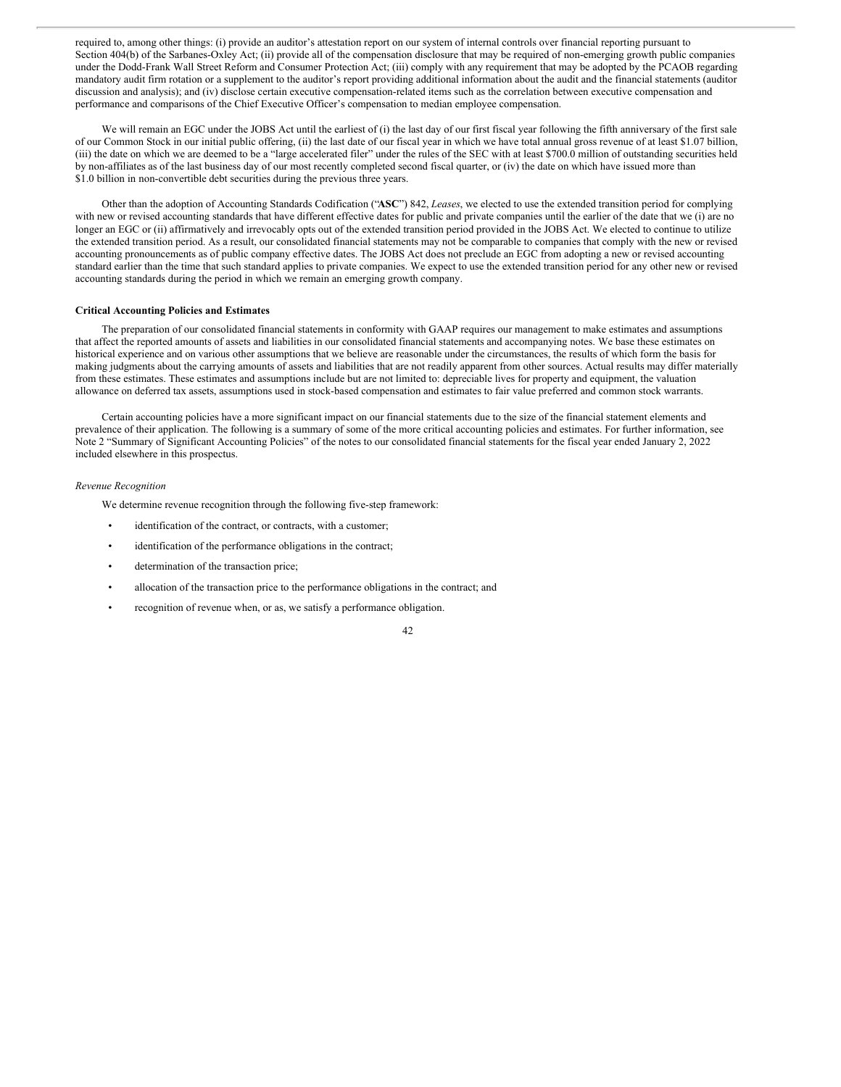required to, among other things: (i) provide an auditor's attestation report on our system of internal controls over financial reporting pursuant to Section 404(b) of the Sarbanes-Oxley Act; (ii) provide all of the compensation disclosure that may be required of non-emerging growth public companies under the Dodd-Frank Wall Street Reform and Consumer Protection Act; (iii) comply with any requirement that may be adopted by the PCAOB regarding mandatory audit firm rotation or a supplement to the auditor's report providing additional information about the audit and the financial statements (auditor discussion and analysis); and (iv) disclose certain executive compensation-related items such as the correlation between executive compensation and performance and comparisons of the Chief Executive Officer's compensation to median employee compensation.

We will remain an EGC under the JOBS Act until the earliest of (i) the last day of our first fiscal year following the fifth anniversary of the first sale of our Common Stock in our initial public offering, (ii) the last date of our fiscal year in which we have total annual gross revenue of at least \$1.07 billion, (iii) the date on which we are deemed to be a "large accelerated filer" under the rules of the SEC with at least \$700.0 million of outstanding securities held by non-affiliates as of the last business day of our most recently completed second fiscal quarter, or (iv) the date on which have issued more than \$1.0 billion in non-convertible debt securities during the previous three years.

Other than the adoption of Accounting Standards Codification ("**ASC**") 842, *Leases*, we elected to use the extended transition period for complying with new or revised accounting standards that have different effective dates for public and private companies until the earlier of the date that we (i) are no longer an EGC or (ii) affirmatively and irrevocably opts out of the extended transition period provided in the JOBS Act. We elected to continue to utilize the extended transition period. As a result, our consolidated financial statements may not be comparable to companies that comply with the new or revised accounting pronouncements as of public company effective dates. The JOBS Act does not preclude an EGC from adopting a new or revised accounting standard earlier than the time that such standard applies to private companies. We expect to use the extended transition period for any other new or revised accounting standards during the period in which we remain an emerging growth company.

### **Critical Accounting Policies and Estimates**

The preparation of our consolidated financial statements in conformity with GAAP requires our management to make estimates and assumptions that affect the reported amounts of assets and liabilities in our consolidated financial statements and accompanying notes. We base these estimates on historical experience and on various other assumptions that we believe are reasonable under the circumstances, the results of which form the basis for making judgments about the carrying amounts of assets and liabilities that are not readily apparent from other sources. Actual results may differ materially from these estimates. These estimates and assumptions include but are not limited to: depreciable lives for property and equipment, the valuation allowance on deferred tax assets, assumptions used in stock-based compensation and estimates to fair value preferred and common stock warrants.

Certain accounting policies have a more significant impact on our financial statements due to the size of the financial statement elements and prevalence of their application. The following is a summary of some of the more critical accounting policies and estimates. For further information, see Note 2 "Summary of Significant Accounting Policies" of the notes to our consolidated financial statements for the fiscal year ended January 2, 2022 included elsewhere in this prospectus.

#### *Revenue Recognition*

We determine revenue recognition through the following five-step framework:

- identification of the contract, or contracts, with a customer;
- identification of the performance obligations in the contract;
- determination of the transaction price;
- allocation of the transaction price to the performance obligations in the contract; and
- recognition of revenue when, or as, we satisfy a performance obligation.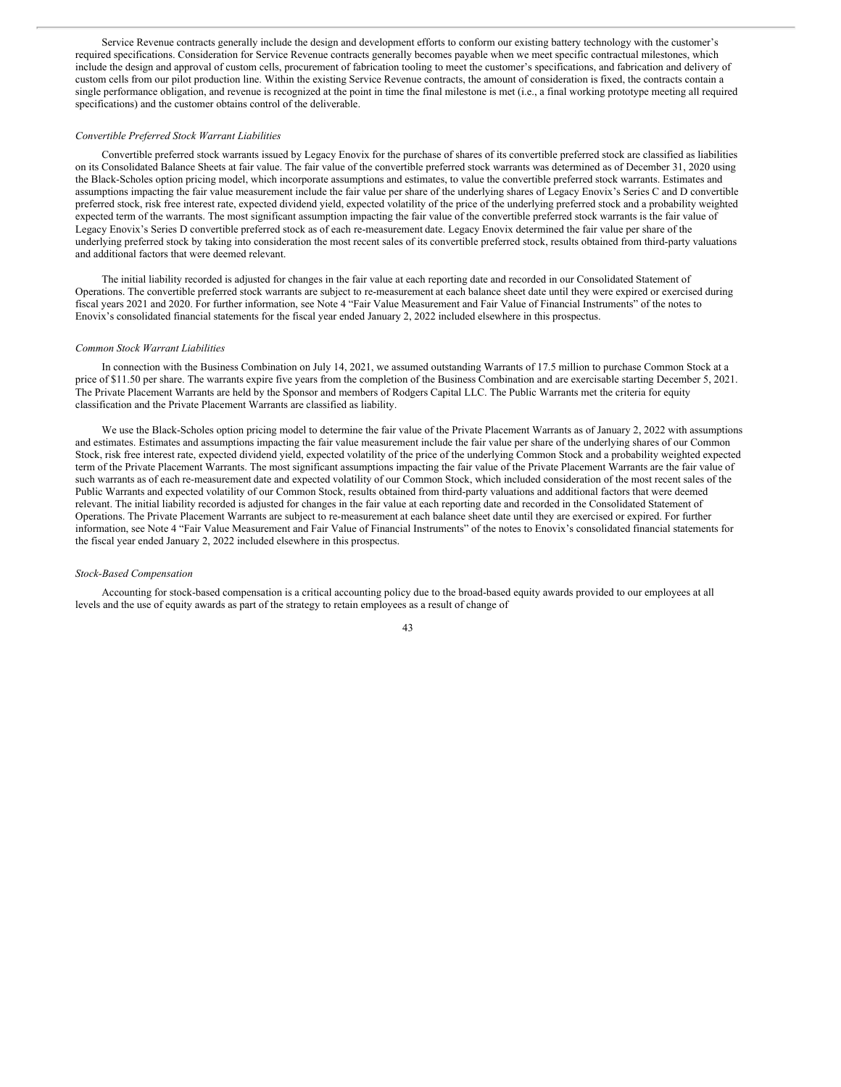Service Revenue contracts generally include the design and development efforts to conform our existing battery technology with the customer's required specifications. Consideration for Service Revenue contracts generally becomes payable when we meet specific contractual milestones, which include the design and approval of custom cells, procurement of fabrication tooling to meet the customer's specifications, and fabrication and delivery of custom cells from our pilot production line. Within the existing Service Revenue contracts, the amount of consideration is fixed, the contracts contain a single performance obligation, and revenue is recognized at the point in time the final milestone is met (i.e., a final working prototype meeting all required specifications) and the customer obtains control of the deliverable.

### *Convertible Preferred Stock Warrant Liabilities*

Convertible preferred stock warrants issued by Legacy Enovix for the purchase of shares of its convertible preferred stock are classified as liabilities on its Consolidated Balance Sheets at fair value. The fair value of the convertible preferred stock warrants was determined as of December 31, 2020 using the Black-Scholes option pricing model, which incorporate assumptions and estimates, to value the convertible preferred stock warrants. Estimates and assumptions impacting the fair value measurement include the fair value per share of the underlying shares of Legacy Enovix's Series C and D convertible preferred stock, risk free interest rate, expected dividend yield, expected volatility of the price of the underlying preferred stock and a probability weighted expected term of the warrants. The most significant assumption impacting the fair value of the convertible preferred stock warrants is the fair value of Legacy Enovix's Series D convertible preferred stock as of each re-measurement date. Legacy Enovix determined the fair value per share of the underlying preferred stock by taking into consideration the most recent sales of its convertible preferred stock, results obtained from third-party valuations and additional factors that were deemed relevant.

The initial liability recorded is adjusted for changes in the fair value at each reporting date and recorded in our Consolidated Statement of Operations. The convertible preferred stock warrants are subject to re-measurement at each balance sheet date until they were expired or exercised during fiscal years 2021 and 2020. For further information, see Note 4 "Fair Value Measurement and Fair Value of Financial Instruments" of the notes to Enovix's consolidated financial statements for the fiscal year ended January 2, 2022 included elsewhere in this prospectus.

### *Common Stock Warrant Liabilities*

In connection with the Business Combination on July 14, 2021, we assumed outstanding Warrants of 17.5 million to purchase Common Stock at a price of \$11.50 per share. The warrants expire five years from the completion of the Business Combination and are exercisable starting December 5, 2021. The Private Placement Warrants are held by the Sponsor and members of Rodgers Capital LLC. The Public Warrants met the criteria for equity classification and the Private Placement Warrants are classified as liability.

We use the Black-Scholes option pricing model to determine the fair value of the Private Placement Warrants as of January 2, 2022 with assumptions and estimates. Estimates and assumptions impacting the fair value measurement include the fair value per share of the underlying shares of our Common Stock, risk free interest rate, expected dividend yield, expected volatility of the price of the underlying Common Stock and a probability weighted expected term of the Private Placement Warrants. The most significant assumptions impacting the fair value of the Private Placement Warrants are the fair value of such warrants as of each re-measurement date and expected volatility of our Common Stock, which included consideration of the most recent sales of the Public Warrants and expected volatility of our Common Stock, results obtained from third-party valuations and additional factors that were deemed relevant. The initial liability recorded is adjusted for changes in the fair value at each reporting date and recorded in the Consolidated Statement of Operations. The Private Placement Warrants are subject to re-measurement at each balance sheet date until they are exercised or expired. For further information, see Note 4 "Fair Value Measurement and Fair Value of Financial Instruments" of the notes to Enovix's consolidated financial statements for the fiscal year ended January 2, 2022 included elsewhere in this prospectus.

### *Stock-Based Compensation*

Accounting for stock-based compensation is a critical accounting policy due to the broad-based equity awards provided to our employees at all levels and the use of equity awards as part of the strategy to retain employees as a result of change of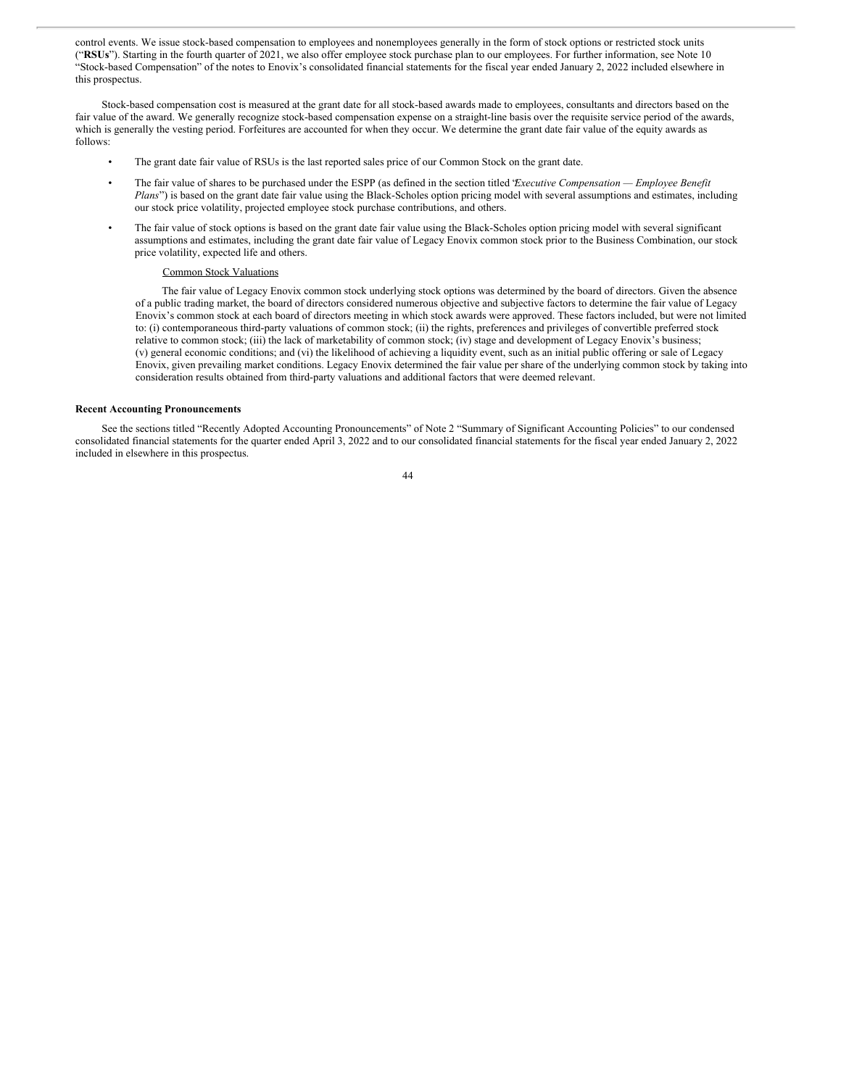control events. We issue stock-based compensation to employees and nonemployees generally in the form of stock options or restricted stock units ("**RSUs**"). Starting in the fourth quarter of 2021, we also offer employee stock purchase plan to our employees. For further information, see Note 10 "Stock-based Compensation" of the notes to Enovix's consolidated financial statements for the fiscal year ended January 2, 2022 included elsewhere in this prospectus.

Stock-based compensation cost is measured at the grant date for all stock-based awards made to employees, consultants and directors based on the fair value of the award. We generally recognize stock-based compensation expense on a straight-line basis over the requisite service period of the awards, which is generally the vesting period. Forfeitures are accounted for when they occur. We determine the grant date fair value of the equity awards as follows:

- The grant date fair value of RSUs is the last reported sales price of our Common Stock on the grant date.
- The fair value of shares to be purchased under the ESPP (as defined in the section titled "*Executive Compensation — Employee Benefit Plans*") is based on the grant date fair value using the Black-Scholes option pricing model with several assumptions and estimates, including our stock price volatility, projected employee stock purchase contributions, and others.
- The fair value of stock options is based on the grant date fair value using the Black-Scholes option pricing model with several significant assumptions and estimates, including the grant date fair value of Legacy Enovix common stock prior to the Business Combination, our stock price volatility, expected life and others.

# Common Stock Valuations

The fair value of Legacy Enovix common stock underlying stock options was determined by the board of directors. Given the absence of a public trading market, the board of directors considered numerous objective and subjective factors to determine the fair value of Legacy Enovix's common stock at each board of directors meeting in which stock awards were approved. These factors included, but were not limited to: (i) contemporaneous third-party valuations of common stock; (ii) the rights, preferences and privileges of convertible preferred stock relative to common stock; (iii) the lack of marketability of common stock; (iv) stage and development of Legacy Enovix's business; (v) general economic conditions; and (vi) the likelihood of achieving a liquidity event, such as an initial public offering or sale of Legacy Enovix, given prevailing market conditions. Legacy Enovix determined the fair value per share of the underlying common stock by taking into consideration results obtained from third-party valuations and additional factors that were deemed relevant.

### **Recent Accounting Pronouncements**

See the sections titled "Recently Adopted Accounting Pronouncements" of Note 2 "Summary of Significant Accounting Policies" to our condensed consolidated financial statements for the quarter ended April 3, 2022 and to our consolidated financial statements for the fiscal year ended January 2, 2022 included in elsewhere in this prospectus.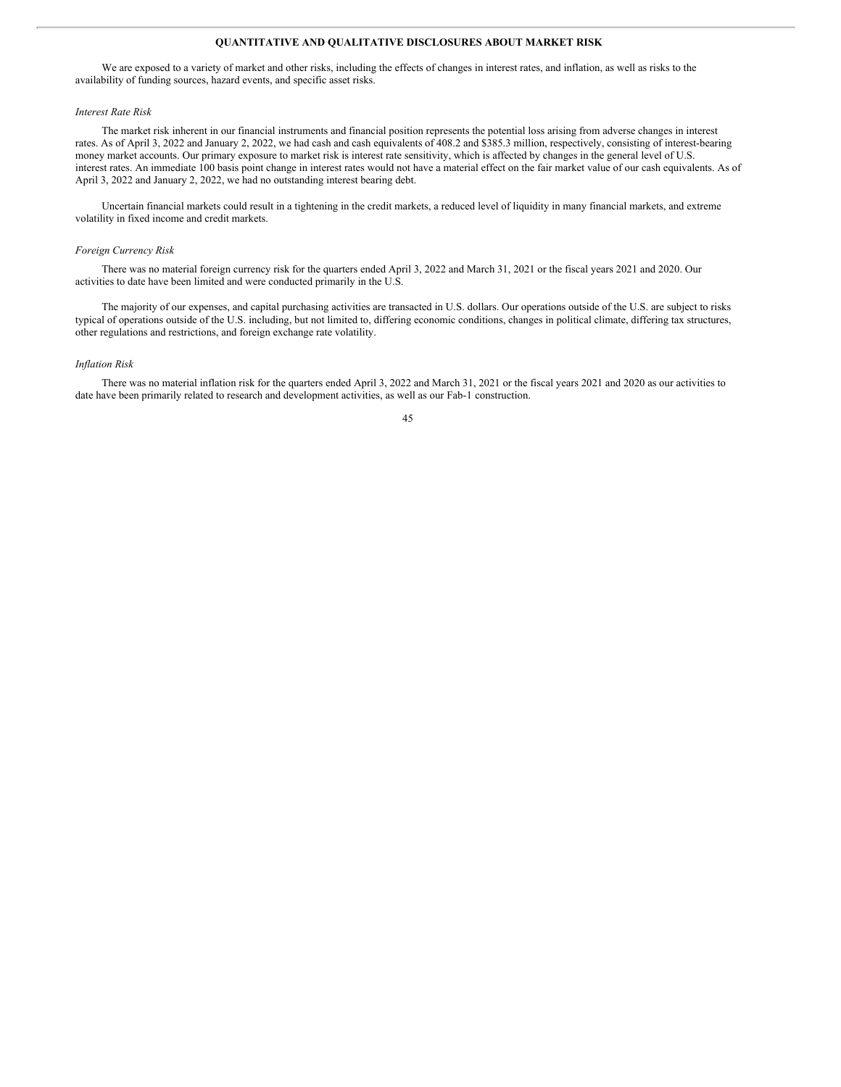# **QUANTITATIVE AND QUALITATIVE DISCLOSURES ABOUT MARKET RISK**

We are exposed to a variety of market and other risks, including the effects of changes in interest rates, and inflation, as well as risks to the availability of funding sources, hazard events, and specific asset risks.

### *Interest Rate Risk*

The market risk inherent in our financial instruments and financial position represents the potential loss arising from adverse changes in interest rates. As of April 3, 2022 and January 2, 2022, we had cash and cash equivalents of 408.2 and \$385.3 million, respectively, consisting of interest-bearing money market accounts. Our primary exposure to market risk is interest rate sensitivity, which is affected by changes in the general level of U.S. interest rates. An immediate 100 basis point change in interest rates would not have a material effect on the fair market value of our cash equivalents. As of April 3, 2022 and January 2, 2022, we had no outstanding interest bearing debt.

Uncertain financial markets could result in a tightening in the credit markets, a reduced level of liquidity in many financial markets, and extreme volatility in fixed income and credit markets.

## *Foreign Currency Risk*

There was no material foreign currency risk for the quarters ended April 3, 2022 and March 31, 2021 or the fiscal years 2021 and 2020. Our activities to date have been limited and were conducted primarily in the U.S.

The majority of our expenses, and capital purchasing activities are transacted in U.S. dollars. Our operations outside of the U.S. are subject to risks typical of operations outside of the U.S. including, but not limited to, differing economic conditions, changes in political climate, differing tax structures, other regulations and restrictions, and foreign exchange rate volatility.

# *Inflation Risk*

There was no material inflation risk for the quarters ended April 3, 2022 and March 31, 2021 or the fiscal years 2021 and 2020 as our activities to date have been primarily related to research and development activities, as well as our Fab-1 construction.

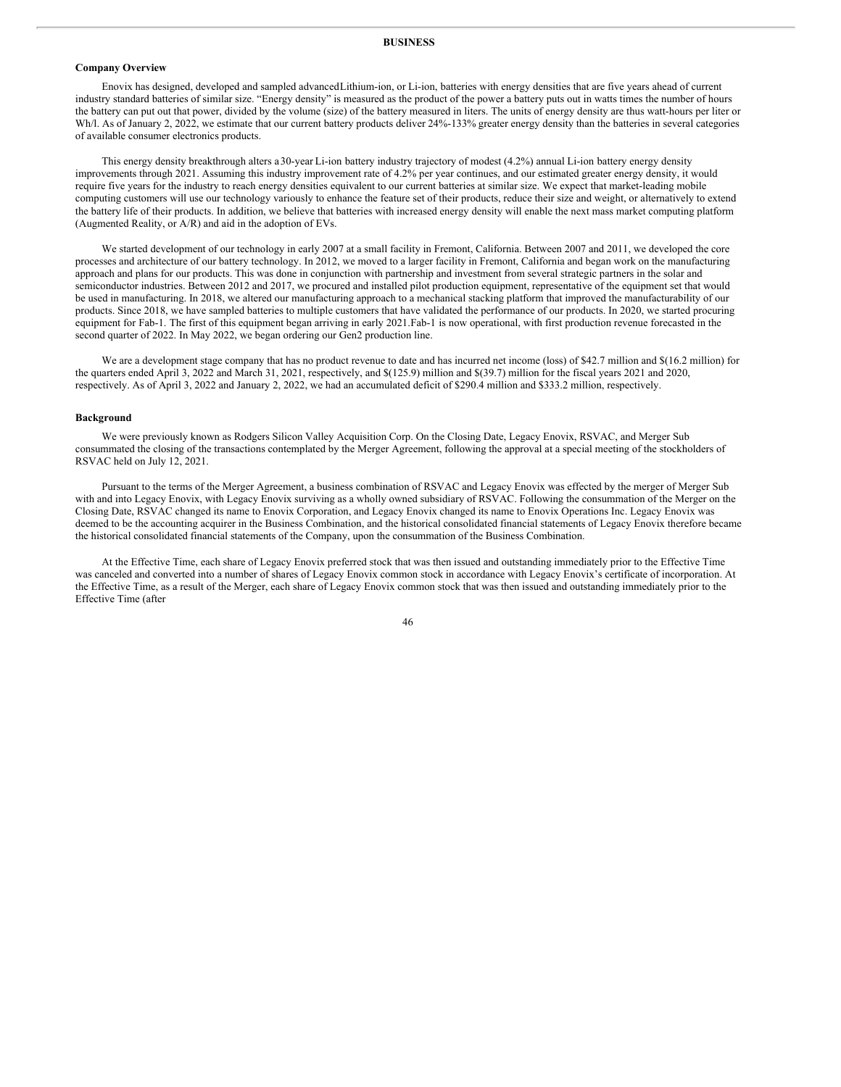#### **BUSINESS**

## **Company Overview**

Enovix has designed, developed and sampled advancedLithium-ion, or Li-ion, batteries with energy densities that are five years ahead of current industry standard batteries of similar size. "Energy density" is measured as the product of the power a battery puts out in watts times the number of hours the battery can put out that power, divided by the volume (size) of the battery measured in liters. The units of energy density are thus watt-hours per liter or Wh/l. As of January 2, 2022, we estimate that our current battery products deliver 24%-133% greater energy density than the batteries in several categories of available consumer electronics products.

This energy density breakthrough alters a 30-year Li-ion battery industry trajectory of modest (4.2%) annual Li-ion battery energy density improvements through 2021. Assuming this industry improvement rate of 4.2% per year continues, and our estimated greater energy density, it would require five years for the industry to reach energy densities equivalent to our current batteries at similar size. We expect that market-leading mobile computing customers will use our technology variously to enhance the feature set of their products, reduce their size and weight, or alternatively to extend the battery life of their products. In addition, we believe that batteries with increased energy density will enable the next mass market computing platform (Augmented Reality, or A/R) and aid in the adoption of EVs.

We started development of our technology in early 2007 at a small facility in Fremont, California. Between 2007 and 2011, we developed the core processes and architecture of our battery technology. In 2012, we moved to a larger facility in Fremont, California and began work on the manufacturing approach and plans for our products. This was done in conjunction with partnership and investment from several strategic partners in the solar and semiconductor industries. Between 2012 and 2017, we procured and installed pilot production equipment, representative of the equipment set that would be used in manufacturing. In 2018, we altered our manufacturing approach to a mechanical stacking platform that improved the manufacturability of our products. Since 2018, we have sampled batteries to multiple customers that have validated the performance of our products. In 2020, we started procuring equipment for Fab-1. The first of this equipment began arriving in early 2021.Fab-1 is now operational, with first production revenue forecasted in the second quarter of 2022. In May 2022, we began ordering our Gen2 production line.

We are a development stage company that has no product revenue to date and has incurred net income (loss) of \$42.7 million and \$(16.2 million) for the quarters ended April 3, 2022 and March 31, 2021, respectively, and \$(125.9) million and \$(39.7) million for the fiscal years 2021 and 2020, respectively. As of April 3, 2022 and January 2, 2022, we had an accumulated deficit of \$290.4 million and \$333.2 million, respectively.

## **Background**

We were previously known as Rodgers Silicon Valley Acquisition Corp. On the Closing Date, Legacy Enovix, RSVAC, and Merger Sub consummated the closing of the transactions contemplated by the Merger Agreement, following the approval at a special meeting of the stockholders of RSVAC held on July 12, 2021.

Pursuant to the terms of the Merger Agreement, a business combination of RSVAC and Legacy Enovix was effected by the merger of Merger Sub with and into Legacy Enovix, with Legacy Enovix surviving as a wholly owned subsidiary of RSVAC. Following the consummation of the Merger on the Closing Date, RSVAC changed its name to Enovix Corporation, and Legacy Enovix changed its name to Enovix Operations Inc. Legacy Enovix was deemed to be the accounting acquirer in the Business Combination, and the historical consolidated financial statements of Legacy Enovix therefore became the historical consolidated financial statements of the Company, upon the consummation of the Business Combination.

At the Effective Time, each share of Legacy Enovix preferred stock that was then issued and outstanding immediately prior to the Effective Time was canceled and converted into a number of shares of Legacy Enovix common stock in accordance with Legacy Enovix's certificate of incorporation. At the Effective Time, as a result of the Merger, each share of Legacy Enovix common stock that was then issued and outstanding immediately prior to the Effective Time (after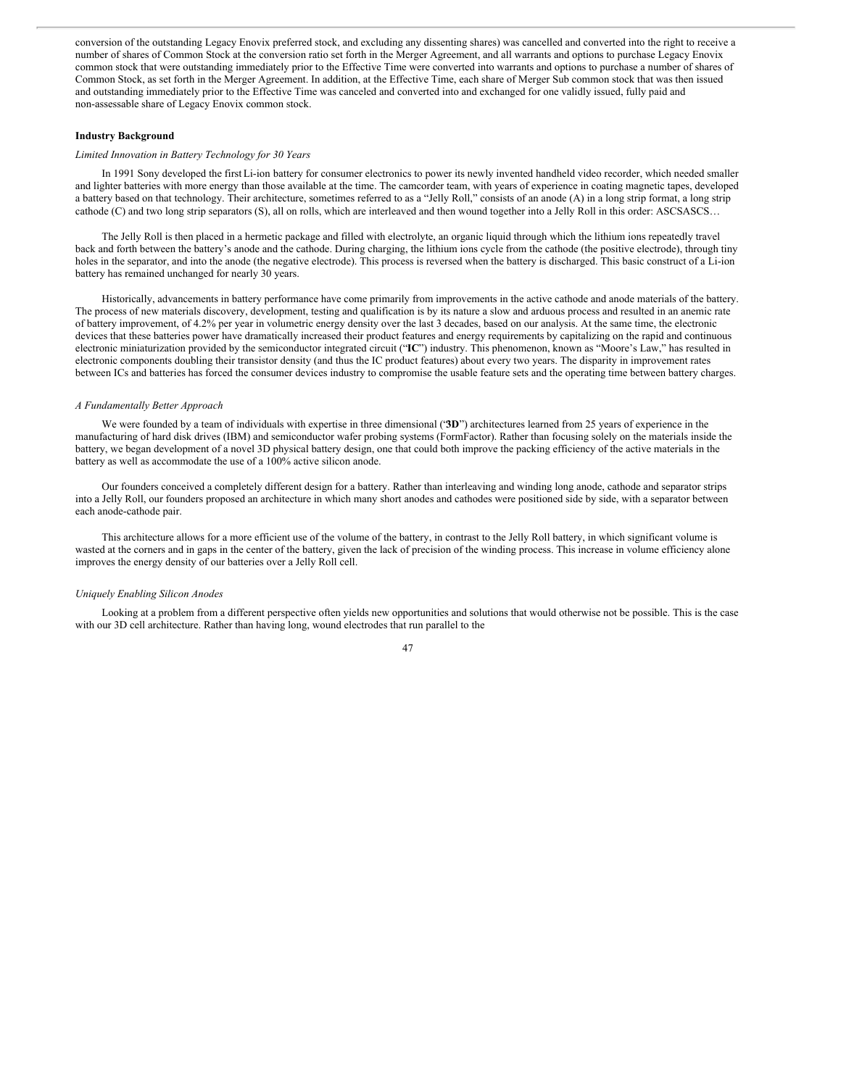conversion of the outstanding Legacy Enovix preferred stock, and excluding any dissenting shares) was cancelled and converted into the right to receive a number of shares of Common Stock at the conversion ratio set forth in the Merger Agreement, and all warrants and options to purchase Legacy Enovix common stock that were outstanding immediately prior to the Effective Time were converted into warrants and options to purchase a number of shares of Common Stock, as set forth in the Merger Agreement. In addition, at the Effective Time, each share of Merger Sub common stock that was then issued and outstanding immediately prior to the Effective Time was canceled and converted into and exchanged for one validly issued, fully paid and non-assessable share of Legacy Enovix common stock.

### **Industry Background**

### *Limited Innovation in Battery Technology for 30 Years*

In 1991 Sony developed the first Li-ion battery for consumer electronics to power its newly invented handheld video recorder, which needed smaller and lighter batteries with more energy than those available at the time. The camcorder team, with years of experience in coating magnetic tapes, developed a battery based on that technology. Their architecture, sometimes referred to as a "Jelly Roll," consists of an anode (A) in a long strip format, a long strip cathode (C) and two long strip separators (S), all on rolls, which are interleaved and then wound together into a Jelly Roll in this order: ASCSASCS…

The Jelly Roll is then placed in a hermetic package and filled with electrolyte, an organic liquid through which the lithium ions repeatedly travel back and forth between the battery's anode and the cathode. During charging, the lithium ions cycle from the cathode (the positive electrode), through tiny holes in the separator, and into the anode (the negative electrode). This process is reversed when the battery is discharged. This basic construct of a Li-ion battery has remained unchanged for nearly 30 years.

Historically, advancements in battery performance have come primarily from improvements in the active cathode and anode materials of the battery. The process of new materials discovery, development, testing and qualification is by its nature a slow and arduous process and resulted in an anemic rate of battery improvement, of 4.2% per year in volumetric energy density over the last 3 decades, based on our analysis. At the same time, the electronic devices that these batteries power have dramatically increased their product features and energy requirements by capitalizing on the rapid and continuous electronic miniaturization provided by the semiconductor integrated circuit ("**IC**") industry. This phenomenon, known as "Moore's Law," has resulted in electronic components doubling their transistor density (and thus the IC product features) about every two years. The disparity in improvement rates between ICs and batteries has forced the consumer devices industry to compromise the usable feature sets and the operating time between battery charges.

## *A Fundamentally Better Approach*

We were founded by a team of individuals with expertise in three dimensional ("**3D**") architectures learned from 25 years of experience in the manufacturing of hard disk drives (IBM) and semiconductor wafer probing systems (FormFactor). Rather than focusing solely on the materials inside the battery, we began development of a novel 3D physical battery design, one that could both improve the packing efficiency of the active materials in the battery as well as accommodate the use of a 100% active silicon anode.

Our founders conceived a completely different design for a battery. Rather than interleaving and winding long anode, cathode and separator strips into a Jelly Roll, our founders proposed an architecture in which many short anodes and cathodes were positioned side by side, with a separator between each anode-cathode pair.

This architecture allows for a more efficient use of the volume of the battery, in contrast to the Jelly Roll battery, in which significant volume is wasted at the corners and in gaps in the center of the battery, given the lack of precision of the winding process. This increase in volume efficiency alone improves the energy density of our batteries over a Jelly Roll cell.

### *Uniquely Enabling Silicon Anodes*

Looking at a problem from a different perspective often yields new opportunities and solutions that would otherwise not be possible. This is the case with our 3D cell architecture. Rather than having long, wound electrodes that run parallel to the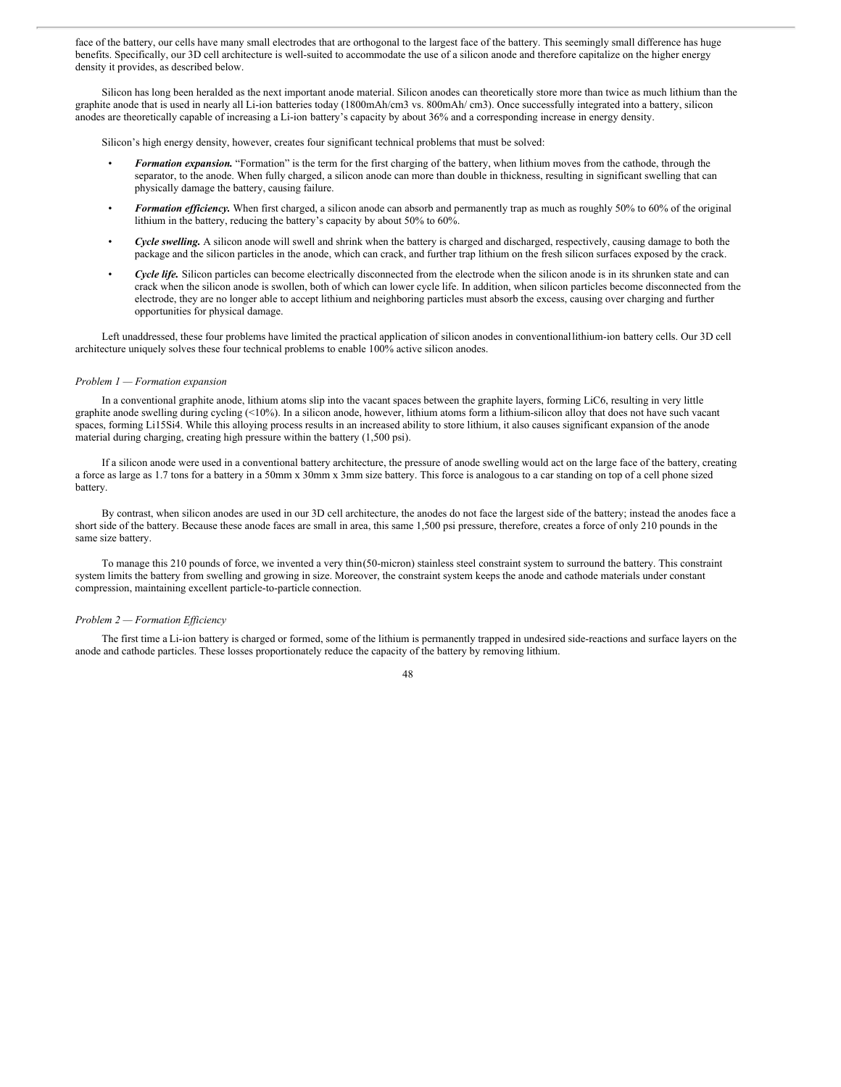face of the battery, our cells have many small electrodes that are orthogonal to the largest face of the battery. This seemingly small difference has huge benefits. Specifically, our 3D cell architecture is well-suited to accommodate the use of a silicon anode and therefore capitalize on the higher energy density it provides, as described below.

Silicon has long been heralded as the next important anode material. Silicon anodes can theoretically store more than twice as much lithium than the graphite anode that is used in nearly all Li-ion batteries today (1800mAh/cm3 vs. 800mAh/cm3). Once successfully integrated into a battery, silicon anodes are theoretically capable of increasing a Li-ion battery's capacity by about 36% and a corresponding increase in energy density.

Silicon's high energy density, however, creates four significant technical problems that must be solved:

- *Formation expansion.* "Formation" is the term for the first charging of the battery, when lithium moves from the cathode, through the separator, to the anode. When fully charged, a silicon anode can more than double in thickness, resulting in significant swelling that can physically damage the battery, causing failure.
- *Formation ef iciency.* When first charged, a silicon anode can absorb and permanently trap as much as roughly 50% to 60% of the original lithium in the battery, reducing the battery's capacity by about 50% to 60%.
- *Cycle swelling.* A silicon anode will swell and shrink when the battery is charged and discharged, respectively, causing damage to both the package and the silicon particles in the anode, which can crack, and further trap lithium on the fresh silicon surfaces exposed by the crack.
- *Cycle life.* Silicon particles can become electrically disconnected from the electrode when the silicon anode is in its shrunken state and can crack when the silicon anode is swollen, both of which can lower cycle life. In addition, when silicon particles become disconnected from the electrode, they are no longer able to accept lithium and neighboring particles must absorb the excess, causing over charging and further opportunities for physical damage.

Left unaddressed, these four problems have limited the practical application of silicon anodes in conventionallithium-ion battery cells. Our 3D cell architecture uniquely solves these four technical problems to enable 100% active silicon anodes.

## *Problem 1 — Formation expansion*

In a conventional graphite anode, lithium atoms slip into the vacant spaces between the graphite layers, forming LiC6, resulting in very little graphite anode swelling during cycling (<10%). In a silicon anode, however, lithium atoms form a lithium-silicon alloy that does not have such vacant spaces, forming Li15Si4. While this alloying process results in an increased ability to store lithium, it also causes significant expansion of the anode material during charging, creating high pressure within the battery (1,500 psi).

If a silicon anode were used in a conventional battery architecture, the pressure of anode swelling would act on the large face of the battery, creating a force as large as 1.7 tons for a battery in a 50mm x 30mm x 3mm size battery. This force is analogous to a car standing on top of a cell phone sized battery.

By contrast, when silicon anodes are used in our 3D cell architecture, the anodes do not face the largest side of the battery; instead the anodes face a short side of the battery. Because these anode faces are small in area, this same 1,500 psi pressure, therefore, creates a force of only 210 pounds in the same size battery.

To manage this 210 pounds of force, we invented a very thin(50-micron) stainless steel constraint system to surround the battery. This constraint system limits the battery from swelling and growing in size. Moreover, the constraint system keeps the anode and cathode materials under constant compression, maintaining excellent particle-to-particle connection.

## *Problem 2 — Formation Ef iciency*

The first time a Li-ion battery is charged or formed, some of the lithium is permanently trapped in undesired side-reactions and surface layers on the anode and cathode particles. These losses proportionately reduce the capacity of the battery by removing lithium.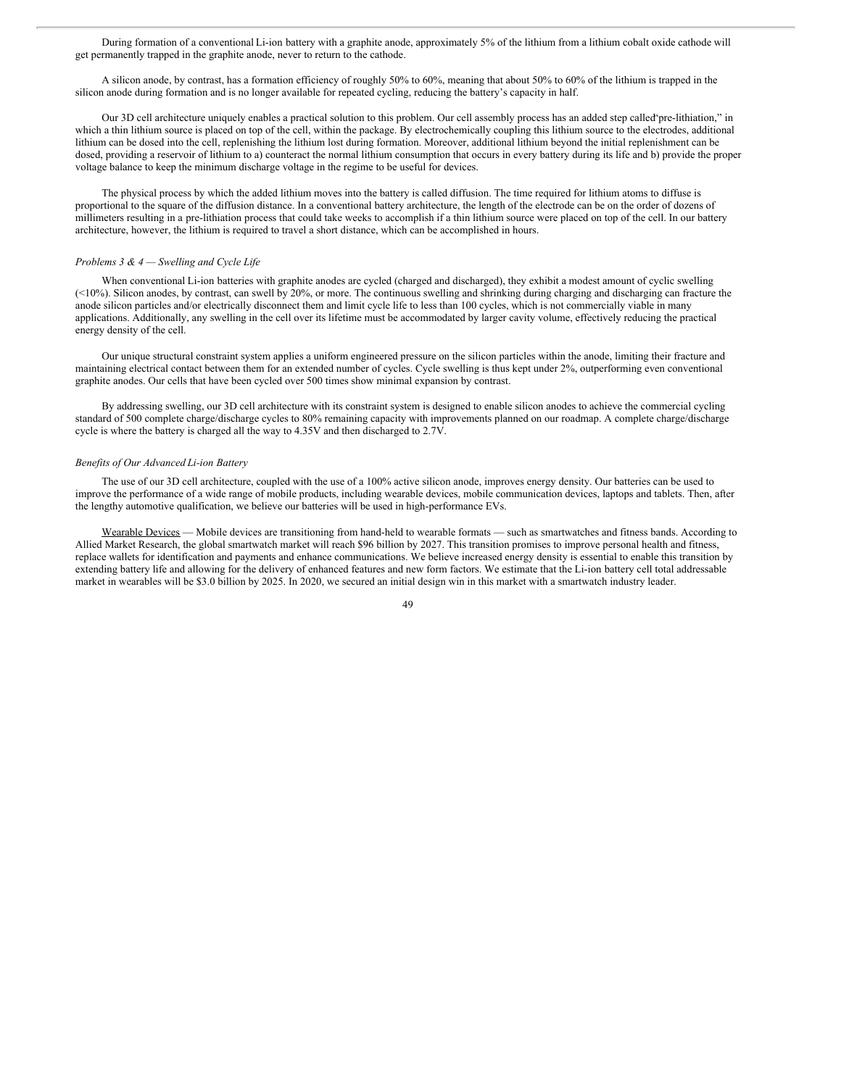During formation of a conventional Li-ion battery with a graphite anode, approximately 5% of the lithium from a lithium cobalt oxide cathode will get permanently trapped in the graphite anode, never to return to the cathode.

A silicon anode, by contrast, has a formation efficiency of roughly 50% to 60%, meaning that about 50% to 60% of the lithium is trapped in the silicon anode during formation and is no longer available for repeated cycling, reducing the battery's capacity in half.

Our 3D cell architecture uniquely enables a practical solution to this problem. Our cell assembly process has an added step called"pre-lithiation," in which a thin lithium source is placed on top of the cell, within the package. By electrochemically coupling this lithium source to the electrodes, additional lithium can be dosed into the cell, replenishing the lithium lost during formation. Moreover, additional lithium beyond the initial replenishment can be dosed, providing a reservoir of lithium to a) counteract the normal lithium consumption that occurs in every battery during its life and b) provide the proper voltage balance to keep the minimum discharge voltage in the regime to be useful for devices.

The physical process by which the added lithium moves into the battery is called diffusion. The time required for lithium atoms to diffuse is proportional to the square of the diffusion distance. In a conventional battery architecture, the length of the electrode can be on the order of dozens of millimeters resulting in a pre-lithiation process that could take weeks to accomplish if a thin lithium source were placed on top of the cell. In our battery architecture, however, the lithium is required to travel a short distance, which can be accomplished in hours.

# *Problems 3 & 4 — Swelling and Cycle Life*

When conventional Li-ion batteries with graphite anodes are cycled (charged and discharged), they exhibit a modest amount of cyclic swelling  $($ <10%). Silicon anodes, by contrast, can swell by  $20%$ , or more. The continuous swelling and shrinking during charging and discharging can fracture the anode silicon particles and/or electrically disconnect them and limit cycle life to less than 100 cycles, which is not commercially viable in many applications. Additionally, any swelling in the cell over its lifetime must be accommodated by larger cavity volume, effectively reducing the practical energy density of the cell.

Our unique structural constraint system applies a uniform engineered pressure on the silicon particles within the anode, limiting their fracture and maintaining electrical contact between them for an extended number of cycles. Cycle swelling is thus kept under 2%, outperforming even conventional graphite anodes. Our cells that have been cycled over 500 times show minimal expansion by contrast.

By addressing swelling, our 3D cell architecture with its constraint system is designed to enable silicon anodes to achieve the commercial cycling standard of 500 complete charge/discharge cycles to 80% remaining capacity with improvements planned on our roadmap. A complete charge/discharge cycle is where the battery is charged all the way to 4.35V and then discharged to 2.7V.

### *Benefits of Our Advanced Li-ion Battery*

The use of our 3D cell architecture, coupled with the use of a 100% active silicon anode, improves energy density. Our batteries can be used to improve the performance of a wide range of mobile products, including wearable devices, mobile communication devices, laptops and tablets. Then, after the lengthy automotive qualification, we believe our batteries will be used in high-performance EVs.

Wearable Devices — Mobile devices are transitioning from hand-held to wearable formats — such as smartwatches and fitness bands. According to Allied Market Research, the global smartwatch market will reach \$96 billion by 2027. This transition promises to improve personal health and fitness, replace wallets for identification and payments and enhance communications. We believe increased energy density is essential to enable this transition by extending battery life and allowing for the delivery of enhanced features and new form factors. We estimate that the Li-ion battery cell total addressable market in wearables will be \$3.0 billion by 2025. In 2020, we secured an initial design win in this market with a smartwatch industry leader.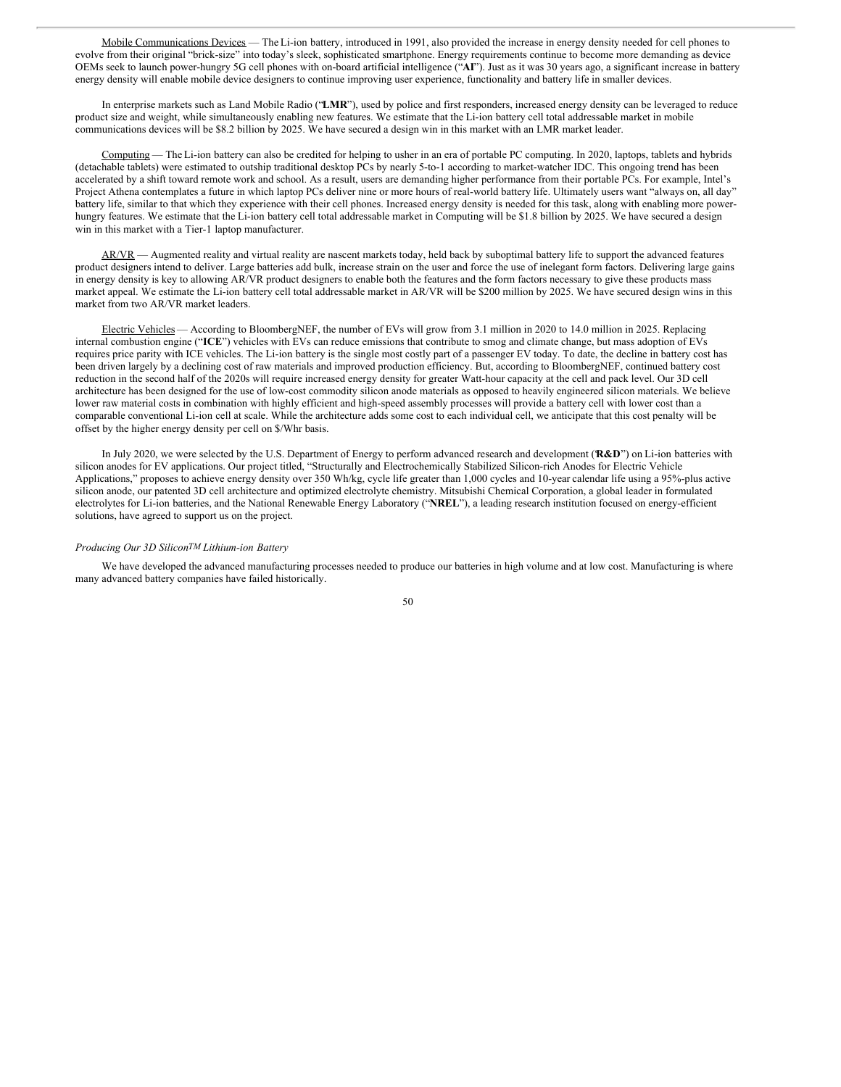Mobile Communications Devices — The Li-ion battery, introduced in 1991, also provided the increase in energy density needed for cell phones to evolve from their original "brick-size" into today's sleek, sophisticated smartphone. Energy requirements continue to become more demanding as device OEMs seek to launch power-hungry 5G cell phones with on-board artificial intelligence ("**AI**"). Just as it was 30 years ago, a significant increase in battery energy density will enable mobile device designers to continue improving user experience, functionality and battery life in smaller devices.

In enterprise markets such as Land Mobile Radio ("**LMR**"), used by police and first responders, increased energy density can be leveraged to reduce product size and weight, while simultaneously enabling new features. We estimate that the Li-ion battery cell total addressable market in mobile communications devices will be \$8.2 billion by 2025. We have secured a design win in this market with an LMR market leader.

Computing — The Li-ion battery can also be credited for helping to usher in an era of portable PC computing. In 2020, laptops, tablets and hybrids (detachable tablets) were estimated to outship traditional desktop PCs by nearly 5-to-1 according to market-watcher IDC. This ongoing trend has been accelerated by a shift toward remote work and school. As a result, users are demanding higher performance from their portable PCs. For example, Intel's Project Athena contemplates a future in which laptop PCs deliver nine or more hours of real-world battery life. Ultimately users want "always on, all day" battery life, similar to that which they experience with their cell phones. Increased energy density is needed for this task, along with enabling more powerhungry features. We estimate that the Li-ion battery cell total addressable market in Computing will be \$1.8 billion by 2025. We have secured a design win in this market with a Tier-1 laptop manufacturer.

AR/VR — Augmented reality and virtual reality are nascent markets today, held back by suboptimal battery life to support the advanced features product designers intend to deliver. Large batteries add bulk, increase strain on the user and force the use of inelegant form factors. Delivering large gains in energy density is key to allowing AR/VR product designers to enable both the features and the form factors necessary to give these products mass market appeal. We estimate the Li-ion battery cell total addressable market in AR/VR will be \$200 million by 2025. We have secured design wins in this market from two AR/VR market leaders.

Electric Vehicles — According to BloombergNEF, the number of EVs will grow from 3.1 million in 2020 to 14.0 million in 2025. Replacing internal combustion engine ("**ICE**") vehicles with EVs can reduce emissions that contribute to smog and climate change, but mass adoption of EVs requires price parity with ICE vehicles. The Li-ion battery is the single most costly part of a passenger EV today. To date, the decline in battery cost has been driven largely by a declining cost of raw materials and improved production efficiency. But, according to BloombergNEF, continued battery cost reduction in the second half of the 2020s will require increased energy density for greater Watt-hour capacity at the cell and pack level. Our 3D cell architecture has been designed for the use of low-cost commodity silicon anode materials as opposed to heavily engineered silicon materials. We believe lower raw material costs in combination with highly efficient and high-speed assembly processes will provide a battery cell with lower cost than a comparable conventional Li-ion cell at scale. While the architecture adds some cost to each individual cell, we anticipate that this cost penalty will be offset by the higher energy density per cell on \$/Whr basis.

In July 2020, we were selected by the U.S. Department of Energy to perform advanced research and development ("**R&D**") on Li-ion batteries with silicon anodes for EV applications. Our project titled, "Structurally and Electrochemically Stabilized Silicon-rich Anodes for Electric Vehicle Applications," proposes to achieve energy density over 350 Wh/kg, cycle life greater than 1,000 cycles and 10-year calendar life using a 95%-plus active silicon anode, our patented 3D cell architecture and optimized electrolyte chemistry. Mitsubishi Chemical Corporation, a global leader in formulated electrolytes for Li-ion batteries, and the National Renewable Energy Laboratory ("**NREL**"), a leading research institution focused on energy-efficient solutions, have agreed to support us on the project.

# *Producing Our 3D SiliconTM Lithium-ion Battery*

We have developed the advanced manufacturing processes needed to produce our batteries in high volume and at low cost. Manufacturing is where many advanced battery companies have failed historically.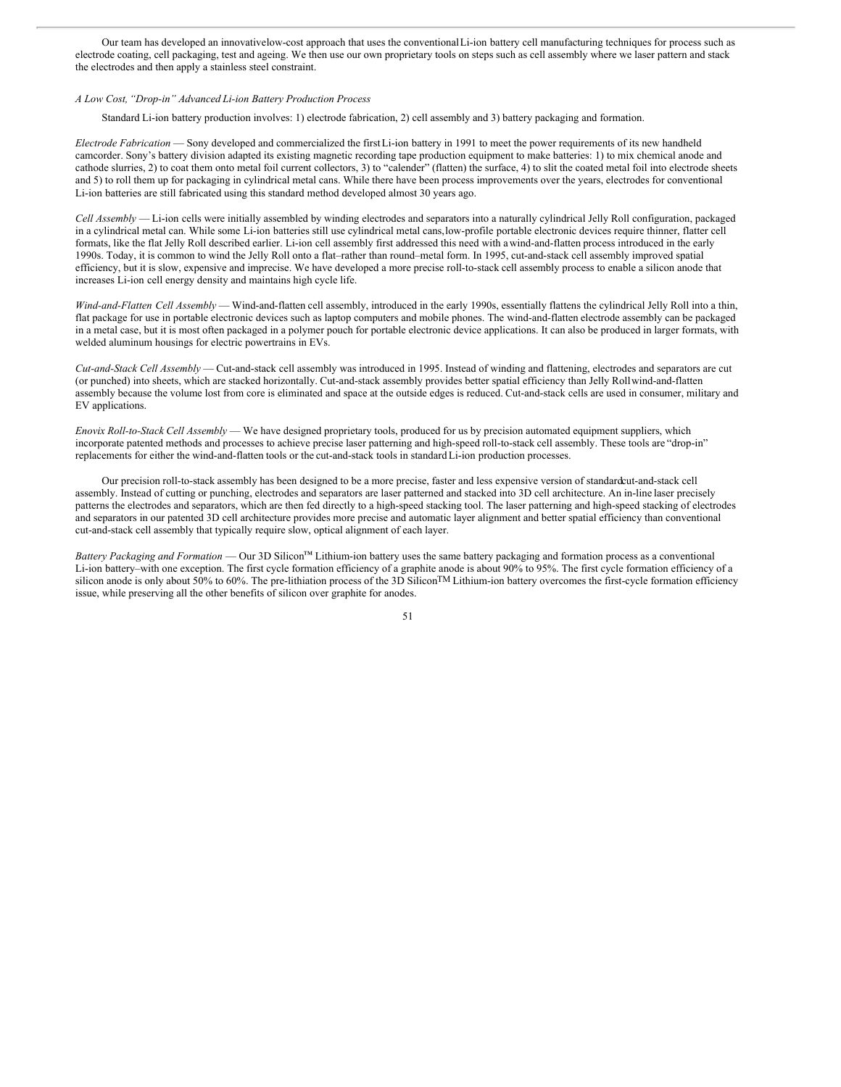Our team has developed an innovativelow-cost approach that uses the conventionalLi-ion battery cell manufacturing techniques for process such as electrode coating, cell packaging, test and ageing. We then use our own proprietary tools on steps such as cell assembly where we laser pattern and stack the electrodes and then apply a stainless steel constraint.

### *A Low Cost, "Drop-in" Advanced Li-ion Battery Production Process*

Standard Li-ion battery production involves: 1) electrode fabrication, 2) cell assembly and 3) battery packaging and formation.

*Electrode Fabrication* — Sony developed and commercialized the firstLi-ion battery in 1991 to meet the power requirements of its new handheld camcorder. Sony's battery division adapted its existing magnetic recording tape production equipment to make batteries: 1) to mix chemical anode and cathode slurries, 2) to coat them onto metal foil current collectors, 3) to "calender" (flatten) the surface, 4) to slit the coated metal foil into electrode sheets and 5) to roll them up for packaging in cylindrical metal cans. While there have been process improvements over the years, electrodes for conventional Li-ion batteries are still fabricated using this standard method developed almost 30 years ago.

*Cell Assembly* — Li-ion cells were initially assembled by winding electrodes and separators into a naturally cylindrical Jelly Roll configuration, packaged in a cylindrical metal can. While some Li-ion batteries still use cylindrical metal cans,low-profile portable electronic devices require thinner, flatter cell formats, like the flat Jelly Roll described earlier. Li-ion cell assembly first addressed this need with awind-and-flatten process introduced in the early 1990s. Today, it is common to wind the Jelly Roll onto a flat–rather than round–metal form. In 1995, cut-and-stack cell assembly improved spatial efficiency, but it is slow, expensive and imprecise. We have developed a more precise roll-to-stack cell assembly process to enable a silicon anode that increases Li-ion cell energy density and maintains high cycle life.

*Wind-and-Flatten Cell Assembly* — Wind-and-flatten cell assembly, introduced in the early 1990s, essentially flattens the cylindrical Jelly Roll into a thin, flat package for use in portable electronic devices such as laptop computers and mobile phones. The wind-and-flatten electrode assembly can be packaged in a metal case, but it is most often packaged in a polymer pouch for portable electronic device applications. It can also be produced in larger formats, with welded aluminum housings for electric powertrains in EVs.

*Cut-and-Stack Cell Assembly* — Cut-and-stack cell assembly was introduced in 1995. Instead of winding and flattening, electrodes and separators are cut (or punched) into sheets, which are stacked horizontally. Cut-and-stack assembly provides better spatial efficiency than Jelly Rollwind-and-flatten assembly because the volume lost from core is eliminated and space at the outside edges is reduced. Cut-and-stack cells are used in consumer, military and EV applications.

*Enovix Roll-to-Stack Cell Assembly* — We have designed proprietary tools, produced for us by precision automated equipment suppliers, which incorporate patented methods and processes to achieve precise laser patterning and high-speed roll-to-stack cell assembly. These tools are "drop-in" replacements for either the wind-and-flatten tools or the cut-and-stack tools in standardLi-ion production processes.

Our precision roll-to-stack assembly has been designed to be a more precise, faster and less expensive version of standardcut-and-stack cell assembly. Instead of cutting or punching, electrodes and separators are laser patterned and stacked into 3D cell architecture. An in-line laser precisely patterns the electrodes and separators, which are then fed directly to a high-speed stacking tool. The laser patterning and high-speed stacking of electrodes and separators in our patented 3D cell architecture provides more precise and automatic layer alignment and better spatial efficiency than conventional cut-and-stack cell assembly that typically require slow, optical alignment of each layer.

*Battery Packaging and Formation* — Our 3D Silicon™ Lithium-ion battery uses the same battery packaging and formation process as a conventional Li-ion battery–with one exception. The first cycle formation efficiency of a graphite anode is about 90% to 95%. The first cycle formation efficiency of a silicon anode is only about 50% to 60%. The pre-lithiation process of the 3D Silicon<sup>TM</sup> Lithium-ion battery overcomes the first-cycle formation efficiency issue, while preserving all the other benefits of silicon over graphite for anodes.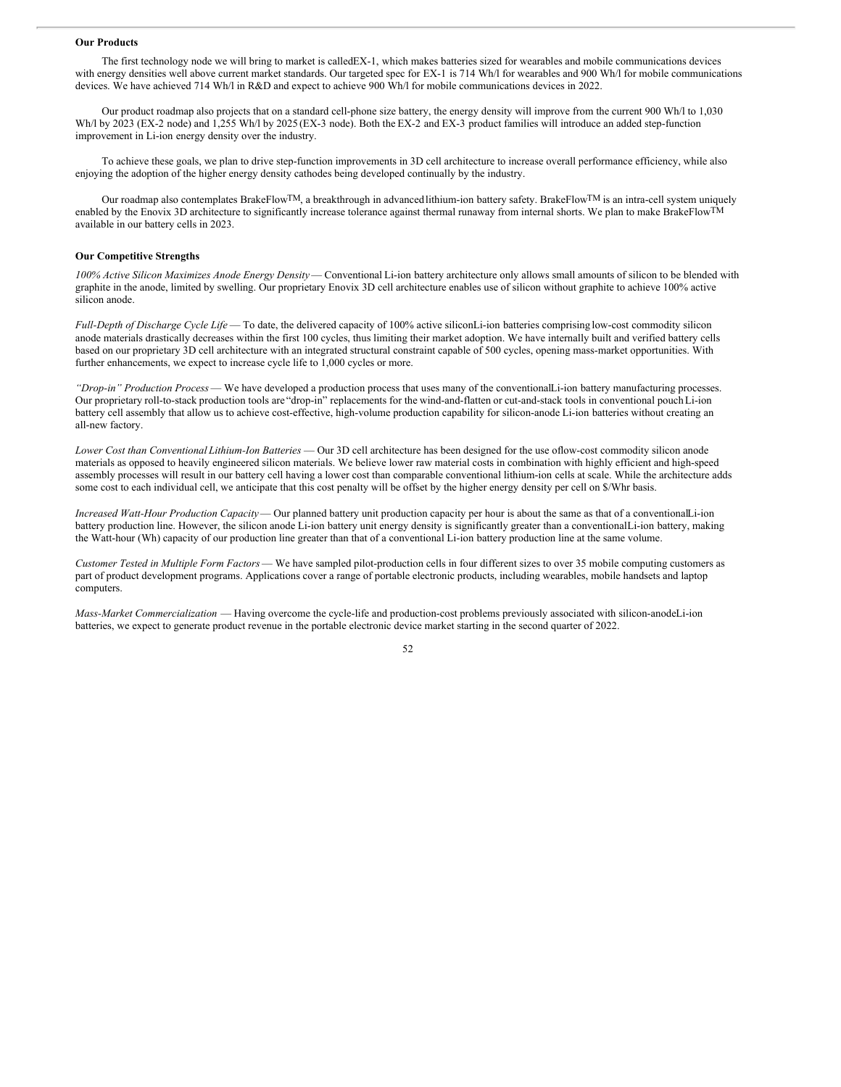#### **Our Products**

The first technology node we will bring to market is calledEX-1, which makes batteries sized for wearables and mobile communications devices with energy densities well above current market standards. Our targeted spec for EX-1 is 714 Wh/l for wearables and 900 Wh/l for mobile communications devices. We have achieved 714 Wh/l in R&D and expect to achieve 900 Wh/l for mobile communications devices in 2022.

Our product roadmap also projects that on a standard cell-phone size battery, the energy density will improve from the current 900 Wh/l to 1,030 Wh/l by 2023 (EX-2 node) and 1,255 Wh/l by 2025 (EX-3 node). Both the EX-2 and EX-3 product families will introduce an added step-function improvement in Li-ion energy density over the industry.

To achieve these goals, we plan to drive step-function improvements in 3D cell architecture to increase overall performance efficiency, while also enjoying the adoption of the higher energy density cathodes being developed continually by the industry.

Our roadmap also contemplates BrakeFlowTM, a breakthrough in advanced lithium-ion battery safety. BrakeFlowTM is an intra-cell system uniquely enabled by the Enovix 3D architecture to significantly increase tolerance against thermal runaway from internal shorts. We plan to make BrakeFlowTM available in our battery cells in 2023.

## **Our Competitive Strengths**

*100% Active Silicon Maximizes Anode Energy Density*— Conventional Li-ion battery architecture only allows small amounts of silicon to be blended with graphite in the anode, limited by swelling. Our proprietary Enovix 3D cell architecture enables use of silicon without graphite to achieve 100% active silicon anode.

*Full-Depth of Discharge Cycle Life* — To date, the delivered capacity of 100% active siliconLi-ion batteries comprising low-cost commodity silicon anode materials drastically decreases within the first 100 cycles, thus limiting their market adoption. We have internally built and verified battery cells based on our proprietary 3D cell architecture with an integrated structural constraint capable of 500 cycles, opening mass-market opportunities. With further enhancements, we expect to increase cycle life to 1,000 cycles or more.

*"Drop-in" Production Process* — We have developed a production process that uses many of the conventionalLi-ion battery manufacturing processes. Our proprietary roll-to-stack production tools are "drop-in" replacements for the wind-and-flatten or cut-and-stack tools in conventional pouchLi-ion battery cell assembly that allow us to achieve cost-effective, high-volume production capability for silicon-anode Li-ion batteries without creating an all-new factory.

*Lower Cost than Conventional Lithium-Ion Batteries* — Our 3D cell architecture has been designed for the use oflow-cost commodity silicon anode materials as opposed to heavily engineered silicon materials. We believe lower raw material costs in combination with highly efficient and high-speed assembly processes will result in our battery cell having a lower cost than comparable conventional lithium-ion cells at scale. While the architecture adds some cost to each individual cell, we anticipate that this cost penalty will be offset by the higher energy density per cell on \$/Whr basis.

*Increased Watt-Hour Production Capacity*— Our planned battery unit production capacity per hour is about the same as that of a conventionalLi-ion battery production line. However, the silicon anode Li-ion battery unit energy density is significantly greater than a conventionalLi-ion battery, making the Watt-hour (Wh) capacity of our production line greater than that of a conventional Li-ion battery production line at the same volume.

*Customer Tested in Multiple Form Factors* — We have sampled pilot-production cells in four different sizes to over 35 mobile computing customers as part of product development programs. Applications cover a range of portable electronic products, including wearables, mobile handsets and laptop computers.

*Mass-Market Commercialization* — Having overcome the cycle-life and production-cost problems previously associated with silicon-anodeLi-ion batteries, we expect to generate product revenue in the portable electronic device market starting in the second quarter of 2022.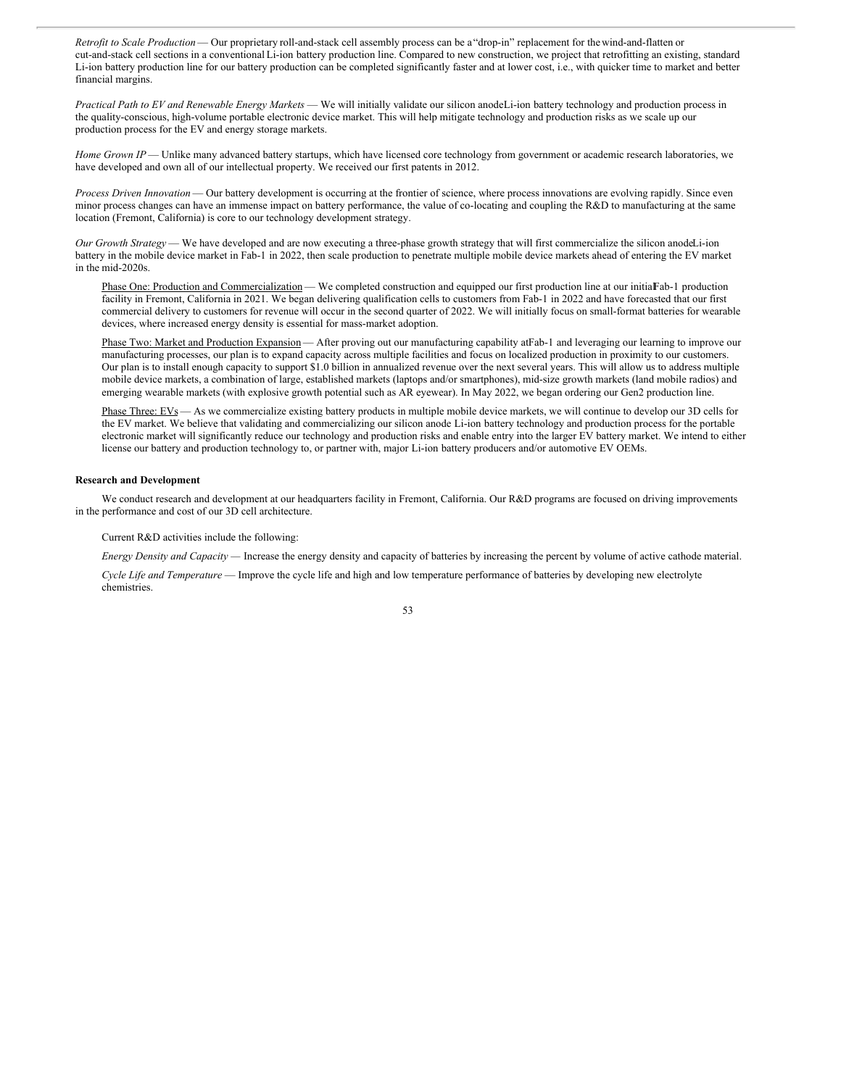*Retrofit to Scale Production*— Our proprietary roll-and-stack cell assembly process can be a "drop-in" replacement for thewind-and-flatten or cut-and-stack cell sections in a conventional Li-ion battery production line. Compared to new construction, we project that retrofitting an existing, standard Li-ion battery production line for our battery production can be completed significantly faster and at lower cost, i.e., with quicker time to market and better financial margins.

*Practical Path to EV and Renewable Energy Markets* — We will initially validate our silicon anodeLi-ion battery technology and production process in the quality-conscious, high-volume portable electronic device market. This will help mitigate technology and production risks as we scale up our production process for the EV and energy storage markets.

*Home Grown IP* — Unlike many advanced battery startups, which have licensed core technology from government or academic research laboratories, we have developed and own all of our intellectual property. We received our first patents in 2012.

*Process Driven Innovation* — Our battery development is occurring at the frontier of science, where process innovations are evolving rapidly. Since even minor process changes can have an immense impact on battery performance, the value of co-locating and coupling the R&D to manufacturing at the same location (Fremont, California) is core to our technology development strategy.

*Our Growth Strategy* — We have developed and are now executing a three-phase growth strategy that will first commercialize the silicon anodeLi-ion battery in the mobile device market in Fab-1 in 2022, then scale production to penetrate multiple mobile device markets ahead of entering the EV market in the mid-2020s.

Phase One: Production and Commercialization — We completed construction and equipped our first production line at our initialFab-1 production facility in Fremont, California in 2021. We began delivering qualification cells to customers from Fab-1 in 2022 and have forecasted that our first commercial delivery to customers for revenue will occur in the second quarter of 2022. We will initially focus on small-format batteries for wearable devices, where increased energy density is essential for mass-market adoption.

Phase Two: Market and Production Expansion — After proving out our manufacturing capability atFab-1 and leveraging our learning to improve our manufacturing processes, our plan is to expand capacity across multiple facilities and focus on localized production in proximity to our customers. Our plan is to install enough capacity to support \$1.0 billion in annualized revenue over the next several years. This will allow us to address multiple mobile device markets, a combination of large, established markets (laptops and/or smartphones), mid-size growth markets (land mobile radios) and emerging wearable markets (with explosive growth potential such as AR eyewear). In May 2022, we began ordering our Gen2 production line.

Phase Three: EVs — As we commercialize existing battery products in multiple mobile device markets, we will continue to develop our 3D cells for the EV market. We believe that validating and commercializing our silicon anode Li-ion battery technology and production process for the portable electronic market will significantly reduce our technology and production risks and enable entry into the larger EV battery market. We intend to either license our battery and production technology to, or partner with, major Li-ion battery producers and/or automotive EV OEMs.

### **Research and Development**

We conduct research and development at our headquarters facility in Fremont, California. Our R&D programs are focused on driving improvements in the performance and cost of our 3D cell architecture.

Current R&D activities include the following:

*Energy Density and Capacity —* Increase the energy density and capacity of batteries by increasing the percent by volume of active cathode material.

*Cycle Life and Temperature* — Improve the cycle life and high and low temperature performance of batteries by developing new electrolyte chemistries.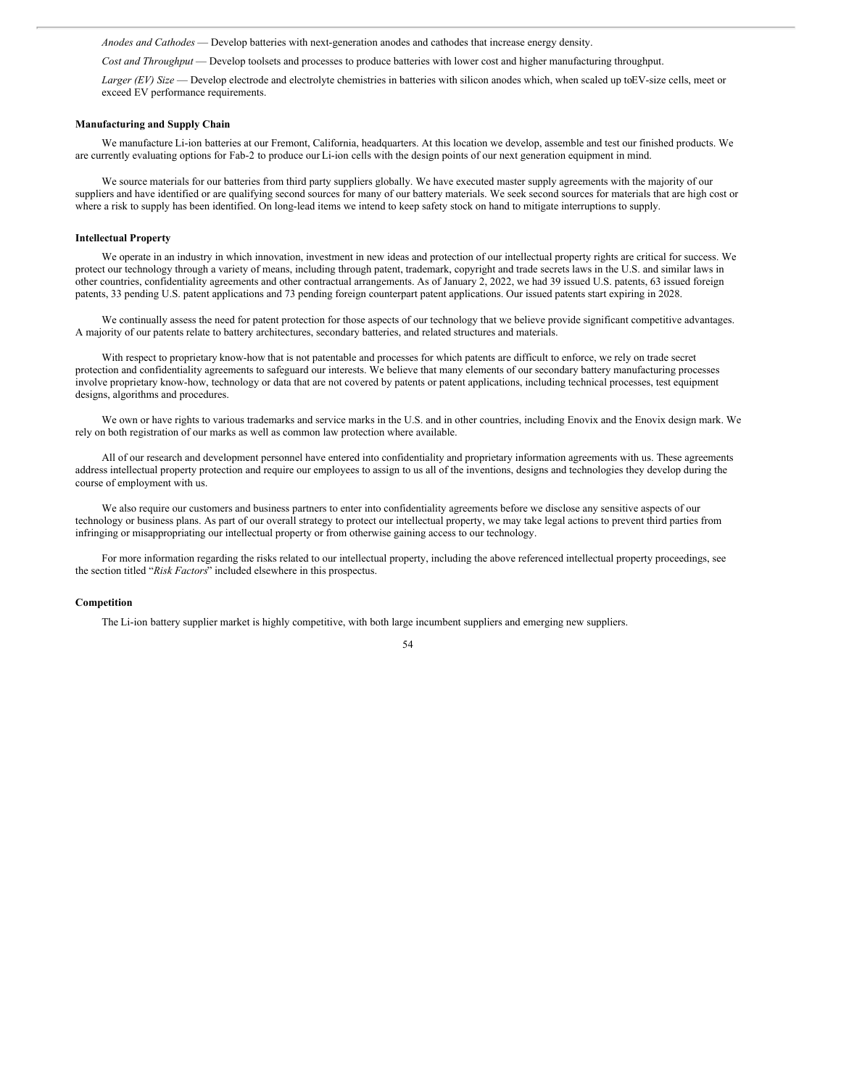*Anodes and Cathodes* — Develop batteries with next-generation anodes and cathodes that increase energy density.

*Cost and Throughput* — Develop toolsets and processes to produce batteries with lower cost and higher manufacturing throughput.

*Larger (EV) Size* — Develop electrode and electrolyte chemistries in batteries with silicon anodes which, when scaled up toEV-size cells, meet or exceed EV performance requirements.

### **Manufacturing and Supply Chain**

We manufacture Li-ion batteries at our Fremont, California, headquarters. At this location we develop, assemble and test our finished products. We are currently evaluating options for Fab-2 to produce our Li-ion cells with the design points of our next generation equipment in mind.

We source materials for our batteries from third party suppliers globally. We have executed master supply agreements with the majority of our suppliers and have identified or are qualifying second sources for many of our battery materials. We seek second sources for materials that are high cost or where a risk to supply has been identified. On long-lead items we intend to keep safety stock on hand to mitigate interruptions to supply.

### **Intellectual Property**

We operate in an industry in which innovation, investment in new ideas and protection of our intellectual property rights are critical for success. We protect our technology through a variety of means, including through patent, trademark, copyright and trade secrets laws in the U.S. and similar laws in other countries, confidentiality agreements and other contractual arrangements. As of January 2, 2022, we had 39 issued U.S. patents, 63 issued foreign patents, 33 pending U.S. patent applications and 73 pending foreign counterpart patent applications. Our issued patents start expiring in 2028.

We continually assess the need for patent protection for those aspects of our technology that we believe provide significant competitive advantages. A majority of our patents relate to battery architectures, secondary batteries, and related structures and materials.

With respect to proprietary know-how that is not patentable and processes for which patents are difficult to enforce, we rely on trade secret protection and confidentiality agreements to safeguard our interests. We believe that many elements of our secondary battery manufacturing processes involve proprietary know-how, technology or data that are not covered by patents or patent applications, including technical processes, test equipment designs, algorithms and procedures.

We own or have rights to various trademarks and service marks in the U.S. and in other countries, including Enovix and the Enovix design mark. We rely on both registration of our marks as well as common law protection where available.

All of our research and development personnel have entered into confidentiality and proprietary information agreements with us. These agreements address intellectual property protection and require our employees to assign to us all of the inventions, designs and technologies they develop during the course of employment with us.

We also require our customers and business partners to enter into confidentiality agreements before we disclose any sensitive aspects of our technology or business plans. As part of our overall strategy to protect our intellectual property, we may take legal actions to prevent third parties from infringing or misappropriating our intellectual property or from otherwise gaining access to our technology.

For more information regarding the risks related to our intellectual property, including the above referenced intellectual property proceedings, see the section titled "*Risk Factors*" included elsewhere in this prospectus.

### **Competition**

The Li-ion battery supplier market is highly competitive, with both large incumbent suppliers and emerging new suppliers.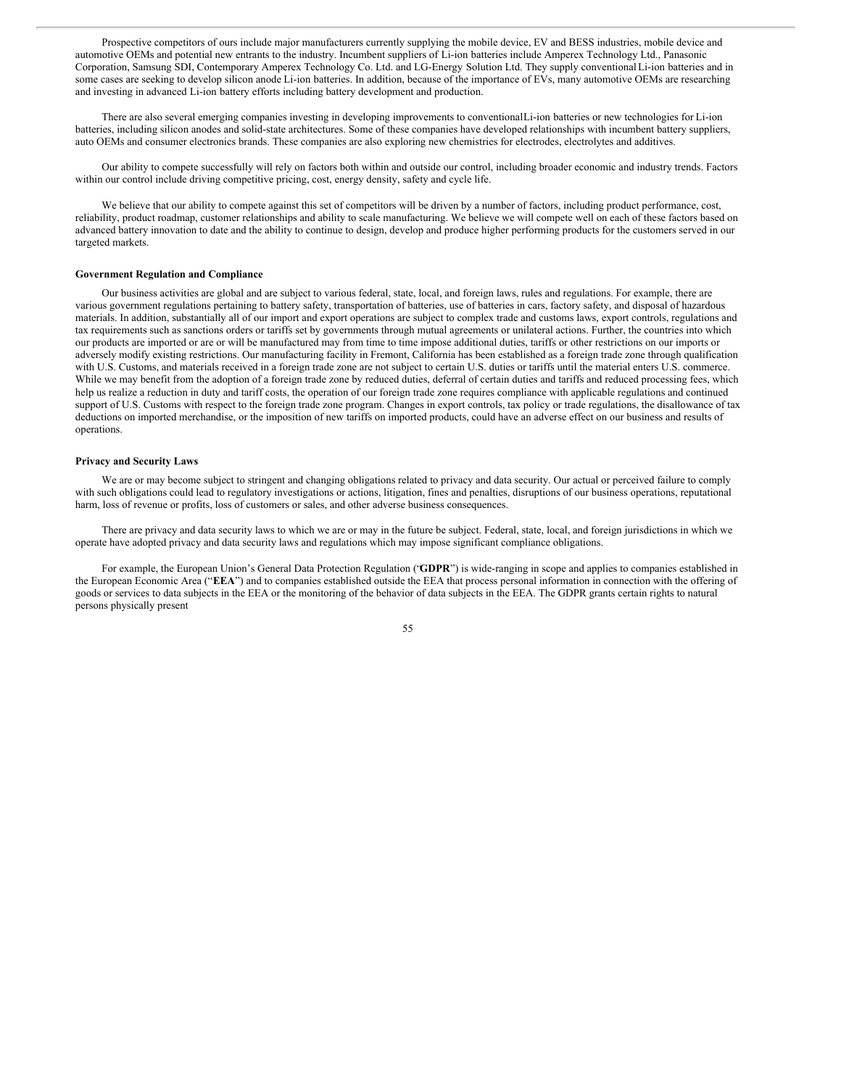Prospective competitors of ours include major manufacturers currently supplying the mobile device, EV and BESS industries, mobile device and automotive OEMs and potential new entrants to the industry. Incumbent suppliers of Li-ion batteries include Amperex Technology Ltd., Panasonic Corporation, Samsung SDI, Contemporary Amperex Technology Co. Ltd. and LG-Energy Solution Ltd. They supply conventionalLi-ion batteries and in some cases are seeking to develop silicon anode Li-ion batteries. In addition, because of the importance of EVs, many automotive OEMs are researching and investing in advanced Li-ion battery efforts including battery development and production.

There are also several emerging companies investing in developing improvements to conventionalLi-ion batteries or new technologies for Li-ion batteries, including silicon anodes and solid-state architectures. Some of these companies have developed relationships with incumbent battery suppliers, auto OEMs and consumer electronics brands. These companies are also exploring new chemistries for electrodes, electrolytes and additives.

Our ability to compete successfully will rely on factors both within and outside our control, including broader economic and industry trends. Factors within our control include driving competitive pricing, cost, energy density, safety and cycle life.

We believe that our ability to compete against this set of competitors will be driven by a number of factors, including product performance, cost, reliability, product roadmap, customer relationships and ability to scale manufacturing. We believe we will compete well on each of these factors based on advanced battery innovation to date and the ability to continue to design, develop and produce higher performing products for the customers served in our targeted markets.

### **Government Regulation and Compliance**

Our business activities are global and are subject to various federal, state, local, and foreign laws, rules and regulations. For example, there are various government regulations pertaining to battery safety, transportation of batteries, use of batteries in cars, factory safety, and disposal of hazardous materials. In addition, substantially all of our import and export operations are subject to complex trade and customs laws, export controls, regulations and tax requirements such as sanctions orders or tariffs set by governments through mutual agreements or unilateral actions. Further, the countries into which our products are imported or are or will be manufactured may from time to time impose additional duties, tariffs or other restrictions on our imports or adversely modify existing restrictions. Our manufacturing facility in Fremont, California has been established as a foreign trade zone through qualification with U.S. Customs, and materials received in a foreign trade zone are not subject to certain U.S. duties or tariffs until the material enters U.S. commerce. While we may benefit from the adoption of a foreign trade zone by reduced duties, deferral of certain duties and tariffs and reduced processing fees, which help us realize a reduction in duty and tariff costs, the operation of our foreign trade zone requires compliance with applicable regulations and continued support of U.S. Customs with respect to the foreign trade zone program. Changes in export controls, tax policy or trade regulations, the disallowance of tax deductions on imported merchandise, or the imposition of new tariffs on imported products, could have an adverse effect on our business and results of operations.

### **Privacy and Security Laws**

We are or may become subject to stringent and changing obligations related to privacy and data security. Our actual or perceived failure to comply with such obligations could lead to regulatory investigations or actions, litigation, fines and penalties, disruptions of our business operations, reputational harm, loss of revenue or profits, loss of customers or sales, and other adverse business consequences.

There are privacy and data security laws to which we are or may in the future be subject. Federal, state, local, and foreign jurisdictions in which we operate have adopted privacy and data security laws and regulations which may impose significant compliance obligations.

For example, the European Union's General Data Protection Regulation ("**GDPR**") is wide-ranging in scope and applies to companies established in the European Economic Area ("**EEA**") and to companies established outside the EEA that process personal information in connection with the offering of goods or services to data subjects in the EEA or the monitoring of the behavior of data subjects in the EEA. The GDPR grants certain rights to natural persons physically present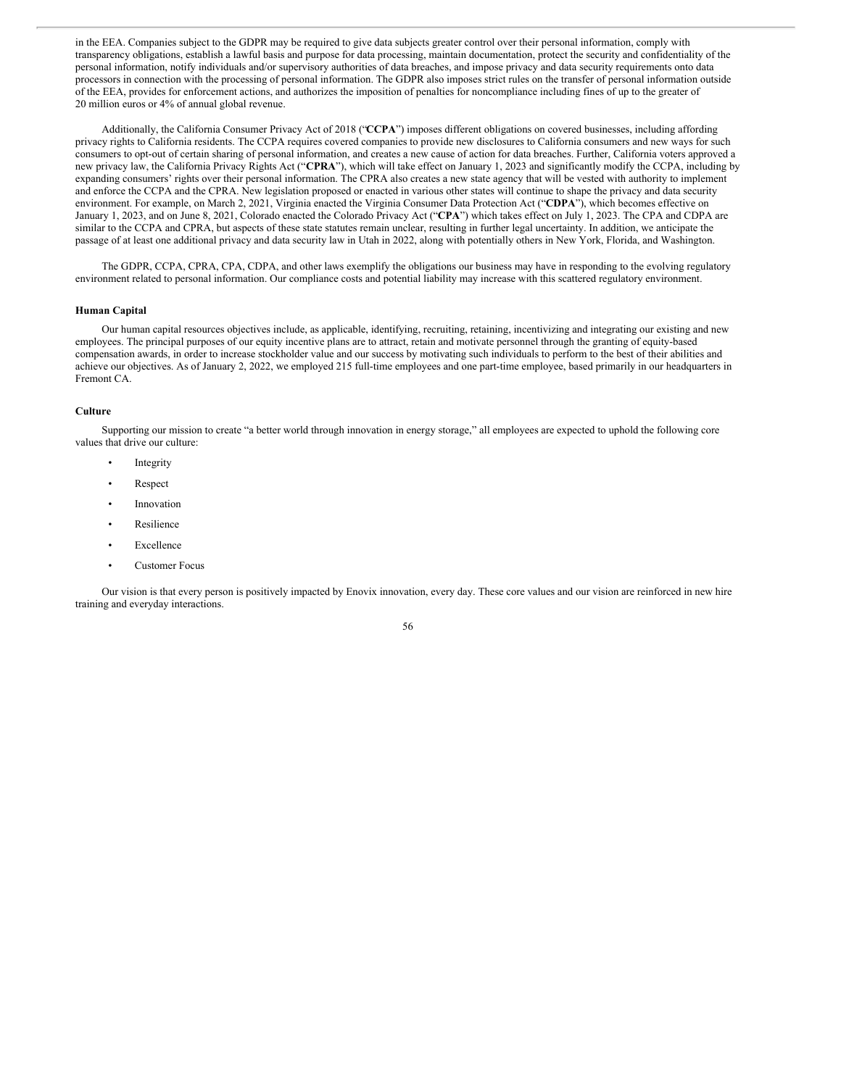in the EEA. Companies subject to the GDPR may be required to give data subjects greater control over their personal information, comply with transparency obligations, establish a lawful basis and purpose for data processing, maintain documentation, protect the security and confidentiality of the personal information, notify individuals and/or supervisory authorities of data breaches, and impose privacy and data security requirements onto data processors in connection with the processing of personal information. The GDPR also imposes strict rules on the transfer of personal information outside of the EEA, provides for enforcement actions, and authorizes the imposition of penalties for noncompliance including fines of up to the greater of 20 million euros or 4% of annual global revenue.

Additionally, the California Consumer Privacy Act of 2018 ("**CCPA**") imposes different obligations on covered businesses, including affording privacy rights to California residents. The CCPA requires covered companies to provide new disclosures to California consumers and new ways for such consumers to opt-out of certain sharing of personal information, and creates a new cause of action for data breaches. Further, California voters approved a new privacy law, the California Privacy Rights Act ("**CPRA**"), which will take effect on January 1, 2023 and significantly modify the CCPA, including by expanding consumers' rights over their personal information. The CPRA also creates a new state agency that will be vested with authority to implement and enforce the CCPA and the CPRA. New legislation proposed or enacted in various other states will continue to shape the privacy and data security environment. For example, on March 2, 2021, Virginia enacted the Virginia Consumer Data Protection Act ("**CDPA**"), which becomes effective on January 1, 2023, and on June 8, 2021, Colorado enacted the Colorado Privacy Act ("**CPA**") which takes effect on July 1, 2023. The CPA and CDPA are similar to the CCPA and CPRA, but aspects of these state statutes remain unclear, resulting in further legal uncertainty. In addition, we anticipate the passage of at least one additional privacy and data security law in Utah in 2022, along with potentially others in New York, Florida, and Washington.

The GDPR, CCPA, CPRA, CPA, CDPA, and other laws exemplify the obligations our business may have in responding to the evolving regulatory environment related to personal information. Our compliance costs and potential liability may increase with this scattered regulatory environment.

### **Human Capital**

Our human capital resources objectives include, as applicable, identifying, recruiting, retaining, incentivizing and integrating our existing and new employees. The principal purposes of our equity incentive plans are to attract, retain and motivate personnel through the granting of equity-based compensation awards, in order to increase stockholder value and our success by motivating such individuals to perform to the best of their abilities and achieve our objectives. As of January 2, 2022, we employed 215 full-time employees and one part-time employee, based primarily in our headquarters in Fremont CA.

### **Culture**

Supporting our mission to create "a better world through innovation in energy storage," all employees are expected to uphold the following core values that drive our culture:

- **Integrity**
- Respect
- **Innovation**
- **Resilience**
- **Excellence**
- Customer Focus

Our vision is that every person is positively impacted by Enovix innovation, every day. These core values and our vision are reinforced in new hire training and everyday interactions.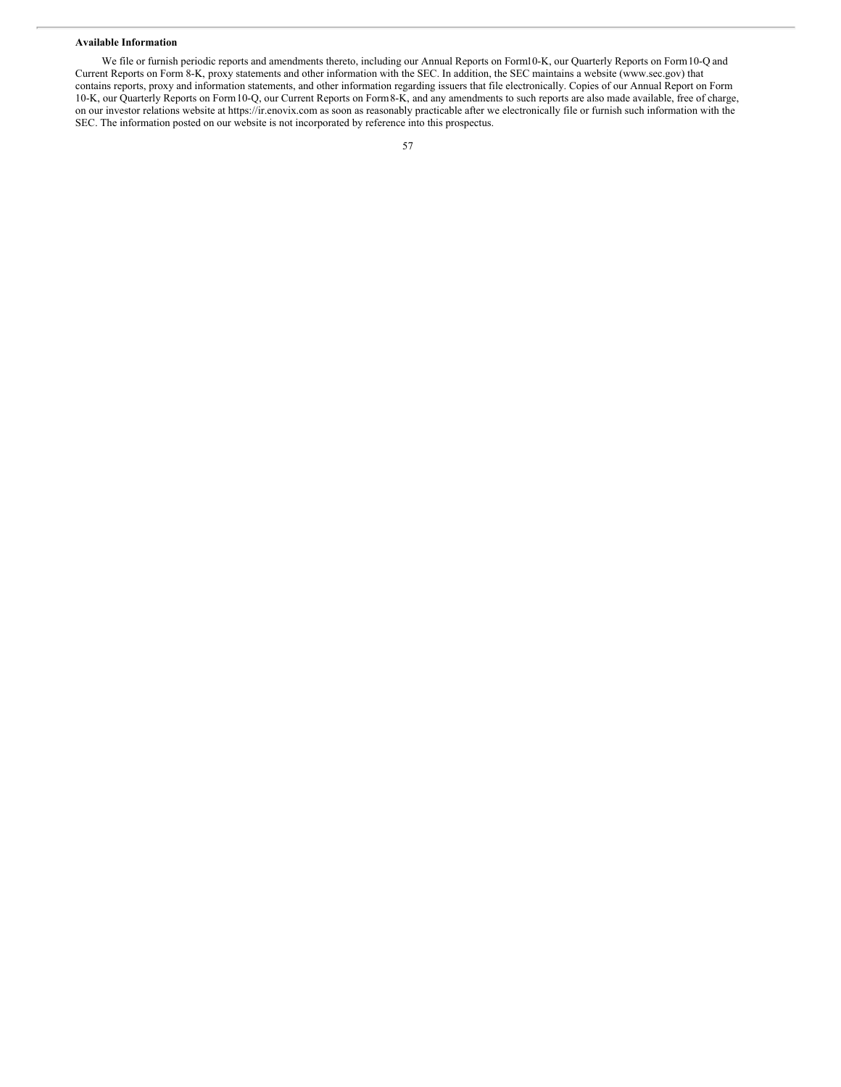# **Available Information**

We file or furnish periodic reports and amendments thereto, including our Annual Reports on Form10-K, our Quarterly Reports on Form10-Q and Current Reports on Form 8-K, proxy statements and other information with the SEC. In addition, the SEC maintains a website (www.sec.gov) that contains reports, proxy and information statements, and other information regarding issuers that file electronically. Copies of our Annual Report on Form 10-K, our Quarterly Reports on Form10-Q, our Current Reports on Form8-K, and any amendments to such reports are also made available, free of charge, on our investor relations website at https://ir.enovix.com as soon as reasonably practicable after we electronically file or furnish such information with the SEC. The information posted on our website is not incorporated by reference into this prospectus.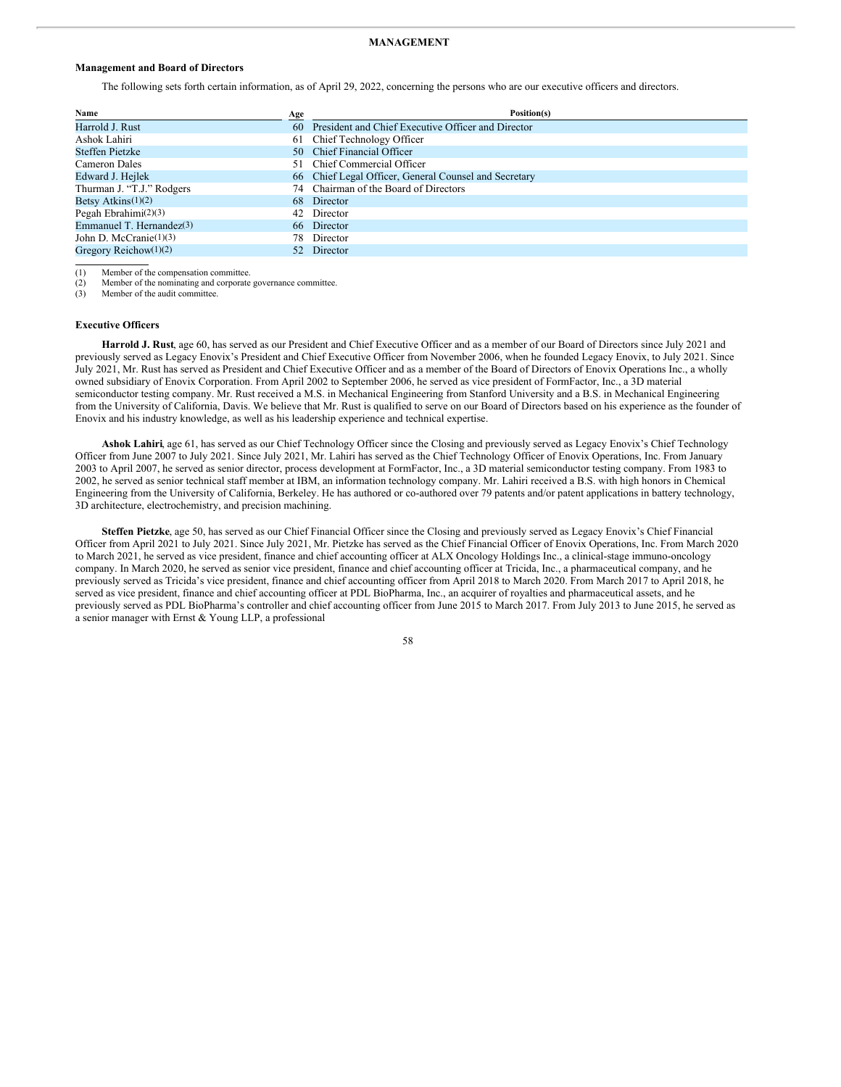#### **MANAGEMENT**

### **Management and Board of Directors**

The following sets forth certain information, as of April 29, 2022, concerning the persons who are our executive officers and directors.

| Name                           | Age | Position(s)                                           |
|--------------------------------|-----|-------------------------------------------------------|
| Harrold J. Rust                | 60  | President and Chief Executive Officer and Director    |
| Ashok Lahiri                   |     | 61 Chief Technology Officer                           |
| <b>Steffen Pietzke</b>         |     | 50 Chief Financial Officer                            |
| Cameron Dales                  |     | 51 Chief Commercial Officer                           |
| Edward J. Hejlek               |     | 66 Chief Legal Officer, General Counsel and Secretary |
| Thurman J. "T.J." Rodgers      |     | 74 Chairman of the Board of Directors                 |
| Betsy Atkins <sup>(1)(2)</sup> |     | 68 Director                                           |
| Pegah Ebrahimi $(2)(3)$        |     | 42 Director                                           |
| Emmanuel T. Hernandez $(3)$    |     | 66 Director                                           |
| John D. McCranie $(1)(3)$      | 78. | Director                                              |
| Gregory Reichow $(1)(2)$       |     | 52 Director                                           |

(1) Member of the compensation committee.

(2) Member of the nominating and corporate governance committee.

Member of the audit committee.

### **Executive Officers**

**Harrold J. Rust**, age 60, has served as our President and Chief Executive Officer and as a member of our Board of Directors since July 2021 and previously served as Legacy Enovix's President and Chief Executive Officer from November 2006, when he founded Legacy Enovix, to July 2021. Since July 2021, Mr. Rust has served as President and Chief Executive Officer and as a member of the Board of Directors of Enovix Operations Inc., a wholly owned subsidiary of Enovix Corporation. From April 2002 to September 2006, he served as vice president of FormFactor, Inc., a 3D material semiconductor testing company. Mr. Rust received a M.S. in Mechanical Engineering from Stanford University and a B.S. in Mechanical Engineering from the University of California, Davis. We believe that Mr. Rust is qualified to serve on our Board of Directors based on his experience as the founder of Enovix and his industry knowledge, as well as his leadership experience and technical expertise.

**Ashok Lahiri**, age 61, has served as our Chief Technology Officer since the Closing and previously served as Legacy Enovix's Chief Technology Officer from June 2007 to July 2021. Since July 2021, Mr. Lahiri has served as the Chief Technology Officer of Enovix Operations, Inc. From January 2003 to April 2007, he served as senior director, process development at FormFactor, Inc., a 3D material semiconductor testing company. From 1983 to 2002, he served as senior technical staff member at IBM, an information technology company. Mr. Lahiri received a B.S. with high honors in Chemical Engineering from the University of California, Berkeley. He has authored or co-authored over 79 patents and/or patent applications in battery technology, 3D architecture, electrochemistry, and precision machining.

**Steffen Pietzke**, age 50, has served as our Chief Financial Officer since the Closing and previously served as Legacy Enovix's Chief Financial Officer from April 2021 to July 2021. Since July 2021, Mr. Pietzke has served as the Chief Financial Officer of Enovix Operations, Inc. From March 2020 to March 2021, he served as vice president, finance and chief accounting officer at ALX Oncology Holdings Inc., a clinical-stage immuno-oncology company. In March 2020, he served as senior vice president, finance and chief accounting officer at Tricida, Inc., a pharmaceutical company, and he previously served as Tricida's vice president, finance and chief accounting officer from April 2018 to March 2020. From March 2017 to April 2018, he served as vice president, finance and chief accounting officer at PDL BioPharma, Inc., an acquirer of royalties and pharmaceutical assets, and he previously served as PDL BioPharma's controller and chief accounting officer from June 2015 to March 2017. From July 2013 to June 2015, he served as a senior manager with Ernst & Young LLP, a professional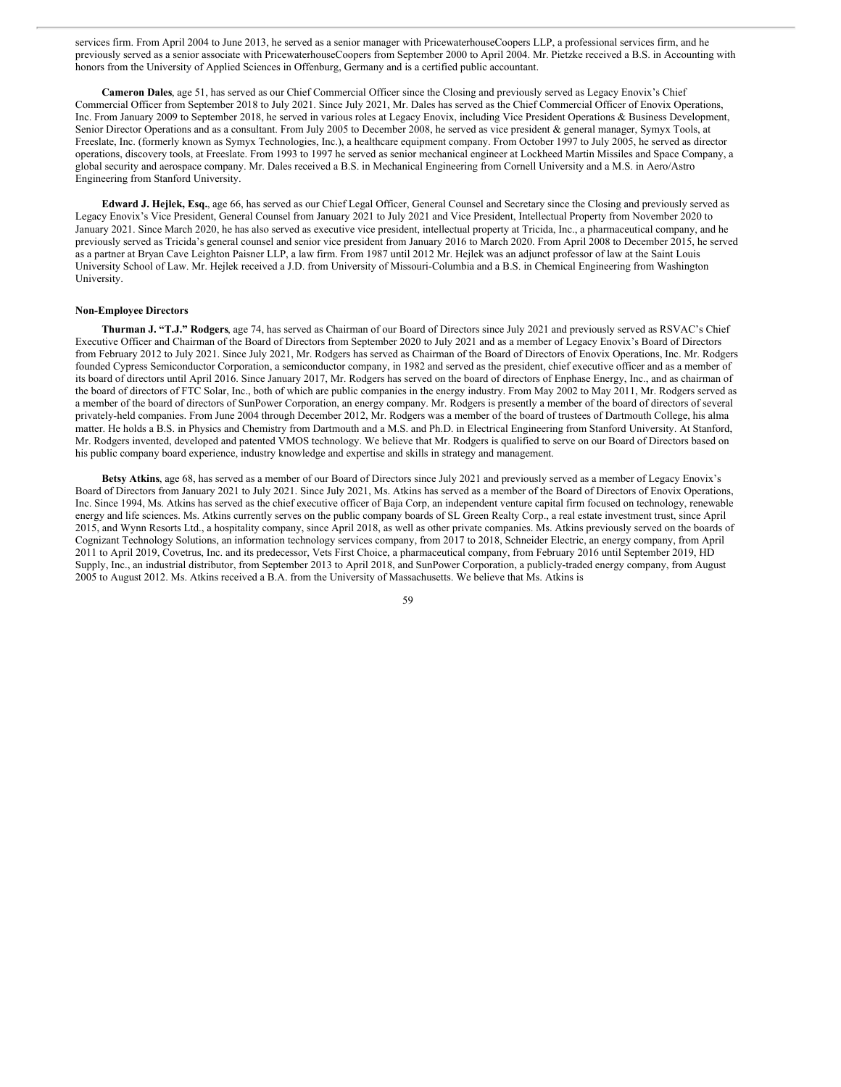services firm. From April 2004 to June 2013, he served as a senior manager with PricewaterhouseCoopers LLP, a professional services firm, and he previously served as a senior associate with PricewaterhouseCoopers from September 2000 to April 2004. Mr. Pietzke received a B.S. in Accounting with honors from the University of Applied Sciences in Offenburg, Germany and is a certified public accountant.

**Cameron Dales**, age 51, has served as our Chief Commercial Officer since the Closing and previously served as Legacy Enovix's Chief Commercial Officer from September 2018 to July 2021. Since July 2021, Mr. Dales has served as the Chief Commercial Officer of Enovix Operations, Inc. From January 2009 to September 2018, he served in various roles at Legacy Enovix, including Vice President Operations & Business Development, Senior Director Operations and as a consultant. From July 2005 to December 2008, he served as vice president & general manager, Symyx Tools, at Freeslate, Inc. (formerly known as Symyx Technologies, Inc.), a healthcare equipment company. From October 1997 to July 2005, he served as director operations, discovery tools, at Freeslate. From 1993 to 1997 he served as senior mechanical engineer at Lockheed Martin Missiles and Space Company, a global security and aerospace company. Mr. Dales received a B.S. in Mechanical Engineering from Cornell University and a M.S. in Aero/Astro Engineering from Stanford University.

**Edward J. Hejlek, Esq.**, age 66, has served as our Chief Legal Officer, General Counsel and Secretary since the Closing and previously served as Legacy Enovix's Vice President, General Counsel from January 2021 to July 2021 and Vice President, Intellectual Property from November 2020 to January 2021. Since March 2020, he has also served as executive vice president, intellectual property at Tricida, Inc., a pharmaceutical company, and he previously served as Tricida's general counsel and senior vice president from January 2016 to March 2020. From April 2008 to December 2015, he served as a partner at Bryan Cave Leighton Paisner LLP, a law firm. From 1987 until 2012 Mr. Hejlek was an adjunct professor of law at the Saint Louis University School of Law. Mr. Hejlek received a J.D. from University of Missouri-Columbia and a B.S. in Chemical Engineering from Washington University.

### **Non-Employee Directors**

**Thurman J. "T.J." Rodgers**, age 74, has served as Chairman of our Board of Directors since July 2021 and previously served as RSVAC's Chief Executive Officer and Chairman of the Board of Directors from September 2020 to July 2021 and as a member of Legacy Enovix's Board of Directors from February 2012 to July 2021. Since July 2021, Mr. Rodgers has served as Chairman of the Board of Directors of Enovix Operations, Inc. Mr. Rodgers founded Cypress Semiconductor Corporation, a semiconductor company, in 1982 and served as the president, chief executive officer and as a member of its board of directors until April 2016. Since January 2017, Mr. Rodgers has served on the board of directors of Enphase Energy, Inc., and as chairman of the board of directors of FTC Solar, Inc., both of which are public companies in the energy industry. From May 2002 to May 2011, Mr. Rodgers served as a member of the board of directors of SunPower Corporation, an energy company. Mr. Rodgers is presently a member of the board of directors of several privately-held companies. From June 2004 through December 2012, Mr. Rodgers was a member of the board of trustees of Dartmouth College, his alma matter. He holds a B.S. in Physics and Chemistry from Dartmouth and a M.S. and Ph.D. in Electrical Engineering from Stanford University. At Stanford, Mr. Rodgers invented, developed and patented VMOS technology. We believe that Mr. Rodgers is qualified to serve on our Board of Directors based on his public company board experience, industry knowledge and expertise and skills in strategy and management.

**Betsy Atkins**, age 68, has served as a member of our Board of Directors since July 2021 and previously served as a member of Legacy Enovix's Board of Directors from January 2021 to July 2021. Since July 2021, Ms. Atkins has served as a member of the Board of Directors of Enovix Operations, Inc. Since 1994, Ms. Atkins has served as the chief executive officer of Baja Corp, an independent venture capital firm focused on technology, renewable energy and life sciences. Ms. Atkins currently serves on the public company boards of SL Green Realty Corp., a real estate investment trust, since April 2015, and Wynn Resorts Ltd., a hospitality company, since April 2018, as well as other private companies. Ms. Atkins previously served on the boards of Cognizant Technology Solutions, an information technology services company, from 2017 to 2018, Schneider Electric, an energy company, from April 2011 to April 2019, Covetrus, Inc. and its predecessor, Vets First Choice, a pharmaceutical company, from February 2016 until September 2019, HD Supply, Inc., an industrial distributor, from September 2013 to April 2018, and SunPower Corporation, a publicly-traded energy company, from August 2005 to August 2012. Ms. Atkins received a B.A. from the University of Massachusetts. We believe that Ms. Atkins is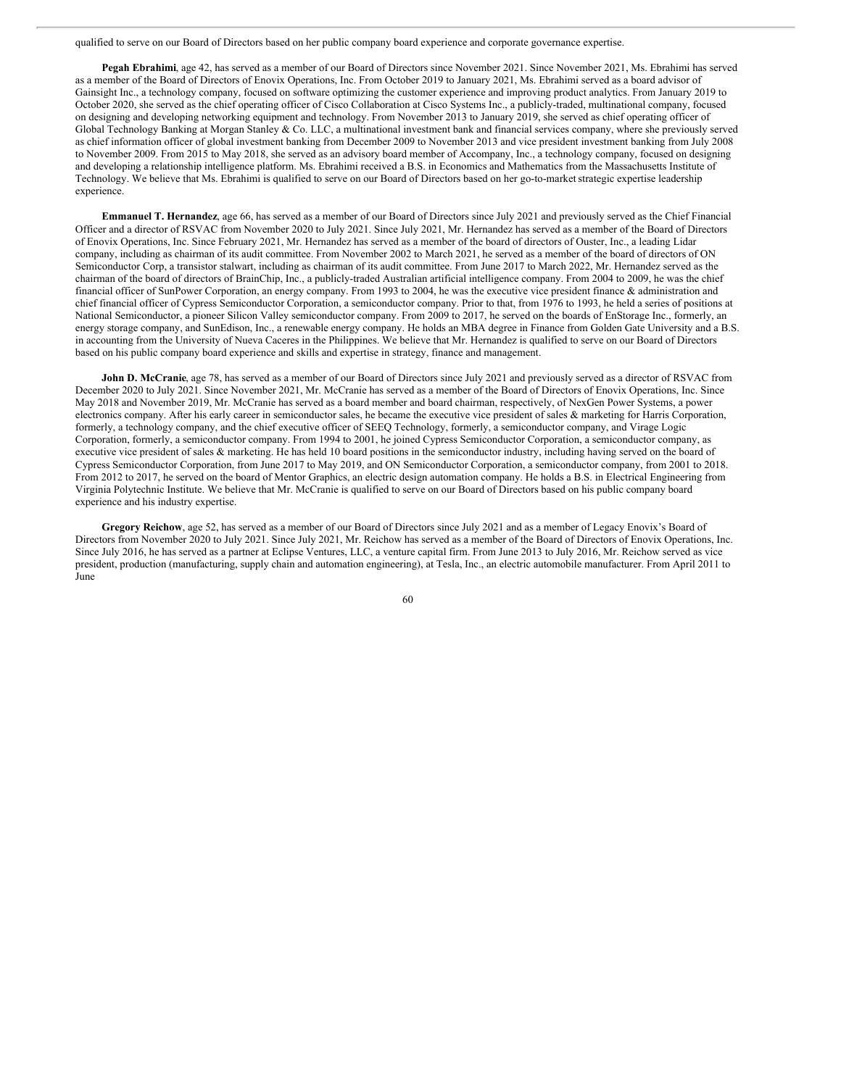qualified to serve on our Board of Directors based on her public company board experience and corporate governance expertise.

**Pegah Ebrahimi**, age 42, has served as a member of our Board of Directors since November 2021. Since November 2021, Ms. Ebrahimi has served as a member of the Board of Directors of Enovix Operations, Inc. From October 2019 to January 2021, Ms. Ebrahimi served as a board advisor of Gainsight Inc., a technology company, focused on software optimizing the customer experience and improving product analytics. From January 2019 to October 2020, she served as the chief operating officer of Cisco Collaboration at Cisco Systems Inc., a publicly-traded, multinational company, focused on designing and developing networking equipment and technology. From November 2013 to January 2019, she served as chief operating officer of Global Technology Banking at Morgan Stanley & Co. LLC, a multinational investment bank and financial services company, where she previously served as chief information officer of global investment banking from December 2009 to November 2013 and vice president investment banking from July 2008 to November 2009. From 2015 to May 2018, she served as an advisory board member of Accompany, Inc., a technology company, focused on designing and developing a relationship intelligence platform. Ms. Ebrahimi received a B.S. in Economics and Mathematics from the Massachusetts Institute of Technology. We believe that Ms. Ebrahimi is qualified to serve on our Board of Directors based on her go-to-market strategic expertise leadership experience.

**Emmanuel T. Hernandez**, age 66, has served as a member of our Board of Directors since July 2021 and previously served as the Chief Financial Officer and a director of RSVAC from November 2020 to July 2021. Since July 2021, Mr. Hernandez has served as a member of the Board of Directors of Enovix Operations, Inc. Since February 2021, Mr. Hernandez has served as a member of the board of directors of Ouster, Inc., a leading Lidar company, including as chairman of its audit committee. From November 2002 to March 2021, he served as a member of the board of directors of ON Semiconductor Corp, a transistor stalwart, including as chairman of its audit committee. From June 2017 to March 2022, Mr. Hernandez served as the chairman of the board of directors of BrainChip, Inc., a publicly-traded Australian artificial intelligence company. From 2004 to 2009, he was the chief financial officer of SunPower Corporation, an energy company. From 1993 to 2004, he was the executive vice president finance & administration and chief financial officer of Cypress Semiconductor Corporation, a semiconductor company. Prior to that, from 1976 to 1993, he held a series of positions at National Semiconductor, a pioneer Silicon Valley semiconductor company. From 2009 to 2017, he served on the boards of EnStorage Inc., formerly, an energy storage company, and SunEdison, Inc., a renewable energy company. He holds an MBA degree in Finance from Golden Gate University and a B.S. in accounting from the University of Nueva Caceres in the Philippines. We believe that Mr. Hernandez is qualified to serve on our Board of Directors based on his public company board experience and skills and expertise in strategy, finance and management.

**John D. McCranie**, age 78, has served as a member of our Board of Directors since July 2021 and previously served as a director of RSVAC from December 2020 to July 2021. Since November 2021, Mr. McCranie has served as a member of the Board of Directors of Enovix Operations, Inc. Since May 2018 and November 2019, Mr. McCranie has served as a board member and board chairman, respectively, of NexGen Power Systems, a power electronics company. After his early career in semiconductor sales, he became the executive vice president of sales & marketing for Harris Corporation, formerly, a technology company, and the chief executive officer of SEEQ Technology, formerly, a semiconductor company, and Virage Logic Corporation, formerly, a semiconductor company. From 1994 to 2001, he joined Cypress Semiconductor Corporation, a semiconductor company, as executive vice president of sales & marketing. He has held 10 board positions in the semiconductor industry, including having served on the board of Cypress Semiconductor Corporation, from June 2017 to May 2019, and ON Semiconductor Corporation, a semiconductor company, from 2001 to 2018. From 2012 to 2017, he served on the board of Mentor Graphics, an electric design automation company. He holds a B.S. in Electrical Engineering from Virginia Polytechnic Institute. We believe that Mr. McCranie is qualified to serve on our Board of Directors based on his public company board experience and his industry expertise.

**Gregory Reichow**, age 52, has served as a member of our Board of Directors since July 2021 and as a member of Legacy Enovix's Board of Directors from November 2020 to July 2021. Since July 2021, Mr. Reichow has served as a member of the Board of Directors of Enovix Operations, Inc. Since July 2016, he has served as a partner at Eclipse Ventures, LLC, a venture capital firm. From June 2013 to July 2016, Mr. Reichow served as vice president, production (manufacturing, supply chain and automation engineering), at Tesla, Inc., an electric automobile manufacturer. From April 2011 to June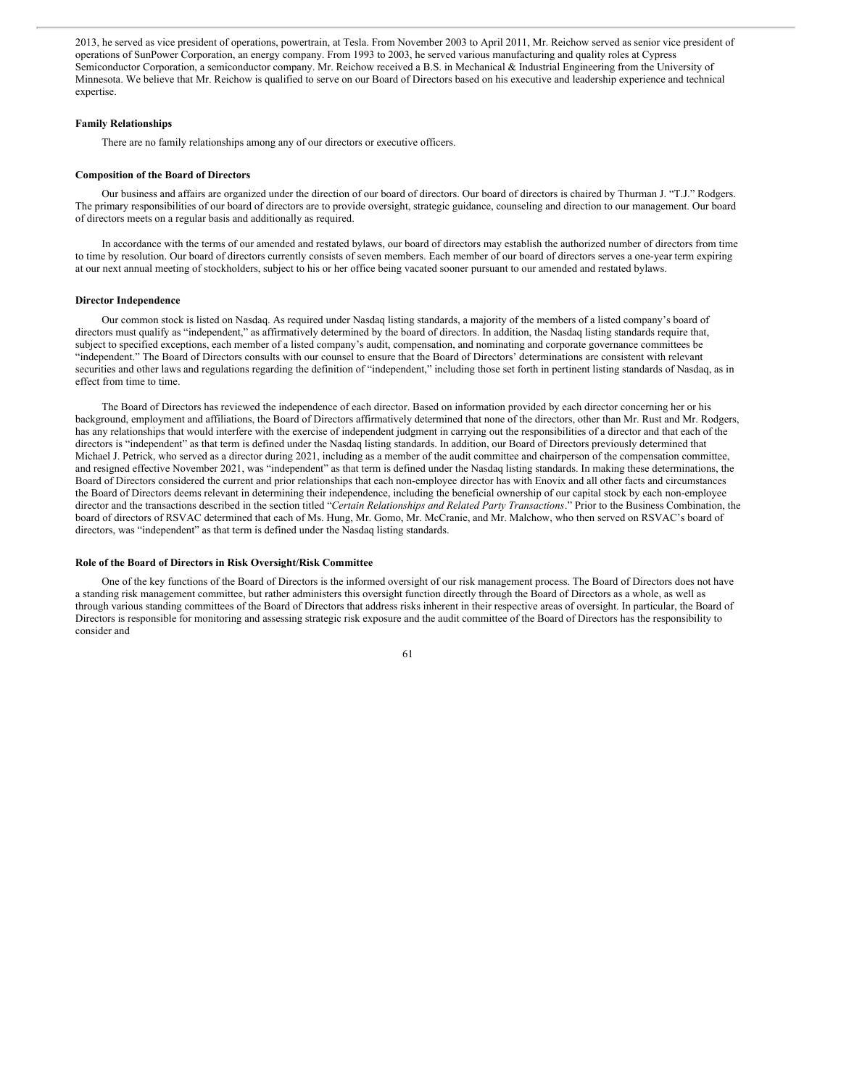2013, he served as vice president of operations, powertrain, at Tesla. From November 2003 to April 2011, Mr. Reichow served as senior vice president of operations of SunPower Corporation, an energy company. From 1993 to 2003, he served various manufacturing and quality roles at Cypress Semiconductor Corporation, a semiconductor company. Mr. Reichow received a B.S. in Mechanical & Industrial Engineering from the University of Minnesota. We believe that Mr. Reichow is qualified to serve on our Board of Directors based on his executive and leadership experience and technical expertise.

### **Family Relationships**

There are no family relationships among any of our directors or executive officers.

#### **Composition of the Board of Directors**

Our business and affairs are organized under the direction of our board of directors. Our board of directors is chaired by Thurman J. "T.J." Rodgers. The primary responsibilities of our board of directors are to provide oversight, strategic guidance, counseling and direction to our management. Our board of directors meets on a regular basis and additionally as required.

In accordance with the terms of our amended and restated bylaws, our board of directors may establish the authorized number of directors from time to time by resolution. Our board of directors currently consists of seven members. Each member of our board of directors serves a one-year term expiring at our next annual meeting of stockholders, subject to his or her office being vacated sooner pursuant to our amended and restated bylaws.

### **Director Independence**

Our common stock is listed on Nasdaq. As required under Nasdaq listing standards, a majority of the members of a listed company's board of directors must qualify as "independent," as affirmatively determined by the board of directors. In addition, the Nasdaq listing standards require that, subject to specified exceptions, each member of a listed company's audit, compensation, and nominating and corporate governance committees be "independent." The Board of Directors consults with our counsel to ensure that the Board of Directors' determinations are consistent with relevant securities and other laws and regulations regarding the definition of "independent," including those set forth in pertinent listing standards of Nasdaq, as in effect from time to time.

The Board of Directors has reviewed the independence of each director. Based on information provided by each director concerning her or his background, employment and affiliations, the Board of Directors affirmatively determined that none of the directors, other than Mr. Rust and Mr. Rodgers, has any relationships that would interfere with the exercise of independent judgment in carrying out the responsibilities of a director and that each of the directors is "independent" as that term is defined under the Nasdaq listing standards. In addition, our Board of Directors previously determined that Michael J. Petrick, who served as a director during 2021, including as a member of the audit committee and chairperson of the compensation committee, and resigned effective November 2021, was "independent" as that term is defined under the Nasdaq listing standards. In making these determinations, the Board of Directors considered the current and prior relationships that each non-employee director has with Enovix and all other facts and circumstances the Board of Directors deems relevant in determining their independence, including the beneficial ownership of our capital stock by each non-employee director and the transactions described in the section titled "*Certain Relationships and Related Party Transactions*." Prior to the Business Combination, the board of directors of RSVAC determined that each of Ms. Hung, Mr. Gomo, Mr. McCranie, and Mr. Malchow, who then served on RSVAC's board of directors, was "independent" as that term is defined under the Nasdaq listing standards.

#### **Role of the Board of Directors in Risk Oversight/Risk Committee**

One of the key functions of the Board of Directors is the informed oversight of our risk management process. The Board of Directors does not have a standing risk management committee, but rather administers this oversight function directly through the Board of Directors as a whole, as well as through various standing committees of the Board of Directors that address risks inherent in their respective areas of oversight. In particular, the Board of Directors is responsible for monitoring and assessing strategic risk exposure and the audit committee of the Board of Directors has the responsibility to consider and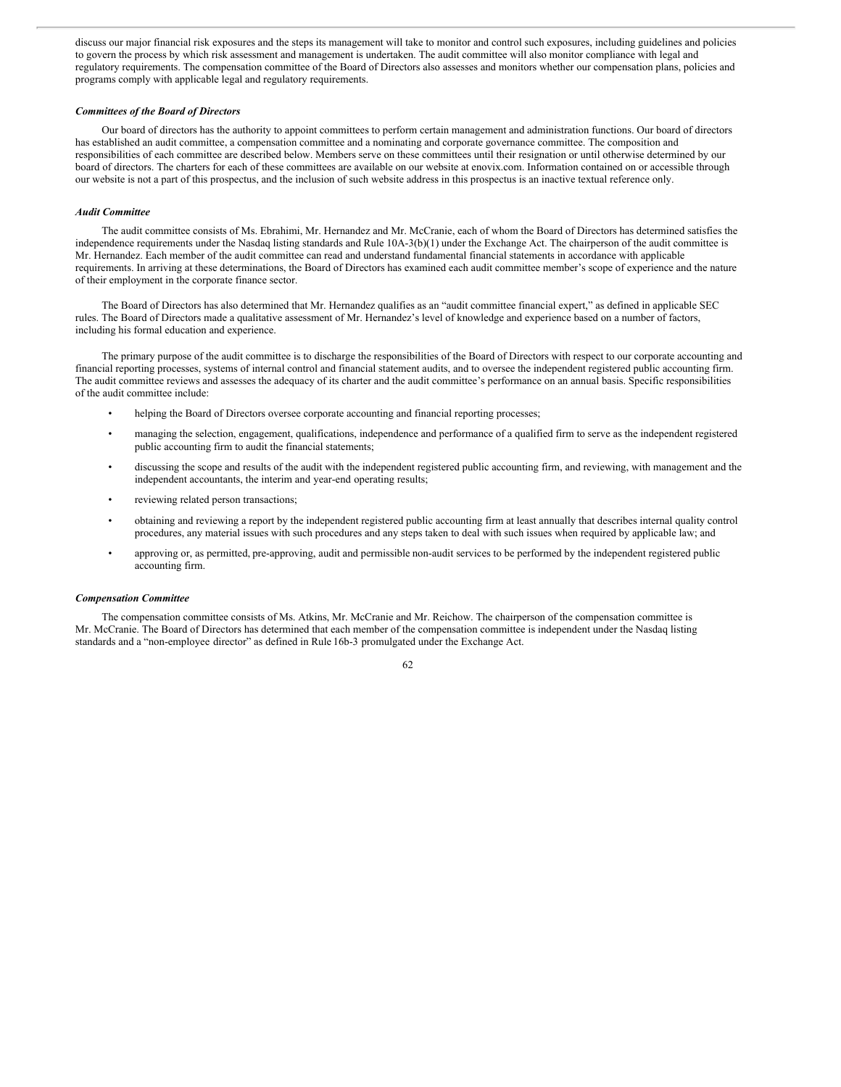discuss our major financial risk exposures and the steps its management will take to monitor and control such exposures, including guidelines and policies to govern the process by which risk assessment and management is undertaken. The audit committee will also monitor compliance with legal and regulatory requirements. The compensation committee of the Board of Directors also assesses and monitors whether our compensation plans, policies and programs comply with applicable legal and regulatory requirements.

## *Committees of the Board of Directors*

Our board of directors has the authority to appoint committees to perform certain management and administration functions. Our board of directors has established an audit committee, a compensation committee and a nominating and corporate governance committee. The composition and responsibilities of each committee are described below. Members serve on these committees until their resignation or until otherwise determined by our board of directors. The charters for each of these committees are available on our website at enovix.com. Information contained on or accessible through our website is not a part of this prospectus, and the inclusion of such website address in this prospectus is an inactive textual reference only.

#### *Audit Committee*

The audit committee consists of Ms. Ebrahimi, Mr. Hernandez and Mr. McCranie, each of whom the Board of Directors has determined satisfies the independence requirements under the Nasdaq listing standards and Rule 10A-3(b)(1) under the Exchange Act. The chairperson of the audit committee is Mr. Hernandez. Each member of the audit committee can read and understand fundamental financial statements in accordance with applicable requirements. In arriving at these determinations, the Board of Directors has examined each audit committee member's scope of experience and the nature of their employment in the corporate finance sector.

The Board of Directors has also determined that Mr. Hernandez qualifies as an "audit committee financial expert," as defined in applicable SEC rules. The Board of Directors made a qualitative assessment of Mr. Hernandez's level of knowledge and experience based on a number of factors, including his formal education and experience.

The primary purpose of the audit committee is to discharge the responsibilities of the Board of Directors with respect to our corporate accounting and financial reporting processes, systems of internal control and financial statement audits, and to oversee the independent registered public accounting firm. The audit committee reviews and assesses the adequacy of its charter and the audit committee's performance on an annual basis. Specific responsibilities of the audit committee include:

- helping the Board of Directors oversee corporate accounting and financial reporting processes;
- managing the selection, engagement, qualifications, independence and performance of a qualified firm to serve as the independent registered public accounting firm to audit the financial statements;
- discussing the scope and results of the audit with the independent registered public accounting firm, and reviewing, with management and the independent accountants, the interim and year-end operating results;
- reviewing related person transactions;
- obtaining and reviewing a report by the independent registered public accounting firm at least annually that describes internal quality control procedures, any material issues with such procedures and any steps taken to deal with such issues when required by applicable law; and
- approving or, as permitted, pre-approving, audit and permissible non-audit services to be performed by the independent registered public accounting firm.

### *Compensation Committee*

The compensation committee consists of Ms. Atkins, Mr. McCranie and Mr. Reichow. The chairperson of the compensation committee is Mr. McCranie. The Board of Directors has determined that each member of the compensation committee is independent under the Nasdaq listing standards and a "non-employee director" as defined in Rule 16b-3 promulgated under the Exchange Act.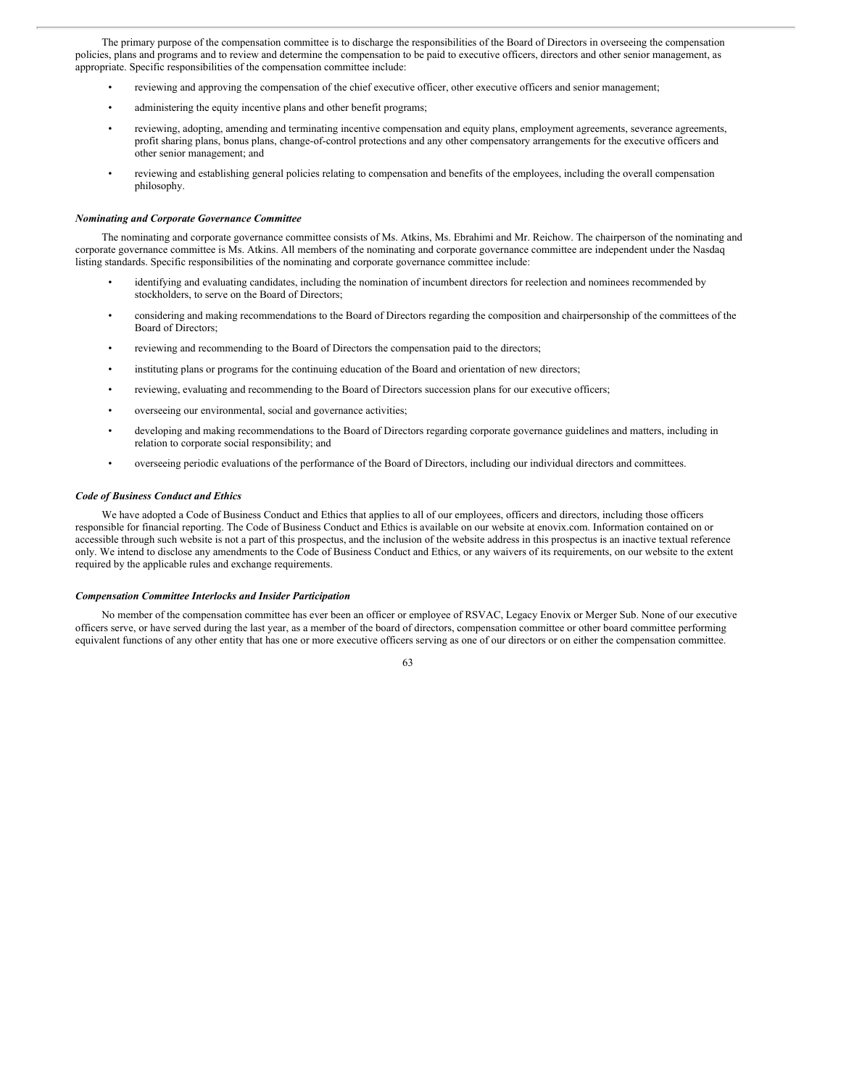The primary purpose of the compensation committee is to discharge the responsibilities of the Board of Directors in overseeing the compensation policies, plans and programs and to review and determine the compensation to be paid to executive officers, directors and other senior management, as appropriate. Specific responsibilities of the compensation committee include:

- reviewing and approving the compensation of the chief executive officer, other executive officers and senior management;
- administering the equity incentive plans and other benefit programs;
- reviewing, adopting, amending and terminating incentive compensation and equity plans, employment agreements, severance agreements, profit sharing plans, bonus plans, change-of-control protections and any other compensatory arrangements for the executive officers and other senior management; and
- reviewing and establishing general policies relating to compensation and benefits of the employees, including the overall compensation philosophy.

### *Nominating and Corporate Governance Committee*

The nominating and corporate governance committee consists of Ms. Atkins, Ms. Ebrahimi and Mr. Reichow. The chairperson of the nominating and corporate governance committee is Ms. Atkins. All members of the nominating and corporate governance committee are independent under the Nasdaq listing standards. Specific responsibilities of the nominating and corporate governance committee include:

- identifying and evaluating candidates, including the nomination of incumbent directors for reelection and nominees recommended by stockholders, to serve on the Board of Directors;
- considering and making recommendations to the Board of Directors regarding the composition and chairpersonship of the committees of the Board of Directors;
- reviewing and recommending to the Board of Directors the compensation paid to the directors;
- instituting plans or programs for the continuing education of the Board and orientation of new directors;
- reviewing, evaluating and recommending to the Board of Directors succession plans for our executive officers;
- overseeing our environmental, social and governance activities;
- developing and making recommendations to the Board of Directors regarding corporate governance guidelines and matters, including in relation to corporate social responsibility; and
- overseeing periodic evaluations of the performance of the Board of Directors, including our individual directors and committees.

# *Code of Business Conduct and Ethics*

We have adopted a Code of Business Conduct and Ethics that applies to all of our employees, officers and directors, including those officers responsible for financial reporting. The Code of Business Conduct and Ethics is available on our website at enovix.com. Information contained on or accessible through such website is not a part of this prospectus, and the inclusion of the website address in this prospectus is an inactive textual reference only. We intend to disclose any amendments to the Code of Business Conduct and Ethics, or any waivers of its requirements, on our website to the extent required by the applicable rules and exchange requirements.

### *Compensation Committee Interlocks and Insider Participation*

No member of the compensation committee has ever been an officer or employee of RSVAC, Legacy Enovix or Merger Sub. None of our executive officers serve, or have served during the last year, as a member of the board of directors, compensation committee or other board committee performing equivalent functions of any other entity that has one or more executive officers serving as one of our directors or on either the compensation committee.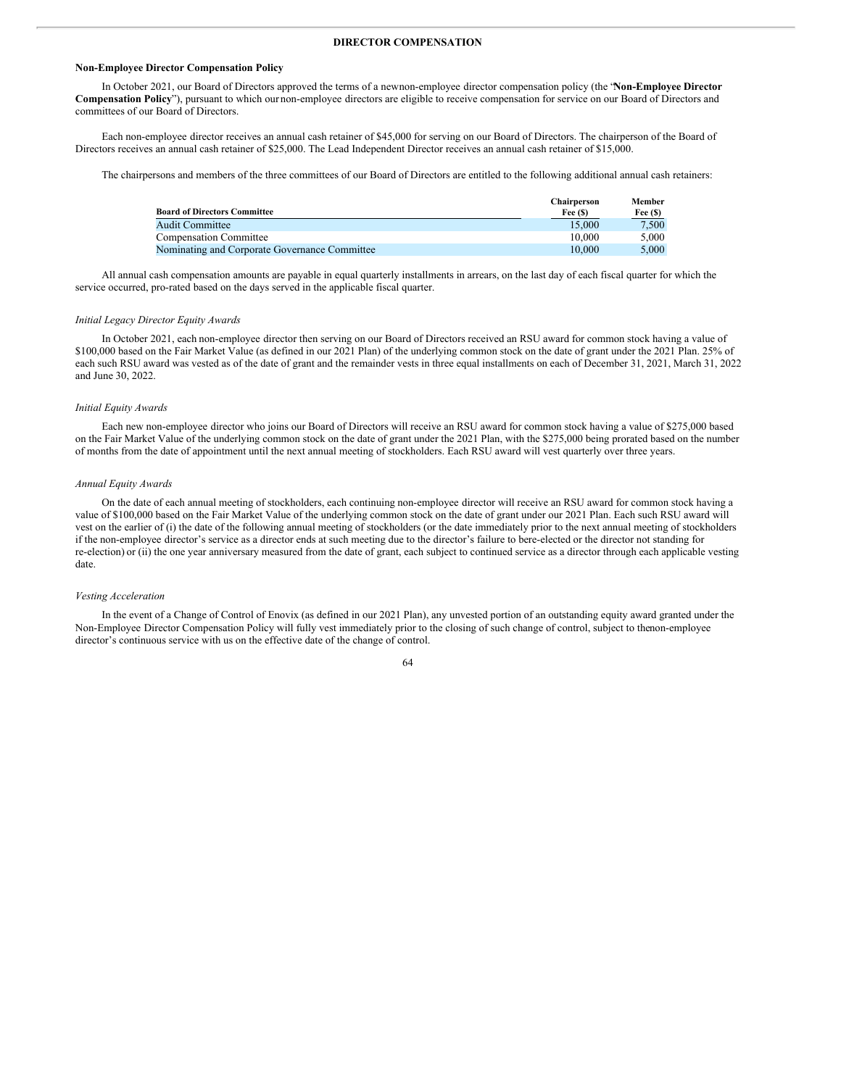### **DIRECTOR COMPENSATION**

### **Non-Employee Director Compensation Policy**

In October 2021, our Board of Directors approved the terms of a newnon-employee director compensation policy (the "**Non-Employee Director Compensation Policy**"), pursuant to which our non-employee directors are eligible to receive compensation for service on our Board of Directors and committees of our Board of Directors.

Each non-employee director receives an annual cash retainer of \$45,000 for serving on our Board of Directors. The chairperson of the Board of Directors receives an annual cash retainer of \$25,000. The Lead Independent Director receives an annual cash retainer of \$15,000.

The chairpersons and members of the three committees of our Board of Directors are entitled to the following additional annual cash retainers:

|                                               | Chairperson | Member  |
|-----------------------------------------------|-------------|---------|
| <b>Board of Directors Committee</b>           | Fee (S)     | Fee (S) |
| <b>Audit Committee</b>                        | 15,000      | 7.500   |
| <b>Compensation Committee</b>                 | 10,000      | 5.000   |
| Nominating and Corporate Governance Committee | 10.000      | 5.000   |

All annual cash compensation amounts are payable in equal quarterly installments in arrears, on the last day of each fiscal quarter for which the service occurred, pro-rated based on the days served in the applicable fiscal quarter.

### *Initial Legacy Director Equity Awards*

In October 2021, each non-employee director then serving on our Board of Directors received an RSU award for common stock having a value of \$100,000 based on the Fair Market Value (as defined in our 2021 Plan) of the underlying common stock on the date of grant under the 2021 Plan. 25% of each such RSU award was vested as of the date of grant and the remainder vests in three equal installments on each of December 31, 2021, March 31, 2022 and June 30, 2022.

### *Initial Equity Awards*

Each new non-employee director who joins our Board of Directors will receive an RSU award for common stock having a value of \$275,000 based on the Fair Market Value of the underlying common stock on the date of grant under the 2021 Plan, with the \$275,000 being prorated based on the number of months from the date of appointment until the next annual meeting of stockholders. Each RSU award will vest quarterly over three years.

### *Annual Equity Awards*

On the date of each annual meeting of stockholders, each continuing non-employee director will receive an RSU award for common stock having a value of \$100,000 based on the Fair Market Value of the underlying common stock on the date of grant under our 2021 Plan. Each such RSU award will vest on the earlier of (i) the date of the following annual meeting of stockholders (or the date immediately prior to the next annual meeting of stockholders if the non-employee director's service as a director ends at such meeting due to the director's failure to bere-elected or the director not standing for re-election) or (ii) the one year anniversary measured from the date of grant, each subject to continued service as a director through each applicable vesting date.

### *Vesting Acceleration*

In the event of a Change of Control of Enovix (as defined in our 2021 Plan), any unvested portion of an outstanding equity award granted under the Non-Employee Director Compensation Policy will fully vest immediately prior to the closing of such change of control, subject to thenon-employee director's continuous service with us on the effective date of the change of control.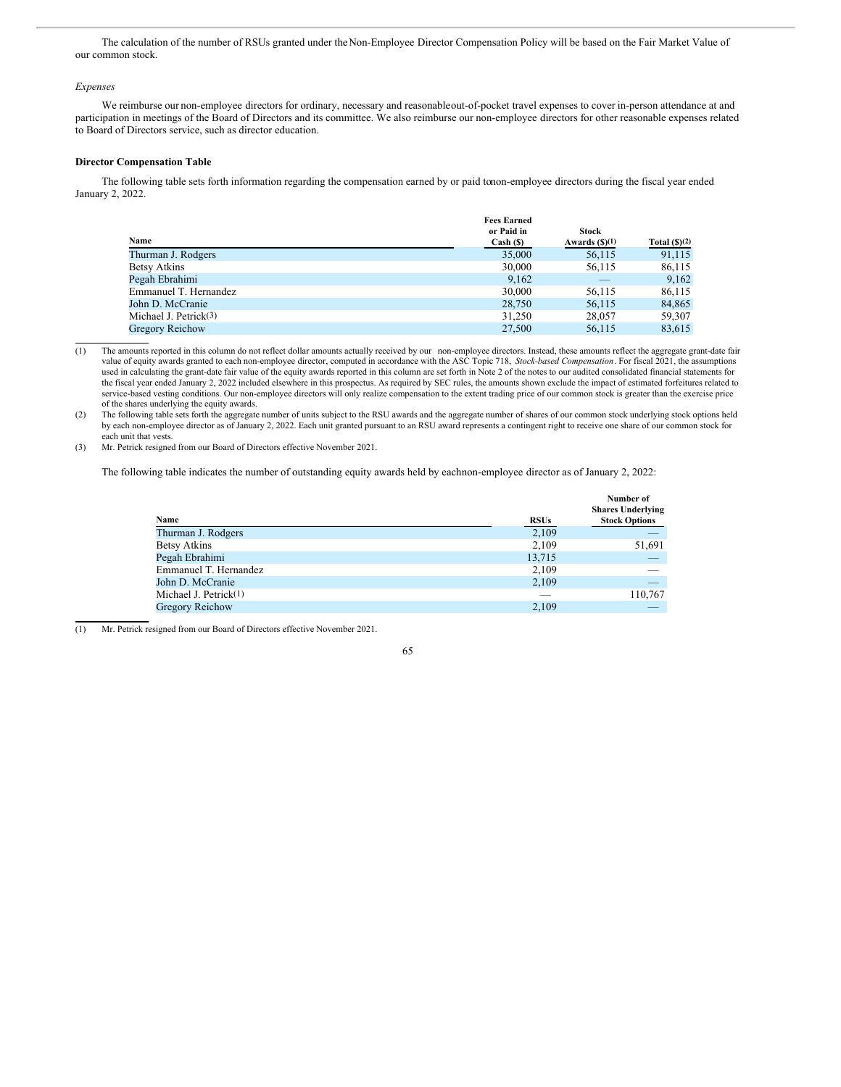The calculation of the number of RSUs granted under theNon-Employee Director Compensation Policy will be based on the Fair Market Value of our common stock.

### *Expenses*

We reimburse our non-employee directors for ordinary, necessary and reasonableout-of-pocket travel expenses to cover in-person attendance at and participation in meetings of the Board of Directors and its committee. We also reimburse our non-employee directors for other reasonable expenses related to Board of Directors service, such as director education.

### **Director Compensation Table**

The following table sets forth information regarding the compensation earned by or paid tonon-employee directors during the fiscal year ended January 2, 2022.

|                          | <b>Fees Earned</b>             |                                        |                       |
|--------------------------|--------------------------------|----------------------------------------|-----------------------|
| Name                     | or Paid in<br>$\text{Cash}(S)$ | <b>Stock</b><br>Awards $(\text{S})(1)$ | Total $(\text{S})(2)$ |
| Thurman J. Rodgers       | 35,000                         | 56,115                                 | 91,115                |
| Betsy Atkins             | 30,000                         | 56,115                                 | 86,115                |
| Pegah Ebrahimi           | 9,162                          | $\overline{\phantom{a}}$               | 9,162                 |
| Emmanuel T. Hernandez    | 30,000                         | 56,115                                 | 86,115                |
| John D. McCranie         | 28,750                         | 56,115                                 | 84,865                |
| Michael J. Petrick $(3)$ | 31.250                         | 28,057                                 | 59,307                |
| <b>Gregory Reichow</b>   | 27,500                         | 56.115                                 | 83.615                |

(1) The amounts reported in this column do not reflect dollar amounts actually received by our non-employee directors. Instead, these amounts reflect the aggregate grant-date fair value of equity awards granted to each non-employee director, computed in accordance with the ASC Topic 718, *Stock-based Compensation*. For fiscal 2021, the assumptions used in calculating the grant-date fair value of the equity awards reported in this column are set forth in Note 2 of the notes to our audited consolidated financial statements for the fiscal year ended January 2, 2022 included elsewhere in this prospectus. As required by SEC rules, the amounts shown exclude the impact of estimated forfeitures related to service-based vesting conditions. Our non-employee directors will only realize compensation to the extent trading price of our common stock is greater than the exercise price of the shares underlying the equity awards.

(2) The following table sets forth the aggregate number of units subject to the RSU awards and the aggregate number of shares of our common stock underlying stock options held by each non-employee director as of January 2, 2022. Each unit granted pursuant to an RSU award represents a contingent right to receive one share of our common stock for each unit that vests.

The following table indicates the number of outstanding equity awards held by eachnon-employee director as of January 2, 2022:

|                       |             | Number of                |
|-----------------------|-------------|--------------------------|
|                       |             | <b>Shares Underlying</b> |
| Name                  | <b>RSUs</b> | <b>Stock Options</b>     |
| Thurman J. Rodgers    | 2,109       |                          |
| <b>Betsy Atkins</b>   | 2,109       | 51,691                   |
| Pegah Ebrahimi        | 13,715      |                          |
| Emmanuel T. Hernandez | 2,109       |                          |
| John D. McCranie      | 2,109       | _                        |
| Michael J. Petrick(1) |             | 110,767                  |
| Gregory Reichow       | 2.109       |                          |

(1) Mr. Petrick resigned from our Board of Directors effective November 2021.

<sup>(3)</sup> Mr. Petrick resigned from our Board of Directors effective November 2021.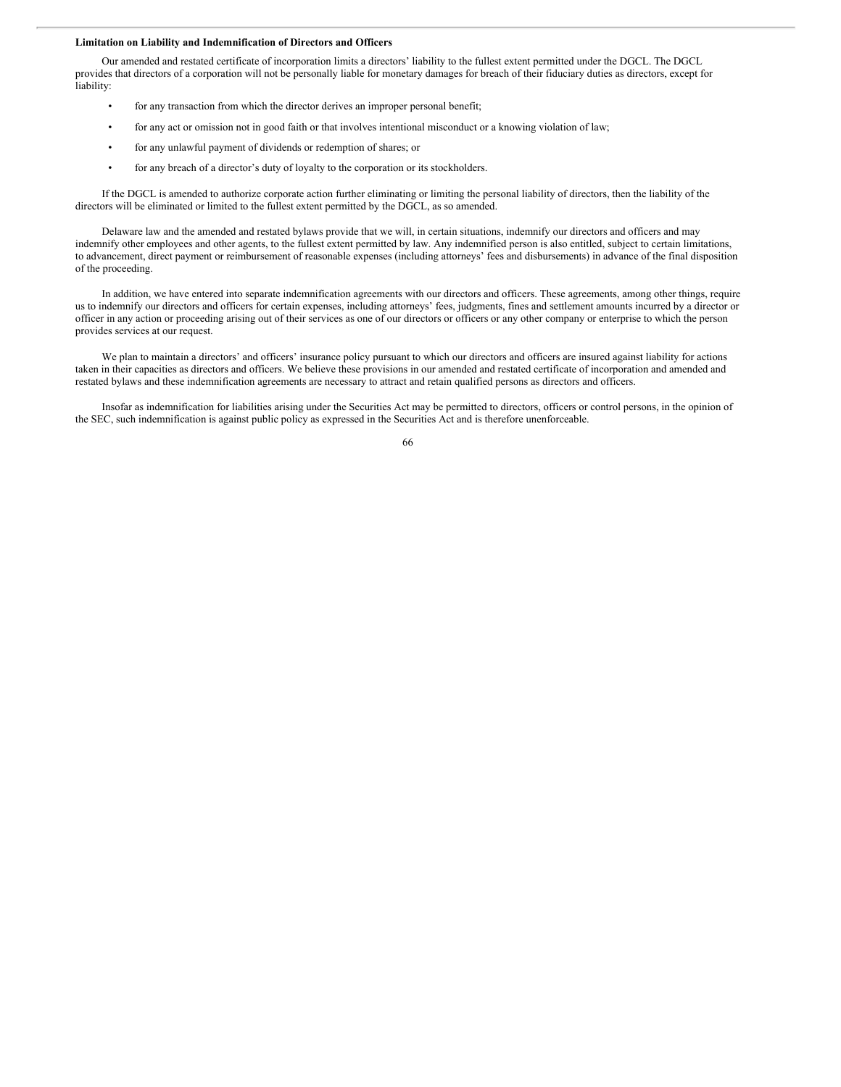#### **Limitation on Liability and Indemnification of Directors and Officers**

Our amended and restated certificate of incorporation limits a directors' liability to the fullest extent permitted under the DGCL. The DGCL provides that directors of a corporation will not be personally liable for monetary damages for breach of their fiduciary duties as directors, except for liability:

- for any transaction from which the director derives an improper personal benefit;
- for any act or omission not in good faith or that involves intentional misconduct or a knowing violation of law;
- for any unlawful payment of dividends or redemption of shares; or
- for any breach of a director's duty of loyalty to the corporation or its stockholders.

If the DGCL is amended to authorize corporate action further eliminating or limiting the personal liability of directors, then the liability of the directors will be eliminated or limited to the fullest extent permitted by the DGCL, as so amended.

Delaware law and the amended and restated bylaws provide that we will, in certain situations, indemnify our directors and officers and may indemnify other employees and other agents, to the fullest extent permitted by law. Any indemnified person is also entitled, subject to certain limitations, to advancement, direct payment or reimbursement of reasonable expenses (including attorneys' fees and disbursements) in advance of the final disposition of the proceeding.

In addition, we have entered into separate indemnification agreements with our directors and officers. These agreements, among other things, require us to indemnify our directors and officers for certain expenses, including attorneys' fees, judgments, fines and settlement amounts incurred by a director or officer in any action or proceeding arising out of their services as one of our directors or officers or any other company or enterprise to which the person provides services at our request.

We plan to maintain a directors' and officers' insurance policy pursuant to which our directors and officers are insured against liability for actions taken in their capacities as directors and officers. We believe these provisions in our amended and restated certificate of incorporation and amended and restated bylaws and these indemnification agreements are necessary to attract and retain qualified persons as directors and officers.

Insofar as indemnification for liabilities arising under the Securities Act may be permitted to directors, officers or control persons, in the opinion of the SEC, such indemnification is against public policy as expressed in the Securities Act and is therefore unenforceable.

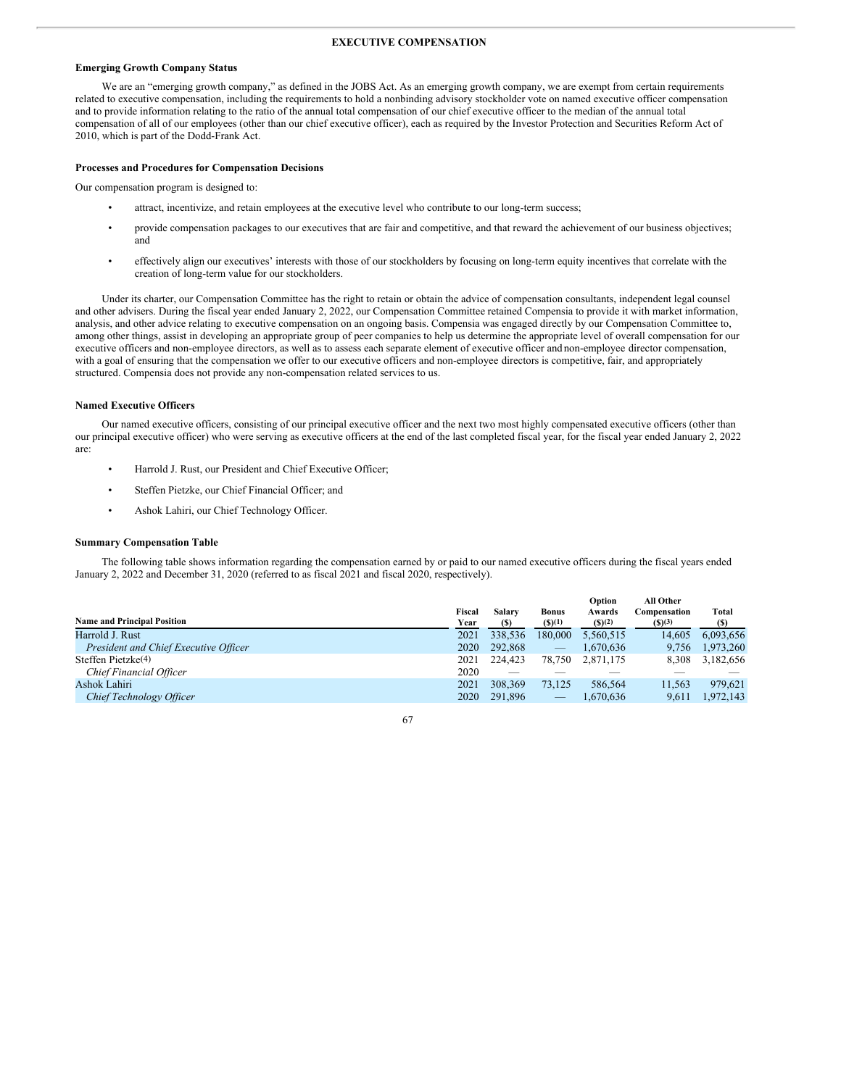# **EXECUTIVE COMPENSATION**

# **Emerging Growth Company Status**

We are an "emerging growth company," as defined in the JOBS Act. As an emerging growth company, we are exempt from certain requirements related to executive compensation, including the requirements to hold a nonbinding advisory stockholder vote on named executive officer compensation and to provide information relating to the ratio of the annual total compensation of our chief executive officer to the median of the annual total compensation of all of our employees (other than our chief executive officer), each as required by the Investor Protection and Securities Reform Act of 2010, which is part of the Dodd-Frank Act.

# **Processes and Procedures for Compensation Decisions**

Our compensation program is designed to:

- attract, incentivize, and retain employees at the executive level who contribute to our long-term success;
- provide compensation packages to our executives that are fair and competitive, and that reward the achievement of our business objectives; and
- effectively align our executives' interests with those of our stockholders by focusing on long-term equity incentives that correlate with the creation of long-term value for our stockholders.

Under its charter, our Compensation Committee has the right to retain or obtain the advice of compensation consultants, independent legal counsel and other advisers. During the fiscal year ended January 2, 2022, our Compensation Committee retained Compensia to provide it with market information, analysis, and other advice relating to executive compensation on an ongoing basis. Compensia was engaged directly by our Compensation Committee to, among other things, assist in developing an appropriate group of peer companies to help us determine the appropriate level of overall compensation for our executive officers and non-employee directors, as well as to assess each separate element of executive officer and non-employee director compensation, with a goal of ensuring that the compensation we offer to our executive officers and non-employee directors is competitive, fair, and appropriately structured. Compensia does not provide any non-compensation related services to us.

# **Named Executive Officers**

Our named executive officers, consisting of our principal executive officer and the next two most highly compensated executive officers (other than our principal executive officer) who were serving as executive officers at the end of the last completed fiscal year, for the fiscal year ended January 2, 2022 are:

- Harrold J. Rust, our President and Chief Executive Officer;
- Steffen Pietzke, our Chief Financial Officer; and
- Ashok Lahiri, our Chief Technology Officer.

# **Summary Compensation Table**

The following table shows information regarding the compensation earned by or paid to our named executive officers during the fiscal years ended January 2, 2022 and December 31, 2020 (referred to as fiscal 2021 and fiscal 2020, respectively).

|                                       | Fiscal | Salary  | <b>Bonus</b> | Option<br>Awards | All Other<br>Compensation | Total     |
|---------------------------------------|--------|---------|--------------|------------------|---------------------------|-----------|
| <b>Name and Principal Position</b>    | Year   | (S)     | $($ (\$)(1)  | (S)(2)           | (S)(3)                    | (S)       |
| Harrold J. Rust                       | 2021   | 338.536 | 180,000      | 5.560.515        | 14.605                    | 6.093.656 |
| President and Chief Executive Officer | 2020   | 292,868 |              | 1.670.636        | 9.756                     | 1.973.260 |
| Steffen Pietzke(4)                    | 2021   | 224,423 | 78.750       | 2.871.175        | 8.308                     | 3,182,656 |
| Chief Financial Officer               | 2020   |         |              |                  |                           |           |
| Ashok Lahiri                          | 2021   | 308,369 | 73,125       | 586,564          | 11.563                    | 979.621   |
| Chief Technology Officer              | 2020   | 291.896 | $-$          | 1,670,636        | 9.611                     | 1.972.143 |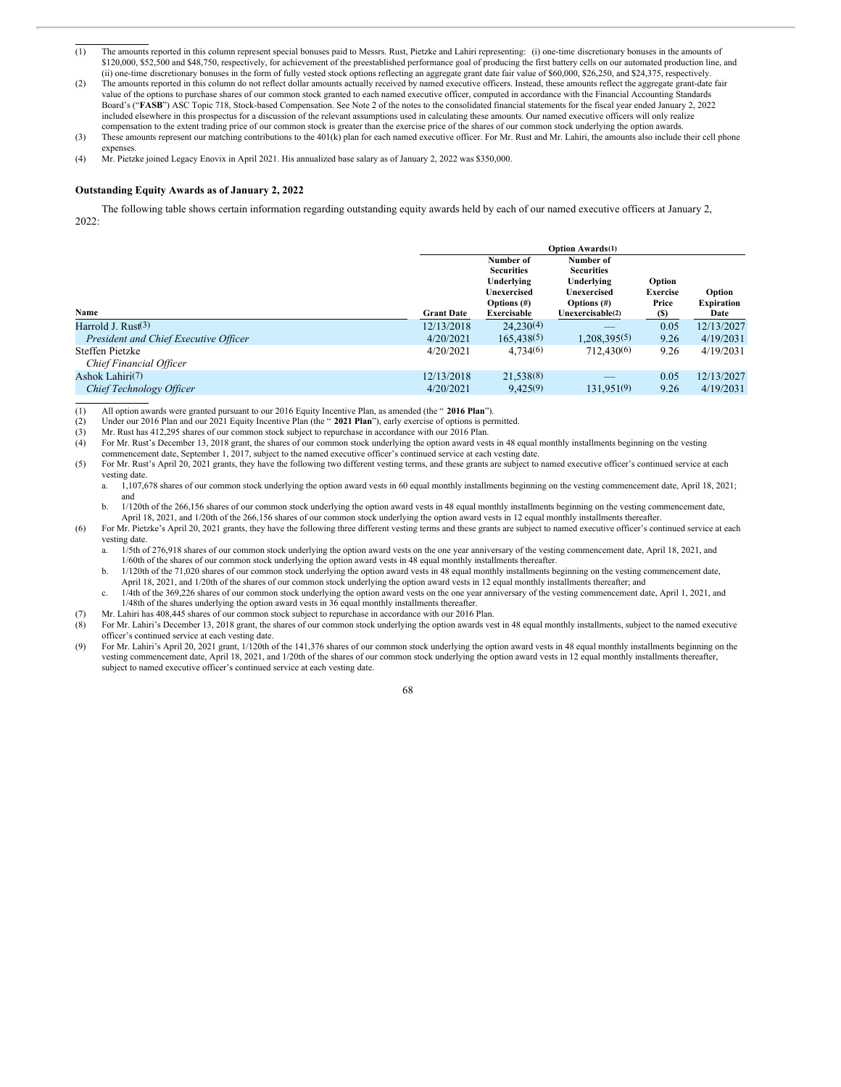- (1) The amounts reported in this column represent special bonuses paid to Messrs. Rust, Pietzke and Lahiri representing: (i) one-time discretionary bonuses in the amounts of \$120,000, \$52,500 and \$48,750, respectively, for achievement of the preestablished performance goal of producing the first battery cells on our automated production line, and (ii) one-time discretionary bonuses in the form of fully vested stock options reflecting an aggregate grant date fair value of \$60,000, \$26,250, and \$24,375, respectively.
- (2) The amounts reported in this column do not reflect dollar amounts actually received by named executive officers. Instead, these amounts reflect the aggregate grant-date fair value of the options to purchase shares of our common stock granted to each named executive officer, computed in accordance with the Financial Accounting Standards Board's ("**FASB**") ASC Topic 718, Stock-based Compensation. See Note 2 of the notes to the consolidated financial statements for the fiscal year ended January 2, 2022 included elsewhere in this prospectus for a discussion of the relevant assumptions used in calculating these amounts. Our named executive officers will only realize compensation to the extent trading price of our common stock is greater than the exercise price of the shares of our common stock underlying the option awards.
- (3) These amounts represent our matching contributions to the 401(k) plan for each named executive officer. For Mr. Rust and Mr. Lahiri, the amounts also include their cell phone expenses.
- (4) Mr. Pietzke joined Legacy Enovix in April 2021. His annualized base salary as of January 2, 2022 was \$350,000.

## **Outstanding Equity Awards as of January 2, 2022**

The following table shows certain information regarding outstanding equity awards held by each of our named executive officers at January 2, 2022:

|                                            |                   | Number of<br><b>Securities</b><br>Underlying<br>Unexercised<br>Options $(\#)$ | <b>Option Awards</b> (1)<br>Number of<br><b>Securities</b><br>Underlying<br>Unexercised<br>Options $(\#)$ | Option<br><b>Exercise</b><br>Price | Option<br><b>Expiration</b> |
|--------------------------------------------|-------------------|-------------------------------------------------------------------------------|-----------------------------------------------------------------------------------------------------------|------------------------------------|-----------------------------|
| Name                                       | <b>Grant Date</b> | <b>Exercisable</b>                                                            | Unexercisable(2)                                                                                          | (S)                                | Date                        |
| Harrold J. Rust(3)                         | 12/13/2018        | 24,230(4)                                                                     |                                                                                                           | 0.05                               | 12/13/2027                  |
| President and Chief Executive Officer      | 4/20/2021         | 165,438(5)                                                                    | 1,208,395(5)                                                                                              | 9.26                               | 4/19/2031                   |
| Steffen Pietzke<br>Chief Financial Officer | 4/20/2021         | 4,734(6)                                                                      | 712,430(6)                                                                                                | 9.26                               | 4/19/2031                   |
| Ashok Lahiri <sup>(7)</sup>                | 12/13/2018        | 21,538(8)                                                                     |                                                                                                           | 0.05                               | 12/13/2027                  |
| Chief Technology Officer                   | 4/20/2021         | 9,425(9)                                                                      | 131,951(9)                                                                                                | 9.26                               | 4/19/2031                   |
|                                            |                   |                                                                               |                                                                                                           |                                    |                             |

(1) All option awards were granted pursuant to our 2016 Equity Incentive Plan, as amended (the " **2016 Plan**").

(2) Under our 2016 Plan and our 2021 Equity Incentive Plan (the " **2021 Plan**"), early exercise of options is permitted.

(3) Mr. Rust has 412,295 shares of our common stock subject to repurchase in accordance with our 2016 Plan.

- (4) For Mr. Rust's December 13, 2018 grant, the shares of our common stock underlying the option award vests in 48 equal monthly installments beginning on the vesting commencement date, September 1, 2017, subject to the named executive officer's continued service at each vesting date.
- (5) For Mr. Rust's April 20, 2021 grants, they have the following two different vesting terms, and these grants are subject to named executive officer's continued service at each vesting date.
	- a. 1,107,678 shares of our common stock underlying the option award vests in 60 equal monthly installments beginning on the vesting commencement date, April 18, 2021; and
	- b. 1/120th of the 266,156 shares of our common stock underlying the option award vests in 48 equal monthly installments beginning on the vesting commencement date,
- April 18, 2021, and 1/20th of the 266,156 shares of our common stock underlying the option award vests in 12 equal monthly installments thereafter. (6) For Mr. Pietzke's April 20, 2021 grants, they have the following three different vesting terms and these grants are subject to named executive officer's continued service at each vesting date.
	- a. 1/5th of 276,918 shares of our common stock underlying the option award vests on the one year anniversary of the vesting commencement date, April 18, 2021, and 1/60th of the shares of our common stock underlying the option award vests in 48 equal monthly installments thereafter.
	- b. 1/120th of the 71,020 shares of our common stock underlying the option award vests in 48 equal monthly installments beginning on the vesting commencement date, April 18, 2021, and 1/20th of the shares of our common stock underlying the option award vests in 12 equal monthly installments thereafter; and
	- c. 1/4th of the 369,226 shares of our common stock underlying the option award vests on the one year anniversary of the vesting commencement date, April 1, 2021, and 1/48th of the shares underlying the option award vests in 36 equal monthly installments thereafter.
- Mr. Lahiri has 408,445 shares of our common stock subject to repurchase in accordance with our 2016 Plan.
- (8) For Mr. Lahiri's December 13, 2018 grant, the shares of our common stock underlying the option awards vest in 48 equal monthly installments, subject to the named executive officer's continued service at each vesting date.
- (9) For Mr. Lahiri's April 20, 2021 grant, 1/120th of the 141,376 shares of our common stock underlying the option award vests in 48 equal monthly installments beginning on the vesting commencement date, April 18, 2021, and 1/20th of the shares of our common stock underlying the option award vests in 12 equal monthly installments thereafter, subject to named executive officer's continued service at each vesting date.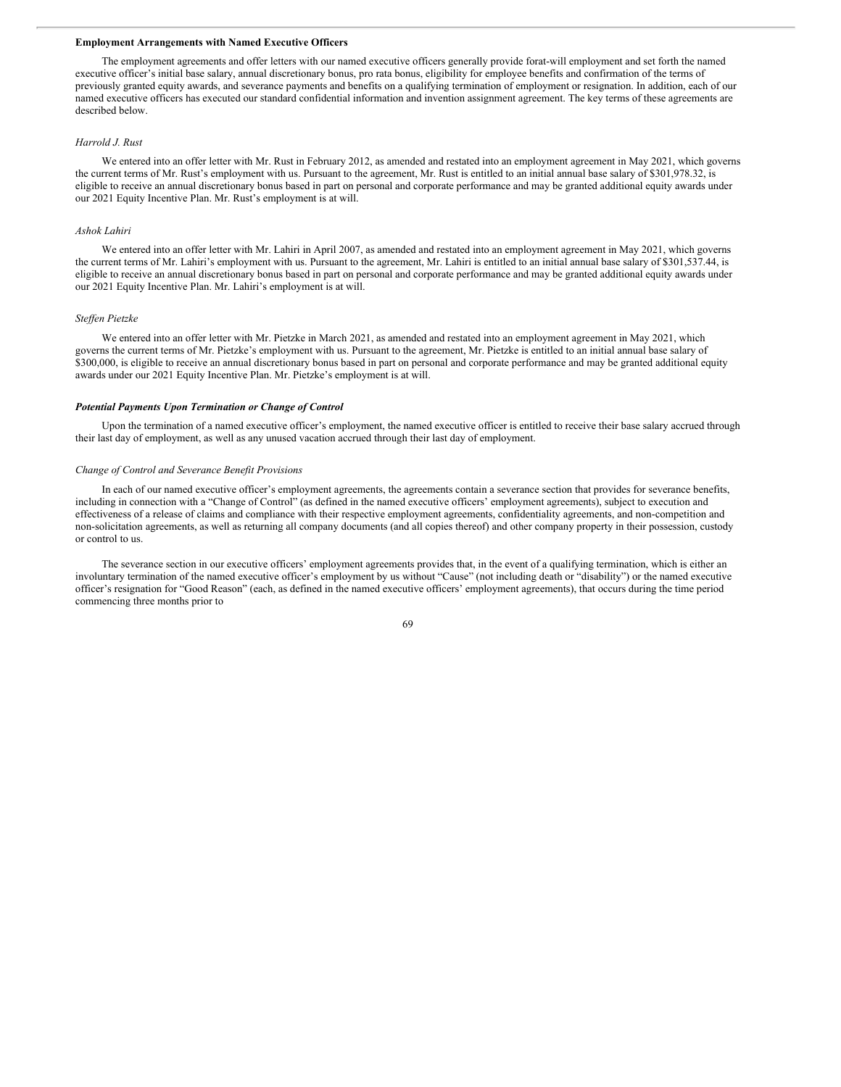## **Employment Arrangements with Named Executive Officers**

The employment agreements and offer letters with our named executive officers generally provide forat-will employment and set forth the named executive officer's initial base salary, annual discretionary bonus, pro rata bonus, eligibility for employee benefits and confirmation of the terms of previously granted equity awards, and severance payments and benefits on a qualifying termination of employment or resignation. In addition, each of our named executive officers has executed our standard confidential information and invention assignment agreement. The key terms of these agreements are described below.

# *Harrold J. Rust*

We entered into an offer letter with Mr. Rust in February 2012, as amended and restated into an employment agreement in May 2021, which governs the current terms of Mr. Rust's employment with us. Pursuant to the agreement, Mr. Rust is entitled to an initial annual base salary of \$301,978.32, is eligible to receive an annual discretionary bonus based in part on personal and corporate performance and may be granted additional equity awards under our 2021 Equity Incentive Plan. Mr. Rust's employment is at will.

# *Ashok Lahiri*

We entered into an offer letter with Mr. Lahiri in April 2007, as amended and restated into an employment agreement in May 2021, which governs the current terms of Mr. Lahiri's employment with us. Pursuant to the agreement, Mr. Lahiri is entitled to an initial annual base salary of \$301,537.44, is eligible to receive an annual discretionary bonus based in part on personal and corporate performance and may be granted additional equity awards under our 2021 Equity Incentive Plan. Mr. Lahiri's employment is at will.

# *Stef en Pietzke*

We entered into an offer letter with Mr. Pietzke in March 2021, as amended and restated into an employment agreement in May 2021, which governs the current terms of Mr. Pietzke's employment with us. Pursuant to the agreement, Mr. Pietzke is entitled to an initial annual base salary of \$300,000, is eligible to receive an annual discretionary bonus based in part on personal and corporate performance and may be granted additional equity awards under our 2021 Equity Incentive Plan. Mr. Pietzke's employment is at will.

## *Potential Payments Upon Termination or Change of Control*

Upon the termination of a named executive officer's employment, the named executive officer is entitled to receive their base salary accrued through their last day of employment, as well as any unused vacation accrued through their last day of employment.

## *Change of Control and Severance Benefit Provisions*

In each of our named executive officer's employment agreements, the agreements contain a severance section that provides for severance benefits, including in connection with a "Change of Control" (as defined in the named executive officers' employment agreements), subject to execution and effectiveness of a release of claims and compliance with their respective employment agreements, confidentiality agreements, and non-competition and non-solicitation agreements, as well as returning all company documents (and all copies thereof) and other company property in their possession, custody or control to us.

The severance section in our executive officers' employment agreements provides that, in the event of a qualifying termination, which is either an involuntary termination of the named executive officer's employment by us without "Cause" (not including death or "disability") or the named executive officer's resignation for "Good Reason" (each, as defined in the named executive officers' employment agreements), that occurs during the time period commencing three months prior to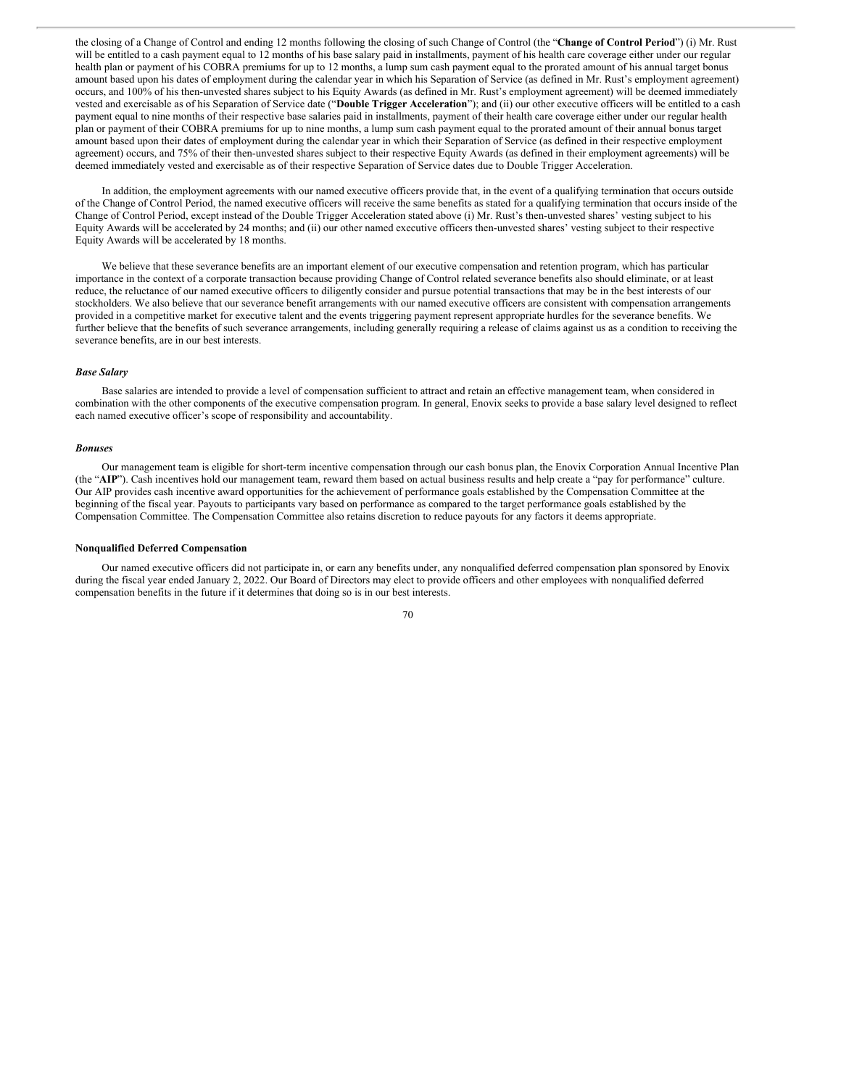the closing of a Change of Control and ending 12 months following the closing of such Change of Control (the "**Change of Control Period**") (i) Mr. Rust will be entitled to a cash payment equal to 12 months of his base salary paid in installments, payment of his health care coverage either under our regular health plan or payment of his COBRA premiums for up to 12 months, a lump sum cash payment equal to the prorated amount of his annual target bonus amount based upon his dates of employment during the calendar year in which his Separation of Service (as defined in Mr. Rust's employment agreement) occurs, and 100% of his then-unvested shares subject to his Equity Awards (as defined in Mr. Rust's employment agreement) will be deemed immediately vested and exercisable as of his Separation of Service date ("**Double Trigger Acceleration**"); and (ii) our other executive officers will be entitled to a cash payment equal to nine months of their respective base salaries paid in installments, payment of their health care coverage either under our regular health plan or payment of their COBRA premiums for up to nine months, a lump sum cash payment equal to the prorated amount of their annual bonus target amount based upon their dates of employment during the calendar year in which their Separation of Service (as defined in their respective employment agreement) occurs, and 75% of their then-unvested shares subject to their respective Equity Awards (as defined in their employment agreements) will be deemed immediately vested and exercisable as of their respective Separation of Service dates due to Double Trigger Acceleration.

In addition, the employment agreements with our named executive officers provide that, in the event of a qualifying termination that occurs outside of the Change of Control Period, the named executive officers will receive the same benefits as stated for a qualifying termination that occurs inside of the Change of Control Period, except instead of the Double Trigger Acceleration stated above (i) Mr. Rust's then-unvested shares' vesting subject to his Equity Awards will be accelerated by 24 months; and (ii) our other named executive officers then-unvested shares' vesting subject to their respective Equity Awards will be accelerated by 18 months.

We believe that these severance benefits are an important element of our executive compensation and retention program, which has particular importance in the context of a corporate transaction because providing Change of Control related severance benefits also should eliminate, or at least reduce, the reluctance of our named executive officers to diligently consider and pursue potential transactions that may be in the best interests of our stockholders. We also believe that our severance benefit arrangements with our named executive officers are consistent with compensation arrangements provided in a competitive market for executive talent and the events triggering payment represent appropriate hurdles for the severance benefits. We further believe that the benefits of such severance arrangements, including generally requiring a release of claims against us as a condition to receiving the severance benefits, are in our best interests.

# *Base Salary*

Base salaries are intended to provide a level of compensation sufficient to attract and retain an effective management team, when considered in combination with the other components of the executive compensation program. In general, Enovix seeks to provide a base salary level designed to reflect each named executive officer's scope of responsibility and accountability.

# *Bonuses*

Our management team is eligible for short-term incentive compensation through our cash bonus plan, the Enovix Corporation Annual Incentive Plan (the "**AIP**"). Cash incentives hold our management team, reward them based on actual business results and help create a "pay for performance" culture. Our AIP provides cash incentive award opportunities for the achievement of performance goals established by the Compensation Committee at the beginning of the fiscal year. Payouts to participants vary based on performance as compared to the target performance goals established by the Compensation Committee. The Compensation Committee also retains discretion to reduce payouts for any factors it deems appropriate.

# **Nonqualified Deferred Compensation**

Our named executive officers did not participate in, or earn any benefits under, any nonqualified deferred compensation plan sponsored by Enovix during the fiscal year ended January 2, 2022. Our Board of Directors may elect to provide officers and other employees with nonqualified deferred compensation benefits in the future if it determines that doing so is in our best interests.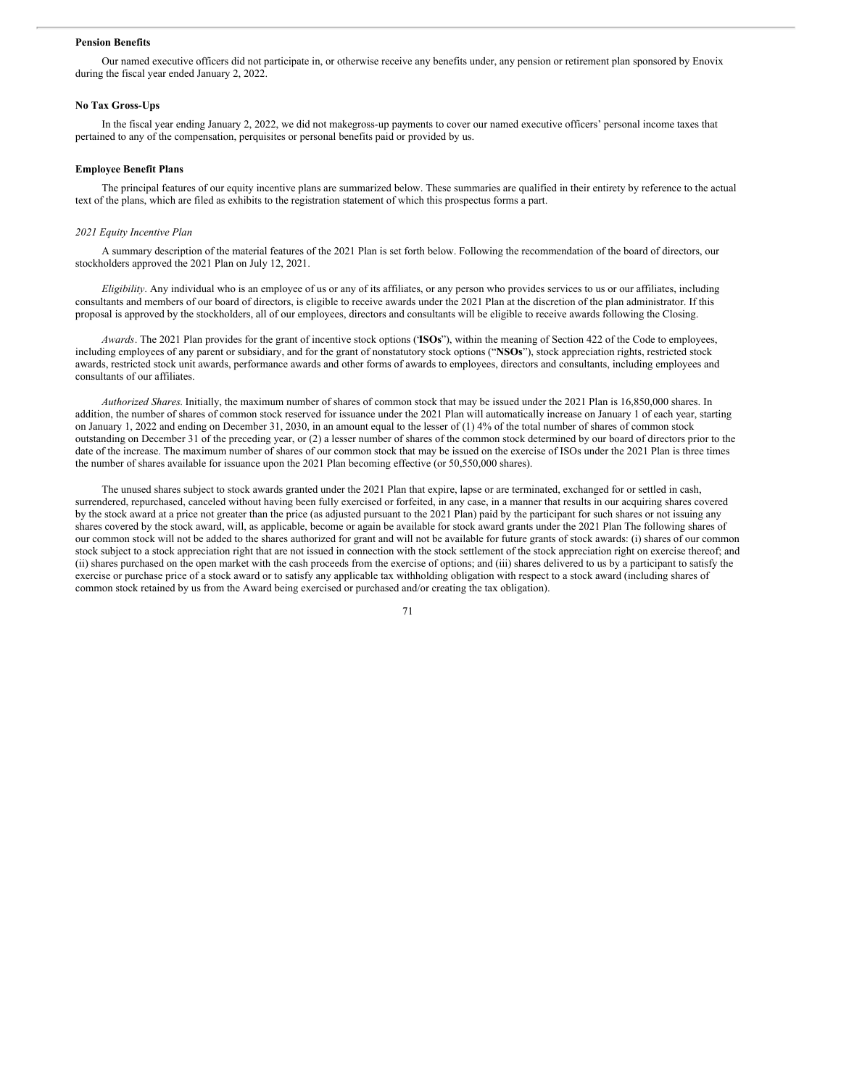## **Pension Benefits**

Our named executive officers did not participate in, or otherwise receive any benefits under, any pension or retirement plan sponsored by Enovix during the fiscal year ended January 2, 2022.

# **No Tax Gross-Ups**

In the fiscal year ending January 2, 2022, we did not makegross-up payments to cover our named executive officers' personal income taxes that pertained to any of the compensation, perquisites or personal benefits paid or provided by us.

#### **Employee Benefit Plans**

The principal features of our equity incentive plans are summarized below. These summaries are qualified in their entirety by reference to the actual text of the plans, which are filed as exhibits to the registration statement of which this prospectus forms a part.

# *2021 Equity Incentive Plan*

A summary description of the material features of the 2021 Plan is set forth below. Following the recommendation of the board of directors, our stockholders approved the 2021 Plan on July 12, 2021.

*Eligibility*. Any individual who is an employee of us or any of its affiliates, or any person who provides services to us or our affiliates, including consultants and members of our board of directors, is eligible to receive awards under the 2021 Plan at the discretion of the plan administrator. If this proposal is approved by the stockholders, all of our employees, directors and consultants will be eligible to receive awards following the Closing.

*Awards*. The 2021 Plan provides for the grant of incentive stock options ("**ISOs**"), within the meaning of Section 422 of the Code to employees, including employees of any parent or subsidiary, and for the grant of nonstatutory stock options ("**NSOs**"), stock appreciation rights, restricted stock awards, restricted stock unit awards, performance awards and other forms of awards to employees, directors and consultants, including employees and consultants of our affiliates.

*Authorized Shares*. Initially, the maximum number of shares of common stock that may be issued under the 2021 Plan is 16,850,000 shares. In addition, the number of shares of common stock reserved for issuance under the 2021 Plan will automatically increase on January 1 of each year, starting on January 1, 2022 and ending on December 31, 2030, in an amount equal to the lesser of (1) 4% of the total number of shares of common stock outstanding on December 31 of the preceding year, or (2) a lesser number of shares of the common stock determined by our board of directors prior to the date of the increase. The maximum number of shares of our common stock that may be issued on the exercise of ISOs under the 2021 Plan is three times the number of shares available for issuance upon the 2021 Plan becoming effective (or 50,550,000 shares).

The unused shares subject to stock awards granted under the 2021 Plan that expire, lapse or are terminated, exchanged for or settled in cash, surrendered, repurchased, canceled without having been fully exercised or forfeited, in any case, in a manner that results in our acquiring shares covered by the stock award at a price not greater than the price (as adjusted pursuant to the 2021 Plan) paid by the participant for such shares or not issuing any shares covered by the stock award, will, as applicable, become or again be available for stock award grants under the 2021 Plan The following shares of our common stock will not be added to the shares authorized for grant and will not be available for future grants of stock awards: (i) shares of our common stock subject to a stock appreciation right that are not issued in connection with the stock settlement of the stock appreciation right on exercise thereof; and (ii) shares purchased on the open market with the cash proceeds from the exercise of options; and (iii) shares delivered to us by a participant to satisfy the exercise or purchase price of a stock award or to satisfy any applicable tax withholding obligation with respect to a stock award (including shares of common stock retained by us from the Award being exercised or purchased and/or creating the tax obligation).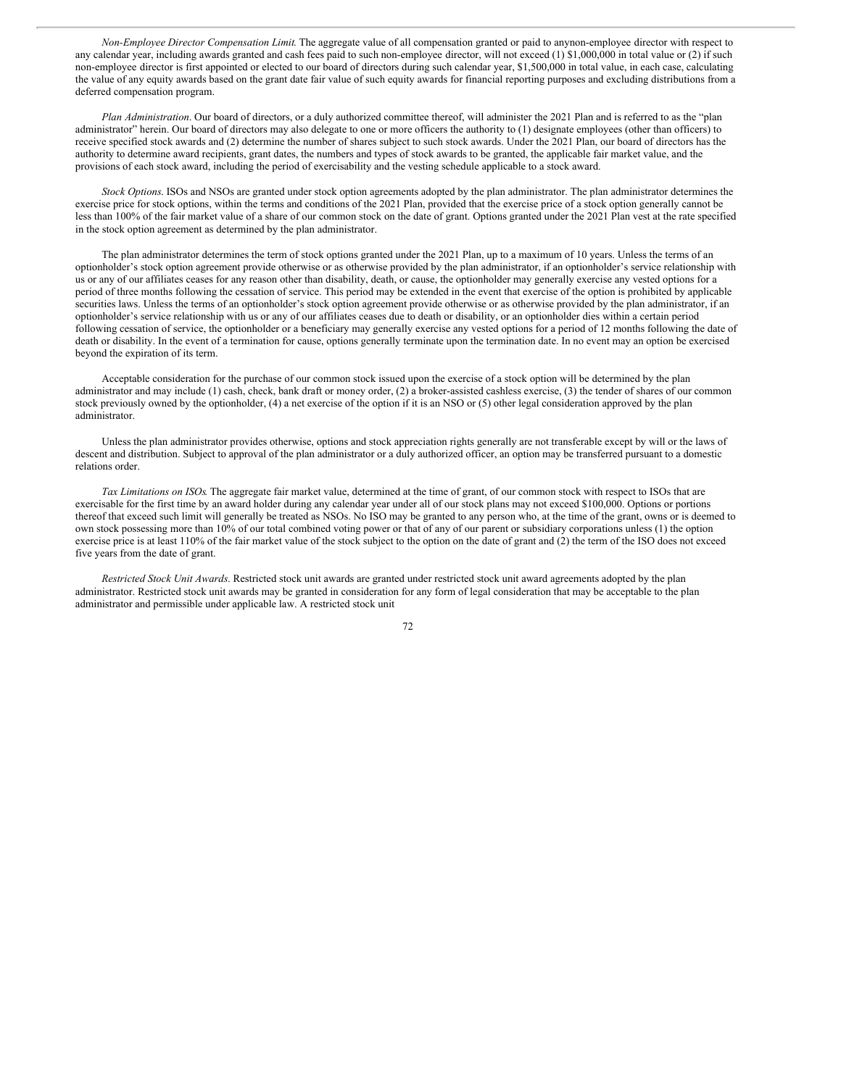*Non-Employee Director Compensation Limit*. The aggregate value of all compensation granted or paid to anynon-employee director with respect to any calendar year, including awards granted and cash fees paid to such non-employee director, will not exceed (1) \$1,000,000 in total value or (2) if such non-employee director is first appointed or elected to our board of directors during such calendar year, \$1,500,000 in total value, in each case, calculating the value of any equity awards based on the grant date fair value of such equity awards for financial reporting purposes and excluding distributions from a deferred compensation program.

*Plan Administration*. Our board of directors, or a duly authorized committee thereof, will administer the 2021 Plan and is referred to as the "plan administrator" herein. Our board of directors may also delegate to one or more officers the authority to (1) designate employees (other than officers) to receive specified stock awards and (2) determine the number of shares subject to such stock awards. Under the 2021 Plan, our board of directors has the authority to determine award recipients, grant dates, the numbers and types of stock awards to be granted, the applicable fair market value, and the provisions of each stock award, including the period of exercisability and the vesting schedule applicable to a stock award.

*Stock Options*. ISOs and NSOs are granted under stock option agreements adopted by the plan administrator. The plan administrator determines the exercise price for stock options, within the terms and conditions of the 2021 Plan, provided that the exercise price of a stock option generally cannot be less than 100% of the fair market value of a share of our common stock on the date of grant. Options granted under the 2021 Plan vest at the rate specified in the stock option agreement as determined by the plan administrator.

The plan administrator determines the term of stock options granted under the 2021 Plan, up to a maximum of 10 years. Unless the terms of an optionholder's stock option agreement provide otherwise or as otherwise provided by the plan administrator, if an optionholder's service relationship with us or any of our affiliates ceases for any reason other than disability, death, or cause, the optionholder may generally exercise any vested options for a period of three months following the cessation of service. This period may be extended in the event that exercise of the option is prohibited by applicable securities laws. Unless the terms of an optionholder's stock option agreement provide otherwise or as otherwise provided by the plan administrator, if an optionholder's service relationship with us or any of our affiliates ceases due to death or disability, or an optionholder dies within a certain period following cessation of service, the optionholder or a beneficiary may generally exercise any vested options for a period of 12 months following the date of death or disability. In the event of a termination for cause, options generally terminate upon the termination date. In no event may an option be exercised beyond the expiration of its term.

Acceptable consideration for the purchase of our common stock issued upon the exercise of a stock option will be determined by the plan administrator and may include (1) cash, check, bank draft or money order, (2) a broker-assisted cashless exercise, (3) the tender of shares of our common stock previously owned by the optionholder, (4) a net exercise of the option if it is an NSO or (5) other legal consideration approved by the plan administrator.

Unless the plan administrator provides otherwise, options and stock appreciation rights generally are not transferable except by will or the laws of descent and distribution. Subject to approval of the plan administrator or a duly authorized officer, an option may be transferred pursuant to a domestic relations order.

*Tax Limitations on ISOs*. The aggregate fair market value, determined at the time of grant, of our common stock with respect to ISOs that are exercisable for the first time by an award holder during any calendar year under all of our stock plans may not exceed \$100,000. Options or portions thereof that exceed such limit will generally be treated as NSOs. No ISO may be granted to any person who, at the time of the grant, owns or is deemed to own stock possessing more than 10% of our total combined voting power or that of any of our parent or subsidiary corporations unless (1) the option exercise price is at least 110% of the fair market value of the stock subject to the option on the date of grant and (2) the term of the ISO does not exceed five years from the date of grant.

*Restricted Stock Unit Awards*. Restricted stock unit awards are granted under restricted stock unit award agreements adopted by the plan administrator. Restricted stock unit awards may be granted in consideration for any form of legal consideration that may be acceptable to the plan administrator and permissible under applicable law. A restricted stock unit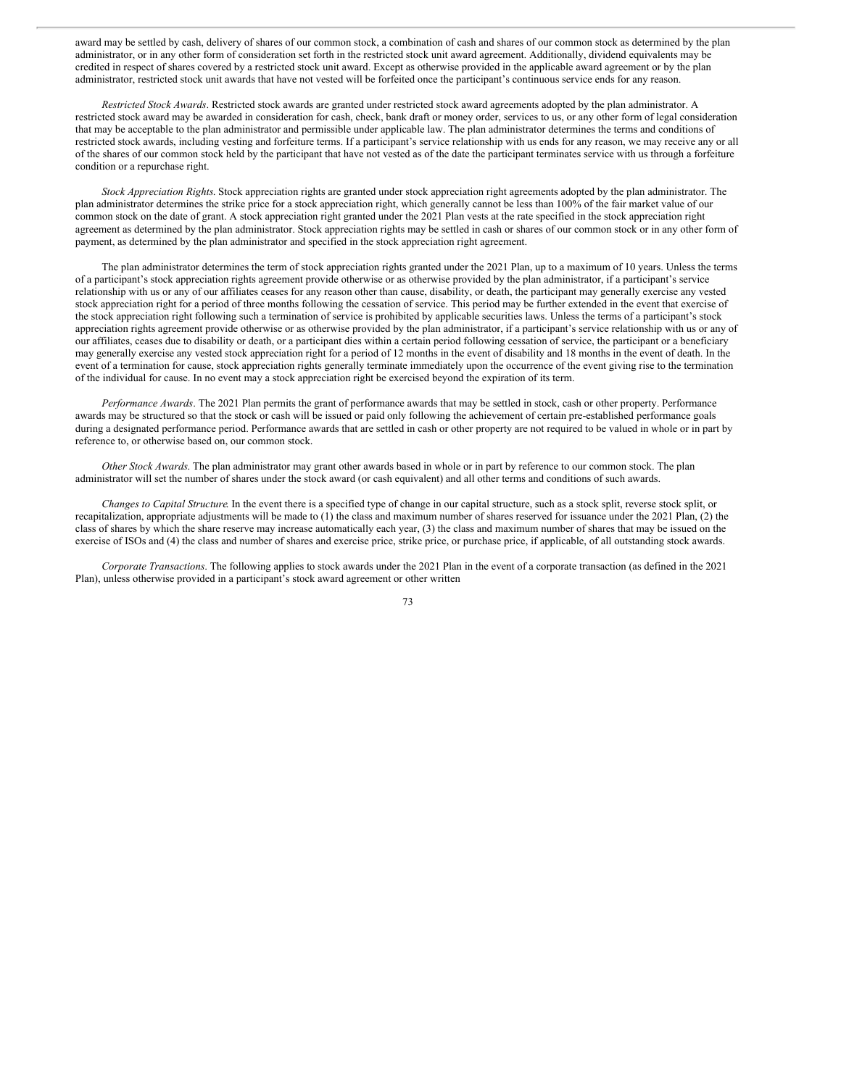award may be settled by cash, delivery of shares of our common stock, a combination of cash and shares of our common stock as determined by the plan administrator, or in any other form of consideration set forth in the restricted stock unit award agreement. Additionally, dividend equivalents may be credited in respect of shares covered by a restricted stock unit award. Except as otherwise provided in the applicable award agreement or by the plan administrator, restricted stock unit awards that have not vested will be forfeited once the participant's continuous service ends for any reason.

*Restricted Stock Awards*. Restricted stock awards are granted under restricted stock award agreements adopted by the plan administrator. A restricted stock award may be awarded in consideration for cash, check, bank draft or money order, services to us, or any other form of legal consideration that may be acceptable to the plan administrator and permissible under applicable law. The plan administrator determines the terms and conditions of restricted stock awards, including vesting and forfeiture terms. If a participant's service relationship with us ends for any reason, we may receive any or all of the shares of our common stock held by the participant that have not vested as of the date the participant terminates service with us through a forfeiture condition or a repurchase right.

*Stock Appreciation Rights*. Stock appreciation rights are granted under stock appreciation right agreements adopted by the plan administrator. The plan administrator determines the strike price for a stock appreciation right, which generally cannot be less than 100% of the fair market value of our common stock on the date of grant. A stock appreciation right granted under the 2021 Plan vests at the rate specified in the stock appreciation right agreement as determined by the plan administrator. Stock appreciation rights may be settled in cash or shares of our common stock or in any other form of payment, as determined by the plan administrator and specified in the stock appreciation right agreement.

The plan administrator determines the term of stock appreciation rights granted under the 2021 Plan, up to a maximum of 10 years. Unless the terms of a participant's stock appreciation rights agreement provide otherwise or as otherwise provided by the plan administrator, if a participant's service relationship with us or any of our affiliates ceases for any reason other than cause, disability, or death, the participant may generally exercise any vested stock appreciation right for a period of three months following the cessation of service. This period may be further extended in the event that exercise of the stock appreciation right following such a termination of service is prohibited by applicable securities laws. Unless the terms of a participant's stock appreciation rights agreement provide otherwise or as otherwise provided by the plan administrator, if a participant's service relationship with us or any of our affiliates, ceases due to disability or death, or a participant dies within a certain period following cessation of service, the participant or a beneficiary may generally exercise any vested stock appreciation right for a period of 12 months in the event of disability and 18 months in the event of death. In the event of a termination for cause, stock appreciation rights generally terminate immediately upon the occurrence of the event giving rise to the termination of the individual for cause. In no event may a stock appreciation right be exercised beyond the expiration of its term.

*Performance Awards*. The 2021 Plan permits the grant of performance awards that may be settled in stock, cash or other property. Performance awards may be structured so that the stock or cash will be issued or paid only following the achievement of certain pre-established performance goals during a designated performance period. Performance awards that are settled in cash or other property are not required to be valued in whole or in part by reference to, or otherwise based on, our common stock.

*Other Stock Awards*. The plan administrator may grant other awards based in whole or in part by reference to our common stock. The plan administrator will set the number of shares under the stock award (or cash equivalent) and all other terms and conditions of such awards.

*Changes to Capital Structure*. In the event there is a specified type of change in our capital structure, such as a stock split, reverse stock split, or recapitalization, appropriate adjustments will be made to (1) the class and maximum number of shares reserved for issuance under the 2021 Plan, (2) the class of shares by which the share reserve may increase automatically each year, (3) the class and maximum number of shares that may be issued on the exercise of ISOs and (4) the class and number of shares and exercise price, strike price, or purchase price, if applicable, of all outstanding stock awards.

*Corporate Transactions*. The following applies to stock awards under the 2021 Plan in the event of a corporate transaction (as defined in the 2021 Plan), unless otherwise provided in a participant's stock award agreement or other written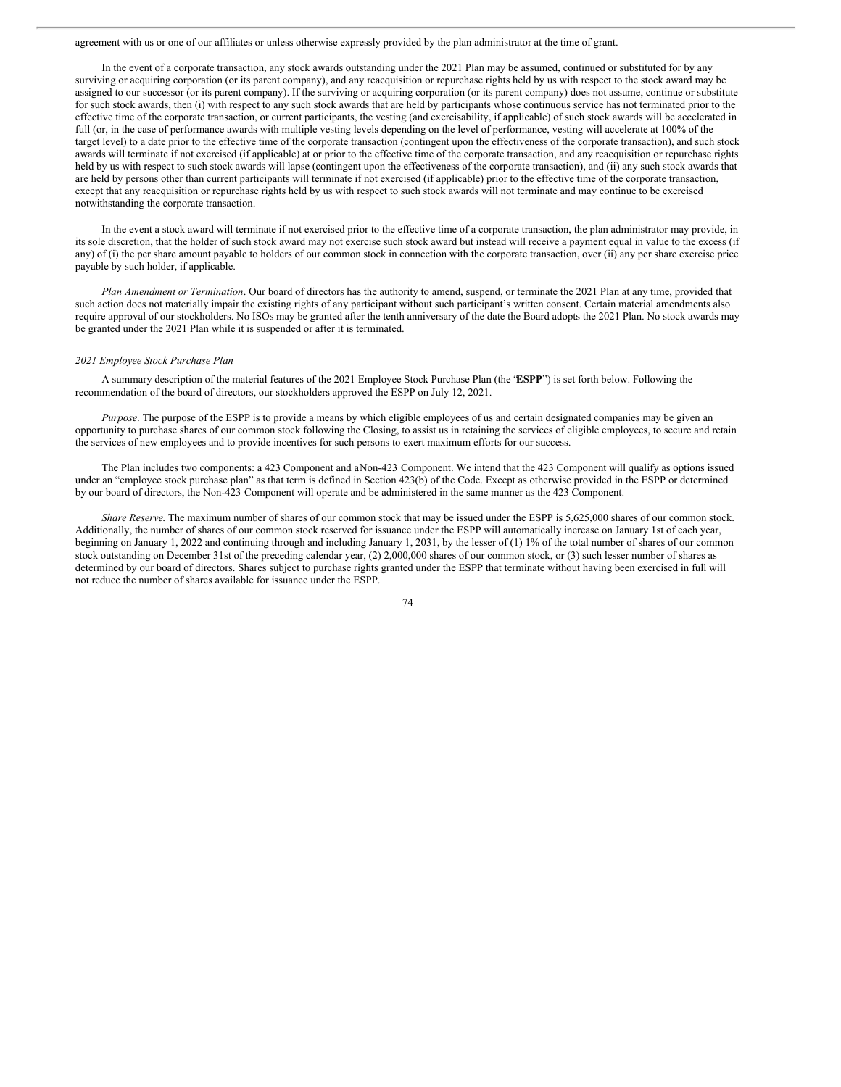## agreement with us or one of our affiliates or unless otherwise expressly provided by the plan administrator at the time of grant.

In the event of a corporate transaction, any stock awards outstanding under the 2021 Plan may be assumed, continued or substituted for by any surviving or acquiring corporation (or its parent company), and any reacquisition or repurchase rights held by us with respect to the stock award may be assigned to our successor (or its parent company). If the surviving or acquiring corporation (or its parent company) does not assume, continue or substitute for such stock awards, then (i) with respect to any such stock awards that are held by participants whose continuous service has not terminated prior to the effective time of the corporate transaction, or current participants, the vesting (and exercisability, if applicable) of such stock awards will be accelerated in full (or, in the case of performance awards with multiple vesting levels depending on the level of performance, vesting will accelerate at 100% of the target level) to a date prior to the effective time of the corporate transaction (contingent upon the effectiveness of the corporate transaction), and such stock awards will terminate if not exercised (if applicable) at or prior to the effective time of the corporate transaction, and any reacquisition or repurchase rights held by us with respect to such stock awards will lapse (contingent upon the effectiveness of the corporate transaction), and (ii) any such stock awards that are held by persons other than current participants will terminate if not exercised (if applicable) prior to the effective time of the corporate transaction, except that any reacquisition or repurchase rights held by us with respect to such stock awards will not terminate and may continue to be exercised notwithstanding the corporate transaction.

In the event a stock award will terminate if not exercised prior to the effective time of a corporate transaction, the plan administrator may provide, in its sole discretion, that the holder of such stock award may not exercise such stock award but instead will receive a payment equal in value to the excess (if any) of (i) the per share amount payable to holders of our common stock in connection with the corporate transaction, over (ii) any per share exercise price payable by such holder, if applicable.

*Plan Amendment or Termination*. Our board of directors has the authority to amend, suspend, or terminate the 2021 Plan at any time, provided that such action does not materially impair the existing rights of any participant without such participant's written consent. Certain material amendments also require approval of our stockholders. No ISOs may be granted after the tenth anniversary of the date the Board adopts the 2021 Plan. No stock awards may be granted under the 2021 Plan while it is suspended or after it is terminated.

## *2021 Employee Stock Purchase Plan*

A summary description of the material features of the 2021 Employee Stock Purchase Plan (the "**ESPP**") is set forth below. Following the recommendation of the board of directors, our stockholders approved the ESPP on July 12, 2021.

*Purpose*. The purpose of the ESPP is to provide a means by which eligible employees of us and certain designated companies may be given an opportunity to purchase shares of our common stock following the Closing, to assist us in retaining the services of eligible employees, to secure and retain the services of new employees and to provide incentives for such persons to exert maximum efforts for our success.

The Plan includes two components: a 423 Component and aNon-423 Component. We intend that the 423 Component will qualify as options issued under an "employee stock purchase plan" as that term is defined in Section 423(b) of the Code. Except as otherwise provided in the ESPP or determined by our board of directors, the Non-423 Component will operate and be administered in the same manner as the 423 Component.

*Share Reserve*. The maximum number of shares of our common stock that may be issued under the ESPP is 5,625,000 shares of our common stock. Additionally, the number of shares of our common stock reserved for issuance under the ESPP will automatically increase on January 1st of each year, beginning on January 1, 2022 and continuing through and including January 1, 2031, by the lesser of (1) 1% of the total number of shares of our common stock outstanding on December 31st of the preceding calendar year, (2) 2,000,000 shares of our common stock, or (3) such lesser number of shares as determined by our board of directors. Shares subject to purchase rights granted under the ESPP that terminate without having been exercised in full will not reduce the number of shares available for issuance under the ESPP.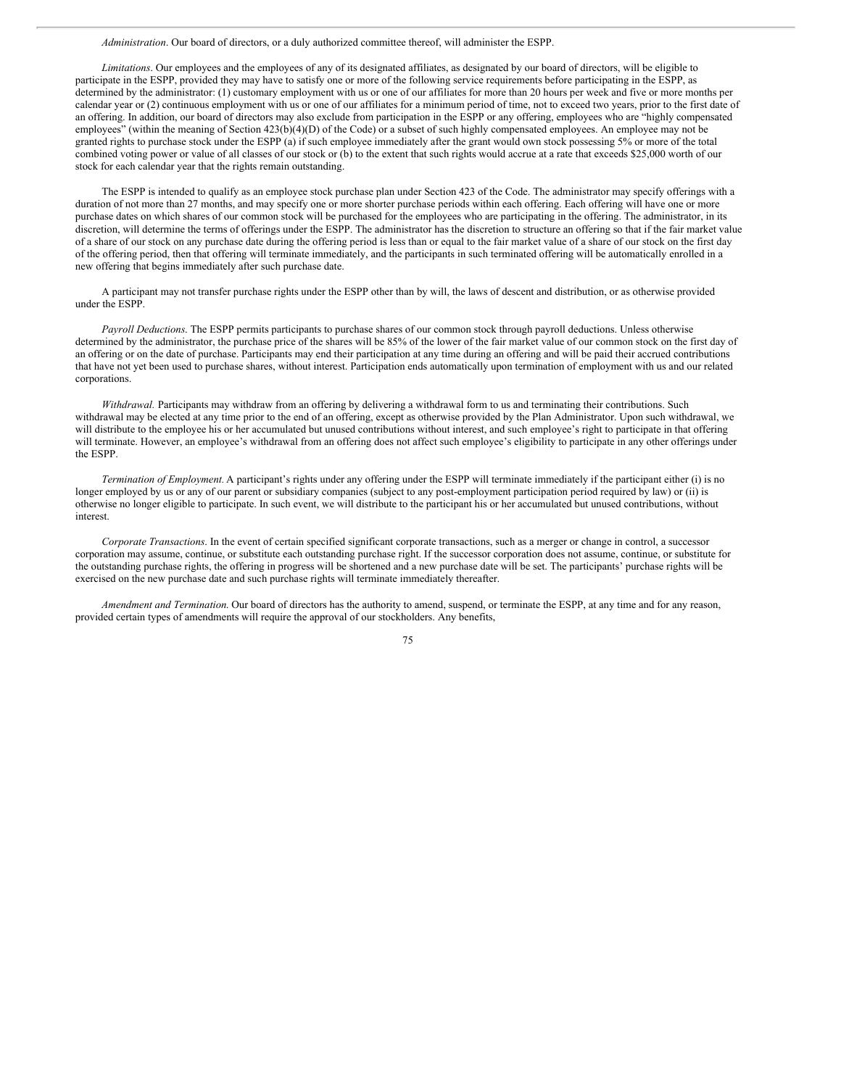## *Administration*. Our board of directors, or a duly authorized committee thereof, will administer the ESPP.

*Limitations*. Our employees and the employees of any of its designated affiliates, as designated by our board of directors, will be eligible to participate in the ESPP, provided they may have to satisfy one or more of the following service requirements before participating in the ESPP, as determined by the administrator: (1) customary employment with us or one of our affiliates for more than 20 hours per week and five or more months per calendar year or (2) continuous employment with us or one of our affiliates for a minimum period of time, not to exceed two years, prior to the first date of an offering. In addition, our board of directors may also exclude from participation in the ESPP or any offering, employees who are "highly compensated employees" (within the meaning of Section 423(b)(4)(D) of the Code) or a subset of such highly compensated employees. An employee may not be granted rights to purchase stock under the ESPP (a) if such employee immediately after the grant would own stock possessing 5% or more of the total combined voting power or value of all classes of our stock or (b) to the extent that such rights would accrue at a rate that exceeds \$25,000 worth of our stock for each calendar year that the rights remain outstanding.

The ESPP is intended to qualify as an employee stock purchase plan under Section 423 of the Code. The administrator may specify offerings with a duration of not more than 27 months, and may specify one or more shorter purchase periods within each offering. Each offering will have one or more purchase dates on which shares of our common stock will be purchased for the employees who are participating in the offering. The administrator, in its discretion, will determine the terms of offerings under the ESPP. The administrator has the discretion to structure an offering so that if the fair market value of a share of our stock on any purchase date during the offering period is less than or equal to the fair market value of a share of our stock on the first day of the offering period, then that offering will terminate immediately, and the participants in such terminated offering will be automatically enrolled in a new offering that begins immediately after such purchase date.

A participant may not transfer purchase rights under the ESPP other than by will, the laws of descent and distribution, or as otherwise provided under the ESPP.

*Payroll Deductions*. The ESPP permits participants to purchase shares of our common stock through payroll deductions. Unless otherwise determined by the administrator, the purchase price of the shares will be 85% of the lower of the fair market value of our common stock on the first day of an offering or on the date of purchase. Participants may end their participation at any time during an offering and will be paid their accrued contributions that have not yet been used to purchase shares, without interest. Participation ends automatically upon termination of employment with us and our related corporations.

*Withdrawal.* Participants may withdraw from an offering by delivering a withdrawal form to us and terminating their contributions. Such withdrawal may be elected at any time prior to the end of an offering, except as otherwise provided by the Plan Administrator. Upon such withdrawal, we will distribute to the employee his or her accumulated but unused contributions without interest, and such employee's right to participate in that offering will terminate. However, an employee's withdrawal from an offering does not affect such employee's eligibility to participate in any other offerings under the ESPP.

*Termination of Employment.* A participant's rights under any offering under the ESPP will terminate immediately if the participant either (i) is no longer employed by us or any of our parent or subsidiary companies (subject to any post-employment participation period required by law) or (ii) is otherwise no longer eligible to participate. In such event, we will distribute to the participant his or her accumulated but unused contributions, without interest.

*Corporate Transactions*. In the event of certain specified significant corporate transactions, such as a merger or change in control, a successor corporation may assume, continue, or substitute each outstanding purchase right. If the successor corporation does not assume, continue, or substitute for the outstanding purchase rights, the offering in progress will be shortened and a new purchase date will be set. The participants' purchase rights will be exercised on the new purchase date and such purchase rights will terminate immediately thereafter.

*Amendment and Termination*. Our board of directors has the authority to amend, suspend, or terminate the ESPP, at any time and for any reason, provided certain types of amendments will require the approval of our stockholders. Any benefits,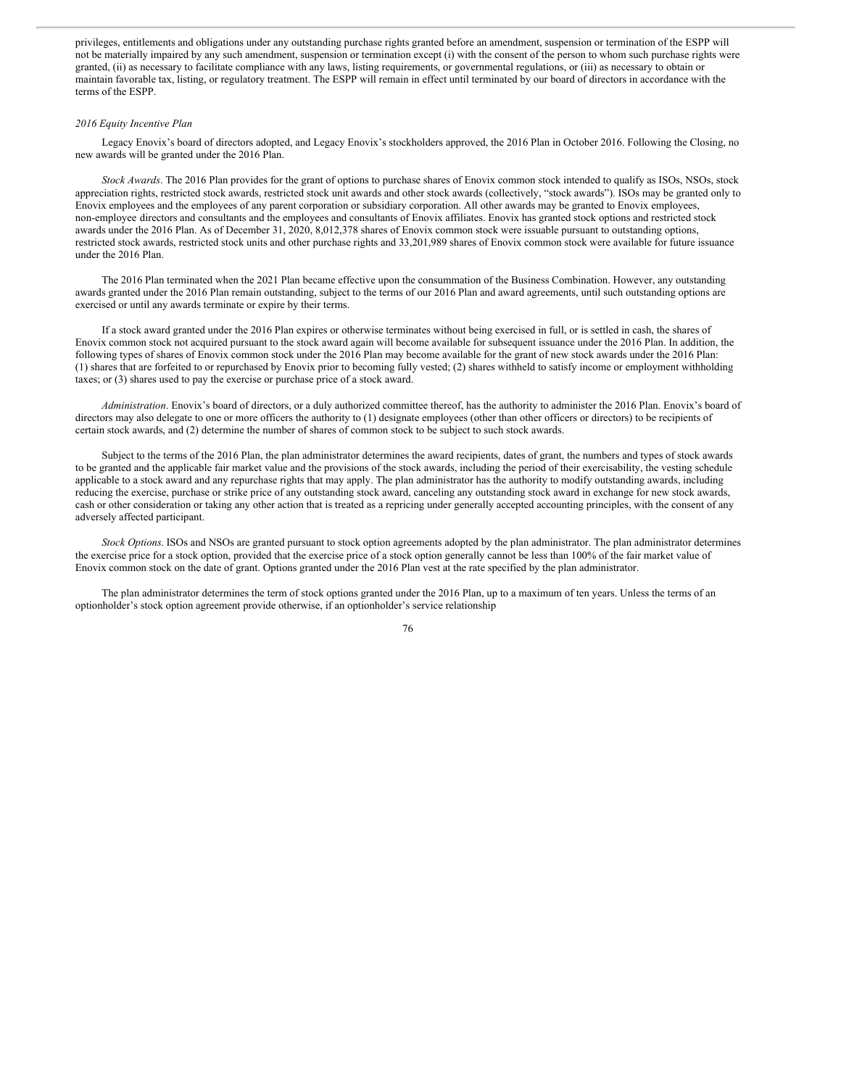privileges, entitlements and obligations under any outstanding purchase rights granted before an amendment, suspension or termination of the ESPP will not be materially impaired by any such amendment, suspension or termination except (i) with the consent of the person to whom such purchase rights were granted, (ii) as necessary to facilitate compliance with any laws, listing requirements, or governmental regulations, or (iii) as necessary to obtain or maintain favorable tax, listing, or regulatory treatment. The ESPP will remain in effect until terminated by our board of directors in accordance with the terms of the ESPP.

#### *2016 Equity Incentive Plan*

Legacy Enovix's board of directors adopted, and Legacy Enovix's stockholders approved, the 2016 Plan in October 2016. Following the Closing, no new awards will be granted under the 2016 Plan.

*Stock Awards*. The 2016 Plan provides for the grant of options to purchase shares of Enovix common stock intended to qualify as ISOs, NSOs, stock appreciation rights, restricted stock awards, restricted stock unit awards and other stock awards (collectively, "stock awards"). ISOs may be granted only to Enovix employees and the employees of any parent corporation or subsidiary corporation. All other awards may be granted to Enovix employees, non-employee directors and consultants and the employees and consultants of Enovix affiliates. Enovix has granted stock options and restricted stock awards under the 2016 Plan. As of December 31, 2020, 8,012,378 shares of Enovix common stock were issuable pursuant to outstanding options, restricted stock awards, restricted stock units and other purchase rights and 33,201,989 shares of Enovix common stock were available for future issuance under the 2016 Plan.

The 2016 Plan terminated when the 2021 Plan became effective upon the consummation of the Business Combination. However, any outstanding awards granted under the 2016 Plan remain outstanding, subject to the terms of our 2016 Plan and award agreements, until such outstanding options are exercised or until any awards terminate or expire by their terms.

If a stock award granted under the 2016 Plan expires or otherwise terminates without being exercised in full, or is settled in cash, the shares of Enovix common stock not acquired pursuant to the stock award again will become available for subsequent issuance under the 2016 Plan. In addition, the following types of shares of Enovix common stock under the 2016 Plan may become available for the grant of new stock awards under the 2016 Plan: (1) shares that are forfeited to or repurchased by Enovix prior to becoming fully vested; (2) shares withheld to satisfy income or employment withholding taxes; or (3) shares used to pay the exercise or purchase price of a stock award.

*Administration*. Enovix's board of directors, or a duly authorized committee thereof, has the authority to administer the 2016 Plan. Enovix's board of directors may also delegate to one or more officers the authority to (1) designate employees (other than other officers or directors) to be recipients of certain stock awards, and (2) determine the number of shares of common stock to be subject to such stock awards.

Subject to the terms of the 2016 Plan, the plan administrator determines the award recipients, dates of grant, the numbers and types of stock awards to be granted and the applicable fair market value and the provisions of the stock awards, including the period of their exercisability, the vesting schedule applicable to a stock award and any repurchase rights that may apply. The plan administrator has the authority to modify outstanding awards, including reducing the exercise, purchase or strike price of any outstanding stock award, canceling any outstanding stock award in exchange for new stock awards, cash or other consideration or taking any other action that is treated as a repricing under generally accepted accounting principles, with the consent of any adversely affected participant.

*Stock Options*. ISOs and NSOs are granted pursuant to stock option agreements adopted by the plan administrator. The plan administrator determines the exercise price for a stock option, provided that the exercise price of a stock option generally cannot be less than 100% of the fair market value of Enovix common stock on the date of grant. Options granted under the 2016 Plan vest at the rate specified by the plan administrator.

The plan administrator determines the term of stock options granted under the 2016 Plan, up to a maximum of ten years. Unless the terms of an optionholder's stock option agreement provide otherwise, if an optionholder's service relationship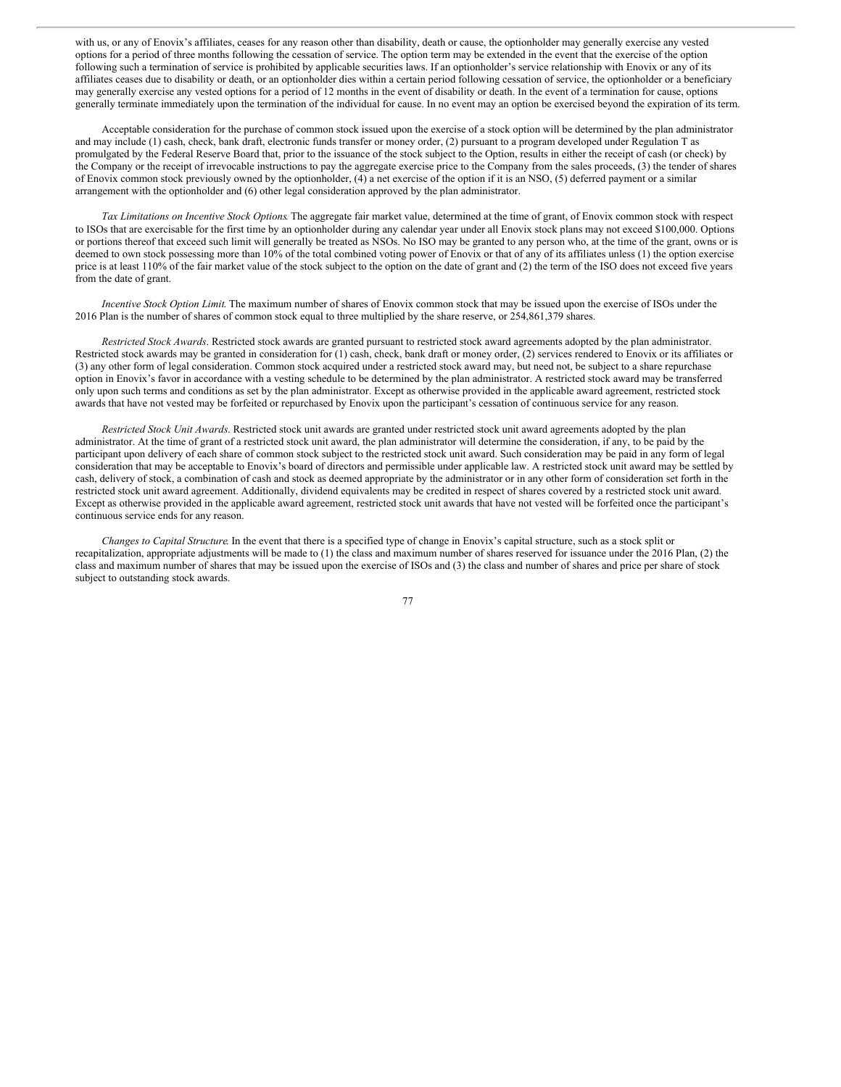with us, or any of Enovix's affiliates, ceases for any reason other than disability, death or cause, the optionholder may generally exercise any vested options for a period of three months following the cessation of service. The option term may be extended in the event that the exercise of the option following such a termination of service is prohibited by applicable securities laws. If an optionholder's service relationship with Enovix or any of its affiliates ceases due to disability or death, or an optionholder dies within a certain period following cessation of service, the optionholder or a beneficiary may generally exercise any vested options for a period of 12 months in the event of disability or death. In the event of a termination for cause, options generally terminate immediately upon the termination of the individual for cause. In no event may an option be exercised beyond the expiration of its term.

Acceptable consideration for the purchase of common stock issued upon the exercise of a stock option will be determined by the plan administrator and may include (1) cash, check, bank draft, electronic funds transfer or money order, (2) pursuant to a program developed under Regulation T as promulgated by the Federal Reserve Board that, prior to the issuance of the stock subject to the Option, results in either the receipt of cash (or check) by the Company or the receipt of irrevocable instructions to pay the aggregate exercise price to the Company from the sales proceeds, (3) the tender of shares of Enovix common stock previously owned by the optionholder, (4) a net exercise of the option if it is an NSO, (5) deferred payment or a similar arrangement with the optionholder and (6) other legal consideration approved by the plan administrator.

*Tax Limitations on Incentive Stock Options*. The aggregate fair market value, determined at the time of grant, of Enovix common stock with respect to ISOs that are exercisable for the first time by an optionholder during any calendar year under all Enovix stock plans may not exceed \$100,000. Options or portions thereof that exceed such limit will generally be treated as NSOs. No ISO may be granted to any person who, at the time of the grant, owns or is deemed to own stock possessing more than 10% of the total combined voting power of Enovix or that of any of its affiliates unless (1) the option exercise price is at least 110% of the fair market value of the stock subject to the option on the date of grant and (2) the term of the ISO does not exceed five years from the date of grant.

*Incentive Stock Option Limit*. The maximum number of shares of Enovix common stock that may be issued upon the exercise of ISOs under the 2016 Plan is the number of shares of common stock equal to three multiplied by the share reserve, or 254,861,379 shares.

*Restricted Stock Awards*. Restricted stock awards are granted pursuant to restricted stock award agreements adopted by the plan administrator. Restricted stock awards may be granted in consideration for (1) cash, check, bank draft or money order, (2) services rendered to Enovix or its affiliates or (3) any other form of legal consideration. Common stock acquired under a restricted stock award may, but need not, be subject to a share repurchase option in Enovix's favor in accordance with a vesting schedule to be determined by the plan administrator. A restricted stock award may be transferred only upon such terms and conditions as set by the plan administrator. Except as otherwise provided in the applicable award agreement, restricted stock awards that have not vested may be forfeited or repurchased by Enovix upon the participant's cessation of continuous service for any reason.

*Restricted Stock Unit Awards*. Restricted stock unit awards are granted under restricted stock unit award agreements adopted by the plan administrator. At the time of grant of a restricted stock unit award, the plan administrator will determine the consideration, if any, to be paid by the participant upon delivery of each share of common stock subject to the restricted stock unit award. Such consideration may be paid in any form of legal consideration that may be acceptable to Enovix's board of directors and permissible under applicable law. A restricted stock unit award may be settled by cash, delivery of stock, a combination of cash and stock as deemed appropriate by the administrator or in any other form of consideration set forth in the restricted stock unit award agreement. Additionally, dividend equivalents may be credited in respect of shares covered by a restricted stock unit award. Except as otherwise provided in the applicable award agreement, restricted stock unit awards that have not vested will be forfeited once the participant's continuous service ends for any reason.

*Changes to Capital Structure*. In the event that there is a specified type of change in Enovix's capital structure, such as a stock split or recapitalization, appropriate adjustments will be made to (1) the class and maximum number of shares reserved for issuance under the 2016 Plan, (2) the class and maximum number of shares that may be issued upon the exercise of ISOs and (3) the class and number of shares and price per share of stock subject to outstanding stock awards.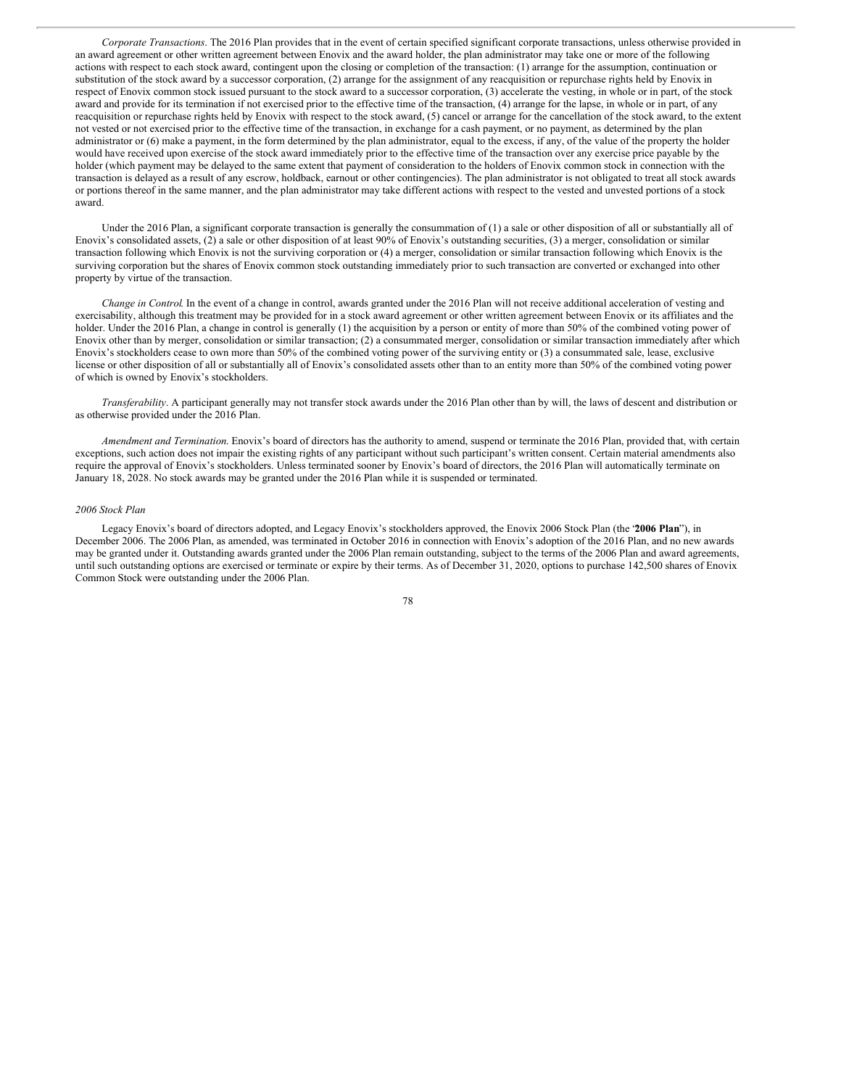*Corporate Transactions*. The 2016 Plan provides that in the event of certain specified significant corporate transactions, unless otherwise provided in an award agreement or other written agreement between Enovix and the award holder, the plan administrator may take one or more of the following actions with respect to each stock award, contingent upon the closing or completion of the transaction: (1) arrange for the assumption, continuation or substitution of the stock award by a successor corporation, (2) arrange for the assignment of any reacquisition or repurchase rights held by Enovix in respect of Enovix common stock issued pursuant to the stock award to a successor corporation, (3) accelerate the vesting, in whole or in part, of the stock award and provide for its termination if not exercised prior to the effective time of the transaction, (4) arrange for the lapse, in whole or in part, of any reacquisition or repurchase rights held by Enovix with respect to the stock award, (5) cancel or arrange for the cancellation of the stock award, to the extent not vested or not exercised prior to the effective time of the transaction, in exchange for a cash payment, or no payment, as determined by the plan administrator or (6) make a payment, in the form determined by the plan administrator, equal to the excess, if any, of the value of the property the holder would have received upon exercise of the stock award immediately prior to the effective time of the transaction over any exercise price payable by the holder (which payment may be delayed to the same extent that payment of consideration to the holders of Enovix common stock in connection with the transaction is delayed as a result of any escrow, holdback, earnout or other contingencies). The plan administrator is not obligated to treat all stock awards or portions thereof in the same manner, and the plan administrator may take different actions with respect to the vested and unvested portions of a stock award.

Under the 2016 Plan, a significant corporate transaction is generally the consummation of (1) a sale or other disposition of all or substantially all of Enovix's consolidated assets, (2) a sale or other disposition of at least 90% of Enovix's outstanding securities, (3) a merger, consolidation or similar transaction following which Enovix is not the surviving corporation or (4) a merger, consolidation or similar transaction following which Enovix is the surviving corporation but the shares of Enovix common stock outstanding immediately prior to such transaction are converted or exchanged into other property by virtue of the transaction.

*Change in Control*. In the event of a change in control, awards granted under the 2016 Plan will not receive additional acceleration of vesting and exercisability, although this treatment may be provided for in a stock award agreement or other written agreement between Enovix or its affiliates and the holder. Under the 2016 Plan, a change in control is generally (1) the acquisition by a person or entity of more than 50% of the combined voting power of Enovix other than by merger, consolidation or similar transaction; (2) a consummated merger, consolidation or similar transaction immediately after which Enovix's stockholders cease to own more than 50% of the combined voting power of the surviving entity or (3) a consummated sale, lease, exclusive license or other disposition of all or substantially all of Enovix's consolidated assets other than to an entity more than 50% of the combined voting power of which is owned by Enovix's stockholders.

*Transferability*. A participant generally may not transfer stock awards under the 2016 Plan other than by will, the laws of descent and distribution or as otherwise provided under the 2016 Plan.

*Amendment and Termination*. Enovix's board of directors has the authority to amend, suspend or terminate the 2016 Plan, provided that, with certain exceptions, such action does not impair the existing rights of any participant without such participant's written consent. Certain material amendments also require the approval of Enovix's stockholders. Unless terminated sooner by Enovix's board of directors, the 2016 Plan will automatically terminate on January 18, 2028. No stock awards may be granted under the 2016 Plan while it is suspended or terminated.

#### *2006 Stock Plan*

Legacy Enovix's board of directors adopted, and Legacy Enovix's stockholders approved, the Enovix 2006 Stock Plan (the "**2006 Plan**"), in December 2006. The 2006 Plan, as amended, was terminated in October 2016 in connection with Enovix's adoption of the 2016 Plan, and no new awards may be granted under it. Outstanding awards granted under the 2006 Plan remain outstanding, subject to the terms of the 2006 Plan and award agreements, until such outstanding options are exercised or terminate or expire by their terms. As of December 31, 2020, options to purchase 142,500 shares of Enovix Common Stock were outstanding under the 2006 Plan.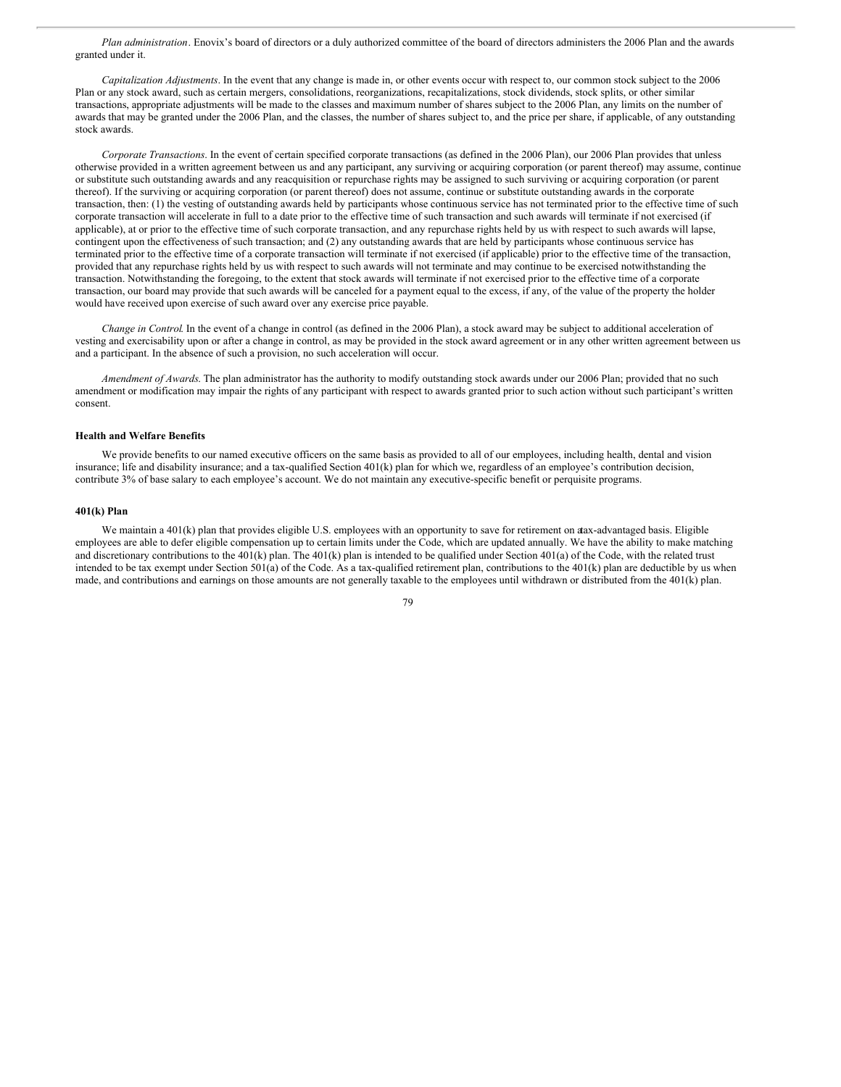*Plan administration*. Enovix's board of directors or a duly authorized committee of the board of directors administers the 2006 Plan and the awards granted under it.

*Capitalization Adjustments*. In the event that any change is made in, or other events occur with respect to, our common stock subject to the 2006 Plan or any stock award, such as certain mergers, consolidations, reorganizations, recapitalizations, stock dividends, stock splits, or other similar transactions, appropriate adjustments will be made to the classes and maximum number of shares subject to the 2006 Plan, any limits on the number of awards that may be granted under the 2006 Plan, and the classes, the number of shares subject to, and the price per share, if applicable, of any outstanding stock awards.

*Corporate Transactions*. In the event of certain specified corporate transactions (as defined in the 2006 Plan), our 2006 Plan provides that unless otherwise provided in a written agreement between us and any participant, any surviving or acquiring corporation (or parent thereof) may assume, continue or substitute such outstanding awards and any reacquisition or repurchase rights may be assigned to such surviving or acquiring corporation (or parent thereof). If the surviving or acquiring corporation (or parent thereof) does not assume, continue or substitute outstanding awards in the corporate transaction, then: (1) the vesting of outstanding awards held by participants whose continuous service has not terminated prior to the effective time of such corporate transaction will accelerate in full to a date prior to the effective time of such transaction and such awards will terminate if not exercised (if applicable), at or prior to the effective time of such corporate transaction, and any repurchase rights held by us with respect to such awards will lapse, contingent upon the effectiveness of such transaction; and (2) any outstanding awards that are held by participants whose continuous service has terminated prior to the effective time of a corporate transaction will terminate if not exercised (if applicable) prior to the effective time of the transaction, provided that any repurchase rights held by us with respect to such awards will not terminate and may continue to be exercised notwithstanding the transaction. Notwithstanding the foregoing, to the extent that stock awards will terminate if not exercised prior to the effective time of a corporate transaction, our board may provide that such awards will be canceled for a payment equal to the excess, if any, of the value of the property the holder would have received upon exercise of such award over any exercise price payable.

*Change in Control*. In the event of a change in control (as defined in the 2006 Plan), a stock award may be subject to additional acceleration of vesting and exercisability upon or after a change in control, as may be provided in the stock award agreement or in any other written agreement between us and a participant. In the absence of such a provision, no such acceleration will occur.

*Amendment of Awards*. The plan administrator has the authority to modify outstanding stock awards under our 2006 Plan; provided that no such amendment or modification may impair the rights of any participant with respect to awards granted prior to such action without such participant's written consent.

# **Health and Welfare Benefits**

We provide benefits to our named executive officers on the same basis as provided to all of our employees, including health, dental and vision insurance; life and disability insurance; and a tax-qualified Section 401(k) plan for which we, regardless of an employee's contribution decision, contribute 3% of base salary to each employee's account. We do not maintain any executive-specific benefit or perquisite programs.

# **401(k) Plan**

We maintain a 401(k) plan that provides eligible U.S. employees with an opportunity to save for retirement on atax-advantaged basis. Eligible employees are able to defer eligible compensation up to certain limits under the Code, which are updated annually. We have the ability to make matching and discretionary contributions to the  $401(k)$  plan. The  $401(k)$  plan is intended to be qualified under Section  $401(a)$  of the Code, with the related trust intended to be tax exempt under Section 501(a) of the Code. As a tax-qualified retirement plan, contributions to the 401(k) plan are deductible by us when made, and contributions and earnings on those amounts are not generally taxable to the employees until withdrawn or distributed from the 401(k) plan.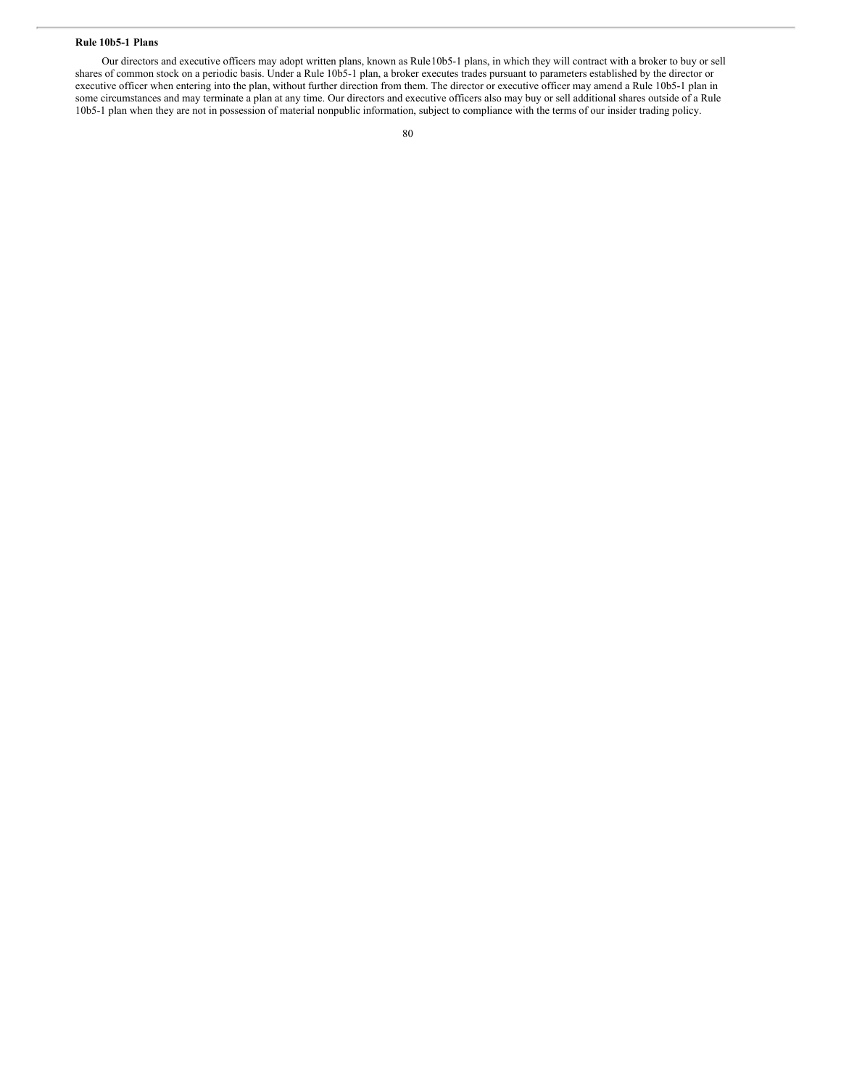# **Rule 10b5-1 Plans**

Our directors and executive officers may adopt written plans, known as Rule10b5-1 plans, in which they will contract with a broker to buy or sell shares of common stock on a periodic basis. Under a Rule 10b5-1 plan, a broker executes trades pursuant to parameters established by the director or executive officer when entering into the plan, without further direction from them. The director or executive officer may amend a Rule 10b5-1 plan in some circumstances and may terminate a plan at any time. Our directors and executive officers also may buy or sell additional shares outside of a Rule 10b5-1 plan when they are not in possession of material nonpublic information, subject to compliance with the terms of our insider trading policy.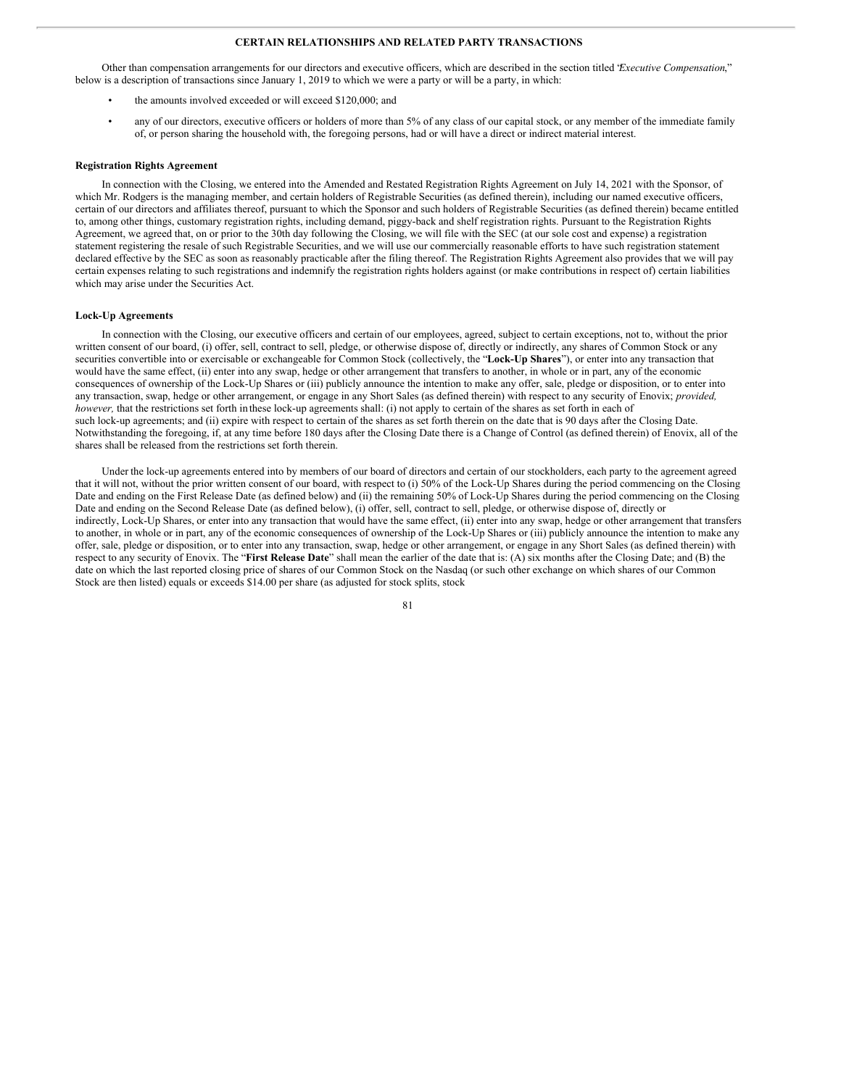# **CERTAIN RELATIONSHIPS AND RELATED PARTY TRANSACTIONS**

Other than compensation arrangements for our directors and executive officers, which are described in the section titled "*Executive Compensation*," below is a description of transactions since January 1, 2019 to which we were a party or will be a party, in which:

- the amounts involved exceeded or will exceed \$120,000; and
- any of our directors, executive officers or holders of more than 5% of any class of our capital stock, or any member of the immediate family of, or person sharing the household with, the foregoing persons, had or will have a direct or indirect material interest.

# **Registration Rights Agreement**

In connection with the Closing, we entered into the Amended and Restated Registration Rights Agreement on July 14, 2021 with the Sponsor, of which Mr. Rodgers is the managing member, and certain holders of Registrable Securities (as defined therein), including our named executive officers, certain of our directors and affiliates thereof, pursuant to which the Sponsor and such holders of Registrable Securities (as defined therein) became entitled to, among other things, customary registration rights, including demand, piggy-back and shelf registration rights. Pursuant to the Registration Rights Agreement, we agreed that, on or prior to the 30th day following the Closing, we will file with the SEC (at our sole cost and expense) a registration statement registering the resale of such Registrable Securities, and we will use our commercially reasonable efforts to have such registration statement declared effective by the SEC as soon as reasonably practicable after the filing thereof. The Registration Rights Agreement also provides that we will pay certain expenses relating to such registrations and indemnify the registration rights holders against (or make contributions in respect of) certain liabilities which may arise under the Securities Act.

# **Lock-Up Agreements**

In connection with the Closing, our executive officers and certain of our employees, agreed, subject to certain exceptions, not to, without the prior written consent of our board, (i) offer, sell, contract to sell, pledge, or otherwise dispose of, directly or indirectly, any shares of Common Stock or any securities convertible into or exercisable or exchangeable for Common Stock (collectively, the "**Lock-Up Shares**"), or enter into any transaction that would have the same effect, (ii) enter into any swap, hedge or other arrangement that transfers to another, in whole or in part, any of the economic consequences of ownership of the Lock-Up Shares or (iii) publicly announce the intention to make any offer, sale, pledge or disposition, or to enter into any transaction, swap, hedge or other arrangement, or engage in any Short Sales (as defined therein) with respect to any security of Enovix; *provided, however*, that the restrictions set forth in these lock-up agreements shall: (i) not apply to certain of the shares as set forth in each of such lock-up agreements; and (ii) expire with respect to certain of the shares as set forth therein on the date that is 90 days after the Closing Date. Notwithstanding the foregoing, if, at any time before 180 days after the Closing Date there is a Change of Control (as defined therein) of Enovix, all of the shares shall be released from the restrictions set forth therein.

Under the lock-up agreements entered into by members of our board of directors and certain of our stockholders, each party to the agreement agreed that it will not, without the prior written consent of our board, with respect to (i) 50% of the Lock-Up Shares during the period commencing on the Closing Date and ending on the First Release Date (as defined below) and (ii) the remaining 50% of Lock-Up Shares during the period commencing on the Closing Date and ending on the Second Release Date (as defined below), (i) offer, sell, contract to sell, pledge, or otherwise dispose of, directly or indirectly, Lock-Up Shares, or enter into any transaction that would have the same effect, (ii) enter into any swap, hedge or other arrangement that transfers to another, in whole or in part, any of the economic consequences of ownership of the Lock-Up Shares or (iii) publicly announce the intention to make any offer, sale, pledge or disposition, or to enter into any transaction, swap, hedge or other arrangement, or engage in any Short Sales (as defined therein) with respect to any security of Enovix. The "**First Release Date**" shall mean the earlier of the date that is: (A) six months after the Closing Date; and (B) the date on which the last reported closing price of shares of our Common Stock on the Nasdaq (or such other exchange on which shares of our Common Stock are then listed) equals or exceeds \$14.00 per share (as adjusted for stock splits, stock

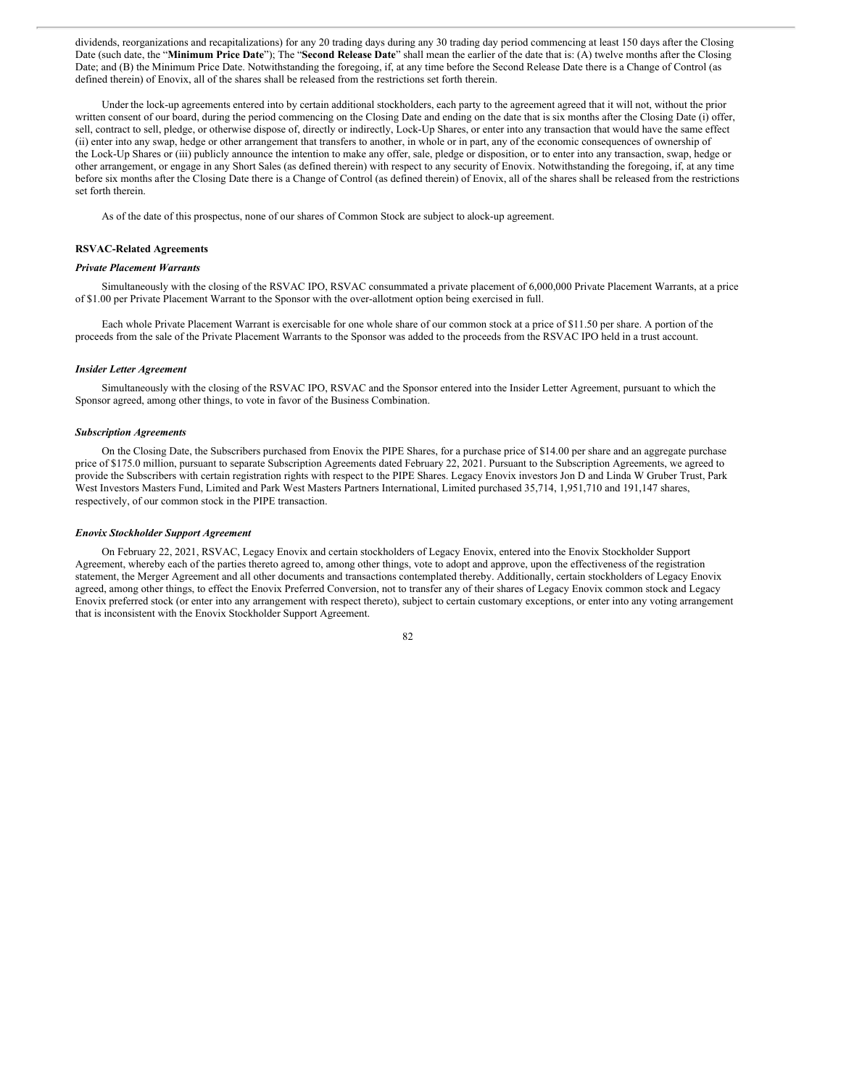dividends, reorganizations and recapitalizations) for any 20 trading days during any 30 trading day period commencing at least 150 days after the Closing Date (such date, the "**Minimum Price Date**"); The "**Second Release Date**" shall mean the earlier of the date that is: (A) twelve months after the Closing Date; and (B) the Minimum Price Date. Notwithstanding the foregoing, if, at any time before the Second Release Date there is a Change of Control (as defined therein) of Enovix, all of the shares shall be released from the restrictions set forth therein.

Under the lock-up agreements entered into by certain additional stockholders, each party to the agreement agreed that it will not, without the prior written consent of our board, during the period commencing on the Closing Date and ending on the date that is six months after the Closing Date (i) offer, sell, contract to sell, pledge, or otherwise dispose of, directly or indirectly, Lock-Up Shares, or enter into any transaction that would have the same effect (ii) enter into any swap, hedge or other arrangement that transfers to another, in whole or in part, any of the economic consequences of ownership of the Lock-Up Shares or (iii) publicly announce the intention to make any offer, sale, pledge or disposition, or to enter into any transaction, swap, hedge or other arrangement, or engage in any Short Sales (as defined therein) with respect to any security of Enovix. Notwithstanding the foregoing, if, at any time before six months after the Closing Date there is a Change of Control (as defined therein) of Enovix, all of the shares shall be released from the restrictions set forth therein.

As of the date of this prospectus, none of our shares of Common Stock are subject to alock-up agreement.

## **RSVAC-Related Agreements**

# *Private Placement Warrants*

Simultaneously with the closing of the RSVAC IPO, RSVAC consummated a private placement of 6,000,000 Private Placement Warrants, at a price of \$1.00 per Private Placement Warrant to the Sponsor with the over-allotment option being exercised in full.

Each whole Private Placement Warrant is exercisable for one whole share of our common stock at a price of \$11.50 per share. A portion of the proceeds from the sale of the Private Placement Warrants to the Sponsor was added to the proceeds from the RSVAC IPO held in a trust account.

## *Insider Letter Agreement*

Simultaneously with the closing of the RSVAC IPO, RSVAC and the Sponsor entered into the Insider Letter Agreement, pursuant to which the Sponsor agreed, among other things, to vote in favor of the Business Combination.

#### *Subscription Agreements*

On the Closing Date, the Subscribers purchased from Enovix the PIPE Shares, for a purchase price of \$14.00 per share and an aggregate purchase price of \$175.0 million, pursuant to separate Subscription Agreements dated February 22, 2021. Pursuant to the Subscription Agreements, we agreed to provide the Subscribers with certain registration rights with respect to the PIPE Shares. Legacy Enovix investors Jon D and Linda W Gruber Trust, Park West Investors Masters Fund, Limited and Park West Masters Partners International, Limited purchased 35,714, 1,951,710 and 191,147 shares, respectively, of our common stock in the PIPE transaction.

#### *Enovix Stockholder Support Agreement*

On February 22, 2021, RSVAC, Legacy Enovix and certain stockholders of Legacy Enovix, entered into the Enovix Stockholder Support Agreement, whereby each of the parties thereto agreed to, among other things, vote to adopt and approve, upon the effectiveness of the registration statement, the Merger Agreement and all other documents and transactions contemplated thereby. Additionally, certain stockholders of Legacy Enovix agreed, among other things, to effect the Enovix Preferred Conversion, not to transfer any of their shares of Legacy Enovix common stock and Legacy Enovix preferred stock (or enter into any arrangement with respect thereto), subject to certain customary exceptions, or enter into any voting arrangement that is inconsistent with the Enovix Stockholder Support Agreement.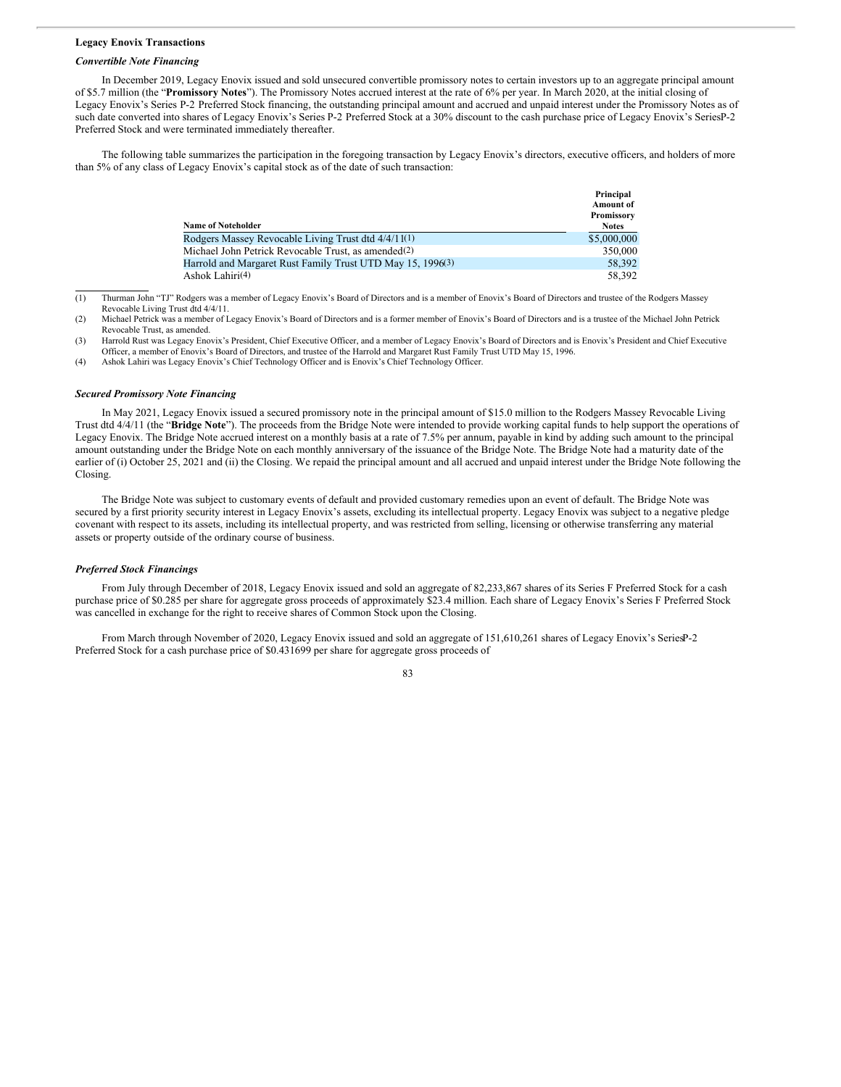# **Legacy Enovix Transactions**

# *Convertible Note Financing*

In December 2019, Legacy Enovix issued and sold unsecured convertible promissory notes to certain investors up to an aggregate principal amount of \$5.7 million (the "**Promissory Notes**"). The Promissory Notes accrued interest at the rate of 6% per year. In March 2020, at the initial closing of Legacy Enovix's Series P-2 Preferred Stock financing, the outstanding principal amount and accrued and unpaid interest under the Promissory Notes as of such date converted into shares of Legacy Enovix's Series P-2 Preferred Stock at a 30% discount to the cash purchase price of Legacy Enovix's SeriesP-2 Preferred Stock and were terminated immediately thereafter.

The following table summarizes the participation in the foregoing transaction by Legacy Enovix's directors, executive officers, and holders of more than 5% of any class of Legacy Enovix's capital stock as of the date of such transaction:

|                                                            | Principal        |
|------------------------------------------------------------|------------------|
|                                                            | <b>Amount</b> of |
|                                                            | Promissory       |
| <b>Name of Noteholder</b>                                  | <b>Notes</b>     |
| Rodgers Massey Revocable Living Trust dtd 4/4/11(1)        | \$5,000,000      |
| Michael John Petrick Revocable Trust, as amended(2)        | 350,000          |
| Harrold and Margaret Rust Family Trust UTD May 15, 1996(3) | 58.392           |
| Ashok Lahiri <sup>(4)</sup>                                | 58.392           |

(1) Thurman John "TJ" Rodgers was a member of Legacy Enovix's Board of Directors and is a member of Enovix's Board of Directors and trustee of the Rodgers Massey Revocable Living Trust dtd 4/4/11.

(2) Michael Petrick was a member of Legacy Enovix's Board of Directors and is a former member of Enovix's Board of Directors and is a trustee of the Michael John Petrick Revocable Trust, as amended.

(3) Harrold Rust was Legacy Enovix's President, Chief Executive Officer, and a member of Legacy Enovix's Board of Directors and is Enovix's President and Chief Executive Officer, a member of Enovix's Board of Directors, and trustee of the Harrold and Margaret Rust Family Trust UTD May 15, 1996.

(4) Ashok Lahiri was Legacy Enovix's Chief Technology Officer and is Enovix's Chief Technology Officer.

# *Secured Promissory Note Financing*

In May 2021, Legacy Enovix issued a secured promissory note in the principal amount of \$15.0 million to the Rodgers Massey Revocable Living Trust dtd 4/4/11 (the "**Bridge Note**"). The proceeds from the Bridge Note were intended to provide working capital funds to help support the operations of Legacy Enovix. The Bridge Note accrued interest on a monthly basis at a rate of 7.5% per annum, payable in kind by adding such amount to the principal amount outstanding under the Bridge Note on each monthly anniversary of the issuance of the Bridge Note. The Bridge Note had a maturity date of the earlier of (i) October 25, 2021 and (ii) the Closing. We repaid the principal amount and all accrued and unpaid interest under the Bridge Note following the Closing.

The Bridge Note was subject to customary events of default and provided customary remedies upon an event of default. The Bridge Note was secured by a first priority security interest in Legacy Enovix's assets, excluding its intellectual property. Legacy Enovix was subject to a negative pledge covenant with respect to its assets, including its intellectual property, and was restricted from selling, licensing or otherwise transferring any material assets or property outside of the ordinary course of business.

### *Preferred Stock Financings*

From July through December of 2018, Legacy Enovix issued and sold an aggregate of 82,233,867 shares of its Series F Preferred Stock for a cash purchase price of \$0.285 per share for aggregate gross proceeds of approximately \$23.4 million. Each share of Legacy Enovix's Series F Preferred Stock was cancelled in exchange for the right to receive shares of Common Stock upon the Closing.

From March through November of 2020, Legacy Enovix issued and sold an aggregate of 151,610,261 shares of Legacy Enovix's SeriesP-2 Preferred Stock for a cash purchase price of \$0.431699 per share for aggregate gross proceeds of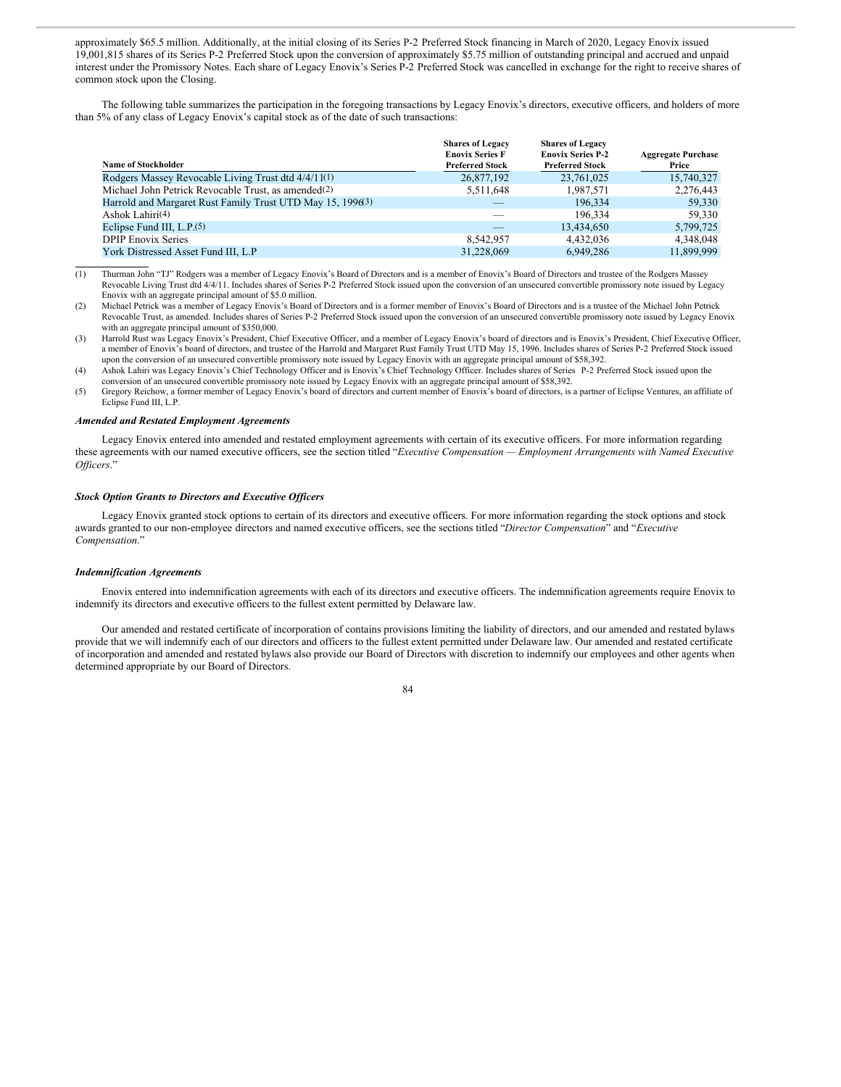approximately \$65.5 million. Additionally, at the initial closing of its Series P-2 Preferred Stock financing in March of 2020, Legacy Enovix issued 19,001,815 shares of its Series P-2 Preferred Stock upon the conversion of approximately \$5.75 million of outstanding principal and accrued and unpaid interest under the Promissory Notes. Each share of Legacy Enovix's Series P-2 Preferred Stock was cancelled in exchange for the right to receive shares of common stock upon the Closing.

The following table summarizes the participation in the foregoing transactions by Legacy Enovix's directors, executive officers, and holders of more than 5% of any class of Legacy Enovix's capital stock as of the date of such transactions:

|                                                            | <b>Shares of Legacy</b><br><b>Enovix Series F</b> | <b>Shares of Legacy</b><br><b>Enovix Series P-2</b> | <b>Aggregate Purchase</b> |
|------------------------------------------------------------|---------------------------------------------------|-----------------------------------------------------|---------------------------|
| <b>Name of Stockholder</b>                                 | <b>Preferred Stock</b>                            | <b>Preferred Stock</b>                              | Price                     |
| Rodgers Massey Revocable Living Trust dtd 4/4/11(1)        | 26,877,192                                        | 23,761,025                                          | 15,740,327                |
| Michael John Petrick Revocable Trust, as amended(2)        | 5.511.648                                         | 1.987.571                                           | 2,276,443                 |
| Harrold and Margaret Rust Family Trust UTD May 15, 1996(3) |                                                   | 196.334                                             | 59,330                    |
| Ashok Lahiri <sup>(4)</sup>                                |                                                   | 196.334                                             | 59,330                    |
| Eclipse Fund III, $L.P.(5)$                                |                                                   | 13.434.650                                          | 5.799.725                 |
| <b>DPIP Enovix Series</b>                                  | 8.542.957                                         | 4.432.036                                           | 4,348,048                 |
| York Distressed Asset Fund III, L.P                        | 31.228.069                                        | 6.949.286                                           | 11.899.999                |

(1) Thurman John "TJ" Rodgers was a member of Legacy Enovix's Board of Directors and is a member of Enovix's Board of Directors and trustee of the Rodgers Massey Revocable Living Trust dtd 4/4/11. Includes shares of Series P-2 Preferred Stock issued upon the conversion of an unsecured convertible promissory note issued by Legacy Enovix with an aggregate principal amount of \$5.0 million.

- (2) Michael Petrick was a member of Legacy Enovix's Board of Directors and is a former member of Enovix's Board of Directors and is a trustee of the Michael John Petrick Revocable Trust, as amended. Includes shares of Series P-2 Preferred Stock issued upon the conversion of an unsecured convertible promissory note issued by Legacy Enovix with an aggregate principal amount of \$350,000.
- (3) Harrold Rust was Legacy Enovix's President, Chief Executive Officer, and a member of Legacy Enovix's board of directors and is Enovix's President, Chief Executive Officer, a member of Enovix's board of directors, and trustee of the Harrold and Margaret Rust Family Trust UTD May 15, 1996. Includes shares of Series P-2 Preferred Stock issued upon the conversion of an unsecured convertible promissory note issued by Legacy Enovix with an aggregate principal amount of \$58,392.
- (4) Ashok Lahiri was Legacy Enovix's Chief Technology Officer and is Enovix's Chief Technology Officer. Includes shares of Series P-2 Preferred Stock issued upon the conversion of an unsecured convertible promissory note issued by Legacy Enovix with an aggregate principal amount of \$58,392.
- (5) Gregory Reichow, a former member of Legacy Enovix's board of directors and current member of Enovix's board of directors, is a partner of Eclipse Ventures, an affiliate of Eclipse Fund III, L.P.

# *Amended and Restated Employment Agreements*

Legacy Enovix entered into amended and restated employment agreements with certain of its executive officers. For more information regarding these agreements with our named executive officers, see the section titled "*Executive Compensation — Employment Arrangements with Named Executive Of icers*."

# *Stock Option Grants to Directors and Executive Of icers*

Legacy Enovix granted stock options to certain of its directors and executive officers. For more information regarding the stock options and stock awards granted to our non-employee directors and named executive officers, see the sections titled "*Director Compensation*" and "*Executive Compensation*."

## *Indemnification Agreements*

Enovix entered into indemnification agreements with each of its directors and executive officers. The indemnification agreements require Enovix to indemnify its directors and executive officers to the fullest extent permitted by Delaware law.

Our amended and restated certificate of incorporation of contains provisions limiting the liability of directors, and our amended and restated bylaws provide that we will indemnify each of our directors and officers to the fullest extent permitted under Delaware law. Our amended and restated certificate of incorporation and amended and restated bylaws also provide our Board of Directors with discretion to indemnify our employees and other agents when determined appropriate by our Board of Directors.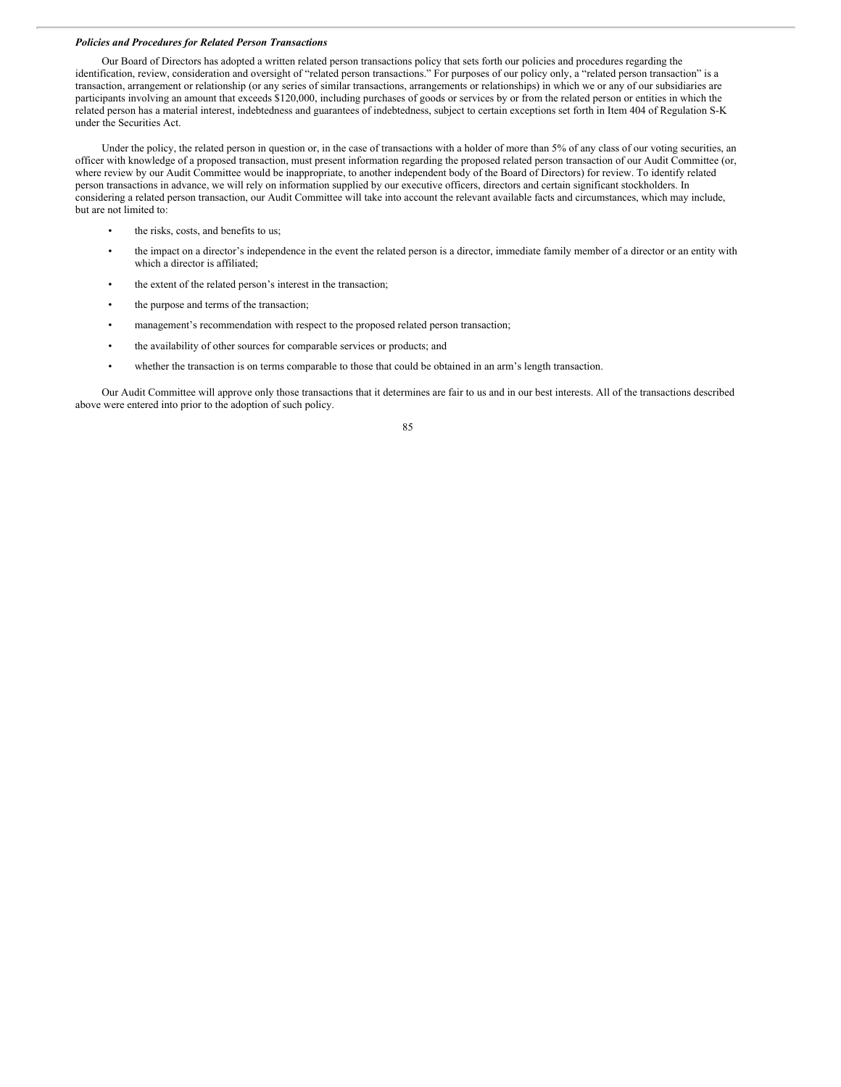# *Policies and Procedures for Related Person Transactions*

Our Board of Directors has adopted a written related person transactions policy that sets forth our policies and procedures regarding the identification, review, consideration and oversight of "related person transactions." For purposes of our policy only, a "related person transaction" is a transaction, arrangement or relationship (or any series of similar transactions, arrangements or relationships) in which we or any of our subsidiaries are participants involving an amount that exceeds \$120,000, including purchases of goods or services by or from the related person or entities in which the related person has a material interest, indebtedness and guarantees of indebtedness, subject to certain exceptions set forth in Item 404 of Regulation S-K under the Securities Act.

Under the policy, the related person in question or, in the case of transactions with a holder of more than 5% of any class of our voting securities, an officer with knowledge of a proposed transaction, must present information regarding the proposed related person transaction of our Audit Committee (or, where review by our Audit Committee would be inappropriate, to another independent body of the Board of Directors) for review. To identify related person transactions in advance, we will rely on information supplied by our executive officers, directors and certain significant stockholders. In considering a related person transaction, our Audit Committee will take into account the relevant available facts and circumstances, which may include, but are not limited to:

- the risks, costs, and benefits to us;
- the impact on a director's independence in the event the related person is a director, immediate family member of a director or an entity with which a director is affiliated;
- the extent of the related person's interest in the transaction;
- the purpose and terms of the transaction;
- management's recommendation with respect to the proposed related person transaction;
- the availability of other sources for comparable services or products; and
- whether the transaction is on terms comparable to those that could be obtained in an arm's length transaction.

Our Audit Committee will approve only those transactions that it determines are fair to us and in our best interests. All of the transactions described above were entered into prior to the adoption of such policy.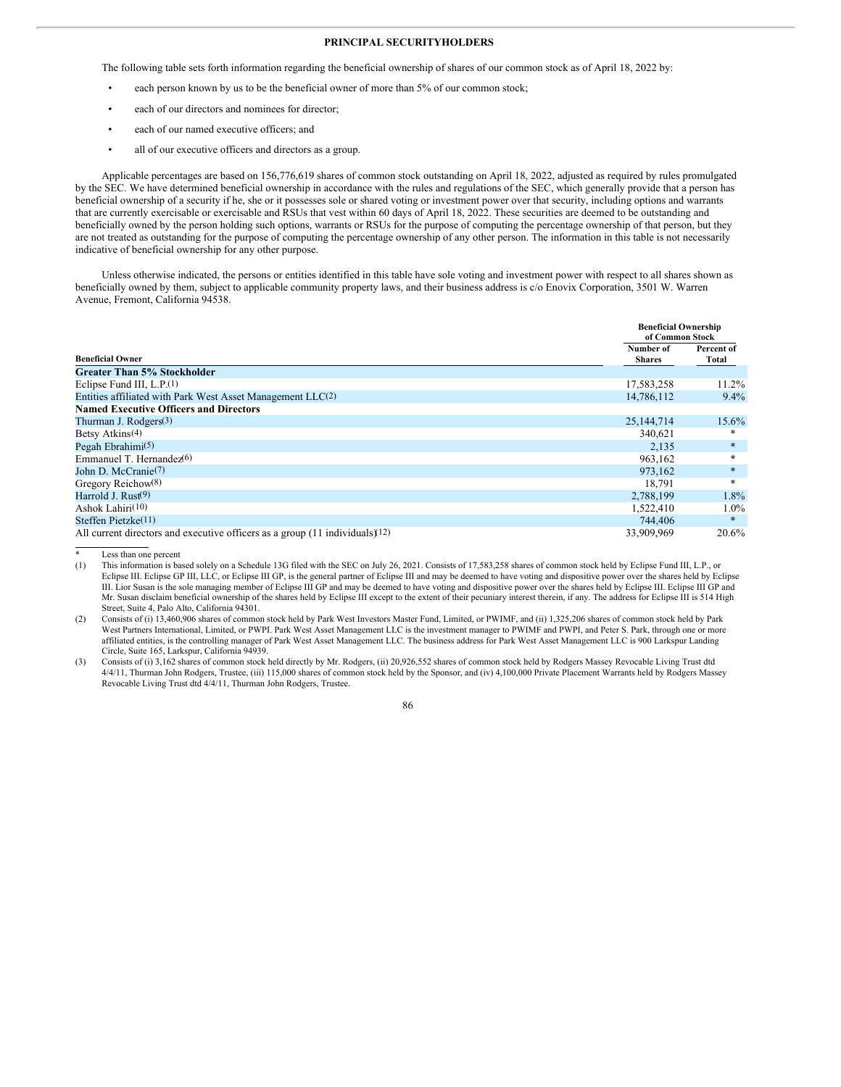# **PRINCIPAL SECURITYHOLDERS**

The following table sets forth information regarding the beneficial ownership of shares of our common stock as of April 18, 2022 by:

- each person known by us to be the beneficial owner of more than 5% of our common stock;
- each of our directors and nominees for director;
- each of our named executive officers; and
- all of our executive officers and directors as a group.

Applicable percentages are based on 156,776,619 shares of common stock outstanding on April 18, 2022, adjusted as required by rules promulgated by the SEC. We have determined beneficial ownership in accordance with the rules and regulations of the SEC, which generally provide that a person has beneficial ownership of a security if he, she or it possesses sole or shared voting or investment power over that security, including options and warrants that are currently exercisable or exercisable and RSUs that vest within 60 days of April 18, 2022. These securities are deemed to be outstanding and beneficially owned by the person holding such options, warrants or RSUs for the purpose of computing the percentage ownership of that person, but they are not treated as outstanding for the purpose of computing the percentage ownership of any other person. The information in this table is not necessarily indicative of beneficial ownership for any other purpose.

Unless otherwise indicated, the persons or entities identified in this table have sole voting and investment power with respect to all shares shown as beneficially owned by them, subject to applicable community property laws, and their business address is c/o Enovix Corporation, 3501 W. Warren Avenue, Fremont, California 94538.

|                                                                                        |                            | <b>Beneficial Ownership</b><br>of Common Stock |  |  |  |
|----------------------------------------------------------------------------------------|----------------------------|------------------------------------------------|--|--|--|
| <b>Beneficial Owner</b>                                                                | Number of<br><b>Shares</b> | Percent of<br>Total                            |  |  |  |
| <b>Greater Than 5% Stockholder</b>                                                     |                            |                                                |  |  |  |
| Eclipse Fund III, $L.P.(1)$                                                            | 17,583,258                 | $11.2\%$                                       |  |  |  |
| Entities affiliated with Park West Asset Management LLC(2)                             | 14,786,112                 | $9.4\%$                                        |  |  |  |
| <b>Named Executive Officers and Directors</b>                                          |                            |                                                |  |  |  |
| Thurman J. Rodgers(3)                                                                  | 25,144,714                 | 15.6%                                          |  |  |  |
| Betsy Atkins <sup>(4)</sup>                                                            | 340,621                    |                                                |  |  |  |
| Pegah Ebrahimi(5)                                                                      | 2,135                      | $\ast$                                         |  |  |  |
| Emmanuel T. Hernandez $(6)$                                                            | 963,162                    | *                                              |  |  |  |
| John D. McCranie(7)                                                                    | 973,162                    | $*$                                            |  |  |  |
| Gregory Reichow <sup>(8)</sup>                                                         | 18.791                     | *                                              |  |  |  |
| Harrold J. Rust(9)                                                                     | 2,788,199                  | 1.8%                                           |  |  |  |
| Ashok Lahiri $(10)$                                                                    | 1,522,410                  | $1.0\%$                                        |  |  |  |
| Steffen Pietzke(11)                                                                    | 744,406                    | $\ast$                                         |  |  |  |
| All current directors and executive officers as a group $(11 \text{ individuals})(12)$ | 33,909,969                 | 20.6%                                          |  |  |  |

\* Less than one percent<br>(1) This information is ba

(1) This information is based solely on a Schedule 13G filed with the SEC on July 26, 2021. Consists of 17,583,258 shares of common stock held by Eclipse Fund III, L.P., or Eclipse III. Eclipse GP III, LLC, or Eclipse III GP, is the general partner of Eclipse III and may be deemed to have voting and dispositive power over the shares held by Eclipse III. Lior Susan is the sole managing member of Eclipse III GP and may be deemed to have voting and dispositive power over the shares held by Eclipse III. Eclipse III GP and Mr. Susan disclaim beneficial ownership of the shares held by Eclipse III except to the extent of their pecuniary interest therein, if any. The address for Eclipse III is 514 High Street, Suite 4, Palo Alto, California 94301.

(2) Consists of (i) 13,460,906 shares of common stock held by Park West Investors Master Fund, Limited, or PWIMF, and (ii) 1,325,206 shares of common stock held by Park West Partners International, Limited, or PWPI. Park West Asset Management LLC is the investment manager to PWIMF and PWPI, and Peter S. Park, through one or more affiliated entities, is the controlling manager of Park West Asset Management LLC. The business address for Park West Asset Management LLC is 900 Larkspur Landing Circle, Suite 165, Larkspur, California 94939.

(3) Consists of (i) 3,162 shares of common stock held directly by Mr. Rodgers, (ii) 20,926,552 shares of common stock held by Rodgers Massey Revocable Living Trust dtd 4/4/11, Thurman John Rodgers, Trustee, (iii) 115,000 shares of common stock held by the Sponsor, and (iv) 4,100,000 Private Placement Warrants held by Rodgers Massey Revocable Living Trust dtd 4/4/11, Thurman John Rodgers, Trustee.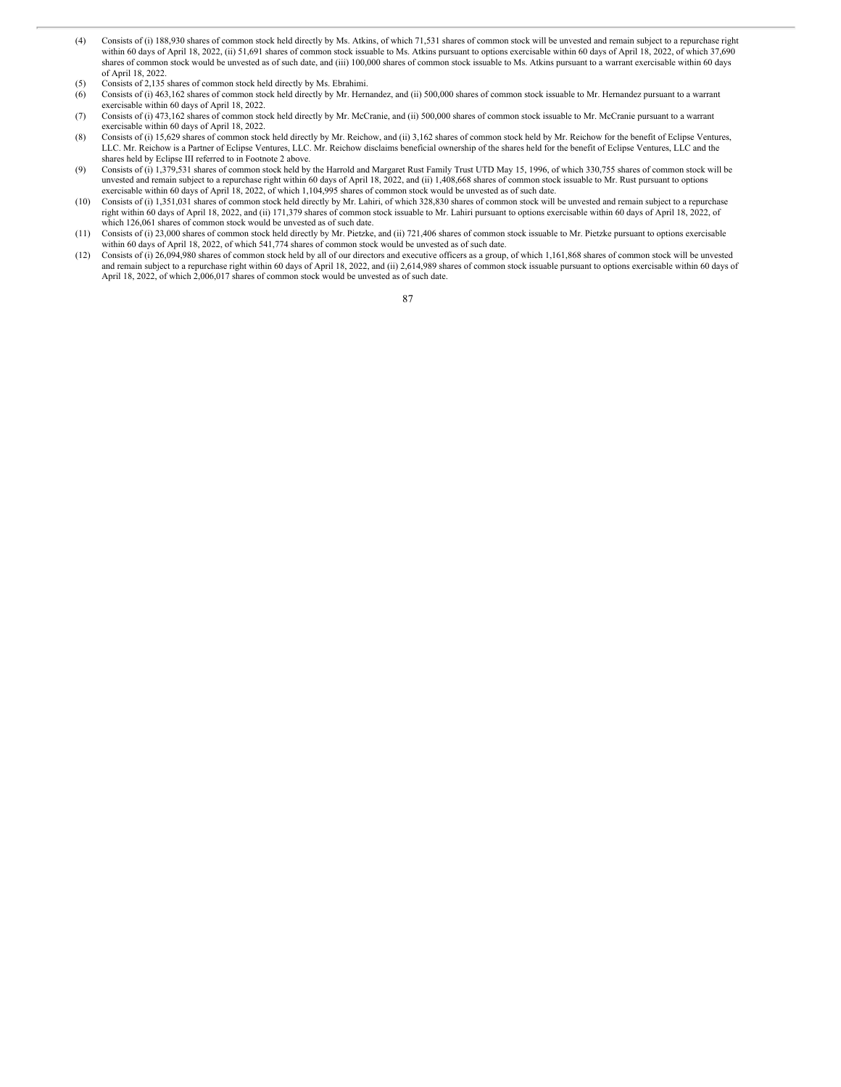- (4) Consists of (i) 188,930 shares of common stock held directly by Ms. Atkins, of which 71,531 shares of common stock will be unvested and remain subject to a repurchase right within 60 days of April 18, 2022, (ii) 51,691 shares of common stock issuable to Ms. Atkins pursuant to options exercisable within 60 days of April 18, 2022, of which 37,690 shares of common stock would be unvested as of such date, and (iii) 100,000 shares of common stock issuable to Ms. Atkins pursuant to a warrant exercisable within 60 days of April 18, 2022.
- (5) Consists of 2,135 shares of common stock held directly by Ms. Ebrahimi.
- (6) Consists of (i) 463,162 shares of common stock held directly by Mr. Hernandez, and (ii) 500,000 shares of common stock issuable to Mr. Hernandez pursuant to a warrant exercisable within 60 days of April 18, 2022.
- (7) Consists of (i) 473,162 shares of common stock held directly by Mr. McCranie, and (ii) 500,000 shares of common stock issuable to Mr. McCranie pursuant to a warrant exercisable within 60 days of April 18, 2022.
- (8) Consists of (i) 15,629 shares of common stock held directly by Mr. Reichow, and (ii) 3,162 shares of common stock held by Mr. Reichow for the benefit of Eclipse Ventures, LLC. Mr. Reichow is a Partner of Eclipse Ventures, LLC. Mr. Reichow disclaims beneficial ownership of the shares held for the benefit of Eclipse Ventures, LLC and the shares held by Eclipse III referred to in Footnote 2 above.
- (9) Consists of (i) 1,379,531 shares of common stock held by the Harrold and Margaret Rust Family Trust UTD May 15, 1996, of which 330,755 shares of common stock will be unvested and remain subject to a repurchase right within 60 days of April 18, 2022, and (ii) 1,408,668 shares of common stock issuable to Mr. Rust pursuant to options exercisable within 60 days of April 18, 2022, of which 1,104,995 shares of common stock would be unvested as of such date.
- (10) Consists of (i) 1,351,031 shares of common stock held directly by Mr. Lahiri, of which 328,830 shares of common stock will be unvested and remain subject to a repurchase right within 60 days of April 18, 2022, and (ii) 171,379 shares of common stock issuable to Mr. Lahiri pursuant to options exercisable within 60 days of April 18, 2022, of which 126,061 shares of common stock would be unvested as of such date.
- (11) Consists of (i) 23,000 shares of common stock held directly by Mr. Pietzke, and (ii) 721,406 shares of common stock issuable to Mr. Pietzke pursuant to options exercisable within 60 days of April 18, 2022, of which 541,774 shares of common stock would be unvested as of such date.
- (12) Consists of (i) 26,094,980 shares of common stock held by all of our directors and executive officers as a group, of which 1,161,868 shares of common stock will be unvested and remain subject to a repurchase right within 60 days of April 18, 2022, and (ii) 2,614,989 shares of common stock issuable pursuant to options exercisable within 60 days of April 18, 2022, of which 2,006,017 shares of common stock would be unvested as of such date.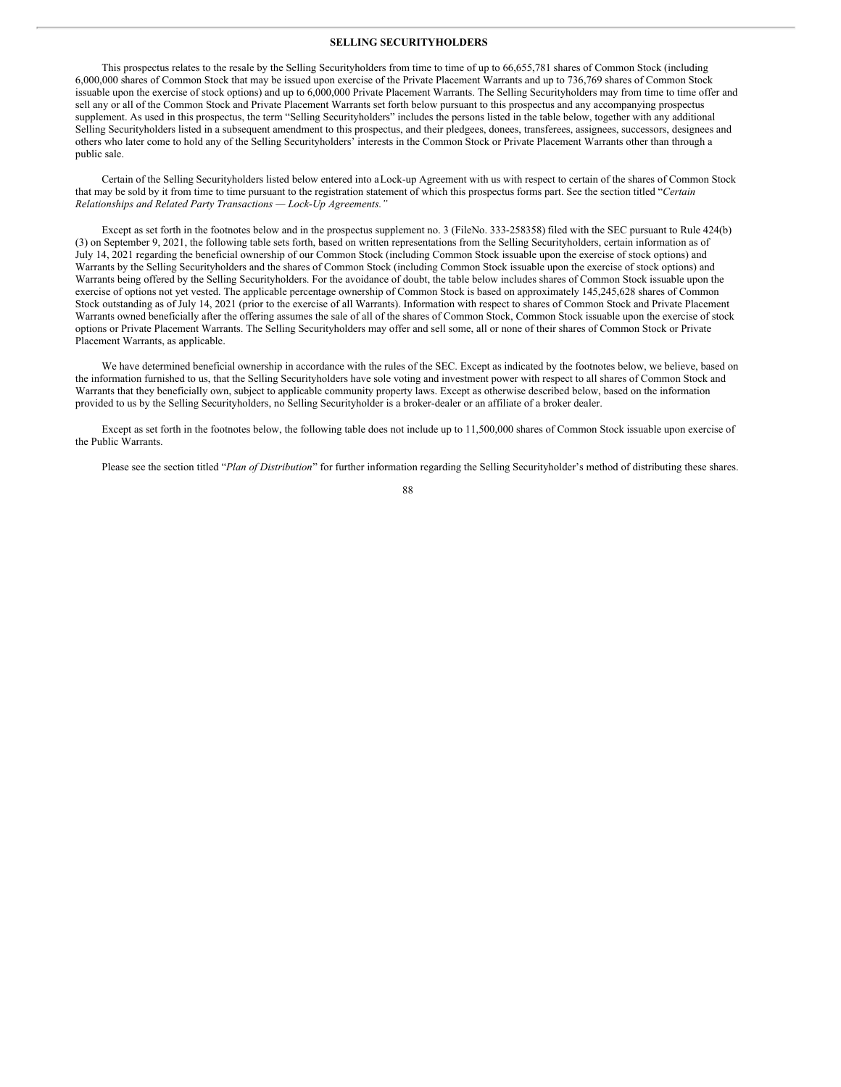# **SELLING SECURITYHOLDERS**

This prospectus relates to the resale by the Selling Securityholders from time to time of up to 66,655,781 shares of Common Stock (including 6,000,000 shares of Common Stock that may be issued upon exercise of the Private Placement Warrants and up to 736,769 shares of Common Stock issuable upon the exercise of stock options) and up to 6,000,000 Private Placement Warrants. The Selling Securityholders may from time to time offer and sell any or all of the Common Stock and Private Placement Warrants set forth below pursuant to this prospectus and any accompanying prospectus supplement. As used in this prospectus, the term "Selling Securityholders" includes the persons listed in the table below, together with any additional Selling Securityholders listed in a subsequent amendment to this prospectus, and their pledgees, donees, transferees, assignees, successors, designees and others who later come to hold any of the Selling Securityholders' interests in the Common Stock or Private Placement Warrants other than through a public sale.

Certain of the Selling Securityholders listed below entered into aLock-up Agreement with us with respect to certain of the shares of Common Stock that may be sold by it from time to time pursuant to the registration statement of which this prospectus forms part. See the section titled "*Certain Relationships and Related Party Transactions — Lock-Up Agreements."*

Except as set forth in the footnotes below and in the prospectus supplement no. 3 (FileNo. 333-258358) filed with the SEC pursuant to Rule 424(b) (3) on September 9, 2021, the following table sets forth, based on written representations from the Selling Securityholders, certain information as of July 14, 2021 regarding the beneficial ownership of our Common Stock (including Common Stock issuable upon the exercise of stock options) and Warrants by the Selling Securityholders and the shares of Common Stock (including Common Stock issuable upon the exercise of stock options) and Warrants being offered by the Selling Securityholders. For the avoidance of doubt, the table below includes shares of Common Stock issuable upon the exercise of options not yet vested. The applicable percentage ownership of Common Stock is based on approximately 145,245,628 shares of Common Stock outstanding as of July 14, 2021 (prior to the exercise of all Warrants). Information with respect to shares of Common Stock and Private Placement Warrants owned beneficially after the offering assumes the sale of all of the shares of Common Stock, Common Stock issuable upon the exercise of stock options or Private Placement Warrants. The Selling Securityholders may offer and sell some, all or none of their shares of Common Stock or Private Placement Warrants, as applicable.

We have determined beneficial ownership in accordance with the rules of the SEC. Except as indicated by the footnotes below, we believe, based on the information furnished to us, that the Selling Securityholders have sole voting and investment power with respect to all shares of Common Stock and Warrants that they beneficially own, subject to applicable community property laws. Except as otherwise described below, based on the information provided to us by the Selling Securityholders, no Selling Securityholder is a broker-dealer or an affiliate of a broker dealer.

Except as set forth in the footnotes below, the following table does not include up to 11,500,000 shares of Common Stock issuable upon exercise of the Public Warrants.

Please see the section titled "*Plan of Distribution*" for further information regarding the Selling Securityholder's method of distributing these shares.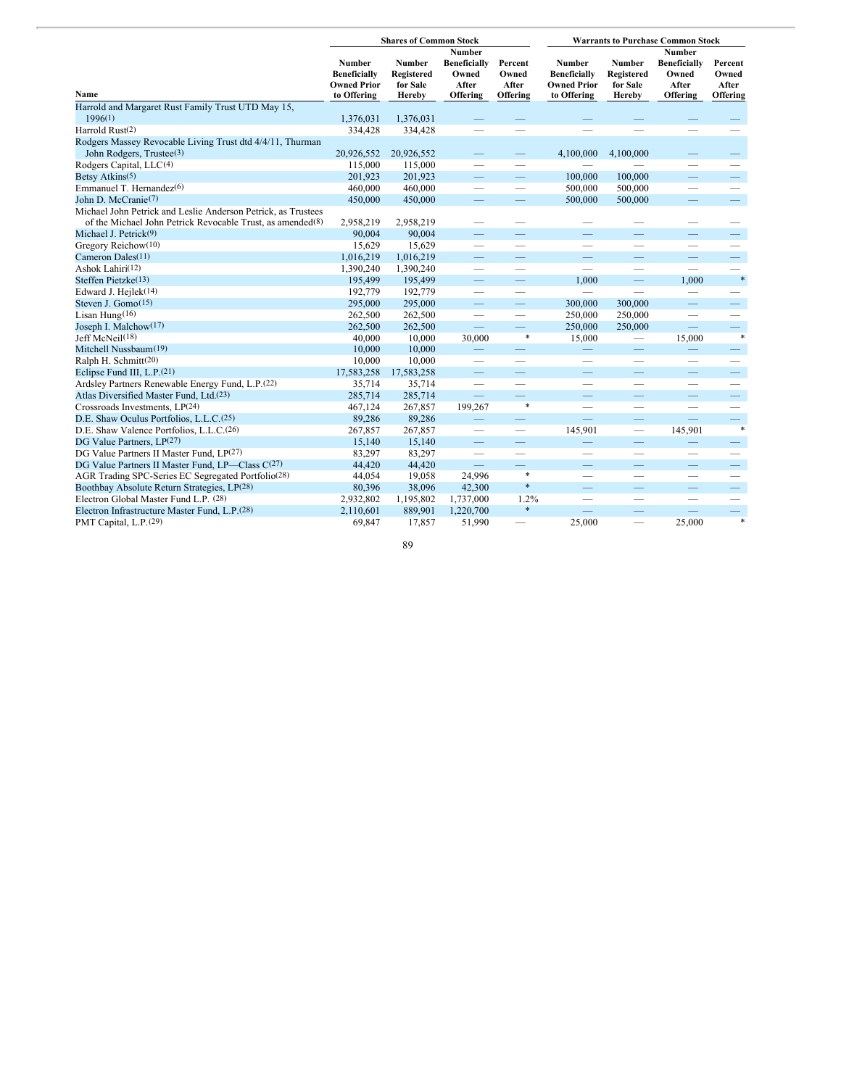|                                                               |                                                                    | <b>Shares of Common Stock</b>                     |                                                             |                                       | <b>Warrants to Purchase Common Stock</b>                           |                                                   |                                                                    |                                       |
|---------------------------------------------------------------|--------------------------------------------------------------------|---------------------------------------------------|-------------------------------------------------------------|---------------------------------------|--------------------------------------------------------------------|---------------------------------------------------|--------------------------------------------------------------------|---------------------------------------|
| Name                                                          | Number<br><b>Beneficially</b><br><b>Owned Prior</b><br>to Offering | <b>Number</b><br>Registered<br>for Sale<br>Hereby | Number<br><b>Beneficially</b><br>Owned<br>After<br>Offering | Percent<br>Owned<br>After<br>Offering | Number<br><b>Beneficially</b><br><b>Owned Prior</b><br>to Offering | <b>Number</b><br>Registered<br>for Sale<br>Hereby | <b>Number</b><br><b>Beneficially</b><br>Owned<br>After<br>Offering | Percent<br>Owned<br>After<br>Offering |
| Harrold and Margaret Rust Family Trust UTD May 15,            |                                                                    |                                                   |                                                             |                                       |                                                                    |                                                   |                                                                    |                                       |
| 1996(1)                                                       | 1,376,031                                                          | 1,376,031                                         |                                                             |                                       |                                                                    |                                                   |                                                                    |                                       |
| Harrold Rust(2)                                               | 334,428                                                            | 334,428                                           |                                                             | $\overline{\phantom{0}}$              |                                                                    |                                                   |                                                                    |                                       |
| Rodgers Massey Revocable Living Trust dtd 4/4/11, Thurman     |                                                                    |                                                   |                                                             |                                       |                                                                    |                                                   |                                                                    |                                       |
| John Rodgers, Trustee(3)                                      | 20,926,552                                                         | 20,926,552                                        |                                                             |                                       | 4,100,000                                                          | 4,100,000                                         |                                                                    |                                       |
| Rodgers Capital, LLC(4)                                       | 115,000                                                            | 115,000                                           |                                                             | $\overline{\phantom{0}}$              |                                                                    |                                                   |                                                                    |                                       |
| Betsy Atkins <sup>(5)</sup>                                   | 201,923                                                            | 201,923                                           |                                                             | ш,                                    | 100,000                                                            | 100,000                                           |                                                                    | $\overline{\phantom{0}}$              |
| Emmanuel T. Hernandez(6)                                      | 460,000                                                            | 460,000                                           | $\qquad \qquad - \qquad$                                    | $\qquad \qquad$<br>$\equiv$           | 500,000                                                            | 500,000                                           | $\overline{\phantom{0}}$                                           |                                       |
| John D. McCranie(7)                                           | 450,000                                                            | 450,000                                           | $\qquad \qquad =$                                           |                                       | 500,000                                                            | 500,000                                           | $\equiv$                                                           | $\equiv$                              |
| Michael John Petrick and Leslie Anderson Petrick, as Trustees |                                                                    |                                                   |                                                             |                                       |                                                                    |                                                   |                                                                    |                                       |
| of the Michael John Petrick Revocable Trust, as amended(8)    | 2,958,219                                                          | 2,958,219                                         |                                                             | $\overline{\phantom{0}}$              |                                                                    |                                                   | $\overline{\phantom{a}}$                                           |                                       |
| Michael J. Petrick <sup>(9)</sup>                             | 90,004                                                             | 90,004                                            | $\overline{\phantom{0}}$                                    | $\overline{\phantom{0}}$              | $\sim$                                                             | $\overline{\phantom{0}}$                          | $\overline{\phantom{a}}$                                           | $\overline{\phantom{0}}$              |
| Gregory Reichow(10)                                           | 15,629                                                             | 15,629                                            | $\overline{\phantom{0}}$                                    | $\overline{\phantom{0}}$              | $\overline{\phantom{a}}$                                           | $\overline{\phantom{a}}$                          | $\frac{1}{2}$                                                      |                                       |
| Cameron Dales(11)                                             | 1,016,219                                                          | 1,016,219                                         | $\qquad \qquad -$                                           | $\equiv$                              | $\equiv$                                                           | $\overline{\phantom{0}}$                          | $\overline{\phantom{0}}$                                           | $\qquad \qquad -$                     |
| Ashok Lahiri(12)                                              | 1,390,240                                                          | 1,390,240                                         | $\qquad \qquad -$                                           | $\overline{\phantom{0}}$              | $\overline{\phantom{0}}$                                           |                                                   |                                                                    | $\ast$                                |
| Steffen Pietzke(13)                                           | 195,499                                                            | 195,499                                           | $\equiv$                                                    | <u>in</u>                             | 1,000                                                              | $\equiv$                                          | 1,000                                                              |                                       |
| Edward J. Hejlek $(14)$                                       | 192,779                                                            | 192,779                                           |                                                             | $\overline{\phantom{0}}$              |                                                                    |                                                   |                                                                    |                                       |
| Steven J. Gomo <sup>(15)</sup>                                | 295,000                                                            | 295,000                                           | $\overline{\phantom{0}}$                                    | $\equiv$                              | 300,000                                                            | 300,000                                           | $\equiv$                                                           | -                                     |
| Lisan Hung $(16)$                                             | 262,500                                                            | 262,500                                           | $\qquad \qquad$                                             | $\overline{\phantom{0}}$              | 250,000                                                            | 250,000                                           | $\qquad \qquad$                                                    | $\qquad \qquad \longleftarrow$        |
| Joseph I. Malchow(17)                                         | 262,500                                                            | 262,500                                           | $\equiv$                                                    | <u>in</u><br>$\ast$                   | 250,000                                                            | 250,000                                           | $\equiv$                                                           | $\equiv$<br>$\ast$                    |
| Jeff McNeil(18)                                               | 40,000                                                             | 10,000                                            | 30,000                                                      |                                       | 15,000                                                             |                                                   | 15,000                                                             |                                       |
| Mitchell Nussbaum <sup>(19)</sup>                             | 10,000                                                             | 10,000                                            | $\equiv$                                                    | $\equiv$                              | $\frac{1}{2}$                                                      | $\qquad \qquad -$                                 | $\equiv$                                                           | $\overline{\phantom{0}}$              |
| Ralph H. Schmitt(20)                                          | 10,000                                                             | 10,000                                            | $\overline{\phantom{0}}$                                    | $\overline{\phantom{0}}$              | $\overline{\phantom{0}}$                                           | $\overline{\phantom{0}}$                          | $\qquad \qquad \longleftarrow$                                     |                                       |
| Eclipse Fund III, L.P.(21)                                    | 17,583,258                                                         | 17,583,258                                        | $\equiv$                                                    | $\overline{\phantom{0}}$              | $\sim$                                                             | $\overline{\phantom{0}}$                          |                                                                    | —                                     |
| Ardsley Partners Renewable Energy Fund, L.P.(22)              | 35,714                                                             | 35,714                                            | $\overline{\phantom{0}}$                                    | $\overline{\phantom{0}}$              |                                                                    | $\overline{\phantom{0}}$                          | $\overline{\phantom{0}}$                                           |                                       |
| Atlas Diversified Master Fund, Ltd.(23)                       | 285,714                                                            | 285,714                                           | $\equiv$                                                    | $\equiv$                              | <b>College</b>                                                     |                                                   |                                                                    | $\overline{\phantom{0}}$              |
| Crossroads Investments, $LP(24)$                              | 467,124                                                            | 267,857                                           | 199,267                                                     | $\ast$                                |                                                                    | $\overline{\phantom{0}}$                          | $\overline{\phantom{0}}$                                           |                                       |
| D.E. Shaw Oculus Portfolios, L.L.C.(25)                       | 89,286                                                             | 89,286                                            | $\overline{\phantom{0}}$                                    | $\overline{\phantom{0}}$              | $\sim$                                                             | $\overline{\phantom{0}}$                          | $\mathbb{R}^n$                                                     | پ                                     |
| D.E. Shaw Valence Portfolios, L.L.C.(26)                      | 267,857                                                            | 267,857                                           | $\overline{\phantom{m}}$                                    | $\overline{\phantom{0}}$              | 145,901                                                            | $\hspace{0.05cm}$                                 | 145,901                                                            | $\ast$                                |
| DG Value Partners, LP(27)                                     | 15,140                                                             | 15,140                                            | $\overline{\phantom{m}}$                                    | $\equiv$                              | $\overline{\phantom{m}}$                                           | $\hspace{0.05cm}$                                 | $\overline{\phantom{0}}$                                           | —                                     |
| DG Value Partners II Master Fund, LP(27)                      | 83,297                                                             | 83,297                                            | $\overline{\phantom{m}}$                                    | $\overline{\phantom{0}}$              | $\overline{\phantom{0}}$                                           | $\overline{\phantom{0}}$                          | $\overline{\phantom{0}}$                                           |                                       |
| DG Value Partners II Master Fund, LP-Class C(27)              | 44,420                                                             | 44,420                                            | پ                                                           | <u>in</u>                             | $\sim$                                                             | $\qquad \qquad$                                   | $\overline{\phantom{0}}$                                           | ⇔                                     |
| AGR Trading SPC-Series EC Segregated Portfolio(28)            | 44,054                                                             | 19,058                                            | 24,996                                                      | $\ast$                                |                                                                    |                                                   | $\overline{\phantom{0}}$                                           | $\overline{\phantom{0}}$              |
| Boothbay Absolute Return Strategies, LP(28)                   | 80,396                                                             | 38,096                                            | 42,300                                                      | $\ast$                                | $\overline{\phantom{0}}$                                           | $\overline{\phantom{0}}$                          | $\overline{\phantom{a}}$                                           | -                                     |
| Electron Global Master Fund L.P. (28)                         | 2,932,802                                                          | 1,195,802                                         | 1,737,000                                                   | 1.2%                                  |                                                                    |                                                   | $\overline{\phantom{0}}$                                           |                                       |
| Electron Infrastructure Master Fund, L.P.(28)                 | 2,110,601                                                          | 889,901                                           | 1,220,700                                                   | $\ast$                                |                                                                    |                                                   |                                                                    | ÷,                                    |
| PMT Capital, L.P. <sup>(29)</sup>                             | 69,847                                                             | 17,857                                            | 51,990                                                      | $\overline{\phantom{0}}$              | 25,000                                                             | $\qquad \qquad$                                   | 25,000                                                             | $\ast$                                |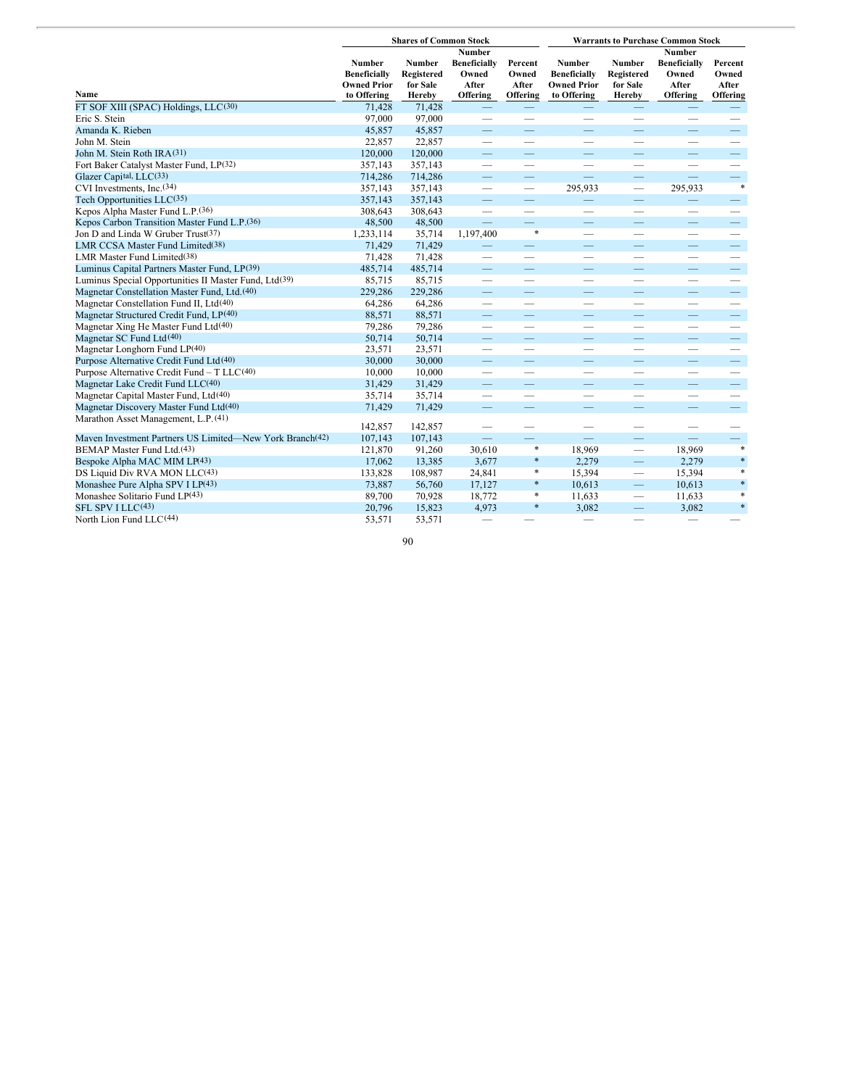|                                                          | <b>Shares of Common Stock</b> |               |                          |                          |                          | <b>Warrants to Purchase Common Stock</b> |                          |                          |  |  |
|----------------------------------------------------------|-------------------------------|---------------|--------------------------|--------------------------|--------------------------|------------------------------------------|--------------------------|--------------------------|--|--|
|                                                          | Number                        |               |                          | <b>Number</b>            |                          |                                          |                          |                          |  |  |
|                                                          | Number                        | <b>Number</b> | <b>Beneficially</b>      | Percent                  | <b>Number</b>            | <b>Number</b>                            | <b>Beneficially</b>      | Percent                  |  |  |
|                                                          | <b>Beneficially</b>           | Registered    | Owned                    | Owned                    | <b>Beneficially</b>      | <b>Registered</b>                        | Owned                    | Owned                    |  |  |
|                                                          | <b>Owned Prior</b>            | for Sale      | After                    | After                    | <b>Owned Prior</b>       | for Sale                                 | After                    | After                    |  |  |
| Name                                                     | to Offering                   | <b>Hereby</b> | Offering                 | Offering                 | to Offering              | Hereby                                   | Offering                 | Offering                 |  |  |
| FT SOF XIII (SPAC) Holdings, LLC(30)                     | 71,428                        | 71,428        |                          | $\overline{\phantom{0}}$ | $\overline{\phantom{0}}$ |                                          | $\overline{\phantom{0}}$ |                          |  |  |
| Eric S. Stein                                            | 97,000                        | 97,000        | $\equiv$                 | $\overline{\phantom{0}}$ | $\equiv$                 | $\overline{\phantom{0}}$                 |                          |                          |  |  |
| Amanda K. Rieben                                         | 45,857                        | 45,857        |                          | $\equiv$                 | $\equiv$                 | $\equiv$                                 | $\overline{\phantom{0}}$ | $\overline{\phantom{0}}$ |  |  |
| John M. Stein                                            | 22,857                        | 22,857        | $\qquad \qquad$          | $\overline{\phantom{0}}$ | $\equiv$                 | $\overline{\phantom{0}}$                 | $\equiv$                 | $\hspace{0.05cm}$        |  |  |
| John M. Stein Roth IRA (31)                              | 120,000                       | 120,000       | $\equiv$                 | $\equiv$                 | $\overline{\phantom{0}}$ | $\equiv$                                 | $\equiv$                 | $\overline{\phantom{a}}$ |  |  |
| Fort Baker Catalyst Master Fund, LP(32)                  | 357,143                       | 357,143       | $\overline{\phantom{0}}$ | $\equiv$                 | $=$                      | $\equiv$                                 | $\qquad \qquad$          | $\equiv$                 |  |  |
| Glazer Capital, LLC(33)                                  | 714,286                       | 714,286       | $\equiv$                 | $\equiv$                 | $\equiv$                 | 二                                        | 트                        | ÷.                       |  |  |
| CVI Investments, Inc.(34)                                | 357,143                       | 357,143       | $\qquad \qquad$          | $\equiv$                 | 295,933                  | $\equiv$                                 | 295,933                  | $\ast$                   |  |  |
| Tech Opportunities LLC(35)                               | 357,143                       | 357,143       | $\equiv$                 | $\equiv$                 | $\overline{\phantom{0}}$ | $\equiv$                                 | $\qquad \qquad -$        | $\qquad \qquad -$        |  |  |
| Kepos Alpha Master Fund L.P.(36)                         | 308,643                       | 308,643       | $\qquad \qquad$          | $=$                      | $=$                      | $\overline{\phantom{0}}$                 | $\qquad \qquad -$        | $\equiv$                 |  |  |
| Kepos Carbon Transition Master Fund L.P.(36)             | 48,500                        | 48,500        | $\overline{\phantom{m}}$ | ═                        | $\equiv$                 | $\equiv$                                 | $\equiv$                 | $\equiv$                 |  |  |
| Jon D and Linda W Gruber Trust <sup>(37)</sup>           | 1,233,114                     | 35,714        | 1.197.400                | $\ast$                   | $=$                      | $\overline{\phantom{0}}$                 | $\overline{\phantom{m}}$ | $\overline{\phantom{a}}$ |  |  |
| LMR CCSA Master Fund Limited <sup>(38)</sup>             | 71,429                        | 71,429        | $\equiv$                 | -                        | ÷.                       | $\equiv$                                 | $\equiv$                 | $\equiv$                 |  |  |
| LMR Master Fund Limited(38)                              | 71,428                        | 71,428        |                          | $\overline{\phantom{0}}$ | $\equiv$                 | $\overline{\phantom{0}}$                 | ÷,                       |                          |  |  |
| Luminus Capital Partners Master Fund, LP(39)             | 485,714                       | 485,714       |                          | $\overline{\phantom{0}}$ | $\equiv$                 | $\equiv$                                 | $\equiv$                 | $\frac{1}{2}$            |  |  |
| Luminus Special Opportunities II Master Fund, Ltd(39)    | 85,715                        | 85,715        | $\qquad \qquad$          | $\overline{\phantom{0}}$ | $\equiv$                 | $\overline{\phantom{0}}$                 | $\overline{\phantom{0}}$ | $\overline{\phantom{0}}$ |  |  |
| Magnetar Constellation Master Fund, Ltd. <sup>(40)</sup> | 229,286                       | 229,286       | $\qquad \qquad -$        | $\equiv$                 | $\equiv$                 | $\equiv$                                 | $\equiv$                 | $\overline{\phantom{0}}$ |  |  |
| Magnetar Constellation Fund II, Ltd(40)                  | 64,286                        | 64,286        | $\qquad \qquad$          | $\equiv$                 | $\equiv$                 | $\overline{\phantom{0}}$                 | $\qquad \qquad$          | $\hspace{0.05cm}$        |  |  |
| Magnetar Structured Credit Fund, LP(40)                  | 88,571                        | 88,571        | $\equiv$                 | $\overline{\phantom{0}}$ | $\equiv$                 | $\overline{\phantom{0}}$                 | $\overline{\phantom{0}}$ | $\qquad \qquad =$        |  |  |
| Magnetar Xing He Master Fund Ltd(40)                     | 79,286                        | 79,286        | $\qquad \qquad$          | $\equiv$                 | $\equiv$                 | $\overline{\phantom{0}}$                 | $\overline{\phantom{0}}$ |                          |  |  |
| Magnetar SC Fund Ltd(40)                                 | 50,714                        | 50,714        | $\equiv$                 | $\equiv$                 | $\equiv$                 | $\equiv$                                 |                          | Ξ,                       |  |  |
| Magnetar Longhorn Fund LP(40)                            | 23,571                        | 23,571        | $=$                      | $=$                      | $=$                      | $=$                                      | $\overline{\phantom{0}}$ | $\overline{\phantom{0}}$ |  |  |
| Purpose Alternative Credit Fund Ltd(40)                  | 30,000                        | 30,000        | $\qquad \qquad -$        | $\overline{\phantom{0}}$ | $\qquad \qquad =$        | $\overline{\phantom{0}}$                 | $\equiv$                 | $\overline{\phantom{m}}$ |  |  |
| Purpose Alternative Credit Fund - T LLC(40)              | 10,000                        | 10,000        | $\qquad \qquad$          | $\overline{\phantom{0}}$ | $\equiv$                 | $\overline{\phantom{0}}$                 |                          | $\equiv$                 |  |  |
| Magnetar Lake Credit Fund LLC(40)                        | 31,429                        | 31,429        | $\overline{\phantom{0}}$ | $\overline{\phantom{0}}$ | $\equiv$                 | $\overline{\phantom{0}}$                 | $\overline{\phantom{0}}$ | $\overline{\phantom{m}}$ |  |  |
| Magnetar Capital Master Fund, Ltd(40)                    | 35,714                        | 35,714        | $\qquad \qquad$          | $\equiv$                 | $\equiv$                 | $\overline{\phantom{0}}$                 | $\overline{\phantom{m}}$ | $\equiv$                 |  |  |
| Magnetar Discovery Master Fund Ltd <sup>(40)</sup>       | 71,429                        | 71,429        | $\equiv$                 | $\equiv$                 | $\equiv$                 | $\equiv$                                 | $\equiv$                 | $\equiv$                 |  |  |
| Marathon Asset Management, L.P. (41)                     |                               |               |                          |                          |                          |                                          |                          |                          |  |  |
|                                                          | 142,857                       | 142,857       | $\overline{\phantom{0}}$ | $\overline{\phantom{0}}$ | $\overline{\phantom{0}}$ | —                                        |                          |                          |  |  |
| Maven Investment Partners US Limited-New York Branch(42) | 107,143                       | 107,143       | $\equiv$                 | ᆖ                        | ÷,                       | $\equiv$                                 |                          | $\equiv$                 |  |  |
| BEMAP Master Fund Ltd.(43)                               | 121,870                       | 91,260        | 30,610                   | $\ast$                   | 18,969                   | $\overline{\phantom{0}}$                 | 18,969                   | *                        |  |  |
| Bespoke Alpha MAC MIM LP(43)                             | 17,062                        | 13,385        | 3,677                    | $\ast$                   | 2,279                    | $\equiv$                                 | 2,279                    | $\ast$                   |  |  |
| DS Liquid Div RVA MON LLC(43)                            | 133,828                       | 108,987       | 24,841                   | $\ast$                   | 15,394                   | $=$                                      | 15,394                   | $\ast$                   |  |  |
| Monashee Pure Alpha SPV I LP(43)                         | 73,887                        | 56,760        | 17,127                   | $\ast$                   | 10,613                   | $\equiv$                                 | 10,613                   | $\ast$                   |  |  |
| Monashee Solitario Fund LP(43)                           | 89,700                        | 70,928        | 18,772                   | $\ast$                   | 11,633                   | $\qquad \qquad$                          | 11,633                   | $\ast$                   |  |  |
| SFL SPV I LLC(43)                                        | 20,796                        | 15,823        | 4,973                    | $\ast$                   | 3,082                    | $\equiv$                                 | 3,082                    | $\ast$                   |  |  |
| North Lion Fund LLC(44)                                  | 53,571                        | 53,571        |                          |                          |                          |                                          |                          |                          |  |  |
|                                                          |                               | 90            |                          |                          |                          |                                          |                          |                          |  |  |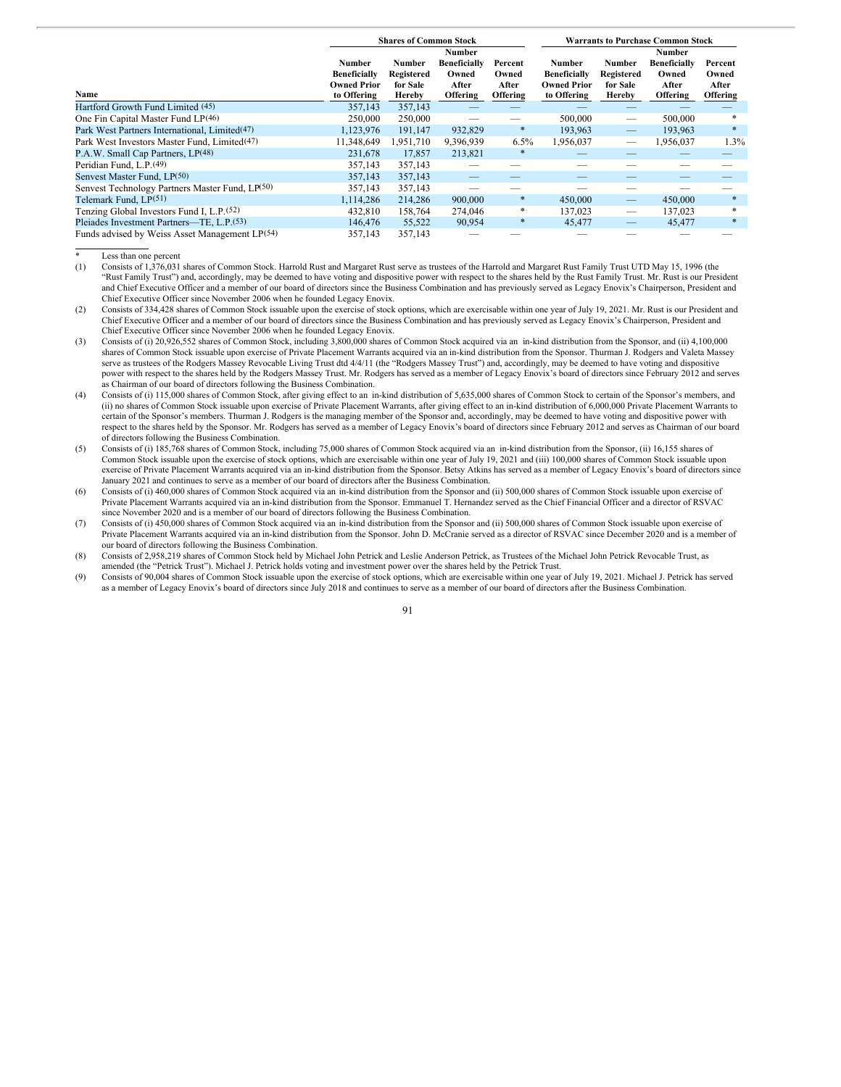|                                                           | <b>Shares of Common Stock</b> |                      |                              |                  |                               | <b>Warrants to Purchase Common Stock</b> |                              |                  |  |
|-----------------------------------------------------------|-------------------------------|----------------------|------------------------------|------------------|-------------------------------|------------------------------------------|------------------------------|------------------|--|
|                                                           | Number                        |                      |                              |                  | Number                        |                                          |                              |                  |  |
|                                                           | Number<br><b>Beneficially</b> | Number<br>Registered | <b>Beneficially</b><br>Owned | Percent<br>Owned | Number<br><b>Beneficially</b> | Number<br>Registered                     | <b>Beneficially</b><br>Owned | Percent<br>Owned |  |
|                                                           | <b>Owned Prior</b>            | for Sale             | After                        | After            | <b>Owned Prior</b>            | for Sale                                 | After                        | After            |  |
| Name                                                      | to Offering                   | <b>Hereby</b>        | Offering                     | Offering         | to Offering                   | Hereby                                   | Offering                     | Offering         |  |
| Hartford Growth Fund Limited (45)                         | 357,143                       | 357,143              |                              |                  |                               |                                          |                              |                  |  |
| One Fin Capital Master Fund LP(46)                        | 250,000                       | 250,000              |                              |                  | 500,000                       |                                          | 500,000                      |                  |  |
| Park West Partners International, Limited <sup>(47)</sup> | 1,123,976                     | 191,147              | 932,829                      | ∗                | 193,963                       | $\hspace{0.1mm}-\hspace{0.1mm}$          | 193,963                      | $*$              |  |
| Park West Investors Master Fund, Limited <sup>(47)</sup>  | 11,348,649                    | 1,951,710            | 9,396,939                    | 6.5%             | 1,956,037                     |                                          | 1,956,037                    | $1.3\%$          |  |
| P.A.W. Small Cap Partners, LP(48)                         | 231,678                       | 17,857               | 213,821                      |                  |                               |                                          |                              |                  |  |
| Peridian Fund, L.P. (49)                                  | 357,143                       | 357,143              |                              |                  |                               |                                          |                              |                  |  |
| Senvest Master Fund, LP(50)                               | 357,143                       | 357,143              |                              |                  |                               |                                          |                              |                  |  |
| Senvest Technology Partners Master Fund, LP(50)           | 357,143                       | 357,143              |                              |                  |                               |                                          |                              |                  |  |
| Telemark Fund, LP(51)                                     | 1,114,286                     | 214,286              | 900,000                      | 净                | 450,000                       | $\qquad \qquad \longleftarrow$           | 450,000                      | *                |  |
| Tenzing Global Investors Fund I, L.P. (52)                | 432,810                       | 158,764              | 274,046                      | *                | 137,023                       |                                          | 137,023                      | $\ast$           |  |
| Pleiades Investment Partners—TE, L.P. <sup>(53)</sup>     | 146,476                       | 55,522               | 90,954                       | *                | 45,477                        | $\hspace{0.1mm}-\hspace{0.1mm}$          | 45,477                       | *                |  |
| Funds advised by Weiss Asset Management $LP(54)$          | 357,143                       | 357,143              |                              |                  |                               |                                          |                              |                  |  |

Less than one percent

(1) Consists of 1,376,031 shares of Common Stock. Harrold Rust and Margaret Rust serve as trustees of the Harrold and Margaret Rust Family Trust UTD May 15, 1996 (the "Rust Family Trust") and, accordingly, may be deemed to have voting and dispositive power with respect to the shares held by the Rust Family Trust. Mr. Rust is our President and Chief Executive Officer and a member of our board of directors since the Business Combination and has previously served as Legacy Enovix's Chairperson, President and Chief Executive Officer since November 2006 when he founded Legacy Enovix.

(2) Consists of 334,428 shares of Common Stock issuable upon the exercise of stock options, which are exercisable within one year of July 19, 2021. Mr. Rust is our President and Chief Executive Officer and a member of our board of directors since the Business Combination and has previously served as Legacy Enovix's Chairperson, President and Chief Executive Officer since November 2006 when he founded Legacy Enovix.

(3) Consists of (i) 20,926,552 shares of Common Stock, including 3,800,000 shares of Common Stock acquired via an in-kind distribution from the Sponsor, and (ii) 4,100,000 shares of Common Stock issuable upon exercise of Private Placement Warrants acquired via an in-kind distribution from the Sponsor. Thurman J. Rodgers and Valeta Massey serve as trustees of the Rodgers Massey Revocable Living Trust dtd 4/4/11 (the "Rodgers Massey Trust") and, accordingly, may be deemed to have voting and dispositive power with respect to the shares held by the Rodgers Massey Trust. Mr. Rodgers has served as a member of Legacy Enovix's board of directors since February 2012 and serves as Chairman of our board of directors following the Business Combination.

(4) Consists of (i) 115,000 shares of Common Stock, after giving effect to an in-kind distribution of 5,635,000 shares of Common Stock to certain of the Sponsor's members, and (ii) no shares of Common Stock issuable upon exercise of Private Placement Warrants, after giving effect to an in-kind distribution of 6,000,000 Private Placement Warrants to certain of the Sponsor's members. Thurman J. Rodgers is the managing member of the Sponsor and, accordingly, may be deemed to have voting and dispositive power with respect to the shares held by the Sponsor. Mr. Rodgers has served as a member of Legacy Enovix's board of directors since February 2012 and serves as Chairman of our board of directors following the Business Combination.

(5) Consists of (i) 185,768 shares of Common Stock, including 75,000 shares of Common Stock acquired via an in-kind distribution from the Sponsor, (ii) 16,155 shares of Common Stock issuable upon the exercise of stock options, which are exercisable within one year of July 19, 2021 and (iii) 100,000 shares of Common Stock issuable upon exercise of Private Placement Warrants acquired via an in-kind distribution from the Sponsor. Betsy Atkins has served as a member of Legacy Enovix's board of directors since January 2021 and continues to serve as a member of our board of directors after the Business Combination.

(6) Consists of (i) 460,000 shares of Common Stock acquired via an in-kind distribution from the Sponsor and (ii) 500,000 shares of Common Stock issuable upon exercise of Private Placement Warrants acquired via an in-kind distribution from the Sponsor. Emmanuel T. Hernandez served as the Chief Financial Officer and a director of RSVAC since November 2020 and is a member of our board of directors following the Business Combination.

(7) Consists of (i) 450,000 shares of Common Stock acquired via an in-kind distribution from the Sponsor and (ii) 500,000 shares of Common Stock issuable upon exercise of Private Placement Warrants acquired via an in-kind distribution from the Sponsor. John D. McCranie served as a director of RSVAC since December 2020 and is a member of our board of directors following the Business Combination.

(8) Consists of 2,958,219 shares of Common Stock held by Michael John Petrick and Leslie Anderson Petrick, as Trustees of the Michael John Petrick Revocable Trust, as amended (the "Petrick Trust"). Michael J. Petrick holds voting and investment power over the shares held by the Petrick Trust.

(9) Consists of 90,004 shares of Common Stock issuable upon the exercise of stock options, which are exercisable within one year of July 19, 2021. Michael J. Petrick has served as a member of Legacy Enovix's board of directors since July 2018 and continues to serve as a member of our board of directors after the Business Combination.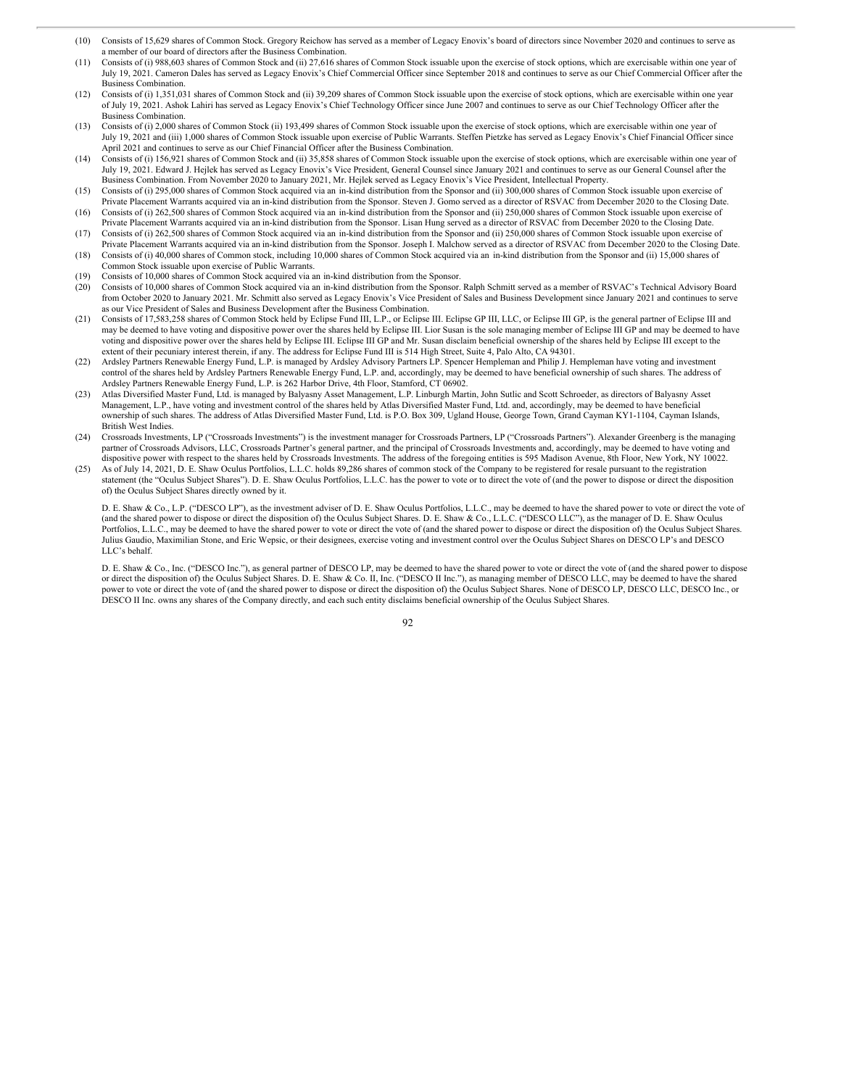- (10) Consists of 15,629 shares of Common Stock. Gregory Reichow has served as a member of Legacy Enovix's board of directors since November 2020 and continues to serve as a member of our board of directors after the Business Combination.
- (11) Consists of (i) 988,603 shares of Common Stock and (ii) 27,616 shares of Common Stock issuable upon the exercise of stock options, which are exercisable within one year of July 19, 2021. Cameron Dales has served as Legacy Enovix's Chief Commercial Officer since September 2018 and continues to serve as our Chief Commercial Officer after the Business Combination.
- (12) Consists of (i) 1,351,031 shares of Common Stock and (ii) 39,209 shares of Common Stock issuable upon the exercise of stock options, which are exercisable within one year of July 19, 2021. Ashok Lahiri has served as Legacy Enovix's Chief Technology Officer since June 2007 and continues to serve as our Chief Technology Officer after the Business Combination.
- (13) Consists of (i) 2,000 shares of Common Stock (ii) 193,499 shares of Common Stock issuable upon the exercise of stock options, which are exercisable within one year of July 19, 2021 and (iii) 1,000 shares of Common Stock issuable upon exercise of Public Warrants. Steffen Pietzke has served as Legacy Enovix's Chief Financial Officer since April 2021 and continues to serve as our Chief Financial Officer after the Business Combination.
- (14) Consists of (i) 156,921 shares of Common Stock and (ii) 35,858 shares of Common Stock issuable upon the exercise of stock options, which are exercisable within one year of July 19, 2021. Edward J. Hejlek has served as Legacy Enovix's Vice President, General Counsel since January 2021 and continues to serve as our General Counsel after the Business Combination. From November 2020 to January 2021, Mr. Hejlek served as Legacy Enovix's Vice President, Intellectual Property.
- (15) Consists of (i) 295,000 shares of Common Stock acquired via an in-kind distribution from the Sponsor and (ii) 300,000 shares of Common Stock issuable upon exercise of Private Placement Warrants acquired via an in-kind distribution from the Sponsor. Steven J. Gomo served as a director of RSVAC from December 2020 to the Closing Date. (16) Consists of (i) 262,500 shares of Common Stock acquired via an in-kind distribution from the Sponsor and (ii) 250,000 shares of Common Stock issuable upon exercise of
- Private Placement Warrants acquired via an in-kind distribution from the Sponsor. Lisan Hung served as a director of RSVAC from December 2020 to the Closing Date. (17) Consists of (i) 262,500 shares of Common Stock acquired via an in-kind distribution from the Sponsor and (ii) 250,000 shares of Common Stock issuable upon exercise of
- Private Placement Warrants acquired via an in-kind distribution from the Sponsor. Joseph I. Malchow served as a director of RSVAC from December 2020 to the Closing Date. (18) Consists of (i) 40,000 shares of Common stock, including 10,000 shares of Common Stock acquired via an in-kind distribution from the Sponsor and (ii) 15,000 shares of
- Common Stock issuable upon exercise of Public Warrants.
- (19) Consists of 10,000 shares of Common Stock acquired via an in-kind distribution from the Sponsor.
- (20) Consists of 10,000 shares of Common Stock acquired via an in-kind distribution from the Sponsor. Ralph Schmitt served as a member of RSVAC's Technical Advisory Board from October 2020 to January 2021. Mr. Schmitt also served as Legacy Enovix's Vice President of Sales and Business Development since January 2021 and continues to serve as our Vice President of Sales and Business Development after the Business Combination.
- (21) Consists of 17,583,258 shares of Common Stock held by Eclipse Fund III, L.P., or Eclipse III. Eclipse GP III, LLC, or Eclipse III GP, is the general partner of Eclipse III and may be deemed to have voting and dispositive power over the shares held by Eclipse III. Lior Susan is the sole managing member of Eclipse III GP and may be deemed to have voting and dispositive power over the shares held by Eclipse III. Eclipse III GP and Mr. Susan disclaim beneficial ownership of the shares held by Eclipse III except to the extent of their pecuniary interest therein, if any. The address for Eclipse Fund III is 514 High Street, Suite 4, Palo Alto, CA 94301.
- (22) Ardsley Partners Renewable Energy Fund, L.P. is managed by Ardsley Advisory Partners LP. Spencer Hempleman and Philip J. Hempleman have voting and investment control of the shares held by Ardsley Partners Renewable Energy Fund, L.P. and, accordingly, may be deemed to have beneficial ownership of such shares. The address of Ardsley Partners Renewable Energy Fund, L.P. is 262 Harbor Drive, 4th Floor, Stamford, CT 06902.
- (23) Atlas Diversified Master Fund, Ltd. is managed by Balyasny Asset Management, L.P. Linburgh Martin, John Sutlic and Scott Schroeder, as directors of Balyasny Asset Management, L.P., have voting and investment control of the shares held by Atlas Diversified Master Fund, Ltd. and, accordingly, may be deemed to have beneficial ownership of such shares. The address of Atlas Diversified Master Fund, Ltd. is P.O. Box 309, Ugland House, George Town, Grand Cayman KY1-1104, Cayman Islands, British West Indies.
- (24) Crossroads Investments, LP ("Crossroads Investments") is the investment manager for Crossroads Partners, LP ("Crossroads Partners"). Alexander Greenberg is the managing partner of Crossroads Advisors, LLC, Crossroads Partner's general partner, and the principal of Crossroads Investments and, accordingly, may be deemed to have voting and dispositive power with respect to the shares held by Crossroads Investments. The address of the foregoing entities is 595 Madison Avenue, 8th Floor, New York, NY 10022.
- (25) As of July 14, 2021, D. E. Shaw Oculus Portfolios, L.L.C. holds 89,286 shares of common stock of the Company to be registered for resale pursuant to the registration statement (the "Oculus Subject Shares"). D. E. Shaw Oculus Portfolios, L.L.C. has the power to vote or to direct the vote of (and the power to dispose or direct the disposition of) the Oculus Subject Shares directly owned by it.

D. E. Shaw & Co., L.P. ("DESCO LP"), as the investment adviser of D. E. Shaw Oculus Portfolios, L.L.C., may be deemed to have the shared power to vote or direct the vote of (and the shared power to dispose or direct the disposition of) the Oculus Subject Shares. D. E. Shaw & Co., L.L.C. ("DESCO LLC"), as the manager of D. E. Shaw Oculus Portfolios, L.L.C., may be deemed to have the shared power to vote or direct the vote of (and the shared power to dispose or direct the disposition of) the Oculus Subject Shares. Julius Gaudio, Maximilian Stone, and Eric Wepsic, or their designees, exercise voting and investment control over the Oculus Subject Shares on DESCO LP's and DESCO LLC's behalf.

D. E. Shaw & Co., Inc. ("DESCO Inc."), as general partner of DESCO LP, may be deemed to have the shared power to vote or direct the vote of (and the shared power to dispose or direct the disposition of) the Oculus Subject Shares. D. E. Shaw & Co. II, Inc. ("DESCO II Inc."), as managing member of DESCO LLC, may be deemed to have the shared power to vote or direct the vote of (and the shared power to dispose or direct the disposition of) the Oculus Subject Shares. None of DESCO LP, DESCO LLC, DESCO Inc., or DESCO II Inc. owns any shares of the Company directly, and each such entity disclaims beneficial ownership of the Oculus Subject Shares.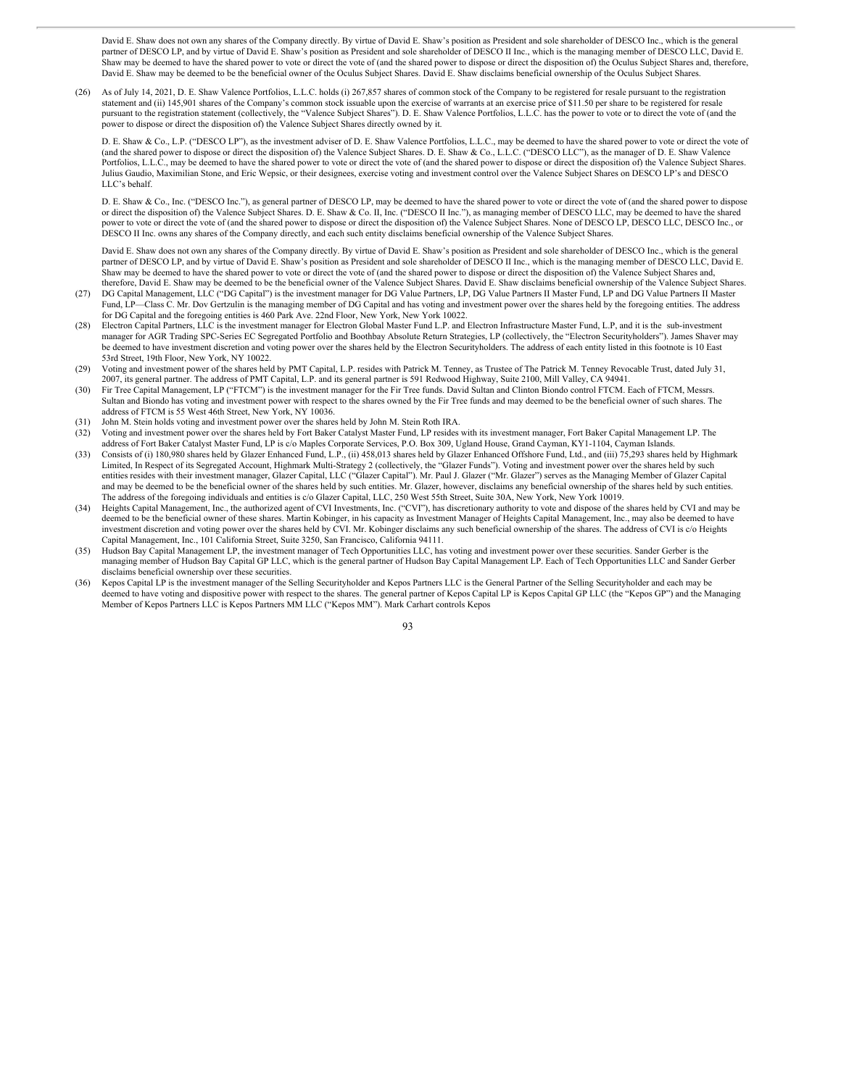David E. Shaw does not own any shares of the Company directly. By virtue of David E. Shaw's position as President and sole shareholder of DESCO Inc., which is the general partner of DESCO LP, and by virtue of David E. Shaw's position as President and sole shareholder of DESCO II Inc., which is the managing member of DESCO LLC, David E. Shaw may be deemed to have the shared power to vote or direct the vote of (and the shared power to dispose or direct the disposition of) the Oculus Subject Shares and, therefore, David E. Shaw may be deemed to be the beneficial owner of the Oculus Subject Shares. David E. Shaw disclaims beneficial ownership of the Oculus Subject Shares.

(26) As of July 14, 2021, D. E. Shaw Valence Portfolios, L.L.C. holds (i) 267,857 shares of common stock of the Company to be registered for resale pursuant to the registration statement and (ii) 145,901 shares of the Company's common stock issuable upon the exercise of warrants at an exercise price of \$11.50 per share to be registered for resale pursuant to the registration statement (collectively, the "Valence Subject Shares"). D. E. Shaw Valence Portfolios, L.L.C. has the power to vote or to direct the vote of (and the power to dispose or direct the disposition of) the Valence Subject Shares directly owned by it.

D. E. Shaw & Co., L.P. ("DESCO LP"), as the investment adviser of D. E. Shaw Valence Portfolios, L.L.C., may be deemed to have the shared power to vote or direct the vote of (and the shared power to dispose or direct the disposition of) the Valence Subject Shares. D. E. Shaw & Co., L.L.C. ("DESCO LLC"), as the manager of D. E. Shaw Valence Portfolios, L.L.C., may be deemed to have the shared power to vote or direct the vote of (and the shared power to dispose or direct the disposition of) the Valence Subject Shares. Julius Gaudio, Maximilian Stone, and Eric Wepsic, or their designees, exercise voting and investment control over the Valence Subject Shares on DESCO LP's and DESCO LLC's behalf.

D. E. Shaw & Co., Inc. ("DESCO Inc."), as general partner of DESCO LP, may be deemed to have the shared power to vote or direct the vote of (and the shared power to dispose or direct the disposition of) the Valence Subject Shares. D. E. Shaw & Co. II, Inc. ("DESCO II Inc."), as managing member of DESCO LLC, may be deemed to have the shared power to vote or direct the vote of (and the shared power to dispose or direct the disposition of) the Valence Subject Shares. None of DESCO LP, DESCO LLC, DESCO Inc., or DESCO II Inc. owns any shares of the Company directly, and each such entity disclaims beneficial ownership of the Valence Subject Shares.

David E. Shaw does not own any shares of the Company directly. By virtue of David E. Shaw's position as President and sole shareholder of DESCO Inc., which is the general partner of DESCO LP, and by virtue of David E. Shaw's position as President and sole shareholder of DESCO II Inc., which is the managing member of DESCO LLC, David E. Shaw may be deemed to have the shared power to vote or direct the vote of (and the shared power to dispose or direct the disposition of) the Valence Subject Shares and, therefore, David E. Shaw may be deemed to be the beneficial owner of the Valence Subject Shares. David E. Shaw disclaims beneficial ownership of the Valence Subject Shares.

- (27) DG Capital Management, LLC ("DG Capital") is the investment manager for DG Value Partners, LP, DG Value Partners II Master Fund, LP and DG Value Partners II Master Fund, LP—Class C. Mr. Dov Gertzulin is the managing member of DG Capital and has voting and investment power over the shares held by the foregoing entities. The address for DG Capital and the foregoing entities is 460 Park Ave. 22nd Floor, New York, New York 10022.
- (28) Electron Capital Partners, LLC is the investment manager for Electron Global Master Fund L.P. and Electron Infrastructure Master Fund, L.P, and it is the sub-investment manager for AGR Trading SPC-Series EC Segregated Portfolio and Boothbay Absolute Return Strategies, LP (collectively, the "Electron Securityholders"). James Shaver may be deemed to have investment discretion and voting power over the shares held by the Electron Securityholders. The address of each entity listed in this footnote is 10 East 53rd Street, 19th Floor, New York, NY 10022.
- (29) Voting and investment power of the shares held by PMT Capital, L.P. resides with Patrick M. Tenney, as Trustee of The Patrick M. Tenney Revocable Trust, dated July 31, 2007, its general partner. The address of PMT Capital, L.P. and its general partner is 591 Redwood Highway, Suite 2100, Mill Valley, CA 94941.
- (30) Fir Tree Capital Management, LP ("FTCM") is the investment manager for the Fir Tree funds. David Sultan and Clinton Biondo control FTCM. Each of FTCM, Messrs. Sultan and Biondo has voting and investment power with respect to the shares owned by the Fir Tree funds and may deemed to be the beneficial owner of such shares. The address of FTCM is 55 West 46th Street, New York, NY 10036.
- (31) John M. Stein holds voting and investment power over the shares held by John M. Stein Roth IRA.
- (32) Voting and investment power over the shares held by Fort Baker Catalyst Master Fund, LP resides with its investment manager, Fort Baker Capital Management LP. The address of Fort Baker Catalyst Master Fund, LP is c/o Maples Corporate Services, P.O. Box 309, Ugland House, Grand Cayman, KY1-1104, Cayman Islands.
- (33) Consists of (i) 180,980 shares held by Glazer Enhanced Fund, L.P., (ii) 458,013 shares held by Glazer Enhanced Offshore Fund, Ltd., and (iii) 75,293 shares held by Highmark Limited, In Respect of its Segregated Account, Highmark Multi-Strategy 2 (collectively, the "Glazer Funds"). Voting and investment power over the shares held by such entities resides with their investment manager, Glazer Capital, LLC ("Glazer Capital"). Mr. Paul J. Glazer ("Mr. Glazer") serves as the Managing Member of Glazer Capital and may be deemed to be the beneficial owner of the shares held by such entities. Mr. Glazer, however, disclaims any beneficial ownership of the shares held by such entities. The address of the foregoing individuals and entities is c/o Glazer Capital, LLC, 250 West 55th Street, Suite 30A, New York, New York 10019.
- (34) Heights Capital Management, Inc., the authorized agent of CVI Investments, Inc. ("CVI"), has discretionary authority to vote and dispose of the shares held by CVI and may be deemed to be the beneficial owner of these shares. Martin Kobinger, in his capacity as Investment Manager of Heights Capital Management, Inc., may also be deemed to have investment discretion and voting power over the shares held by CVI. Mr. Kobinger disclaims any such beneficial ownership of the shares. The address of CVI is c/o Heights Capital Management, Inc., 101 California Street, Suite 3250, San Francisco, California 94111.
- (35) Hudson Bay Capital Management LP, the investment manager of Tech Opportunities LLC, has voting and investment power over these securities. Sander Gerber is the managing member of Hudson Bay Capital GP LLC, which is the general partner of Hudson Bay Capital Management LP. Each of Tech Opportunities LLC and Sander Gerber disclaims beneficial ownership over these securities.
- Kepos Capital LP is the investment manager of the Selling Securityholder and Kepos Partners LLC is the General Partner of the Selling Securityholder and each may be deemed to have voting and dispositive power with respect to the shares. The general partner of Kepos Capital LP is Kepos Capital GP LLC (the "Kepos GP") and the Managing Member of Kepos Partners LLC is Kepos Partners MM LLC ("Kepos MM"). Mark Carhart controls Kepos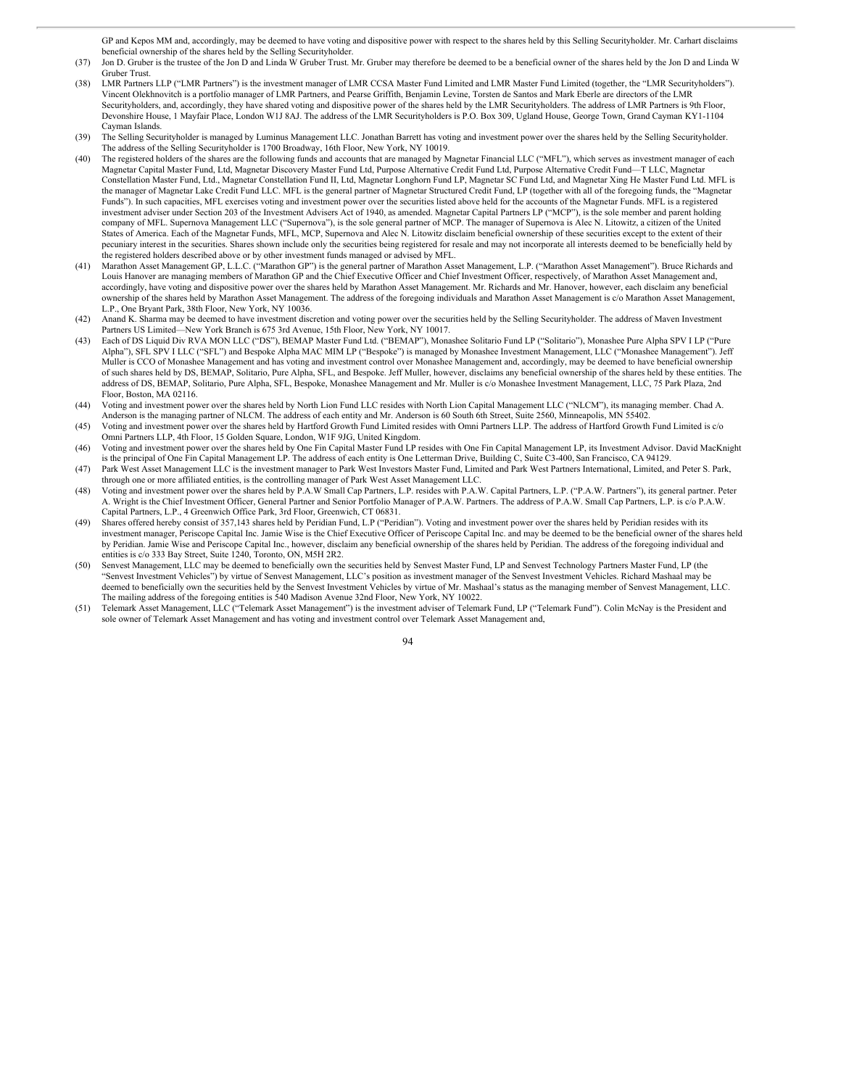GP and Kepos MM and, accordingly, may be deemed to have voting and dispositive power with respect to the shares held by this Selling Securityholder. Mr. Carhart disclaims beneficial ownership of the shares held by the Selling Securityholder.

- (37) Jon D. Gruber is the trustee of the Jon D and Linda W Gruber Trust. Mr. Gruber may therefore be deemed to be a beneficial owner of the shares held by the Jon D and Linda W Gruber Trust.
- (38) LMR Partners LLP ("LMR Partners") is the investment manager of LMR CCSA Master Fund Limited and LMR Master Fund Limited (together, the "LMR Securityholders"). Vincent Olekhnovitch is a portfolio manager of LMR Partners, and Pearse Griffith, Benjamin Levine, Torsten de Santos and Mark Eberle are directors of the LMR Securityholders, and, accordingly, they have shared voting and dispositive power of the shares held by the LMR Securityholders. The address of LMR Partners is 9th Floor, Devonshire House, 1 Mayfair Place, London W1J 8AJ. The address of the LMR Securityholders is P.O. Box 309, Ugland House, George Town, Grand Cayman KY1-1104 Cayman Islands.
- (39) The Selling Securityholder is managed by Luminus Management LLC. Jonathan Barrett has voting and investment power over the shares held by the Selling Securityholder. The address of the Selling Securityholder is 1700 Broadway, 16th Floor, New York, NY 10019.
- (40) The registered holders of the shares are the following funds and accounts that are managed by Magnetar Financial LLC ("MFL"), which serves as investment manager of each Magnetar Capital Master Fund, Ltd, Magnetar Discovery Master Fund Ltd, Purpose Alternative Credit Fund Ltd, Purpose Alternative Credit Fund—T LLC, Magnetar Constellation Master Fund, Ltd., Magnetar Constellation Fund II, Ltd, Magnetar Longhorn Fund LP, Magnetar SC Fund Ltd, and Magnetar Xing He Master Fund Ltd. MFL is the manager of Magnetar Lake Credit Fund LLC. MFL is the general partner of Magnetar Structured Credit Fund, LP (together with all of the foregoing funds, the "Magnetar Funds"). In such capacities, MFL exercises voting and investment power over the securities listed above held for the accounts of the Magnetar Funds. MFL is a registered investment adviser under Section 203 of the Investment Advisers Act of 1940, as amended. Magnetar Capital Partners LP ("MCP"), is the sole member and parent holding company of MFL. Supernova Management LLC ("Supernova"), is the sole general partner of MCP. The manager of Supernova is Alec N. Litowitz, a citizen of the United States of America. Each of the Magnetar Funds, MFL, MCP, Supernova and Alec N. Litowitz disclaim beneficial ownership of these securities except to the extent of their pecuniary interest in the securities. Shares shown include only the securities being registered for resale and may not incorporate all interests deemed to be beneficially held by the registered holders described above or by other investment funds managed or advised by MFL.
- (41) Marathon Asset Management GP, L.L.C. ("Marathon GP") is the general partner of Marathon Asset Management, L.P. ("Marathon Asset Management"). Bruce Richards and Louis Hanover are managing members of Marathon GP and the Chief Executive Officer and Chief Investment Officer, respectively, of Marathon Asset Management and, accordingly, have voting and dispositive power over the shares held by Marathon Asset Management. Mr. Richards and Mr. Hanover, however, each disclaim any beneficial ownership of the shares held by Marathon Asset Management. The address of the foregoing individuals and Marathon Asset Management is c/o Marathon Asset Management, L.P., One Bryant Park, 38th Floor, New York, NY 10036.
- (42) Anand K. Sharma may be deemed to have investment discretion and voting power over the securities held by the Selling Securityholder. The address of Maven Investment Partners US Limited—New York Branch is 675 3rd Avenue, 15th Floor, New York, NY 10017.
- (43) Each of DS Liquid Div RVA MON LLC ("DS"), BEMAP Master Fund Ltd. ("BEMAP"), Monashee Solitario Fund LP ("Solitario"), Monashee Pure Alpha SPV I LP ("Pure Alpha"), SFL SPV I LLC ("SFL") and Bespoke Alpha MAC MIM LP ("Bespoke") is managed by Monashee Investment Management, LLC ("Monashee Management"). Jeff Muller is CCO of Monashee Management and has voting and investment control over Monashee Management and, accordingly, may be deemed to have beneficial ownership of such shares held by DS, BEMAP, Solitario, Pure Alpha, SFL, and Bespoke. Jeff Muller, however, disclaims any beneficial ownership of the shares held by these entities. The address of DS, BEMAP, Solitario, Pure Alpha, SFL, Bespoke, Monashee Management and Mr. Muller is c/o Monashee Investment Management, LLC, 75 Park Plaza, 2nd Floor, Boston, MA 02116.
- (44) Voting and investment power over the shares held by North Lion Fund LLC resides with North Lion Capital Management LLC ("NLCM"), its managing member. Chad A. Anderson is the managing partner of NLCM. The address of each entity and Mr. Anderson is 60 South 6th Street, Suite 2560, Minneapolis, MN 55402.
- (45) Voting and investment power over the shares held by Hartford Growth Fund Limited resides with Omni Partners LLP. The address of Hartford Growth Fund Limited is c/o Omni Partners LLP, 4th Floor, 15 Golden Square, London, W1F 9JG, United Kingdom.
- (46) Voting and investment power over the shares held by One Fin Capital Master Fund LP resides with One Fin Capital Management LP, its Investment Advisor. David MacKnight is the principal of One Fin Capital Management LP. The address of each entity is One Letterman Drive, Building C, Suite C3-400, San Francisco, CA 94129.
- (47) Park West Asset Management LLC is the investment manager to Park West Investors Master Fund, Limited and Park West Partners International, Limited, and Peter S. Park, through one or more affiliated entities, is the controlling manager of Park West Asset Management LLC.
- (48) Voting and investment power over the shares held by P.A.W Small Cap Partners, L.P. resides with P.A.W. Capital Partners, L.P. ("P.A.W. Partners"), its general partner. Peter A. Wright is the Chief Investment Officer, General Partner and Senior Portfolio Manager of P.A.W. Partners. The address of P.A.W. Small Cap Partners, L.P. is c/o P.A.W. Capital Partners, L.P., 4 Greenwich Office Park, 3rd Floor, Greenwich, CT 06831.
- (49) Shares offered hereby consist of 357,143 shares held by Peridian Fund, L.P ("Peridian"). Voting and investment power over the shares held by Peridian resides with its investment manager, Periscope Capital Inc. Jamie Wise is the Chief Executive Officer of Periscope Capital Inc. and may be deemed to be the beneficial owner of the shares held by Peridian. Jamie Wise and Periscope Capital Inc., however, disclaim any beneficial ownership of the shares held by Peridian. The address of the foregoing individual and entities is c/o 333 Bay Street, Suite 1240, Toronto, ON, M5H 2R2.
- (50) Senvest Management, LLC may be deemed to beneficially own the securities held by Senvest Master Fund, LP and Senvest Technology Partners Master Fund, LP (the "Senvest Investment Vehicles") by virtue of Senvest Management, LLC's position as investment manager of the Senvest Investment Vehicles. Richard Mashaal may be deemed to beneficially own the securities held by the Senvest Investment Vehicles by virtue of Mr. Mashaal's status as the managing member of Senvest Management, LLC. The mailing address of the foregoing entities is 540 Madison Avenue 32nd Floor, New York, NY 10022.
- (51) Telemark Asset Management, LLC ("Telemark Asset Management") is the investment adviser of Telemark Fund, LP ("Telemark Fund"). Colin McNay is the President and sole owner of Telemark Asset Management and has voting and investment control over Telemark Asset Management and,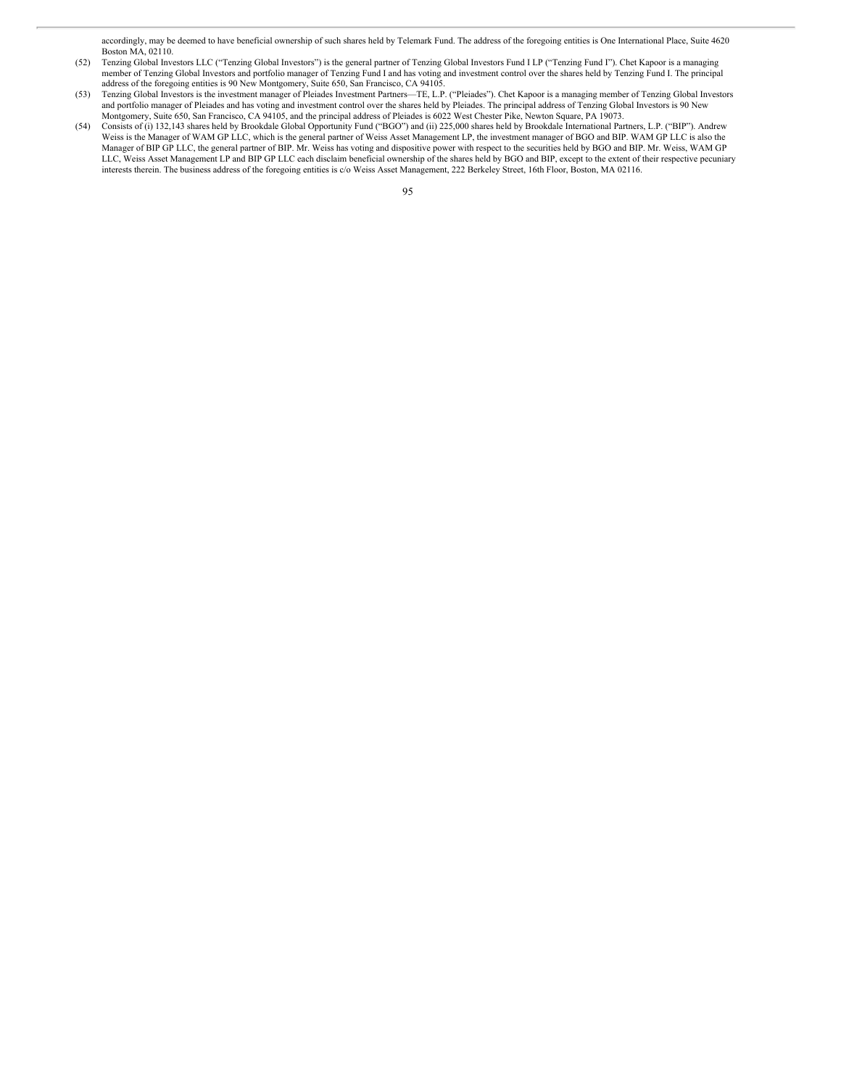accordingly, may be deemed to have beneficial ownership of such shares held by Telemark Fund. The address of the foregoing entities is One International Place, Suite 4620 Boston MA, 02110.

- (52) Tenzing Global Investors LLC ("Tenzing Global Investors") is the general partner of Tenzing Global Investors Fund I LP ("Tenzing Fund I"). Chet Kapoor is a managing member of Tenzing Global Investors and portfolio manager of Tenzing Fund I and has voting and investment control over the shares held by Tenzing Fund I. The principal address of the foregoing entities is 90 New Montgomery, Suite 650, San Francisco, CA 94105.
- (53) Tenzing Global Investors is the investment manager of Pleiades Investment Partners—TE, L.P. ("Pleiades"). Chet Kapoor is a managing member of Tenzing Global Investors and portfolio manager of Pleiades and has voting and investment control over the shares held by Pleiades. The principal address of Tenzing Global Investors is 90 New Montgomery, Suite 650, San Francisco, CA 94105, and the principal address of Pleiades is 6022 West Chester Pike, Newton Square, PA 19073.
- (54) Consists of (i) 132,143 shares held by Brookdale Global Opportunity Fund ("BGO") and (ii) 225,000 shares held by Brookdale International Partners, L.P. ("BIP"). Andrew Weiss is the Manager of WAM GP LLC, which is the general partner of Weiss Asset Management LP, the investment manager of BGO and BIP. WAM GP LLC is also the Manager of BIP GP LLC, the general partner of BIP. Mr. Weiss has voting and dispositive power with respect to the securities held by BGO and BIP. Mr. Weiss, WAM GP LLC, Weiss Asset Management LP and BIP GP LLC each disclaim beneficial ownership of the shares held by BGO and BIP, except to the extent of their respective pecuniary interests therein. The business address of the foregoing entities is c/o Weiss Asset Management, 222 Berkeley Street, 16th Floor, Boston, MA 02116.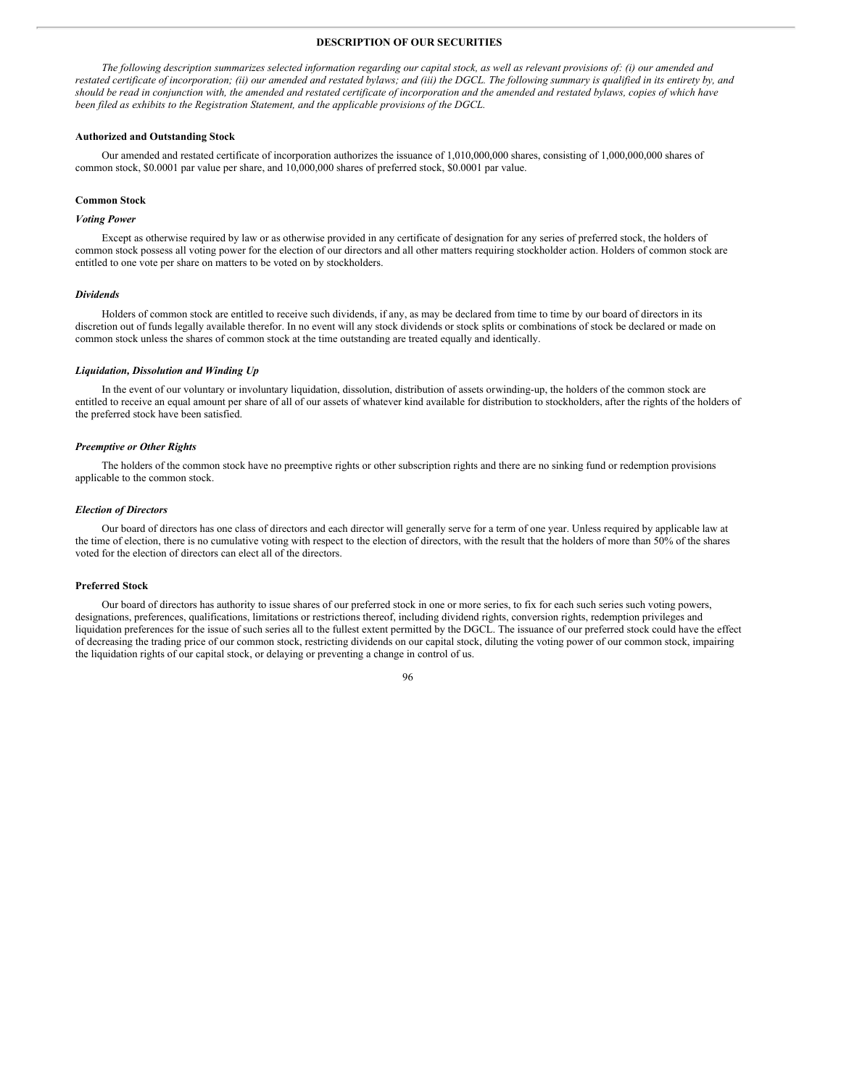# **DESCRIPTION OF OUR SECURITIES**

The following description summarizes selected information regarding our capital stock, as well as relevant provisions of: (i) our amended and restated certificate of incorporation; (ii) our amended and restated bylaws; and (iii) the DGCL. The following summary is qualified in its entirety by, and should be read in conjunction with, the amended and restated certificate of incorporation and the amended and restated bylaws, copies of which have *been filed as exhibits to the Registration Statement, and the applicable provisions of the DGCL.*

# **Authorized and Outstanding Stock**

Our amended and restated certificate of incorporation authorizes the issuance of 1,010,000,000 shares, consisting of 1,000,000,000 shares of common stock, \$0.0001 par value per share, and 10,000,000 shares of preferred stock, \$0.0001 par value.

#### **Common Stock**

## *Voting Power*

Except as otherwise required by law or as otherwise provided in any certificate of designation for any series of preferred stock, the holders of common stock possess all voting power for the election of our directors and all other matters requiring stockholder action. Holders of common stock are entitled to one vote per share on matters to be voted on by stockholders.

#### *Dividends*

Holders of common stock are entitled to receive such dividends, if any, as may be declared from time to time by our board of directors in its discretion out of funds legally available therefor. In no event will any stock dividends or stock splits or combinations of stock be declared or made on common stock unless the shares of common stock at the time outstanding are treated equally and identically.

# *Liquidation, Dissolution and Winding Up*

In the event of our voluntary or involuntary liquidation, dissolution, distribution of assets orwinding-up, the holders of the common stock are entitled to receive an equal amount per share of all of our assets of whatever kind available for distribution to stockholders, after the rights of the holders of the preferred stock have been satisfied.

# *Preemptive or Other Rights*

The holders of the common stock have no preemptive rights or other subscription rights and there are no sinking fund or redemption provisions applicable to the common stock.

## *Election of Directors*

Our board of directors has one class of directors and each director will generally serve for a term of one year. Unless required by applicable law at the time of election, there is no cumulative voting with respect to the election of directors, with the result that the holders of more than 50% of the shares voted for the election of directors can elect all of the directors.

### **Preferred Stock**

Our board of directors has authority to issue shares of our preferred stock in one or more series, to fix for each such series such voting powers, designations, preferences, qualifications, limitations or restrictions thereof, including dividend rights, conversion rights, redemption privileges and liquidation preferences for the issue of such series all to the fullest extent permitted by the DGCL. The issuance of our preferred stock could have the effect of decreasing the trading price of our common stock, restricting dividends on our capital stock, diluting the voting power of our common stock, impairing the liquidation rights of our capital stock, or delaying or preventing a change in control of us.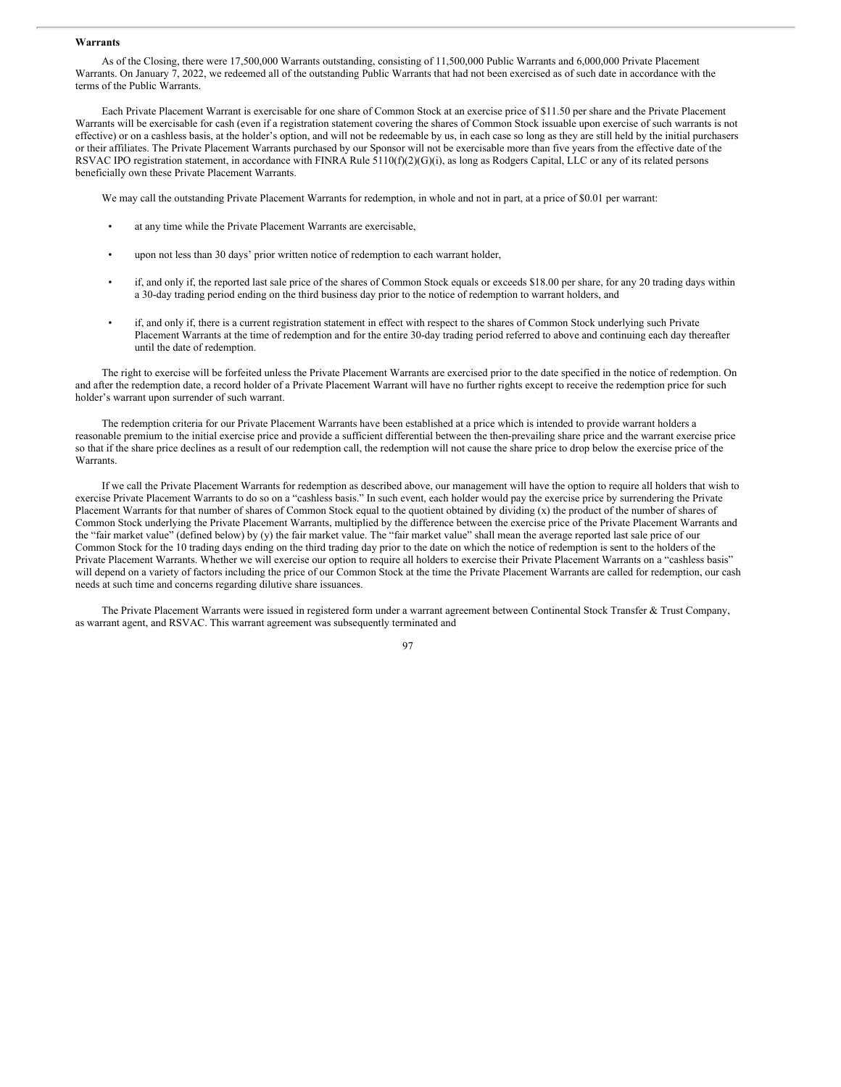### **Warrants**

As of the Closing, there were 17,500,000 Warrants outstanding, consisting of 11,500,000 Public Warrants and 6,000,000 Private Placement Warrants. On January 7, 2022, we redeemed all of the outstanding Public Warrants that had not been exercised as of such date in accordance with the terms of the Public Warrants.

Each Private Placement Warrant is exercisable for one share of Common Stock at an exercise price of \$11.50 per share and the Private Placement Warrants will be exercisable for cash (even if a registration statement covering the shares of Common Stock issuable upon exercise of such warrants is not effective) or on a cashless basis, at the holder's option, and will not be redeemable by us, in each case so long as they are still held by the initial purchasers or their affiliates. The Private Placement Warrants purchased by our Sponsor will not be exercisable more than five years from the effective date of the RSVAC IPO registration statement, in accordance with FINRA Rule 5110(f)(2)(G)(i), as long as Rodgers Capital, LLC or any of its related persons beneficially own these Private Placement Warrants.

We may call the outstanding Private Placement Warrants for redemption, in whole and not in part, at a price of \$0.01 per warrant:

- at any time while the Private Placement Warrants are exercisable,
- upon not less than 30 days' prior written notice of redemption to each warrant holder,
- if, and only if, the reported last sale price of the shares of Common Stock equals or exceeds \$18.00 per share, for any 20 trading days within a 30-day trading period ending on the third business day prior to the notice of redemption to warrant holders, and
- if, and only if, there is a current registration statement in effect with respect to the shares of Common Stock underlying such Private Placement Warrants at the time of redemption and for the entire 30-day trading period referred to above and continuing each day thereafter until the date of redemption.

The right to exercise will be forfeited unless the Private Placement Warrants are exercised prior to the date specified in the notice of redemption. On and after the redemption date, a record holder of a Private Placement Warrant will have no further rights except to receive the redemption price for such holder's warrant upon surrender of such warrant.

The redemption criteria for our Private Placement Warrants have been established at a price which is intended to provide warrant holders a reasonable premium to the initial exercise price and provide a sufficient differential between the then-prevailing share price and the warrant exercise price so that if the share price declines as a result of our redemption call, the redemption will not cause the share price to drop below the exercise price of the Warrants.

If we call the Private Placement Warrants for redemption as described above, our management will have the option to require all holders that wish to exercise Private Placement Warrants to do so on a "cashless basis." In such event, each holder would pay the exercise price by surrendering the Private Placement Warrants for that number of shares of Common Stock equal to the quotient obtained by dividing (x) the product of the number of shares of Common Stock underlying the Private Placement Warrants, multiplied by the difference between the exercise price of the Private Placement Warrants and the "fair market value" (defined below) by (y) the fair market value. The "fair market value" shall mean the average reported last sale price of our Common Stock for the 10 trading days ending on the third trading day prior to the date on which the notice of redemption is sent to the holders of the Private Placement Warrants. Whether we will exercise our option to require all holders to exercise their Private Placement Warrants on a "cashless basis" will depend on a variety of factors including the price of our Common Stock at the time the Private Placement Warrants are called for redemption, our cash needs at such time and concerns regarding dilutive share issuances.

The Private Placement Warrants were issued in registered form under a warrant agreement between Continental Stock Transfer & Trust Company, as warrant agent, and RSVAC. This warrant agreement was subsequently terminated and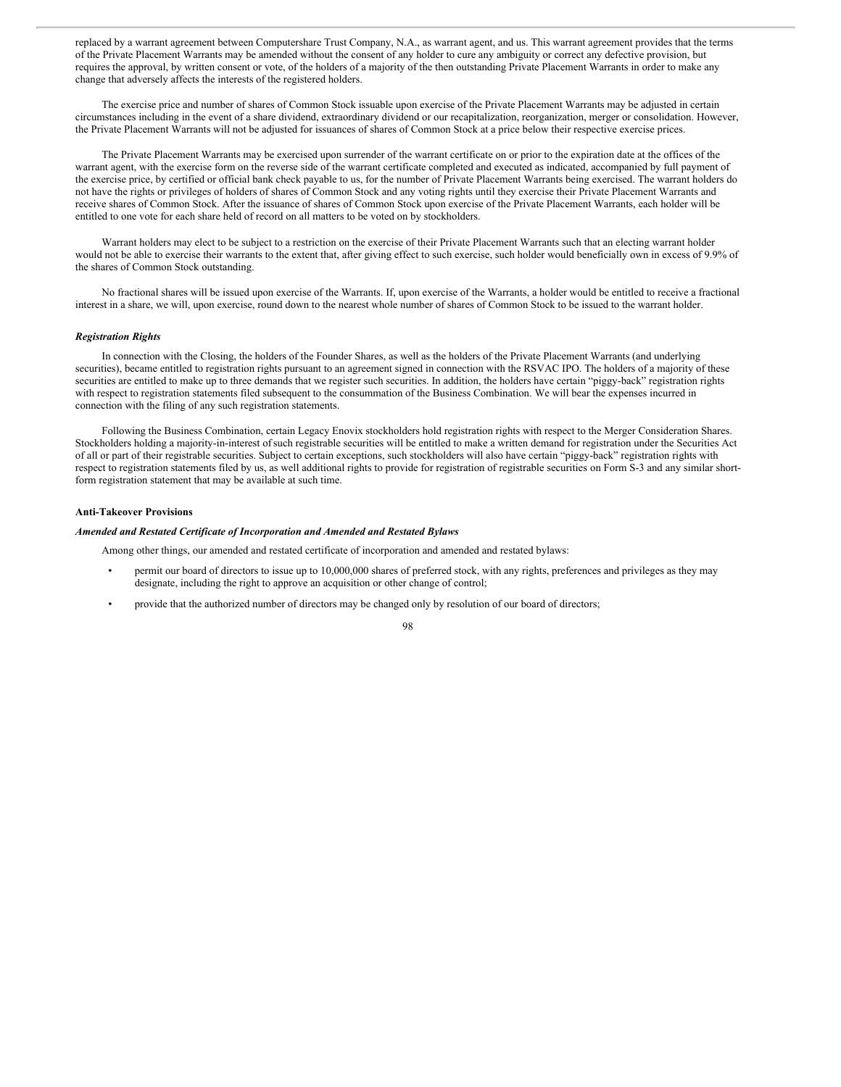replaced by a warrant agreement between Computershare Trust Company, N.A., as warrant agent, and us. This warrant agreement provides that the terms of the Private Placement Warrants may be amended without the consent of any holder to cure any ambiguity or correct any defective provision, but requires the approval, by written consent or vote, of the holders of a majority of the then outstanding Private Placement Warrants in order to make any change that adversely affects the interests of the registered holders.

The exercise price and number of shares of Common Stock issuable upon exercise of the Private Placement Warrants may be adjusted in certain circumstances including in the event of a share dividend, extraordinary dividend or our recapitalization, reorganization, merger or consolidation. However, the Private Placement Warrants will not be adjusted for issuances of shares of Common Stock at a price below their respective exercise prices.

The Private Placement Warrants may be exercised upon surrender of the warrant certificate on or prior to the expiration date at the offices of the warrant agent, with the exercise form on the reverse side of the warrant certificate completed and executed as indicated, accompanied by full payment of the exercise price, by certified or official bank check payable to us, for the number of Private Placement Warrants being exercised. The warrant holders do not have the rights or privileges of holders of shares of Common Stock and any voting rights until they exercise their Private Placement Warrants and receive shares of Common Stock. After the issuance of shares of Common Stock upon exercise of the Private Placement Warrants, each holder will be entitled to one vote for each share held of record on all matters to be voted on by stockholders.

Warrant holders may elect to be subject to a restriction on the exercise of their Private Placement Warrants such that an electing warrant holder would not be able to exercise their warrants to the extent that, after giving effect to such exercise, such holder would beneficially own in excess of 9.9% of the shares of Common Stock outstanding.

No fractional shares will be issued upon exercise of the Warrants. If, upon exercise of the Warrants, a holder would be entitled to receive a fractional interest in a share, we will, upon exercise, round down to the nearest whole number of shares of Common Stock to be issued to the warrant holder.

# *Registration Rights*

In connection with the Closing, the holders of the Founder Shares, as well as the holders of the Private Placement Warrants (and underlying securities), became entitled to registration rights pursuant to an agreement signed in connection with the RSVAC IPO. The holders of a majority of these securities are entitled to make up to three demands that we register such securities. In addition, the holders have certain "piggy-back" registration rights with respect to registration statements filed subsequent to the consummation of the Business Combination. We will bear the expenses incurred in connection with the filing of any such registration statements.

Following the Business Combination, certain Legacy Enovix stockholders hold registration rights with respect to the Merger Consideration Shares. Stockholders holding a majority-in-interest ofsuch registrable securities will be entitled to make a written demand for registration under the Securities Act of all or part of their registrable securities. Subject to certain exceptions, such stockholders will also have certain "piggy-back" registration rights with respect to registration statements filed by us, as well additional rights to provide for registration of registrable securities on Form S-3 and any similar shortform registration statement that may be available at such time.

# **Anti-Takeover Provisions**

#### *Amended and Restated Certificate of Incorporation and Amended and Restated Bylaws*

Among other things, our amended and restated certificate of incorporation and amended and restated bylaws:

- permit our board of directors to issue up to 10,000,000 shares of preferred stock, with any rights, preferences and privileges as they may designate, including the right to approve an acquisition or other change of control;
- provide that the authorized number of directors may be changed only by resolution of our board of directors;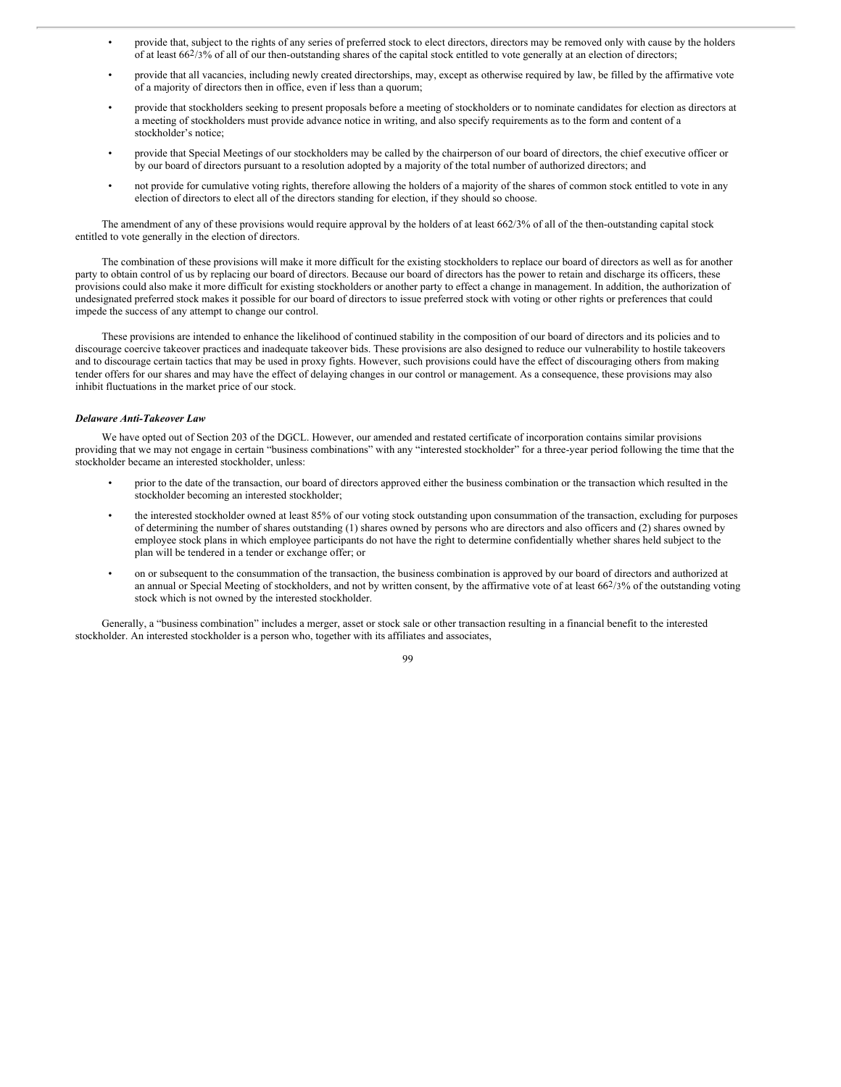- provide that, subject to the rights of any series of preferred stock to elect directors, directors may be removed only with cause by the holders of at least 662/3% of all of our then-outstanding shares of the capital stock entitled to vote generally at an election of directors;
- provide that all vacancies, including newly created directorships, may, except as otherwise required by law, be filled by the affirmative vote of a majority of directors then in office, even if less than a quorum;
- provide that stockholders seeking to present proposals before a meeting of stockholders or to nominate candidates for election as directors at a meeting of stockholders must provide advance notice in writing, and also specify requirements as to the form and content of a stockholder's notice;
- provide that Special Meetings of our stockholders may be called by the chairperson of our board of directors, the chief executive officer or by our board of directors pursuant to a resolution adopted by a majority of the total number of authorized directors; and
- not provide for cumulative voting rights, therefore allowing the holders of a majority of the shares of common stock entitled to vote in any election of directors to elect all of the directors standing for election, if they should so choose.

The amendment of any of these provisions would require approval by the holders of at least 662/3% of all of the then-outstanding capital stock entitled to vote generally in the election of directors.

The combination of these provisions will make it more difficult for the existing stockholders to replace our board of directors as well as for another party to obtain control of us by replacing our board of directors. Because our board of directors has the power to retain and discharge its officers, these provisions could also make it more difficult for existing stockholders or another party to effect a change in management. In addition, the authorization of undesignated preferred stock makes it possible for our board of directors to issue preferred stock with voting or other rights or preferences that could impede the success of any attempt to change our control.

These provisions are intended to enhance the likelihood of continued stability in the composition of our board of directors and its policies and to discourage coercive takeover practices and inadequate takeover bids. These provisions are also designed to reduce our vulnerability to hostile takeovers and to discourage certain tactics that may be used in proxy fights. However, such provisions could have the effect of discouraging others from making tender offers for our shares and may have the effect of delaying changes in our control or management. As a consequence, these provisions may also inhibit fluctuations in the market price of our stock.

# *Delaware Anti-Takeover Law*

We have opted out of Section 203 of the DGCL. However, our amended and restated certificate of incorporation contains similar provisions providing that we may not engage in certain "business combinations" with any "interested stockholder" for a three-year period following the time that the stockholder became an interested stockholder, unless:

- prior to the date of the transaction, our board of directors approved either the business combination or the transaction which resulted in the stockholder becoming an interested stockholder;
- the interested stockholder owned at least 85% of our voting stock outstanding upon consummation of the transaction, excluding for purposes of determining the number of shares outstanding (1) shares owned by persons who are directors and also officers and (2) shares owned by employee stock plans in which employee participants do not have the right to determine confidentially whether shares held subject to the plan will be tendered in a tender or exchange offer; or
- on or subsequent to the consummation of the transaction, the business combination is approved by our board of directors and authorized at an annual or Special Meeting of stockholders, and not by written consent, by the affirmative vote of at least 662/3% of the outstanding voting stock which is not owned by the interested stockholder.

Generally, a "business combination" includes a merger, asset or stock sale or other transaction resulting in a financial benefit to the interested stockholder. An interested stockholder is a person who, together with its affiliates and associates,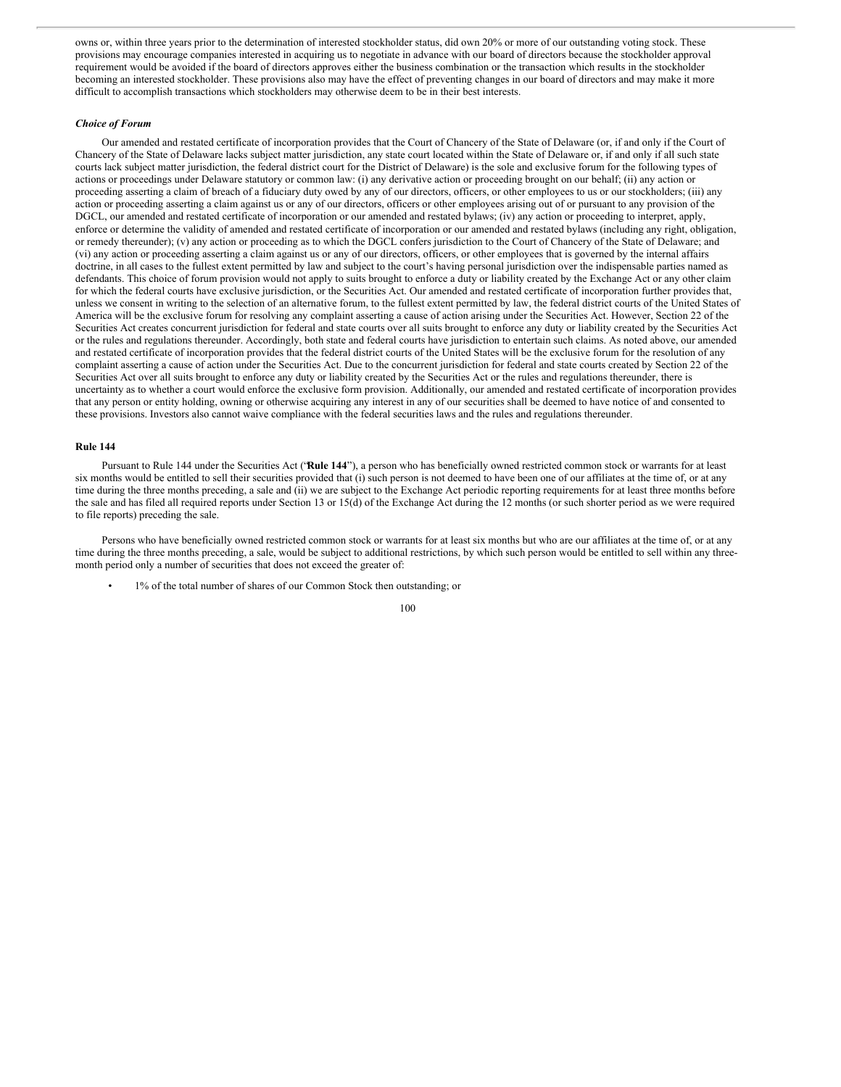owns or, within three years prior to the determination of interested stockholder status, did own 20% or more of our outstanding voting stock. These provisions may encourage companies interested in acquiring us to negotiate in advance with our board of directors because the stockholder approval requirement would be avoided if the board of directors approves either the business combination or the transaction which results in the stockholder becoming an interested stockholder. These provisions also may have the effect of preventing changes in our board of directors and may make it more difficult to accomplish transactions which stockholders may otherwise deem to be in their best interests.

# *Choice of Forum*

Our amended and restated certificate of incorporation provides that the Court of Chancery of the State of Delaware (or, if and only if the Court of Chancery of the State of Delaware lacks subject matter jurisdiction, any state court located within the State of Delaware or, if and only if all such state courts lack subject matter jurisdiction, the federal district court for the District of Delaware) is the sole and exclusive forum for the following types of actions or proceedings under Delaware statutory or common law: (i) any derivative action or proceeding brought on our behalf; (ii) any action or proceeding asserting a claim of breach of a fiduciary duty owed by any of our directors, officers, or other employees to us or our stockholders; (iii) any action or proceeding asserting a claim against us or any of our directors, officers or other employees arising out of or pursuant to any provision of the DGCL, our amended and restated certificate of incorporation or our amended and restated bylaws; (iv) any action or proceeding to interpret, apply, enforce or determine the validity of amended and restated certificate of incorporation or our amended and restated bylaws (including any right, obligation, or remedy thereunder); (v) any action or proceeding as to which the DGCL confers jurisdiction to the Court of Chancery of the State of Delaware; and (vi) any action or proceeding asserting a claim against us or any of our directors, officers, or other employees that is governed by the internal affairs doctrine, in all cases to the fullest extent permitted by law and subject to the court's having personal jurisdiction over the indispensable parties named as defendants. This choice of forum provision would not apply to suits brought to enforce a duty or liability created by the Exchange Act or any other claim for which the federal courts have exclusive jurisdiction, or the Securities Act. Our amended and restated certificate of incorporation further provides that, unless we consent in writing to the selection of an alternative forum, to the fullest extent permitted by law, the federal district courts of the United States of America will be the exclusive forum for resolving any complaint asserting a cause of action arising under the Securities Act. However, Section 22 of the Securities Act creates concurrent jurisdiction for federal and state courts over all suits brought to enforce any duty or liability created by the Securities Act or the rules and regulations thereunder. Accordingly, both state and federal courts have jurisdiction to entertain such claims. As noted above, our amended and restated certificate of incorporation provides that the federal district courts of the United States will be the exclusive forum for the resolution of any complaint asserting a cause of action under the Securities Act. Due to the concurrent jurisdiction for federal and state courts created by Section 22 of the Securities Act over all suits brought to enforce any duty or liability created by the Securities Act or the rules and regulations thereunder, there is uncertainty as to whether a court would enforce the exclusive form provision. Additionally, our amended and restated certificate of incorporation provides that any person or entity holding, owning or otherwise acquiring any interest in any of our securities shall be deemed to have notice of and consented to these provisions. Investors also cannot waive compliance with the federal securities laws and the rules and regulations thereunder.

# **Rule 144**

Pursuant to Rule 144 under the Securities Act ("**Rule 144**"), a person who has beneficially owned restricted common stock or warrants for at least six months would be entitled to sell their securities provided that (i) such person is not deemed to have been one of our affiliates at the time of, or at any time during the three months preceding, a sale and (ii) we are subject to the Exchange Act periodic reporting requirements for at least three months before the sale and has filed all required reports under Section 13 or 15(d) of the Exchange Act during the 12 months (or such shorter period as we were required to file reports) preceding the sale.

Persons who have beneficially owned restricted common stock or warrants for at least six months but who are our affiliates at the time of, or at any time during the three months preceding, a sale, would be subject to additional restrictions, by which such person would be entitled to sell within any threemonth period only a number of securities that does not exceed the greater of:

• 1% of the total number of shares of our Common Stock then outstanding; or

$$
100\,
$$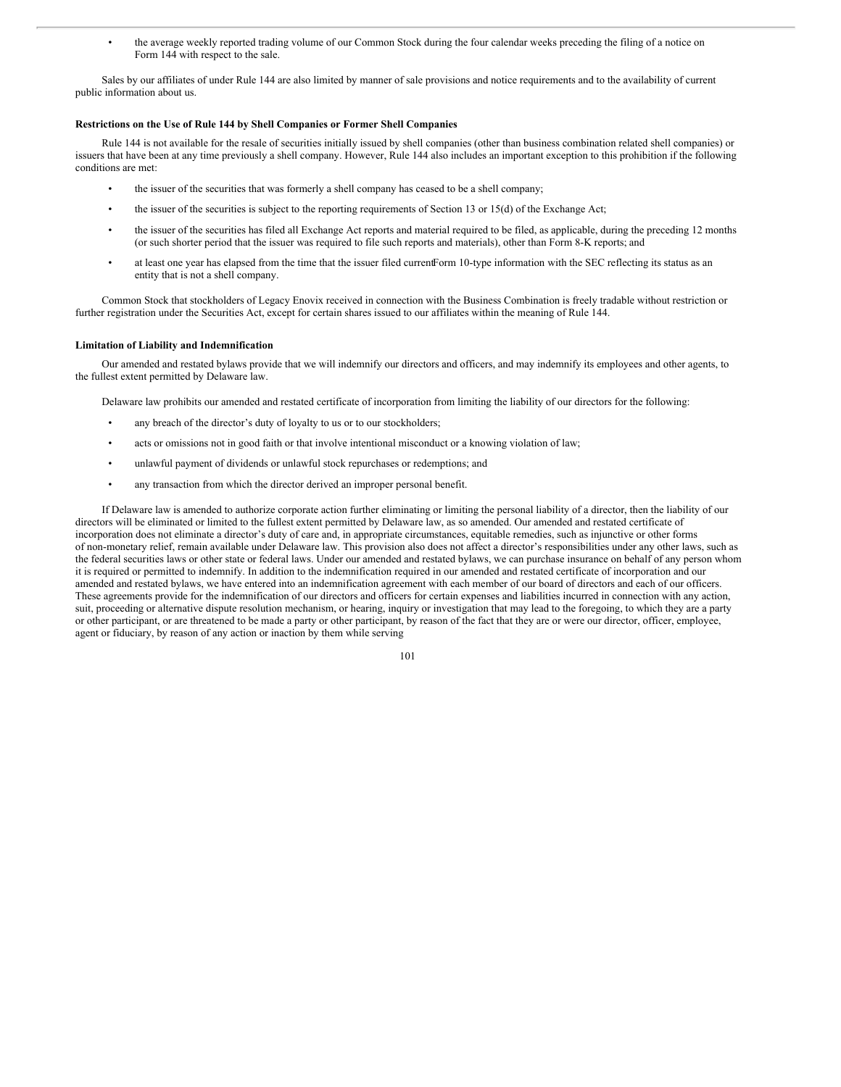• the average weekly reported trading volume of our Common Stock during the four calendar weeks preceding the filing of a notice on Form 144 with respect to the sale.

Sales by our affiliates of under Rule 144 are also limited by manner of sale provisions and notice requirements and to the availability of current public information about us.

# **Restrictions on the Use of Rule 144 by Shell Companies or Former Shell Companies**

Rule 144 is not available for the resale of securities initially issued by shell companies (other than business combination related shell companies) or issuers that have been at any time previously a shell company. However, Rule 144 also includes an important exception to this prohibition if the following conditions are met:

- the issuer of the securities that was formerly a shell company has ceased to be a shell company;
- the issuer of the securities is subject to the reporting requirements of Section 13 or 15(d) of the Exchange Act;
- the issuer of the securities has filed all Exchange Act reports and material required to be filed, as applicable, during the preceding 12 months (or such shorter period that the issuer was required to file such reports and materials), other than Form 8-K reports; and
- at least one year has elapsed from the time that the issuer filed currentForm 10-type information with the SEC reflecting its status as an entity that is not a shell company.

Common Stock that stockholders of Legacy Enovix received in connection with the Business Combination is freely tradable without restriction or further registration under the Securities Act, except for certain shares issued to our affiliates within the meaning of Rule 144.

# **Limitation of Liability and Indemnification**

Our amended and restated bylaws provide that we will indemnify our directors and officers, and may indemnify its employees and other agents, to the fullest extent permitted by Delaware law.

Delaware law prohibits our amended and restated certificate of incorporation from limiting the liability of our directors for the following:

- any breach of the director's duty of loyalty to us or to our stockholders;
- acts or omissions not in good faith or that involve intentional misconduct or a knowing violation of law;
- unlawful payment of dividends or unlawful stock repurchases or redemptions; and
- any transaction from which the director derived an improper personal benefit.

If Delaware law is amended to authorize corporate action further eliminating or limiting the personal liability of a director, then the liability of our directors will be eliminated or limited to the fullest extent permitted by Delaware law, as so amended. Our amended and restated certificate of incorporation does not eliminate a director's duty of care and, in appropriate circumstances, equitable remedies, such as injunctive or other forms of non-monetary relief, remain available under Delaware law. This provision also does not affect a director's responsibilities under any other laws, such as the federal securities laws or other state or federal laws. Under our amended and restated bylaws, we can purchase insurance on behalf of any person whom it is required or permitted to indemnify. In addition to the indemnification required in our amended and restated certificate of incorporation and our amended and restated bylaws, we have entered into an indemnification agreement with each member of our board of directors and each of our officers. These agreements provide for the indemnification of our directors and officers for certain expenses and liabilities incurred in connection with any action, suit, proceeding or alternative dispute resolution mechanism, or hearing, inquiry or investigation that may lead to the foregoing, to which they are a party or other participant, or are threatened to be made a party or other participant, by reason of the fact that they are or were our director, officer, employee, agent or fiduciary, by reason of any action or inaction by them while serving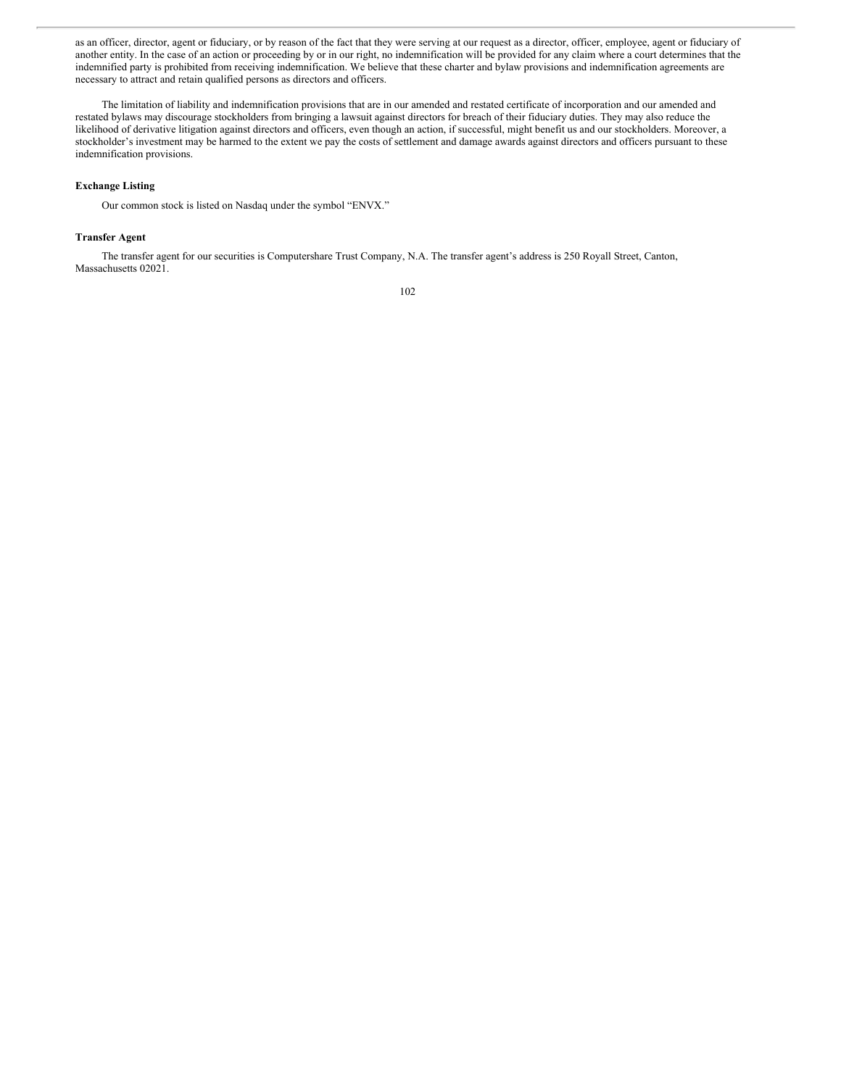as an officer, director, agent or fiduciary, or by reason of the fact that they were serving at our request as a director, officer, employee, agent or fiduciary of another entity. In the case of an action or proceeding by or in our right, no indemnification will be provided for any claim where a court determines that the indemnified party is prohibited from receiving indemnification. We believe that these charter and bylaw provisions and indemnification agreements are necessary to attract and retain qualified persons as directors and officers.

The limitation of liability and indemnification provisions that are in our amended and restated certificate of incorporation and our amended and restated bylaws may discourage stockholders from bringing a lawsuit against directors for breach of their fiduciary duties. They may also reduce the likelihood of derivative litigation against directors and officers, even though an action, if successful, might benefit us and our stockholders. Moreover, a stockholder's investment may be harmed to the extent we pay the costs of settlement and damage awards against directors and officers pursuant to these indemnification provisions.

# **Exchange Listing**

Our common stock is listed on Nasdaq under the symbol "ENVX."

## **Transfer Agent**

The transfer agent for our securities is Computershare Trust Company, N.A. The transfer agent's address is 250 Royall Street, Canton, Massachusetts 02021.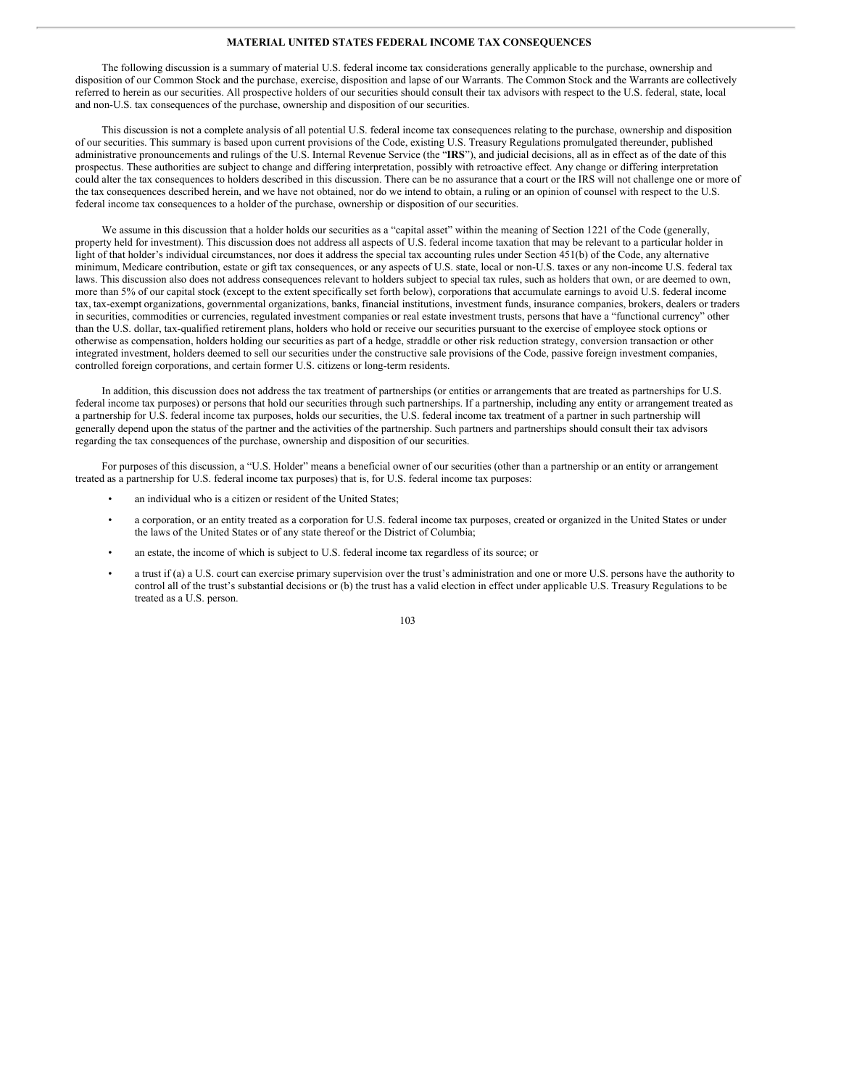#### **MATERIAL UNITED STATES FEDERAL INCOME TAX CONSEQUENCES**

The following discussion is a summary of material U.S. federal income tax considerations generally applicable to the purchase, ownership and disposition of our Common Stock and the purchase, exercise, disposition and lapse of our Warrants. The Common Stock and the Warrants are collectively referred to herein as our securities. All prospective holders of our securities should consult their tax advisors with respect to the U.S. federal, state, local and non-U.S. tax consequences of the purchase, ownership and disposition of our securities.

This discussion is not a complete analysis of all potential U.S. federal income tax consequences relating to the purchase, ownership and disposition of our securities. This summary is based upon current provisions of the Code, existing U.S. Treasury Regulations promulgated thereunder, published administrative pronouncements and rulings of the U.S. Internal Revenue Service (the "**IRS**"), and judicial decisions, all as in effect as of the date of this prospectus. These authorities are subject to change and differing interpretation, possibly with retroactive effect. Any change or differing interpretation could alter the tax consequences to holders described in this discussion. There can be no assurance that a court or the IRS will not challenge one or more of the tax consequences described herein, and we have not obtained, nor do we intend to obtain, a ruling or an opinion of counsel with respect to the U.S. federal income tax consequences to a holder of the purchase, ownership or disposition of our securities.

We assume in this discussion that a holder holds our securities as a "capital asset" within the meaning of Section 1221 of the Code (generally, property held for investment). This discussion does not address all aspects of U.S. federal income taxation that may be relevant to a particular holder in light of that holder's individual circumstances, nor does it address the special tax accounting rules under Section 451(b) of the Code, any alternative minimum, Medicare contribution, estate or gift tax consequences, or any aspects of U.S. state, local or non-U.S. taxes or any non-income U.S. federal tax laws. This discussion also does not address consequences relevant to holders subject to special tax rules, such as holders that own, or are deemed to own, more than 5% of our capital stock (except to the extent specifically set forth below), corporations that accumulate earnings to avoid U.S. federal income tax, tax-exempt organizations, governmental organizations, banks, financial institutions, investment funds, insurance companies, brokers, dealers or traders in securities, commodities or currencies, regulated investment companies or real estate investment trusts, persons that have a "functional currency" other than the U.S. dollar, tax-qualified retirement plans, holders who hold or receive our securities pursuant to the exercise of employee stock options or otherwise as compensation, holders holding our securities as part of a hedge, straddle or other risk reduction strategy, conversion transaction or other integrated investment, holders deemed to sell our securities under the constructive sale provisions of the Code, passive foreign investment companies, controlled foreign corporations, and certain former U.S. citizens or long-term residents.

In addition, this discussion does not address the tax treatment of partnerships (or entities or arrangements that are treated as partnerships for U.S. federal income tax purposes) or persons that hold our securities through such partnerships. If a partnership, including any entity or arrangement treated as a partnership for U.S. federal income tax purposes, holds our securities, the U.S. federal income tax treatment of a partner in such partnership will generally depend upon the status of the partner and the activities of the partnership. Such partners and partnerships should consult their tax advisors regarding the tax consequences of the purchase, ownership and disposition of our securities.

For purposes of this discussion, a "U.S. Holder" means a beneficial owner of our securities (other than a partnership or an entity or arrangement treated as a partnership for U.S. federal income tax purposes) that is, for U.S. federal income tax purposes:

- an individual who is a citizen or resident of the United States;
- a corporation, or an entity treated as a corporation for U.S. federal income tax purposes, created or organized in the United States or under the laws of the United States or of any state thereof or the District of Columbia;
- an estate, the income of which is subject to U.S. federal income tax regardless of its source; or
- a trust if (a) a U.S. court can exercise primary supervision over the trust's administration and one or more U.S. persons have the authority to control all of the trust's substantial decisions or (b) the trust has a valid election in effect under applicable U.S. Treasury Regulations to be treated as a U.S. person.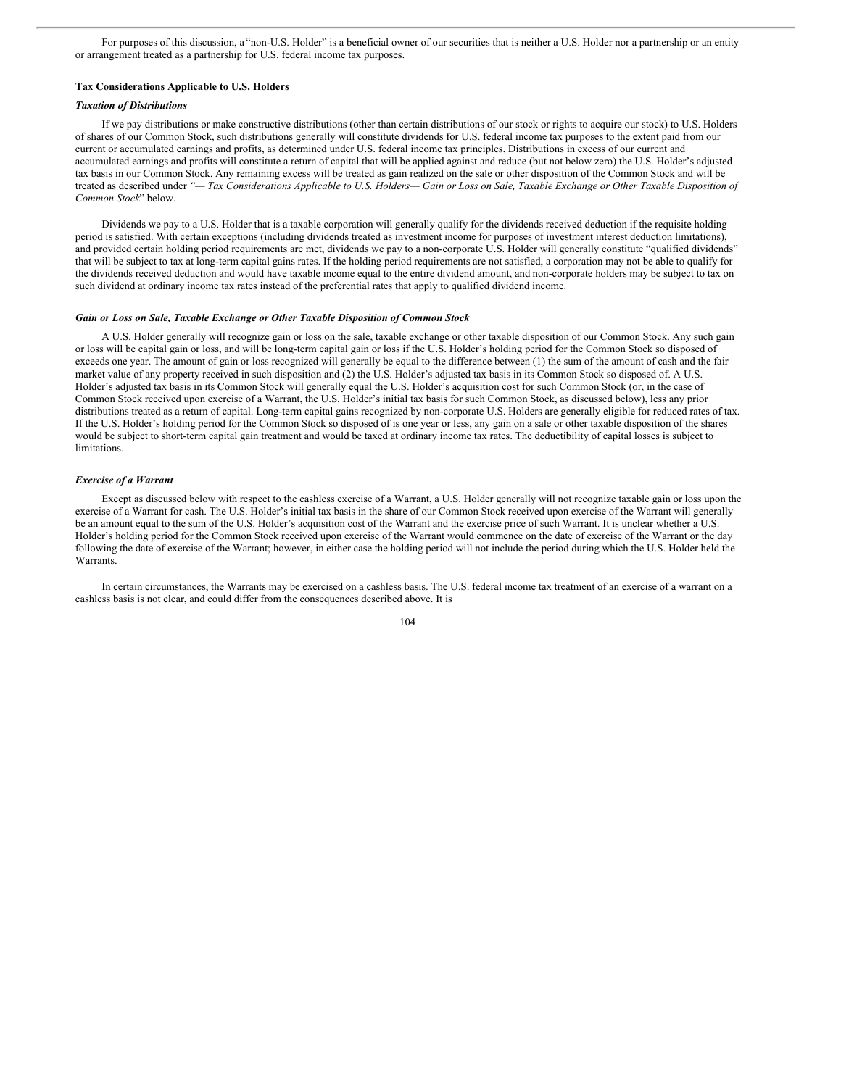For purposes of this discussion, a "non-U.S. Holder" is a beneficial owner of our securities that is neither a U.S. Holder nor a partnership or an entity or arrangement treated as a partnership for U.S. federal income tax purposes.

#### **Tax Considerations Applicable to U.S. Holders**

# *Taxation of Distributions*

If we pay distributions or make constructive distributions (other than certain distributions of our stock or rights to acquire our stock) to U.S. Holders of shares of our Common Stock, such distributions generally will constitute dividends for U.S. federal income tax purposes to the extent paid from our current or accumulated earnings and profits, as determined under U.S. federal income tax principles. Distributions in excess of our current and accumulated earnings and profits will constitute a return of capital that will be applied against and reduce (but not below zero) the U.S. Holder's adjusted tax basis in our Common Stock. Any remaining excess will be treated as gain realized on the sale or other disposition of the Common Stock and will be treated as described under "- Tax Considerations Applicable to U.S. Holders- Gain or Loss on Sale, Taxable Exchange or Other Taxable Disposition of *Common Stock*" below.

Dividends we pay to a U.S. Holder that is a taxable corporation will generally qualify for the dividends received deduction if the requisite holding period is satisfied. With certain exceptions (including dividends treated as investment income for purposes of investment interest deduction limitations), and provided certain holding period requirements are met, dividends we pay to a non-corporate U.S. Holder will generally constitute "qualified dividends" that will be subject to tax at long-term capital gains rates. If the holding period requirements are not satisfied, a corporation may not be able to qualify for the dividends received deduction and would have taxable income equal to the entire dividend amount, and non-corporate holders may be subject to tax on such dividend at ordinary income tax rates instead of the preferential rates that apply to qualified dividend income.

#### *Gain or Loss on Sale, Taxable Exchange or Other Taxable Disposition of Common Stock*

A U.S. Holder generally will recognize gain or loss on the sale, taxable exchange or other taxable disposition of our Common Stock. Any such gain or loss will be capital gain or loss, and will be long-term capital gain or loss if the U.S. Holder's holding period for the Common Stock so disposed of exceeds one year. The amount of gain or loss recognized will generally be equal to the difference between (1) the sum of the amount of cash and the fair market value of any property received in such disposition and (2) the U.S. Holder's adjusted tax basis in its Common Stock so disposed of. A U.S. Holder's adjusted tax basis in its Common Stock will generally equal the U.S. Holder's acquisition cost for such Common Stock (or, in the case of Common Stock received upon exercise of a Warrant, the U.S. Holder's initial tax basis for such Common Stock, as discussed below), less any prior distributions treated as a return of capital. Long-term capital gains recognized by non-corporate U.S. Holders are generally eligible for reduced rates of tax. If the U.S. Holder's holding period for the Common Stock so disposed of is one year or less, any gain on a sale or other taxable disposition of the shares would be subject to short-term capital gain treatment and would be taxed at ordinary income tax rates. The deductibility of capital losses is subject to limitations.

#### *Exercise of a Warrant*

Except as discussed below with respect to the cashless exercise of a Warrant, a U.S. Holder generally will not recognize taxable gain or loss upon the exercise of a Warrant for cash. The U.S. Holder's initial tax basis in the share of our Common Stock received upon exercise of the Warrant will generally be an amount equal to the sum of the U.S. Holder's acquisition cost of the Warrant and the exercise price of such Warrant. It is unclear whether a U.S. Holder's holding period for the Common Stock received upon exercise of the Warrant would commence on the date of exercise of the Warrant or the day following the date of exercise of the Warrant; however, in either case the holding period will not include the period during which the U.S. Holder held the Warrants.

In certain circumstances, the Warrants may be exercised on a cashless basis. The U.S. federal income tax treatment of an exercise of a warrant on a cashless basis is not clear, and could differ from the consequences described above. It is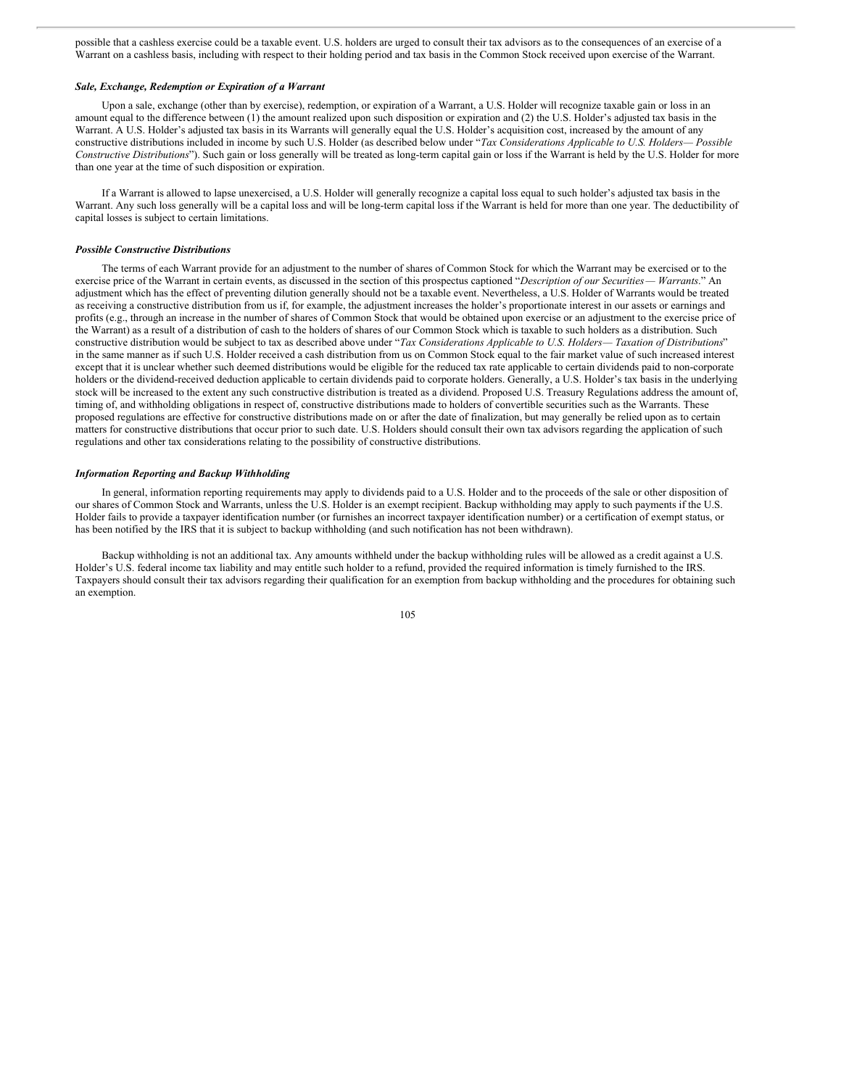possible that a cashless exercise could be a taxable event. U.S. holders are urged to consult their tax advisors as to the consequences of an exercise of a Warrant on a cashless basis, including with respect to their holding period and tax basis in the Common Stock received upon exercise of the Warrant.

#### *Sale, Exchange, Redemption or Expiration of a Warrant*

Upon a sale, exchange (other than by exercise), redemption, or expiration of a Warrant, a U.S. Holder will recognize taxable gain or loss in an amount equal to the difference between (1) the amount realized upon such disposition or expiration and (2) the U.S. Holder's adjusted tax basis in the Warrant. A U.S. Holder's adjusted tax basis in its Warrants will generally equal the U.S. Holder's acquisition cost, increased by the amount of any constructive distributions included in income by such U.S. Holder (as described below under "*Tax Considerations Applicable to U.S. Holders— Possible Constructive Distributions*"). Such gain or loss generally will be treated as long-term capital gain or loss if the Warrant is held by the U.S. Holder for more than one year at the time of such disposition or expiration.

If a Warrant is allowed to lapse unexercised, a U.S. Holder will generally recognize a capital loss equal to such holder's adjusted tax basis in the Warrant. Any such loss generally will be a capital loss and will be long-term capital loss if the Warrant is held for more than one year. The deductibility of capital losses is subject to certain limitations.

#### *Possible Constructive Distributions*

The terms of each Warrant provide for an adjustment to the number of shares of Common Stock for which the Warrant may be exercised or to the exercise price of the Warrant in certain events, as discussed in the section of this prospectus captioned "*Description of our Securities— Warrants*." An adjustment which has the effect of preventing dilution generally should not be a taxable event. Nevertheless, a U.S. Holder of Warrants would be treated as receiving a constructive distribution from us if, for example, the adjustment increases the holder's proportionate interest in our assets or earnings and profits (e.g., through an increase in the number of shares of Common Stock that would be obtained upon exercise or an adjustment to the exercise price of the Warrant) as a result of a distribution of cash to the holders of shares of our Common Stock which is taxable to such holders as a distribution. Such constructive distribution would be subject to tax as described above under "*Tax Considerations Applicable to U.S. Holders— Taxation of Distributions*" in the same manner as if such U.S. Holder received a cash distribution from us on Common Stock equal to the fair market value of such increased interest except that it is unclear whether such deemed distributions would be eligible for the reduced tax rate applicable to certain dividends paid to non-corporate holders or the dividend-received deduction applicable to certain dividends paid to corporate holders. Generally, a U.S. Holder's tax basis in the underlying stock will be increased to the extent any such constructive distribution is treated as a dividend. Proposed U.S. Treasury Regulations address the amount of, timing of, and withholding obligations in respect of, constructive distributions made to holders of convertible securities such as the Warrants. These proposed regulations are effective for constructive distributions made on or after the date of finalization, but may generally be relied upon as to certain matters for constructive distributions that occur prior to such date. U.S. Holders should consult their own tax advisors regarding the application of such regulations and other tax considerations relating to the possibility of constructive distributions.

### *Information Reporting and Backup Withholding*

In general, information reporting requirements may apply to dividends paid to a U.S. Holder and to the proceeds of the sale or other disposition of our shares of Common Stock and Warrants, unless the U.S. Holder is an exempt recipient. Backup withholding may apply to such payments if the U.S. Holder fails to provide a taxpayer identification number (or furnishes an incorrect taxpayer identification number) or a certification of exempt status, or has been notified by the IRS that it is subject to backup withholding (and such notification has not been withdrawn).

Backup withholding is not an additional tax. Any amounts withheld under the backup withholding rules will be allowed as a credit against a U.S. Holder's U.S. federal income tax liability and may entitle such holder to a refund, provided the required information is timely furnished to the IRS. Taxpayers should consult their tax advisors regarding their qualification for an exemption from backup withholding and the procedures for obtaining such an exemption.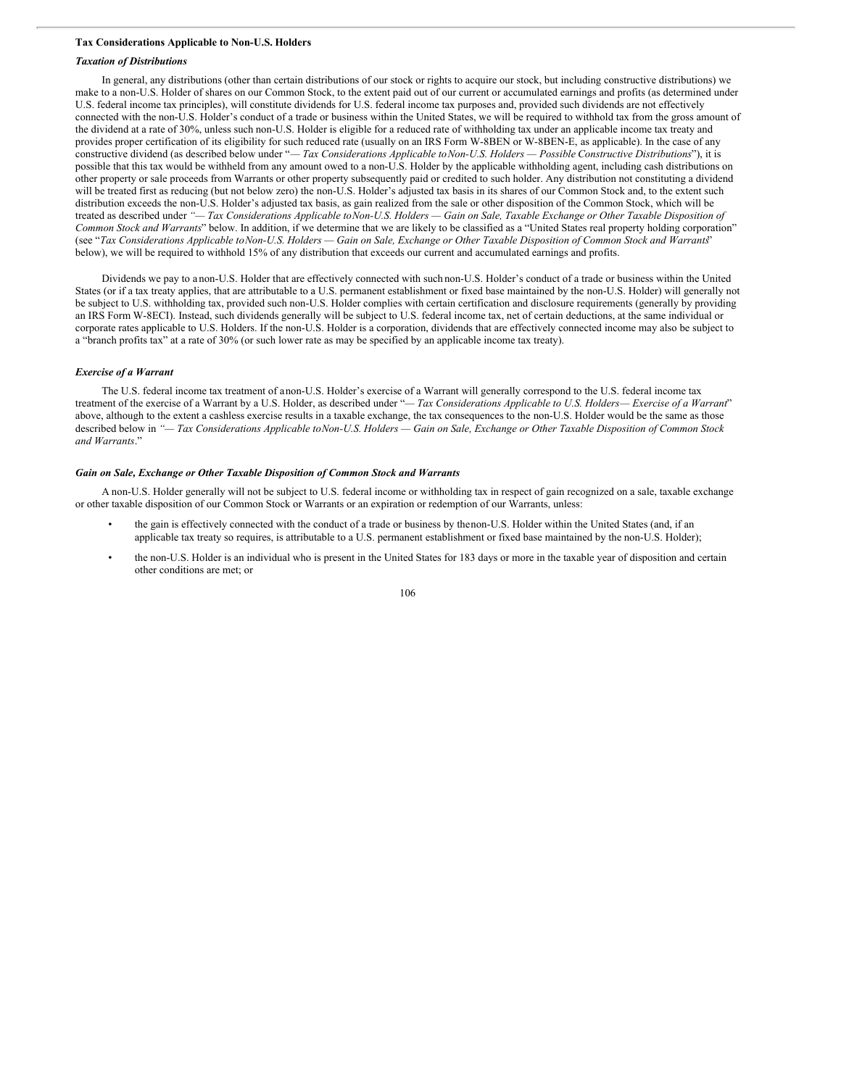### **Tax Considerations Applicable to Non-U.S. Holders**

#### *Taxation of Distributions*

In general, any distributions (other than certain distributions of our stock or rights to acquire our stock, but including constructive distributions) we make to a non-U.S. Holder of shares on our Common Stock, to the extent paid out of our current or accumulated earnings and profits (as determined under U.S. federal income tax principles), will constitute dividends for U.S. federal income tax purposes and, provided such dividends are not effectively connected with the non-U.S. Holder's conduct of a trade or business within the United States, we will be required to withhold tax from the gross amount of the dividend at a rate of 30%, unless such non-U.S. Holder is eligible for a reduced rate of withholding tax under an applicable income tax treaty and provides proper certification of its eligibility for such reduced rate (usually on an IRS Form W-8BEN or W-8BEN-E, as applicable). In the case of any constructive dividend (as described below under "*— Tax Considerations Applicable toNon-U.S. Holders — Possible Constructive Distributions*"), it is possible that this tax would be withheld from any amount owed to a non-U.S. Holder by the applicable withholding agent, including cash distributions on other property or sale proceeds from Warrants or other property subsequently paid or credited to such holder. Any distribution not constituting a dividend will be treated first as reducing (but not below zero) the non-U.S. Holder's adjusted tax basis in its shares of our Common Stock and, to the extent such distribution exceeds the non-U.S. Holder's adjusted tax basis, as gain realized from the sale or other disposition of the Common Stock, which will be treated as described under "- Tax Considerations Applicable toNon-U.S. Holders - Gain on Sale, Taxable Exchange or Other Taxable Disposition of *Common Stock and Warrants*" below. In addition, if we determine that we are likely to be classified as a "United States real property holding corporation" (see "Tax Considerations Applicable toNon-U.S. Holders - Gain on Sale, Exchange or Other Taxable Disposition of Common Stock and Warrants' below), we will be required to withhold 15% of any distribution that exceeds our current and accumulated earnings and profits.

Dividends we pay to a non-U.S. Holder that are effectively connected with such non-U.S. Holder's conduct of a trade or business within the United States (or if a tax treaty applies, that are attributable to a U.S. permanent establishment or fixed base maintained by the non-U.S. Holder) will generally not be subject to U.S. withholding tax, provided such non-U.S. Holder complies with certain certification and disclosure requirements (generally by providing an IRS Form W-8ECI). Instead, such dividends generally will be subject to U.S. federal income tax, net of certain deductions, at the same individual or corporate rates applicable to U.S. Holders. If the non-U.S. Holder is a corporation, dividends that are effectively connected income may also be subject to a "branch profits tax" at a rate of 30% (or such lower rate as may be specified by an applicable income tax treaty).

#### *Exercise of a Warrant*

The U.S. federal income tax treatment of anon-U.S. Holder's exercise of a Warrant will generally correspond to the U.S. federal income tax treatment of the exercise of a Warrant by a U.S. Holder, as described under "- Tax Considerations Applicable to U.S. Holders-Exercise of a Warrant" above, although to the extent a cashless exercise results in a taxable exchange, the tax consequences to the non-U.S. Holder would be the same as those described below in "- Tax Considerations Applicable toNon-U.S. Holders - Gain on Sale, Exchange or Other Taxable Disposition of Common Stock *and Warrants*."

### *Gain on Sale, Exchange or Other Taxable Disposition of Common Stock and Warrants*

A non-U.S. Holder generally will not be subject to U.S. federal income or withholding tax in respect of gain recognized on a sale, taxable exchange or other taxable disposition of our Common Stock or Warrants or an expiration or redemption of our Warrants, unless:

- the gain is effectively connected with the conduct of a trade or business by thenon-U.S. Holder within the United States (and, if an applicable tax treaty so requires, is attributable to a U.S. permanent establishment or fixed base maintained by the non-U.S. Holder);
- the non-U.S. Holder is an individual who is present in the United States for 183 days or more in the taxable year of disposition and certain other conditions are met; or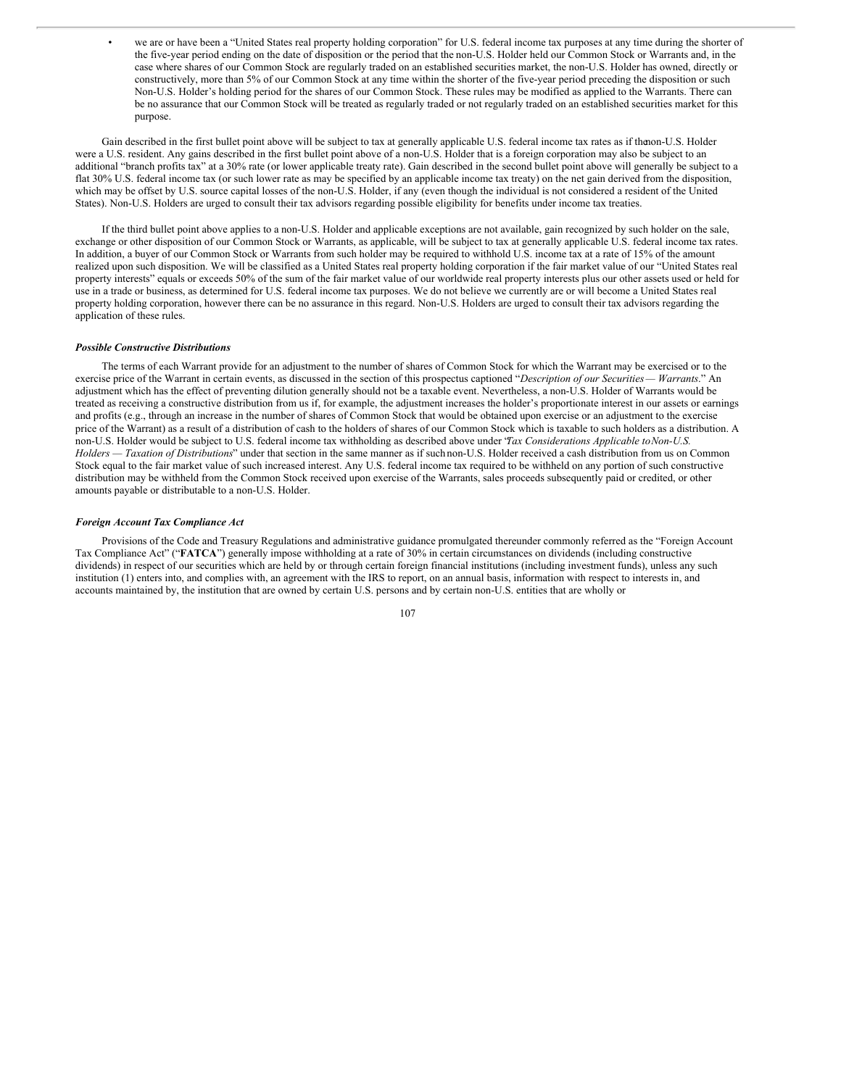• we are or have been a "United States real property holding corporation" for U.S. federal income tax purposes at any time during the shorter of the five-year period ending on the date of disposition or the period that the non-U.S. Holder held our Common Stock or Warrants and, in the case where shares of our Common Stock are regularly traded on an established securities market, the non-U.S. Holder has owned, directly or constructively, more than 5% of our Common Stock at any time within the shorter of the five-year period preceding the disposition or such Non-U.S. Holder's holding period for the shares of our Common Stock. These rules may be modified as applied to the Warrants. There can be no assurance that our Common Stock will be treated as regularly traded or not regularly traded on an established securities market for this purpose.

Gain described in the first bullet point above will be subject to tax at generally applicable U.S. federal income tax rates as if thenon-U.S. Holder were a U.S. resident. Any gains described in the first bullet point above of a non-U.S. Holder that is a foreign corporation may also be subject to an additional "branch profits tax" at a 30% rate (or lower applicable treaty rate). Gain described in the second bullet point above will generally be subject to a flat 30% U.S. federal income tax (or such lower rate as may be specified by an applicable income tax treaty) on the net gain derived from the disposition, which may be offset by U.S. source capital losses of the non-U.S. Holder, if any (even though the individual is not considered a resident of the United States). Non-U.S. Holders are urged to consult their tax advisors regarding possible eligibility for benefits under income tax treaties.

If the third bullet point above applies to a non-U.S. Holder and applicable exceptions are not available, gain recognized by such holder on the sale, exchange or other disposition of our Common Stock or Warrants, as applicable, will be subject to tax at generally applicable U.S. federal income tax rates. In addition, a buyer of our Common Stock or Warrants from such holder may be required to withhold U.S. income tax at a rate of 15% of the amount realized upon such disposition. We will be classified as a United States real property holding corporation if the fair market value of our "United States real property interests" equals or exceeds 50% of the sum of the fair market value of our worldwide real property interests plus our other assets used or held for use in a trade or business, as determined for U.S. federal income tax purposes. We do not believe we currently are or will become a United States real property holding corporation, however there can be no assurance in this regard. Non-U.S. Holders are urged to consult their tax advisors regarding the application of these rules.

### *Possible Constructive Distributions*

The terms of each Warrant provide for an adjustment to the number of shares of Common Stock for which the Warrant may be exercised or to the exercise price of the Warrant in certain events, as discussed in the section of this prospectus captioned "*Description of our Securities— Warrants*." An adjustment which has the effect of preventing dilution generally should not be a taxable event. Nevertheless, a non-U.S. Holder of Warrants would be treated as receiving a constructive distribution from us if, for example, the adjustment increases the holder's proportionate interest in our assets or earnings and profits (e.g., through an increase in the number of shares of Common Stock that would be obtained upon exercise or an adjustment to the exercise price of the Warrant) as a result of a distribution of cash to the holders of shares of our Common Stock which is taxable to such holders as a distribution. A non-U.S. Holder would be subject to U.S. federal income tax withholding as described above under "*Tax Considerations Applicable toNon-U.S. Holders — Taxation of Distributions*" under that section in the same manner as if such non-U.S. Holder received a cash distribution from us on Common Stock equal to the fair market value of such increased interest. Any U.S. federal income tax required to be withheld on any portion of such constructive distribution may be withheld from the Common Stock received upon exercise of the Warrants, sales proceeds subsequently paid or credited, or other amounts payable or distributable to a non-U.S. Holder.

### *Foreign Account Tax Compliance Act*

Provisions of the Code and Treasury Regulations and administrative guidance promulgated thereunder commonly referred as the "Foreign Account Tax Compliance Act" ("**FATCA**") generally impose withholding at a rate of 30% in certain circumstances on dividends (including constructive dividends) in respect of our securities which are held by or through certain foreign financial institutions (including investment funds), unless any such institution (1) enters into, and complies with, an agreement with the IRS to report, on an annual basis, information with respect to interests in, and accounts maintained by, the institution that are owned by certain U.S. persons and by certain non-U.S. entities that are wholly or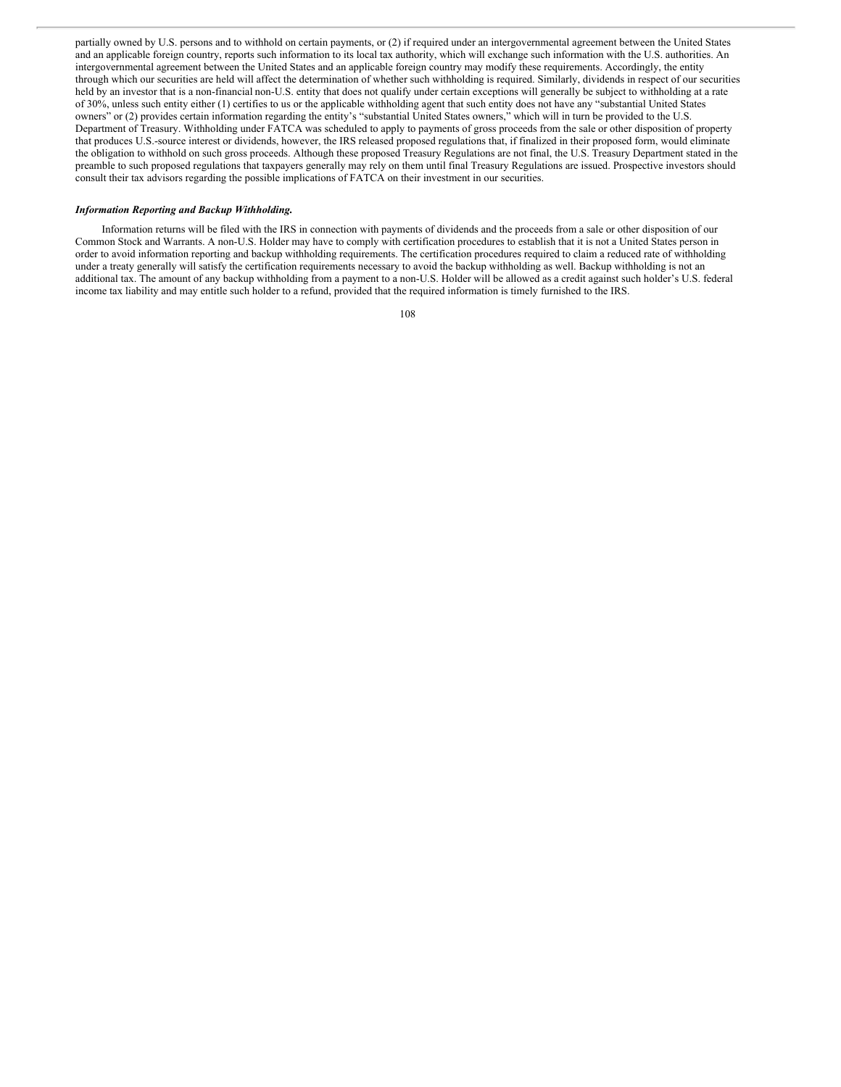partially owned by U.S. persons and to withhold on certain payments, or (2) if required under an intergovernmental agreement between the United States and an applicable foreign country, reports such information to its local tax authority, which will exchange such information with the U.S. authorities. An intergovernmental agreement between the United States and an applicable foreign country may modify these requirements. Accordingly, the entity through which our securities are held will affect the determination of whether such withholding is required. Similarly, dividends in respect of our securities held by an investor that is a non-financial non-U.S. entity that does not qualify under certain exceptions will generally be subject to withholding at a rate of 30%, unless such entity either (1) certifies to us or the applicable withholding agent that such entity does not have any "substantial United States owners" or (2) provides certain information regarding the entity's "substantial United States owners," which will in turn be provided to the U.S. Department of Treasury. Withholding under FATCA was scheduled to apply to payments of gross proceeds from the sale or other disposition of property that produces U.S.-source interest or dividends, however, the IRS released proposed regulations that, if finalized in their proposed form, would eliminate the obligation to withhold on such gross proceeds. Although these proposed Treasury Regulations are not final, the U.S. Treasury Department stated in the preamble to such proposed regulations that taxpayers generally may rely on them until final Treasury Regulations are issued. Prospective investors should consult their tax advisors regarding the possible implications of FATCA on their investment in our securities.

### *Information Reporting and Backup Withholding.*

Information returns will be filed with the IRS in connection with payments of dividends and the proceeds from a sale or other disposition of our Common Stock and Warrants. A non-U.S. Holder may have to comply with certification procedures to establish that it is not a United States person in order to avoid information reporting and backup withholding requirements. The certification procedures required to claim a reduced rate of withholding under a treaty generally will satisfy the certification requirements necessary to avoid the backup withholding as well. Backup withholding is not an additional tax. The amount of any backup withholding from a payment to a non-U.S. Holder will be allowed as a credit against such holder's U.S. federal income tax liability and may entitle such holder to a refund, provided that the required information is timely furnished to the IRS.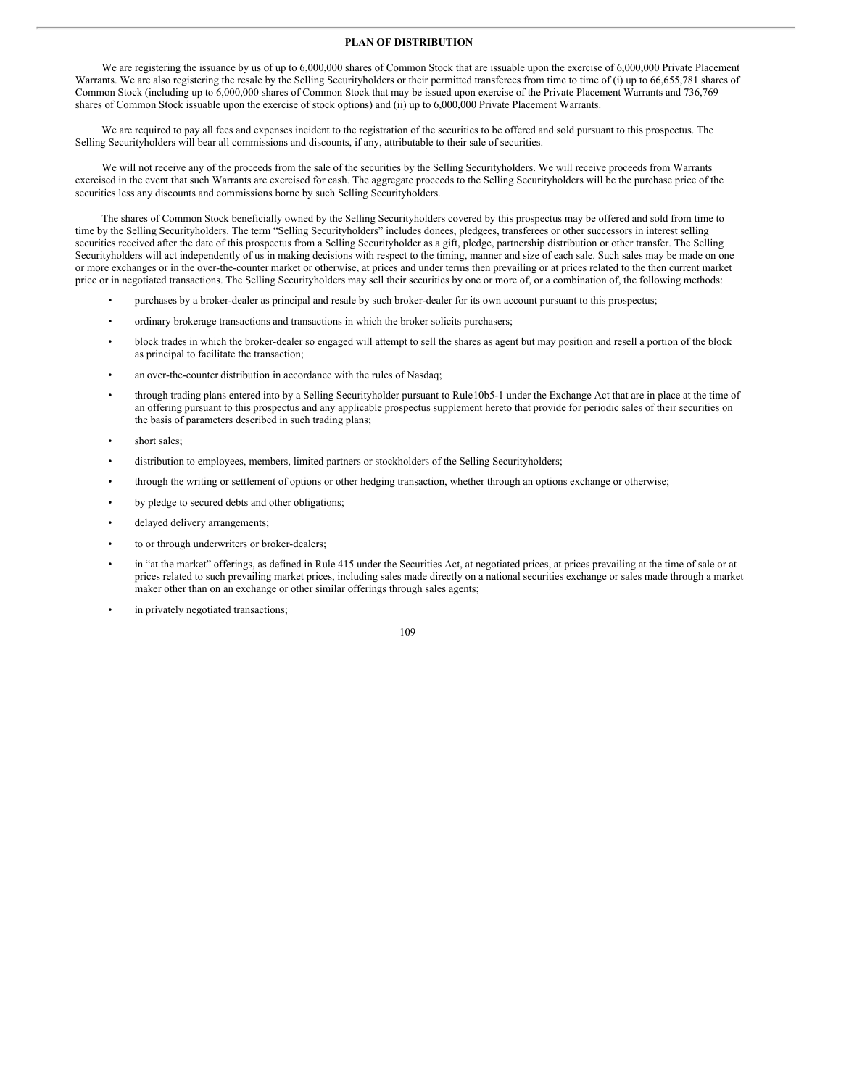### **PLAN OF DISTRIBUTION**

We are registering the issuance by us of up to 6,000,000 shares of Common Stock that are issuable upon the exercise of 6,000,000 Private Placement Warrants. We are also registering the resale by the Selling Securityholders or their permitted transferees from time to time of (i) up to 66,655,781 shares of Common Stock (including up to 6,000,000 shares of Common Stock that may be issued upon exercise of the Private Placement Warrants and 736,769 shares of Common Stock issuable upon the exercise of stock options) and (ii) up to 6,000,000 Private Placement Warrants.

We are required to pay all fees and expenses incident to the registration of the securities to be offered and sold pursuant to this prospectus. The Selling Securityholders will bear all commissions and discounts, if any, attributable to their sale of securities.

We will not receive any of the proceeds from the sale of the securities by the Selling Securityholders. We will receive proceeds from Warrants exercised in the event that such Warrants are exercised for cash. The aggregate proceeds to the Selling Securityholders will be the purchase price of the securities less any discounts and commissions borne by such Selling Securityholders.

The shares of Common Stock beneficially owned by the Selling Securityholders covered by this prospectus may be offered and sold from time to time by the Selling Securityholders. The term "Selling Securityholders" includes donees, pledgees, transferees or other successors in interest selling securities received after the date of this prospectus from a Selling Securityholder as a gift, pledge, partnership distribution or other transfer. The Selling Securityholders will act independently of us in making decisions with respect to the timing, manner and size of each sale. Such sales may be made on one or more exchanges or in the over-the-counter market or otherwise, at prices and under terms then prevailing or at prices related to the then current market price or in negotiated transactions. The Selling Securityholders may sell their securities by one or more of, or a combination of, the following methods:

- purchases by a broker-dealer as principal and resale by such broker-dealer for its own account pursuant to this prospectus;
- ordinary brokerage transactions and transactions in which the broker solicits purchasers;
- block trades in which the broker-dealer so engaged will attempt to sell the shares as agent but may position and resell a portion of the block as principal to facilitate the transaction;
- an over-the-counter distribution in accordance with the rules of Nasdaq;
- through trading plans entered into by a Selling Securityholder pursuant to Rule10b5-1 under the Exchange Act that are in place at the time of an offering pursuant to this prospectus and any applicable prospectus supplement hereto that provide for periodic sales of their securities on the basis of parameters described in such trading plans;
- short sales;
- distribution to employees, members, limited partners or stockholders of the Selling Securityholders;
- through the writing or settlement of options or other hedging transaction, whether through an options exchange or otherwise;
- by pledge to secured debts and other obligations;
- delayed delivery arrangements;
- to or through underwriters or broker-dealers;
- in "at the market" offerings, as defined in Rule 415 under the Securities Act, at negotiated prices, at prices prevailing at the time of sale or at prices related to such prevailing market prices, including sales made directly on a national securities exchange or sales made through a market maker other than on an exchange or other similar offerings through sales agents;
- in privately negotiated transactions;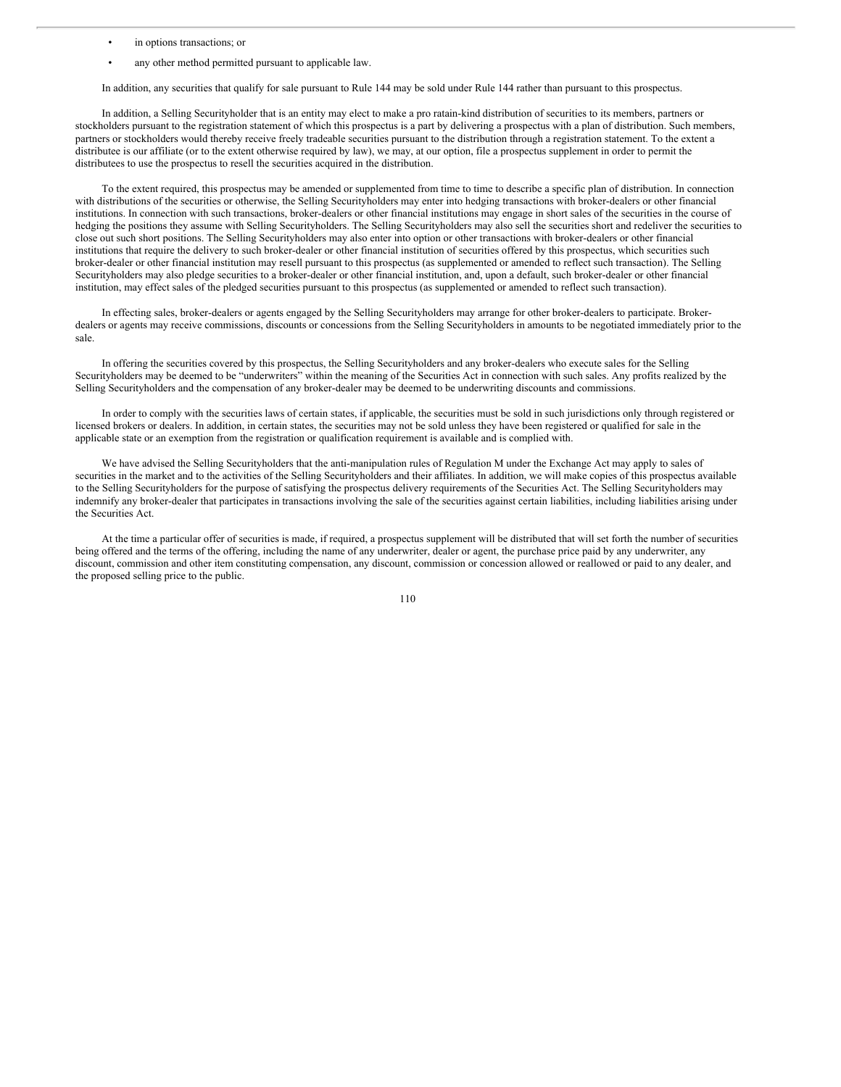- in options transactions; or
- any other method permitted pursuant to applicable law.

In addition, any securities that qualify for sale pursuant to Rule 144 may be sold under Rule 144 rather than pursuant to this prospectus.

In addition, a Selling Securityholder that is an entity may elect to make a pro ratain-kind distribution of securities to its members, partners or stockholders pursuant to the registration statement of which this prospectus is a part by delivering a prospectus with a plan of distribution. Such members, partners or stockholders would thereby receive freely tradeable securities pursuant to the distribution through a registration statement. To the extent a distributee is our affiliate (or to the extent otherwise required by law), we may, at our option, file a prospectus supplement in order to permit the distributees to use the prospectus to resell the securities acquired in the distribution.

To the extent required, this prospectus may be amended or supplemented from time to time to describe a specific plan of distribution. In connection with distributions of the securities or otherwise, the Selling Securityholders may enter into hedging transactions with broker-dealers or other financial institutions. In connection with such transactions, broker-dealers or other financial institutions may engage in short sales of the securities in the course of hedging the positions they assume with Selling Securityholders. The Selling Securityholders may also sell the securities short and redeliver the securities to close out such short positions. The Selling Securityholders may also enter into option or other transactions with broker-dealers or other financial institutions that require the delivery to such broker-dealer or other financial institution of securities offered by this prospectus, which securities such broker-dealer or other financial institution may resell pursuant to this prospectus (as supplemented or amended to reflect such transaction). The Selling Securityholders may also pledge securities to a broker-dealer or other financial institution, and, upon a default, such broker-dealer or other financial institution, may effect sales of the pledged securities pursuant to this prospectus (as supplemented or amended to reflect such transaction).

In effecting sales, broker-dealers or agents engaged by the Selling Securityholders may arrange for other broker-dealers to participate. Brokerdealers or agents may receive commissions, discounts or concessions from the Selling Securityholders in amounts to be negotiated immediately prior to the sale.

In offering the securities covered by this prospectus, the Selling Securityholders and any broker-dealers who execute sales for the Selling Securityholders may be deemed to be "underwriters" within the meaning of the Securities Act in connection with such sales. Any profits realized by the Selling Securityholders and the compensation of any broker-dealer may be deemed to be underwriting discounts and commissions.

In order to comply with the securities laws of certain states, if applicable, the securities must be sold in such jurisdictions only through registered or licensed brokers or dealers. In addition, in certain states, the securities may not be sold unless they have been registered or qualified for sale in the applicable state or an exemption from the registration or qualification requirement is available and is complied with.

We have advised the Selling Securityholders that the anti-manipulation rules of Regulation M under the Exchange Act may apply to sales of securities in the market and to the activities of the Selling Securityholders and their affiliates. In addition, we will make copies of this prospectus available to the Selling Securityholders for the purpose of satisfying the prospectus delivery requirements of the Securities Act. The Selling Securityholders may indemnify any broker-dealer that participates in transactions involving the sale of the securities against certain liabilities, including liabilities arising under the Securities Act.

At the time a particular offer of securities is made, if required, a prospectus supplement will be distributed that will set forth the number of securities being offered and the terms of the offering, including the name of any underwriter, dealer or agent, the purchase price paid by any underwriter, any discount, commission and other item constituting compensation, any discount, commission or concession allowed or reallowed or paid to any dealer, and the proposed selling price to the public.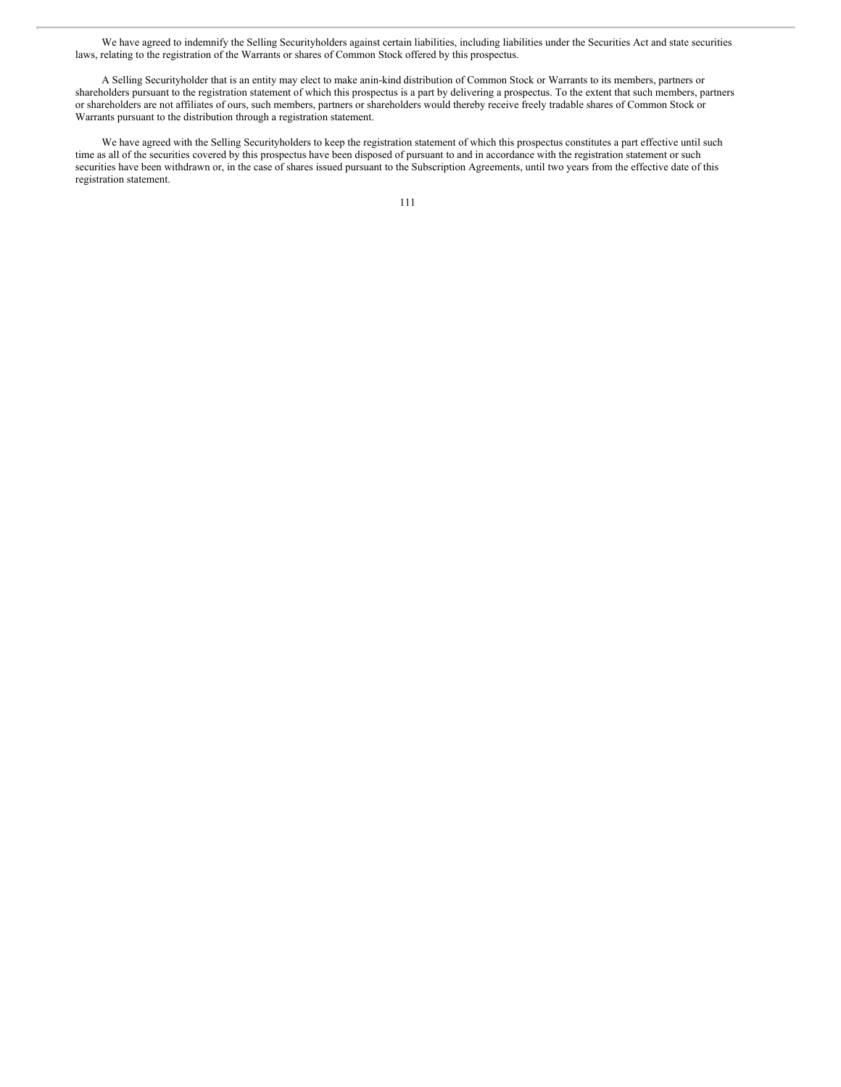We have agreed to indemnify the Selling Securityholders against certain liabilities, including liabilities under the Securities Act and state securities laws, relating to the registration of the Warrants or shares of Common Stock offered by this prospectus.

A Selling Securityholder that is an entity may elect to make anin-kind distribution of Common Stock or Warrants to its members, partners or shareholders pursuant to the registration statement of which this prospectus is a part by delivering a prospectus. To the extent that such members, partners or shareholders are not affiliates of ours, such members, partners or shareholders would thereby receive freely tradable shares of Common Stock or Warrants pursuant to the distribution through a registration statement.

We have agreed with the Selling Securityholders to keep the registration statement of which this prospectus constitutes a part effective until such time as all of the securities covered by this prospectus have been disposed of pursuant to and in accordance with the registration statement or such securities have been withdrawn or, in the case of shares issued pursuant to the Subscription Agreements, until two years from the effective date of this registration statement.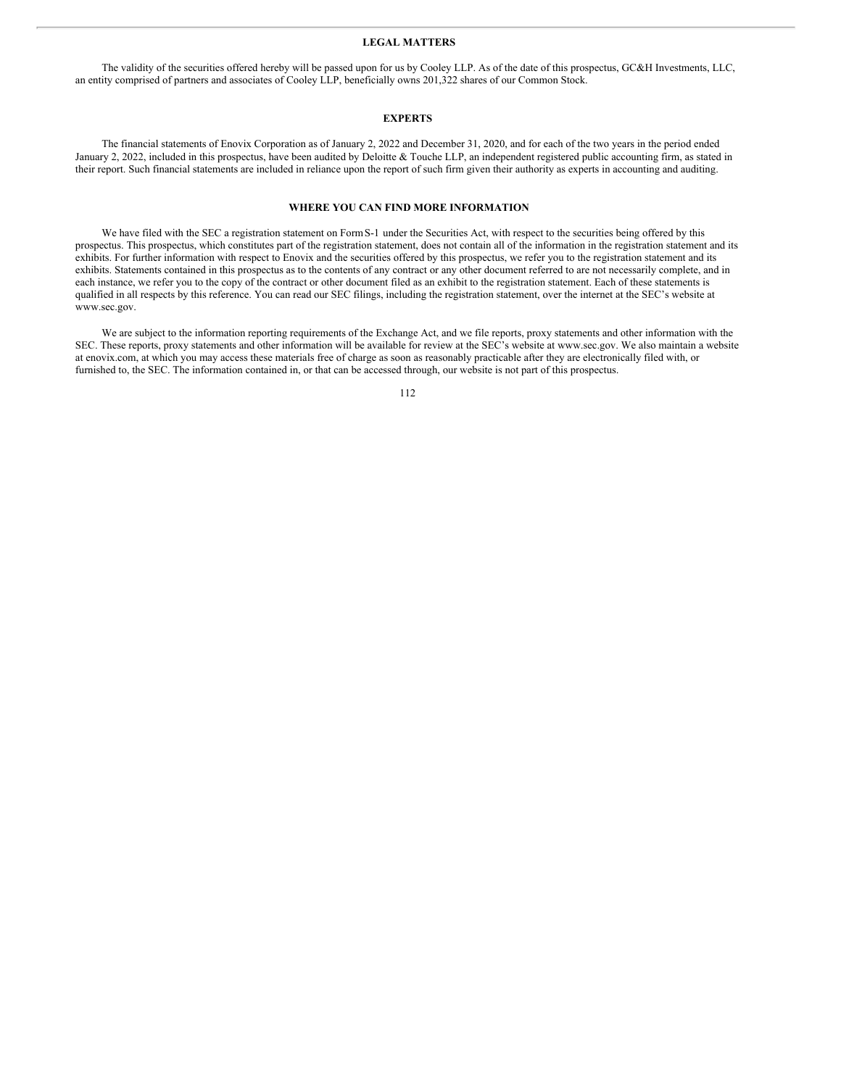### **LEGAL MATTERS**

The validity of the securities offered hereby will be passed upon for us by Cooley LLP. As of the date of this prospectus, GC&H Investments, LLC, an entity comprised of partners and associates of Cooley LLP, beneficially owns 201,322 shares of our Common Stock.

### **EXPERTS**

The financial statements of Enovix Corporation as of January 2, 2022 and December 31, 2020, and for each of the two years in the period ended January 2, 2022, included in this prospectus, have been audited by Deloitte & Touche LLP, an independent registered public accounting firm, as stated in their report. Such financial statements are included in reliance upon the report of such firm given their authority as experts in accounting and auditing.

### **WHERE YOU CAN FIND MORE INFORMATION**

We have filed with the SEC a registration statement on FormS-1 under the Securities Act, with respect to the securities being offered by this prospectus. This prospectus, which constitutes part of the registration statement, does not contain all of the information in the registration statement and its exhibits. For further information with respect to Enovix and the securities offered by this prospectus, we refer you to the registration statement and its exhibits. Statements contained in this prospectus as to the contents of any contract or any other document referred to are not necessarily complete, and in each instance, we refer you to the copy of the contract or other document filed as an exhibit to the registration statement. Each of these statements is qualified in all respects by this reference. You can read our SEC filings, including the registration statement, over the internet at the SEC's website at www.sec.gov.

We are subject to the information reporting requirements of the Exchange Act, and we file reports, proxy statements and other information with the SEC. These reports, proxy statements and other information will be available for review at the SEC's website at www.sec.gov. We also maintain a website at enovix.com, at which you may access these materials free of charge as soon as reasonably practicable after they are electronically filed with, or furnished to, the SEC. The information contained in, or that can be accessed through, our website is not part of this prospectus.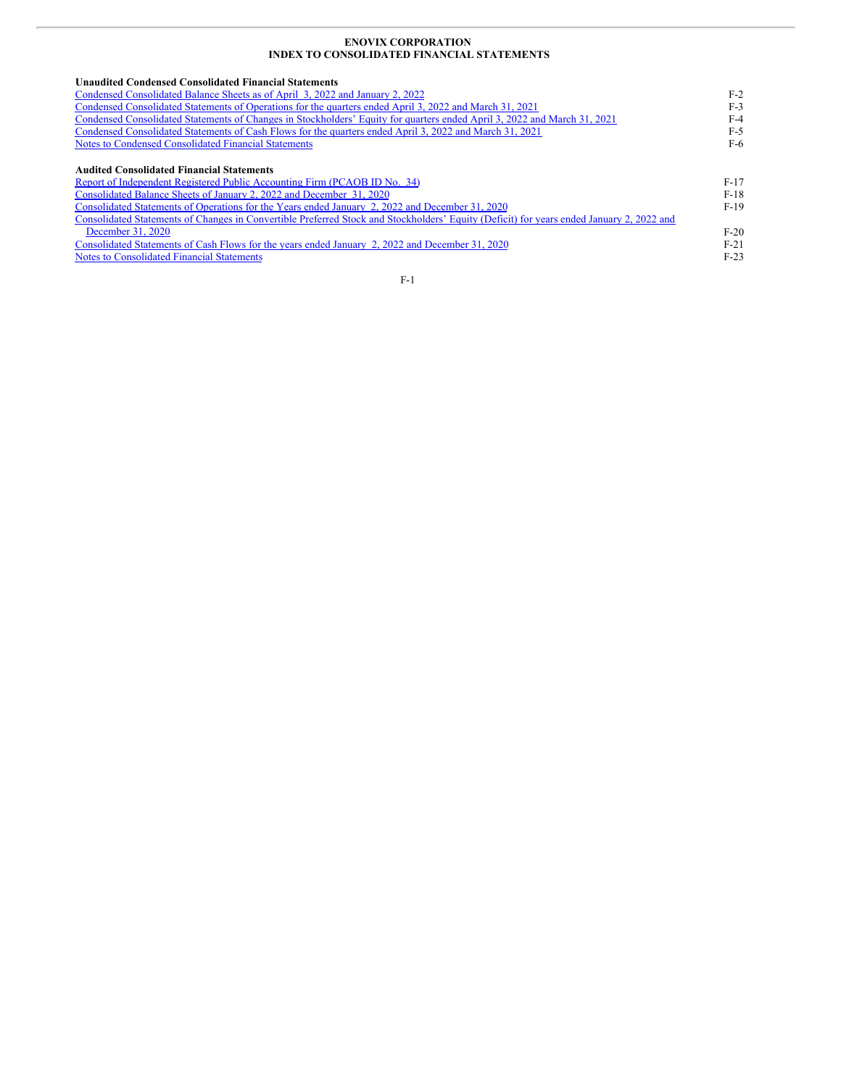| <b>Unaudited Condensed Consolidated Financial Statements</b>                                                                             |        |
|------------------------------------------------------------------------------------------------------------------------------------------|--------|
| Condensed Consolidated Balance Sheets as of April 3, 2022 and January 2, 2022                                                            | $F-2$  |
| Condensed Consolidated Statements of Operations for the quarters ended April 3, 2022 and March 31, 2021                                  | $F-3$  |
| Condensed Consolidated Statements of Changes in Stockholders' Equity for quarters ended April 3, 2022 and March 31, 2021                 | F-4    |
| Condensed Consolidated Statements of Cash Flows for the quarters ended April 3, 2022 and March 31, 2021                                  | $F-5$  |
| <b>Notes to Condensed Consolidated Financial Statements</b>                                                                              | $F-6$  |
| <b>Audited Consolidated Financial Statements</b>                                                                                         |        |
| Report of Independent Registered Public Accounting Firm (PCAOB ID No. 34)                                                                | $F-17$ |
| Consolidated Balance Sheets of January 2, 2022 and December 31, 2020                                                                     | $F-18$ |
| Consolidated Statements of Operations for the Years ended January 2, 2022 and December 31, 2020                                          | $F-19$ |
| Consolidated Statements of Changes in Convertible Preferred Stock and Stockholders' Equity (Deficit) for vears ended January 2, 2022 and |        |
| December 31, 2020                                                                                                                        | $F-20$ |
| Consolidated Statements of Cash Flows for the years ended January 2, 2022 and December 31, 2020                                          | $F-21$ |
| <b>Notes to Consolidated Financial Statements</b>                                                                                        | $F-23$ |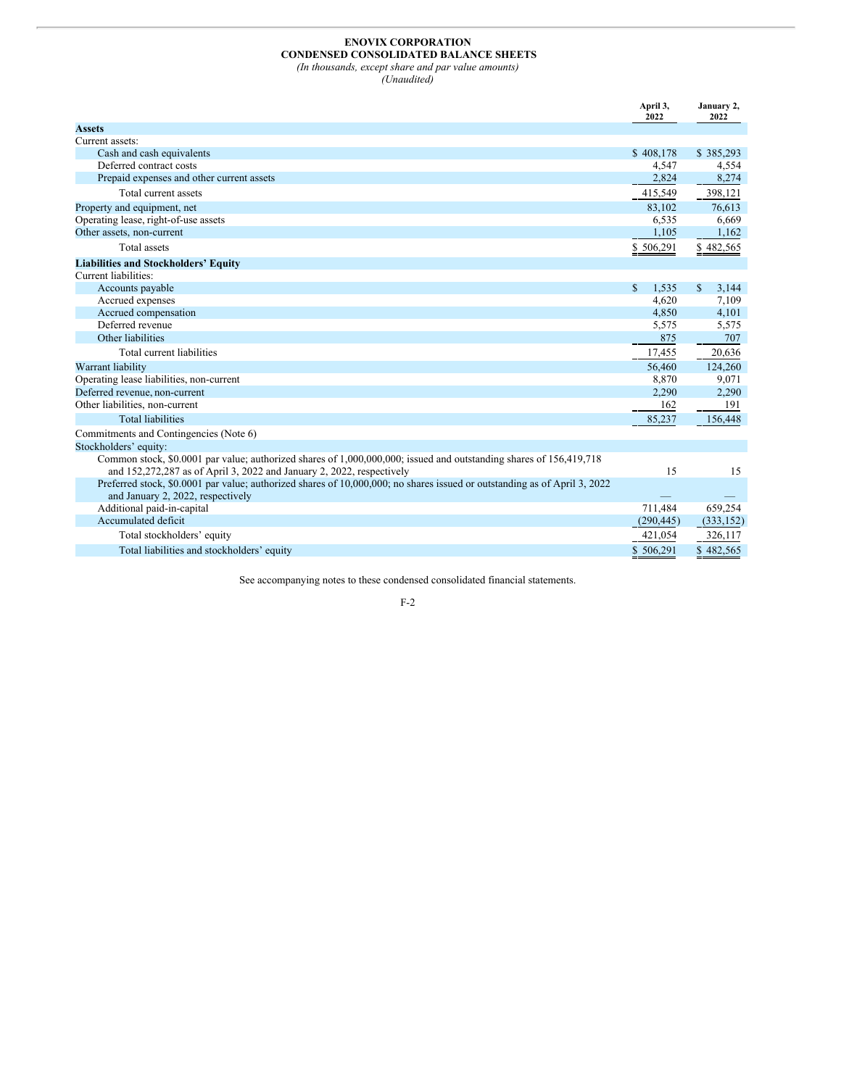# <span id="page-119-0"></span>**ENOVIX CORPORATION CONDENSED CONSOLIDATED BALANCE SHEETS**

*(In thousands, except share and par value amounts)*

*(Unaudited)*

|                                                                                                                                                                                             | April 3,<br>2022      | January 2,<br>2022    |
|---------------------------------------------------------------------------------------------------------------------------------------------------------------------------------------------|-----------------------|-----------------------|
| <b>Assets</b>                                                                                                                                                                               |                       |                       |
| Current assets:                                                                                                                                                                             |                       |                       |
| Cash and cash equivalents                                                                                                                                                                   | \$408,178             | \$385,293             |
| Deferred contract costs                                                                                                                                                                     | 4,547                 | 4,554                 |
| Prepaid expenses and other current assets                                                                                                                                                   | 2,824                 | 8,274                 |
| Total current assets                                                                                                                                                                        | 415,549               | 398,121               |
| Property and equipment, net                                                                                                                                                                 | 83,102                | 76.613                |
| Operating lease, right-of-use assets                                                                                                                                                        | 6,535                 | 6,669                 |
| Other assets, non-current                                                                                                                                                                   | 1,105                 | 1,162                 |
| <b>Total assets</b>                                                                                                                                                                         | \$506,291             | \$482,565             |
| <b>Liabilities and Stockholders' Equity</b>                                                                                                                                                 |                       |                       |
| Current liabilities:                                                                                                                                                                        |                       |                       |
| Accounts payable                                                                                                                                                                            | $\mathbf{s}$<br>1.535 | $\mathbb{S}$<br>3,144 |
| Accrued expenses                                                                                                                                                                            | 4.620                 | 7,109                 |
| Accrued compensation                                                                                                                                                                        | 4,850                 | 4,101                 |
| Deferred revenue                                                                                                                                                                            | 5,575                 | 5,575                 |
| Other liabilities                                                                                                                                                                           | 875                   | 707                   |
| Total current liabilities                                                                                                                                                                   | 17,455                | 20,636                |
| Warrant liability                                                                                                                                                                           | 56,460                | 124,260               |
| Operating lease liabilities, non-current                                                                                                                                                    | 8,870                 | 9,071                 |
| Deferred revenue, non-current                                                                                                                                                               | 2,290                 | 2,290                 |
| Other liabilities, non-current                                                                                                                                                              | 162                   | 191                   |
| <b>Total liabilities</b>                                                                                                                                                                    | 85,237                | 156,448               |
| Commitments and Contingencies (Note 6)                                                                                                                                                      |                       |                       |
| Stockholders' equity:                                                                                                                                                                       |                       |                       |
| Common stock, \$0.0001 par value; authorized shares of 1,000,000,000; issued and outstanding shares of 156,419,718<br>and 152,272,287 as of April 3, 2022 and January 2, 2022, respectively | 15                    | 15                    |
| Preferred stock, \$0.0001 par value; authorized shares of 10,000,000; no shares issued or outstanding as of April 3, 2022<br>and January 2, 2022, respectively                              |                       |                       |
| Additional paid-in-capital                                                                                                                                                                  | 711,484               | 659,254               |
| Accumulated deficit                                                                                                                                                                         | (290, 445)            | (333, 152)            |
| Total stockholders' equity                                                                                                                                                                  | 421,054               | 326,117               |
| Total liabilities and stockholders' equity                                                                                                                                                  | \$506,291             | \$482,565             |

See accompanying notes to these condensed consolidated financial statements.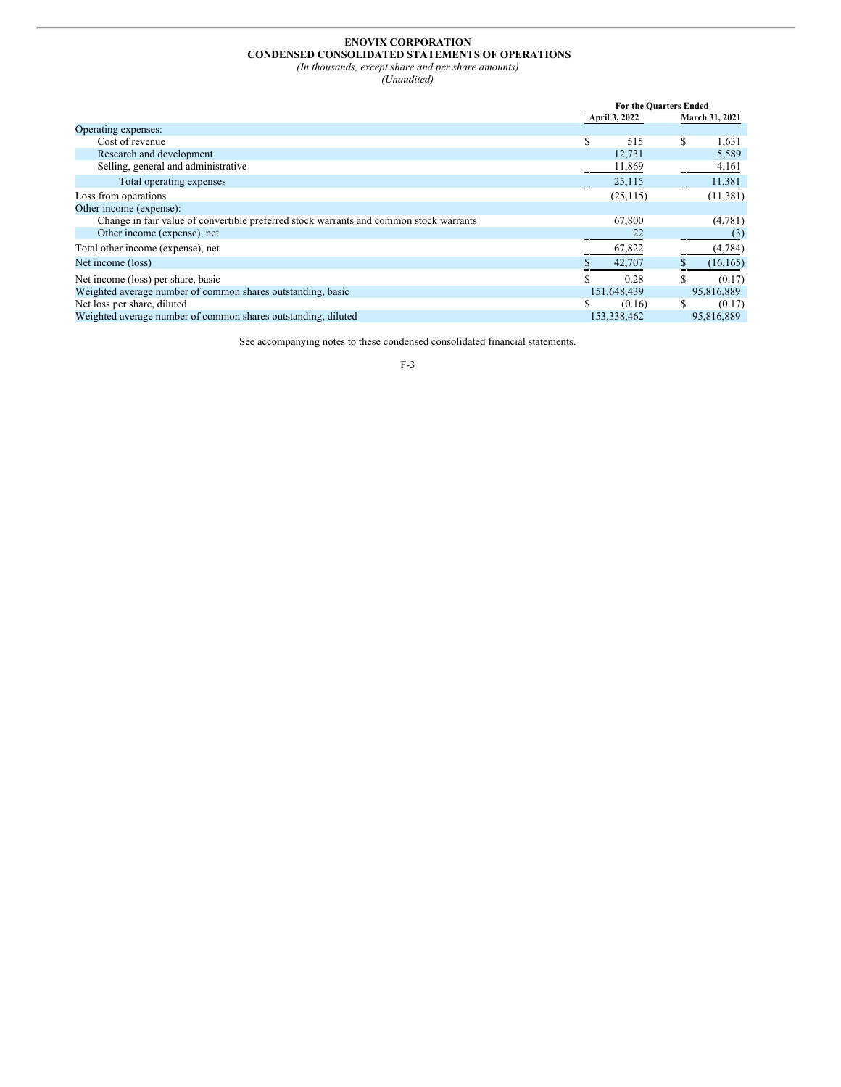# <span id="page-120-0"></span>**ENOVIX CORPORATION CONDENSED CONSOLIDATED STATEMENTS OF OPERATIONS**

*(In thousands, except share and per share amounts) (Unaudited)*

|                                                                                        | For the Quarters Ended |               |    |                |
|----------------------------------------------------------------------------------------|------------------------|---------------|----|----------------|
|                                                                                        |                        | April 3, 2022 |    | March 31, 2021 |
| Operating expenses:                                                                    |                        |               |    |                |
| Cost of revenue                                                                        | S                      | 515           | S  | 1,631          |
| Research and development                                                               |                        | 12,731        |    | 5,589          |
| Selling, general and administrative                                                    |                        | 11,869        |    | 4,161          |
| Total operating expenses                                                               |                        | 25,115        |    | 11,381         |
| Loss from operations                                                                   |                        | (25, 115)     |    | (11,381)       |
| Other income (expense):                                                                |                        |               |    |                |
| Change in fair value of convertible preferred stock warrants and common stock warrants |                        | 67,800        |    | (4,781)        |
| Other income (expense), net                                                            |                        | 22            |    | (3)            |
| Total other income (expense), net                                                      |                        | 67,822        |    | (4,784)        |
| Net income (loss)                                                                      |                        | 42,707        |    | (16, 165)      |
| Net income (loss) per share, basic                                                     |                        | 0.28          |    | (0.17)         |
| Weighted average number of common shares outstanding, basic                            |                        | 151,648,439   |    | 95,816,889     |
| Net loss per share, diluted                                                            |                        | (0.16)        | S. | (0.17)         |
| Weighted average number of common shares outstanding, diluted                          |                        | 153,338,462   |    | 95,816,889     |

See accompanying notes to these condensed consolidated financial statements.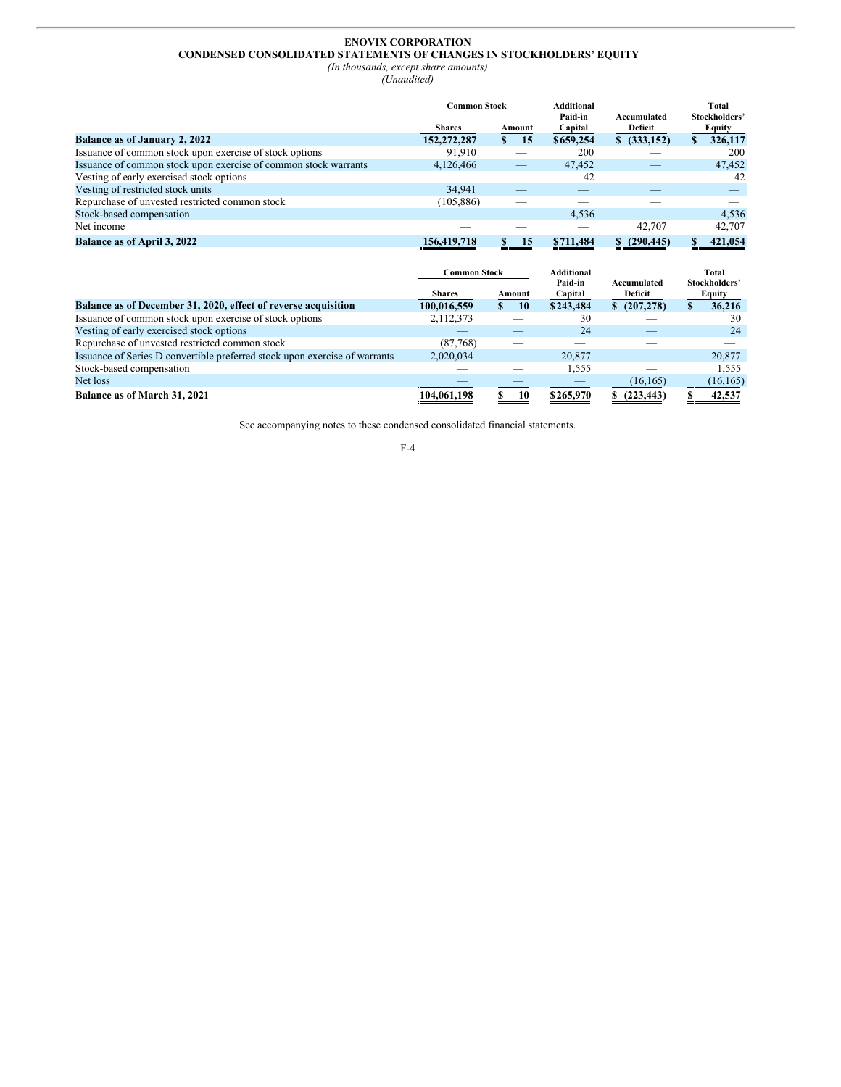# **ENOVIX CORPORATION**

<span id="page-121-0"></span>**CONDENSED CONSOLIDATED STATEMENTS OF CHANGES IN STOCKHOLDERS' EQUITY**

*(In thousands, except share amounts) (Unaudited)*

|                                                                            | <b>Common Stock</b>          |                    | <b>Additional</b><br>Paid-in |                        | <b>Total</b><br>Stockholders' |
|----------------------------------------------------------------------------|------------------------------|--------------------|------------------------------|------------------------|-------------------------------|
|                                                                            | <b>Shares</b>                | Amount             | Capital                      | Accumulated<br>Deficit | Equity                        |
| Balance as of January 2, 2022                                              | 152,272,287                  | S.<br>15           | \$659,254                    | \$ (333,152)           | S<br>326,117                  |
| Issuance of common stock upon exercise of stock options                    | 91,910                       |                    | 200                          |                        | 200                           |
| Issuance of common stock upon exercise of common stock warrants            | 4,126,466                    |                    | 47,452                       |                        | 47,452                        |
| Vesting of early exercised stock options                                   |                              |                    | 42                           |                        | 42                            |
| Vesting of restricted stock units                                          | 34,941                       |                    |                              |                        |                               |
| Repurchase of unvested restricted common stock                             | (105, 886)                   |                    |                              |                        |                               |
| Stock-based compensation                                                   |                              |                    | 4,536                        |                        | 4,536                         |
| Net income                                                                 |                              |                    |                              | 42,707                 | 42,707                        |
| Balance as of April 3, 2022                                                | 156,419,718                  | -15                | \$711,484                    | (290, 445)<br>\$       | 421,054                       |
|                                                                            | <b>Common Stock</b>          |                    | <b>Additional</b><br>Paid-in | Accumulated            | <b>Total</b><br>Stockholders' |
| Balance as of December 31, 2020, effect of reverse acquisition             | <b>Shares</b><br>100,016,559 | Amount<br>\$<br>10 | Capital<br>\$243,484         | Deficit<br>\$(207,278) | <b>Equity</b><br>36,216<br>\$ |
| Issuance of common stock upon exercise of stock options                    | 2,112,373                    |                    | 30                           |                        | 30                            |
| Vesting of early exercised stock options                                   |                              |                    | 24                           |                        | 24                            |
| Repurchase of unvested restricted common stock                             | (87,768)                     |                    |                              |                        |                               |
| Issuance of Series D convertible preferred stock upon exercise of warrants | 2,020,034                    |                    | 20,877                       |                        | 20,877                        |
| Stock-based compensation                                                   |                              |                    | 1,555                        |                        | 1,555                         |
| Net loss                                                                   |                              |                    |                              | (16, 165)              | (16, 165)                     |
| Balance as of March 31, 2021                                               | 104.061.198                  | 10                 | \$265,970                    | (223, 443)             | 42,537<br>\$                  |

See accompanying notes to these condensed consolidated financial statements.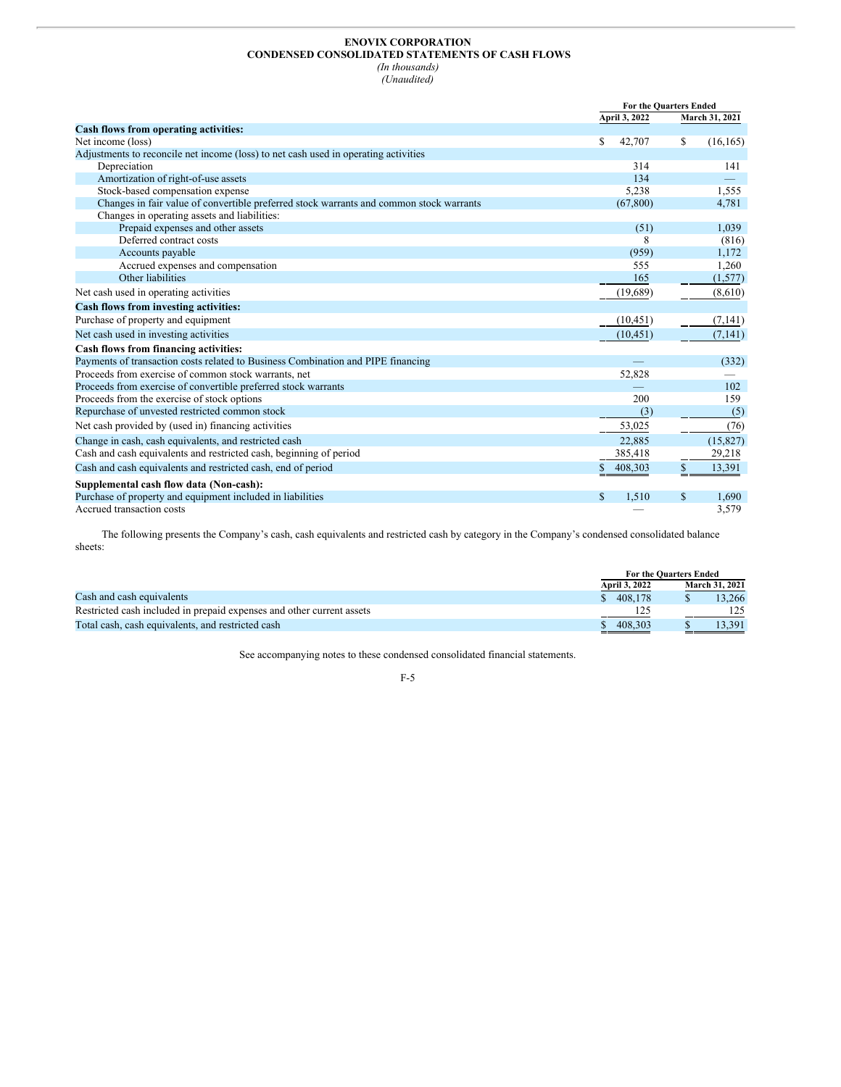# <span id="page-122-0"></span>**ENOVIX CORPORATION CONDENSED CONSOLIDATED STATEMENTS OF CASH FLOWS**

*(In thousands) (Unaudited)*

|                                                                                         | For the Quarters Ended |                 |
|-----------------------------------------------------------------------------------------|------------------------|-----------------|
|                                                                                         | April 3, 2022          | March 31, 2021  |
| Cash flows from operating activities:                                                   |                        |                 |
| Net income (loss)                                                                       | S<br>42,707            | \$<br>(16, 165) |
| Adjustments to reconcile net income (loss) to net cash used in operating activities     |                        |                 |
| Depreciation                                                                            | 314                    | 141             |
| Amortization of right-of-use assets                                                     | 134                    |                 |
| Stock-based compensation expense                                                        | 5,238                  | 1,555           |
| Changes in fair value of convertible preferred stock warrants and common stock warrants | (67, 800)              | 4,781           |
| Changes in operating assets and liabilities:                                            |                        |                 |
| Prepaid expenses and other assets                                                       | (51)                   | 1,039           |
| Deferred contract costs                                                                 | 8                      | (816)           |
| Accounts payable                                                                        | (959)                  | 1,172           |
| Accrued expenses and compensation                                                       | 555                    | 1,260           |
| Other liabilities                                                                       | 165                    | (1,577)         |
| Net cash used in operating activities                                                   | (19,689)               | (8,610)         |
| Cash flows from investing activities:                                                   |                        |                 |
| Purchase of property and equipment                                                      | (10, 451)              | (7,141)         |
| Net cash used in investing activities                                                   | (10, 451)              | (7,141)         |
| Cash flows from financing activities:                                                   |                        |                 |
| Payments of transaction costs related to Business Combination and PIPE financing        |                        | (332)           |
| Proceeds from exercise of common stock warrants, net                                    | 52,828                 |                 |
| Proceeds from exercise of convertible preferred stock warrants                          |                        | 102             |
| Proceeds from the exercise of stock options                                             | 200                    | 159             |
| Repurchase of unvested restricted common stock                                          | (3)                    | (5)             |
| Net cash provided by (used in) financing activities                                     | 53,025                 | (76)            |
| Change in cash, cash equivalents, and restricted cash                                   | 22,885                 | (15, 827)       |
| Cash and cash equivalents and restricted cash, beginning of period                      | 385,418                | 29,218          |
| Cash and cash equivalents and restricted cash, end of period                            | S<br>408,303           | \$<br>13,391    |
| Supplemental cash flow data (Non-cash):                                                 |                        |                 |
| Purchase of property and equipment included in liabilities                              | \$<br>1,510            | \$<br>1,690     |
| Accrued transaction costs                                                               |                        | 3,579           |

The following presents the Company's cash, cash equivalents and restricted cash by category in the Company's condensed consolidated balance sheets:

|                                                                       |               | <b>For the Ouarters Ended</b> |
|-----------------------------------------------------------------------|---------------|-------------------------------|
|                                                                       | April 3, 2022 | March 31, 2021                |
| Cash and cash equivalents                                             | 408.178       | 13.266                        |
| Restricted cash included in prepaid expenses and other current assets |               | 125                           |
| Total cash, cash equivalents, and restricted cash                     | 408,303       | 13.391                        |

See accompanying notes to these condensed consolidated financial statements.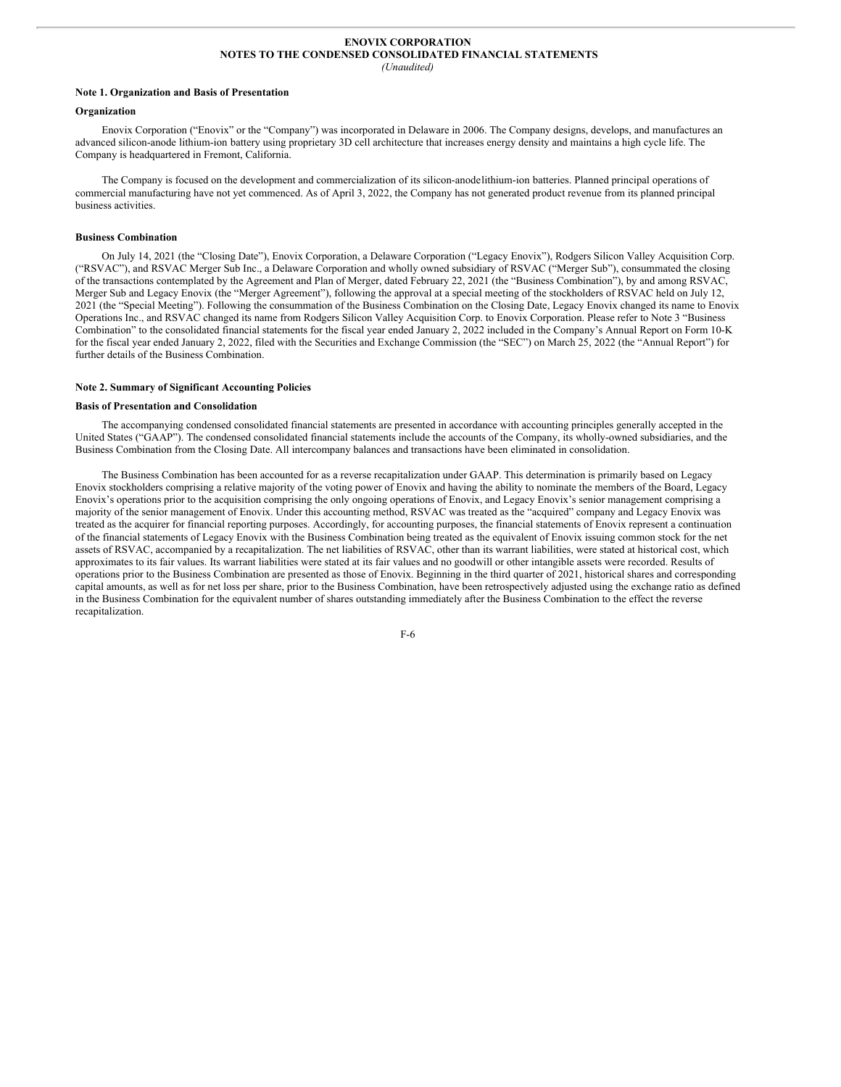*(Unaudited)*

#### <span id="page-123-0"></span>**Note 1. Organization and Basis of Presentation**

### **Organization**

Enovix Corporation ("Enovix" or the "Company") was incorporated in Delaware in 2006. The Company designs, develops, and manufactures an advanced silicon-anode lithium-ion battery using proprietary 3D cell architecture that increases energy density and maintains a high cycle life. The Company is headquartered in Fremont, California.

The Company is focused on the development and commercialization of its silicon-anodelithium-ion batteries. Planned principal operations of commercial manufacturing have not yet commenced. As of April 3, 2022, the Company has not generated product revenue from its planned principal business activities.

#### **Business Combination**

On July 14, 2021 (the "Closing Date"), Enovix Corporation, a Delaware Corporation ("Legacy Enovix"), Rodgers Silicon Valley Acquisition Corp. ("RSVAC"), and RSVAC Merger Sub Inc., a Delaware Corporation and wholly owned subsidiary of RSVAC ("Merger Sub"), consummated the closing of the transactions contemplated by the Agreement and Plan of Merger, dated February 22, 2021 (the "Business Combination"), by and among RSVAC, Merger Sub and Legacy Enovix (the "Merger Agreement"), following the approval at a special meeting of the stockholders of RSVAC held on July 12, 2021 (the "Special Meeting"). Following the consummation of the Business Combination on the Closing Date, Legacy Enovix changed its name to Enovix Operations Inc., and RSVAC changed its name from Rodgers Silicon Valley Acquisition Corp. to Enovix Corporation. Please refer to Note 3 "Business Combination" to the consolidated financial statements for the fiscal year ended January 2, 2022 included in the Company's Annual Report on Form 10-K for the fiscal year ended January 2, 2022, filed with the Securities and Exchange Commission (the "SEC") on March 25, 2022 (the "Annual Report") for further details of the Business Combination.

#### **Note 2. Summary of Significant Accounting Policies**

### **Basis of Presentation and Consolidation**

The accompanying condensed consolidated financial statements are presented in accordance with accounting principles generally accepted in the United States ("GAAP"). The condensed consolidated financial statements include the accounts of the Company, its wholly-owned subsidiaries, and the Business Combination from the Closing Date. All intercompany balances and transactions have been eliminated in consolidation.

The Business Combination has been accounted for as a reverse recapitalization under GAAP. This determination is primarily based on Legacy Enovix stockholders comprising a relative majority of the voting power of Enovix and having the ability to nominate the members of the Board, Legacy Enovix's operations prior to the acquisition comprising the only ongoing operations of Enovix, and Legacy Enovix's senior management comprising a majority of the senior management of Enovix. Under this accounting method, RSVAC was treated as the "acquired" company and Legacy Enovix was treated as the acquirer for financial reporting purposes. Accordingly, for accounting purposes, the financial statements of Enovix represent a continuation of the financial statements of Legacy Enovix with the Business Combination being treated as the equivalent of Enovix issuing common stock for the net assets of RSVAC, accompanied by a recapitalization. The net liabilities of RSVAC, other than its warrant liabilities, were stated at historical cost, which approximates to its fair values. Its warrant liabilities were stated at its fair values and no goodwill or other intangible assets were recorded. Results of operations prior to the Business Combination are presented as those of Enovix. Beginning in the third quarter of 2021, historical shares and corresponding capital amounts, as well as for net loss per share, prior to the Business Combination, have been retrospectively adjusted using the exchange ratio as defined in the Business Combination for the equivalent number of shares outstanding immediately after the Business Combination to the effect the reverse recapitalization.

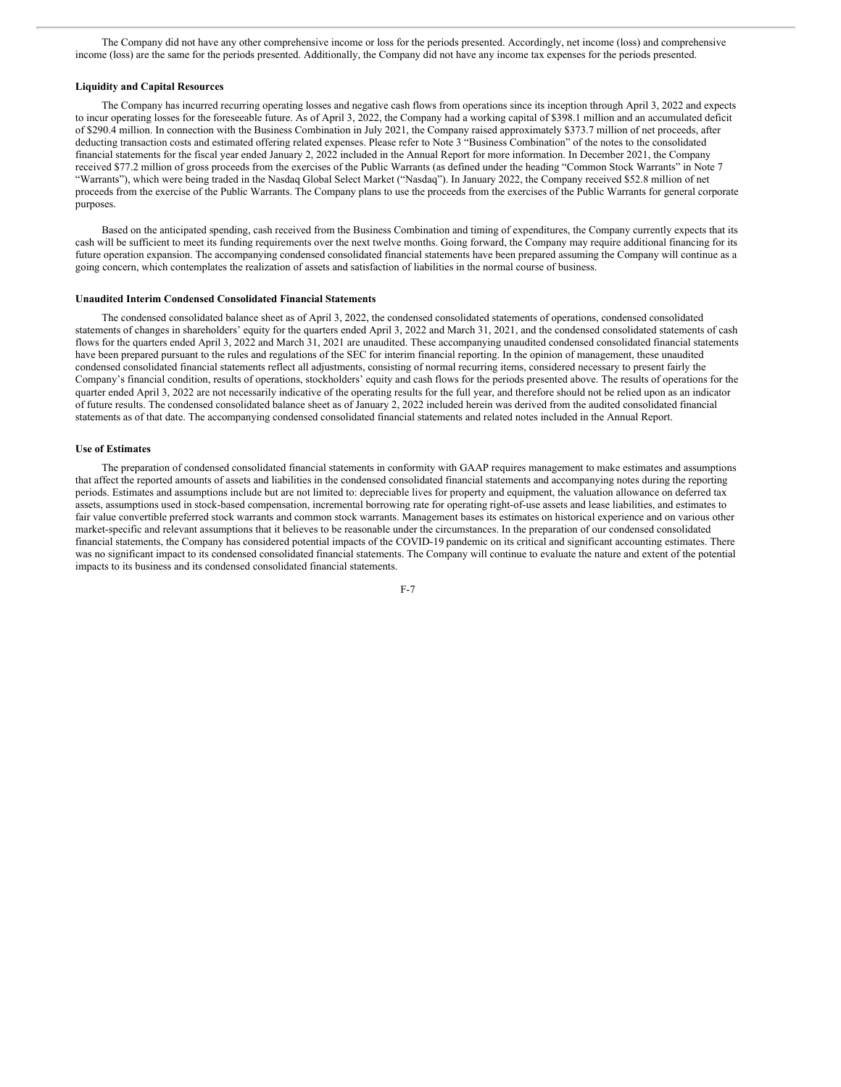The Company did not have any other comprehensive income or loss for the periods presented. Accordingly, net income (loss) and comprehensive income (loss) are the same for the periods presented. Additionally, the Company did not have any income tax expenses for the periods presented.

#### **Liquidity and Capital Resources**

The Company has incurred recurring operating losses and negative cash flows from operations since its inception through April 3, 2022 and expects to incur operating losses for the foreseeable future. As of April 3, 2022, the Company had a working capital of \$398.1 million and an accumulated deficit of \$290.4 million. In connection with the Business Combination in July 2021, the Company raised approximately \$373.7 million of net proceeds, after deducting transaction costs and estimated offering related expenses. Please refer to Note 3 "Business Combination" of the notes to the consolidated financial statements for the fiscal year ended January 2, 2022 included in the Annual Report for more information. In December 2021, the Company received \$77.2 million of gross proceeds from the exercises of the Public Warrants (as defined under the heading "Common Stock Warrants" in Note 7 "Warrants"), which were being traded in the Nasdaq Global Select Market ("Nasdaq"). In January 2022, the Company received \$52.8 million of net proceeds from the exercise of the Public Warrants. The Company plans to use the proceeds from the exercises of the Public Warrants for general corporate purposes.

Based on the anticipated spending, cash received from the Business Combination and timing of expenditures, the Company currently expects that its cash will be sufficient to meet its funding requirements over the next twelve months. Going forward, the Company may require additional financing for its future operation expansion. The accompanying condensed consolidated financial statements have been prepared assuming the Company will continue as a going concern, which contemplates the realization of assets and satisfaction of liabilities in the normal course of business.

#### **Unaudited Interim Condensed Consolidated Financial Statements**

The condensed consolidated balance sheet as of April 3, 2022, the condensed consolidated statements of operations, condensed consolidated statements of changes in shareholders' equity for the quarters ended April 3, 2022 and March 31, 2021, and the condensed consolidated statements of cash flows for the quarters ended April 3, 2022 and March 31, 2021 are unaudited. These accompanying unaudited condensed consolidated financial statements have been prepared pursuant to the rules and regulations of the SEC for interim financial reporting. In the opinion of management, these unaudited condensed consolidated financial statements reflect all adjustments, consisting of normal recurring items, considered necessary to present fairly the Company's financial condition, results of operations, stockholders' equity and cash flows for the periods presented above. The results of operations for the quarter ended April 3, 2022 are not necessarily indicative of the operating results for the full year, and therefore should not be relied upon as an indicator of future results. The condensed consolidated balance sheet as of January 2, 2022 included herein was derived from the audited consolidated financial statements as of that date. The accompanying condensed consolidated financial statements and related notes included in the Annual Report.

#### **Use of Estimates**

The preparation of condensed consolidated financial statements in conformity with GAAP requires management to make estimates and assumptions that affect the reported amounts of assets and liabilities in the condensed consolidated financial statements and accompanying notes during the reporting periods. Estimates and assumptions include but are not limited to: depreciable lives for property and equipment, the valuation allowance on deferred tax assets, assumptions used in stock-based compensation, incremental borrowing rate for operating right-of-use assets and lease liabilities, and estimates to fair value convertible preferred stock warrants and common stock warrants. Management bases its estimates on historical experience and on various other market-specific and relevant assumptions that it believes to be reasonable under the circumstances. In the preparation of our condensed consolidated financial statements, the Company has considered potential impacts of the COVID-19 pandemic on its critical and significant accounting estimates. There was no significant impact to its condensed consolidated financial statements. The Company will continue to evaluate the nature and extent of the potential impacts to its business and its condensed consolidated financial statements.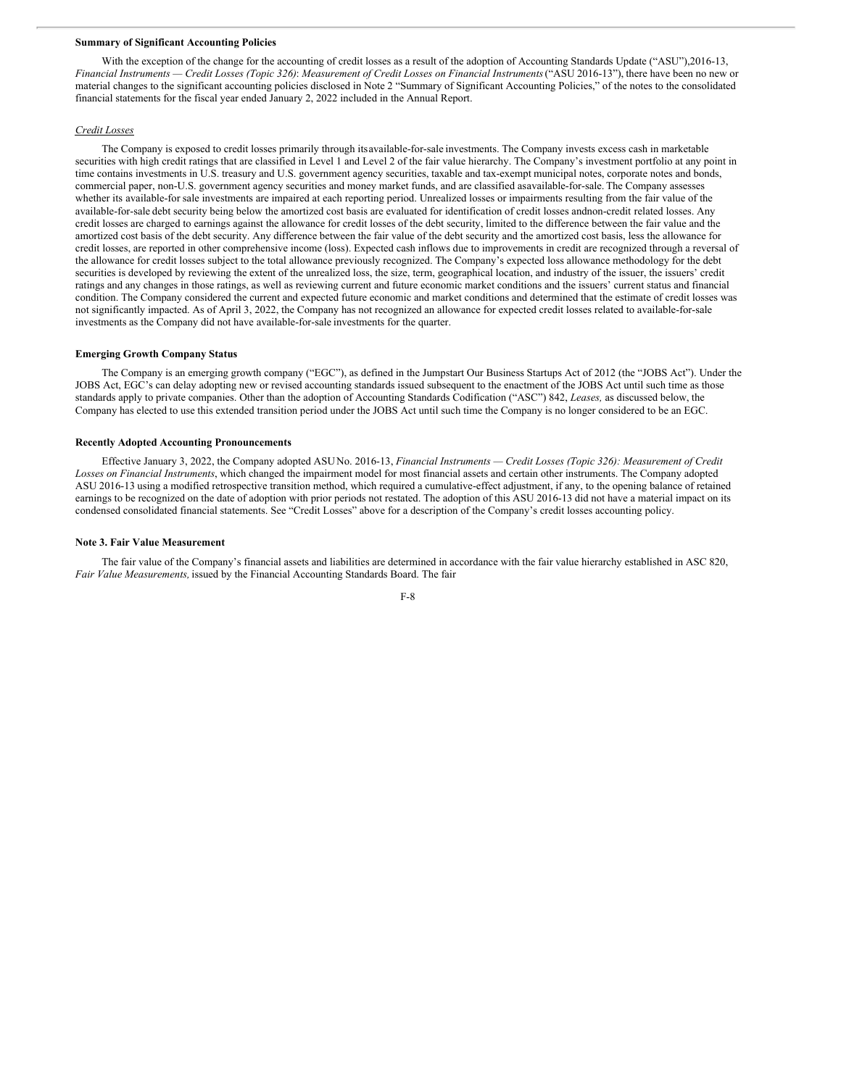#### **Summary of Significant Accounting Policies**

With the exception of the change for the accounting of credit losses as a result of the adoption of Accounting Standards Update ("ASU"),2016-13, Financial Instruments — Credit Losses (Topic 326): Measurement of Credit Losses on Financial Instruments ("ASU 2016-13"), there have been no new or material changes to the significant accounting policies disclosed in Note 2 "Summary of Significant Accounting Policies," of the notes to the consolidated financial statements for the fiscal year ended January 2, 2022 included in the Annual Report.

### *Credit Losses*

The Company is exposed to credit losses primarily through itsavailable-for-sale investments. The Company invests excess cash in marketable securities with high credit ratings that are classified in Level 1 and Level 2 of the fair value hierarchy. The Company's investment portfolio at any point in time contains investments in U.S. treasury and U.S. government agency securities, taxable and tax-exempt municipal notes, corporate notes and bonds, commercial paper, non-U.S. government agency securities and money market funds, and are classified asavailable-for-sale. The Company assesses whether its available-for sale investments are impaired at each reporting period. Unrealized losses or impairments resulting from the fair value of the available-for-sale debt security being below the amortized cost basis are evaluated for identification of credit losses andnon-credit related losses. Any credit losses are charged to earnings against the allowance for credit losses of the debt security, limited to the difference between the fair value and the amortized cost basis of the debt security. Any difference between the fair value of the debt security and the amortized cost basis, less the allowance for credit losses, are reported in other comprehensive income (loss). Expected cash inflows due to improvements in credit are recognized through a reversal of the allowance for credit losses subject to the total allowance previously recognized. The Company's expected loss allowance methodology for the debt securities is developed by reviewing the extent of the unrealized loss, the size, term, geographical location, and industry of the issuer, the issuers' credit ratings and any changes in those ratings, as well as reviewing current and future economic market conditions and the issuers' current status and financial condition. The Company considered the current and expected future economic and market conditions and determined that the estimate of credit losses was not significantly impacted. As of April 3, 2022, the Company has not recognized an allowance for expected credit losses related to available-for-sale investments as the Company did not have available-for-sale investments for the quarter.

#### **Emerging Growth Company Status**

The Company is an emerging growth company ("EGC"), as defined in the Jumpstart Our Business Startups Act of 2012 (the "JOBS Act"). Under the JOBS Act, EGC's can delay adopting new or revised accounting standards issued subsequent to the enactment of the JOBS Act until such time as those standards apply to private companies. Other than the adoption of Accounting Standards Codification ("ASC") 842, *Leases,* as discussed below, the Company has elected to use this extended transition period under the JOBS Act until such time the Company is no longer considered to be an EGC.

#### **Recently Adopted Accounting Pronouncements**

Effective January 3, 2022, the Company adopted ASUNo. 2016-13, *Financial Instruments — Credit Losses (Topic 326): Measurement of Credit Losses on Financial Instruments*, which changed the impairment model for most financial assets and certain other instruments. The Company adopted ASU 2016-13 using a modified retrospective transition method, which required a cumulative-effect adjustment, if any, to the opening balance of retained earnings to be recognized on the date of adoption with prior periods not restated. The adoption of this ASU 2016-13 did not have a material impact on its condensed consolidated financial statements. See "Credit Losses" above for a description of the Company's credit losses accounting policy.

#### **Note 3. Fair Value Measurement**

The fair value of the Company's financial assets and liabilities are determined in accordance with the fair value hierarchy established in ASC 820, *Fair Value Measurements,* issued by the Financial Accounting Standards Board. The fair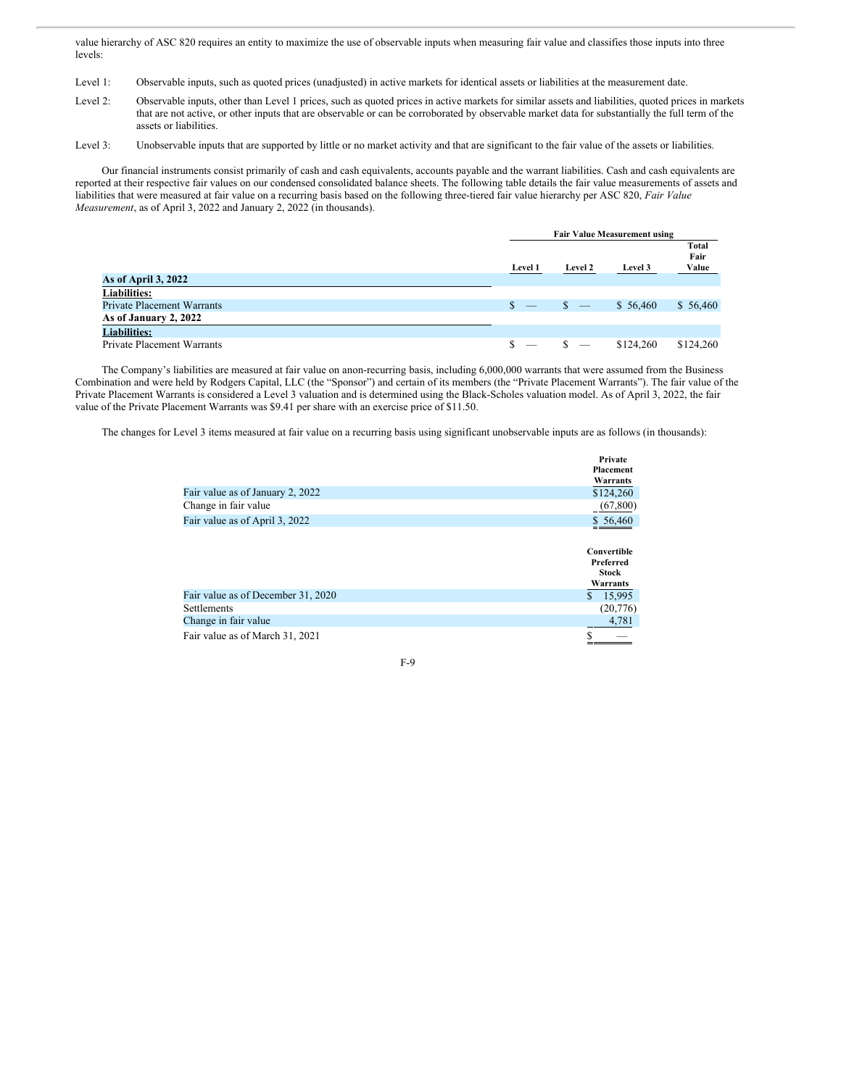value hierarchy of ASC 820 requires an entity to maximize the use of observable inputs when measuring fair value and classifies those inputs into three levels:

- Level 1: Observable inputs, such as quoted prices (unadjusted) in active markets for identical assets or liabilities at the measurement date.
- Level 2: Observable inputs, other than Level 1 prices, such as quoted prices in active markets for similar assets and liabilities, quoted prices in markets that are not active, or other inputs that are observable or can be corroborated by observable market data for substantially the full term of the assets or liabilities.
- Level 3: Unobservable inputs that are supported by little or no market activity and that are significant to the fair value of the assets or liabilities.

Our financial instruments consist primarily of cash and cash equivalents, accounts payable and the warrant liabilities. Cash and cash equivalents are reported at their respective fair values on our condensed consolidated balance sheets. The following table details the fair value measurements of assets and liabilities that were measured at fair value on a recurring basis based on the following three-tiered fair value hierarchy per ASC 820, *Fair Value Measurement*, as of April 3, 2022 and January 2, 2022 (in thousands).

|                                   |                                | <b>Fair Value Measurement using</b> |           |                        |
|-----------------------------------|--------------------------------|-------------------------------------|-----------|------------------------|
|                                   | Level 1                        | Level 2                             | Level 3   | Total<br>Fair<br>Value |
| <b>As of April 3, 2022</b>        |                                |                                     |           |                        |
| <b>Liabilities:</b>               |                                |                                     |           |                        |
| <b>Private Placement Warrants</b> | S.<br>$\overline{\phantom{0}}$ | $\frac{1}{2}$                       | \$56,460  | \$56,460               |
| As of January 2, 2022             |                                |                                     |           |                        |
| <b>Liabilities:</b>               |                                |                                     |           |                        |
| Private Placement Warrants        | -                              | $\overline{\phantom{a}}$            | \$124,260 | \$124,260              |

The Company's liabilities are measured at fair value on anon-recurring basis, including 6,000,000 warrants that were assumed from the Business Combination and were held by Rodgers Capital, LLC (the "Sponsor") and certain of its members (the "Private Placement Warrants"). The fair value of the Private Placement Warrants is considered a Level 3 valuation and is determined using the Black-Scholes valuation model. As of April 3, 2022, the fair value of the Private Placement Warrants was \$9.41 per share with an exercise price of \$11.50.

The changes for Level 3 items measured at fair value on a recurring basis using significant unobservable inputs are as follows (in thousands):

|                                    | Private                                              |
|------------------------------------|------------------------------------------------------|
|                                    | <b>Placement</b>                                     |
|                                    | Warrants                                             |
| Fair value as of January 2, 2022   | \$124,260                                            |
| Change in fair value               | (67, 800)                                            |
| Fair value as of April 3, 2022     | \$56,460                                             |
|                                    | Convertible<br>Preferred<br><b>Stock</b><br>Warrants |
| Fair value as of December 31, 2020 | 15,995<br>\$.                                        |
| <b>Settlements</b>                 | (20, 776)                                            |
| Change in fair value               | 4,781                                                |
| Fair value as of March 31, 2021    | ¢                                                    |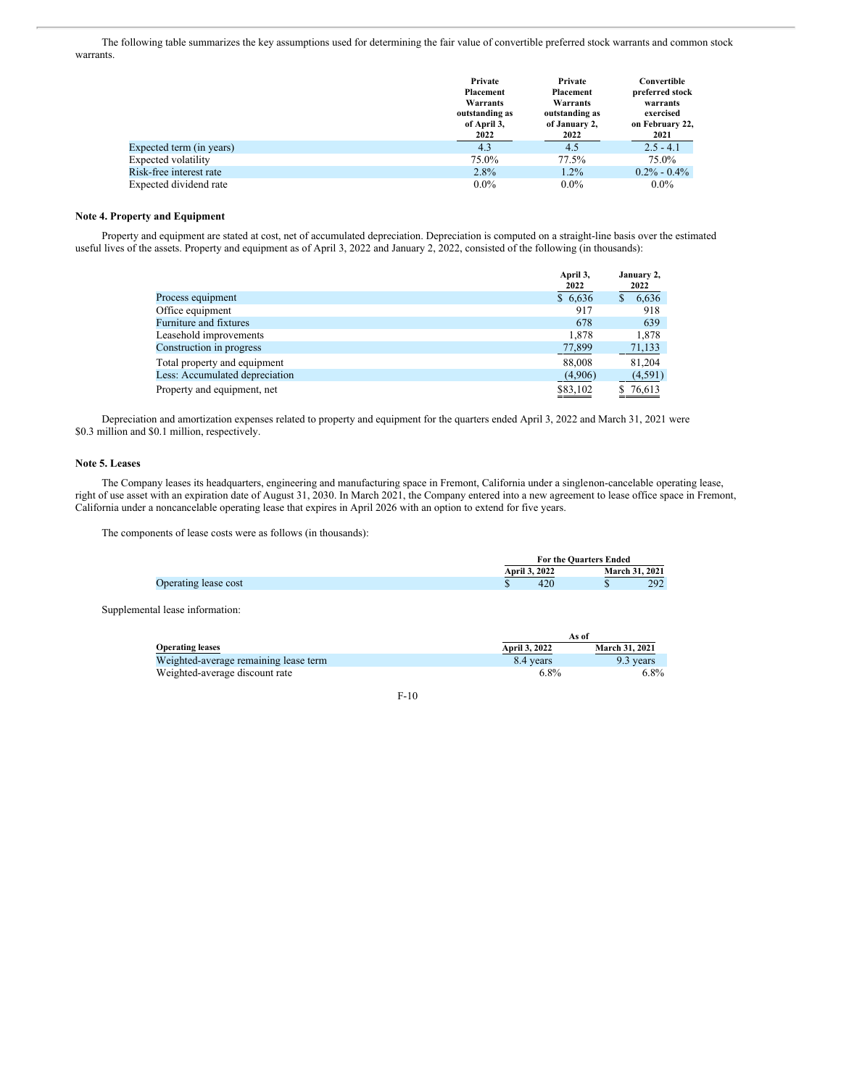The following table summarizes the key assumptions used for determining the fair value of convertible preferred stock warrants and common stock warrants.

|                          | Private<br>Placement<br>Warrants<br>outstanding as<br>of April 3,<br>2022 | Private<br>Placement<br>Warrants<br>outstanding as<br>of January 2,<br>2022 | Convertible<br>preferred stock<br>warrants<br>exercised<br>on February 22,<br>2021 |
|--------------------------|---------------------------------------------------------------------------|-----------------------------------------------------------------------------|------------------------------------------------------------------------------------|
| Expected term (in years) | 4.3                                                                       | 4.5                                                                         | $2.5 - 4.1$                                                                        |
| Expected volatility      | 75.0%                                                                     | 77.5%                                                                       | 75.0%                                                                              |
| Risk-free interest rate  | $2.8\%$                                                                   | $1.2\%$                                                                     | $0.2\% - 0.4\%$                                                                    |
| Expected dividend rate   | $0.0\%$                                                                   | $0.0\%$                                                                     | $0.0\%$                                                                            |

### **Note 4. Property and Equipment**

Property and equipment are stated at cost, net of accumulated depreciation. Depreciation is computed on a straight-line basis over the estimated useful lives of the assets. Property and equipment as of April 3, 2022 and January 2, 2022, consisted of the following (in thousands):

|                                | April 3,<br>2022 | January 2,<br>2022 |
|--------------------------------|------------------|--------------------|
| Process equipment              | \$6,636          | 6,636<br>S.        |
| Office equipment               | 917              | 918                |
| Furniture and fixtures         | 678              | 639                |
| Leasehold improvements         | 1,878            | 1,878              |
| Construction in progress       | 77,899           | 71,133             |
| Total property and equipment   | 88,008           | 81,204             |
| Less: Accumulated depreciation | (4,906)          | (4,591)            |
| Property and equipment, net    | \$83,102         | \$76,613           |

Depreciation and amortization expenses related to property and equipment for the quarters ended April 3, 2022 and March 31, 2021 were \$0.3 million and \$0.1 million, respectively.

### **Note 5. Leases**

The Company leases its headquarters, engineering and manufacturing space in Fremont, California under a singlenon-cancelable operating lease, right of use asset with an expiration date of August 31, 2030. In March 2021, the Company entered into a new agreement to lease office space in Fremont, California under a noncancelable operating lease that expires in April 2026 with an option to extend for five years.

The components of lease costs were as follows (in thousands):

|                      |               | <b>For the Ouarters Ended</b> |                |  |
|----------------------|---------------|-------------------------------|----------------|--|
|                      | April 3, 2022 |                               | March 31, 2021 |  |
| Operating lease cost |               |                               | 292            |  |

Supplemental lease information:

|                                       |               | As of                 |  |
|---------------------------------------|---------------|-----------------------|--|
| <b>Operating leases</b>               | April 3, 2022 | <b>March 31, 2021</b> |  |
| Weighted-average remaining lease term | 8.4 years     | 9.3 years             |  |
| Weighted-average discount rate        | $6.8\%$       | $6.8\%$               |  |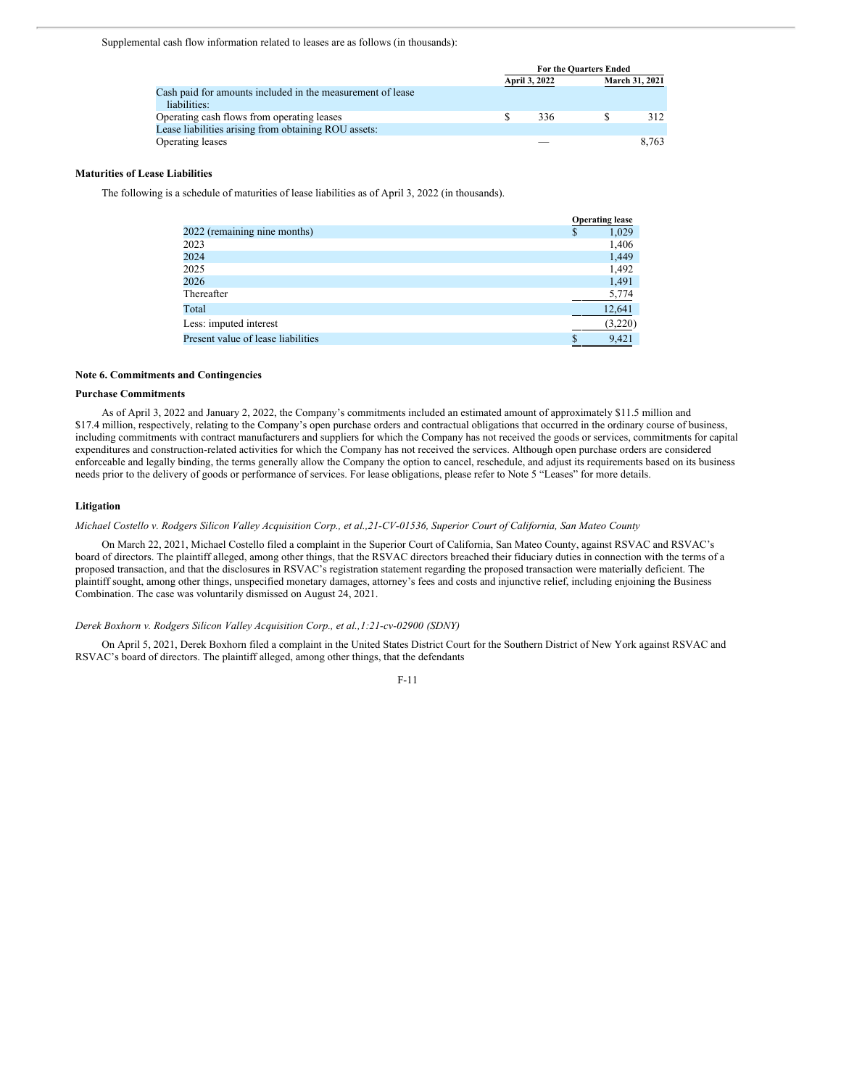Supplemental cash flow information related to leases are as follows (in thousands):

|                                                                            | For the Quarters Ended |               |  |                       |  |
|----------------------------------------------------------------------------|------------------------|---------------|--|-----------------------|--|
|                                                                            |                        | April 3, 2022 |  | <b>March 31, 2021</b> |  |
| Cash paid for amounts included in the measurement of lease<br>liabilities: |                        |               |  |                       |  |
| Operating cash flows from operating leases                                 |                        | 336           |  | 312                   |  |
| Lease liabilities arising from obtaining ROU assets:                       |                        |               |  |                       |  |
| Operating leases                                                           |                        |               |  | 8.763                 |  |

### **Maturities of Lease Liabilities**

The following is a schedule of maturities of lease liabilities as of April 3, 2022 (in thousands).

|                                    |   | <b>Operating lease</b> |
|------------------------------------|---|------------------------|
| 2022 (remaining nine months)       | S | 1,029                  |
| 2023                               |   | 1,406                  |
| 2024                               |   | 1,449                  |
| 2025                               |   | 1,492                  |
| 2026                               |   | 1,491                  |
| Thereafter                         |   | 5,774                  |
| Total                              |   | 12,641                 |
| Less: imputed interest             |   | (3,220)                |
| Present value of lease liabilities |   | 9,421                  |

### **Note 6. Commitments and Contingencies**

### **Purchase Commitments**

As of April 3, 2022 and January 2, 2022, the Company's commitments included an estimated amount of approximately \$11.5 million and \$17.4 million, respectively, relating to the Company's open purchase orders and contractual obligations that occurred in the ordinary course of business, including commitments with contract manufacturers and suppliers for which the Company has not received the goods or services, commitments for capital expenditures and construction-related activities for which the Company has not received the services. Although open purchase orders are considered enforceable and legally binding, the terms generally allow the Company the option to cancel, reschedule, and adjust its requirements based on its business needs prior to the delivery of goods or performance of services. For lease obligations, please refer to Note 5 "Leases" for more details.

### **Litigation**

#### Michael Costello v. Rodgers Silicon Valley Acquisition Corp., et al., 21-CV-01536, Superior Court of California, San Mateo County

On March 22, 2021, Michael Costello filed a complaint in the Superior Court of California, San Mateo County, against RSVAC and RSVAC's board of directors. The plaintiff alleged, among other things, that the RSVAC directors breached their fiduciary duties in connection with the terms of a proposed transaction, and that the disclosures in RSVAC's registration statement regarding the proposed transaction were materially deficient. The plaintiff sought, among other things, unspecified monetary damages, attorney's fees and costs and injunctive relief, including enjoining the Business Combination. The case was voluntarily dismissed on August 24, 2021.

### *Derek Boxhorn v. Rodgers Silicon Valley Acquisition Corp., et al.,1:21-cv-02900 (SDNY)*

On April 5, 2021, Derek Boxhorn filed a complaint in the United States District Court for the Southern District of New York against RSVAC and RSVAC's board of directors. The plaintiff alleged, among other things, that the defendants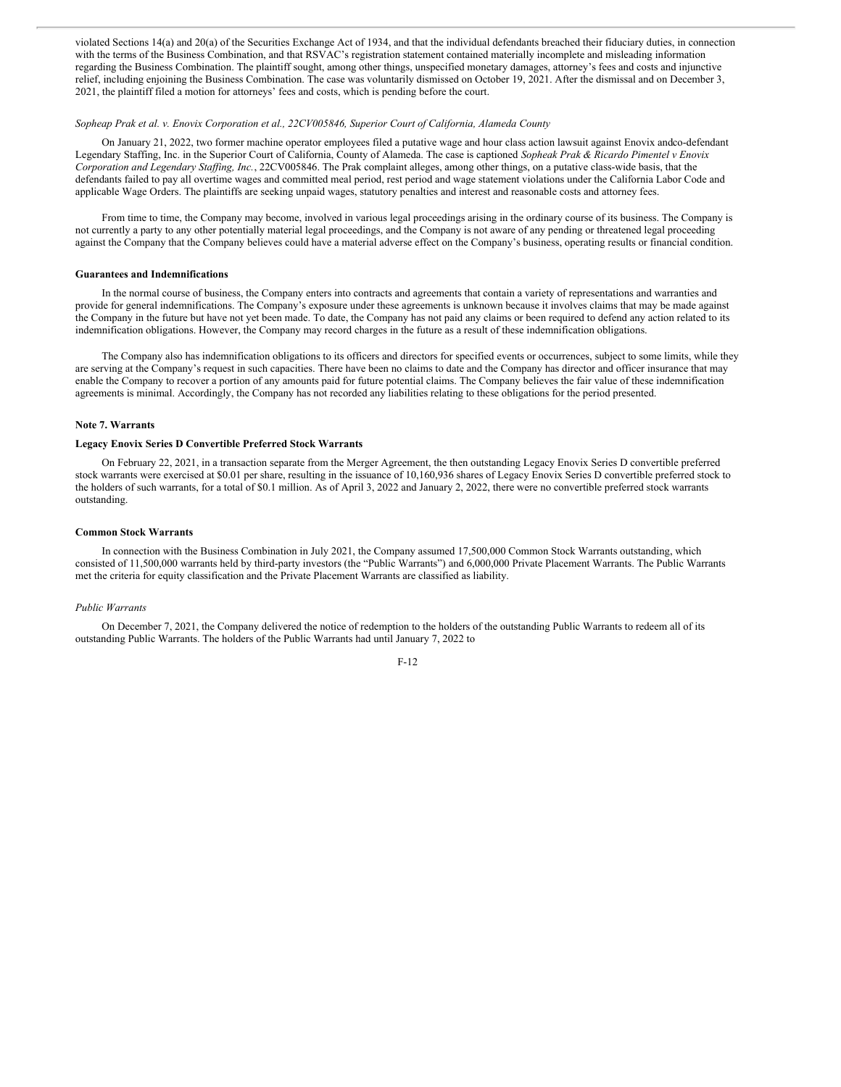violated Sections 14(a) and 20(a) of the Securities Exchange Act of 1934, and that the individual defendants breached their fiduciary duties, in connection with the terms of the Business Combination, and that RSVAC's registration statement contained materially incomplete and misleading information regarding the Business Combination. The plaintiff sought, among other things, unspecified monetary damages, attorney's fees and costs and injunctive relief, including enjoining the Business Combination. The case was voluntarily dismissed on October 19, 2021. After the dismissal and on December 3, 2021, the plaintiff filed a motion for attorneys' fees and costs, which is pending before the court.

### *Sopheap Prak et al. v. Enovix Corporation et al., 22CV005846, Superior Court of California, Alameda County*

On January 21, 2022, two former machine operator employees filed a putative wage and hour class action lawsuit against Enovix andco-defendant Legendary Staffing, Inc. in the Superior Court of California, County of Alameda. The case is captioned *Sopheak Prak & Ricardo Pimentel v Enovix Corporation and Legendary Staf ing, Inc.*, 22CV005846. The Prak complaint alleges, among other things, on a putative class-wide basis, that the defendants failed to pay all overtime wages and committed meal period, rest period and wage statement violations under the California Labor Code and applicable Wage Orders. The plaintiffs are seeking unpaid wages, statutory penalties and interest and reasonable costs and attorney fees.

From time to time, the Company may become, involved in various legal proceedings arising in the ordinary course of its business. The Company is not currently a party to any other potentially material legal proceedings, and the Company is not aware of any pending or threatened legal proceeding against the Company that the Company believes could have a material adverse effect on the Company's business, operating results or financial condition.

#### **Guarantees and Indemnifications**

In the normal course of business, the Company enters into contracts and agreements that contain a variety of representations and warranties and provide for general indemnifications. The Company's exposure under these agreements is unknown because it involves claims that may be made against the Company in the future but have not yet been made. To date, the Company has not paid any claims or been required to defend any action related to its indemnification obligations. However, the Company may record charges in the future as a result of these indemnification obligations.

The Company also has indemnification obligations to its officers and directors for specified events or occurrences, subject to some limits, while they are serving at the Company's request in such capacities. There have been no claims to date and the Company has director and officer insurance that may enable the Company to recover a portion of any amounts paid for future potential claims. The Company believes the fair value of these indemnification agreements is minimal. Accordingly, the Company has not recorded any liabilities relating to these obligations for the period presented.

### **Note 7. Warrants**

#### **Legacy Enovix Series D Convertible Preferred Stock Warrants**

On February 22, 2021, in a transaction separate from the Merger Agreement, the then outstanding Legacy Enovix Series D convertible preferred stock warrants were exercised at \$0.01 per share, resulting in the issuance of 10,160,936 shares of Legacy Enovix Series D convertible preferred stock to the holders of such warrants, for a total of \$0.1 million. As of April 3, 2022 and January 2, 2022, there were no convertible preferred stock warrants outstanding.

#### **Common Stock Warrants**

In connection with the Business Combination in July 2021, the Company assumed 17,500,000 Common Stock Warrants outstanding, which consisted of 11,500,000 warrants held by third-party investors (the "Public Warrants") and 6,000,000 Private Placement Warrants. The Public Warrants met the criteria for equity classification and the Private Placement Warrants are classified as liability.

#### *Public Warrants*

On December 7, 2021, the Company delivered the notice of redemption to the holders of the outstanding Public Warrants to redeem all of its outstanding Public Warrants. The holders of the Public Warrants had until January 7, 2022 to

$$
F-12
$$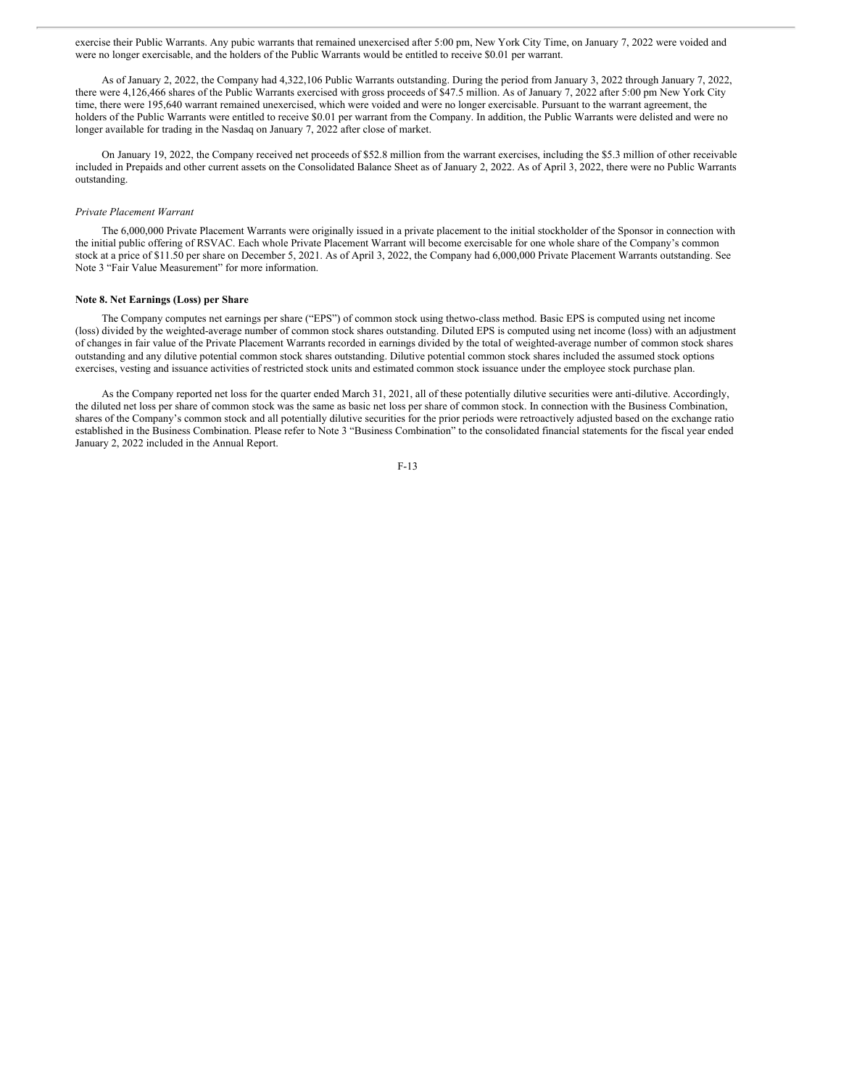exercise their Public Warrants. Any pubic warrants that remained unexercised after 5:00 pm, New York City Time, on January 7, 2022 were voided and were no longer exercisable, and the holders of the Public Warrants would be entitled to receive \$0.01 per warrant.

As of January 2, 2022, the Company had 4,322,106 Public Warrants outstanding. During the period from January 3, 2022 through January 7, 2022, there were 4,126,466 shares of the Public Warrants exercised with gross proceeds of \$47.5 million. As of January 7, 2022 after 5:00 pm New York City time, there were 195,640 warrant remained unexercised, which were voided and were no longer exercisable. Pursuant to the warrant agreement, the holders of the Public Warrants were entitled to receive \$0.01 per warrant from the Company. In addition, the Public Warrants were delisted and were no longer available for trading in the Nasdaq on January 7, 2022 after close of market.

On January 19, 2022, the Company received net proceeds of \$52.8 million from the warrant exercises, including the \$5.3 million of other receivable included in Prepaids and other current assets on the Consolidated Balance Sheet as of January 2, 2022. As of April 3, 2022, there were no Public Warrants outstanding.

#### *Private Placement Warrant*

The 6,000,000 Private Placement Warrants were originally issued in a private placement to the initial stockholder of the Sponsor in connection with the initial public offering of RSVAC. Each whole Private Placement Warrant will become exercisable for one whole share of the Company's common stock at a price of \$11.50 per share on December 5, 2021. As of April 3, 2022, the Company had 6,000,000 Private Placement Warrants outstanding. See Note 3 "Fair Value Measurement" for more information.

### **Note 8. Net Earnings (Loss) per Share**

The Company computes net earnings per share ("EPS") of common stock using thetwo-class method. Basic EPS is computed using net income (loss) divided by the weighted-average number of common stock shares outstanding. Diluted EPS is computed using net income (loss) with an adjustment of changes in fair value of the Private Placement Warrants recorded in earnings divided by the total of weighted-average number of common stock shares outstanding and any dilutive potential common stock shares outstanding. Dilutive potential common stock shares included the assumed stock options exercises, vesting and issuance activities of restricted stock units and estimated common stock issuance under the employee stock purchase plan.

As the Company reported net loss for the quarter ended March 31, 2021, all of these potentially dilutive securities were anti-dilutive. Accordingly, the diluted net loss per share of common stock was the same as basic net loss per share of common stock. In connection with the Business Combination, shares of the Company's common stock and all potentially dilutive securities for the prior periods were retroactively adjusted based on the exchange ratio established in the Business Combination. Please refer to Note 3 "Business Combination" to the consolidated financial statements for the fiscal year ended January 2, 2022 included in the Annual Report.

$$
F-13
$$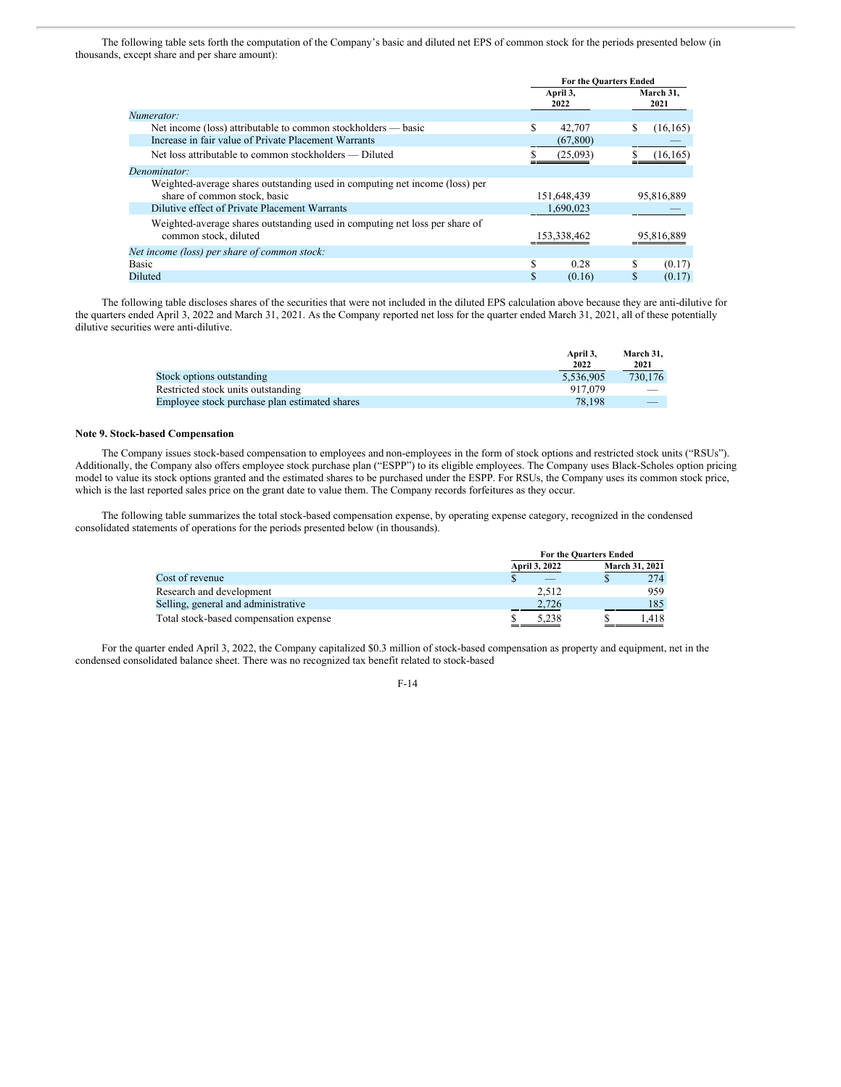The following table sets forth the computation of the Company's basic and diluted net EPS of common stock for the periods presented below (in thousands, except share and per share amount):

|                                                                                                             | For the Quarters Ended |             |   |                   |
|-------------------------------------------------------------------------------------------------------------|------------------------|-------------|---|-------------------|
|                                                                                                             | April 3,<br>2022       |             |   | March 31.<br>2021 |
| Numerator:                                                                                                  |                        |             |   |                   |
| Net income (loss) attributable to common stockholders — basic                                               | S                      | 42,707      |   | (16, 165)         |
| Increase in fair value of Private Placement Warrants                                                        |                        | (67,800)    |   |                   |
| Net loss attributable to common stockholders — Diluted                                                      |                        | (25,093)    |   | (16, 165)         |
| Denominator:                                                                                                |                        |             |   |                   |
| Weighted-average shares outstanding used in computing net income (loss) per<br>share of common stock, basic |                        | 151,648,439 |   | 95,816,889        |
| Dilutive effect of Private Placement Warrants                                                               |                        | 1,690,023   |   |                   |
| Weighted-average shares outstanding used in computing net loss per share of<br>common stock, diluted        |                        | 153,338,462 |   | 95,816,889        |
| Net income (loss) per share of common stock:                                                                |                        |             |   |                   |
| <b>Basic</b>                                                                                                | S                      | 0.28        | S | (0.17)            |
| <b>Diluted</b>                                                                                              | S                      | (0.16)      |   | (0.17)            |

The following table discloses shares of the securities that were not included in the diluted EPS calculation above because they are anti-dilutive for the quarters ended April 3, 2022 and March 31, 2021. As the Company reported net loss for the quarter ended March 31, 2021, all of these potentially dilutive securities were anti-dilutive.

|                                               | April 3.<br>2022 | March 31.<br>2021 |
|-----------------------------------------------|------------------|-------------------|
| Stock options outstanding                     | 5.536.905        | 730.176           |
| Restricted stock units outstanding            | 917.079          |                   |
| Employee stock purchase plan estimated shares | 78.198           |                   |

#### **Note 9. Stock-based Compensation**

The Company issues stock-based compensation to employees and non-employees in the form of stock options and restricted stock units ("RSUs"). Additionally, the Company also offers employee stock purchase plan ("ESPP") to its eligible employees. The Company uses Black-Scholes option pricing model to value its stock options granted and the estimated shares to be purchased under the ESPP. For RSUs, the Company uses its common stock price, which is the last reported sales price on the grant date to value them. The Company records forfeitures as they occur.

The following table summarizes the total stock-based compensation expense, by operating expense category, recognized in the condensed consolidated statements of operations for the periods presented below (in thousands).

|                                        |               | For the Quarters Ended |                |  |  |
|----------------------------------------|---------------|------------------------|----------------|--|--|
|                                        | April 3, 2022 |                        | March 31, 2021 |  |  |
| Cost of revenue                        |               |                        | 274            |  |  |
| Research and development               | 2.512         |                        | 959            |  |  |
| Selling, general and administrative    | 2.726         |                        | 185            |  |  |
| Total stock-based compensation expense | 5.238         |                        | .418           |  |  |

For the quarter ended April 3, 2022, the Company capitalized \$0.3 million of stock-based compensation as property and equipment, net in the condensed consolidated balance sheet. There was no recognized tax benefit related to stock-based

F-14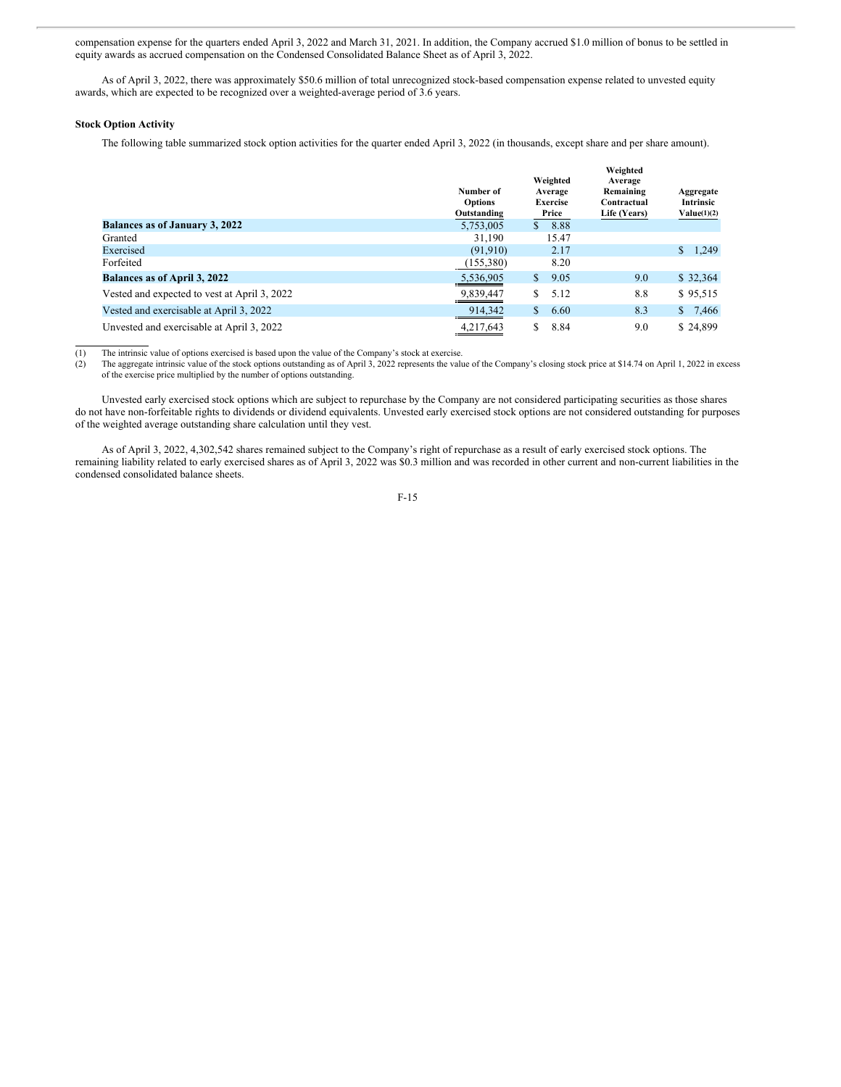compensation expense for the quarters ended April 3, 2022 and March 31, 2021. In addition, the Company accrued \$1.0 million of bonus to be settled in equity awards as accrued compensation on the Condensed Consolidated Balance Sheet as of April 3, 2022.

As of April 3, 2022, there was approximately \$50.6 million of total unrecognized stock-based compensation expense related to unvested equity awards, which are expected to be recognized over a weighted-average period of 3.6 years.

### **Stock Option Activity**

The following table summarized stock option activities for the quarter ended April 3, 2022 (in thousands, except share and per share amount).

|                                              | Number of<br><b>Options</b><br>Outstanding | Weighted<br>Average<br><b>Exercise</b><br>Price | Weighted<br>Average<br>Remaining<br>Contractual<br>Life (Years) | Aggregate<br>Intrinsic<br>Value(1)(2) |
|----------------------------------------------|--------------------------------------------|-------------------------------------------------|-----------------------------------------------------------------|---------------------------------------|
| <b>Balances as of January 3, 2022</b>        | 5,753,005                                  | 8.88<br>S.                                      |                                                                 |                                       |
| Granted                                      | 31.190                                     | 15.47                                           |                                                                 |                                       |
| Exercised                                    | (91, 910)                                  | 2.17                                            |                                                                 | 1,249                                 |
| Forfeited                                    | (155, 380)                                 | 8.20                                            |                                                                 |                                       |
| <b>Balances as of April 3, 2022</b>          | 5,536,905                                  | S.<br>9.05                                      | 9.0                                                             | \$32,364                              |
| Vested and expected to vest at April 3, 2022 | 9,839,447                                  | S<br>5.12                                       | 8.8                                                             | \$95,515                              |
| Vested and exercisable at April 3, 2022      | 914,342                                    | S<br>6.60                                       | 8.3                                                             | \$7,466                               |
| Unvested and exercisable at April 3, 2022    | 4,217,643                                  | S<br>8.84                                       | 9.0                                                             | \$24,899                              |

(1) The intrinsic value of options exercised is based upon the value of the Company's stock at exercise.<br>(2) The aggregate intrinsic value of the stock options outstanding as of April 3, 2022 represents the value of the Co of the exercise price multiplied by the number of options outstanding.

Unvested early exercised stock options which are subject to repurchase by the Company are not considered participating securities as those shares do not have non-forfeitable rights to dividends or dividend equivalents. Unvested early exercised stock options are not considered outstanding for purposes of the weighted average outstanding share calculation until they vest.

As of April 3, 2022, 4,302,542 shares remained subject to the Company's right of repurchase as a result of early exercised stock options. The remaining liability related to early exercised shares as of April 3, 2022 was \$0.3 million and was recorded in other current and non-current liabilities in the condensed consolidated balance sheets.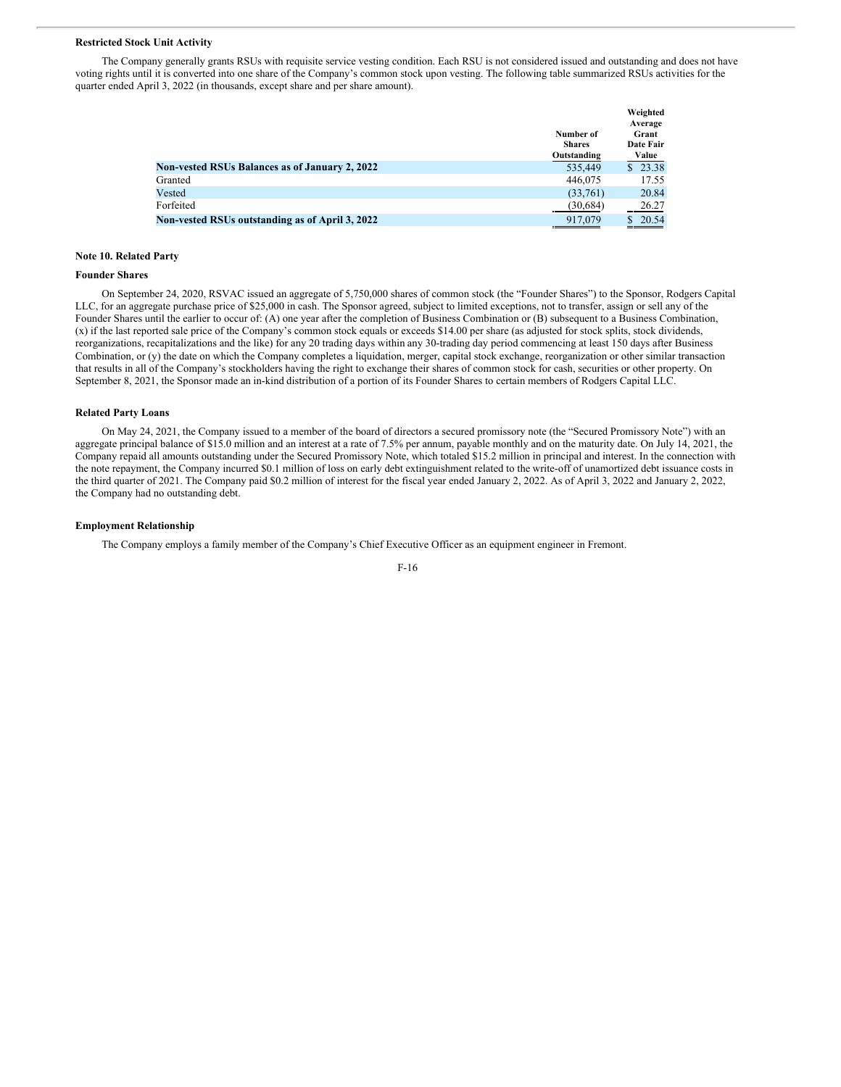#### **Restricted Stock Unit Activity**

The Company generally grants RSUs with requisite service vesting condition. Each RSU is not considered issued and outstanding and does not have voting rights until it is converted into one share of the Company's common stock upon vesting. The following table summarized RSUs activities for the quarter ended April 3, 2022 (in thousands, except share and per share amount).

| Number of<br><b>Shares</b> | Weighted<br>Average<br>Grant<br>Date Fair |
|----------------------------|-------------------------------------------|
| Outstanding                | Value                                     |
| 535,449                    | \$23.38                                   |
| 446,075                    | 17.55                                     |
| (33,761)                   | 20.84                                     |
| (30,684)                   | 26.27                                     |
| 917,079                    | 20.54                                     |
|                            |                                           |

### **Note 10. Related Party**

#### **Founder Shares**

On September 24, 2020, RSVAC issued an aggregate of 5,750,000 shares of common stock (the "Founder Shares") to the Sponsor, Rodgers Capital LLC, for an aggregate purchase price of \$25,000 in cash. The Sponsor agreed, subject to limited exceptions, not to transfer, assign or sell any of the Founder Shares until the earlier to occur of: (A) one year after the completion of Business Combination or (B) subsequent to a Business Combination, (x) if the last reported sale price of the Company's common stock equals or exceeds \$14.00 per share (as adjusted for stock splits, stock dividends, reorganizations, recapitalizations and the like) for any 20 trading days within any 30-trading day period commencing at least 150 days after Business Combination, or (y) the date on which the Company completes a liquidation, merger, capital stock exchange, reorganization or other similar transaction that results in all of the Company's stockholders having the right to exchange their shares of common stock for cash, securities or other property. On September 8, 2021, the Sponsor made an in-kind distribution of a portion of its Founder Shares to certain members of Rodgers Capital LLC.

#### **Related Party Loans**

On May 24, 2021, the Company issued to a member of the board of directors a secured promissory note (the "Secured Promissory Note") with an aggregate principal balance of \$15.0 million and an interest at a rate of 7.5% per annum, payable monthly and on the maturity date. On July 14, 2021, the Company repaid all amounts outstanding under the Secured Promissory Note, which totaled \$15.2 million in principal and interest. In the connection with the note repayment, the Company incurred \$0.1 million of loss on early debt extinguishment related to the write-off of unamortized debt issuance costs in the third quarter of 2021. The Company paid \$0.2 million of interest for the fiscal year ended January 2, 2022. As of April 3, 2022 and January 2, 2022, the Company had no outstanding debt.

#### **Employment Relationship**

The Company employs a family member of the Company's Chief Executive Officer as an equipment engineer in Fremont.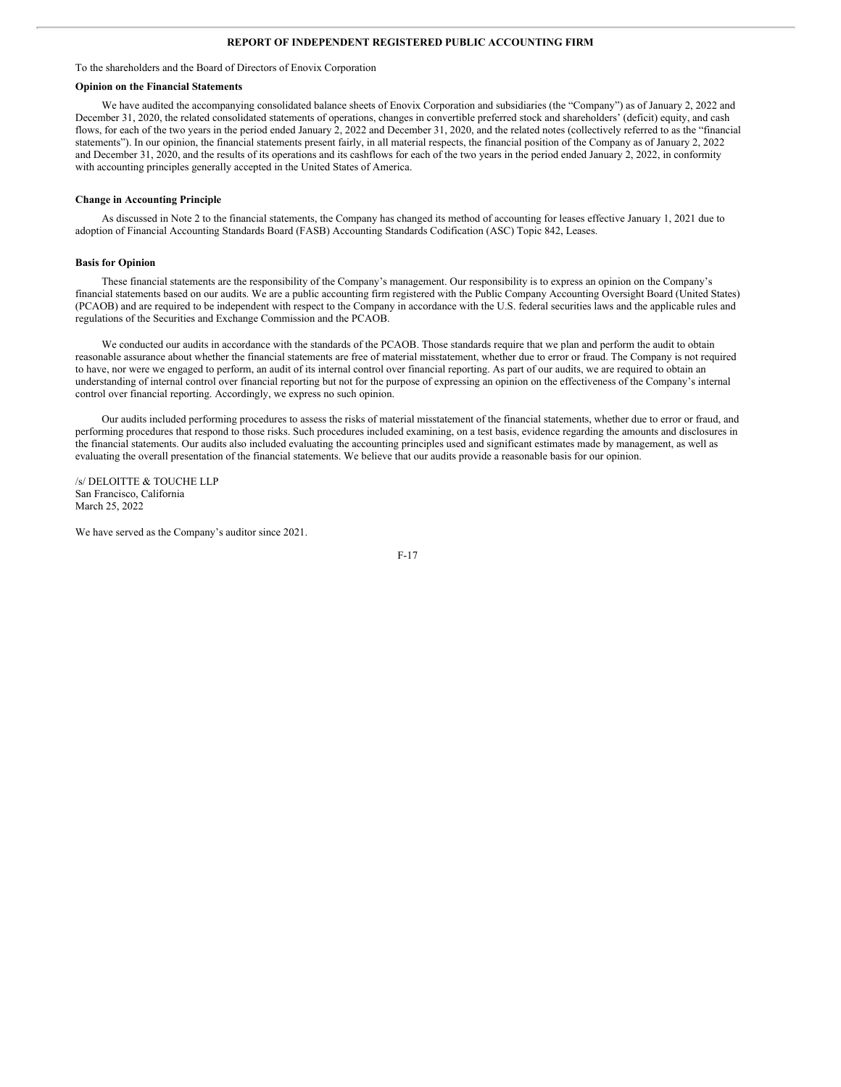### <span id="page-134-0"></span>**REPORT OF INDEPENDENT REGISTERED PUBLIC ACCOUNTING FIRM**

To the shareholders and the Board of Directors of Enovix Corporation

#### **Opinion on the Financial Statements**

We have audited the accompanying consolidated balance sheets of Enovix Corporation and subsidiaries (the "Company") as of January 2, 2022 and December 31, 2020, the related consolidated statements of operations, changes in convertible preferred stock and shareholders' (deficit) equity, and cash flows, for each of the two years in the period ended January 2, 2022 and December 31, 2020, and the related notes (collectively referred to as the "financial") statements"). In our opinion, the financial statements present fairly, in all material respects, the financial position of the Company as of January 2, 2022 and December 31, 2020, and the results of its operations and its cashflows for each of the two years in the period ended January 2, 2022, in conformity with accounting principles generally accepted in the United States of America.

### **Change in Accounting Principle**

As discussed in Note 2 to the financial statements, the Company has changed its method of accounting for leases effective January 1, 2021 due to adoption of Financial Accounting Standards Board (FASB) Accounting Standards Codification (ASC) Topic 842, Leases.

#### **Basis for Opinion**

These financial statements are the responsibility of the Company's management. Our responsibility is to express an opinion on the Company's financial statements based on our audits. We are a public accounting firm registered with the Public Company Accounting Oversight Board (United States) (PCAOB) and are required to be independent with respect to the Company in accordance with the U.S. federal securities laws and the applicable rules and regulations of the Securities and Exchange Commission and the PCAOB.

We conducted our audits in accordance with the standards of the PCAOB. Those standards require that we plan and perform the audit to obtain reasonable assurance about whether the financial statements are free of material misstatement, whether due to error or fraud. The Company is not required to have, nor were we engaged to perform, an audit of its internal control over financial reporting. As part of our audits, we are required to obtain an understanding of internal control over financial reporting but not for the purpose of expressing an opinion on the effectiveness of the Company's internal control over financial reporting. Accordingly, we express no such opinion.

Our audits included performing procedures to assess the risks of material misstatement of the financial statements, whether due to error or fraud, and performing procedures that respond to those risks. Such procedures included examining, on a test basis, evidence regarding the amounts and disclosures in the financial statements. Our audits also included evaluating the accounting principles used and significant estimates made by management, as well as evaluating the overall presentation of the financial statements. We believe that our audits provide a reasonable basis for our opinion.

/s/ DELOITTE & TOUCHE LLP San Francisco, California March 25, 2022

We have served as the Company's auditor since 2021.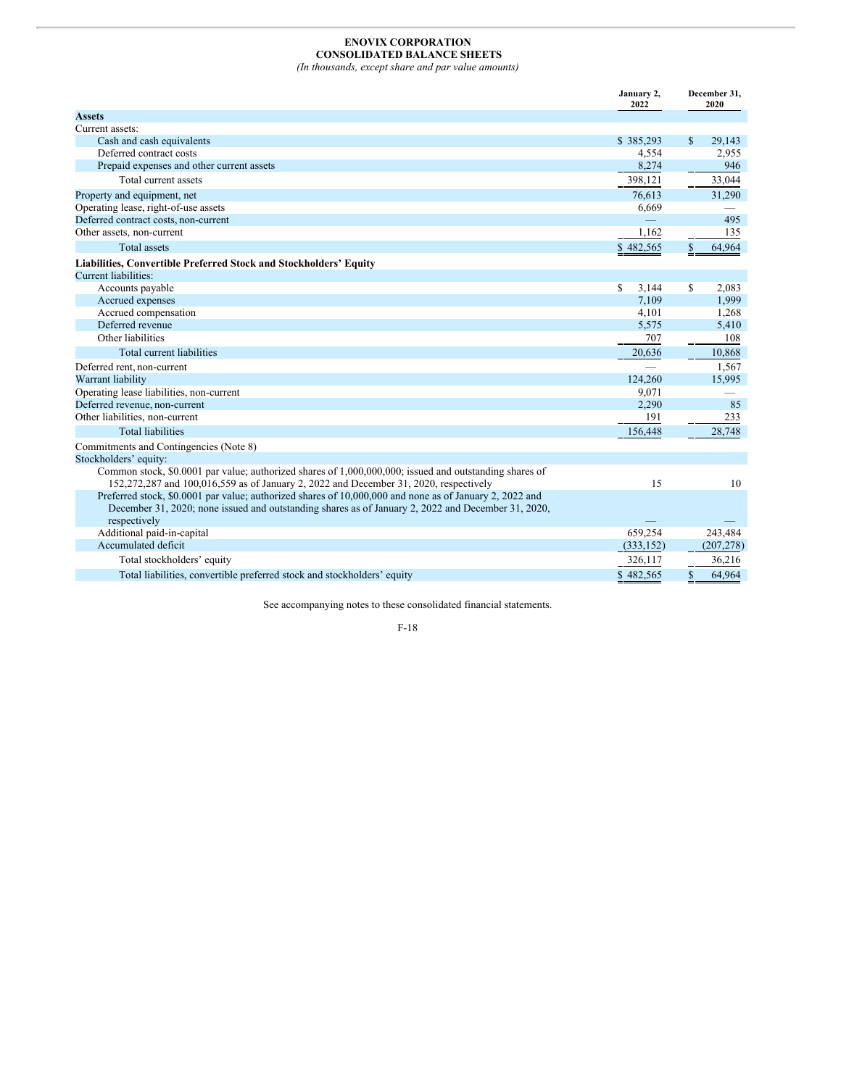### <span id="page-135-0"></span>**ENOVIX CORPORATION CONSOLIDATED BALANCE SHEETS**

*(In thousands, except share and par value amounts)*

|                                                                                                                                                                                                 | January 2,<br>2022 | December 31,<br>2020 |
|-------------------------------------------------------------------------------------------------------------------------------------------------------------------------------------------------|--------------------|----------------------|
| <b>Assets</b>                                                                                                                                                                                   |                    |                      |
| Current assets:                                                                                                                                                                                 |                    |                      |
| Cash and cash equivalents                                                                                                                                                                       | \$385,293          | \$<br>29,143         |
| Deferred contract costs                                                                                                                                                                         | 4,554              | 2,955                |
| Prepaid expenses and other current assets                                                                                                                                                       | 8,274              | 946                  |
| Total current assets                                                                                                                                                                            | 398,121            | 33,044               |
| Property and equipment, net                                                                                                                                                                     | 76,613             | 31,290               |
| Operating lease, right-of-use assets                                                                                                                                                            | 6,669              |                      |
| Deferred contract costs, non-current                                                                                                                                                            |                    | 495                  |
| Other assets, non-current                                                                                                                                                                       | 1.162              | 135                  |
| <b>Total assets</b>                                                                                                                                                                             | \$482,565          | \$<br>64,964         |
| Liabilities, Convertible Preferred Stock and Stockholders' Equity                                                                                                                               |                    |                      |
| Current liabilities:                                                                                                                                                                            |                    |                      |
| Accounts payable                                                                                                                                                                                | \$.<br>3,144       | \$<br>2,083          |
| Accrued expenses                                                                                                                                                                                | 7,109              | 1,999                |
| Accrued compensation                                                                                                                                                                            | 4,101              | 1,268                |
| Deferred revenue                                                                                                                                                                                | 5,575              | 5,410                |
| Other liabilities                                                                                                                                                                               | 707                | 108                  |
| Total current liabilities                                                                                                                                                                       | 20,636             | 10,868               |
| Deferred rent, non-current                                                                                                                                                                      |                    | 1,567                |
| Warrant liability                                                                                                                                                                               | 124,260            | 15,995               |
| Operating lease liabilities, non-current                                                                                                                                                        | 9,071              |                      |
| Deferred revenue, non-current                                                                                                                                                                   | 2,290              | 85                   |
| Other liabilities, non-current                                                                                                                                                                  | 191                | 233                  |
| <b>Total liabilities</b>                                                                                                                                                                        | 156,448            | 28,748               |
| Commitments and Contingencies (Note 8)                                                                                                                                                          |                    |                      |
| Stockholders' equity:                                                                                                                                                                           |                    |                      |
| Common stock, \$0.0001 par value; authorized shares of 1,000,000,000; issued and outstanding shares of<br>152,272,287 and 100,016,559 as of January 2, 2022 and December 31, 2020, respectively | 15                 | 10                   |
| Preferred stock, \$0.0001 par value; authorized shares of 10,000,000 and none as of January 2, 2022 and                                                                                         |                    |                      |
| December 31, 2020; none issued and outstanding shares as of January 2, 2022 and December 31, 2020,                                                                                              |                    |                      |
| respectively                                                                                                                                                                                    |                    |                      |
| Additional paid-in-capital                                                                                                                                                                      | 659,254            | 243,484              |
| Accumulated deficit                                                                                                                                                                             | (333, 152)         | (207, 278)           |
| Total stockholders' equity                                                                                                                                                                      | 326,117            | 36,216               |
| Total liabilities, convertible preferred stock and stockholders' equity                                                                                                                         | \$482,565          | 64,964               |

See accompanying notes to these consolidated financial statements.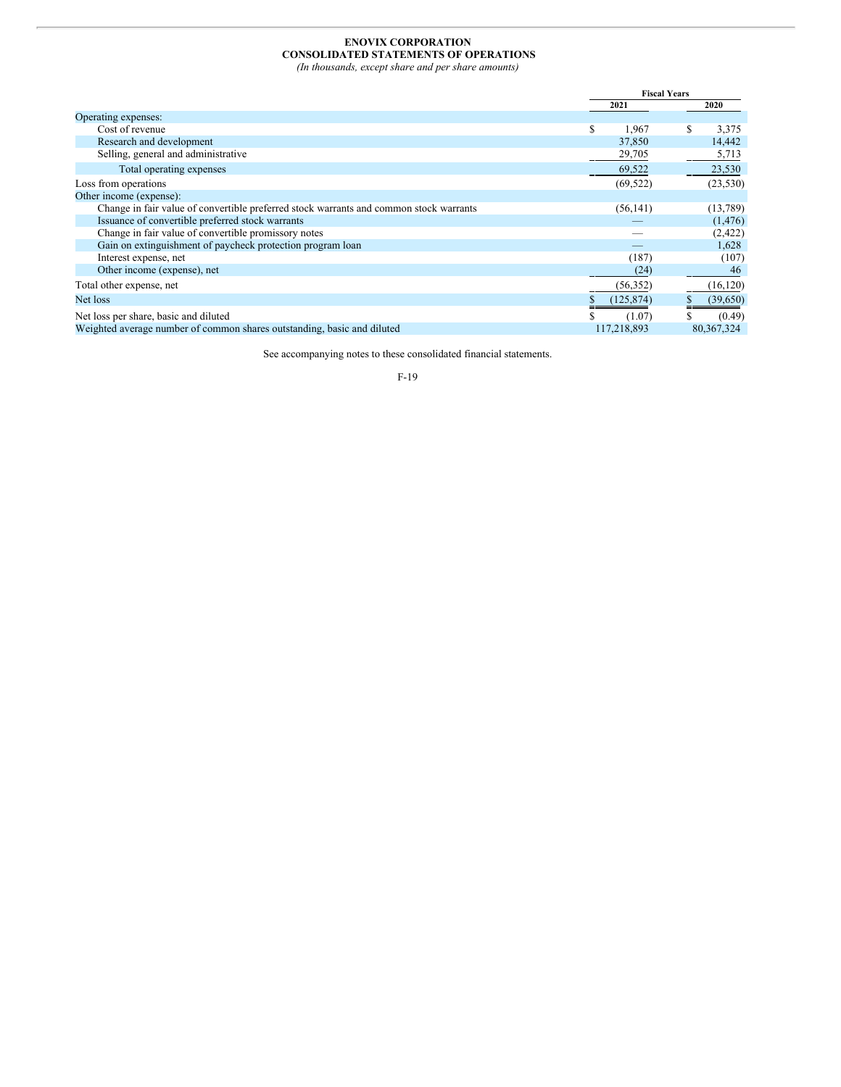# <span id="page-136-0"></span>**ENOVIX CORPORATION CONSOLIDATED STATEMENTS OF OPERATIONS**

*(In thousands, except share and per share amounts)*

|                                                                                        |             | <b>Fiscal Years</b> |              |
|----------------------------------------------------------------------------------------|-------------|---------------------|--------------|
|                                                                                        | 2021        |                     | 2020         |
| Operating expenses:                                                                    |             |                     |              |
| Cost of revenue                                                                        | \$<br>1,967 | \$                  | 3,375        |
| Research and development                                                               | 37,850      |                     | 14,442       |
| Selling, general and administrative                                                    | 29,705      |                     | 5,713        |
| Total operating expenses                                                               | 69,522      |                     | 23,530       |
| Loss from operations                                                                   | (69, 522)   |                     | (23, 530)    |
| Other income (expense):                                                                |             |                     |              |
| Change in fair value of convertible preferred stock warrants and common stock warrants | (56, 141)   |                     | (13,789)     |
| Issuance of convertible preferred stock warrants                                       |             |                     | (1, 476)     |
| Change in fair value of convertible promissory notes                                   |             |                     | (2,422)      |
| Gain on extinguishment of paycheck protection program loan                             |             |                     | 1,628        |
| Interest expense, net                                                                  | (187)       |                     | (107)        |
| Other income (expense), net                                                            | (24)        |                     | 46           |
| Total other expense, net                                                               | (56, 352)   |                     | (16, 120)    |
| Net loss                                                                               | (125, 874)  |                     | (39, 650)    |
| Net loss per share, basic and diluted                                                  | (1.07)      |                     | (0.49)       |
| Weighted average number of common shares outstanding, basic and diluted                | 117,218,893 |                     | 80, 367, 324 |

See accompanying notes to these consolidated financial statements.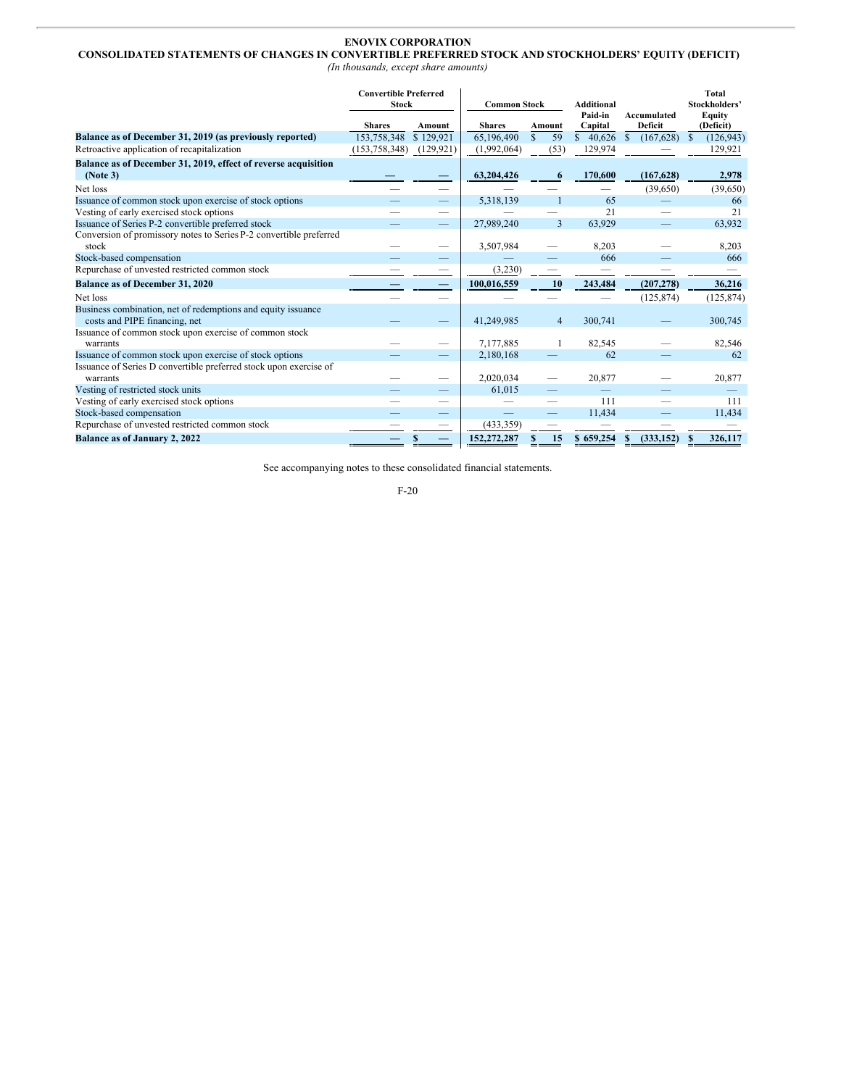# **ENOVIX CORPORATION**

# <span id="page-137-0"></span>**CONSOLIDATED STATEMENTS OF CHANGES IN CONVERTIBLE PREFERRED STOCK AND STOCKHOLDERS' EQUITY (DEFICIT)**

*(In thousands, except share amounts)*

|                                                                                               | <b>Convertible Preferred</b><br><b>Stock</b> |                          | <b>Common Stock</b> |                          | <b>Additional</b><br>Paid-in |                             | Total<br>Stockholders'     |
|-----------------------------------------------------------------------------------------------|----------------------------------------------|--------------------------|---------------------|--------------------------|------------------------------|-----------------------------|----------------------------|
|                                                                                               | <b>Shares</b>                                | Amount                   | <b>Shares</b>       | Amount                   | Capital                      | Accumulated<br>Deficit      | <b>Equity</b><br>(Deficit) |
| Balance as of December 31, 2019 (as previously reported)                                      | 153,758,348                                  | \$129,921                | 65,196,490          | 59<br>$\mathbf S$        | \$40,626                     | (167, 628)<br>$\mathcal{S}$ | <sup>S</sup><br>(126, 943) |
| Retroactive application of recapitalization                                                   | (153, 758, 348)                              | (129, 921)               | (1,992,064)         | (53)                     | 129,974                      |                             | 129,921                    |
| Balance as of December 31, 2019, effect of reverse acquisition<br>(Note 3)                    |                                              |                          | 63,204,426          | 6                        | 170,600                      | (167, 628)                  | 2,978                      |
| Net loss                                                                                      |                                              |                          |                     |                          |                              | (39,650)                    | (39,650)                   |
| Issuance of common stock upon exercise of stock options                                       |                                              |                          | 5,318,139           |                          | 65                           |                             | 66                         |
| Vesting of early exercised stock options                                                      |                                              |                          |                     |                          | 21                           |                             | 21                         |
| Issuance of Series P-2 convertible preferred stock                                            |                                              |                          | 27,989,240          | 3                        | 63,929                       |                             | 63,932                     |
| Conversion of promissory notes to Series P-2 convertible preferred<br>stock                   |                                              |                          | 3,507,984           |                          | 8,203                        |                             | 8,203                      |
| Stock-based compensation                                                                      |                                              |                          |                     |                          | 666                          |                             | 666                        |
| Repurchase of unvested restricted common stock                                                |                                              |                          | (3,230)             |                          |                              |                             |                            |
| <b>Balance as of December 31, 2020</b>                                                        |                                              |                          | 100,016,559         | 10                       | 243,484                      | (207, 278)                  | 36,216                     |
| Net loss                                                                                      |                                              |                          |                     |                          |                              | (125, 874)                  | (125, 874)                 |
| Business combination, net of redemptions and equity issuance<br>costs and PIPE financing, net |                                              |                          | 41.249.985          | $\overline{4}$           | 300,741                      |                             | 300,745                    |
| Issuance of common stock upon exercise of common stock                                        |                                              |                          |                     |                          |                              |                             |                            |
| warrants                                                                                      |                                              |                          | 7,177,885           |                          | 82,545                       |                             | 82,546                     |
| Issuance of common stock upon exercise of stock options                                       |                                              |                          | 2,180,168           |                          | 62                           |                             | 62                         |
| Issuance of Series D convertible preferred stock upon exercise of                             |                                              |                          |                     |                          |                              |                             |                            |
| warrants                                                                                      |                                              | $\overline{\phantom{0}}$ | 2,020,034           | $\overline{\phantom{0}}$ | 20,877                       |                             | 20,877                     |
| Vesting of restricted stock units                                                             |                                              |                          | 61,015              |                          |                              |                             |                            |
| Vesting of early exercised stock options                                                      |                                              |                          |                     |                          | 111                          |                             | 111                        |
| Stock-based compensation                                                                      |                                              |                          |                     |                          | 11,434                       |                             | 11,434                     |
| Repurchase of unvested restricted common stock                                                |                                              |                          | (433, 359)          |                          |                              |                             |                            |
| Balance as of January 2, 2022                                                                 |                                              |                          | 152,272,287         | 15                       | \$659,254                    | (333, 152)                  | 326,117                    |

See accompanying notes to these consolidated financial statements.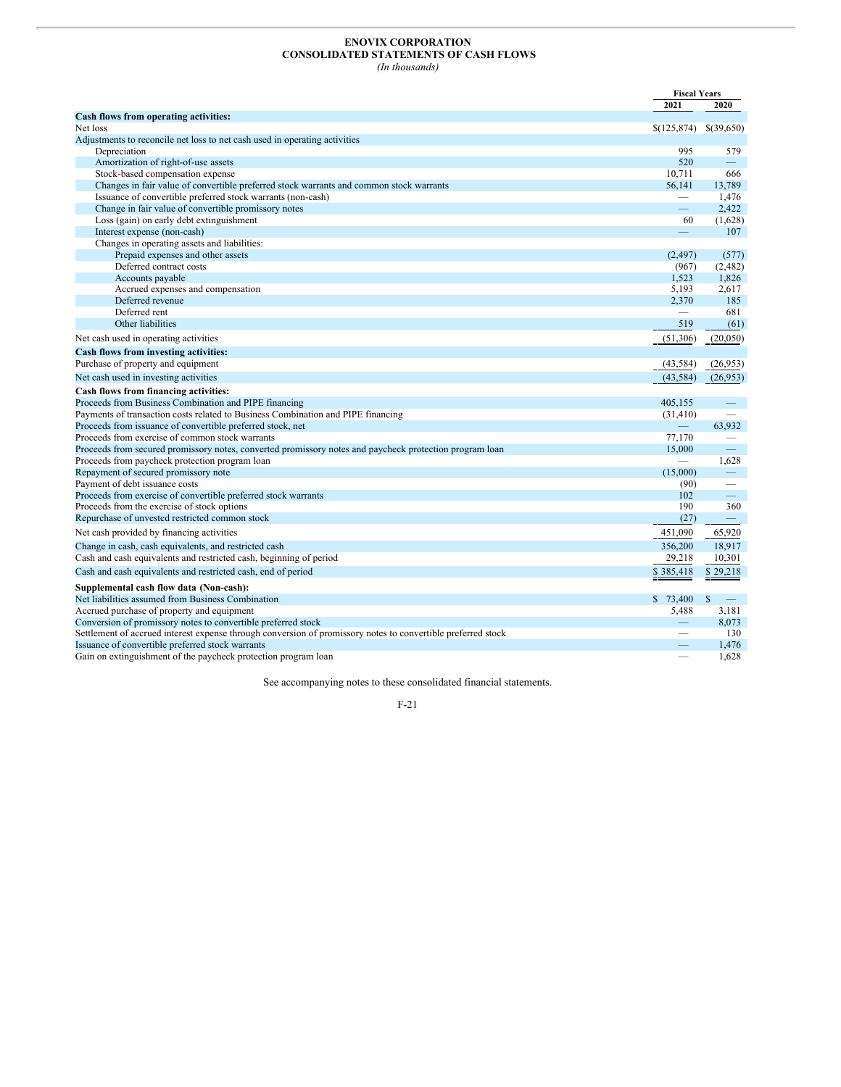### <span id="page-138-0"></span>**ENOVIX CORPORATION CONSOLIDATED STATEMENTS OF CASH FLOWS**

*(In thousands)*

|                                                                                                              | <b>Fiscal Years</b>          |                                          |
|--------------------------------------------------------------------------------------------------------------|------------------------------|------------------------------------------|
|                                                                                                              | 2021                         | 2020                                     |
| Cash flows from operating activities:                                                                        |                              |                                          |
| Net loss                                                                                                     | $$(125,874) \quad $(39,650)$ |                                          |
| Adjustments to reconcile net loss to net cash used in operating activities                                   |                              |                                          |
| Depreciation                                                                                                 | 995                          | 579                                      |
| Amortization of right-of-use assets                                                                          | 520                          | $\overline{\phantom{0}}$                 |
| Stock-based compensation expense                                                                             | 10.711                       | 666                                      |
| Changes in fair value of convertible preferred stock warrants and common stock warrants                      | 56,141                       | 13,789                                   |
| Issuance of convertible preferred stock warrants (non-cash)                                                  | $\equiv$                     | 1,476                                    |
| Change in fair value of convertible promissory notes                                                         | ÷,                           | 2,422                                    |
| Loss (gain) on early debt extinguishment                                                                     | 60                           | (1,628)                                  |
| Interest expense (non-cash)                                                                                  | $\equiv$                     | 107                                      |
| Changes in operating assets and liabilities:                                                                 |                              |                                          |
| Prepaid expenses and other assets                                                                            | (2, 497)                     | (577)                                    |
| Deferred contract costs                                                                                      | (967)                        | (2,482)                                  |
| Accounts payable                                                                                             | 1,523                        | 1,826                                    |
| Accrued expenses and compensation                                                                            | 5.193                        | 2,617                                    |
| Deferred revenue                                                                                             | 2,370                        | 185                                      |
| Deferred rent                                                                                                | $\overline{\phantom{a}}$     | 681                                      |
| Other liabilities                                                                                            | 519                          | (61)                                     |
| Net cash used in operating activities                                                                        | (51,306)                     | (20,050)                                 |
| Cash flows from investing activities:                                                                        |                              |                                          |
| Purchase of property and equipment                                                                           | (43, 584)                    | (26, 953)                                |
| Net cash used in investing activities                                                                        | (43, 584)                    | (26,953)                                 |
| Cash flows from financing activities:                                                                        |                              |                                          |
| Proceeds from Business Combination and PIPE financing                                                        | 405,155                      |                                          |
| Payments of transaction costs related to Business Combination and PIPE financing                             | (31, 410)                    | $\qquad \qquad =$                        |
| Proceeds from issuance of convertible preferred stock, net                                                   | $\equiv$                     | 63,932                                   |
| Proceeds from exercise of common stock warrants                                                              | 77,170                       | $\overline{\phantom{m}}$                 |
| Proceeds from secured promissory notes, converted promissory notes and paycheck protection program loan      | 15,000                       |                                          |
| Proceeds from paycheck protection program loan                                                               | $=$                          | 1,628                                    |
| Repayment of secured promissory note                                                                         | (15,000)                     |                                          |
| Payment of debt issuance costs                                                                               | (90)                         |                                          |
| Proceeds from exercise of convertible preferred stock warrants                                               | 102                          |                                          |
| Proceeds from the exercise of stock options                                                                  | 190                          | 360                                      |
| Repurchase of unvested restricted common stock                                                               | (27)                         | $\overline{\phantom{m}}$                 |
| Net cash provided by financing activities                                                                    | 451,090                      | 65,920                                   |
| Change in cash, cash equivalents, and restricted cash                                                        | 356,200                      | 18,917                                   |
| Cash and cash equivalents and restricted cash, beginning of period                                           | 29,218                       | 10,301                                   |
| Cash and cash equivalents and restricted cash, end of period                                                 | \$385,418                    | \$29,218                                 |
| Supplemental cash flow data (Non-cash):                                                                      |                              |                                          |
| Net liabilities assumed from Business Combination                                                            | \$73,400                     | $\mathbb{S}$<br>$\overline{\phantom{m}}$ |
| Accrued purchase of property and equipment                                                                   | 5,488                        | 3.181                                    |
| Conversion of promissory notes to convertible preferred stock                                                |                              | 8,073                                    |
| Settlement of accrued interest expense through conversion of promissory notes to convertible preferred stock |                              | 130                                      |
| Issuance of convertible preferred stock warrants                                                             |                              | 1,476                                    |
| Gain on extinguishment of the paycheck protection program loan                                               |                              | 1,628                                    |

See accompanying notes to these consolidated financial statements.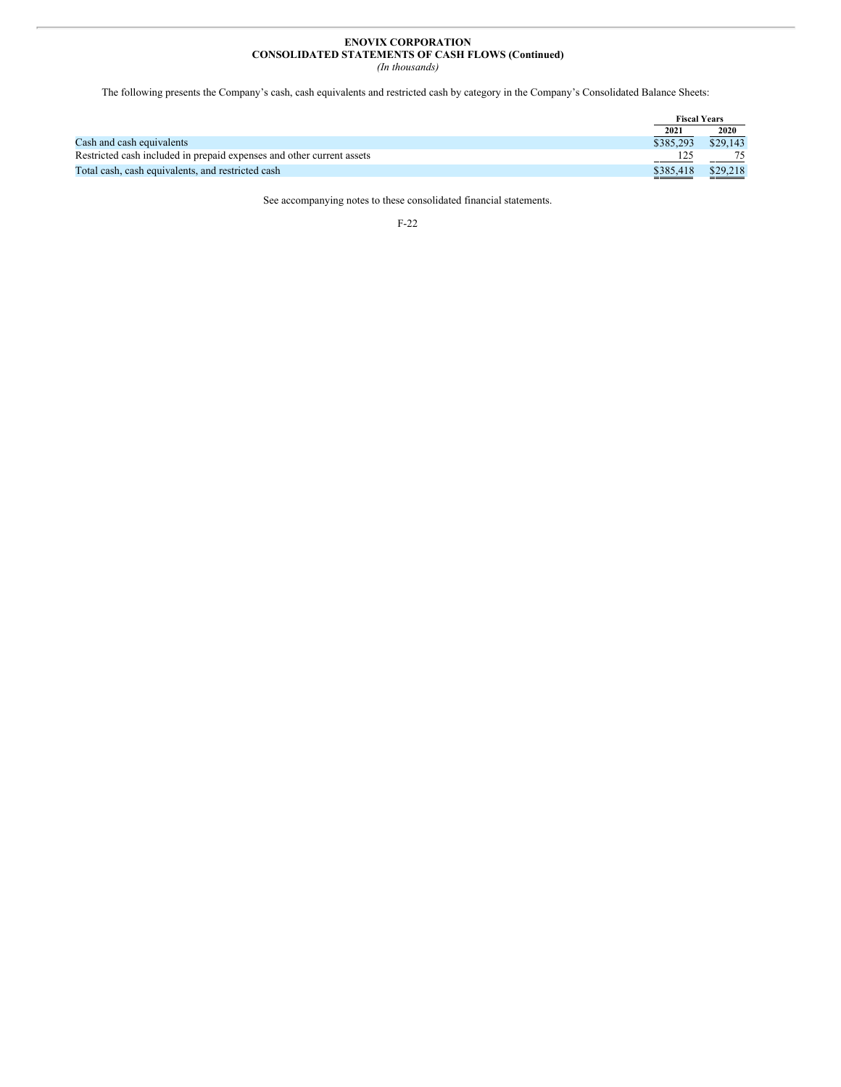# **ENOVIX CORPORATION CONSOLIDATED STATEMENTS OF CASH FLOWS (Continued)**

*(In thousands)*

The following presents the Company's cash, cash equivalents and restricted cash by category in the Company's Consolidated Balance Sheets:

|                                                                       | <b>Fiscal Years</b> |                   |
|-----------------------------------------------------------------------|---------------------|-------------------|
|                                                                       | 2021                | 2020              |
| Cash and cash equivalents                                             | \$385,293           | \$29.143          |
| Restricted cash included in prepaid expenses and other current assets |                     |                   |
| Total cash, cash equivalents, and restricted cash                     | \$385,418<br>______ | \$29,218<br>_____ |

See accompanying notes to these consolidated financial statements.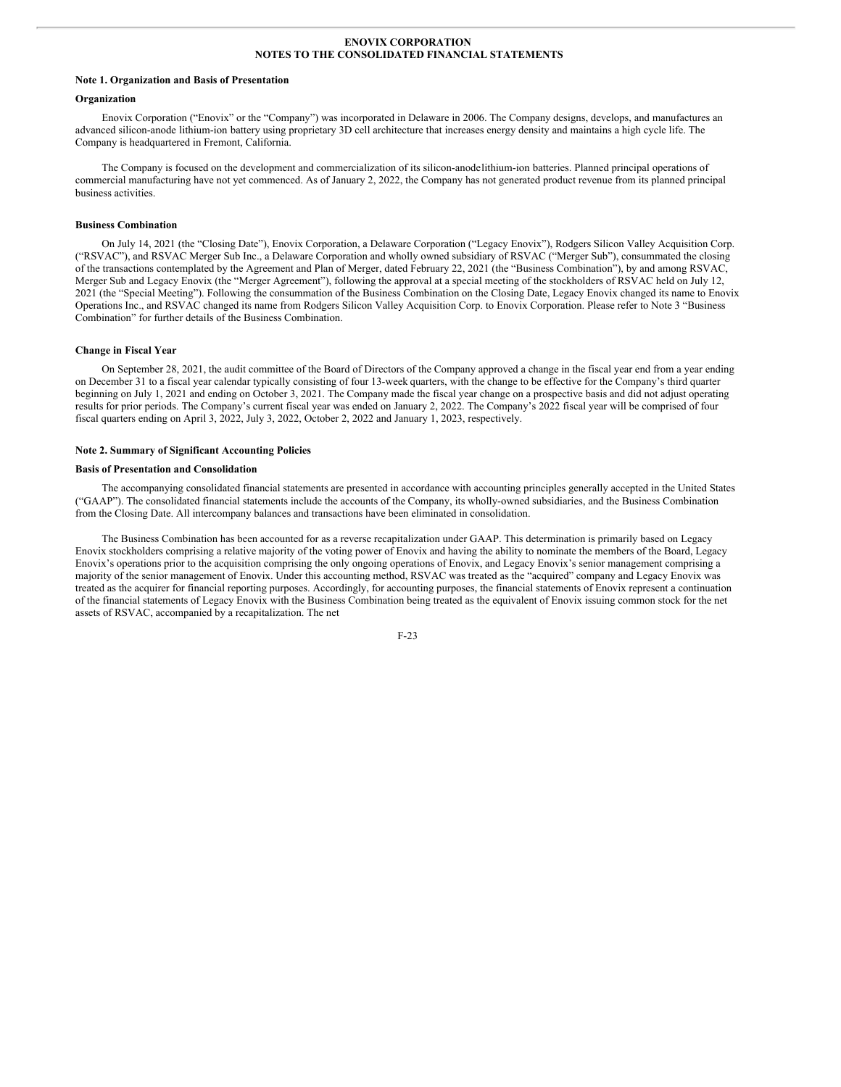#### <span id="page-140-0"></span>**Note 1. Organization and Basis of Presentation**

# **Organization**

Enovix Corporation ("Enovix" or the "Company") was incorporated in Delaware in 2006. The Company designs, develops, and manufactures an advanced silicon-anode lithium-ion battery using proprietary 3D cell architecture that increases energy density and maintains a high cycle life. The Company is headquartered in Fremont, California.

The Company is focused on the development and commercialization of its silicon-anodelithium-ion batteries. Planned principal operations of commercial manufacturing have not yet commenced. As of January 2, 2022, the Company has not generated product revenue from its planned principal business activities.

### **Business Combination**

On July 14, 2021 (the "Closing Date"), Enovix Corporation, a Delaware Corporation ("Legacy Enovix"), Rodgers Silicon Valley Acquisition Corp. ("RSVAC"), and RSVAC Merger Sub Inc., a Delaware Corporation and wholly owned subsidiary of RSVAC ("Merger Sub"), consummated the closing of the transactions contemplated by the Agreement and Plan of Merger, dated February 22, 2021 (the "Business Combination"), by and among RSVAC, Merger Sub and Legacy Enovix (the "Merger Agreement"), following the approval at a special meeting of the stockholders of RSVAC held on July 12, 2021 (the "Special Meeting"). Following the consummation of the Business Combination on the Closing Date, Legacy Enovix changed its name to Enovix Operations Inc., and RSVAC changed its name from Rodgers Silicon Valley Acquisition Corp. to Enovix Corporation. Please refer to Note 3 "Business Combination" for further details of the Business Combination.

#### **Change in Fiscal Year**

On September 28, 2021, the audit committee of the Board of Directors of the Company approved a change in the fiscal year end from a year ending on December 31 to a fiscal year calendar typically consisting of four 13-week quarters, with the change to be effective for the Company's third quarter beginning on July 1, 2021 and ending on October 3, 2021. The Company made the fiscal year change on a prospective basis and did not adjust operating results for prior periods. The Company's current fiscal year was ended on January 2, 2022. The Company's 2022 fiscal year will be comprised of four fiscal quarters ending on April 3, 2022, July 3, 2022, October 2, 2022 and January 1, 2023, respectively.

### **Note 2. Summary of Significant Accounting Policies**

#### **Basis of Presentation and Consolidation**

The accompanying consolidated financial statements are presented in accordance with accounting principles generally accepted in the United States ("GAAP"). The consolidated financial statements include the accounts of the Company, its wholly-owned subsidiaries, and the Business Combination from the Closing Date. All intercompany balances and transactions have been eliminated in consolidation.

The Business Combination has been accounted for as a reverse recapitalization under GAAP. This determination is primarily based on Legacy Enovix stockholders comprising a relative majority of the voting power of Enovix and having the ability to nominate the members of the Board, Legacy Enovix's operations prior to the acquisition comprising the only ongoing operations of Enovix, and Legacy Enovix's senior management comprising a majority of the senior management of Enovix. Under this accounting method, RSVAC was treated as the "acquired" company and Legacy Enovix was treated as the acquirer for financial reporting purposes. Accordingly, for accounting purposes, the financial statements of Enovix represent a continuation of the financial statements of Legacy Enovix with the Business Combination being treated as the equivalent of Enovix issuing common stock for the net assets of RSVAC, accompanied by a recapitalization. The net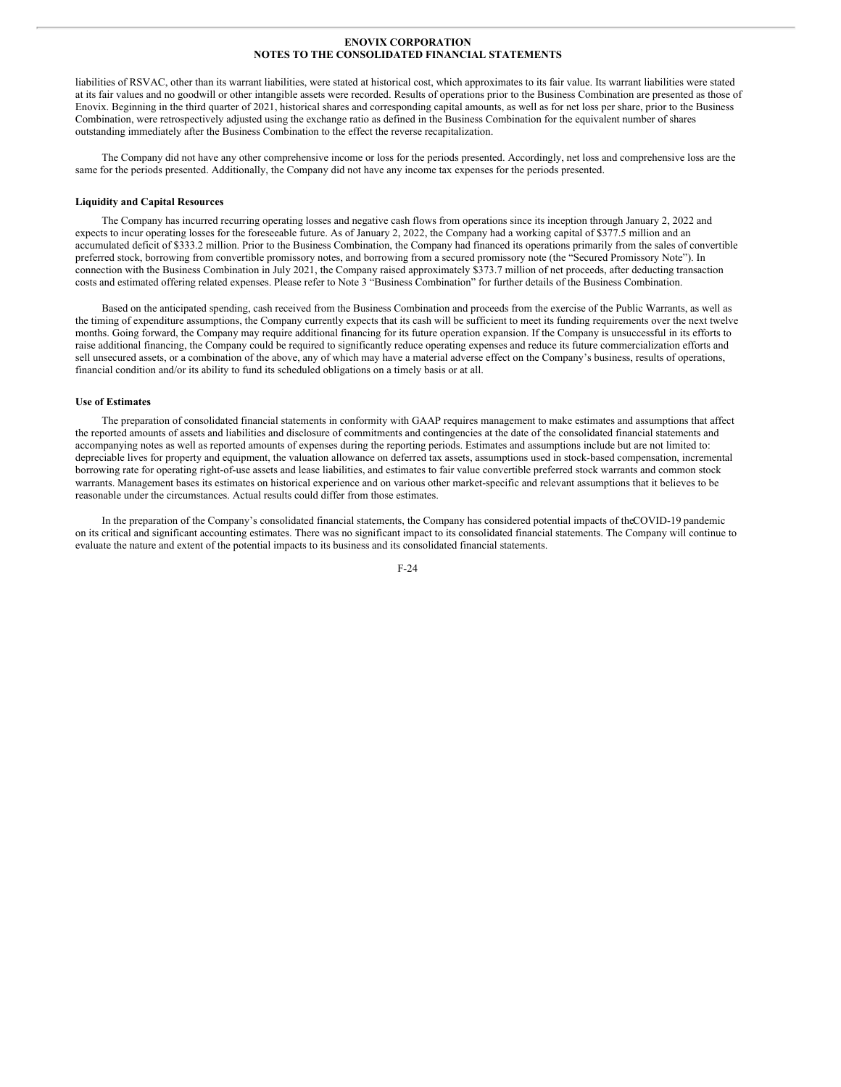liabilities of RSVAC, other than its warrant liabilities, were stated at historical cost, which approximates to its fair value. Its warrant liabilities were stated at its fair values and no goodwill or other intangible assets were recorded. Results of operations prior to the Business Combination are presented as those of Enovix. Beginning in the third quarter of 2021, historical shares and corresponding capital amounts, as well as for net loss per share, prior to the Business Combination, were retrospectively adjusted using the exchange ratio as defined in the Business Combination for the equivalent number of shares outstanding immediately after the Business Combination to the effect the reverse recapitalization.

The Company did not have any other comprehensive income or loss for the periods presented. Accordingly, net loss and comprehensive loss are the same for the periods presented. Additionally, the Company did not have any income tax expenses for the periods presented.

### **Liquidity and Capital Resources**

The Company has incurred recurring operating losses and negative cash flows from operations since its inception through January 2, 2022 and expects to incur operating losses for the foreseeable future. As of January 2, 2022, the Company had a working capital of \$377.5 million and an accumulated deficit of \$333.2 million. Prior to the Business Combination, the Company had financed its operations primarily from the sales of convertible preferred stock, borrowing from convertible promissory notes, and borrowing from a secured promissory note (the "Secured Promissory Note"). In connection with the Business Combination in July 2021, the Company raised approximately \$373.7 million of net proceeds, after deducting transaction costs and estimated offering related expenses. Please refer to Note 3 "Business Combination" for further details of the Business Combination.

Based on the anticipated spending, cash received from the Business Combination and proceeds from the exercise of the Public Warrants, as well as the timing of expenditure assumptions, the Company currently expects that its cash will be sufficient to meet its funding requirements over the next twelve months. Going forward, the Company may require additional financing for its future operation expansion. If the Company is unsuccessful in its efforts to raise additional financing, the Company could be required to significantly reduce operating expenses and reduce its future commercialization efforts and sell unsecured assets, or a combination of the above, any of which may have a material adverse effect on the Company's business, results of operations, financial condition and/or its ability to fund its scheduled obligations on a timely basis or at all.

#### **Use of Estimates**

The preparation of consolidated financial statements in conformity with GAAP requires management to make estimates and assumptions that affect the reported amounts of assets and liabilities and disclosure of commitments and contingencies at the date of the consolidated financial statements and accompanying notes as well as reported amounts of expenses during the reporting periods. Estimates and assumptions include but are not limited to: depreciable lives for property and equipment, the valuation allowance on deferred tax assets, assumptions used in stock-based compensation, incremental borrowing rate for operating right-of-use assets and lease liabilities, and estimates to fair value convertible preferred stock warrants and common stock warrants. Management bases its estimates on historical experience and on various other market-specific and relevant assumptions that it believes to be reasonable under the circumstances. Actual results could differ from those estimates.

In the preparation of the Company's consolidated financial statements, the Company has considered potential impacts of theCOVID-19 pandemic on its critical and significant accounting estimates. There was no significant impact to its consolidated financial statements. The Company will continue to evaluate the nature and extent of the potential impacts to its business and its consolidated financial statements.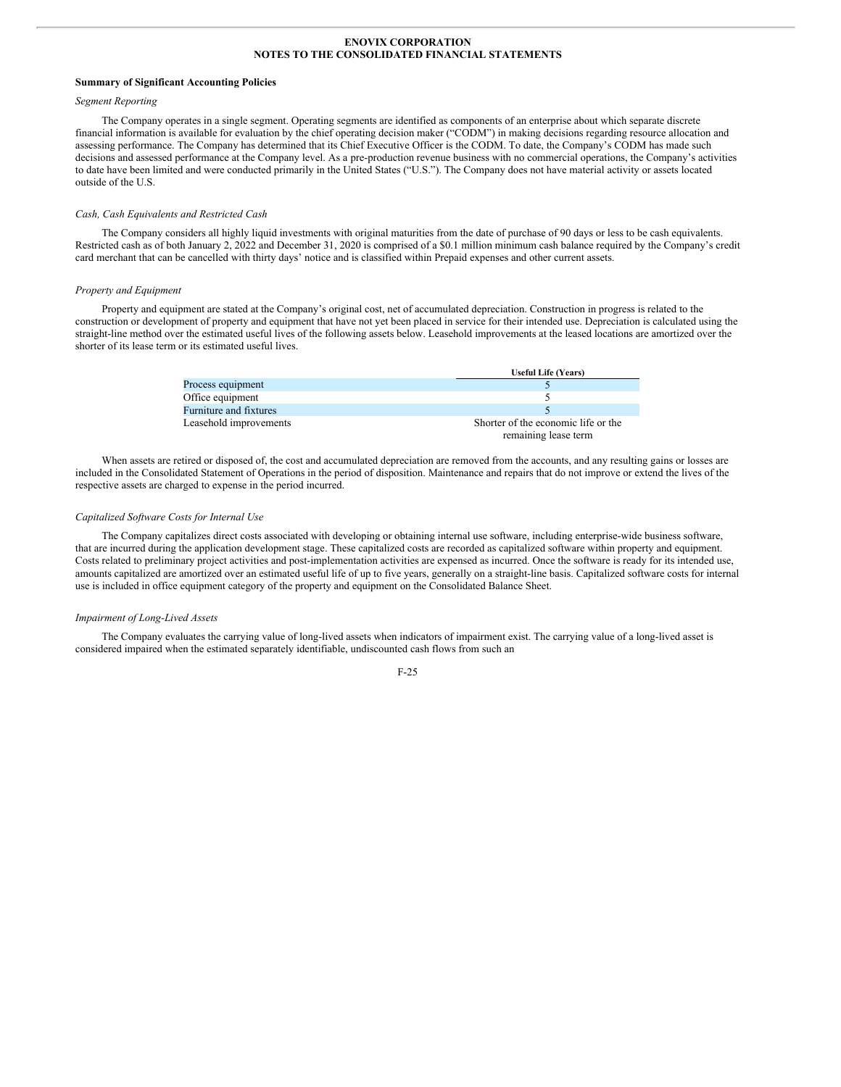### **Summary of Significant Accounting Policies**

### *Segment Reporting*

The Company operates in a single segment. Operating segments are identified as components of an enterprise about which separate discrete financial information is available for evaluation by the chief operating decision maker ("CODM") in making decisions regarding resource allocation and assessing performance. The Company has determined that its Chief Executive Officer is the CODM. To date, the Company's CODM has made such decisions and assessed performance at the Company level. As a pre-production revenue business with no commercial operations, the Company's activities to date have been limited and were conducted primarily in the United States ("U.S."). The Company does not have material activity or assets located outside of the U.S.

### *Cash, Cash Equivalents and Restricted Cash*

The Company considers all highly liquid investments with original maturities from the date of purchase of 90 days or less to be cash equivalents. Restricted cash as of both January 2, 2022 and December 31, 2020 is comprised of a \$0.1 million minimum cash balance required by the Company's credit card merchant that can be cancelled with thirty days' notice and is classified within Prepaid expenses and other current assets.

#### *Property and Equipment*

Property and equipment are stated at the Company's original cost, net of accumulated depreciation. Construction in progress is related to the construction or development of property and equipment that have not yet been placed in service for their intended use. Depreciation is calculated using the straight-line method over the estimated useful lives of the following assets below. Leasehold improvements at the leased locations are amortized over the shorter of its lease term or its estimated useful lives.

|                        | <b>Useful Life (Years)</b>          |
|------------------------|-------------------------------------|
| Process equipment      |                                     |
| Office equipment       |                                     |
| Furniture and fixtures |                                     |
| Leasehold improvements | Shorter of the economic life or the |
|                        | remaining lease term                |

When assets are retired or disposed of, the cost and accumulated depreciation are removed from the accounts, and any resulting gains or losses are included in the Consolidated Statement of Operations in the period of disposition. Maintenance and repairs that do not improve or extend the lives of the respective assets are charged to expense in the period incurred.

#### *Capitalized Software Costs for Internal Use*

The Company capitalizes direct costs associated with developing or obtaining internal use software, including enterprise-wide business software, that are incurred during the application development stage. These capitalized costs are recorded as capitalized software within property and equipment. Costs related to preliminary project activities and post-implementation activities are expensed as incurred. Once the software is ready for its intended use, amounts capitalized are amortized over an estimated useful life of up to five years, generally on a straight-line basis. Capitalized software costs for internal use is included in office equipment category of the property and equipment on the Consolidated Balance Sheet.

#### *Impairment of Long-Lived Assets*

The Company evaluates the carrying value of long-lived assets when indicators of impairment exist. The carrying value of a long-lived asset is considered impaired when the estimated separately identifiable, undiscounted cash flows from such an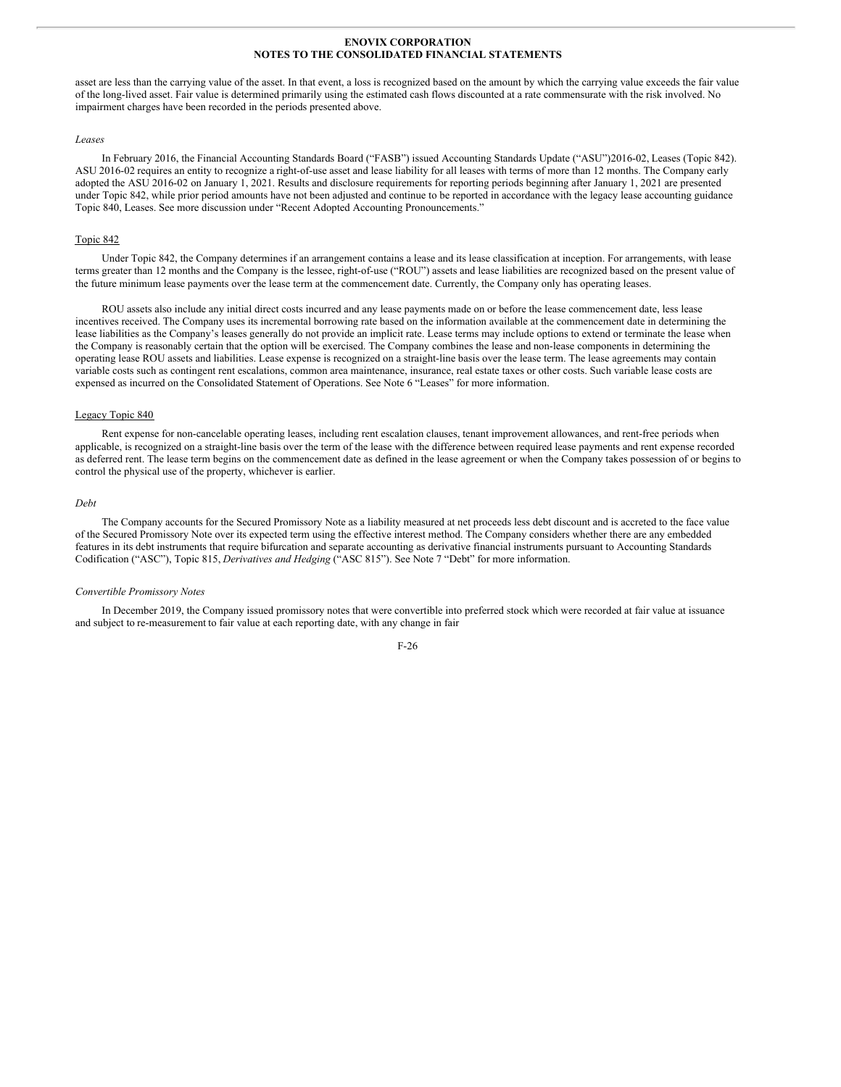asset are less than the carrying value of the asset. In that event, a loss is recognized based on the amount by which the carrying value exceeds the fair value of the long-lived asset. Fair value is determined primarily using the estimated cash flows discounted at a rate commensurate with the risk involved. No impairment charges have been recorded in the periods presented above.

#### *Leases*

In February 2016, the Financial Accounting Standards Board ("FASB") issued Accounting Standards Update ("ASU")2016-02, Leases (Topic 842). ASU 2016-02 requires an entity to recognize a right-of-use asset and lease liability for all leases with terms of more than 12 months. The Company early adopted the ASU 2016-02 on January 1, 2021. Results and disclosure requirements for reporting periods beginning after January 1, 2021 are presented under Topic 842, while prior period amounts have not been adjusted and continue to be reported in accordance with the legacy lease accounting guidance Topic 840, Leases. See more discussion under "Recent Adopted Accounting Pronouncements."

### Topic 842

Under Topic 842, the Company determines if an arrangement contains a lease and its lease classification at inception. For arrangements, with lease terms greater than 12 months and the Company is the lessee, right-of-use ("ROU") assets and lease liabilities are recognized based on the present value of the future minimum lease payments over the lease term at the commencement date. Currently, the Company only has operating leases.

ROU assets also include any initial direct costs incurred and any lease payments made on or before the lease commencement date, less lease incentives received. The Company uses its incremental borrowing rate based on the information available at the commencement date in determining the lease liabilities as the Company's leases generally do not provide an implicit rate. Lease terms may include options to extend or terminate the lease when the Company is reasonably certain that the option will be exercised. The Company combines the lease and non-lease components in determining the operating lease ROU assets and liabilities. Lease expense is recognized on a straight-line basis over the lease term. The lease agreements may contain variable costs such as contingent rent escalations, common area maintenance, insurance, real estate taxes or other costs. Such variable lease costs are expensed as incurred on the Consolidated Statement of Operations. See Note 6 "Leases" for more information.

#### Legacy Topic 840

Rent expense for non-cancelable operating leases, including rent escalation clauses, tenant improvement allowances, and rent-free periods when applicable, is recognized on a straight-line basis over the term of the lease with the difference between required lease payments and rent expense recorded as deferred rent. The lease term begins on the commencement date as defined in the lease agreement or when the Company takes possession of or begins to control the physical use of the property, whichever is earlier.

#### *Debt*

The Company accounts for the Secured Promissory Note as a liability measured at net proceeds less debt discount and is accreted to the face value of the Secured Promissory Note over its expected term using the effective interest method. The Company considers whether there are any embedded features in its debt instruments that require bifurcation and separate accounting as derivative financial instruments pursuant to Accounting Standards Codification ("ASC"), Topic 815, *Derivatives and Hedging* ("ASC 815"). See Note 7 "Debt" for more information.

### *Convertible Promissory Notes*

In December 2019, the Company issued promissory notes that were convertible into preferred stock which were recorded at fair value at issuance and subject to re-measurement to fair value at each reporting date, with any change in fair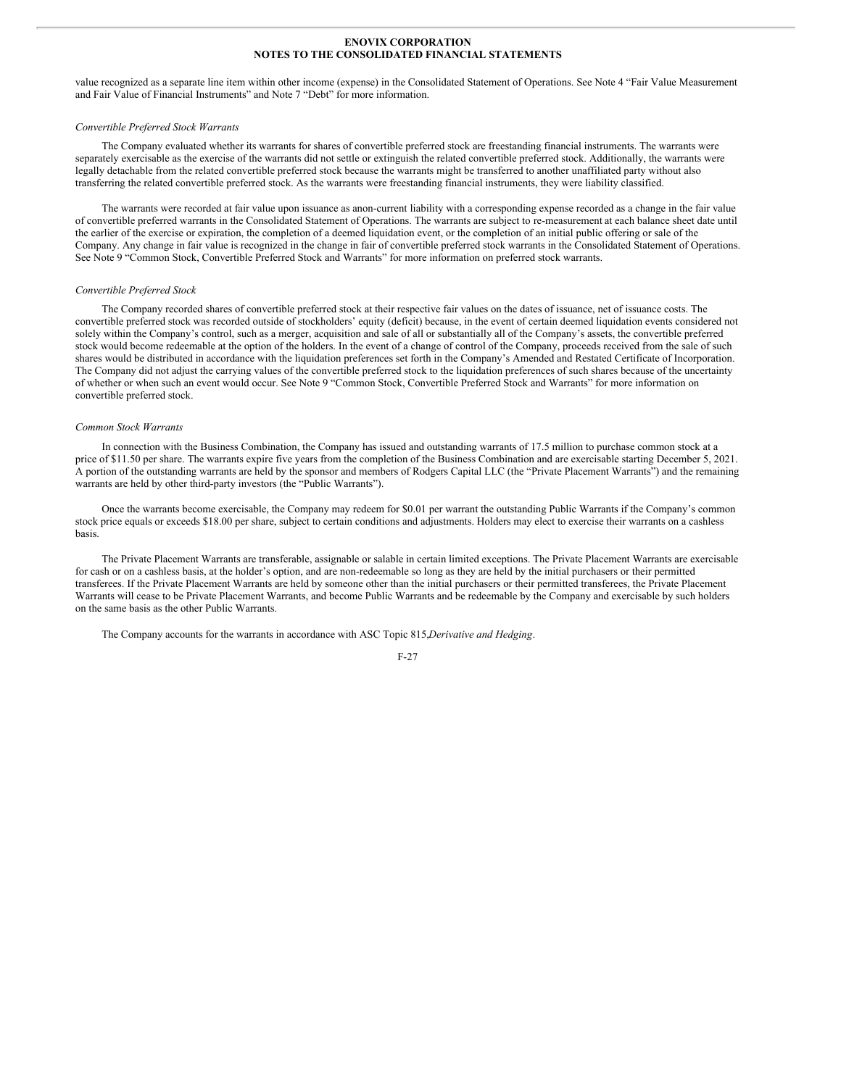value recognized as a separate line item within other income (expense) in the Consolidated Statement of Operations. See Note 4 "Fair Value Measurement and Fair Value of Financial Instruments" and Note 7 "Debt" for more information.

# *Convertible Preferred Stock Warrants*

The Company evaluated whether its warrants for shares of convertible preferred stock are freestanding financial instruments. The warrants were separately exercisable as the exercise of the warrants did not settle or extinguish the related convertible preferred stock. Additionally, the warrants were legally detachable from the related convertible preferred stock because the warrants might be transferred to another unaffiliated party without also transferring the related convertible preferred stock. As the warrants were freestanding financial instruments, they were liability classified.

The warrants were recorded at fair value upon issuance as anon-current liability with a corresponding expense recorded as a change in the fair value of convertible preferred warrants in the Consolidated Statement of Operations. The warrants are subject to re-measurement at each balance sheet date until the earlier of the exercise or expiration, the completion of a deemed liquidation event, or the completion of an initial public offering or sale of the Company. Any change in fair value is recognized in the change in fair of convertible preferred stock warrants in the Consolidated Statement of Operations. See Note 9 "Common Stock, Convertible Preferred Stock and Warrants" for more information on preferred stock warrants.

#### *Convertible Preferred Stock*

The Company recorded shares of convertible preferred stock at their respective fair values on the dates of issuance, net of issuance costs. The convertible preferred stock was recorded outside of stockholders' equity (deficit) because, in the event of certain deemed liquidation events considered not solely within the Company's control, such as a merger, acquisition and sale of all or substantially all of the Company's assets, the convertible preferred stock would become redeemable at the option of the holders. In the event of a change of control of the Company, proceeds received from the sale of such shares would be distributed in accordance with the liquidation preferences set forth in the Company's Amended and Restated Certificate of Incorporation. The Company did not adjust the carrying values of the convertible preferred stock to the liquidation preferences of such shares because of the uncertainty of whether or when such an event would occur. See Note 9 "Common Stock, Convertible Preferred Stock and Warrants" for more information on convertible preferred stock.

# *Common Stock Warrants*

In connection with the Business Combination, the Company has issued and outstanding warrants of 17.5 million to purchase common stock at a price of \$11.50 per share. The warrants expire five years from the completion of the Business Combination and are exercisable starting December 5, 2021. A portion of the outstanding warrants are held by the sponsor and members of Rodgers Capital LLC (the "Private Placement Warrants") and the remaining warrants are held by other third-party investors (the "Public Warrants").

Once the warrants become exercisable, the Company may redeem for \$0.01 per warrant the outstanding Public Warrants if the Company's common stock price equals or exceeds \$18.00 per share, subject to certain conditions and adjustments. Holders may elect to exercise their warrants on a cashless basis.

The Private Placement Warrants are transferable, assignable or salable in certain limited exceptions. The Private Placement Warrants are exercisable for cash or on a cashless basis, at the holder's option, and are non-redeemable so long as they are held by the initial purchasers or their permitted transferees. If the Private Placement Warrants are held by someone other than the initial purchasers or their permitted transferees, the Private Placement Warrants will cease to be Private Placement Warrants, and become Public Warrants and be redeemable by the Company and exercisable by such holders on the same basis as the other Public Warrants.

The Company accounts for the warrants in accordance with ASC Topic 815,*Derivative and Hedging*.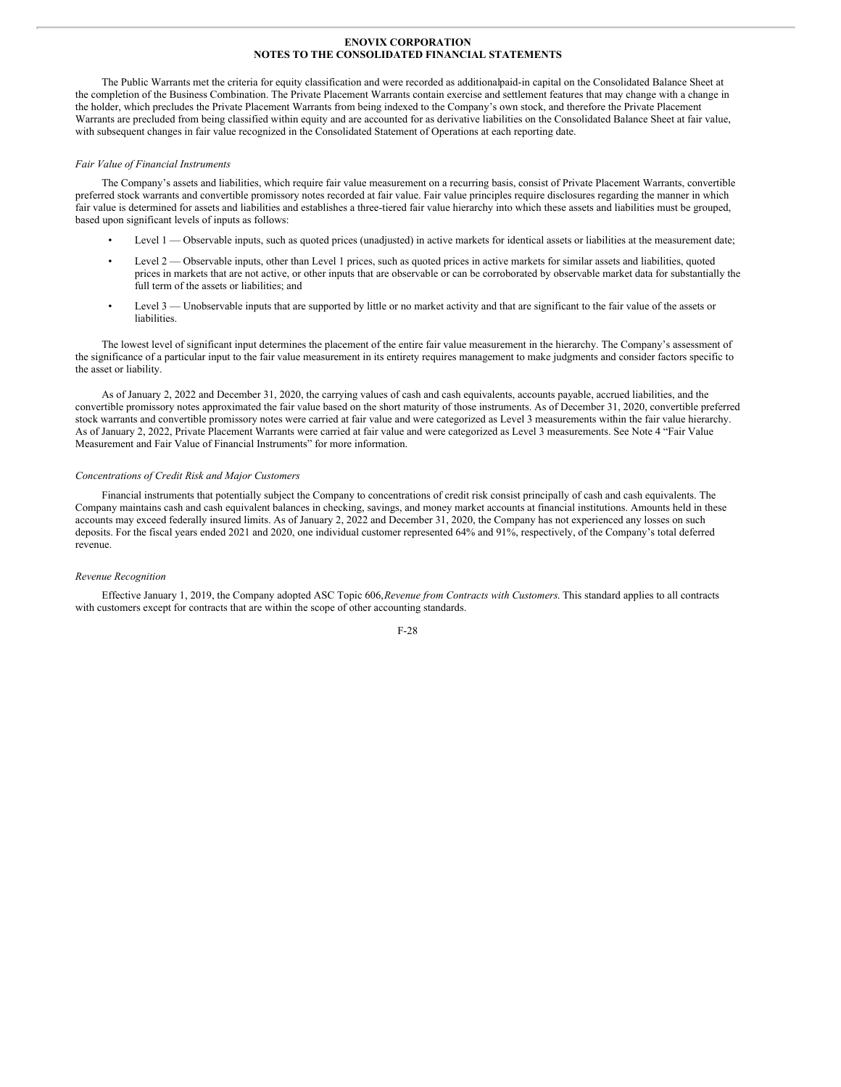The Public Warrants met the criteria for equity classification and were recorded as additionalpaid-in capital on the Consolidated Balance Sheet at the completion of the Business Combination. The Private Placement Warrants contain exercise and settlement features that may change with a change in the holder, which precludes the Private Placement Warrants from being indexed to the Company's own stock, and therefore the Private Placement Warrants are precluded from being classified within equity and are accounted for as derivative liabilities on the Consolidated Balance Sheet at fair value, with subsequent changes in fair value recognized in the Consolidated Statement of Operations at each reporting date.

# *Fair Value of Financial Instruments*

The Company's assets and liabilities, which require fair value measurement on a recurring basis, consist of Private Placement Warrants, convertible preferred stock warrants and convertible promissory notes recorded at fair value. Fair value principles require disclosures regarding the manner in which fair value is determined for assets and liabilities and establishes a three-tiered fair value hierarchy into which these assets and liabilities must be grouped, based upon significant levels of inputs as follows:

- Level 1 Observable inputs, such as quoted prices (unadjusted) in active markets for identical assets or liabilities at the measurement date;
- Level 2 Observable inputs, other than Level 1 prices, such as quoted prices in active markets for similar assets and liabilities, quoted prices in markets that are not active, or other inputs that are observable or can be corroborated by observable market data for substantially the full term of the assets or liabilities; and
- Level 3 Unobservable inputs that are supported by little or no market activity and that are significant to the fair value of the assets or liabilities.

The lowest level of significant input determines the placement of the entire fair value measurement in the hierarchy. The Company's assessment of the significance of a particular input to the fair value measurement in its entirety requires management to make judgments and consider factors specific to the asset or liability.

As of January 2, 2022 and December 31, 2020, the carrying values of cash and cash equivalents, accounts payable, accrued liabilities, and the convertible promissory notes approximated the fair value based on the short maturity of those instruments. As of December 31, 2020, convertible preferred stock warrants and convertible promissory notes were carried at fair value and were categorized as Level 3 measurements within the fair value hierarchy. As of January 2, 2022, Private Placement Warrants were carried at fair value and were categorized as Level 3 measurements. See Note 4 "Fair Value Measurement and Fair Value of Financial Instruments" for more information.

# *Concentrations of Credit Risk and Major Customers*

Financial instruments that potentially subject the Company to concentrations of credit risk consist principally of cash and cash equivalents. The Company maintains cash and cash equivalent balances in checking, savings, and money market accounts at financial institutions. Amounts held in these accounts may exceed federally insured limits. As of January 2, 2022 and December 31, 2020, the Company has not experienced any losses on such deposits. For the fiscal years ended 2021 and 2020, one individual customer represented 64% and 91%, respectively, of the Company's total deferred revenue.

#### *Revenue Recognition*

Effective January 1, 2019, the Company adopted ASC Topic 606,*Revenue from Contracts with Customers*. This standard applies to all contracts with customers except for contracts that are within the scope of other accounting standards.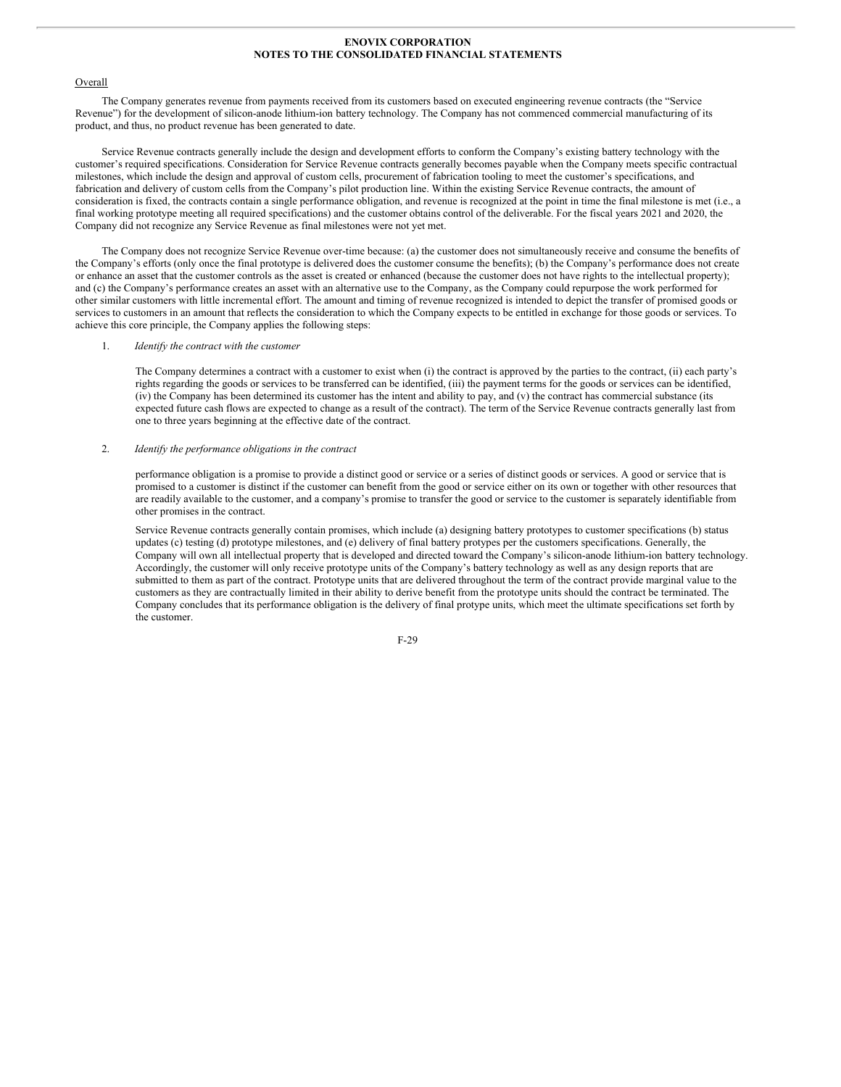# **Overall**

The Company generates revenue from payments received from its customers based on executed engineering revenue contracts (the "Service Revenue") for the development of silicon-anode lithium-ion battery technology. The Company has not commenced commercial manufacturing of its product, and thus, no product revenue has been generated to date.

Service Revenue contracts generally include the design and development efforts to conform the Company's existing battery technology with the customer's required specifications. Consideration for Service Revenue contracts generally becomes payable when the Company meets specific contractual milestones, which include the design and approval of custom cells, procurement of fabrication tooling to meet the customer's specifications, and fabrication and delivery of custom cells from the Company's pilot production line. Within the existing Service Revenue contracts, the amount of consideration is fixed, the contracts contain a single performance obligation, and revenue is recognized at the point in time the final milestone is met (i.e., a final working prototype meeting all required specifications) and the customer obtains control of the deliverable. For the fiscal years 2021 and 2020, the Company did not recognize any Service Revenue as final milestones were not yet met.

The Company does not recognize Service Revenue over-time because: (a) the customer does not simultaneously receive and consume the benefits of the Company's efforts (only once the final prototype is delivered does the customer consume the benefits); (b) the Company's performance does not create or enhance an asset that the customer controls as the asset is created or enhanced (because the customer does not have rights to the intellectual property); and (c) the Company's performance creates an asset with an alternative use to the Company, as the Company could repurpose the work performed for other similar customers with little incremental effort. The amount and timing of revenue recognized is intended to depict the transfer of promised goods or services to customers in an amount that reflects the consideration to which the Company expects to be entitled in exchange for those goods or services. To achieve this core principle, the Company applies the following steps:

#### 1. *Identify the contract with the customer*

The Company determines a contract with a customer to exist when (i) the contract is approved by the parties to the contract, (ii) each party's rights regarding the goods or services to be transferred can be identified, (iii) the payment terms for the goods or services can be identified, (iv) the Company has been determined its customer has the intent and ability to pay, and (v) the contract has commercial substance (its expected future cash flows are expected to change as a result of the contract). The term of the Service Revenue contracts generally last from one to three years beginning at the effective date of the contract.

#### 2. *Identify the performance obligations in the contract*

performance obligation is a promise to provide a distinct good or service or a series of distinct goods or services. A good or service that is promised to a customer is distinct if the customer can benefit from the good or service either on its own or together with other resources that are readily available to the customer, and a company's promise to transfer the good or service to the customer is separately identifiable from other promises in the contract.

Service Revenue contracts generally contain promises, which include (a) designing battery prototypes to customer specifications (b) status updates (c) testing (d) prototype milestones, and (e) delivery of final battery protypes per the customers specifications. Generally, the Company will own all intellectual property that is developed and directed toward the Company's silicon-anode lithium-ion battery technology. Accordingly, the customer will only receive prototype units of the Company's battery technology as well as any design reports that are submitted to them as part of the contract. Prototype units that are delivered throughout the term of the contract provide marginal value to the customers as they are contractually limited in their ability to derive benefit from the prototype units should the contract be terminated. The Company concludes that its performance obligation is the delivery of final protype units, which meet the ultimate specifications set forth by the customer.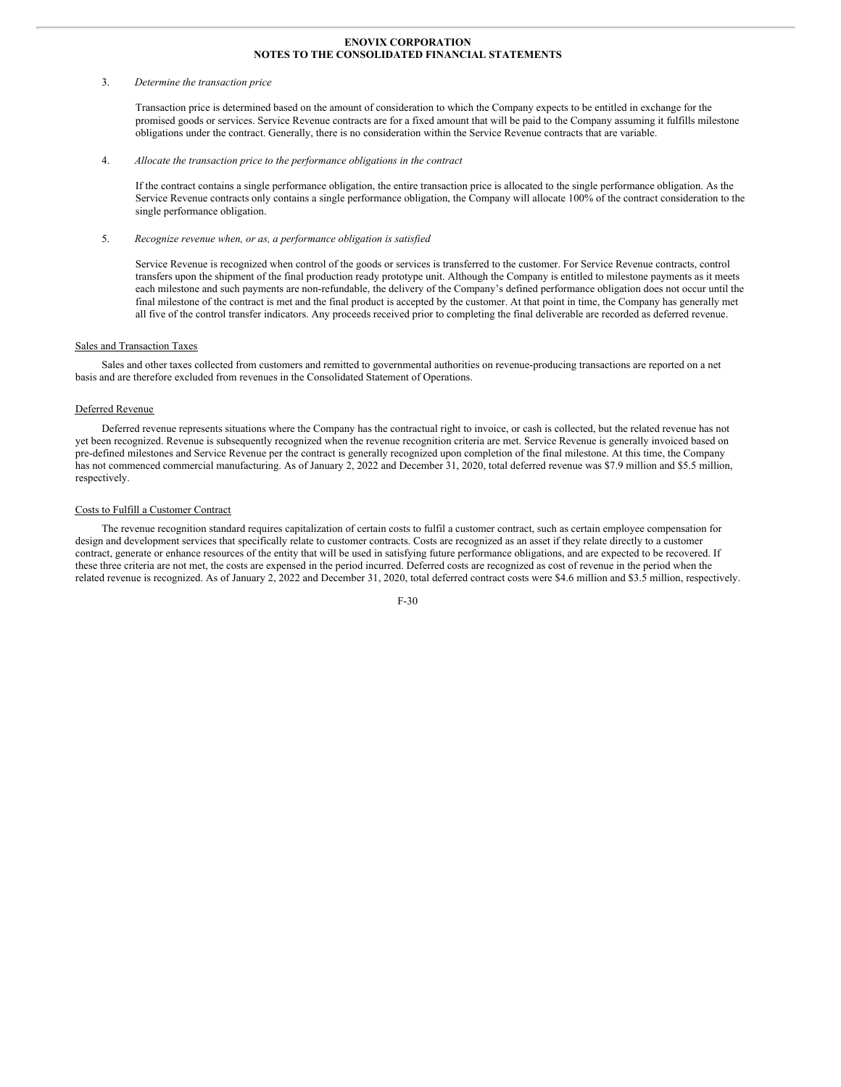#### 3. *Determine the transaction price*

Transaction price is determined based on the amount of consideration to which the Company expects to be entitled in exchange for the promised goods or services. Service Revenue contracts are for a fixed amount that will be paid to the Company assuming it fulfills milestone obligations under the contract. Generally, there is no consideration within the Service Revenue contracts that are variable.

4. *Allocate the transaction price to the performance obligations in the contract*

If the contract contains a single performance obligation, the entire transaction price is allocated to the single performance obligation. As the Service Revenue contracts only contains a single performance obligation, the Company will allocate 100% of the contract consideration to the single performance obligation.

5. *Recognize revenue when, or as, a performance obligation is satisfied*

Service Revenue is recognized when control of the goods or services is transferred to the customer. For Service Revenue contracts, control transfers upon the shipment of the final production ready prototype unit. Although the Company is entitled to milestone payments as it meets each milestone and such payments are non-refundable, the delivery of the Company's defined performance obligation does not occur until the final milestone of the contract is met and the final product is accepted by the customer. At that point in time, the Company has generally met all five of the control transfer indicators. Any proceeds received prior to completing the final deliverable are recorded as deferred revenue.

#### Sales and Transaction Taxes

Sales and other taxes collected from customers and remitted to governmental authorities on revenue-producing transactions are reported on a net basis and are therefore excluded from revenues in the Consolidated Statement of Operations.

# Deferred Revenue

Deferred revenue represents situations where the Company has the contractual right to invoice, or cash is collected, but the related revenue has not yet been recognized. Revenue is subsequently recognized when the revenue recognition criteria are met. Service Revenue is generally invoiced based on pre-defined milestones and Service Revenue per the contract is generally recognized upon completion of the final milestone. At this time, the Company has not commenced commercial manufacturing. As of January 2, 2022 and December 31, 2020, total deferred revenue was \$7.9 million and \$5.5 million, respectively.

#### Costs to Fulfill a Customer Contract

The revenue recognition standard requires capitalization of certain costs to fulfil a customer contract, such as certain employee compensation for design and development services that specifically relate to customer contracts. Costs are recognized as an asset if they relate directly to a customer contract, generate or enhance resources of the entity that will be used in satisfying future performance obligations, and are expected to be recovered. If these three criteria are not met, the costs are expensed in the period incurred. Deferred costs are recognized as cost of revenue in the period when the related revenue is recognized. As of January 2, 2022 and December 31, 2020, total deferred contract costs were \$4.6 million and \$3.5 million, respectively.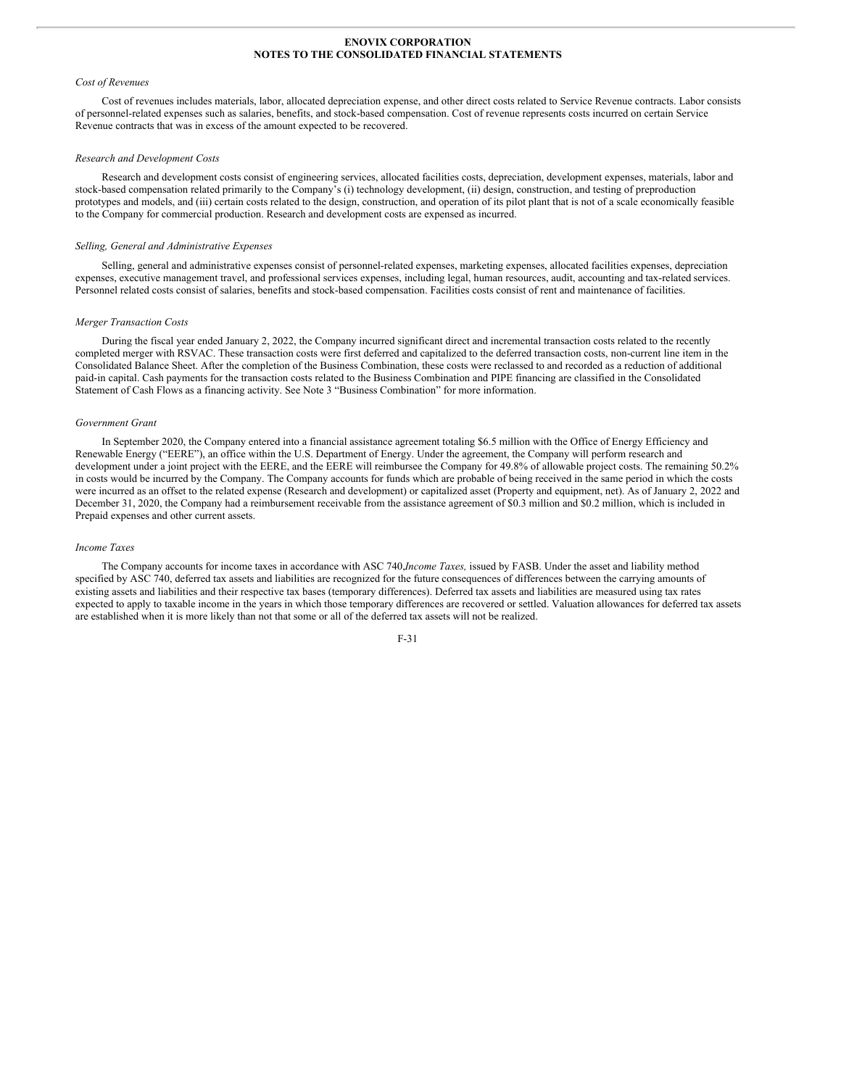## *Cost of Revenues*

Cost of revenues includes materials, labor, allocated depreciation expense, and other direct costs related to Service Revenue contracts. Labor consists of personnel-related expenses such as salaries, benefits, and stock-based compensation. Cost of revenue represents costs incurred on certain Service Revenue contracts that was in excess of the amount expected to be recovered.

#### *Research and Development Costs*

Research and development costs consist of engineering services, allocated facilities costs, depreciation, development expenses, materials, labor and stock-based compensation related primarily to the Company's (i) technology development, (ii) design, construction, and testing of preproduction prototypes and models, and (iii) certain costs related to the design, construction, and operation of its pilot plant that is not of a scale economically feasible to the Company for commercial production. Research and development costs are expensed as incurred.

# *Selling, General and Administrative Expenses*

Selling, general and administrative expenses consist of personnel-related expenses, marketing expenses, allocated facilities expenses, depreciation expenses, executive management travel, and professional services expenses, including legal, human resources, audit, accounting and tax-related services. Personnel related costs consist of salaries, benefits and stock-based compensation. Facilities costs consist of rent and maintenance of facilities.

#### *Merger Transaction Costs*

During the fiscal year ended January 2, 2022, the Company incurred significant direct and incremental transaction costs related to the recently completed merger with RSVAC. These transaction costs were first deferred and capitalized to the deferred transaction costs, non-current line item in the Consolidated Balance Sheet. After the completion of the Business Combination, these costs were reclassed to and recorded as a reduction of additional paid-in capital. Cash payments for the transaction costs related to the Business Combination and PIPE financing are classified in the Consolidated Statement of Cash Flows as a financing activity. See Note 3 "Business Combination" for more information.

#### *Government Grant*

In September 2020, the Company entered into a financial assistance agreement totaling \$6.5 million with the Office of Energy Efficiency and Renewable Energy ("EERE"), an office within the U.S. Department of Energy. Under the agreement, the Company will perform research and development under a joint project with the EERE, and the EERE will reimbursee the Company for 49.8% of allowable project costs. The remaining 50.2% in costs would be incurred by the Company. The Company accounts for funds which are probable of being received in the same period in which the costs were incurred as an offset to the related expense (Research and development) or capitalized asset (Property and equipment, net). As of January 2, 2022 and December 31, 2020, the Company had a reimbursement receivable from the assistance agreement of \$0.3 million and \$0.2 million, which is included in Prepaid expenses and other current assets.

#### *Income Taxes*

The Company accounts for income taxes in accordance with ASC 740,*Income Taxes,* issued by FASB. Under the asset and liability method specified by ASC 740, deferred tax assets and liabilities are recognized for the future consequences of differences between the carrying amounts of existing assets and liabilities and their respective tax bases (temporary differences). Deferred tax assets and liabilities are measured using tax rates expected to apply to taxable income in the years in which those temporary differences are recovered or settled. Valuation allowances for deferred tax assets are established when it is more likely than not that some or all of the deferred tax assets will not be realized.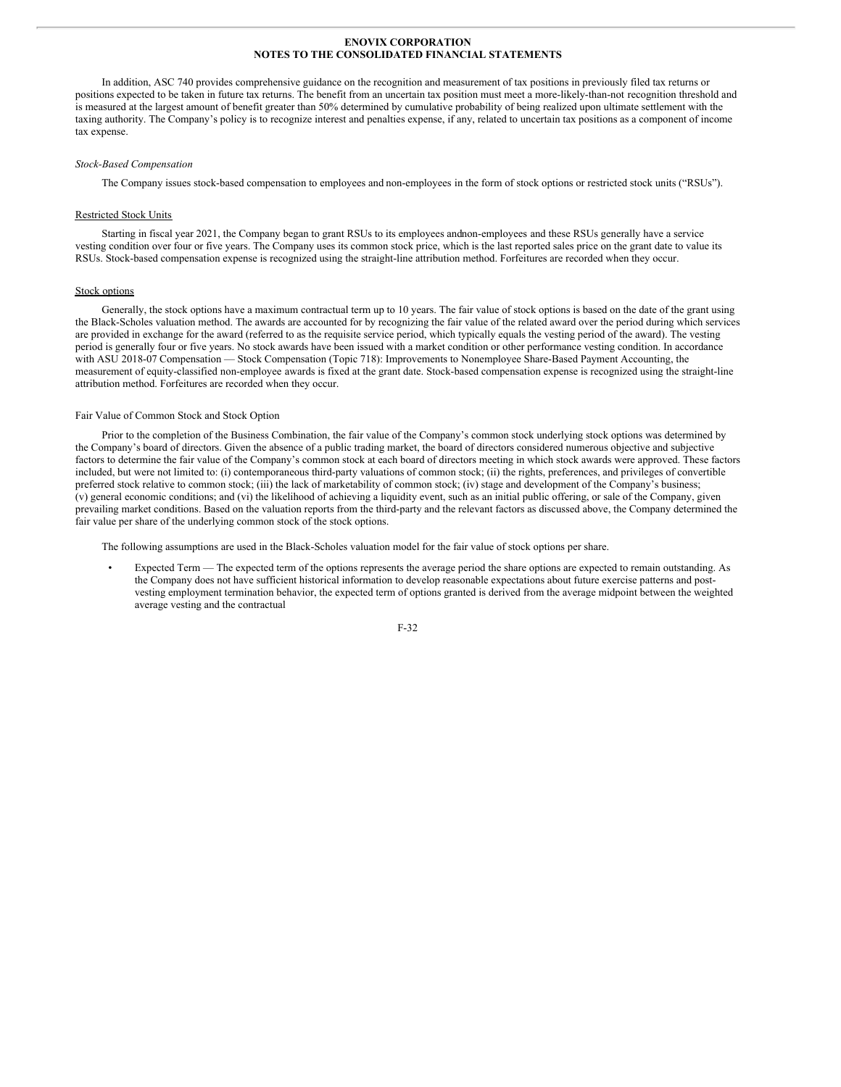In addition, ASC 740 provides comprehensive guidance on the recognition and measurement of tax positions in previously filed tax returns or positions expected to be taken in future tax returns. The benefit from an uncertain tax position must meet a more-likely-than-not recognition threshold and is measured at the largest amount of benefit greater than 50% determined by cumulative probability of being realized upon ultimate settlement with the taxing authority. The Company's policy is to recognize interest and penalties expense, if any, related to uncertain tax positions as a component of income tax expense.

# *Stock-Based Compensation*

The Company issues stock-based compensation to employees and non-employees in the form of stock options or restricted stock units ("RSUs").

# Restricted Stock Units

Starting in fiscal year 2021, the Company began to grant RSUs to its employees andnon-employees and these RSUs generally have a service vesting condition over four or five years. The Company uses its common stock price, which is the last reported sales price on the grant date to value its RSUs. Stock-based compensation expense is recognized using the straight-line attribution method. Forfeitures are recorded when they occur.

#### Stock options

Generally, the stock options have a maximum contractual term up to 10 years. The fair value of stock options is based on the date of the grant using the Black-Scholes valuation method. The awards are accounted for by recognizing the fair value of the related award over the period during which services are provided in exchange for the award (referred to as the requisite service period, which typically equals the vesting period of the award). The vesting period is generally four or five years. No stock awards have been issued with a market condition or other performance vesting condition. In accordance with ASU 2018-07 Compensation — Stock Compensation (Topic 718): Improvements to Nonemployee Share-Based Payment Accounting, the measurement of equity-classified non-employee awards is fixed at the grant date. Stock-based compensation expense is recognized using the straight-line attribution method. Forfeitures are recorded when they occur.

# Fair Value of Common Stock and Stock Option

Prior to the completion of the Business Combination, the fair value of the Company's common stock underlying stock options was determined by the Company's board of directors. Given the absence of a public trading market, the board of directors considered numerous objective and subjective factors to determine the fair value of the Company's common stock at each board of directors meeting in which stock awards were approved. These factors included, but were not limited to: (i) contemporaneous third-party valuations of common stock; (ii) the rights, preferences, and privileges of convertible preferred stock relative to common stock; (iii) the lack of marketability of common stock; (iv) stage and development of the Company's business; (v) general economic conditions; and (vi) the likelihood of achieving a liquidity event, such as an initial public offering, or sale of the Company, given prevailing market conditions. Based on the valuation reports from the third-party and the relevant factors as discussed above, the Company determined the fair value per share of the underlying common stock of the stock options.

The following assumptions are used in the Black-Scholes valuation model for the fair value of stock options per share.

• Expected Term — The expected term of the options represents the average period the share options are expected to remain outstanding. As the Company does not have sufficient historical information to develop reasonable expectations about future exercise patterns and postvesting employment termination behavior, the expected term of options granted is derived from the average midpoint between the weighted average vesting and the contractual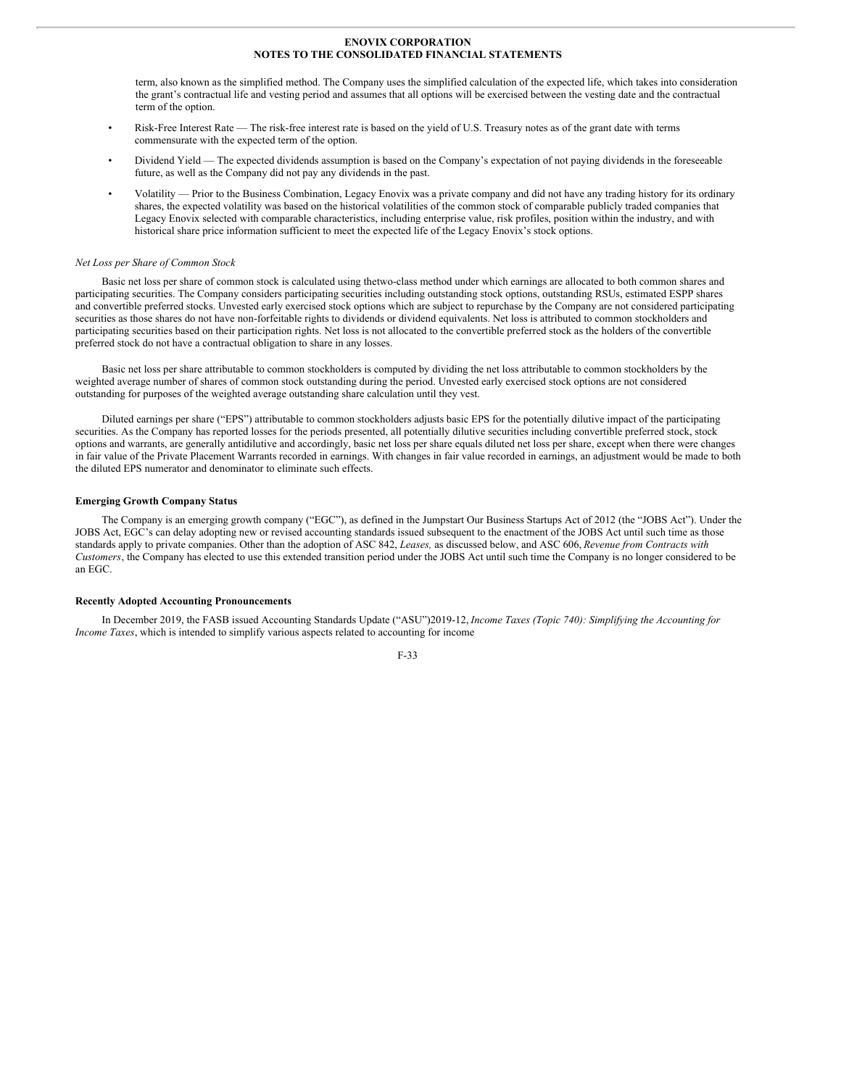term, also known as the simplified method. The Company uses the simplified calculation of the expected life, which takes into consideration the grant's contractual life and vesting period and assumes that all options will be exercised between the vesting date and the contractual term of the option.

- Risk-Free Interest Rate The risk-free interest rate is based on the yield of U.S. Treasury notes as of the grant date with terms commensurate with the expected term of the option.
- Dividend Yield The expected dividends assumption is based on the Company's expectation of not paying dividends in the foreseeable future, as well as the Company did not pay any dividends in the past.
- Volatility Prior to the Business Combination, Legacy Enovix was a private company and did not have any trading history for its ordinary shares, the expected volatility was based on the historical volatilities of the common stock of comparable publicly traded companies that Legacy Enovix selected with comparable characteristics, including enterprise value, risk profiles, position within the industry, and with historical share price information sufficient to meet the expected life of the Legacy Enovix's stock options.

# *Net Loss per Share of Common Stock*

Basic net loss per share of common stock is calculated using thetwo-class method under which earnings are allocated to both common shares and participating securities. The Company considers participating securities including outstanding stock options, outstanding RSUs, estimated ESPP shares and convertible preferred stocks. Unvested early exercised stock options which are subject to repurchase by the Company are not considered participating securities as those shares do not have non-forfeitable rights to dividends or dividend equivalents. Net loss is attributed to common stockholders and participating securities based on their participation rights. Net loss is not allocated to the convertible preferred stock as the holders of the convertible preferred stock do not have a contractual obligation to share in any losses.

Basic net loss per share attributable to common stockholders is computed by dividing the net loss attributable to common stockholders by the weighted average number of shares of common stock outstanding during the period. Unvested early exercised stock options are not considered outstanding for purposes of the weighted average outstanding share calculation until they vest.

Diluted earnings per share ("EPS") attributable to common stockholders adjusts basic EPS for the potentially dilutive impact of the participating securities. As the Company has reported losses for the periods presented, all potentially dilutive securities including convertible preferred stock, stock options and warrants, are generally antidilutive and accordingly, basic net loss per share equals diluted net loss per share, except when there were changes in fair value of the Private Placement Warrants recorded in earnings. With changes in fair value recorded in earnings, an adjustment would be made to both the diluted EPS numerator and denominator to eliminate such effects.

# **Emerging Growth Company Status**

The Company is an emerging growth company ("EGC"), as defined in the Jumpstart Our Business Startups Act of 2012 (the "JOBS Act"). Under the JOBS Act, EGC's can delay adopting new or revised accounting standards issued subsequent to the enactment of the JOBS Act until such time as those standards apply to private companies. Other than the adoption of ASC 842, *Leases,* as discussed below, and ASC 606, *Revenue from Contracts with Customers*, the Company has elected to use this extended transition period under the JOBS Act until such time the Company is no longer considered to be an EGC.

# **Recently Adopted Accounting Pronouncements**

In December 2019, the FASB issued Accounting Standards Update ("ASU")2019-12, *Income Taxes (Topic 740): Simplifying the Accounting for Income Taxes*, which is intended to simplify various aspects related to accounting for income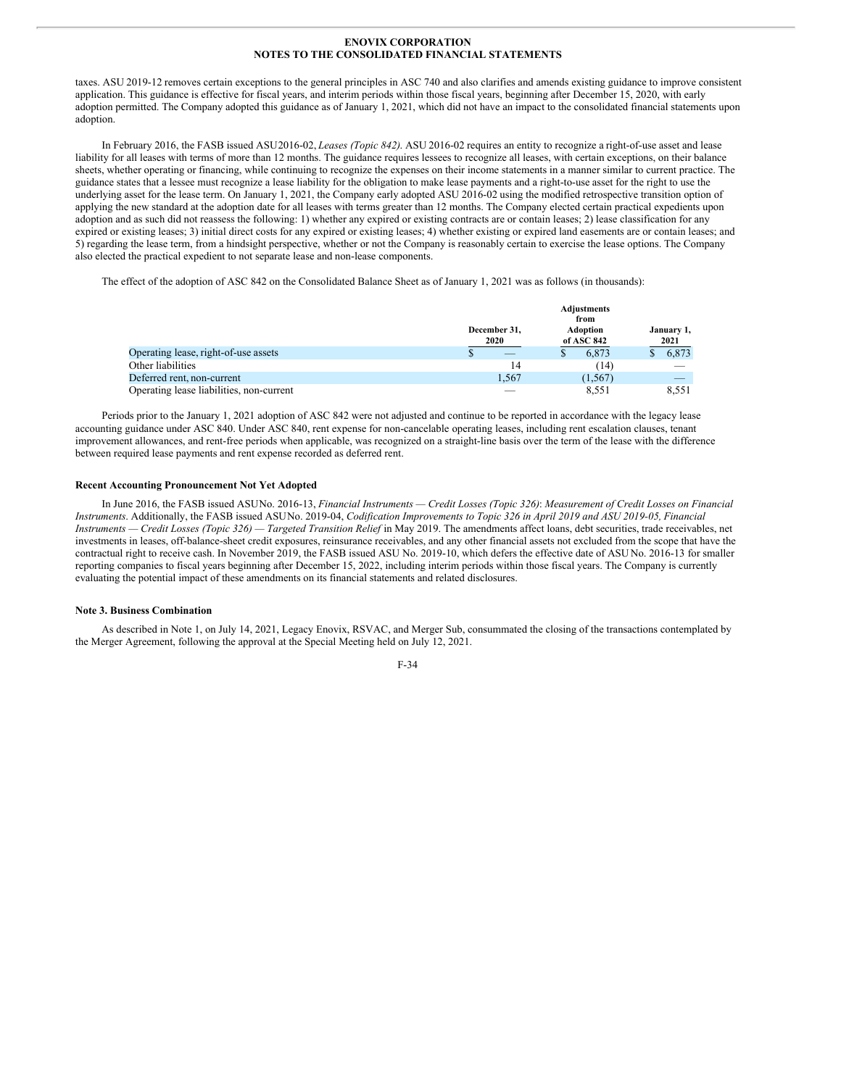taxes. ASU 2019-12 removes certain exceptions to the general principles in ASC 740 and also clarifies and amends existing guidance to improve consistent application. This guidance is effective for fiscal years, and interim periods within those fiscal years, beginning after December 15, 2020, with early adoption permitted. The Company adopted this guidance as of January 1, 2021, which did not have an impact to the consolidated financial statements upon adoption.

In February 2016, the FASB issued ASU2016-02, *Leases (Topic 842)*. ASU 2016-02 requires an entity to recognize a right-of-use asset and lease liability for all leases with terms of more than 12 months. The guidance requires lessees to recognize all leases, with certain exceptions, on their balance sheets, whether operating or financing, while continuing to recognize the expenses on their income statements in a manner similar to current practice. The guidance states that a lessee must recognize a lease liability for the obligation to make lease payments and a right-to-use asset for the right to use the underlying asset for the lease term. On January 1, 2021, the Company early adopted ASU 2016-02 using the modified retrospective transition option of applying the new standard at the adoption date for all leases with terms greater than 12 months. The Company elected certain practical expedients upon adoption and as such did not reassess the following: 1) whether any expired or existing contracts are or contain leases; 2) lease classification for any expired or existing leases; 3) initial direct costs for any expired or existing leases; 4) whether existing or expired land easements are or contain leases; and 5) regarding the lease term, from a hindsight perspective, whether or not the Company is reasonably certain to exercise the lease options. The Company also elected the practical expedient to not separate lease and non-lease components.

The effect of the adoption of ASC 842 on the Consolidated Balance Sheet as of January 1, 2021 was as follows (in thousands):

|                                          |                      | Adjustments<br>from           |                    |
|------------------------------------------|----------------------|-------------------------------|--------------------|
|                                          | December 31.<br>2020 | <b>Adoption</b><br>of ASC 842 | January 1,<br>2021 |
| Operating lease, right-of-use assets     |                      | 6.873                         | 6,873              |
| Other liabilities                        | 14                   | (14)                          |                    |
| Deferred rent, non-current               | 1.567                | (1, 567)                      |                    |
| Operating lease liabilities, non-current |                      | 8.551                         | 8.551              |

Periods prior to the January 1, 2021 adoption of ASC 842 were not adjusted and continue to be reported in accordance with the legacy lease accounting guidance under ASC 840. Under ASC 840, rent expense for non-cancelable operating leases, including rent escalation clauses, tenant improvement allowances, and rent-free periods when applicable, was recognized on a straight-line basis over the term of the lease with the difference between required lease payments and rent expense recorded as deferred rent.

#### **Recent Accounting Pronouncement Not Yet Adopted**

In June 2016, the FASB issued ASUNo. 2016-13, Financial Instruments - Credit Losses (Topic 326): Measurement of Credit Losses on Financial Instruments. Additionally, the FASB issued ASUNo. 2019-04, Codification Improvements to Topic 326 in April 2019 and ASU 2019-05, Financial *Instruments — Credit Losses (Topic 326) — Targeted Transition Relief* in May 2019. The amendments affect loans, debt securities, trade receivables, net investments in leases, off-balance-sheet credit exposures, reinsurance receivables, and any other financial assets not excluded from the scope that have the contractual right to receive cash. In November 2019, the FASB issued ASU No. 2019-10, which defers the effective date of ASU No. 2016-13 for smaller reporting companies to fiscal years beginning after December 15, 2022, including interim periods within those fiscal years. The Company is currently evaluating the potential impact of these amendments on its financial statements and related disclosures.

### **Note 3. Business Combination**

As described in Note 1, on July 14, 2021, Legacy Enovix, RSVAC, and Merger Sub, consummated the closing of the transactions contemplated by the Merger Agreement, following the approval at the Special Meeting held on July 12, 2021.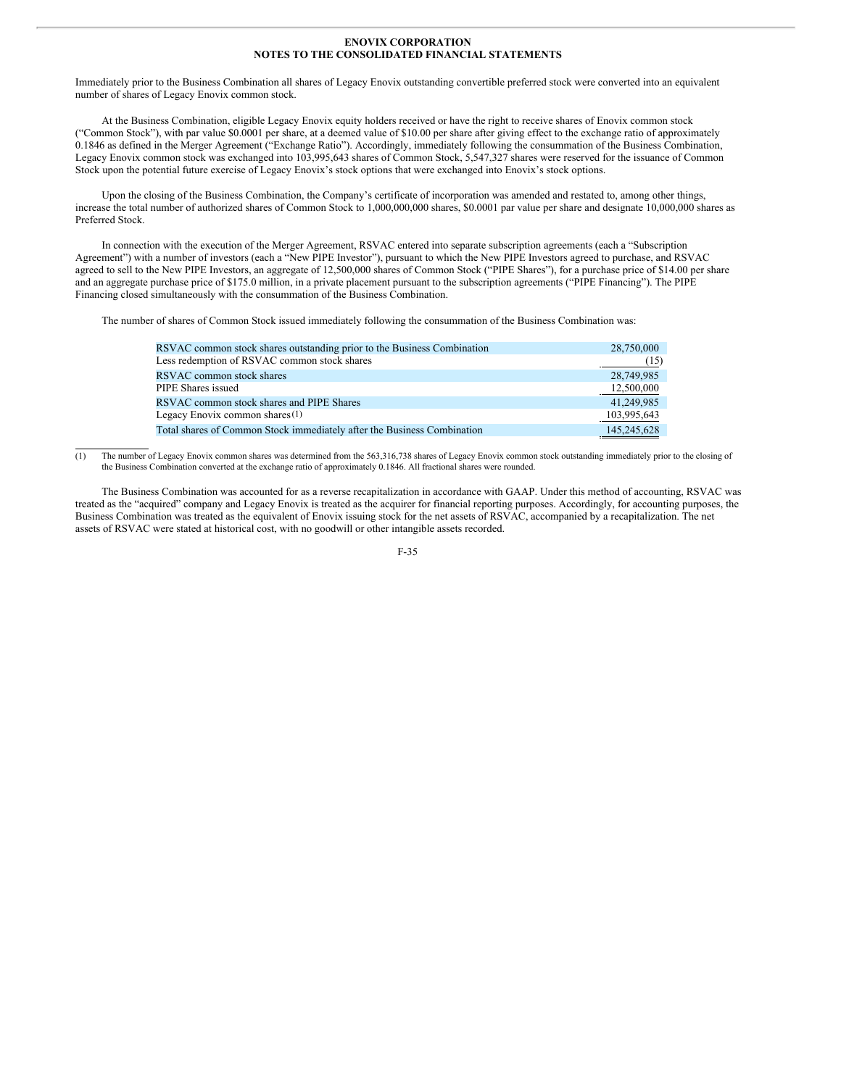Immediately prior to the Business Combination all shares of Legacy Enovix outstanding convertible preferred stock were converted into an equivalent number of shares of Legacy Enovix common stock.

At the Business Combination, eligible Legacy Enovix equity holders received or have the right to receive shares of Enovix common stock ("Common Stock"), with par value \$0.0001 per share, at a deemed value of \$10.00 per share after giving effect to the exchange ratio of approximately 0.1846 as defined in the Merger Agreement ("Exchange Ratio"). Accordingly, immediately following the consummation of the Business Combination, Legacy Enovix common stock was exchanged into 103,995,643 shares of Common Stock, 5,547,327 shares were reserved for the issuance of Common Stock upon the potential future exercise of Legacy Enovix's stock options that were exchanged into Enovix's stock options.

Upon the closing of the Business Combination, the Company's certificate of incorporation was amended and restated to, among other things, increase the total number of authorized shares of Common Stock to 1,000,000,000 shares, \$0.0001 par value per share and designate 10,000,000 shares as Preferred Stock.

In connection with the execution of the Merger Agreement, RSVAC entered into separate subscription agreements (each a "Subscription Agreement") with a number of investors (each a "New PIPE Investor"), pursuant to which the New PIPE Investors agreed to purchase, and RSVAC agreed to sell to the New PIPE Investors, an aggregate of 12,500,000 shares of Common Stock ("PIPE Shares"), for a purchase price of \$14.00 per share and an aggregate purchase price of \$175.0 million, in a private placement pursuant to the subscription agreements ("PIPE Financing"). The PIPE Financing closed simultaneously with the consummation of the Business Combination.

The number of shares of Common Stock issued immediately following the consummation of the Business Combination was:

| RSVAC common stock shares outstanding prior to the Business Combination | 28,750,000  |
|-------------------------------------------------------------------------|-------------|
| Less redemption of RSVAC common stock shares                            | (15)        |
| RSVAC common stock shares                                               | 28,749,985  |
| PIPE Shares issued                                                      | 12,500,000  |
| RSVAC common stock shares and PIPE Shares                               | 41.249.985  |
| Legacy Enovix common shares $(1)$                                       | 103,995,643 |
| Total shares of Common Stock immediately after the Business Combination | 145,245,628 |

(1) The number of Legacy Enovix common shares was determined from the 563,316,738 shares of Legacy Enovix common stock outstanding immediately prior to the closing of the Business Combination converted at the exchange ratio of approximately 0.1846. All fractional shares were rounded.

The Business Combination was accounted for as a reverse recapitalization in accordance with GAAP. Under this method of accounting, RSVAC was treated as the "acquired" company and Legacy Enovix is treated as the acquirer for financial reporting purposes. Accordingly, for accounting purposes, the Business Combination was treated as the equivalent of Enovix issuing stock for the net assets of RSVAC, accompanied by a recapitalization. The net assets of RSVAC were stated at historical cost, with no goodwill or other intangible assets recorded.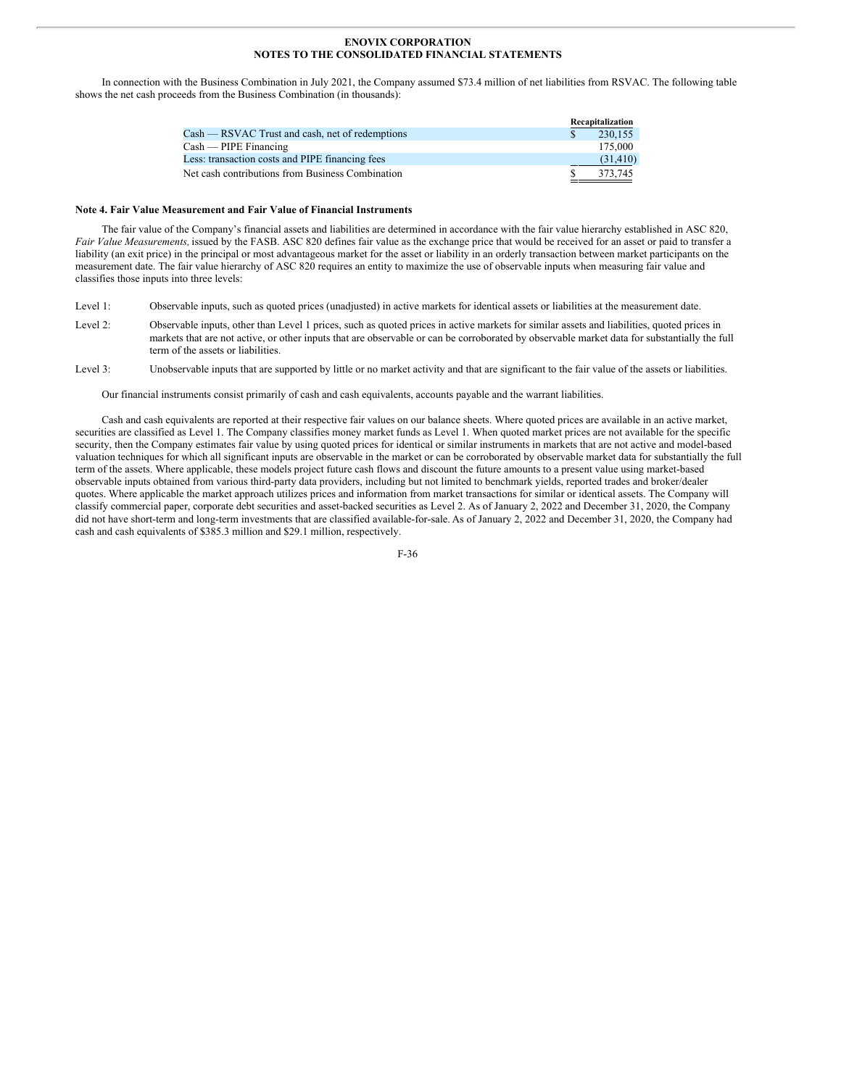In connection with the Business Combination in July 2021, the Company assumed \$73.4 million of net liabilities from RSVAC. The following table shows the net cash proceeds from the Business Combination (in thousands):

|                                                  |     | Recapitalization |
|--------------------------------------------------|-----|------------------|
| Cash — RSVAC Trust and cash, net of redemptions  | -SS | 230,155          |
| Cash — PIPE Financing                            |     | 175,000          |
| Less: transaction costs and PIPE financing fees  |     | (31, 410)        |
| Net cash contributions from Business Combination | S.  | 373.745          |

## **Note 4. Fair Value Measurement and Fair Value of Financial Instruments**

The fair value of the Company's financial assets and liabilities are determined in accordance with the fair value hierarchy established in ASC 820, *Fair Value Measurements,* issued by the FASB. ASC 820 defines fair value as the exchange price that would be received for an asset or paid to transfer a liability (an exit price) in the principal or most advantageous market for the asset or liability in an orderly transaction between market participants on the measurement date. The fair value hierarchy of ASC 820 requires an entity to maximize the use of observable inputs when measuring fair value and classifies those inputs into three levels:

Level 1: Observable inputs, such as quoted prices (unadjusted) in active markets for identical assets or liabilities at the measurement date.

- Level 2: Observable inputs, other than Level 1 prices, such as quoted prices in active markets for similar assets and liabilities, quoted prices in markets that are not active, or other inputs that are observable or can be corroborated by observable market data for substantially the full term of the assets or liabilities.
- Level 3: Unobservable inputs that are supported by little or no market activity and that are significant to the fair value of the assets or liabilities.

Our financial instruments consist primarily of cash and cash equivalents, accounts payable and the warrant liabilities.

Cash and cash equivalents are reported at their respective fair values on our balance sheets. Where quoted prices are available in an active market, securities are classified as Level 1. The Company classifies money market funds as Level 1. When quoted market prices are not available for the specific security, then the Company estimates fair value by using quoted prices for identical or similar instruments in markets that are not active and model-based valuation techniques for which all significant inputs are observable in the market or can be corroborated by observable market data for substantially the full term of the assets. Where applicable, these models project future cash flows and discount the future amounts to a present value using market-based observable inputs obtained from various third-party data providers, including but not limited to benchmark yields, reported trades and broker/dealer quotes. Where applicable the market approach utilizes prices and information from market transactions for similar or identical assets. The Company will classify commercial paper, corporate debt securities and asset-backed securities as Level 2. As of January 2, 2022 and December 31, 2020, the Company did not have short-term and long-term investments that are classified available-for-sale. As of January 2, 2022 and December 31, 2020, the Company had cash and cash equivalents of \$385.3 million and \$29.1 million, respectively.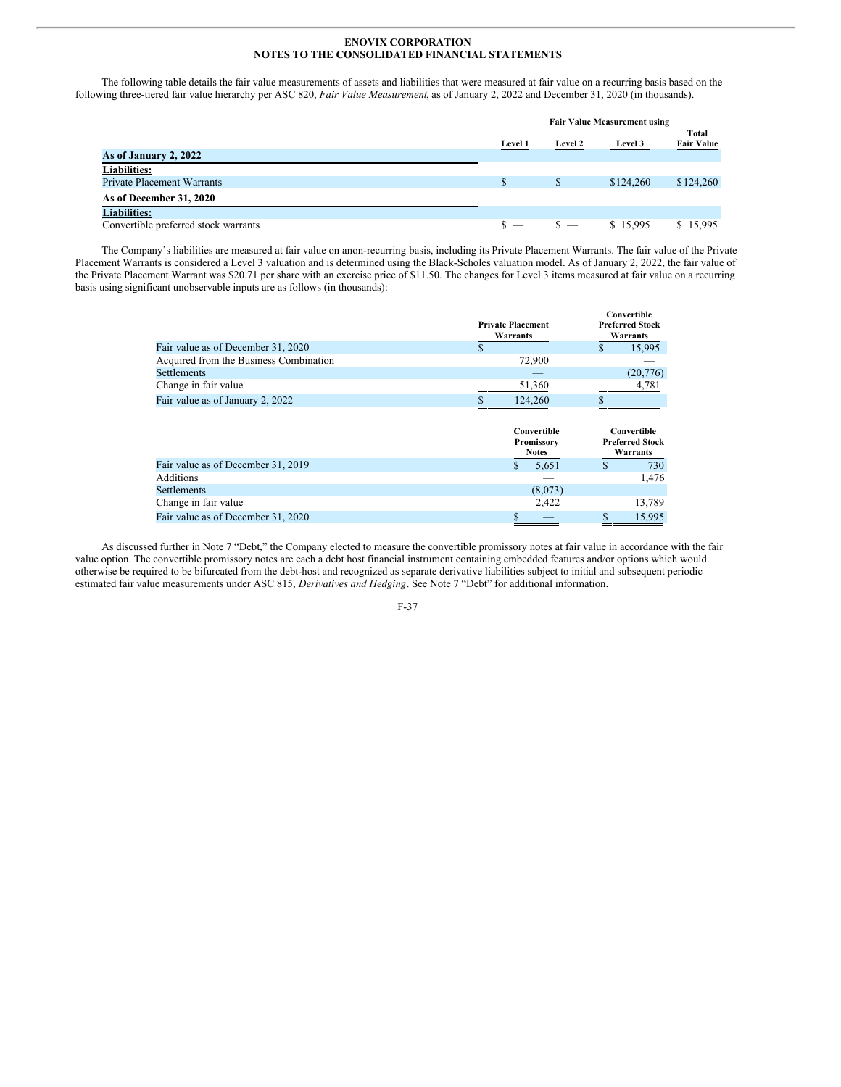The following table details the fair value measurements of assets and liabilities that were measured at fair value on a recurring basis based on the following three-tiered fair value hierarchy per ASC 820, *Fair Value Measurement*, as of January 2, 2022 and December 31, 2020 (in thousands).

|                                      |         |                | <b>Fair Value Measurement using</b> |                                   |
|--------------------------------------|---------|----------------|-------------------------------------|-----------------------------------|
| As of January 2, 2022                | Level 1 | Level 2        | Level 3                             | <b>Total</b><br><b>Fair Value</b> |
| <b>Liabilities:</b>                  |         |                |                                     |                                   |
| <b>Private Placement Warrants</b>    | $s =$   | $s =$          | \$124,260                           | \$124,260                         |
| As of December 31, 2020              |         |                |                                     |                                   |
| <b>Liabilities:</b>                  |         |                |                                     |                                   |
| Convertible preferred stock warrants | $s =$   | $\mathbf{s} =$ | \$15.995                            | \$15,995                          |

The Company's liabilities are measured at fair value on anon-recurring basis, including its Private Placement Warrants. The fair value of the Private Placement Warrants is considered a Level 3 valuation and is determined using the Black-Scholes valuation model. As of January 2, 2022, the fair value of the Private Placement Warrant was \$20.71 per share with an exercise price of \$11.50. The changes for Level 3 items measured at fair value on a recurring basis using significant unobservable inputs are as follows (in thousands):

|                                        | <b>Private Placement</b><br>Warrants      | Convertible<br><b>Preferred Stock</b><br>Warrants |
|----------------------------------------|-------------------------------------------|---------------------------------------------------|
| Fair value as of December 31, 2020     | \$                                        | 15,995                                            |
| Acquired from the Business Combination | 72,900                                    |                                                   |
| <b>Settlements</b>                     |                                           | (20, 776)                                         |
| Change in fair value                   | 51,360                                    | 4,781                                             |
| Fair value as of January 2, 2022       | 124,260                                   |                                                   |
|                                        | Convertible<br>Promissory<br><b>Notes</b> | Convertible<br><b>Preferred Stock</b><br>Warrants |
| Fair value as of December 31, 2019     | \$<br>5,651                               | 730<br>\$                                         |
| Additions                              |                                           | 1,476                                             |
| <b>Settlements</b>                     | (8,073)                                   |                                                   |
| Change in fair value                   | 2,422                                     | 13,789                                            |
| Fair value as of December 31, 2020     |                                           | 15.995<br>\$                                      |

As discussed further in Note 7 "Debt," the Company elected to measure the convertible promissory notes at fair value in accordance with the fair value option. The convertible promissory notes are each a debt host financial instrument containing embedded features and/or options which would otherwise be required to be bifurcated from the debt-host and recognized as separate derivative liabilities subject to initial and subsequent periodic estimated fair value measurements under ASC 815, *Derivatives and Hedging*. See Note 7 "Debt" for additional information.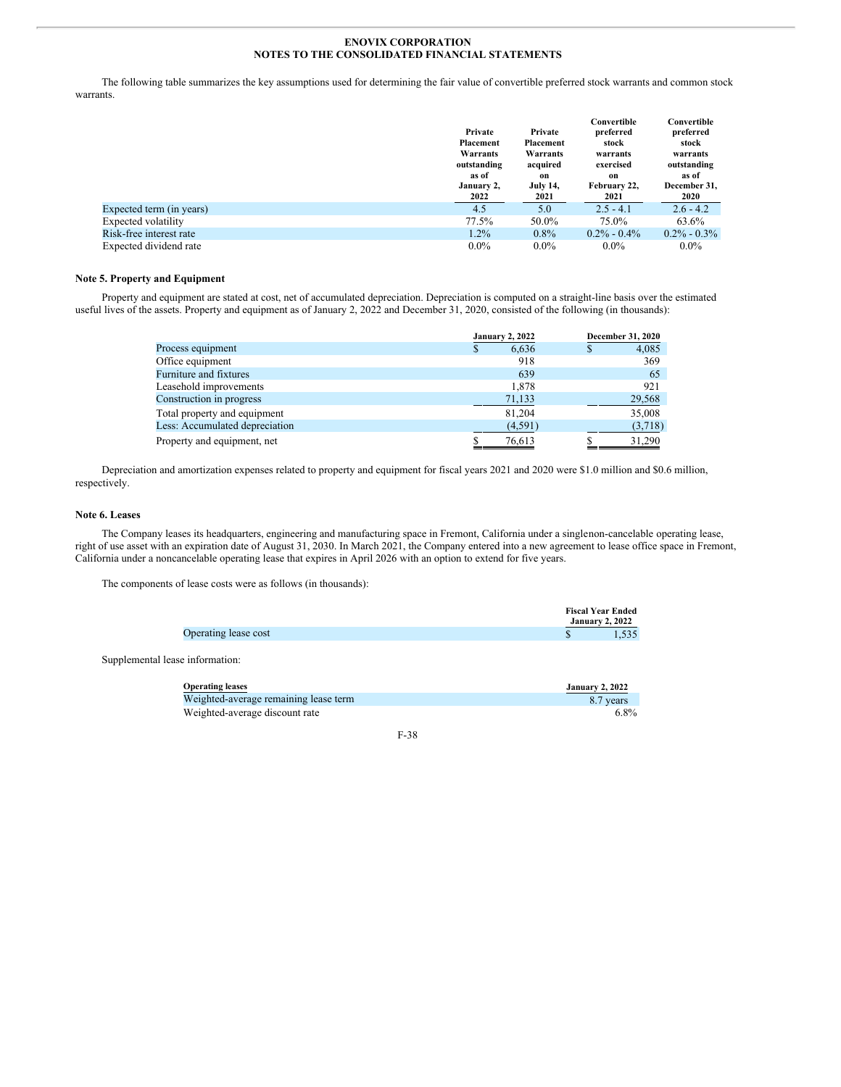The following table summarizes the key assumptions used for determining the fair value of convertible preferred stock warrants and common stock warrants.

|                          | Private<br>Placement<br>Warrants<br>outstanding<br>as of<br>January 2,<br>2022 | Private<br>Placement<br>Warrants<br>acquired<br>on<br><b>July 14,</b><br>2021 | Convertible<br>preferred<br>stock<br>warrants<br>exercised<br>on<br>February 22,<br>2021 | Convertible<br>preferred<br>stock<br>warrants<br>outstanding<br>as of<br>December 31,<br>2020 |
|--------------------------|--------------------------------------------------------------------------------|-------------------------------------------------------------------------------|------------------------------------------------------------------------------------------|-----------------------------------------------------------------------------------------------|
| Expected term (in years) | 4.5                                                                            | 5.0                                                                           | $2.5 - 4.1$                                                                              | $2.6 - 4.2$                                                                                   |
| Expected volatility      | 77.5%                                                                          | 50.0%                                                                         | 75.0%                                                                                    | 63.6%                                                                                         |
| Risk-free interest rate  | $1.2\%$                                                                        | $0.8\%$                                                                       | $0.2\% - 0.4\%$                                                                          | $0.2\% - 0.3\%$                                                                               |
| Expected dividend rate   | $0.0\%$                                                                        | $0.0\%$                                                                       | $0.0\%$                                                                                  | $0.0\%$                                                                                       |

# **Note 5. Property and Equipment**

Property and equipment are stated at cost, net of accumulated depreciation. Depreciation is computed on a straight-line basis over the estimated useful lives of the assets. Property and equipment as of January 2, 2022 and December 31, 2020, consisted of the following (in thousands):

|                                | <b>January 2, 2022</b> | December 31, 2020 |
|--------------------------------|------------------------|-------------------|
| Process equipment              | 6,636                  | 4,085             |
| Office equipment               | 918                    | 369               |
| Furniture and fixtures         | 639                    | 65                |
| Leasehold improvements         | 1,878                  | 921               |
| Construction in progress       | 71,133                 | 29,568            |
| Total property and equipment   | 81,204                 | 35,008            |
| Less: Accumulated depreciation | (4,591)                | (3,718)           |
| Property and equipment, net    | 76,613                 | 31,290            |

Depreciation and amortization expenses related to property and equipment for fiscal years 2021 and 2020 were \$1.0 million and \$0.6 million, respectively.

# **Note 6. Leases**

The Company leases its headquarters, engineering and manufacturing space in Fremont, California under a singlenon-cancelable operating lease, right of use asset with an expiration date of August 31, 2030. In March 2021, the Company entered into a new agreement to lease office space in Fremont, California under a noncancelable operating lease that expires in April 2026 with an option to extend for five years.

The components of lease costs were as follows (in thousands):

|                      | <b>January 2, 2022</b> |       |
|----------------------|------------------------|-------|
|                      |                        |       |
| Operating lease cost |                        | 1.535 |

Supplemental lease information:

| <b>Operating leases</b>               | <b>January 2, 2022</b> |
|---------------------------------------|------------------------|
| Weighted-average remaining lease term | 8.7 vears              |
| Weighted-average discount rate        | 6.8%                   |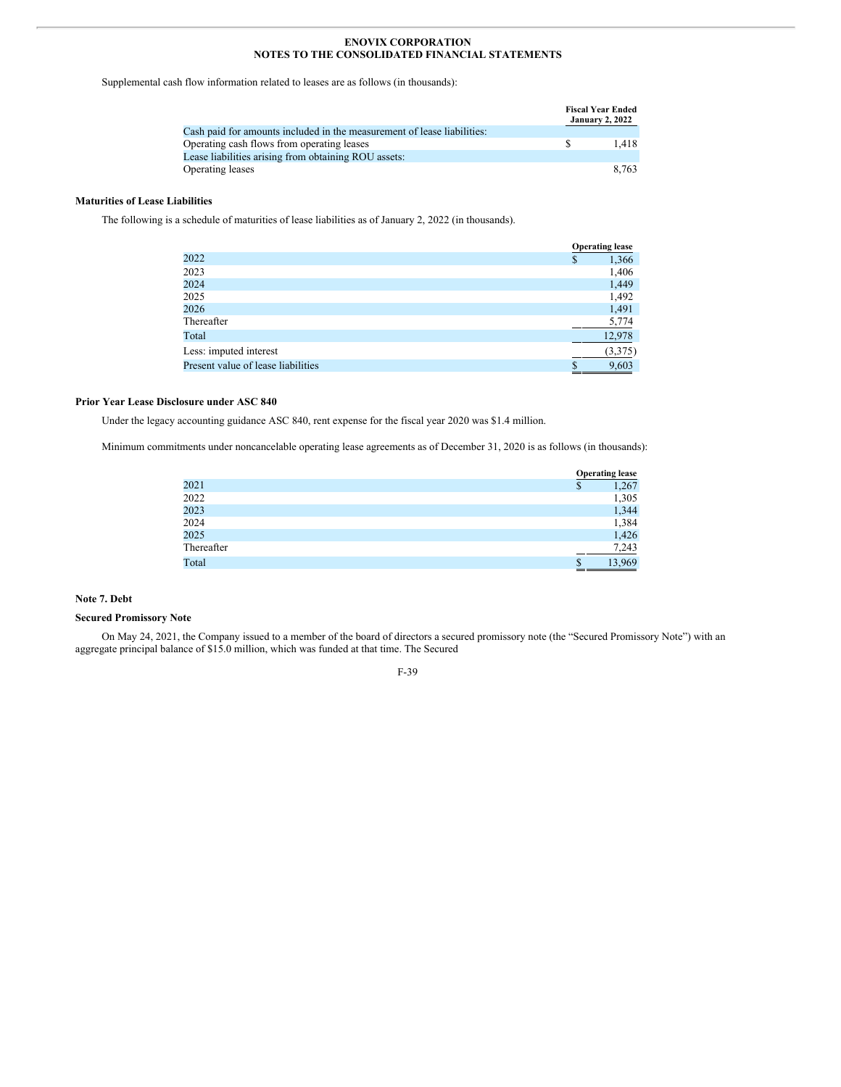Supplemental cash flow information related to leases are as follows (in thousands):

|                                                                         | <b>Fiscal Year Ended</b><br><b>January 2, 2022</b> |
|-------------------------------------------------------------------------|----------------------------------------------------|
| Cash paid for amounts included in the measurement of lease liabilities: |                                                    |
| Operating cash flows from operating leases                              | 1.418                                              |
| Lease liabilities arising from obtaining ROU assets:                    |                                                    |
| Operating leases                                                        | 8.763                                              |

# **Maturities of Lease Liabilities**

The following is a schedule of maturities of lease liabilities as of January 2, 2022 (in thousands).

|                                    | <b>Operating lease</b> |
|------------------------------------|------------------------|
| 2022                               | 1,366<br>S             |
| 2023                               | 1,406                  |
| 2024                               | 1,449                  |
| 2025                               | 1,492                  |
| 2026                               | 1,491                  |
| Thereafter                         | 5,774                  |
| Total                              | 12,978                 |
| Less: imputed interest             | (3,375)                |
| Present value of lease liabilities | 9,603<br>æ             |

# **Prior Year Lease Disclosure under ASC 840**

Under the legacy accounting guidance ASC 840, rent expense for the fiscal year 2020 was \$1.4 million.

Minimum commitments under noncancelable operating lease agreements as of December 31, 2020 is as follows (in thousands):

|            | <b>Operating lease</b> |
|------------|------------------------|
| 2021       | 1,267<br>S             |
| 2022       | 1,305                  |
| 2023       | 1,344                  |
| 2024       | 1,384                  |
| 2025       | 1,426                  |
| Thereafter | 7,243                  |
| Total      | 13.969<br>S            |

# **Note 7. Debt**

# **Secured Promissory Note**

On May 24, 2021, the Company issued to a member of the board of directors a secured promissory note (the "Secured Promissory Note") with an aggregate principal balance of \$15.0 million, which was funded at that time. The Secured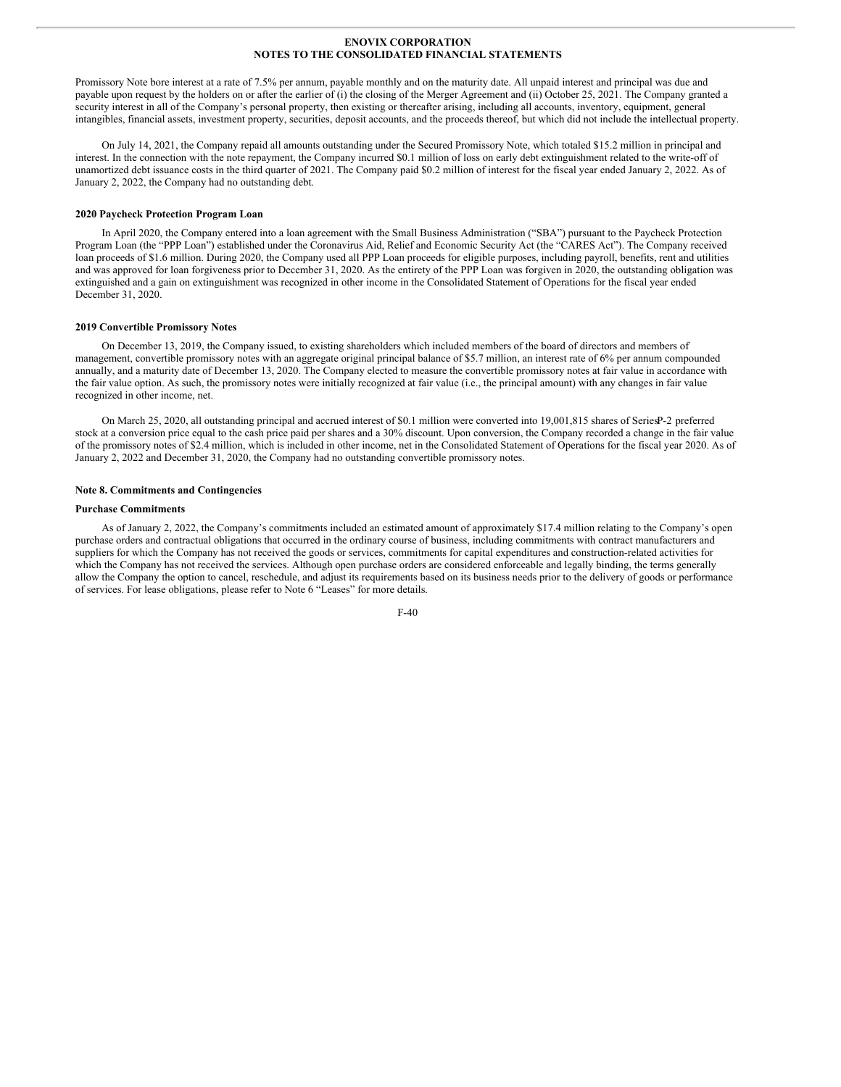Promissory Note bore interest at a rate of 7.5% per annum, payable monthly and on the maturity date. All unpaid interest and principal was due and payable upon request by the holders on or after the earlier of (i) the closing of the Merger Agreement and (ii) October 25, 2021. The Company granted a security interest in all of the Company's personal property, then existing or thereafter arising, including all accounts, inventory, equipment, general intangibles, financial assets, investment property, securities, deposit accounts, and the proceeds thereof, but which did not include the intellectual property.

On July 14, 2021, the Company repaid all amounts outstanding under the Secured Promissory Note, which totaled \$15.2 million in principal and interest. In the connection with the note repayment, the Company incurred \$0.1 million of loss on early debt extinguishment related to the write-off of unamortized debt issuance costs in the third quarter of 2021. The Company paid \$0.2 million of interest for the fiscal year ended January 2, 2022. As of January 2, 2022, the Company had no outstanding debt.

# **2020 Paycheck Protection Program Loan**

In April 2020, the Company entered into a loan agreement with the Small Business Administration ("SBA") pursuant to the Paycheck Protection Program Loan (the "PPP Loan") established under the Coronavirus Aid, Relief and Economic Security Act (the "CARES Act"). The Company received loan proceeds of \$1.6 million. During 2020, the Company used all PPP Loan proceeds for eligible purposes, including payroll, benefits, rent and utilities and was approved for loan forgiveness prior to December 31, 2020. As the entirety of the PPP Loan was forgiven in 2020, the outstanding obligation was extinguished and a gain on extinguishment was recognized in other income in the Consolidated Statement of Operations for the fiscal year ended December 31, 2020.

# **2019 Convertible Promissory Notes**

On December 13, 2019, the Company issued, to existing shareholders which included members of the board of directors and members of management, convertible promissory notes with an aggregate original principal balance of \$5.7 million, an interest rate of 6% per annum compounded annually, and a maturity date of December 13, 2020. The Company elected to measure the convertible promissory notes at fair value in accordance with the fair value option. As such, the promissory notes were initially recognized at fair value (i.e., the principal amount) with any changes in fair value recognized in other income, net.

On March 25, 2020, all outstanding principal and accrued interest of \$0.1 million were converted into 19,001,815 shares of SeriesP-2 preferred stock at a conversion price equal to the cash price paid per shares and a 30% discount. Upon conversion, the Company recorded a change in the fair value of the promissory notes of \$2.4 million, which is included in other income, net in the Consolidated Statement of Operations for the fiscal year 2020. As of January 2, 2022 and December 31, 2020, the Company had no outstanding convertible promissory notes.

# **Note 8. Commitments and Contingencies**

#### **Purchase Commitments**

As of January 2, 2022, the Company's commitments included an estimated amount of approximately \$17.4 million relating to the Company's open purchase orders and contractual obligations that occurred in the ordinary course of business, including commitments with contract manufacturers and suppliers for which the Company has not received the goods or services, commitments for capital expenditures and construction-related activities for which the Company has not received the services. Although open purchase orders are considered enforceable and legally binding, the terms generally allow the Company the option to cancel, reschedule, and adjust its requirements based on its business needs prior to the delivery of goods or performance of services. For lease obligations, please refer to Note 6 "Leases" for more details.

$$
F-40
$$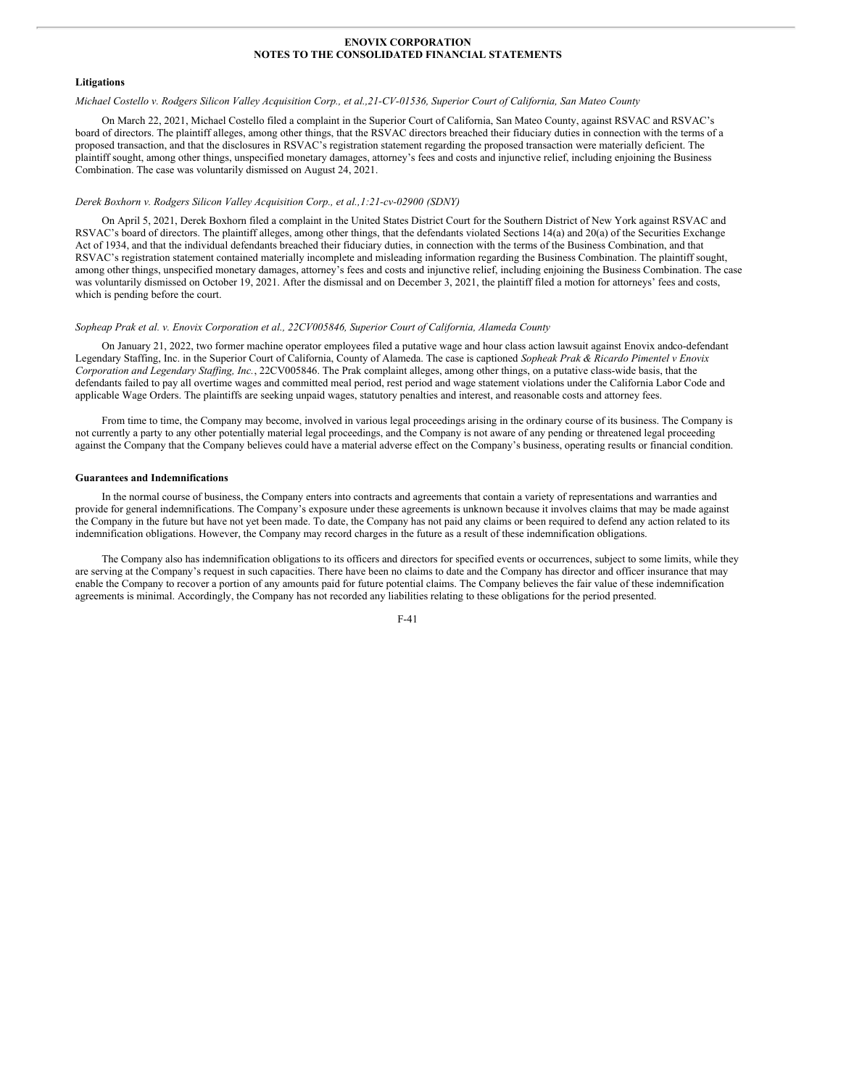# **Litigations**

## Michael Costello v. Rodgers Silicon Valley Acquisition Corp., et al., 21-CV-01536, Superior Court of California, San Mateo County

On March 22, 2021, Michael Costello filed a complaint in the Superior Court of California, San Mateo County, against RSVAC and RSVAC's board of directors. The plaintiff alleges, among other things, that the RSVAC directors breached their fiduciary duties in connection with the terms of a proposed transaction, and that the disclosures in RSVAC's registration statement regarding the proposed transaction were materially deficient. The plaintiff sought, among other things, unspecified monetary damages, attorney's fees and costs and injunctive relief, including enjoining the Business Combination. The case was voluntarily dismissed on August 24, 2021.

# *Derek Boxhorn v. Rodgers Silicon Valley Acquisition Corp., et al.,1:21-cv-02900 (SDNY)*

On April 5, 2021, Derek Boxhorn filed a complaint in the United States District Court for the Southern District of New York against RSVAC and RSVAC's board of directors. The plaintiff alleges, among other things, that the defendants violated Sections 14(a) and 20(a) of the Securities Exchange Act of 1934, and that the individual defendants breached their fiduciary duties, in connection with the terms of the Business Combination, and that RSVAC's registration statement contained materially incomplete and misleading information regarding the Business Combination. The plaintiff sought, among other things, unspecified monetary damages, attorney's fees and costs and injunctive relief, including enjoining the Business Combination. The case was voluntarily dismissed on October 19, 2021. After the dismissal and on December 3, 2021, the plaintiff filed a motion for attorneys' fees and costs, which is pending before the court.

## *Sopheap Prak et al. v. Enovix Corporation et al., 22CV005846, Superior Court of California, Alameda County*

On January 21, 2022, two former machine operator employees filed a putative wage and hour class action lawsuit against Enovix andco-defendant Legendary Staffing, Inc. in the Superior Court of California, County of Alameda. The case is captioned *Sopheak Prak & Ricardo Pimentel v Enovix Corporation and Legendary Staf ing, Inc.*, 22CV005846. The Prak complaint alleges, among other things, on a putative class-wide basis, that the defendants failed to pay all overtime wages and committed meal period, rest period and wage statement violations under the California Labor Code and applicable Wage Orders. The plaintiffs are seeking unpaid wages, statutory penalties and interest, and reasonable costs and attorney fees.

From time to time, the Company may become, involved in various legal proceedings arising in the ordinary course of its business. The Company is not currently a party to any other potentially material legal proceedings, and the Company is not aware of any pending or threatened legal proceeding against the Company that the Company believes could have a material adverse effect on the Company's business, operating results or financial condition.

# **Guarantees and Indemnifications**

In the normal course of business, the Company enters into contracts and agreements that contain a variety of representations and warranties and provide for general indemnifications. The Company's exposure under these agreements is unknown because it involves claims that may be made against the Company in the future but have not yet been made. To date, the Company has not paid any claims or been required to defend any action related to its indemnification obligations. However, the Company may record charges in the future as a result of these indemnification obligations.

The Company also has indemnification obligations to its officers and directors for specified events or occurrences, subject to some limits, while they are serving at the Company's request in such capacities. There have been no claims to date and the Company has director and officer insurance that may enable the Company to recover a portion of any amounts paid for future potential claims. The Company believes the fair value of these indemnification agreements is minimal. Accordingly, the Company has not recorded any liabilities relating to these obligations for the period presented.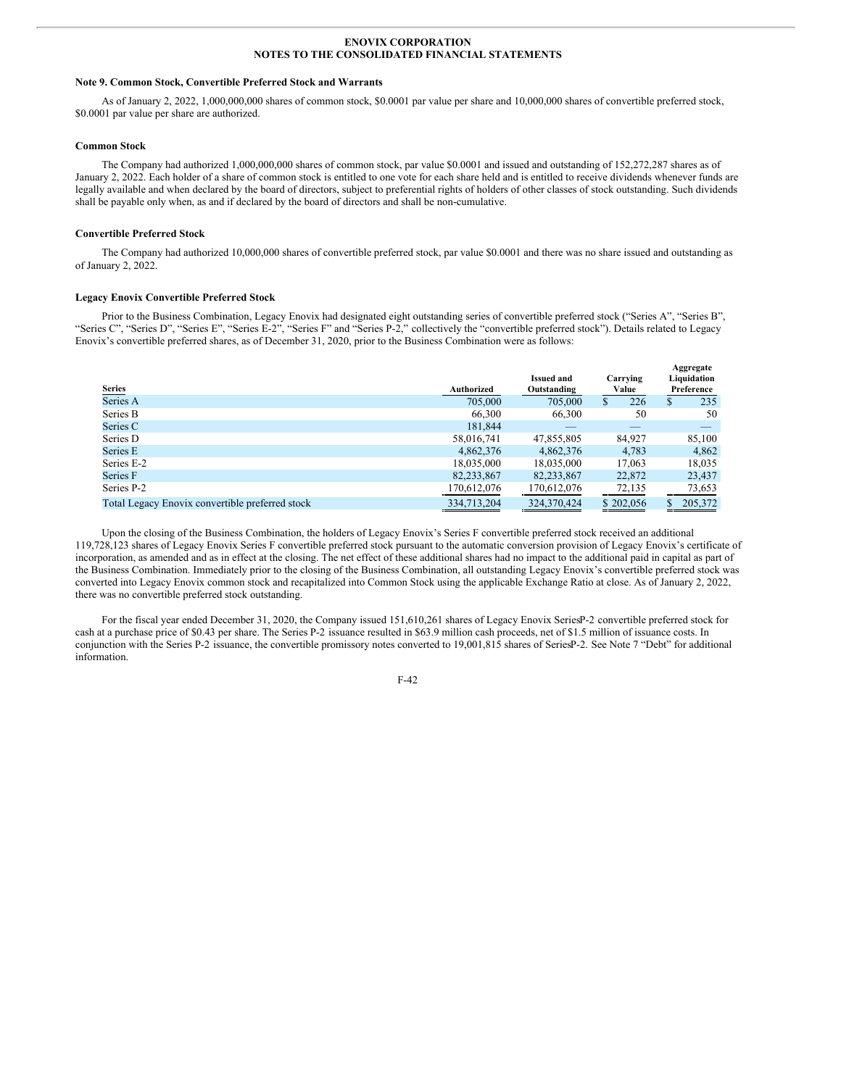# **Note 9. Common Stock, Convertible Preferred Stock and Warrants**

As of January 2, 2022, 1,000,000,000 shares of common stock, \$0.0001 par value per share and 10,000,000 shares of convertible preferred stock, \$0.0001 par value per share are authorized.

#### **Common Stock**

The Company had authorized 1,000,000,000 shares of common stock, par value \$0.0001 and issued and outstanding of 152,272,287 shares as of January 2, 2022. Each holder of a share of common stock is entitled to one vote for each share held and is entitled to receive dividends whenever funds are legally available and when declared by the board of directors, subject to preferential rights of holders of other classes of stock outstanding. Such dividends shall be payable only when, as and if declared by the board of directors and shall be non-cumulative.

#### **Convertible Preferred Stock**

The Company had authorized 10,000,000 shares of convertible preferred stock, par value \$0.0001 and there was no share issued and outstanding as of January 2, 2022.

#### **Legacy Enovix Convertible Preferred Stock**

Prior to the Business Combination, Legacy Enovix had designated eight outstanding series of convertible preferred stock ("Series A", "Series B", "Series C", "Series D", "Series E", "Series E-2", "Series F" and "Series P-2," collectively the "convertible preferred stock"). Details related to Legacy Enovix's convertible preferred shares, as of December 31, 2020, prior to the Business Combination were as follows:

| <b>Series</b>                                   | Authorized   | <b>Issued and</b><br>Outstanding | Carrying<br>Value | $-1.55 - 1.75$<br>Liquidation<br>Preference |
|-------------------------------------------------|--------------|----------------------------------|-------------------|---------------------------------------------|
| Series A                                        | 705,000      | 705,000                          | 226<br>S.         | 235<br>Ф                                    |
| Series B                                        | 66,300       | 66,300                           | 50                | 50                                          |
| Series C                                        | 181,844      |                                  |                   |                                             |
| Series D                                        | 58,016,741   | 47,855,805                       | 84.927            | 85,100                                      |
| Series E                                        | 4,862,376    | 4,862,376                        | 4.783             | 4,862                                       |
| Series E-2                                      | 18,035,000   | 18,035,000                       | 17.063            | 18.035                                      |
| Series F                                        | 82, 233, 867 | 82, 233, 867                     | 22,872            | 23,437                                      |
| Series P-2                                      | 170,612,076  | 170,612,076                      | 72,135            | 73,653                                      |
| Total Legacy Enovix convertible preferred stock | 334,713,204  | 324,370,424                      | \$202,056         | 205,372                                     |

**Aggregate**

Upon the closing of the Business Combination, the holders of Legacy Enovix's Series F convertible preferred stock received an additional 119,728,123 shares of Legacy Enovix Series F convertible preferred stock pursuant to the automatic conversion provision of Legacy Enovix's certificate of incorporation, as amended and as in effect at the closing. The net effect of these additional shares had no impact to the additional paid in capital as part of the Business Combination. Immediately prior to the closing of the Business Combination, all outstanding Legacy Enovix's convertible preferred stock was converted into Legacy Enovix common stock and recapitalized into Common Stock using the applicable Exchange Ratio at close. As of January 2, 2022, there was no convertible preferred stock outstanding.

For the fiscal year ended December 31, 2020, the Company issued 151,610,261 shares of Legacy Enovix SeriesP-2 convertible preferred stock for cash at a purchase price of \$0.43 per share. The Series P-2 issuance resulted in \$63.9 million cash proceeds, net of \$1.5 million of issuance costs. In conjunction with the Series P-2 issuance, the convertible promissory notes converted to 19,001,815 shares of SeriesP-2. See Note 7 "Debt" for additional information.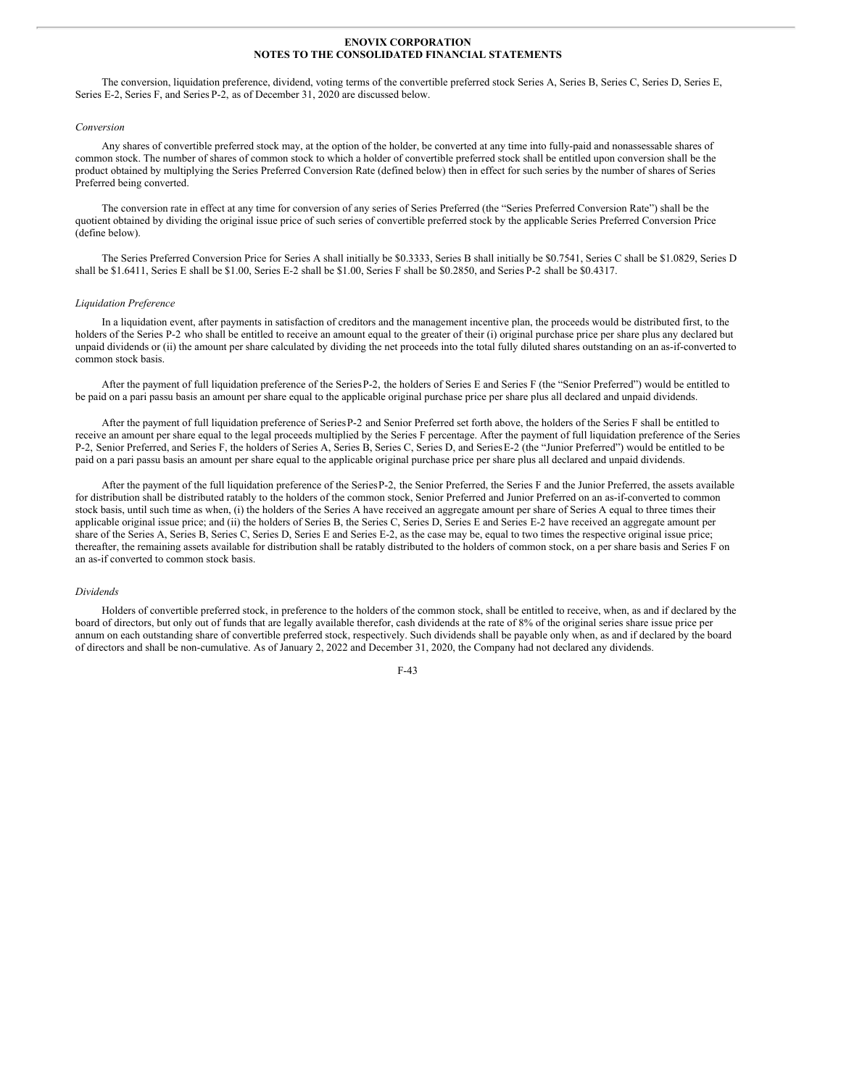The conversion, liquidation preference, dividend, voting terms of the convertible preferred stock Series A, Series B, Series C, Series D, Series E, Series E-2, Series F, and Series P-2, as of December 31, 2020 are discussed below.

# *Conversion*

Any shares of convertible preferred stock may, at the option of the holder, be converted at any time into fully-paid and nonassessable shares of common stock. The number of shares of common stock to which a holder of convertible preferred stock shall be entitled upon conversion shall be the product obtained by multiplying the Series Preferred Conversion Rate (defined below) then in effect for such series by the number of shares of Series Preferred being converted.

The conversion rate in effect at any time for conversion of any series of Series Preferred (the "Series Preferred Conversion Rate") shall be the quotient obtained by dividing the original issue price of such series of convertible preferred stock by the applicable Series Preferred Conversion Price (define below).

The Series Preferred Conversion Price for Series A shall initially be \$0.3333, Series B shall initially be \$0.7541, Series C shall be \$1.0829, Series D shall be \$1.6411, Series E shall be \$1.00, Series E-2 shall be \$1.00, Series F shall be \$0.2850, and Series P-2 shall be \$0.4317.

#### *Liquidation Preference*

In a liquidation event, after payments in satisfaction of creditors and the management incentive plan, the proceeds would be distributed first, to the holders of the Series P-2 who shall be entitled to receive an amount equal to the greater of their (i) original purchase price per share plus any declared but unpaid dividends or (ii) the amount per share calculated by dividing the net proceeds into the total fully diluted shares outstanding on an as-if-converted to common stock basis.

After the payment of full liquidation preference of the SeriesP-2, the holders of Series E and Series F (the "Senior Preferred") would be entitled to be paid on a pari passu basis an amount per share equal to the applicable original purchase price per share plus all declared and unpaid dividends.

After the payment of full liquidation preference of SeriesP-2 and Senior Preferred set forth above, the holders of the Series F shall be entitled to receive an amount per share equal to the legal proceeds multiplied by the Series F percentage. After the payment of full liquidation preference of the Series P-2, Senior Preferred, and Series F, the holders of Series A, Series B, Series C, Series D, and Series E-2 (the "Junior Preferred") would be entitled to be paid on a pari passu basis an amount per share equal to the applicable original purchase price per share plus all declared and unpaid dividends.

After the payment of the full liquidation preference of the SeriesP-2, the Senior Preferred, the Series F and the Junior Preferred, the assets available for distribution shall be distributed ratably to the holders of the common stock, Senior Preferred and Junior Preferred on an as-if-converted to common stock basis, until such time as when, (i) the holders of the Series A have received an aggregate amount per share of Series A equal to three times their applicable original issue price; and (ii) the holders of Series B, the Series C, Series D, Series E and Series E-2 have received an aggregate amount per share of the Series A, Series B, Series C, Series D, Series E and Series E-2, as the case may be, equal to two times the respective original issue price; thereafter, the remaining assets available for distribution shall be ratably distributed to the holders of common stock, on a per share basis and Series F on an as-if converted to common stock basis.

### *Dividends*

Holders of convertible preferred stock, in preference to the holders of the common stock, shall be entitled to receive, when, as and if declared by the board of directors, but only out of funds that are legally available therefor, cash dividends at the rate of 8% of the original series share issue price per annum on each outstanding share of convertible preferred stock, respectively. Such dividends shall be payable only when, as and if declared by the board of directors and shall be non-cumulative. As of January 2, 2022 and December 31, 2020, the Company had not declared any dividends.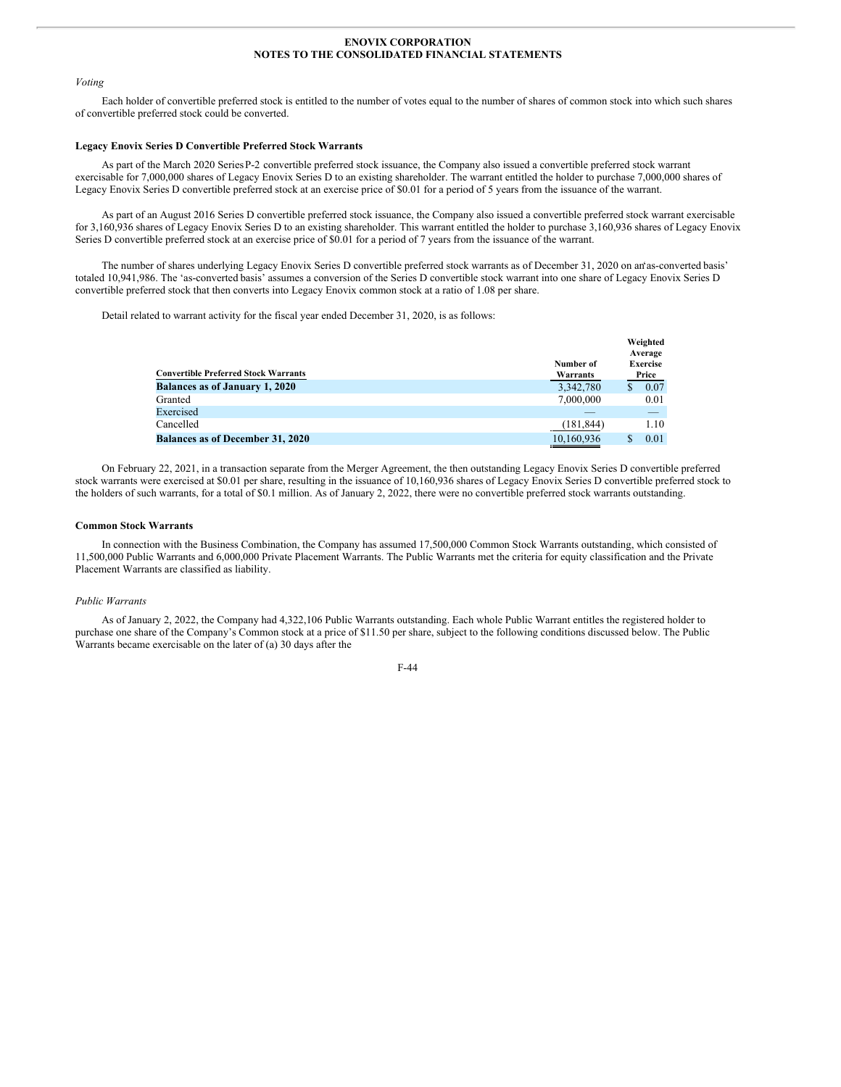# *Voting*

Each holder of convertible preferred stock is entitled to the number of votes equal to the number of shares of common stock into which such shares of convertible preferred stock could be converted.

## **Legacy Enovix Series D Convertible Preferred Stock Warrants**

As part of the March 2020 SeriesP-2 convertible preferred stock issuance, the Company also issued a convertible preferred stock warrant exercisable for 7,000,000 shares of Legacy Enovix Series D to an existing shareholder. The warrant entitled the holder to purchase 7,000,000 shares of Legacy Enovix Series D convertible preferred stock at an exercise price of \$0.01 for a period of 5 years from the issuance of the warrant.

As part of an August 2016 Series D convertible preferred stock issuance, the Company also issued a convertible preferred stock warrant exercisable for 3,160,936 shares of Legacy Enovix Series D to an existing shareholder. This warrant entitled the holder to purchase 3,160,936 shares of Legacy Enovix Series D convertible preferred stock at an exercise price of \$0.01 for a period of 7 years from the issuance of the warrant.

The number of shares underlying Legacy Enovix Series D convertible preferred stock warrants as of December 31, 2020 on an'as-converted basis' totaled 10,941,986. The 'as-converted basis' assumes a conversion of the Series D convertible stock warrant into one share of Legacy Enovix Series D convertible preferred stock that then converts into Legacy Enovix common stock at a ratio of 1.08 per share.

Detail related to warrant activity for the fiscal year ended December 31, 2020, is as follows:

| <b>Convertible Preferred Stock Warrants</b> | Number of<br>Warrants | Weighted<br>Average<br><b>Exercise</b><br>Price |
|---------------------------------------------|-----------------------|-------------------------------------------------|
| <b>Balances as of January 1, 2020</b>       | 3,342,780             | 0.07                                            |
| Granted                                     | 7,000,000             | 0.01                                            |
| Exercised                                   |                       |                                                 |
| Cancelled                                   | (181.844)             | 1.10                                            |
| <b>Balances as of December 31, 2020</b>     | 10.160.936            | 0.01                                            |

On February 22, 2021, in a transaction separate from the Merger Agreement, the then outstanding Legacy Enovix Series D convertible preferred stock warrants were exercised at \$0.01 per share, resulting in the issuance of 10,160,936 shares of Legacy Enovix Series D convertible preferred stock to the holders of such warrants, for a total of \$0.1 million. As of January 2, 2022, there were no convertible preferred stock warrants outstanding.

#### **Common Stock Warrants**

In connection with the Business Combination, the Company has assumed 17,500,000 Common Stock Warrants outstanding, which consisted of 11,500,000 Public Warrants and 6,000,000 Private Placement Warrants. The Public Warrants met the criteria for equity classification and the Private Placement Warrants are classified as liability.

# *Public Warrants*

As of January 2, 2022, the Company had 4,322,106 Public Warrants outstanding. Each whole Public Warrant entitles the registered holder to purchase one share of the Company's Common stock at a price of \$11.50 per share, subject to the following conditions discussed below. The Public Warrants became exercisable on the later of (a) 30 days after the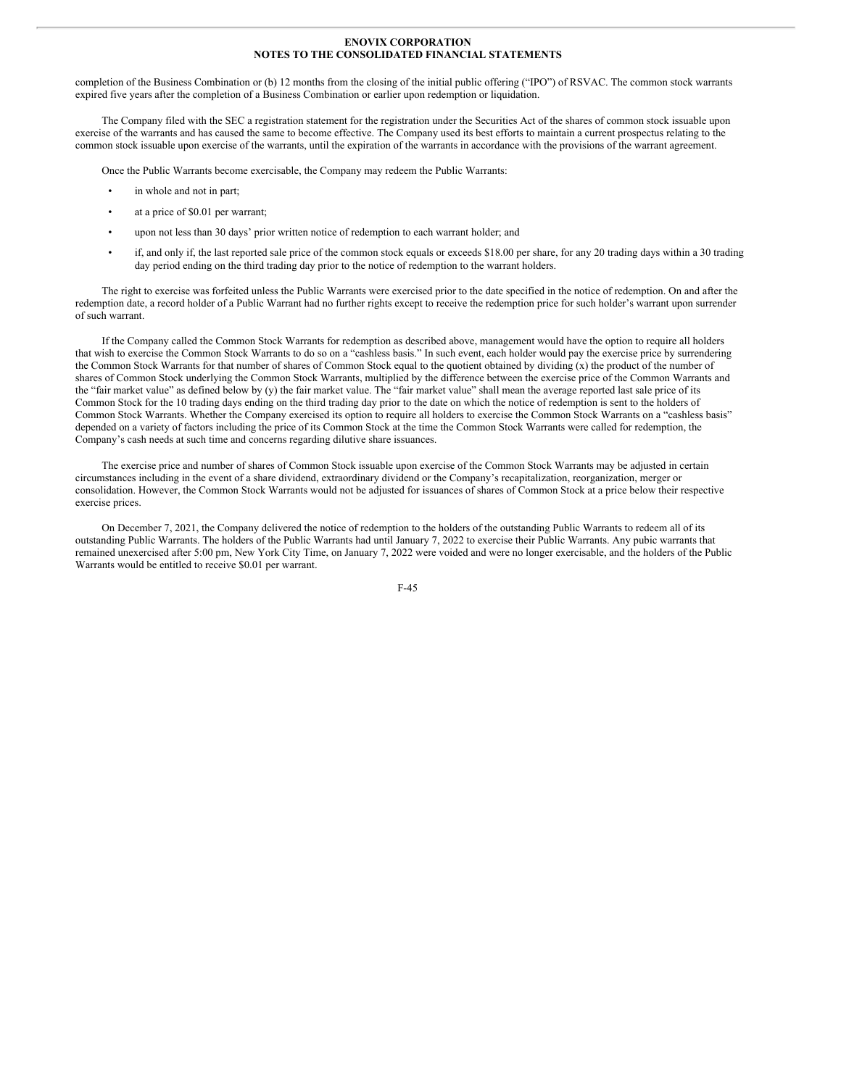completion of the Business Combination or (b) 12 months from the closing of the initial public offering ("IPO") of RSVAC. The common stock warrants expired five years after the completion of a Business Combination or earlier upon redemption or liquidation.

The Company filed with the SEC a registration statement for the registration under the Securities Act of the shares of common stock issuable upon exercise of the warrants and has caused the same to become effective. The Company used its best efforts to maintain a current prospectus relating to the common stock issuable upon exercise of the warrants, until the expiration of the warrants in accordance with the provisions of the warrant agreement.

Once the Public Warrants become exercisable, the Company may redeem the Public Warrants:

- in whole and not in part;
- at a price of \$0.01 per warrant;
- upon not less than 30 days' prior written notice of redemption to each warrant holder; and
- if, and only if, the last reported sale price of the common stock equals or exceeds \$18.00 per share, for any 20 trading days within a 30 trading day period ending on the third trading day prior to the notice of redemption to the warrant holders.

The right to exercise was forfeited unless the Public Warrants were exercised prior to the date specified in the notice of redemption. On and after the redemption date, a record holder of a Public Warrant had no further rights except to receive the redemption price for such holder's warrant upon surrender of such warrant.

If the Company called the Common Stock Warrants for redemption as described above, management would have the option to require all holders that wish to exercise the Common Stock Warrants to do so on a "cashless basis." In such event, each holder would pay the exercise price by surrendering the Common Stock Warrants for that number of shares of Common Stock equal to the quotient obtained by dividing (x) the product of the number of shares of Common Stock underlying the Common Stock Warrants, multiplied by the difference between the exercise price of the Common Warrants and the "fair market value" as defined below by (y) the fair market value. The "fair market value" shall mean the average reported last sale price of its Common Stock for the 10 trading days ending on the third trading day prior to the date on which the notice of redemption is sent to the holders of Common Stock Warrants. Whether the Company exercised its option to require all holders to exercise the Common Stock Warrants on a "cashless basis" depended on a variety of factors including the price of its Common Stock at the time the Common Stock Warrants were called for redemption, the Company's cash needs at such time and concerns regarding dilutive share issuances.

The exercise price and number of shares of Common Stock issuable upon exercise of the Common Stock Warrants may be adjusted in certain circumstances including in the event of a share dividend, extraordinary dividend or the Company's recapitalization, reorganization, merger or consolidation. However, the Common Stock Warrants would not be adjusted for issuances of shares of Common Stock at a price below their respective exercise prices.

On December 7, 2021, the Company delivered the notice of redemption to the holders of the outstanding Public Warrants to redeem all of its outstanding Public Warrants. The holders of the Public Warrants had until January 7, 2022 to exercise their Public Warrants. Any pubic warrants that remained unexercised after 5:00 pm, New York City Time, on January 7, 2022 were voided and were no longer exercisable, and the holders of the Public Warrants would be entitled to receive \$0.01 per warrant.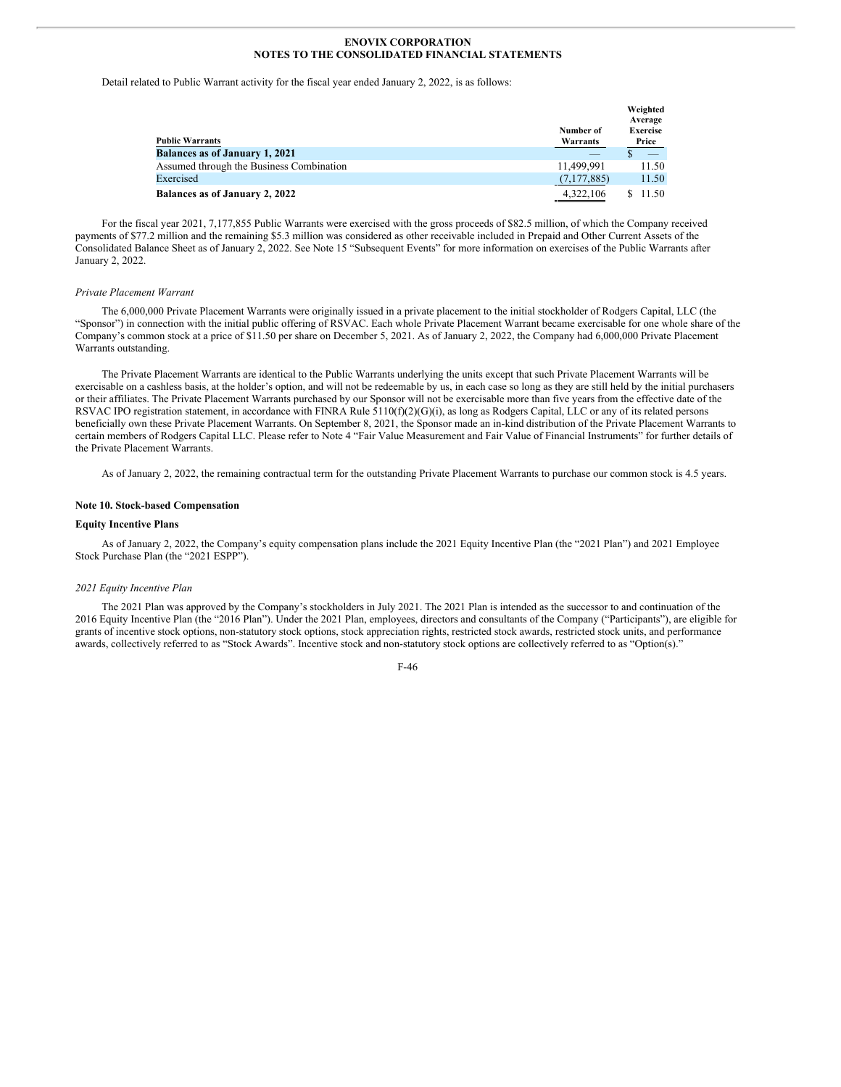Detail related to Public Warrant activity for the fiscal year ended January 2, 2022, is as follows:

|                                          |             | Weighted<br>Average |
|------------------------------------------|-------------|---------------------|
|                                          | Number of   | <b>Exercise</b>     |
| <b>Public Warrants</b>                   | Warrants    | Price               |
| <b>Balances as of January 1, 2021</b>    |             |                     |
| Assumed through the Business Combination | 11.499.991  | 11.50               |
| Exercised                                | (7,177,885) | 11.50               |
| <b>Balances as of January 2, 2022</b>    | 4,322,106   | 11.50<br>S.         |

For the fiscal year 2021, 7,177,855 Public Warrants were exercised with the gross proceeds of \$82.5 million, of which the Company received payments of \$77.2 million and the remaining \$5.3 million was considered as other receivable included in Prepaid and Other Current Assets of the Consolidated Balance Sheet as of January 2, 2022. See Note 15 "Subsequent Events" for more information on exercises of the Public Warrants after January 2, 2022.

# *Private Placement Warrant*

The 6,000,000 Private Placement Warrants were originally issued in a private placement to the initial stockholder of Rodgers Capital, LLC (the "Sponsor") in connection with the initial public offering of RSVAC. Each whole Private Placement Warrant became exercisable for one whole share of the Company's common stock at a price of \$11.50 per share on December 5, 2021. As of January 2, 2022, the Company had 6,000,000 Private Placement Warrants outstanding.

The Private Placement Warrants are identical to the Public Warrants underlying the units except that such Private Placement Warrants will be exercisable on a cashless basis, at the holder's option, and will not be redeemable by us, in each case so long as they are still held by the initial purchasers or their affiliates. The Private Placement Warrants purchased by our Sponsor will not be exercisable more than five years from the effective date of the RSVAC IPO registration statement, in accordance with FINRA Rule 5110(f)(2)(G)(i), as long as Rodgers Capital, LLC or any of its related persons beneficially own these Private Placement Warrants. On September 8, 2021, the Sponsor made an in-kind distribution of the Private Placement Warrants to certain members of Rodgers Capital LLC. Please refer to Note 4 "Fair Value Measurement and Fair Value of Financial Instruments" for further details of the Private Placement Warrants.

As of January 2, 2022, the remaining contractual term for the outstanding Private Placement Warrants to purchase our common stock is 4.5 years.

#### **Note 10. Stock-based Compensation**

#### **Equity Incentive Plans**

As of January 2, 2022, the Company's equity compensation plans include the 2021 Equity Incentive Plan (the "2021 Plan") and 2021 Employee Stock Purchase Plan (the "2021 ESPP").

#### *2021 Equity Incentive Plan*

The 2021 Plan was approved by the Company's stockholders in July 2021. The 2021 Plan is intended as the successor to and continuation of the 2016 Equity Incentive Plan (the "2016 Plan"). Under the 2021 Plan, employees, directors and consultants of the Company ("Participants"), are eligible for grants of incentive stock options, non-statutory stock options, stock appreciation rights, restricted stock awards, restricted stock units, and performance awards, collectively referred to as "Stock Awards". Incentive stock and non-statutory stock options are collectively referred to as "Option(s)."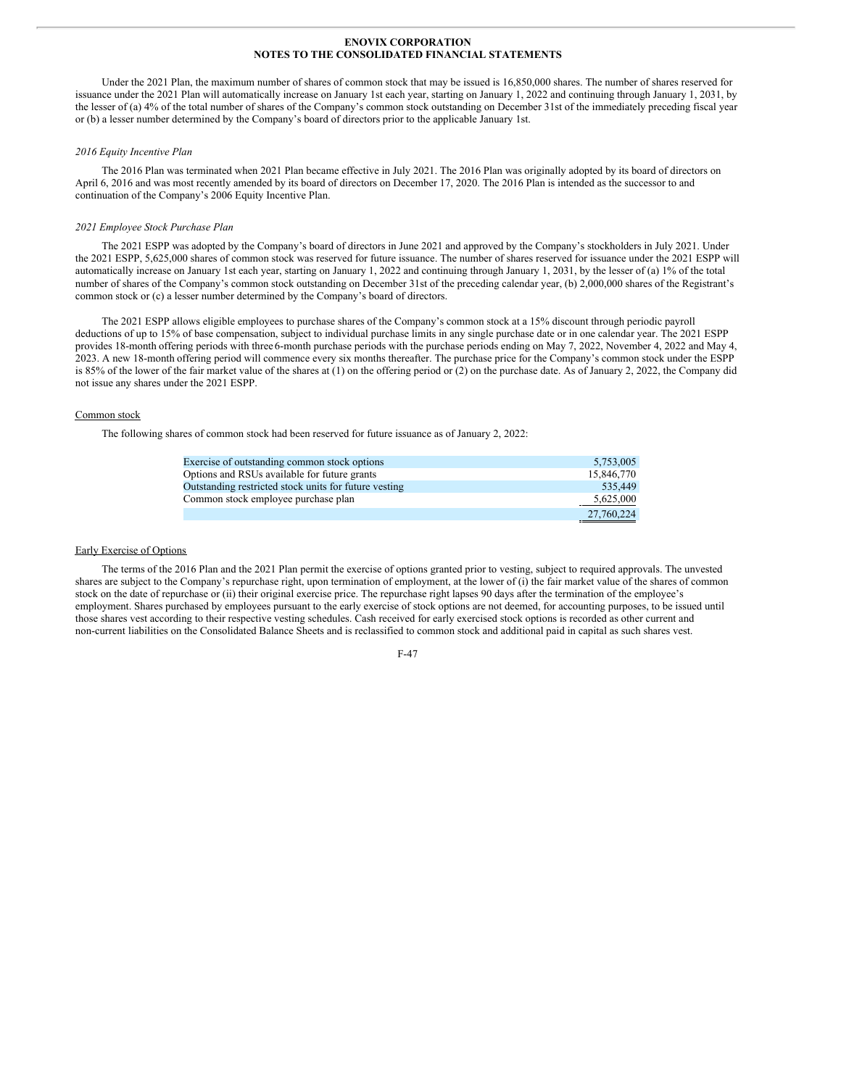Under the 2021 Plan, the maximum number of shares of common stock that may be issued is 16,850,000 shares. The number of shares reserved for issuance under the 2021 Plan will automatically increase on January 1st each year, starting on January 1, 2022 and continuing through January 1, 2031, by the lesser of (a) 4% of the total number of shares of the Company's common stock outstanding on December 31st of the immediately preceding fiscal year or (b) a lesser number determined by the Company's board of directors prior to the applicable January 1st.

#### *2016 Equity Incentive Plan*

The 2016 Plan was terminated when 2021 Plan became effective in July 2021. The 2016 Plan was originally adopted by its board of directors on April 6, 2016 and was most recently amended by its board of directors on December 17, 2020. The 2016 Plan is intended as the successor to and continuation of the Company's 2006 Equity Incentive Plan.

#### *2021 Employee Stock Purchase Plan*

The 2021 ESPP was adopted by the Company's board of directors in June 2021 and approved by the Company's stockholders in July 2021. Under the 2021 ESPP, 5,625,000 shares of common stock was reserved for future issuance. The number of shares reserved for issuance under the 2021 ESPP will automatically increase on January 1st each year, starting on January 1, 2022 and continuing through January 1, 2031, by the lesser of (a) 1% of the total number of shares of the Company's common stock outstanding on December 31st of the preceding calendar year, (b) 2,000,000 shares of the Registrant's common stock or (c) a lesser number determined by the Company's board of directors.

The 2021 ESPP allows eligible employees to purchase shares of the Company's common stock at a 15% discount through periodic payroll deductions of up to 15% of base compensation, subject to individual purchase limits in any single purchase date or in one calendar year. The 2021 ESPP provides 18-month offering periods with three 6-month purchase periods with the purchase periods ending on May 7, 2022, November 4, 2022 and May 4, 2023. A new 18-month offering period will commence every six months thereafter. The purchase price for the Company's common stock under the ESPP is 85% of the lower of the fair market value of the shares at (1) on the offering period or (2) on the purchase date. As of January 2, 2022, the Company did not issue any shares under the 2021 ESPP.

#### Common stock

The following shares of common stock had been reserved for future issuance as of January 2, 2022:

| Exercise of outstanding common stock options          | 5,753,005  |
|-------------------------------------------------------|------------|
| Options and RSUs available for future grants          | 15,846,770 |
| Outstanding restricted stock units for future vesting | 535.449    |
| Common stock employee purchase plan                   | 5,625,000  |
|                                                       | 27,760,224 |

#### Early Exercise of Options

The terms of the 2016 Plan and the 2021 Plan permit the exercise of options granted prior to vesting, subject to required approvals. The unvested shares are subject to the Company's repurchase right, upon termination of employment, at the lower of (i) the fair market value of the shares of common stock on the date of repurchase or (ii) their original exercise price. The repurchase right lapses 90 days after the termination of the employee's employment. Shares purchased by employees pursuant to the early exercise of stock options are not deemed, for accounting purposes, to be issued until those shares vest according to their respective vesting schedules. Cash received for early exercised stock options is recorded as other current and non-current liabilities on the Consolidated Balance Sheets and is reclassified to common stock and additional paid in capital as such shares vest.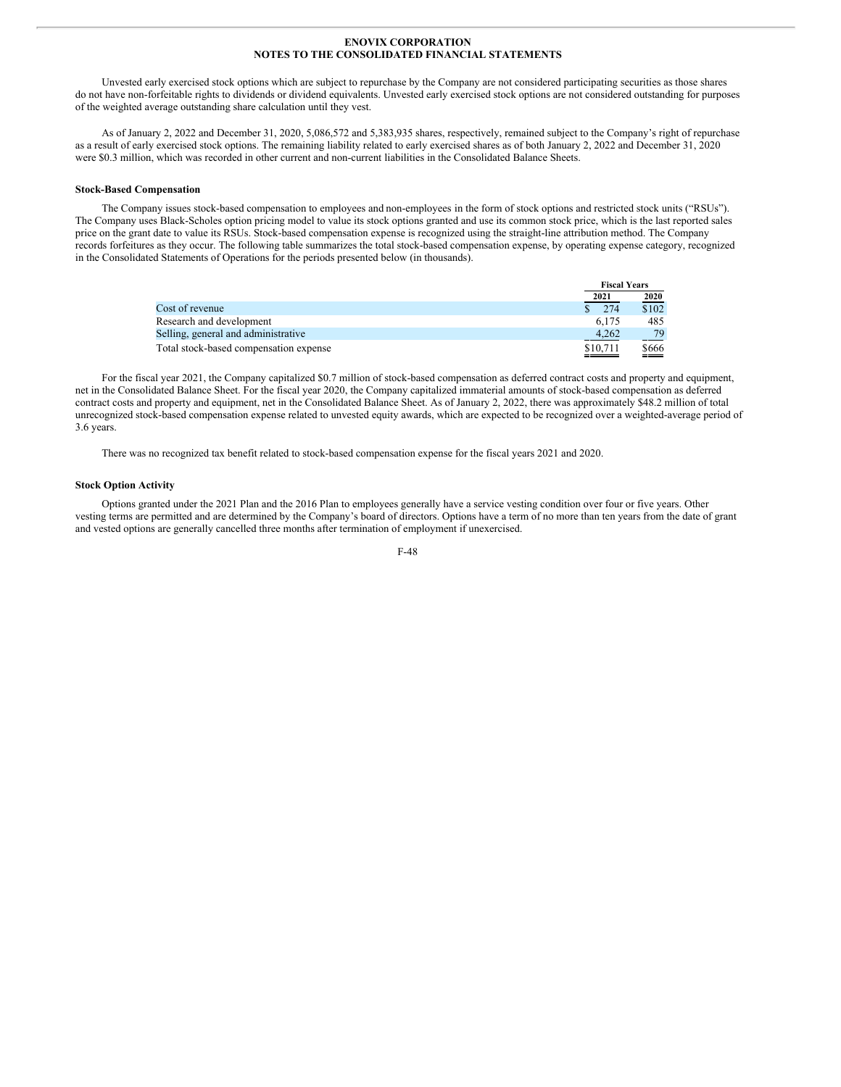Unvested early exercised stock options which are subject to repurchase by the Company are not considered participating securities as those shares do not have non-forfeitable rights to dividends or dividend equivalents. Unvested early exercised stock options are not considered outstanding for purposes of the weighted average outstanding share calculation until they vest.

As of January 2, 2022 and December 31, 2020, 5,086,572 and 5,383,935 shares, respectively, remained subject to the Company's right of repurchase as a result of early exercised stock options. The remaining liability related to early exercised shares as of both January 2, 2022 and December 31, 2020 were \$0.3 million, which was recorded in other current and non-current liabilities in the Consolidated Balance Sheets.

# **Stock-Based Compensation**

The Company issues stock-based compensation to employees and non-employees in the form of stock options and restricted stock units ("RSUs"). The Company uses Black-Scholes option pricing model to value its stock options granted and use its common stock price, which is the last reported sales price on the grant date to value its RSUs. Stock-based compensation expense is recognized using the straight-line attribution method. The Company records forfeitures as they occur. The following table summarizes the total stock-based compensation expense, by operating expense category, recognized in the Consolidated Statements of Operations for the periods presented below (in thousands).

|                                        |          | <b>Fiscal Years</b> |
|----------------------------------------|----------|---------------------|
|                                        | 2021     | 2020                |
| Cost of revenue                        | 274      | \$102               |
| Research and development               | 6.175    | 485                 |
| Selling, general and administrative    | 4,262    | 79                  |
| Total stock-based compensation expense | \$10,711 | \$666               |

For the fiscal year 2021, the Company capitalized \$0.7 million of stock-based compensation as deferred contract costs and property and equipment, net in the Consolidated Balance Sheet. For the fiscal year 2020, the Company capitalized immaterial amounts of stock-based compensation as deferred contract costs and property and equipment, net in the Consolidated Balance Sheet. As of January 2, 2022, there was approximately \$48.2 million of total unrecognized stock-based compensation expense related to unvested equity awards, which are expected to be recognized over a weighted-average period of 3.6 years.

There was no recognized tax benefit related to stock-based compensation expense for the fiscal years 2021 and 2020.

#### **Stock Option Activity**

Options granted under the 2021 Plan and the 2016 Plan to employees generally have a service vesting condition over four or five years. Other vesting terms are permitted and are determined by the Company's board of directors. Options have a term of no more than ten years from the date of grant and vested options are generally cancelled three months after termination of employment if unexercised.

$$
F-48
$$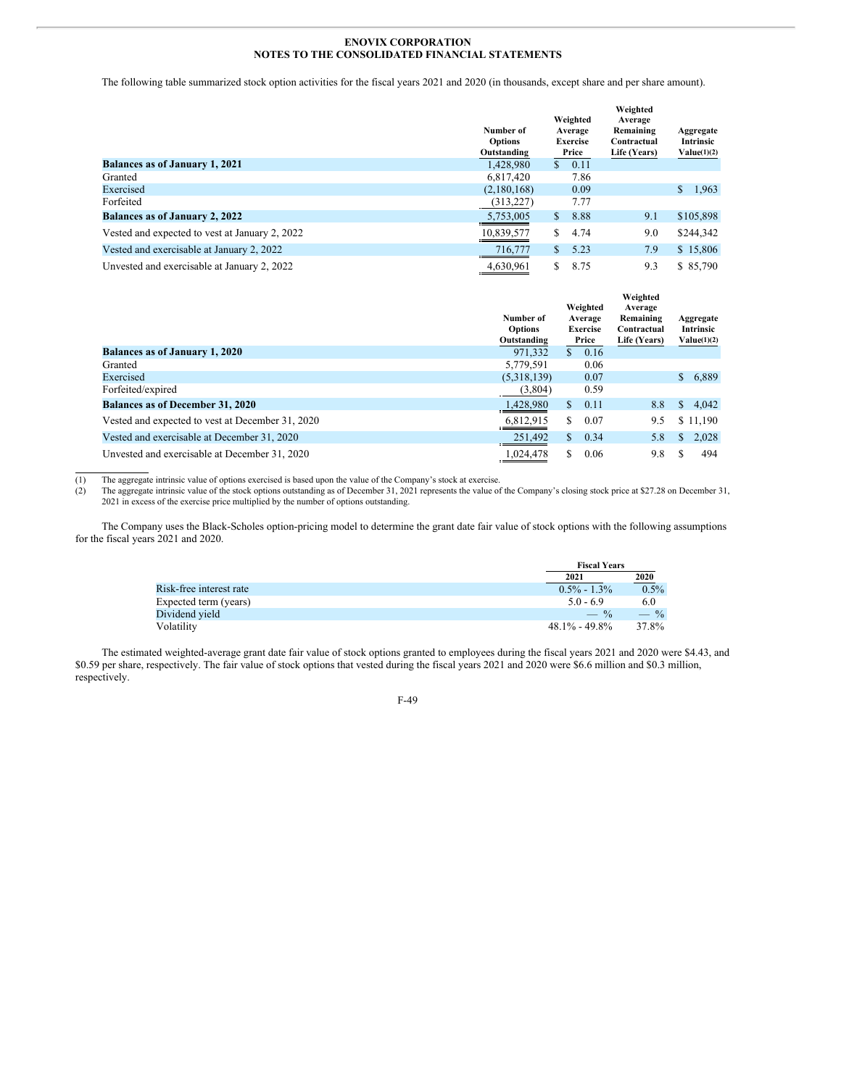The following table summarized stock option activities for the fiscal years 2021 and 2020 (in thousands, except share and per share amount).

|                                                | Number of<br><b>Options</b><br>Outstanding |     | Weighted<br>Average<br><b>Exercise</b><br>Price | Weighted<br>Average<br>Remaining<br>Contractual<br>Life (Years) | Aggregate<br>Intrinsic<br>Value(1)(2) |
|------------------------------------------------|--------------------------------------------|-----|-------------------------------------------------|-----------------------------------------------------------------|---------------------------------------|
| <b>Balances as of January 1, 2021</b>          | 1,428,980                                  | \$. | 0.11                                            |                                                                 |                                       |
| Granted                                        | 6.817.420                                  |     | 7.86                                            |                                                                 |                                       |
| Exercised                                      | (2.180.168)                                |     | 0.09                                            |                                                                 | $\mathbf{s}$<br>1,963                 |
| Forfeited                                      | (313, 227)                                 |     | 7.77                                            |                                                                 |                                       |
| <b>Balances as of January 2, 2022</b>          | 5,753,005                                  | \$  | 8.88                                            | 9.1                                                             | \$105,898                             |
| Vested and expected to vest at January 2, 2022 | 10,839,577                                 | S.  | 4.74                                            | 9.0                                                             | \$244,342                             |
| Vested and exercisable at January 2, 2022      | 716,777                                    | S.  | 5.23                                            | 7.9                                                             | \$15,806                              |
| Unvested and exercisable at January 2, 2022    | 4,630,961                                  | S.  | 8.75                                            | 9.3                                                             | \$85,790                              |

|                                                  | Number of<br><b>Options</b><br>Outstanding | Weighted<br>Average<br><b>Exercise</b><br>Price | Weighted<br>Average<br>Remaining<br>Contractual<br>Life (Years) | Aggregate<br>Intrinsic<br>Value(1)(2) |
|--------------------------------------------------|--------------------------------------------|-------------------------------------------------|-----------------------------------------------------------------|---------------------------------------|
| <b>Balances as of January 1, 2020</b>            | 971,332                                    | 0.16<br>S.                                      |                                                                 |                                       |
| Granted                                          | 5.779.591                                  | 0.06                                            |                                                                 |                                       |
| Exercised                                        | (5.318.139)                                | 0.07                                            |                                                                 | \$6,889                               |
| Forfeited/expired                                | (3,804)                                    | 0.59                                            |                                                                 |                                       |
| <b>Balances as of December 31, 2020</b>          | 1,428,980                                  | 0.11<br>S.                                      | 8.8                                                             | 4,042<br>S.                           |
| Vested and expected to vest at December 31, 2020 | 6,812,915                                  | S<br>0.07                                       | 9.5                                                             | \$11,190                              |
| Vested and exercisable at December 31, 2020      | 251,492                                    | S.<br>0.34                                      | 5.8                                                             | 2,028<br>\$                           |
| Unvested and exercisable at December 31, 2020    | 1.024.478                                  | S<br>0.06                                       | 9.8                                                             | 494                                   |

(1) The aggregate intrinsic value of options exercised is based upon the value of the Company's stock at exercise.

(2) The aggregate intrinsic value of the stock options outstanding as of December 31, 2021 represents the value of the Company's closing stock price at \$27.28 on December 31, 2021 in excess of the exercise price multiplied

The Company uses the Black-Scholes option-pricing model to determine the grant date fair value of stock options with the following assumptions for the fiscal years 2021 and 2020.

|                         | <b>Fiscal Years</b> |         |
|-------------------------|---------------------|---------|
|                         | 2021                | 2020    |
| Risk-free interest rate | $0.5\% - 1.3\%$     | $0.5\%$ |
| Expected term (years)   | $5.0 - 6.9$         | 6.0     |
| Dividend yield          | $-$ %               | $-$ %   |
| Volatility              | $48.1\% - 49.8\%$   | 37.8%   |

The estimated weighted-average grant date fair value of stock options granted to employees during the fiscal years 2021 and 2020 were \$4.43, and \$0.59 per share, respectively. The fair value of stock options that vested during the fiscal years 2021 and 2020 were \$6.6 million and \$0.3 million, respectively.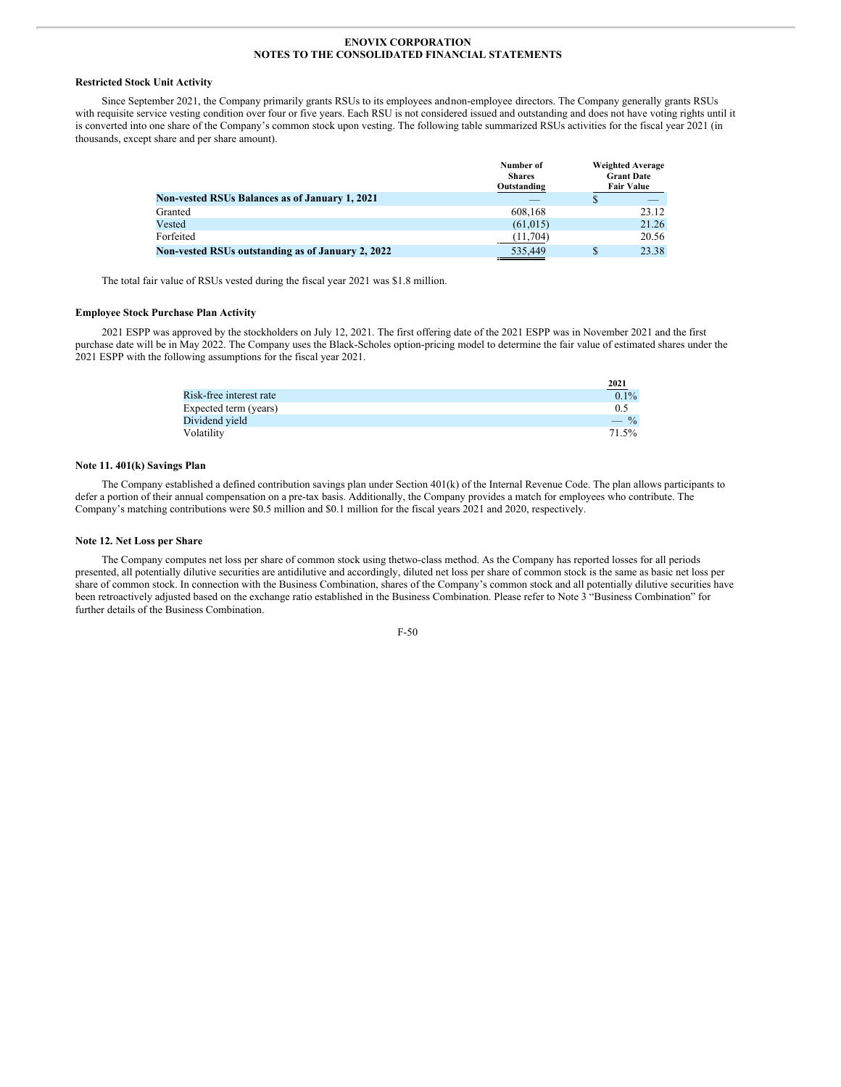# **Restricted Stock Unit Activity**

Since September 2021, the Company primarily grants RSUs to its employees andnon-employee directors. The Company generally grants RSUs with requisite service vesting condition over four or five years. Each RSU is not considered issued and outstanding and does not have voting rights until it is converted into one share of the Company's common stock upon vesting. The following table summarized RSUs activities for the fiscal year 2021 (in thousands, except share and per share amount).

|                                                       | Number of<br><b>Shares</b><br>Outstanding | <b>Weighted Average</b><br><b>Grant Date</b><br><b>Fair Value</b> |
|-------------------------------------------------------|-------------------------------------------|-------------------------------------------------------------------|
| <b>Non-vested RSUs Balances as of January 1, 2021</b> |                                           |                                                                   |
| Granted                                               | 608.168                                   | 23.12                                                             |
| Vested                                                | (61, 015)                                 | 21.26                                                             |
| Forfeited                                             | (11,704)                                  | 20.56                                                             |
| Non-vested RSUs outstanding as of January 2, 2022     | 535,449                                   | 23.38                                                             |

The total fair value of RSUs vested during the fiscal year 2021 was \$1.8 million.

### **Employee Stock Purchase Plan Activity**

2021 ESPP was approved by the stockholders on July 12, 2021. The first offering date of the 2021 ESPP was in November 2021 and the first purchase date will be in May 2022. The Company uses the Black-Scholes option-pricing model to determine the fair value of estimated shares under the 2021 ESPP with the following assumptions for the fiscal year 2021.

|                         | 2021    |
|-------------------------|---------|
| Risk-free interest rate | $0.1\%$ |
| Expected term (years)   | 0.5     |
| Dividend yield          | $-$ %   |
| Volatility              | 71.5%   |

# **Note 11. 401(k) Savings Plan**

The Company established a defined contribution savings plan under Section 401(k) of the Internal Revenue Code. The plan allows participants to defer a portion of their annual compensation on a pre-tax basis. Additionally, the Company provides a match for employees who contribute. The Company's matching contributions were \$0.5 million and \$0.1 million for the fiscal years 2021 and 2020, respectively.

# **Note 12. Net Loss per Share**

The Company computes net loss per share of common stock using thetwo-class method. As the Company has reported losses for all periods presented, all potentially dilutive securities are antidilutive and accordingly, diluted net loss per share of common stock is the same as basic net loss per share of common stock. In connection with the Business Combination, shares of the Company's common stock and all potentially dilutive securities have been retroactively adjusted based on the exchange ratio established in the Business Combination. Please refer to Note 3 "Business Combination" for further details of the Business Combination.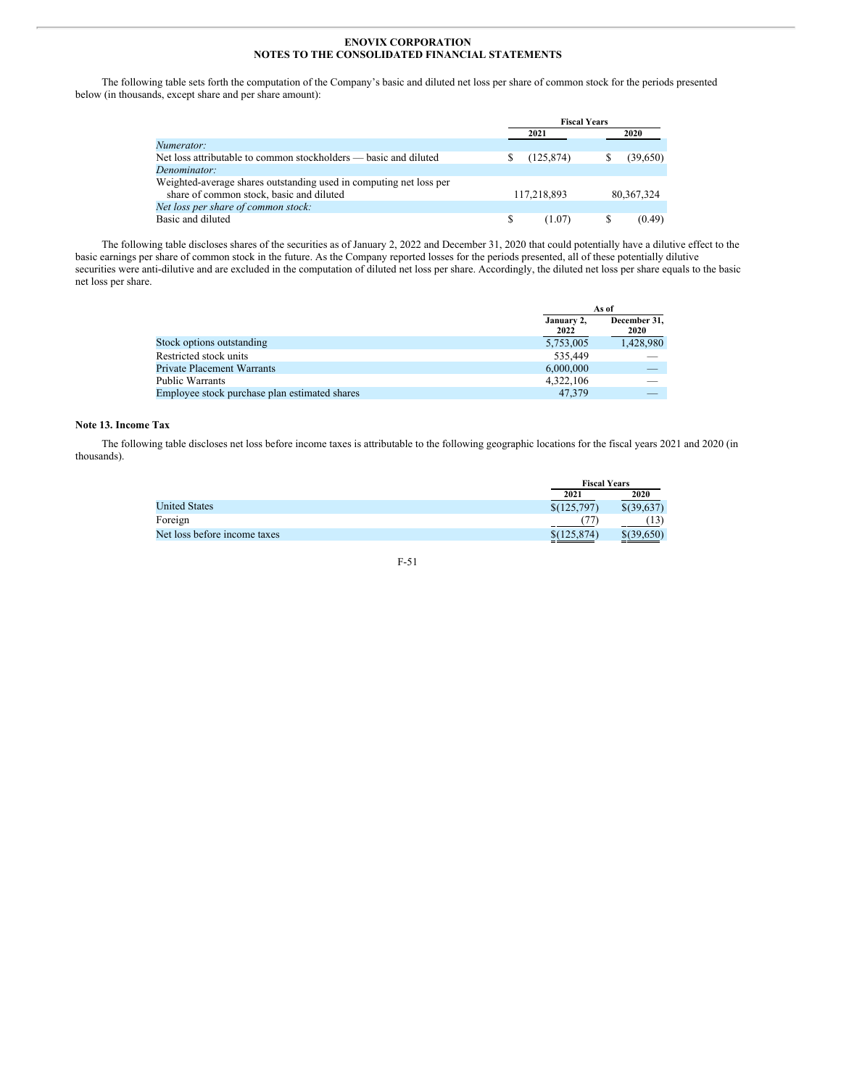The following table sets forth the computation of the Company's basic and diluted net loss per share of common stock for the periods presented below (in thousands, except share and per share amount):

|                                                                    | <b>Fiscal Years</b> |             |  |              |
|--------------------------------------------------------------------|---------------------|-------------|--|--------------|
|                                                                    |                     | 2021        |  | 2020         |
| Numerator:                                                         |                     |             |  |              |
| Net loss attributable to common stockholders — basic and diluted   |                     | (125.874)   |  | (39,650)     |
| Denominator:                                                       |                     |             |  |              |
| Weighted-average shares outstanding used in computing net loss per |                     |             |  |              |
| share of common stock, basic and diluted                           |                     | 117,218,893 |  | 80, 367, 324 |
| Net loss per share of common stock:                                |                     |             |  |              |
| Basic and diluted                                                  | S                   | (1.07)      |  | (0.49)       |

The following table discloses shares of the securities as of January 2, 2022 and December 31, 2020 that could potentially have a dilutive effect to the basic earnings per share of common stock in the future. As the Company reported losses for the periods presented, all of these potentially dilutive securities were anti-dilutive and are excluded in the computation of diluted net loss per share. Accordingly, the diluted net loss per share equals to the basic net loss per share.

|                                               |                    | As of                |
|-----------------------------------------------|--------------------|----------------------|
|                                               | January 2,<br>2022 | December 31,<br>2020 |
| Stock options outstanding                     | 5,753,005          | 1,428,980            |
| Restricted stock units                        | 535,449            |                      |
| <b>Private Placement Warrants</b>             | 6,000,000          |                      |
| <b>Public Warrants</b>                        | 4.322.106          |                      |
| Employee stock purchase plan estimated shares | 47.379             |                      |

# **Note 13. Income Tax**

The following table discloses net loss before income taxes is attributable to the following geographic locations for the fiscal years 2021 and 2020 (in thousands).

|                              |             | <b>Fiscal Years</b> |  |
|------------------------------|-------------|---------------------|--|
|                              | 2021        | 2020                |  |
| <b>United States</b>         | \$(125,797) | \$(39,637)          |  |
| Foreign                      |             |                     |  |
| Net loss before income taxes | \$(125,874) | $$$ (39,650)        |  |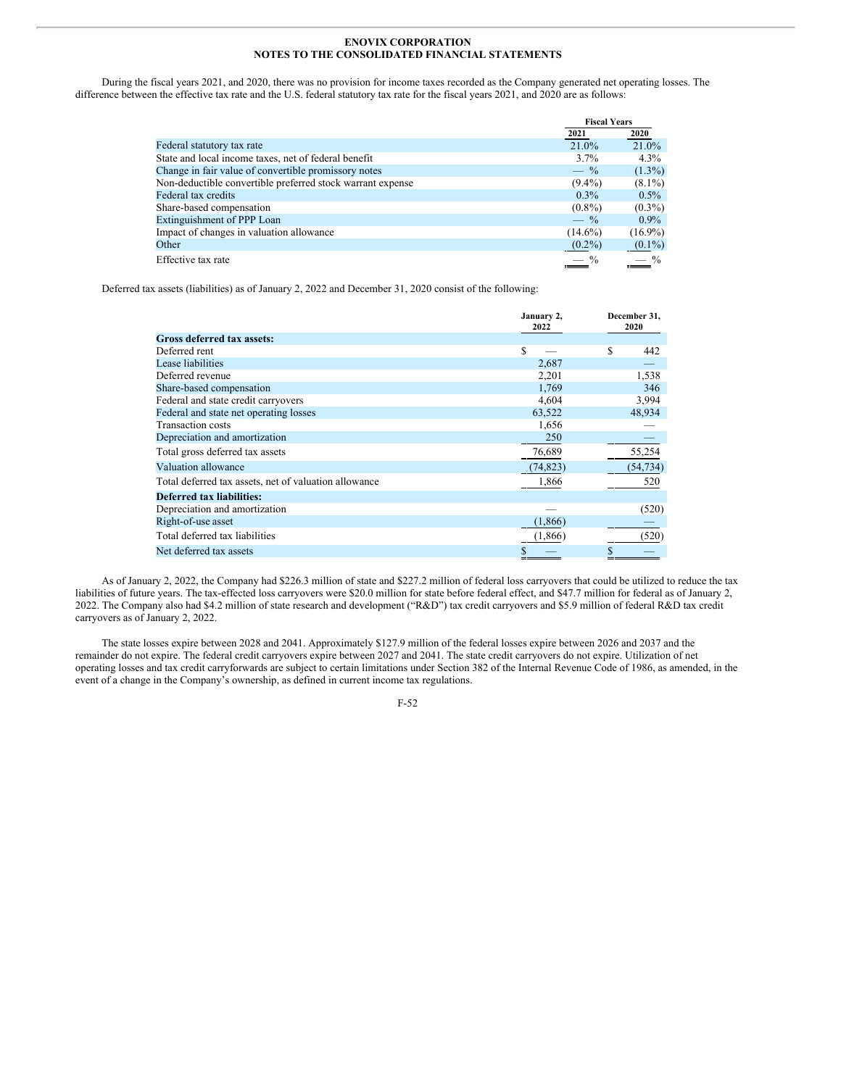During the fiscal years 2021, and 2020, there was no provision for income taxes recorded as the Company generated net operating losses. The difference between the effective tax rate and the U.S. federal statutory tax rate for the fiscal years 2021, and 2020 are as follows:

|                                                            |                   | <b>Fiscal Years</b> |  |
|------------------------------------------------------------|-------------------|---------------------|--|
|                                                            | 2021              | 2020                |  |
| Federal statutory tax rate                                 | 21.0%             | 21.0%               |  |
| State and local income taxes, net of federal benefit       | 3.7%              | $4.3\%$             |  |
| Change in fair value of convertible promissory notes       | $-$ %             | $(1.3\%)$           |  |
| Non-deductible convertible preferred stock warrant expense | $(9.4\%)$         | $(8.1\%)$           |  |
| Federal tax credits                                        | $0.3\%$           | $0.5\%$             |  |
| Share-based compensation                                   | $(0.8\%)$         | $(0.3\%)$           |  |
| Extinguishment of PPP Loan                                 | $-$ %             | $0.9\%$             |  |
| Impact of changes in valuation allowance                   | $(14.6\%)$        | $(16.9\%)$          |  |
| Other                                                      | $(0.2\%)$         | $(0.1\%)$           |  |
| Effective tax rate                                         | $=$ $\frac{9}{6}$ | $-$ %<br>$\sim$     |  |

Deferred tax assets (liabilities) as of January 2, 2022 and December 31, 2020 consist of the following:

|                                                       | January 2,<br>2022 | December 31,<br>2020 |
|-------------------------------------------------------|--------------------|----------------------|
| Gross deferred tax assets:                            |                    |                      |
| Deferred rent                                         | S                  | S<br>442             |
| Lease liabilities                                     | 2,687              |                      |
| Deferred revenue                                      | 2,201              | 1,538                |
| Share-based compensation                              | 1,769              | 346                  |
| Federal and state credit carryovers                   | 4,604              | 3,994                |
| Federal and state net operating losses                | 63,522             | 48,934               |
| <b>Transaction</b> costs                              | 1,656              |                      |
| Depreciation and amortization                         | 250                |                      |
| Total gross deferred tax assets                       | 76,689             | 55,254               |
| Valuation allowance                                   | (74, 823)          | (54, 734)            |
| Total deferred tax assets, net of valuation allowance | 1,866              | 520                  |
| <b>Deferred tax liabilities:</b>                      |                    |                      |
| Depreciation and amortization                         |                    | (520)                |
| Right-of-use asset                                    | (1, 866)           |                      |
| Total deferred tax liabilities                        | (1, 866)           | (520)                |
| Net deferred tax assets                               |                    |                      |

As of January 2, 2022, the Company had \$226.3 million of state and \$227.2 million of federal loss carryovers that could be utilized to reduce the tax liabilities of future years. The tax-effected loss carryovers were \$20.0 million for state before federal effect, and \$47.7 million for federal as of January 2, 2022. The Company also had \$4.2 million of state research and development ("R&D") tax credit carryovers and \$5.9 million of federal R&D tax credit carryovers as of January 2, 2022.

The state losses expire between 2028 and 2041. Approximately \$127.9 million of the federal losses expire between 2026 and 2037 and the remainder do not expire. The federal credit carryovers expire between 2027 and 2041. The state credit carryovers do not expire. Utilization of net operating losses and tax credit carryforwards are subject to certain limitations under Section 382 of the Internal Revenue Code of 1986, as amended, in the event of a change in the Company's ownership, as defined in current income tax regulations.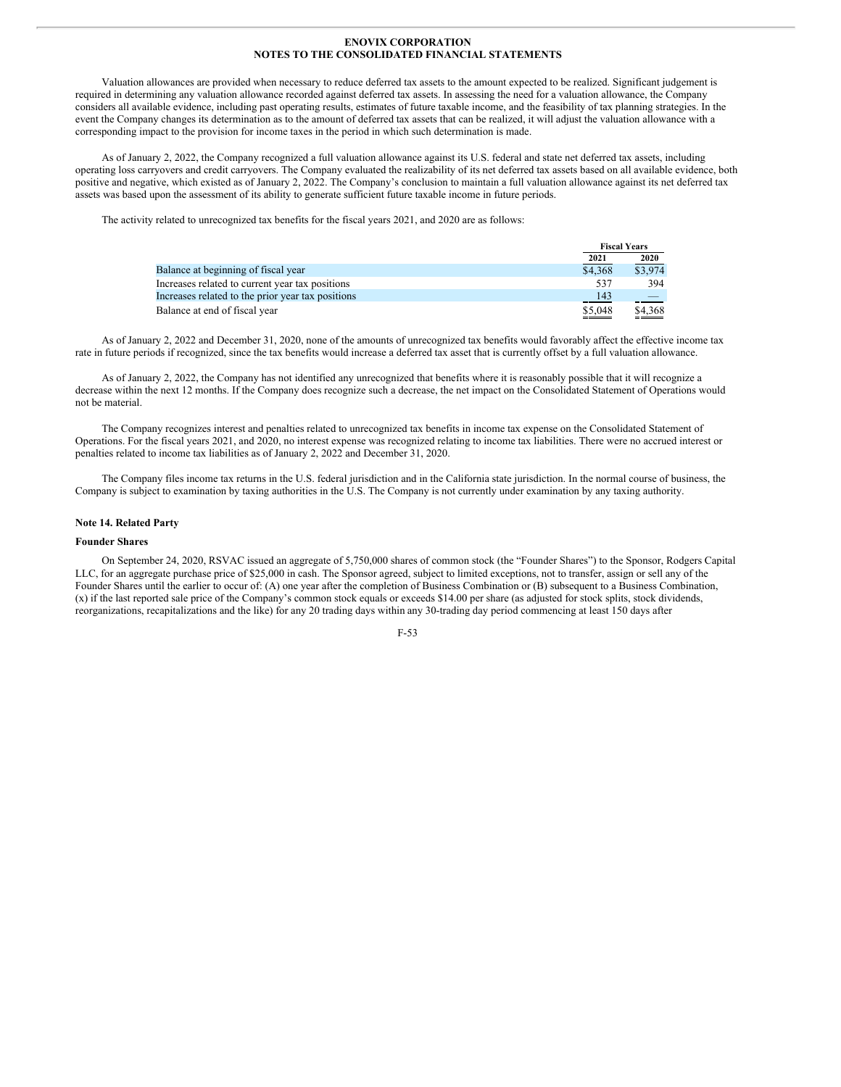Valuation allowances are provided when necessary to reduce deferred tax assets to the amount expected to be realized. Significant judgement is required in determining any valuation allowance recorded against deferred tax assets. In assessing the need for a valuation allowance, the Company considers all available evidence, including past operating results, estimates of future taxable income, and the feasibility of tax planning strategies. In the event the Company changes its determination as to the amount of deferred tax assets that can be realized, it will adjust the valuation allowance with a corresponding impact to the provision for income taxes in the period in which such determination is made.

As of January 2, 2022, the Company recognized a full valuation allowance against its U.S. federal and state net deferred tax assets, including operating loss carryovers and credit carryovers. The Company evaluated the realizability of its net deferred tax assets based on all available evidence, both positive and negative, which existed as of January 2, 2022. The Company's conclusion to maintain a full valuation allowance against its net deferred tax assets was based upon the assessment of its ability to generate sufficient future taxable income in future periods.

The activity related to unrecognized tax benefits for the fiscal years 2021, and 2020 are as follows:

|                                                   |                  | <b>Fiscal Years</b> |  |
|---------------------------------------------------|------------------|---------------------|--|
|                                                   | 2021             | 2020                |  |
| Balance at beginning of fiscal year               | \$4,368          | \$3.974             |  |
| Increases related to current year tax positions   | 537              | 394                 |  |
| Increases related to the prior year tax positions | 143              | $\sim$              |  |
| Balance at end of fiscal year                     | \$5,048<br>_____ | \$4,368             |  |

As of January 2, 2022 and December 31, 2020, none of the amounts of unrecognized tax benefits would favorably affect the effective income tax rate in future periods if recognized, since the tax benefits would increase a deferred tax asset that is currently offset by a full valuation allowance.

As of January 2, 2022, the Company has not identified any unrecognized that benefits where it is reasonably possible that it will recognize a decrease within the next 12 months. If the Company does recognize such a decrease, the net impact on the Consolidated Statement of Operations would not be material.

The Company recognizes interest and penalties related to unrecognized tax benefits in income tax expense on the Consolidated Statement of Operations. For the fiscal years 2021, and 2020, no interest expense was recognized relating to income tax liabilities. There were no accrued interest or penalties related to income tax liabilities as of January 2, 2022 and December 31, 2020.

The Company files income tax returns in the U.S. federal jurisdiction and in the California state jurisdiction. In the normal course of business, the Company is subject to examination by taxing authorities in the U.S. The Company is not currently under examination by any taxing authority.

# **Note 14. Related Party**

### **Founder Shares**

On September 24, 2020, RSVAC issued an aggregate of 5,750,000 shares of common stock (the "Founder Shares") to the Sponsor, Rodgers Capital LLC, for an aggregate purchase price of \$25,000 in cash. The Sponsor agreed, subject to limited exceptions, not to transfer, assign or sell any of the Founder Shares until the earlier to occur of: (A) one year after the completion of Business Combination or (B) subsequent to a Business Combination, (x) if the last reported sale price of the Company's common stock equals or exceeds \$14.00 per share (as adjusted for stock splits, stock dividends, reorganizations, recapitalizations and the like) for any 20 trading days within any 30-trading day period commencing at least 150 days after